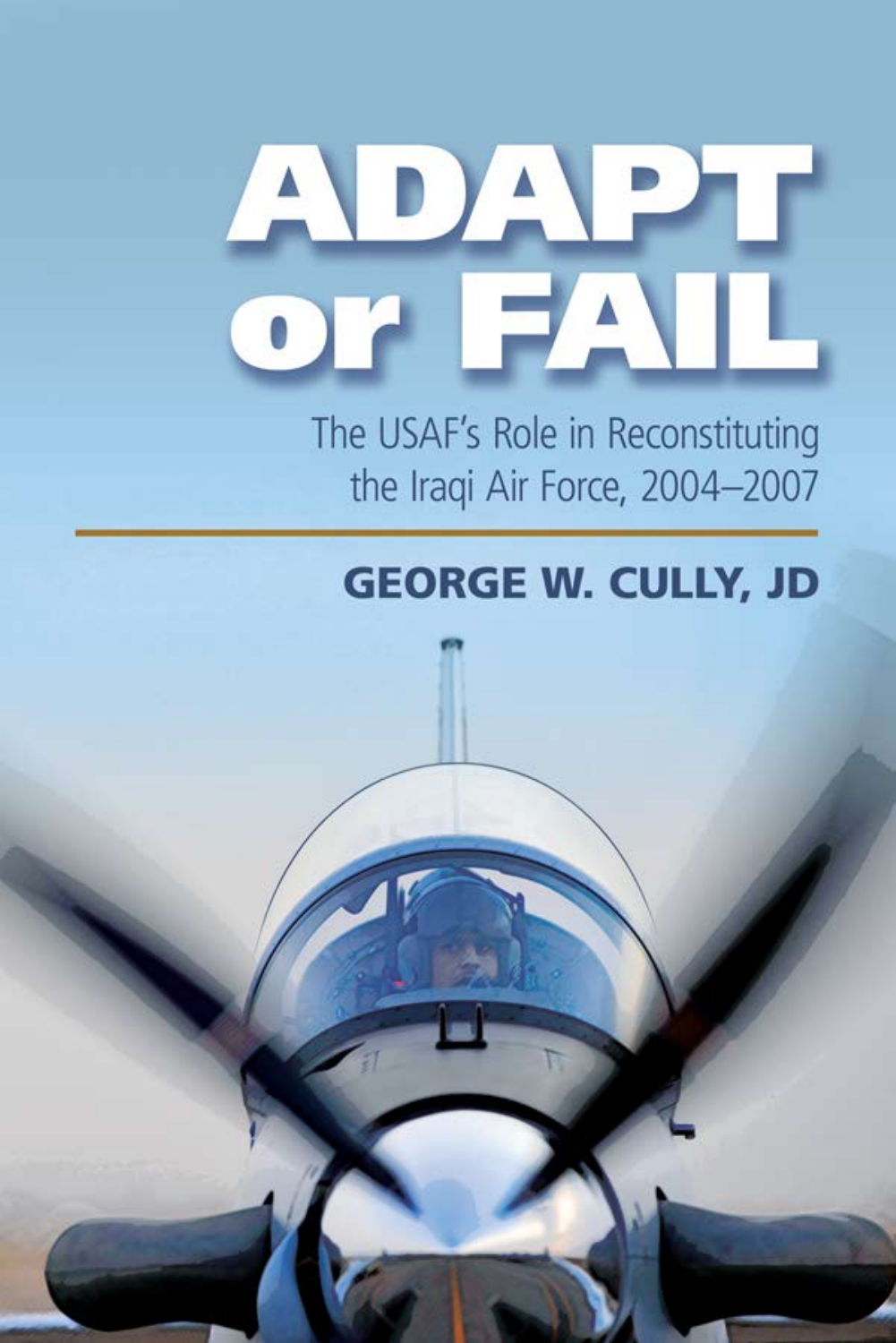# ADA  $\mathbf{O}^{\mathbf{r}}$  $\blacksquare/$

The USAF's Role in Reconstituting the Iraqi Air Force, 2004-2007

## **GEORGE W. CULLY, JD**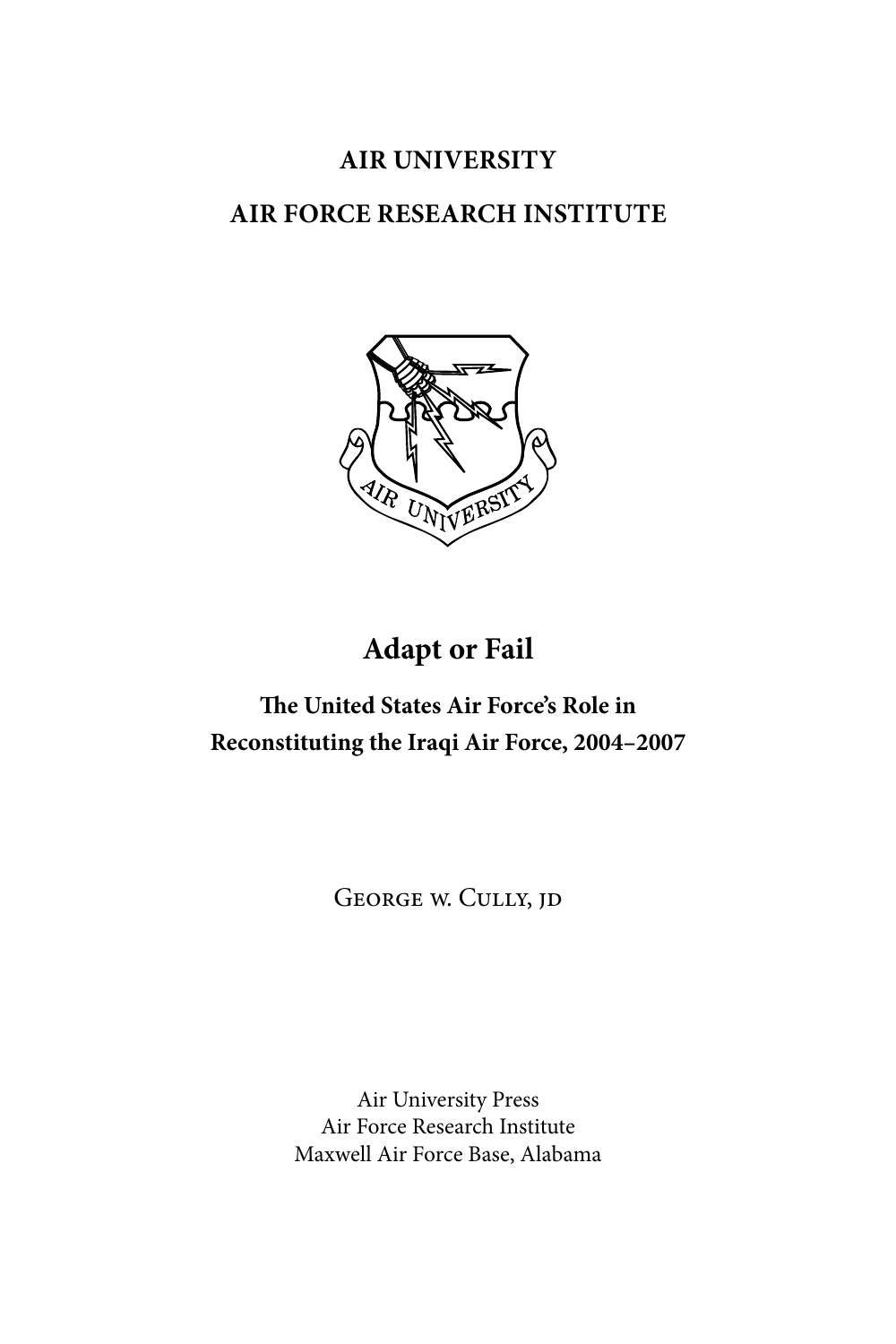## **AIR UNIVERSITY**

## **AIR FORCE RESEARCH INSTITUTE**



## **Adapt or Fail**

## **The United States Air Force's Role in Reconstituting the Iraqi Air Force, 2004–2007**

George w. Cully, jd

Air University Press Air Force Research Institute Maxwell Air Force Base, Alabama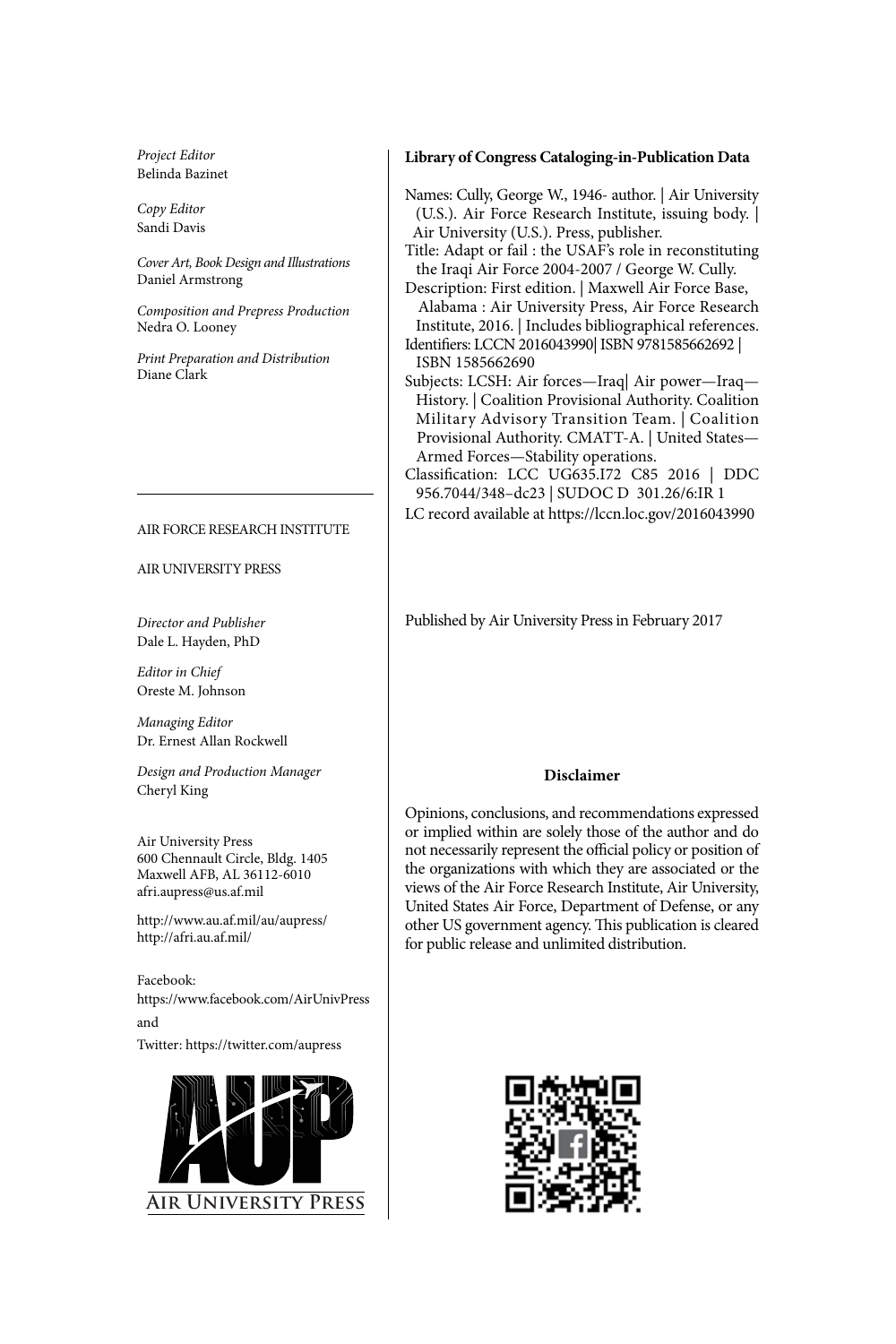*Project Editor* Belinda Bazinet

*Copy Editor* Sandi Davis

*Cover Art, Book Design and Illustrations* Daniel Armstrong

*Composition and Prepress Production* Nedra O. Looney

*Print Preparation and Distribution* Diane Clark

#### AIR FORCE RESEARCH INSTITUTE

#### AIR UNIVERSITY PRESS

*Director and Publisher* Dale L. Hayden, PhD

*Editor in Chief* Oreste M. Johnson

*Managing Editor* Dr. Ernest Allan Rockwell

*Design and Production Manager* Cheryl King

Air University Press 600 Chennault Circle, Bldg. 1405 Maxwell AFB, AL 36112-6010 afri.aupress@us.af.mil

http://www.au.af.mil/au/aupress/ http://afri.au.af.mil/

Facebook: https://www.facebook.com/AirUnivPress and

Twitter: https://twitter.com/aupress



#### **Library of Congress Cataloging-in-Publication Data**

Names: Cully, George W., 1946- author. | Air University (U.S.). Air Force Research Institute, issuing body. | Air University (U.S.). Press, publisher.

Title: Adapt or fail : the USAF's role in reconstituting the Iraqi Air Force 2004-2007 / George W. Cully.

Description: First edition. | Maxwell Air Force Base, Alabama : Air University Press, Air Force Research Institute, 2016. | Includes bibliographical references. Identifiers: LCCN 2016043990| ISBN 9781585662692 |

- ISBN 1585662690
- Subjects: LCSH: Air forces—Iraq| Air power—Iraq— History. | Coalition Provisional Authority. Coalition Military Advisory Transition Team. | Coalition Provisional Authority. CMATT-A. | United States— Armed Forces—Stability operations.
- Classification: LCC UG635.I72 C85 2016 | DDC 956.7044/348–dc23 | SUDOC D 301.26/6:IR 1

LC record available at https://lccn.loc.gov/2016043990

Published by Air University Press in February 2017

#### **Disclaimer**

Opinions, conclusions, and recommendations expressed or implied within are solely those of the author and do not necessarily represent the official policy or position of the organizations with which they are associated or the views of the Air Force Research Institute, Air University, United States Air Force, Department of Defense, or any other US government agency. This publication is cleared for public release and unlimited distribution.

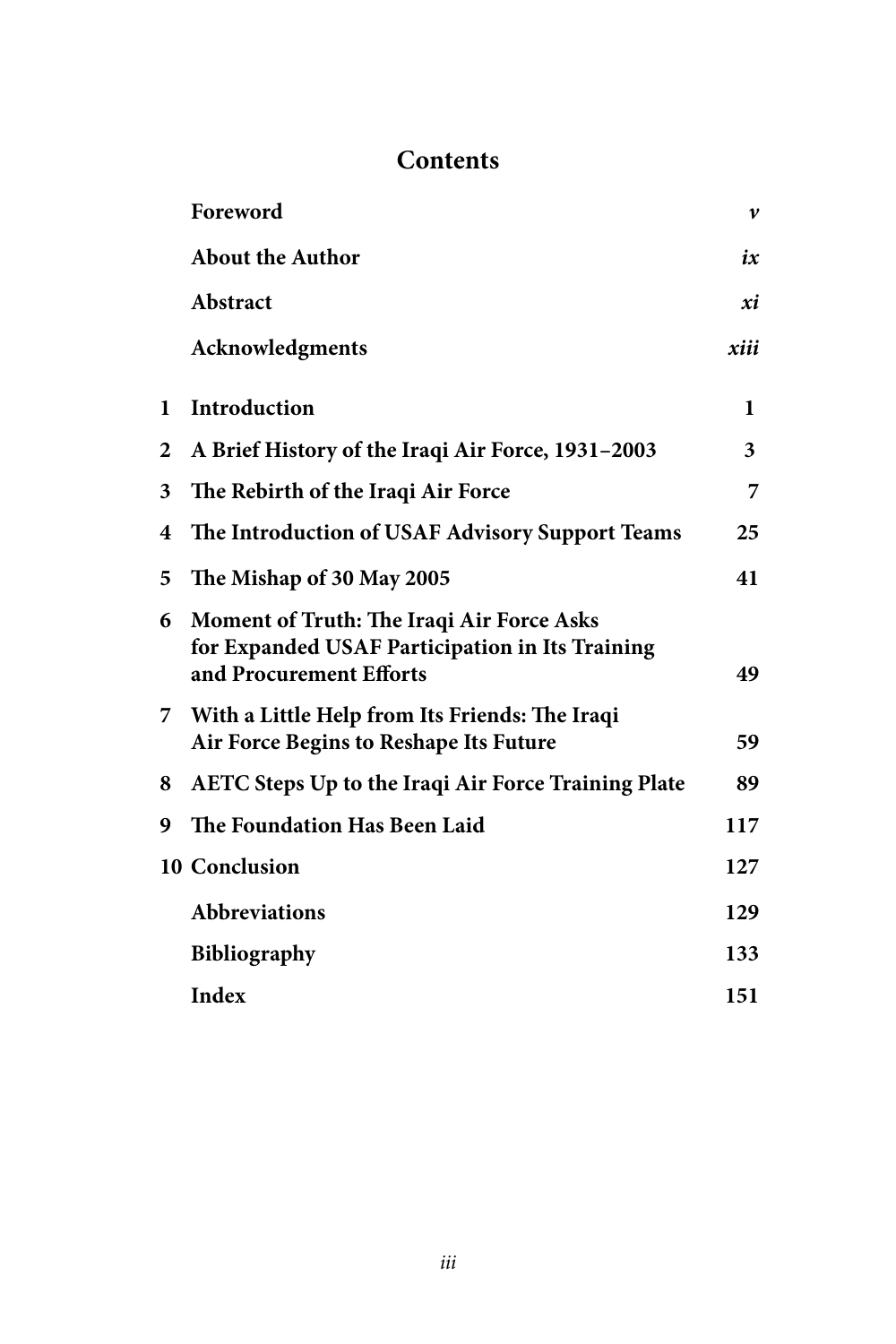## **Contents**

|   | Foreword                                                                                                                | $\boldsymbol{\nu}$ |
|---|-------------------------------------------------------------------------------------------------------------------------|--------------------|
|   | <b>About the Author</b>                                                                                                 | ix                 |
|   | Abstract                                                                                                                | xi                 |
|   | Acknowledgments                                                                                                         | xiii               |
| 1 | Introduction                                                                                                            | 1                  |
| 2 | A Brief History of the Iraqi Air Force, 1931-2003                                                                       | 3                  |
| 3 | The Rebirth of the Iraqi Air Force                                                                                      | 7                  |
| 4 | The Introduction of USAF Advisory Support Teams                                                                         | 25                 |
| 5 | The Mishap of 30 May 2005                                                                                               | 41                 |
| 6 | Moment of Truth: The Iraqi Air Force Asks<br>for Expanded USAF Participation in Its Training<br>and Procurement Efforts | 49                 |
| 7 | With a Little Help from Its Friends: The Iraqi<br>Air Force Begins to Reshape Its Future                                | 59                 |
| 8 | <b>AETC Steps Up to the Iraqi Air Force Training Plate</b>                                                              | 89                 |
| 9 | The Foundation Has Been Laid                                                                                            | 117                |
|   | 10 Conclusion                                                                                                           | 127                |
|   | <b>Abbreviations</b>                                                                                                    | 129                |
|   | <b>Bibliography</b>                                                                                                     | 133                |
|   | <b>Index</b>                                                                                                            | 151                |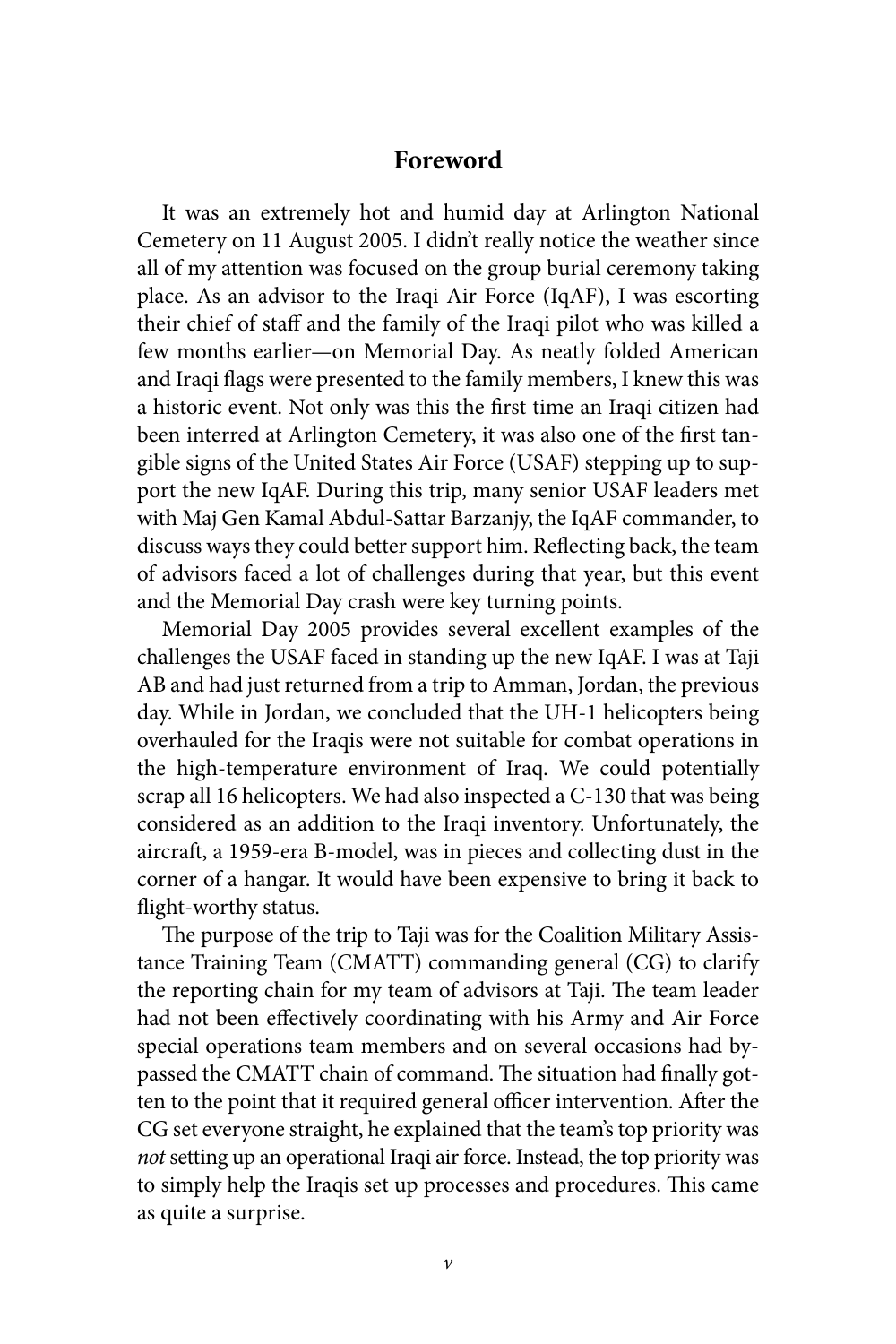## **Foreword**

It was an extremely hot and humid day at Arlington National Cemetery on 11 August 2005. I didn't really notice the weather since all of my attention was focused on the group burial ceremony taking place. As an advisor to the Iraqi Air Force (IqAF), I was escorting their chief of staff and the family of the Iraqi pilot who was killed a few months earlier—on Memorial Day. As neatly folded American and Iraqi flags were presented to the family members, I knew this was a historic event. Not only was this the first time an Iraqi citizen had been interred at Arlington Cemetery, it was also one of the first tangible signs of the United States Air Force (USAF) stepping up to support the new IqAF. During this trip, many senior USAF leaders met with Maj Gen Kamal Abdul-Sattar Barzanjy, the IqAF commander, to discuss ways they could better support him. Reflecting back, the team of advisors faced a lot of challenges during that year, but this event and the Memorial Day crash were key turning points.

Memorial Day 2005 provides several excellent examples of the challenges the USAF faced in standing up the new IqAF. I was at Taji AB and had just returned from a trip to Amman, Jordan, the previous day. While in Jordan, we concluded that the UH-1 helicopters being overhauled for the Iraqis were not suitable for combat operations in the high-temperature environment of Iraq. We could potentially scrap all 16 helicopters. We had also inspected a C-130 that was being considered as an addition to the Iraqi inventory. Unfortunately, the aircraft, a 1959-era B-model, was in pieces and collecting dust in the corner of a hangar. It would have been expensive to bring it back to flight-worthy status.

The purpose of the trip to Taji was for the Coalition Military Assistance Training Team (CMATT) commanding general (CG) to clarify the reporting chain for my team of advisors at Taji. The team leader had not been effectively coordinating with his Army and Air Force special operations team members and on several occasions had bypassed the CMATT chain of command. The situation had finally gotten to the point that it required general officer intervention. After the CG set everyone straight, he explained that the team's top priority was *not* setting up an operational Iraqi air force. Instead, the top priority was to simply help the Iraqis set up processes and procedures. This came as quite a surprise.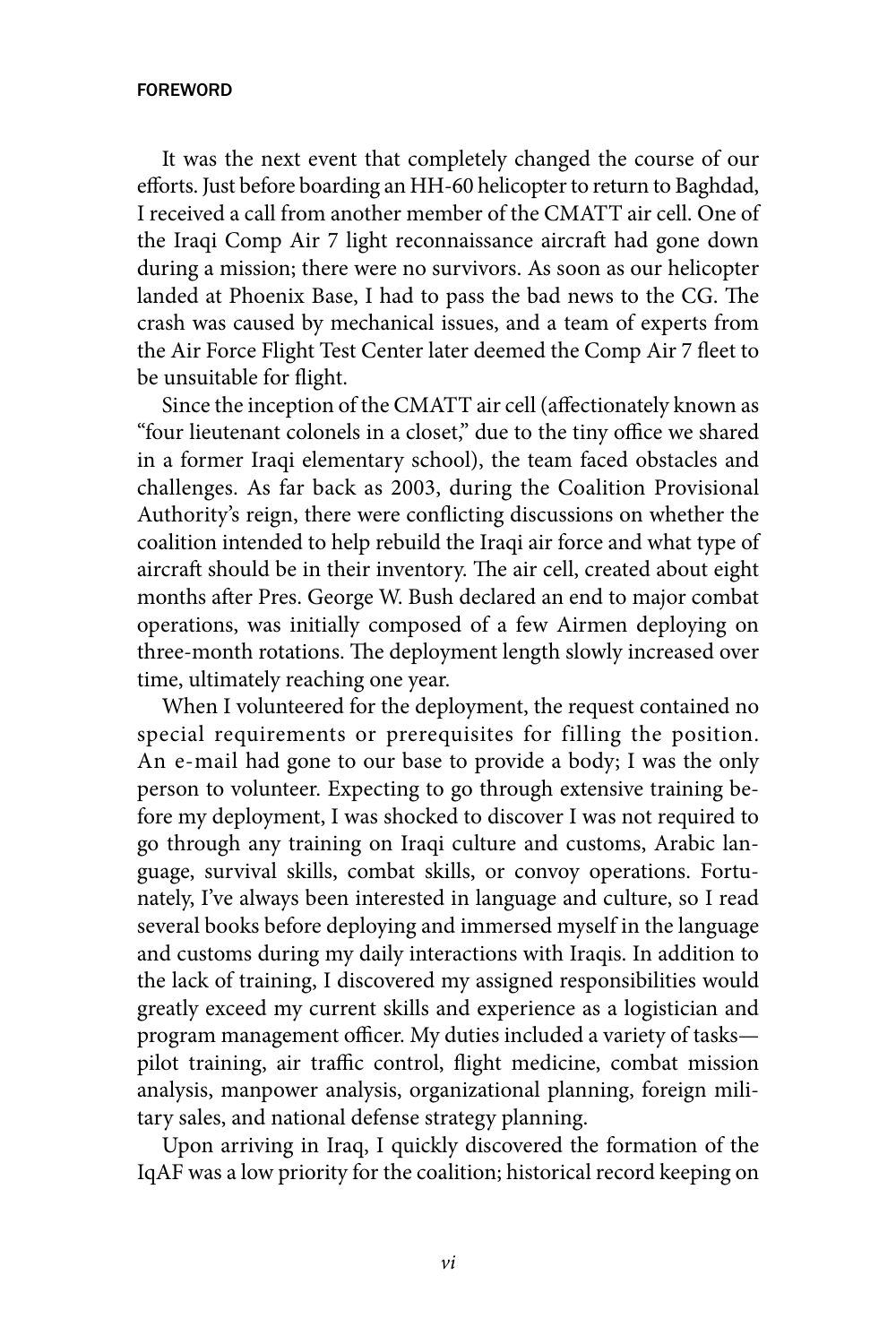#### foreword

It was the next event that completely changed the course of our efforts. Just before boarding an HH-60 helicopter to return to Baghdad, I received a call from another member of the CMATT air cell. One of the Iraqi Comp Air 7 light reconnaissance aircraft had gone down during a mission; there were no survivors. As soon as our helicopter landed at Phoenix Base, I had to pass the bad news to the CG. The crash was caused by mechanical issues, and a team of experts from the Air Force Flight Test Center later deemed the Comp Air 7 fleet to be unsuitable for flight.

Since the inception of the CMATT air cell (affectionately known as "four lieutenant colonels in a closet," due to the tiny office we shared in a former Iraqi elementary school), the team faced obstacles and challenges. As far back as 2003, during the Coalition Provisional Authority's reign, there were conflicting discussions on whether the coalition intended to help rebuild the Iraqi air force and what type of aircraft should be in their inventory. The air cell, created about eight months after Pres. George W. Bush declared an end to major combat operations, was initially composed of a few Airmen deploying on three-month rotations. The deployment length slowly increased over time, ultimately reaching one year.

When I volunteered for the deployment, the request contained no special requirements or prerequisites for filling the position. An e-mail had gone to our base to provide a body; I was the only person to volunteer. Expecting to go through extensive training before my deployment, I was shocked to discover I was not required to go through any training on Iraqi culture and customs, Arabic language, survival skills, combat skills, or convoy operations. Fortunately, I've always been interested in language and culture, so I read several books before deploying and immersed myself in the language and customs during my daily interactions with Iraqis. In addition to the lack of training, I discovered my assigned responsibilities would greatly exceed my current skills and experience as a logistician and program management officer. My duties included a variety of tasks pilot training, air traffic control, flight medicine, combat mission analysis, manpower analysis, organizational planning, foreign military sales, and national defense strategy planning.

Upon arriving in Iraq, I quickly discovered the formation of the IqAF was a low priority for the coalition; historical record keeping on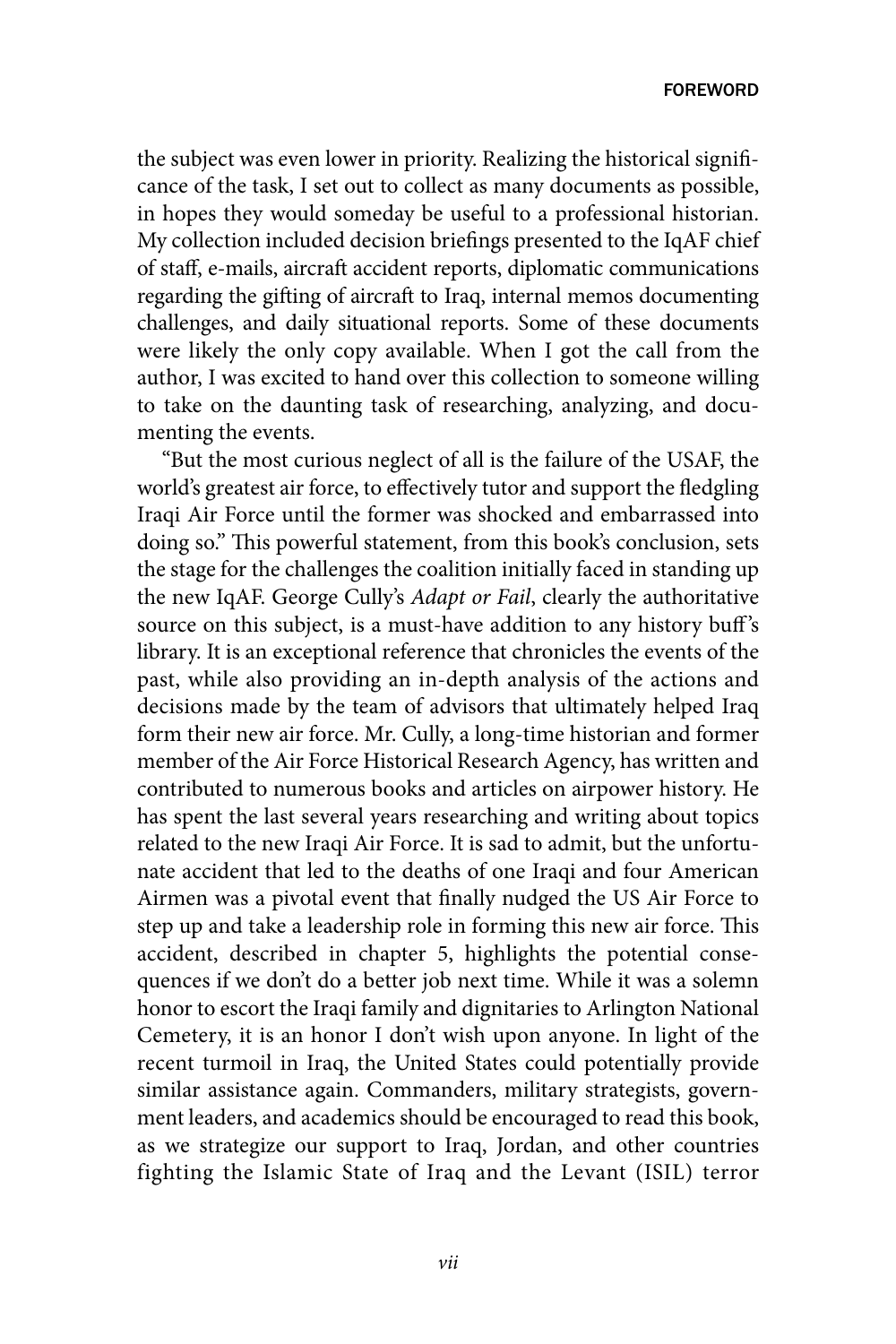the subject was even lower in priority. Realizing the historical significance of the task, I set out to collect as many documents as possible, in hopes they would someday be useful to a professional historian. My collection included decision briefings presented to the IqAF chief of staff, e-mails, aircraft accident reports, diplomatic communications regarding the gifting of aircraft to Iraq, internal memos documenting challenges, and daily situational reports. Some of these documents were likely the only copy available. When I got the call from the author, I was excited to hand over this collection to someone willing to take on the daunting task of researching, analyzing, and documenting the events.

"But the most curious neglect of all is the failure of the USAF, the world's greatest air force, to effectively tutor and support the fledgling Iraqi Air Force until the former was shocked and embarrassed into doing so." This powerful statement, from this book's conclusion, sets the stage for the challenges the coalition initially faced in standing up the new IqAF. George Cully's *Adapt or Fail*, clearly the authoritative source on this subject, is a must-have addition to any history buff's library. It is an exceptional reference that chronicles the events of the past, while also providing an in-depth analysis of the actions and decisions made by the team of advisors that ultimately helped Iraq form their new air force. Mr. Cully, a long-time historian and former member of the Air Force Historical Research Agency, has written and contributed to numerous books and articles on airpower history. He has spent the last several years researching and writing about topics related to the new Iraqi Air Force. It is sad to admit, but the unfortunate accident that led to the deaths of one Iraqi and four American Airmen was a pivotal event that finally nudged the US Air Force to step up and take a leadership role in forming this new air force. This accident, described in chapter 5, highlights the potential consequences if we don't do a better job next time. While it was a solemn honor to escort the Iraqi family and dignitaries to Arlington National Cemetery, it is an honor I don't wish upon anyone. In light of the recent turmoil in Iraq, the United States could potentially provide similar assistance again. Commanders, military strategists, government leaders, and academics should be encouraged to read this book, as we strategize our support to Iraq, Jordan, and other countries fighting the Islamic State of Iraq and the Levant (ISIL) terror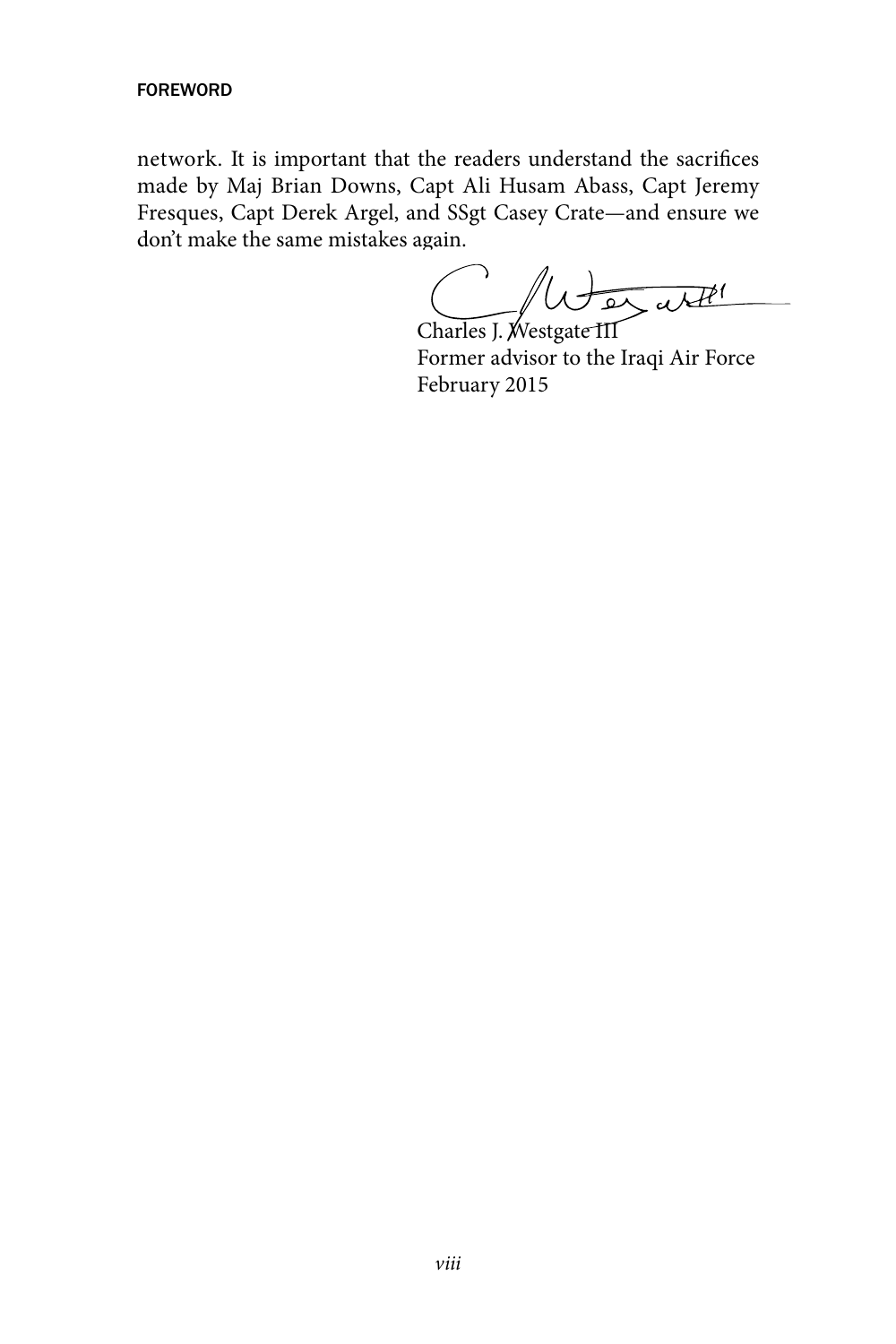#### fOREWORD

network. It is important that the readers understand the sacrifices made by Maj Brian Downs, Capt Ali Husam Abass, Capt Jeremy Fresques, Capt Derek Argel, and SSgt Casey Crate—and ensure we don't make the same mistakes again.

Charles J. Westgate III

Former advisor to the Iraqi Air Force February 2015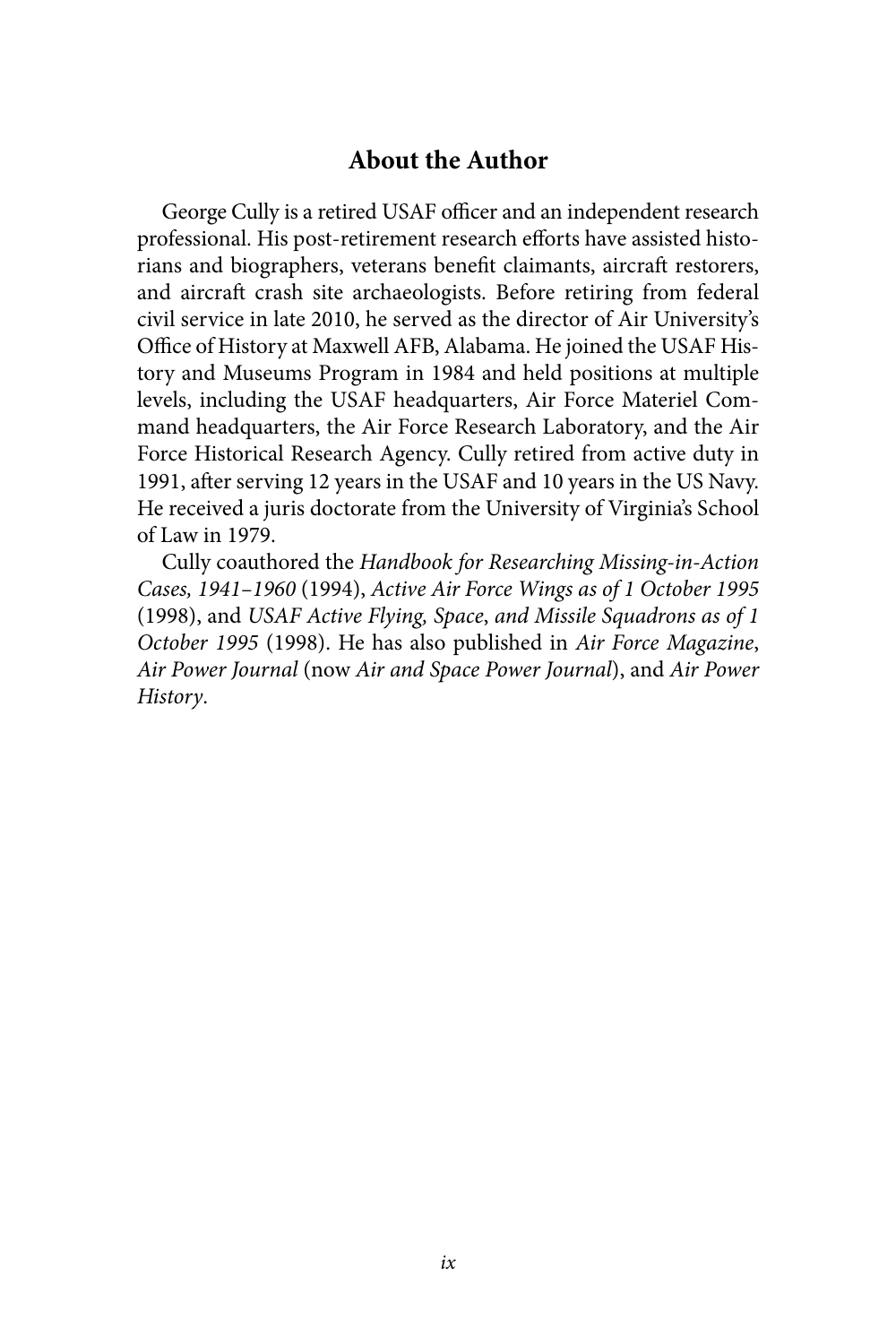## **About the Author**

George Cully is a retired USAF officer and an independent research professional. His post-retirement research efforts have assisted historians and biographers, veterans benefit claimants, aircraft restorers, and aircraft crash site archaeologists. Before retiring from federal civil service in late 2010, he served as the director of Air University's Office of History at Maxwell AFB, Alabama. He joined the USAF History and Museums Program in 1984 and held positions at multiple levels, including the USAF headquarters, Air Force Materiel Command headquarters, the Air Force Research Laboratory, and the Air Force Historical Research Agency. Cully retired from active duty in 1991, after serving 12 years in the USAF and 10 years in the US Navy. He received a juris doctorate from the University of Virginia's School of Law in 1979.

Cully coauthored the *Handbook for Researching Missing-in-Action Cases, 1941–1960* (1994), *Active Air Force Wings as of 1 October 1995*  (1998), and *USAF Active Flying, Space*, *and Missile Squadrons as of 1 October 1995* (1998). He has also published in *Air Force Magazine*, *Air Power Journal* (now *Air and Space Power Journal*), and *Air Power History*.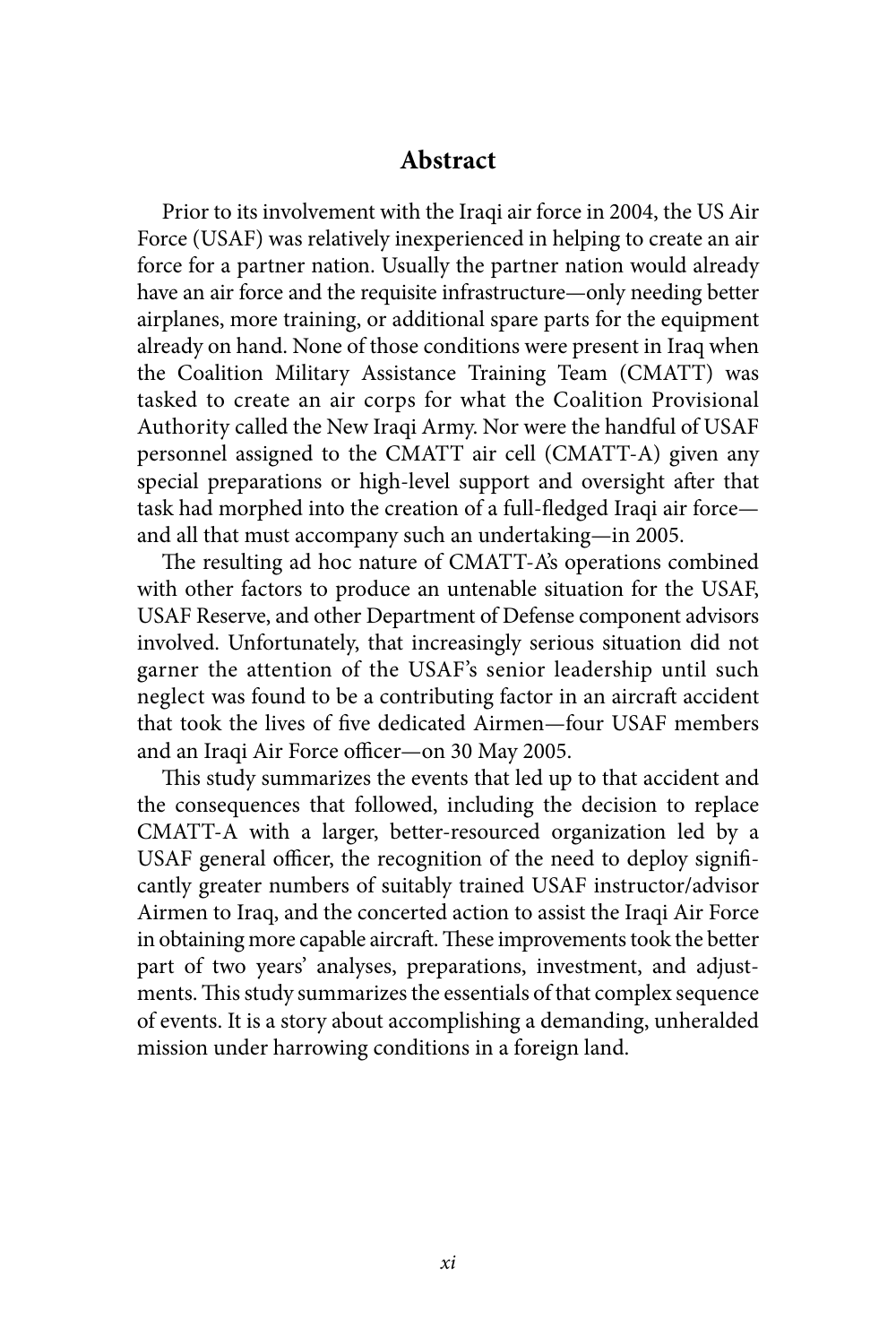## **Abstract**

Prior to its involvement with the Iraqi air force in 2004, the US Air Force (USAF) was relatively inexperienced in helping to create an air force for a partner nation. Usually the partner nation would already have an air force and the requisite infrastructure—only needing better airplanes, more training, or additional spare parts for the equipment already on hand. None of those conditions were present in Iraq when the Coalition Military Assistance Training Team (CMATT) was tasked to create an air corps for what the Coalition Provisional Authority called the New Iraqi Army. Nor were the handful of USAF personnel assigned to the CMATT air cell (CMATT-A) given any special preparations or high-level support and oversight after that task had morphed into the creation of a full-fledged Iraqi air force and all that must accompany such an undertaking—in 2005.

The resulting ad hoc nature of CMATT-A's operations combined with other factors to produce an untenable situation for the USAF, USAF Reserve, and other Department of Defense component advisors involved. Unfortunately, that increasingly serious situation did not garner the attention of the USAF's senior leadership until such neglect was found to be a contributing factor in an aircraft accident that took the lives of five dedicated Airmen—four USAF members and an Iraqi Air Force officer—on 30 May 2005.

This study summarizes the events that led up to that accident and the consequences that followed, including the decision to replace CMATT-A with a larger, better-resourced organization led by a USAF general officer, the recognition of the need to deploy significantly greater numbers of suitably trained USAF instructor/advisor Airmen to Iraq, and the concerted action to assist the Iraqi Air Force in obtaining more capable aircraft. These improvements took the better part of two years' analyses, preparations, investment, and adjustments. This study summarizes the essentials of that complex sequence of events. It is a story about accomplishing a demanding, unheralded mission under harrowing conditions in a foreign land.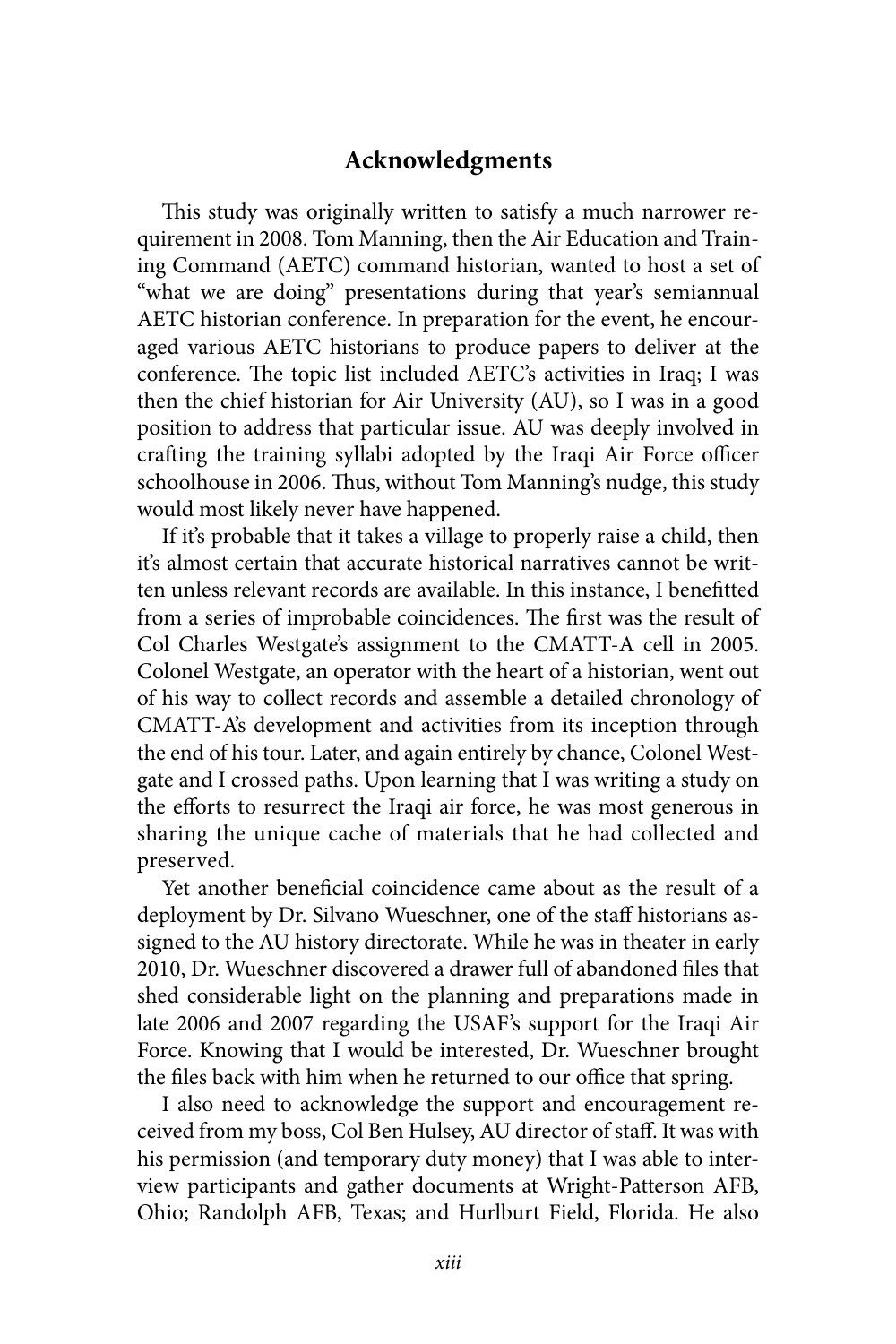## **Acknowledgments**

This study was originally written to satisfy a much narrower requirement in 2008. Tom Manning, then the Air Education and Training Command (AETC) command historian, wanted to host a set of "what we are doing" presentations during that year's semiannual AETC historian conference. In preparation for the event, he encouraged various AETC historians to produce papers to deliver at the conference. The topic list included AETC's activities in Iraq; I was then the chief historian for Air University (AU), so I was in a good position to address that particular issue. AU was deeply involved in crafting the training syllabi adopted by the Iraqi Air Force officer schoolhouse in 2006. Thus, without Tom Manning's nudge, this study would most likely never have happened.

If it's probable that it takes a village to properly raise a child, then it's almost certain that accurate historical narratives cannot be written unless relevant records are available. In this instance, I benefitted from a series of improbable coincidences. The first was the result of Col Charles Westgate's assignment to the CMATT-A cell in 2005. Colonel Westgate, an operator with the heart of a historian, went out of his way to collect records and assemble a detailed chronology of CMATT-A's development and activities from its inception through the end of his tour. Later, and again entirely by chance, Colonel Westgate and I crossed paths. Upon learning that I was writing a study on the efforts to resurrect the Iraqi air force, he was most generous in sharing the unique cache of materials that he had collected and preserved.

Yet another beneficial coincidence came about as the result of a deployment by Dr. Silvano Wueschner, one of the staff historians assigned to the AU history directorate. While he was in theater in early 2010, Dr. Wueschner discovered a drawer full of abandoned files that shed considerable light on the planning and preparations made in late 2006 and 2007 regarding the USAF's support for the Iraqi Air Force. Knowing that I would be interested, Dr. Wueschner brought the files back with him when he returned to our office that spring.

I also need to acknowledge the support and encouragement received from my boss, Col Ben Hulsey, AU director of staff. It was with his permission (and temporary duty money) that I was able to interview participants and gather documents at Wright-Patterson AFB, Ohio; Randolph AFB, Texas; and Hurlburt Field, Florida. He also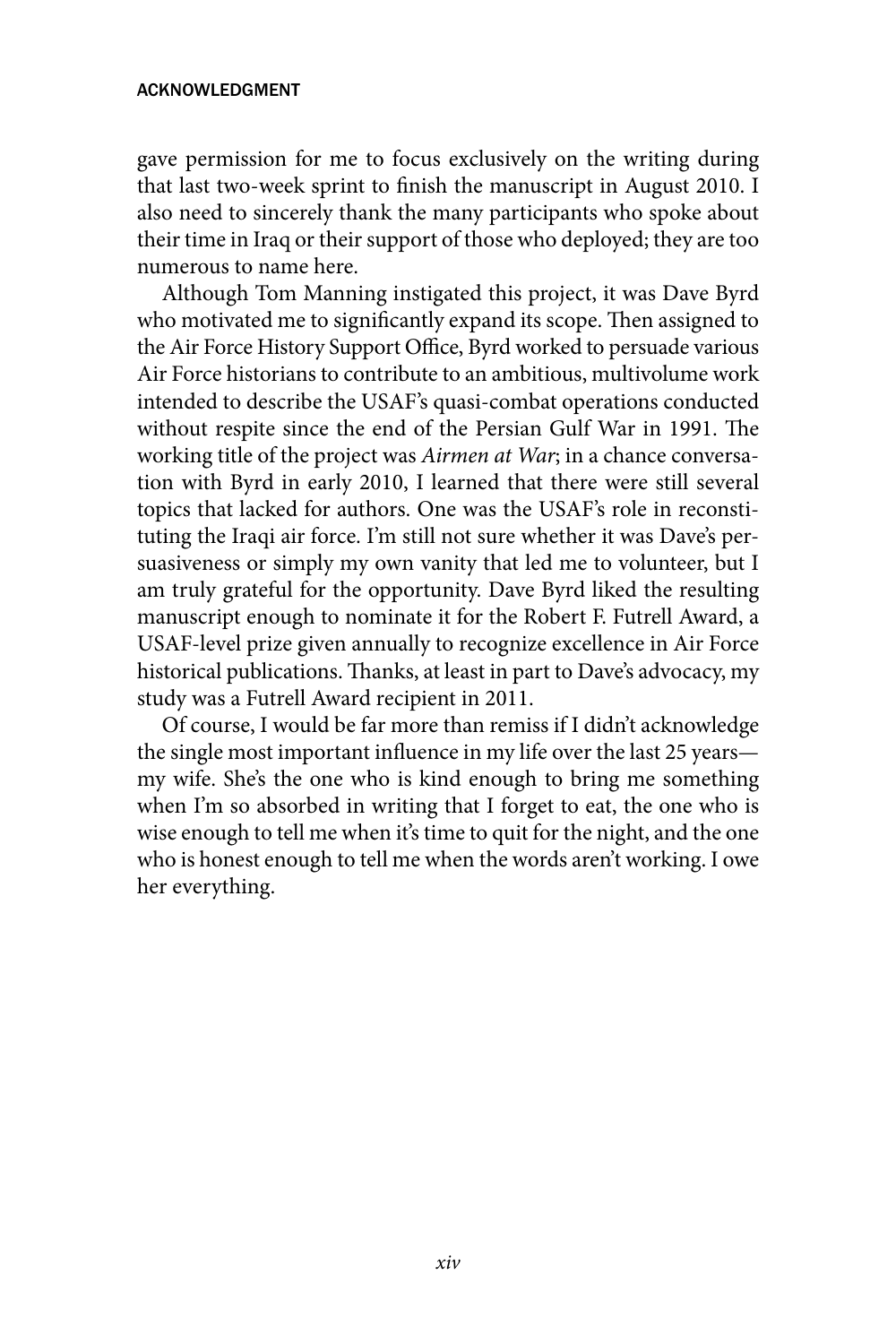#### acknowledgment

gave permission for me to focus exclusively on the writing during that last two-week sprint to finish the manuscript in August 2010. I also need to sincerely thank the many participants who spoke about their time in Iraq or their support of those who deployed; they are too numerous to name here.

Although Tom Manning instigated this project, it was Dave Byrd who motivated me to significantly expand its scope. Then assigned to the Air Force History Support Office, Byrd worked to persuade various Air Force historians to contribute to an ambitious, multivolume work intended to describe the USAF's quasi-combat operations conducted without respite since the end of the Persian Gulf War in 1991. The working title of the project was *Airmen at War*; in a chance conversation with Byrd in early 2010, I learned that there were still several topics that lacked for authors. One was the USAF's role in reconstituting the Iraqi air force. I'm still not sure whether it was Dave's persuasiveness or simply my own vanity that led me to volunteer, but I am truly grateful for the opportunity. Dave Byrd liked the resulting manuscript enough to nominate it for the Robert F. Futrell Award, a USAF-level prize given annually to recognize excellence in Air Force historical publications. Thanks, at least in part to Dave's advocacy, my study was a Futrell Award recipient in 2011.

Of course, I would be far more than remiss if I didn't acknowledge the single most important influence in my life over the last 25 years my wife. She's the one who is kind enough to bring me something when I'm so absorbed in writing that I forget to eat, the one who is wise enough to tell me when it's time to quit for the night, and the one who is honest enough to tell me when the words aren't working. I owe her everything.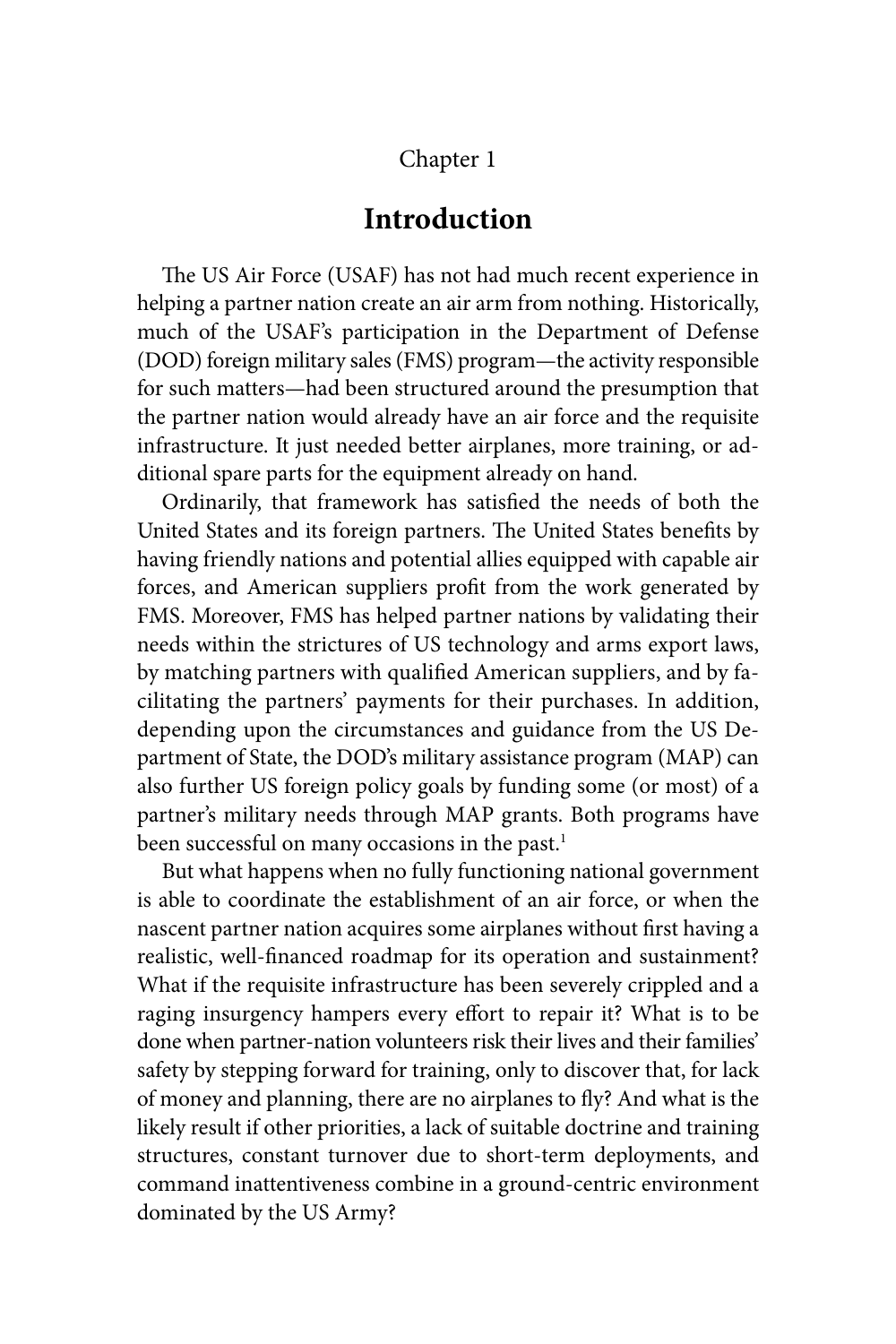## Chapter 1

## **Introduction**

The US Air Force (USAF) has not had much recent experience in helping a partner nation create an air arm from nothing. Historically, much of the USAF's participation in the Department of Defense (DOD) foreign military sales (FMS) program—the activity responsible for such matters—had been structured around the presumption that the partner nation would already have an air force and the requisite infrastructure. It just needed better airplanes, more training, or additional spare parts for the equipment already on hand.

Ordinarily, that framework has satisfied the needs of both the United States and its foreign partners. The United States benefits by having friendly nations and potential allies equipped with capable air forces, and American suppliers profit from the work generated by FMS. Moreover, FMS has helped partner nations by validating their needs within the strictures of US technology and arms export laws, by matching partners with qualified American suppliers, and by facilitating the partners' payments for their purchases. In addition, depending upon the circumstances and guidance from the US Department of State, the DOD's military assistance program (MAP) can also further US foreign policy goals by funding some (or most) of a partner's military needs through MAP grants. Both programs have been successful on many occasions in the past.<sup>1</sup>

But what happens when no fully functioning national government is able to coordinate the establishment of an air force, or when the nascent partner nation acquires some airplanes without first having a realistic, well-financed roadmap for its operation and sustainment? What if the requisite infrastructure has been severely crippled and a raging insurgency hampers every effort to repair it? What is to be done when partner-nation volunteers risk their lives and their families' safety by stepping forward for training, only to discover that, for lack of money and planning, there are no airplanes to fly? And what is the likely result if other priorities, a lack of suitable doctrine and training structures, constant turnover due to short-term deployments, and command inattentiveness combine in a ground-centric environment dominated by the US Army?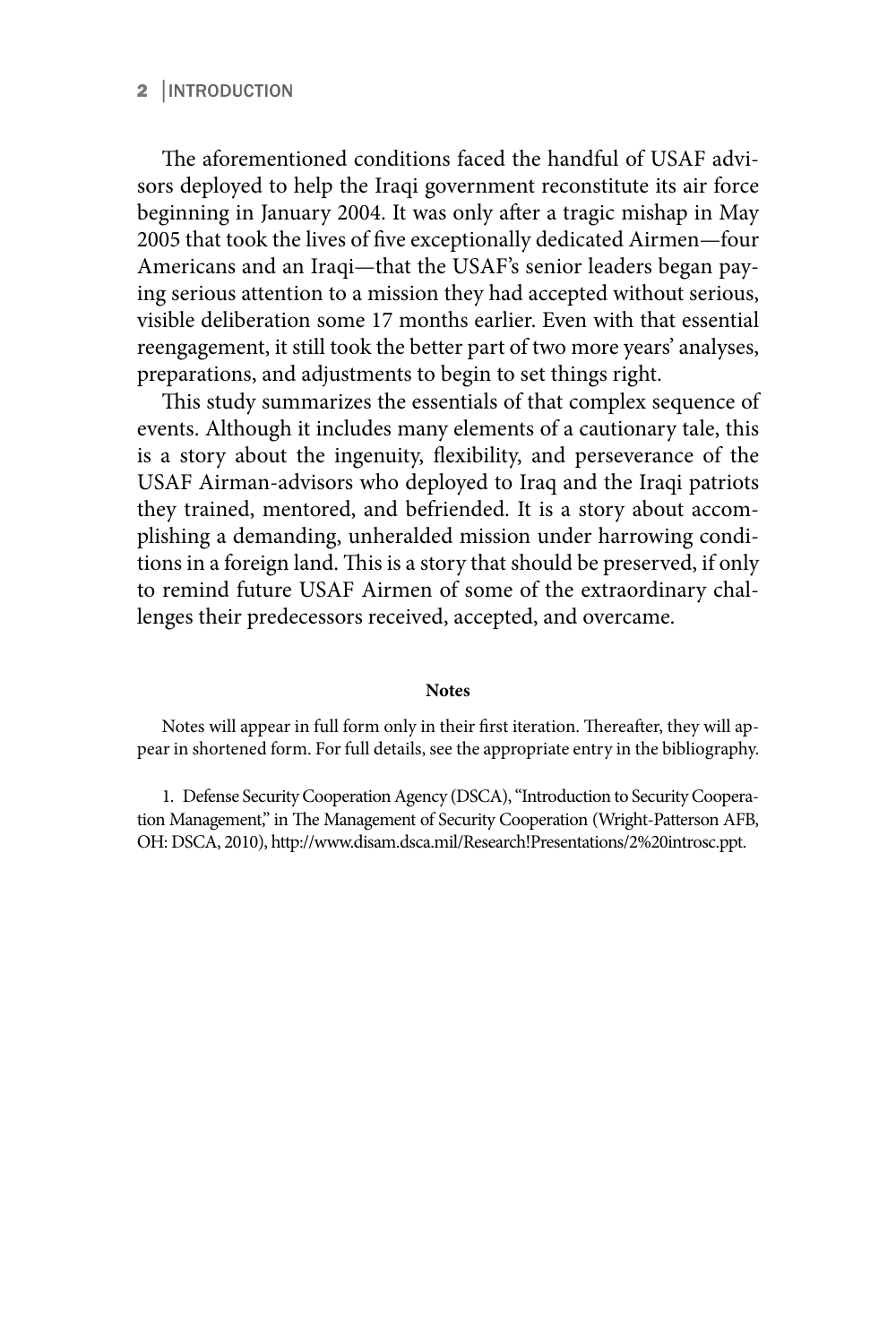#### 2 │INTRODUCTION

The aforementioned conditions faced the handful of USAF advisors deployed to help the Iraqi government reconstitute its air force beginning in January 2004. It was only after a tragic mishap in May 2005 that took the lives of five exceptionally dedicated Airmen—four Americans and an Iraqi—that the USAF's senior leaders began paying serious attention to a mission they had accepted without serious, visible deliberation some 17 months earlier. Even with that essential reengagement, it still took the better part of two more years' analyses, preparations, and adjustments to begin to set things right.

This study summarizes the essentials of that complex sequence of events. Although it includes many elements of a cautionary tale, this is a story about the ingenuity, flexibility, and perseverance of the USAF Airman-advisors who deployed to Iraq and the Iraqi patriots they trained, mentored, and befriended. It is a story about accomplishing a demanding, unheralded mission under harrowing conditions in a foreign land. This is a story that should be preserved, if only to remind future USAF Airmen of some of the extraordinary challenges their predecessors received, accepted, and overcame.

#### **Notes**

Notes will appear in full form only in their first iteration. Thereafter, they will appear in shortened form. For full details, see the appropriate entry in the bibliography.

1. Defense Security Cooperation Agency (DSCA), "Introduction to Security Cooperation Management," in The Management of Security Cooperation (Wright-Patterson AFB, OH: DSCA, 2010), http://www.disam.dsca.mil/Research!Presentations/2%20introsc.ppt.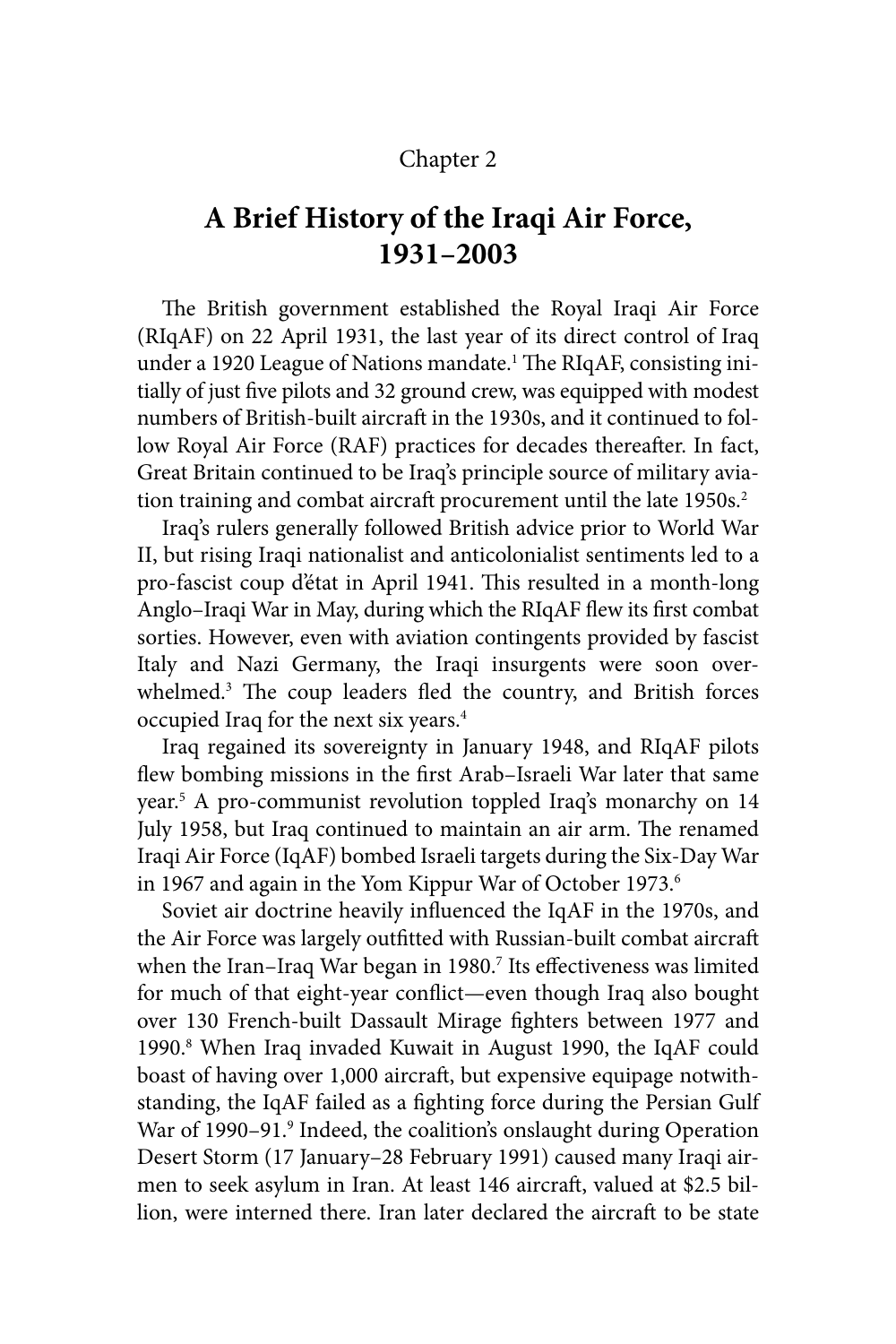## Chapter 2

## **A Brief History of the Iraqi Air Force, 1931–2003**

The British government established the Royal Iraqi Air Force (RIqAF) on 22 April 1931, the last year of its direct control of Iraq under a 1920 League of Nations mandate.<sup>1</sup> The RIqAF, consisting initially of just five pilots and 32 ground crew, was equipped with modest numbers of British-built aircraft in the 1930s, and it continued to follow Royal Air Force (RAF) practices for decades thereafter. In fact, Great Britain continued to be Iraq's principle source of military aviation training and combat aircraft procurement until the late 1950s.<sup>2</sup>

Iraq's rulers generally followed British advice prior to World War II, but rising Iraqi nationalist and anticolonialist sentiments led to a pro-fascist coup d'état in April 1941. This resulted in a month-long Anglo–Iraqi War in May, during which the RIqAF flew its first combat sorties. However, even with aviation contingents provided by fascist Italy and Nazi Germany, the Iraqi insurgents were soon overwhelmed.<sup>3</sup> The coup leaders fled the country, and British forces occupied Iraq for the next six years.4

Iraq regained its sovereignty in January 1948, and RIqAF pilots flew bombing missions in the first Arab–Israeli War later that same year.5 A pro-communist revolution toppled Iraq's monarchy on 14 July 1958, but Iraq continued to maintain an air arm. The renamed Iraqi Air Force (IqAF) bombed Israeli targets during the Six-Day War in 1967 and again in the Yom Kippur War of October 1973.<sup>6</sup>

Soviet air doctrine heavily influenced the IqAF in the 1970s, and the Air Force was largely outfitted with Russian-built combat aircraft when the Iran-Iraq War began in 1980.<sup>7</sup> Its effectiveness was limited for much of that eight-year conflict—even though Iraq also bought over 130 French-built Dassault Mirage fighters between 1977 and 1990.8 When Iraq invaded Kuwait in August 1990, the IqAF could boast of having over 1,000 aircraft, but expensive equipage notwithstanding, the IqAF failed as a fighting force during the Persian Gulf War of 1990-91.<sup>9</sup> Indeed, the coalition's onslaught during Operation Desert Storm (17 January–28 February 1991) caused many Iraqi airmen to seek asylum in Iran. At least 146 aircraft, valued at \$2.5 billion, were interned there. Iran later declared the aircraft to be state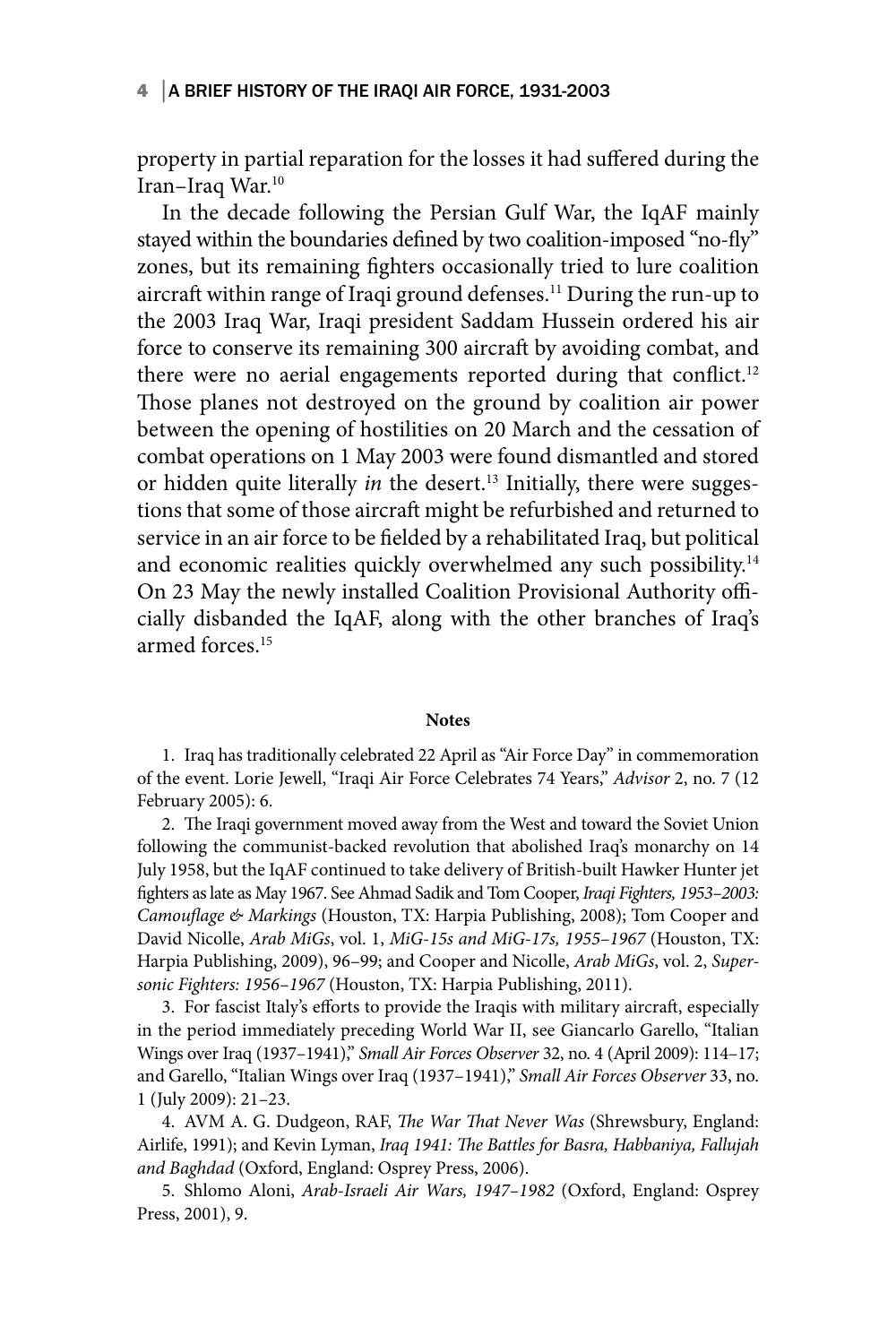#### 4 │A BRIEF HISTORY OF THE IRAQI AIR FORCE, 1931-2003

property in partial reparation for the losses it had suffered during the Iran–Iraq War.10

In the decade following the Persian Gulf War, the IqAF mainly stayed within the boundaries defined by two coalition-imposed "no-fly" zones, but its remaining fighters occasionally tried to lure coalition aircraft within range of Iraqi ground defenses.11 During the run-up to the 2003 Iraq War, Iraqi president Saddam Hussein ordered his air force to conserve its remaining 300 aircraft by avoiding combat, and there were no aerial engagements reported during that conflict.<sup>12</sup> Those planes not destroyed on the ground by coalition air power between the opening of hostilities on 20 March and the cessation of combat operations on 1 May 2003 were found dismantled and stored or hidden quite literally *in* the desert.<sup>13</sup> Initially, there were suggestions that some of those aircraft might be refurbished and returned to service in an air force to be fielded by a rehabilitated Iraq, but political and economic realities quickly overwhelmed any such possibility.<sup>14</sup> On 23 May the newly installed Coalition Provisional Authority officially disbanded the IqAF, along with the other branches of Iraq's armed forces.15

#### **Notes**

1. Iraq has traditionally celebrated 22 April as "Air Force Day" in commemoration of the event. Lorie Jewell, "Iraqi Air Force Celebrates 74 Years," *Advisor* 2, no. 7 (12 February 2005): 6.

2. The Iraqi government moved away from the West and toward the Soviet Union following the communist-backed revolution that abolished Iraq's monarchy on 14 July 1958, but the IqAF continued to take delivery of British-built Hawker Hunter jet fighters as late as May 1967. See Ahmad Sadik and Tom Cooper, *Iraqi Fighters, 1953–2003: Camouflage & Markings* (Houston, TX: Harpia Publishing, 2008); Tom Cooper and David Nicolle, *Arab MiGs*, vol. 1, *MiG-15s and MiG-17s, 1955–1967* (Houston, TX: Harpia Publishing, 2009), 96–99; and Cooper and Nicolle, *Arab MiGs*, vol. 2, *Supersonic Fighters: 1956–1967* (Houston, TX: Harpia Publishing, 2011).

3. For fascist Italy's efforts to provide the Iraqis with military aircraft, especially in the period immediately preceding World War II, see Giancarlo Garello, "Italian Wings over Iraq (1937–1941)," *Small Air Forces Observer* 32, no. 4 (April 2009): 114–17; and Garello, "Italian Wings over Iraq (1937–1941)," *Small Air Forces Observer* 33, no. 1 (July 2009): 21–23.

4. AVM A. G. Dudgeon, RAF, *The War That Never Was* (Shrewsbury, England: Airlife, 1991); and Kevin Lyman, *Iraq 1941: The Battles for Basra, Habbaniya, Fallujah and Baghdad* (Oxford, England: Osprey Press, 2006).

5. Shlomo Aloni, *Arab-Israeli Air Wars, 1947–1982* (Oxford, England: Osprey Press, 2001), 9.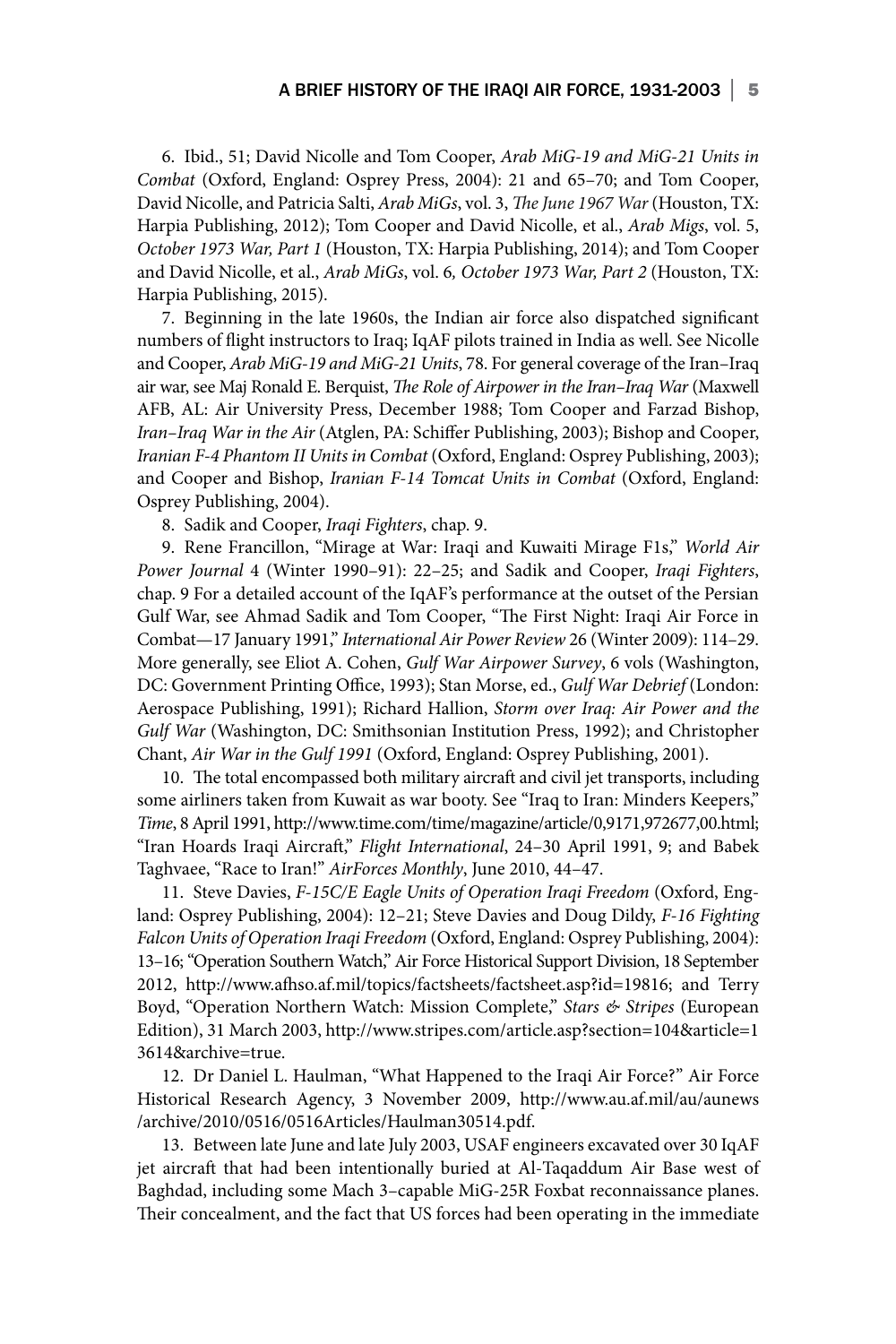6. Ibid., 51; David Nicolle and Tom Cooper, *Arab MiG-19 and MiG-21 Units in Combat* (Oxford, England: Osprey Press, 2004): 21 and 65–70; and Tom Cooper, David Nicolle, and Patricia Salti, *Arab MiGs*, vol. 3, *The June 1967 War* (Houston, TX: Harpia Publishing, 2012); Tom Cooper and David Nicolle, et al., *Arab Migs*, vol. 5, *October 1973 War, Part 1* (Houston, TX: Harpia Publishing, 2014); and Tom Cooper and David Nicolle, et al., *Arab MiGs*, vol. 6*, October 1973 War, Part 2* (Houston, TX: Harpia Publishing, 2015).

7. Beginning in the late 1960s, the Indian air force also dispatched significant numbers of flight instructors to Iraq; IqAF pilots trained in India as well. See Nicolle and Cooper, *Arab MiG-19 and MiG-21 Units*, 78. For general coverage of the Iran–Iraq air war, see Maj Ronald E. Berquist, *The Role of Airpower in the Iran–Iraq War* (Maxwell AFB, AL: Air University Press, December 1988; Tom Cooper and Farzad Bishop, *Iran–Iraq War in the Air* (Atglen, PA: Schiffer Publishing, 2003); Bishop and Cooper, *Iranian F-4 Phantom II Units in Combat* (Oxford, England: Osprey Publishing, 2003); and Cooper and Bishop, *Iranian F-14 Tomcat Units in Combat* (Oxford, England: Osprey Publishing, 2004).

8. Sadik and Cooper, *Iraqi Fighters*, chap. 9.

9. Rene Francillon, "Mirage at War: Iraqi and Kuwaiti Mirage F1s," *World Air Power Journal* 4 (Winter 1990–91): 22–25; and Sadik and Cooper, *Iraqi Fighters*, chap. 9 For a detailed account of the IqAF's performance at the outset of the Persian Gulf War, see Ahmad Sadik and Tom Cooper, "The First Night: Iraqi Air Force in Combat—17 January 1991," *International Air Power Review* 26 (Winter 2009): 114–29. More generally, see Eliot A. Cohen, *Gulf War Airpower Survey*, 6 vols (Washington, DC: Government Printing Office, 1993); Stan Morse, ed., *Gulf War Debrief* (London: Aerospace Publishing, 1991); Richard Hallion, *Storm over Iraq: Air Power and the Gulf War* (Washington, DC: Smithsonian Institution Press, 1992); and Christopher Chant, *Air War in the Gulf 1991* (Oxford, England: Osprey Publishing, 2001).

10. The total encompassed both military aircraft and civil jet transports, including some airliners taken from Kuwait as war booty. See "Iraq to Iran: Minders Keepers," *Time*, 8 April 1991, http://www.time.com/time/magazine/article/0,9171,972677,00.html; "Iran Hoards Iraqi Aircraft," *Flight International*, 24–30 April 1991, 9; and Babek Taghvaee, "Race to Iran!" *AirForces Monthly*, June 2010, 44–47.

11. Steve Davies, *F-15C/E Eagle Units of Operation Iraqi Freedom* (Oxford, England: Osprey Publishing, 2004): 12–21; Steve Davies and Doug Dildy, *F-16 Fighting Falcon Units of Operation Iraqi Freedom* (Oxford, England: Osprey Publishing, 2004): 13–16; "Operation Southern Watch," Air Force Historical Support Division, 18 September 2012, http://www.afhso.af.mil/topics/factsheets/factsheet.asp?id=19816; and Terry Boyd, "Operation Northern Watch: Mission Complete," *Stars & Stripes* (European Edition), 31 March 2003, http://www.stripes.com/article.asp?section=104&article=1 3614&archive=true.

12. Dr Daniel L. Haulman, "What Happened to the Iraqi Air Force?" Air Force Historical Research Agency, 3 November 2009, http://www.au.af.mil/au/aunews /archive/2010/0516/0516Articles/Haulman30514.pdf.

13. Between late June and late July 2003, USAF engineers excavated over 30 IqAF jet aircraft that had been intentionally buried at Al-Taqaddum Air Base west of Baghdad, including some Mach 3–capable MiG-25R Foxbat reconnaissance planes. Their concealment, and the fact that US forces had been operating in the immediate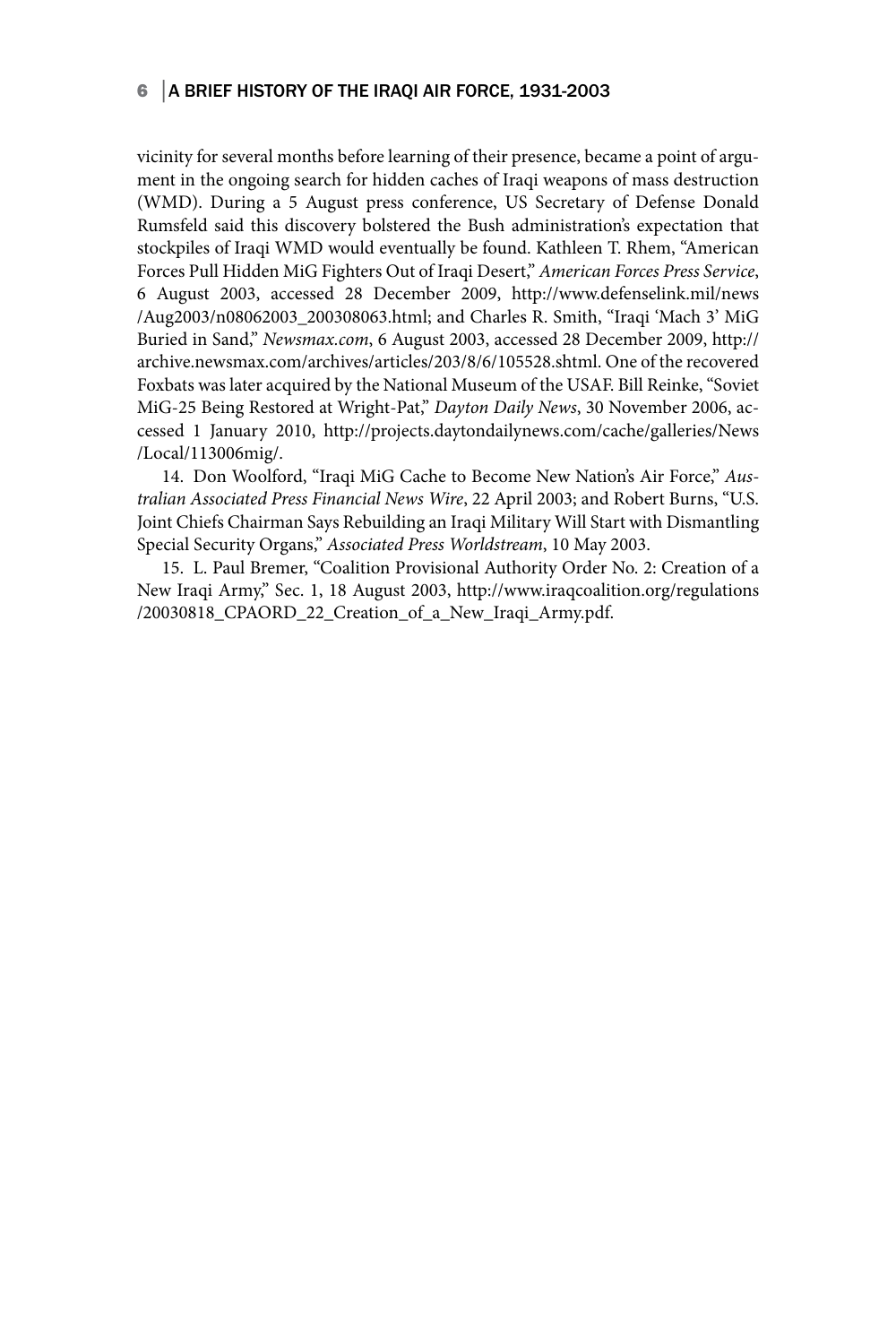#### 6 │A BRIEF HISTORY OF THE IRAQI AIR FORCE, 1931-2003

vicinity for several months before learning of their presence, became a point of argument in the ongoing search for hidden caches of Iraqi weapons of mass destruction (WMD). During a 5 August press conference, US Secretary of Defense Donald Rumsfeld said this discovery bolstered the Bush administration's expectation that stockpiles of Iraqi WMD would eventually be found. Kathleen T. Rhem, "American Forces Pull Hidden MiG Fighters Out of Iraqi Desert," *American Forces Press Service*, 6 August 2003, accessed 28 December 2009, http://www.defenselink.mil/news /Aug2003/n08062003\_200308063.html; and Charles R. Smith, "Iraqi 'Mach 3' MiG Buried in Sand," *Newsmax.com*, 6 August 2003, accessed 28 December 2009, http:// archive.newsmax.com/archives/articles/203/8/6/105528.shtml. One of the recovered Foxbats was later acquired by the National Museum of the USAF. Bill Reinke, "Soviet MiG-25 Being Restored at Wright-Pat," *Dayton Daily News*, 30 November 2006, accessed 1 January 2010, http://projects.daytondailynews.com/cache/galleries/News /Local/113006mig/.

14. Don Woolford, "Iraqi MiG Cache to Become New Nation's Air Force," *Australian Associated Press Financial News Wire*, 22 April 2003; and Robert Burns, "U.S. Joint Chiefs Chairman Says Rebuilding an Iraqi Military Will Start with Dismantling Special Security Organs," *Associated Press Worldstream*, 10 May 2003.

15. L. Paul Bremer, "Coalition Provisional Authority Order No. 2: Creation of a New Iraqi Army," Sec. 1, 18 August 2003, http://www.iraqcoalition.org/regulations /20030818\_CPAORD\_22\_Creation\_of\_a\_New\_Iraqi\_Army.pdf.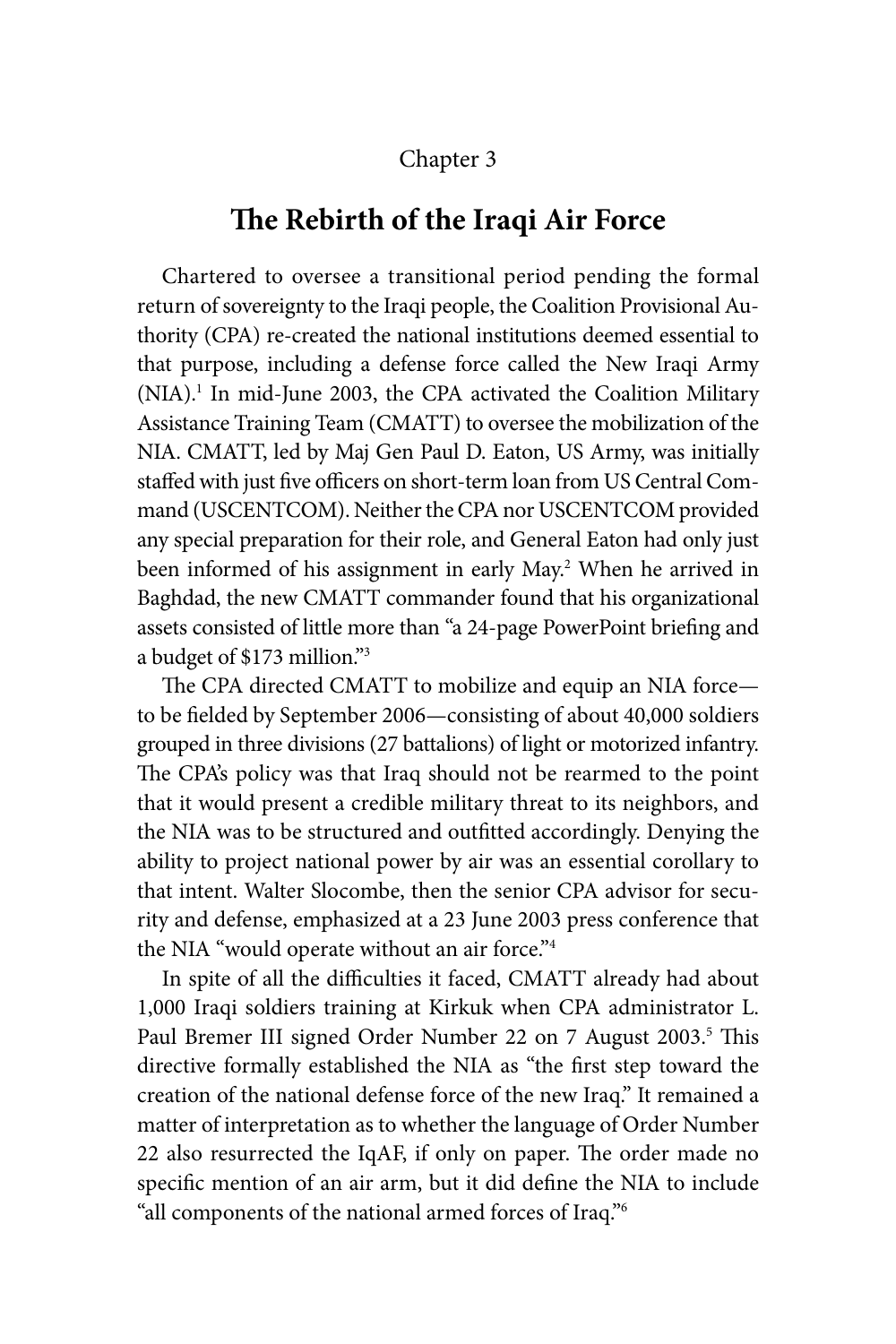## Chapter 3

## **The Rebirth of the Iraqi Air Force**

Chartered to oversee a transitional period pending the formal return of sovereignty to the Iraqi people, the Coalition Provisional Authority (CPA) re-created the national institutions deemed essential to that purpose, including a defense force called the New Iraqi Army (NIA).1 In mid-June 2003, the CPA activated the Coalition Military Assistance Training Team (CMATT) to oversee the mobilization of the NIA. CMATT, led by Maj Gen Paul D. Eaton, US Army, was initially staffed with just five officers on short-term loan from US Central Command (USCENTCOM). Neither the CPA nor USCENTCOM provided any special preparation for their role, and General Eaton had only just been informed of his assignment in early May.<sup>2</sup> When he arrived in Baghdad, the new CMATT commander found that his organizational assets consisted of little more than "a 24-page PowerPoint briefing and a budget of \$173 million."3

The CPA directed CMATT to mobilize and equip an NIA force to be fielded by September 2006—consisting of about 40,000 soldiers grouped in three divisions (27 battalions) of light or motorized infantry. The CPA's policy was that Iraq should not be rearmed to the point that it would present a credible military threat to its neighbors, and the NIA was to be structured and outfitted accordingly. Denying the ability to project national power by air was an essential corollary to that intent. Walter Slocombe, then the senior CPA advisor for security and defense, emphasized at a 23 June 2003 press conference that the NIA "would operate without an air force."<sup>4</sup>

In spite of all the difficulties it faced, CMATT already had about 1,000 Iraqi soldiers training at Kirkuk when CPA administrator L. Paul Bremer III signed Order Number 22 on 7 August 2003.<sup>5</sup> This directive formally established the NIA as "the first step toward the creation of the national defense force of the new Iraq." It remained a matter of interpretation as to whether the language of Order Number 22 also resurrected the IqAF, if only on paper. The order made no specific mention of an air arm, but it did define the NIA to include "all components of the national armed forces of Iraq."6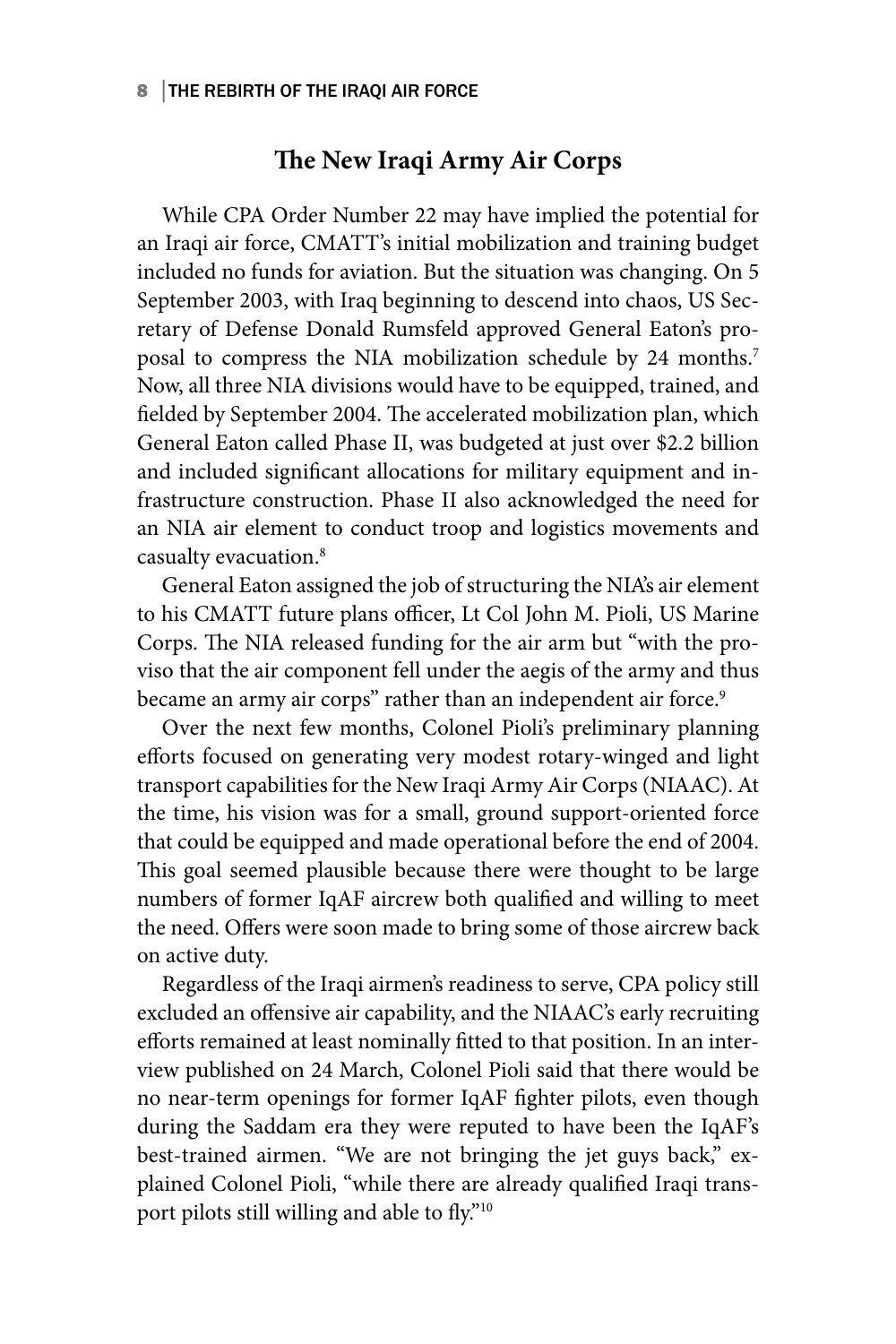## **The New Iraqi Army Air Corps**

While CPA Order Number 22 may have implied the potential for an Iraqi air force, CMATT's initial mobilization and training budget included no funds for aviation. But the situation was changing. On 5 September 2003, with Iraq beginning to descend into chaos, US Secretary of Defense Donald Rumsfeld approved General Eaton's proposal to compress the NIA mobilization schedule by 24 months.<sup>7</sup> Now, all three NIA divisions would have to be equipped, trained, and fielded by September 2004. The accelerated mobilization plan, which General Eaton called Phase II, was budgeted at just over \$2.2 billion and included significant allocations for military equipment and infrastructure construction. Phase II also acknowledged the need for an NIA air element to conduct troop and logistics movements and casualty evacuation.8

General Eaton assigned the job of structuring the NIA's air element to his CMATT future plans officer, Lt Col John M. Pioli, US Marine Corps. The NIA released funding for the air arm but "with the proviso that the air component fell under the aegis of the army and thus became an army air corps" rather than an independent air force.<sup>9</sup>

Over the next few months, Colonel Pioli's preliminary planning efforts focused on generating very modest rotary-winged and light transport capabilities for the New Iraqi Army Air Corps (NIAAC). At the time, his vision was for a small, ground support-oriented force that could be equipped and made operational before the end of 2004. This goal seemed plausible because there were thought to be large numbers of former IqAF aircrew both qualified and willing to meet the need. Offers were soon made to bring some of those aircrew back on active duty.

Regardless of the Iraqi airmen's readiness to serve, CPA policy still excluded an offensive air capability, and the NIAAC's early recruiting efforts remained at least nominally fitted to that position. In an interview published on 24 March, Colonel Pioli said that there would be no near-term openings for former IqAF fighter pilots, even though during the Saddam era they were reputed to have been the IqAF's best-trained airmen. "We are not bringing the jet guys back," explained Colonel Pioli, "while there are already qualified Iraqi transport pilots still willing and able to fly."10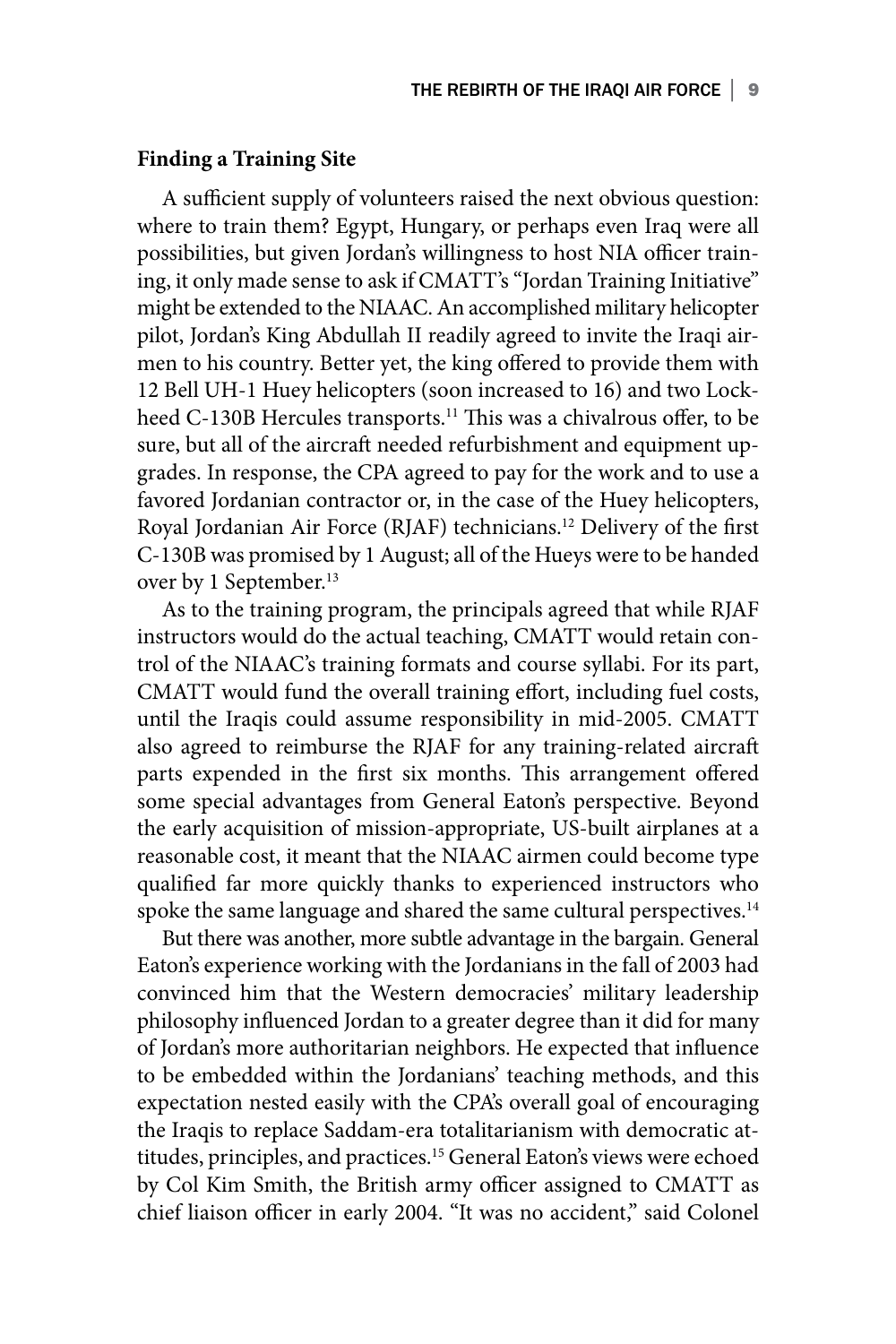#### **Finding a Training Site**

A sufficient supply of volunteers raised the next obvious question: where to train them? Egypt, Hungary, or perhaps even Iraq were all possibilities, but given Jordan's willingness to host NIA officer training, it only made sense to ask if CMATT's "Jordan Training Initiative" might be extended to the NIAAC. An accomplished military helicopter pilot, Jordan's King Abdullah II readily agreed to invite the Iraqi airmen to his country. Better yet, the king offered to provide them with 12 Bell UH-1 Huey helicopters (soon increased to 16) and two Lockheed C-130B Hercules transports.<sup>11</sup> This was a chivalrous offer, to be sure, but all of the aircraft needed refurbishment and equipment upgrades. In response, the CPA agreed to pay for the work and to use a favored Jordanian contractor or, in the case of the Huey helicopters, Royal Jordanian Air Force (RJAF) technicians.12 Delivery of the first C-130B was promised by 1 August; all of the Hueys were to be handed over by 1 September.<sup>13</sup>

As to the training program, the principals agreed that while RJAF instructors would do the actual teaching, CMATT would retain control of the NIAAC's training formats and course syllabi. For its part, CMATT would fund the overall training effort, including fuel costs, until the Iraqis could assume responsibility in mid-2005. CMATT also agreed to reimburse the RJAF for any training-related aircraft parts expended in the first six months. This arrangement offered some special advantages from General Eaton's perspective. Beyond the early acquisition of mission-appropriate, US-built airplanes at a reasonable cost, it meant that the NIAAC airmen could become type qualified far more quickly thanks to experienced instructors who spoke the same language and shared the same cultural perspectives.<sup>14</sup>

But there was another, more subtle advantage in the bargain. General Eaton's experience working with the Jordanians in the fall of 2003 had convinced him that the Western democracies' military leadership philosophy influenced Jordan to a greater degree than it did for many of Jordan's more authoritarian neighbors. He expected that influence to be embedded within the Jordanians' teaching methods, and this expectation nested easily with the CPA's overall goal of encouraging the Iraqis to replace Saddam-era totalitarianism with democratic attitudes, principles, and practices.15 General Eaton's views were echoed by Col Kim Smith, the British army officer assigned to CMATT as chief liaison officer in early 2004. "It was no accident," said Colonel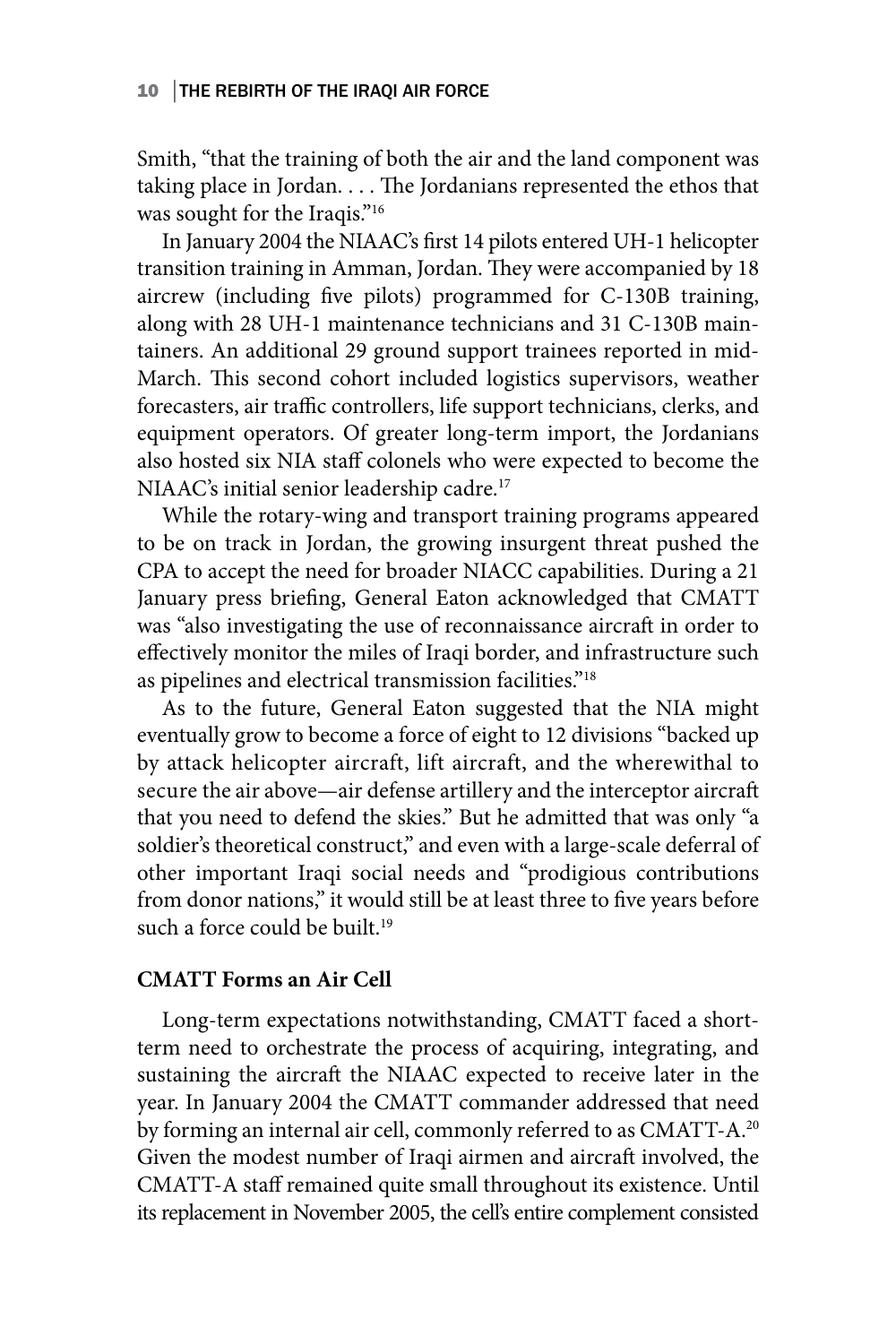#### 10 │THE REBIRTH OF THE IRAQI AIR FORCE

Smith, "that the training of both the air and the land component was taking place in Jordan. . . . The Jordanians represented the ethos that was sought for the Iraqis."<sup>16</sup>

In January 2004 the NIAAC's first 14 pilots entered UH-1 helicopter transition training in Amman, Jordan. They were accompanied by 18 aircrew (including five pilots) programmed for C-130B training, along with 28 UH-1 maintenance technicians and 31 C-130B maintainers. An additional 29 ground support trainees reported in mid-March. This second cohort included logistics supervisors, weather forecasters, air traffic controllers, life support technicians, clerks, and equipment operators. Of greater long-term import, the Jordanians also hosted six NIA staff colonels who were expected to become the NIAAC's initial senior leadership cadre.17

While the rotary-wing and transport training programs appeared to be on track in Jordan, the growing insurgent threat pushed the CPA to accept the need for broader NIACC capabilities. During a 21 January press briefing, General Eaton acknowledged that CMATT was "also investigating the use of reconnaissance aircraft in order to effectively monitor the miles of Iraqi border, and infrastructure such as pipelines and electrical transmission facilities."<sup>18</sup>

As to the future, General Eaton suggested that the NIA might eventually grow to become a force of eight to 12 divisions "backed up by attack helicopter aircraft, lift aircraft, and the wherewithal to secure the air above—air defense artillery and the interceptor aircraft that you need to defend the skies." But he admitted that was only "a soldier's theoretical construct," and even with a large-scale deferral of other important Iraqi social needs and "prodigious contributions from donor nations," it would still be at least three to five years before such a force could be built.<sup>19</sup>

#### **CMATT Forms an Air Cell**

Long-term expectations notwithstanding, CMATT faced a shortterm need to orchestrate the process of acquiring, integrating, and sustaining the aircraft the NIAAC expected to receive later in the year. In January 2004 the CMATT commander addressed that need by forming an internal air cell, commonly referred to as CMATT-A.<sup>20</sup> Given the modest number of Iraqi airmen and aircraft involved, the CMATT-A staff remained quite small throughout its existence. Until its replacement in November 2005, the cell's entire complement consisted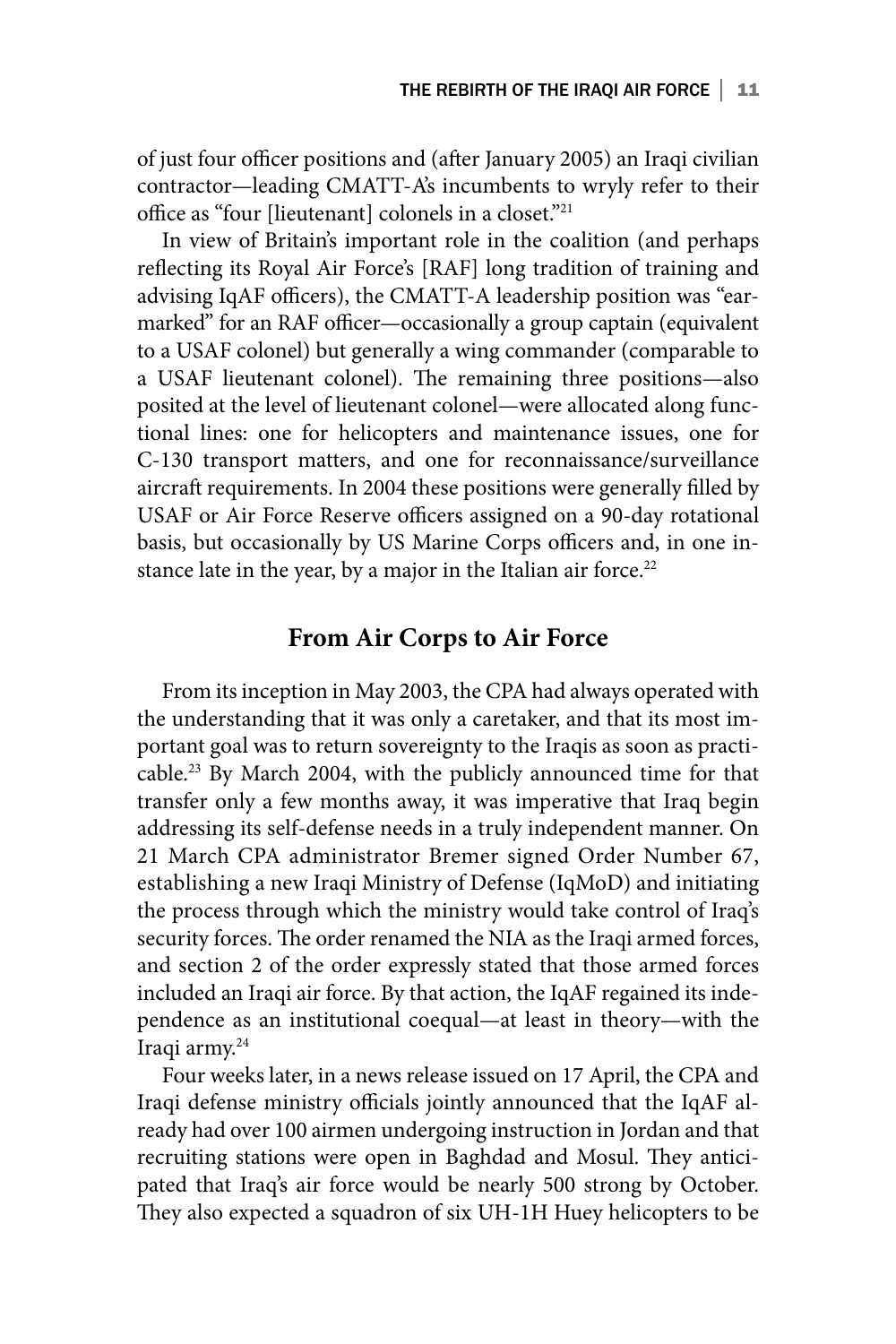of just four officer positions and (after January 2005) an Iraqi civilian contractor—leading CMATT-A's incumbents to wryly refer to their office as "four [lieutenant] colonels in a closet."21

In view of Britain's important role in the coalition (and perhaps reflecting its Royal Air Force's [RAF] long tradition of training and advising IqAF officers), the CMATT-A leadership position was "earmarked" for an RAF officer—occasionally a group captain (equivalent to a USAF colonel) but generally a wing commander (comparable to a USAF lieutenant colonel). The remaining three positions—also posited at the level of lieutenant colonel—were allocated along functional lines: one for helicopters and maintenance issues, one for C-130 transport matters, and one for reconnaissance/surveillance aircraft requirements. In 2004 these positions were generally filled by USAF or Air Force Reserve officers assigned on a 90-day rotational basis, but occasionally by US Marine Corps officers and, in one instance late in the year, by a major in the Italian air force.<sup>22</sup>

## **From Air Corps to Air Force**

From its inception in May 2003, the CPA had always operated with the understanding that it was only a caretaker, and that its most important goal was to return sovereignty to the Iraqis as soon as practicable.23 By March 2004, with the publicly announced time for that transfer only a few months away, it was imperative that Iraq begin addressing its self-defense needs in a truly independent manner. On 21 March CPA administrator Bremer signed Order Number 67, establishing a new Iraqi Ministry of Defense (IqMoD) and initiating the process through which the ministry would take control of Iraq's security forces. The order renamed the NIA as the Iraqi armed forces, and section 2 of the order expressly stated that those armed forces included an Iraqi air force. By that action, the IqAF regained its independence as an institutional coequal—at least in theory—with the Iraqi army.24

Four weeks later, in a news release issued on 17 April, the CPA and Iraqi defense ministry officials jointly announced that the IqAF already had over 100 airmen undergoing instruction in Jordan and that recruiting stations were open in Baghdad and Mosul. They anticipated that Iraq's air force would be nearly 500 strong by October. They also expected a squadron of six UH-1H Huey helicopters to be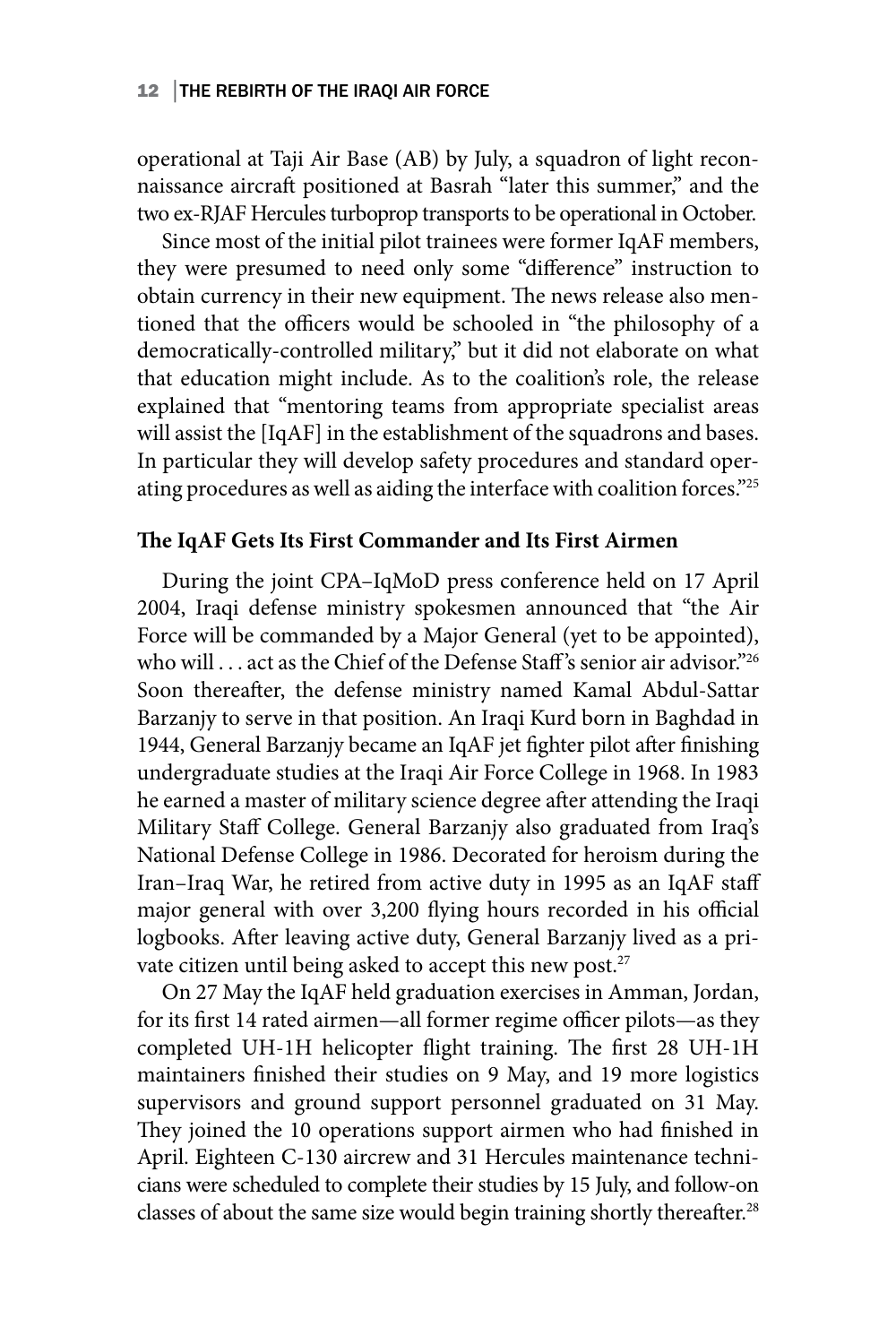#### 12 | THE REBIRTH OF THE IRAQI AIR FORCE

operational at Taji Air Base (AB) by July, a squadron of light reconnaissance aircraft positioned at Basrah "later this summer," and the two ex-RJAF Hercules turboprop transports to be operational in October.

Since most of the initial pilot trainees were former IqAF members, they were presumed to need only some "difference" instruction to obtain currency in their new equipment. The news release also mentioned that the officers would be schooled in "the philosophy of a democratically-controlled military," but it did not elaborate on what that education might include. As to the coalition's role, the release explained that "mentoring teams from appropriate specialist areas will assist the [IqAF] in the establishment of the squadrons and bases. In particular they will develop safety procedures and standard operating procedures as well as aiding the interface with coalition forces."25

## **The IqAF Gets Its First Commander and Its First Airmen**

During the joint CPA–IqMoD press conference held on 17 April 2004, Iraqi defense ministry spokesmen announced that "the Air Force will be commanded by a Major General (yet to be appointed), who will . . . act as the Chief of the Defense Staff 's senior air advisor."26 Soon thereafter, the defense ministry named Kamal Abdul-Sattar Barzanjy to serve in that position. An Iraqi Kurd born in Baghdad in 1944, General Barzanjy became an IqAF jet fighter pilot after finishing undergraduate studies at the Iraqi Air Force College in 1968. In 1983 he earned a master of military science degree after attending the Iraqi Military Staff College. General Barzanjy also graduated from Iraq's National Defense College in 1986. Decorated for heroism during the Iran–Iraq War, he retired from active duty in 1995 as an IqAF staff major general with over 3,200 flying hours recorded in his official logbooks. After leaving active duty, General Barzanjy lived as a private citizen until being asked to accept this new post.<sup>27</sup>

On 27 May the IqAF held graduation exercises in Amman, Jordan, for its first 14 rated airmen—all former regime officer pilots—as they completed UH-1H helicopter flight training. The first 28 UH-1H maintainers finished their studies on 9 May, and 19 more logistics supervisors and ground support personnel graduated on 31 May. They joined the 10 operations support airmen who had finished in April. Eighteen C-130 aircrew and 31 Hercules maintenance technicians were scheduled to complete their studies by 15 July, and follow-on classes of about the same size would begin training shortly thereafter.<sup>28</sup>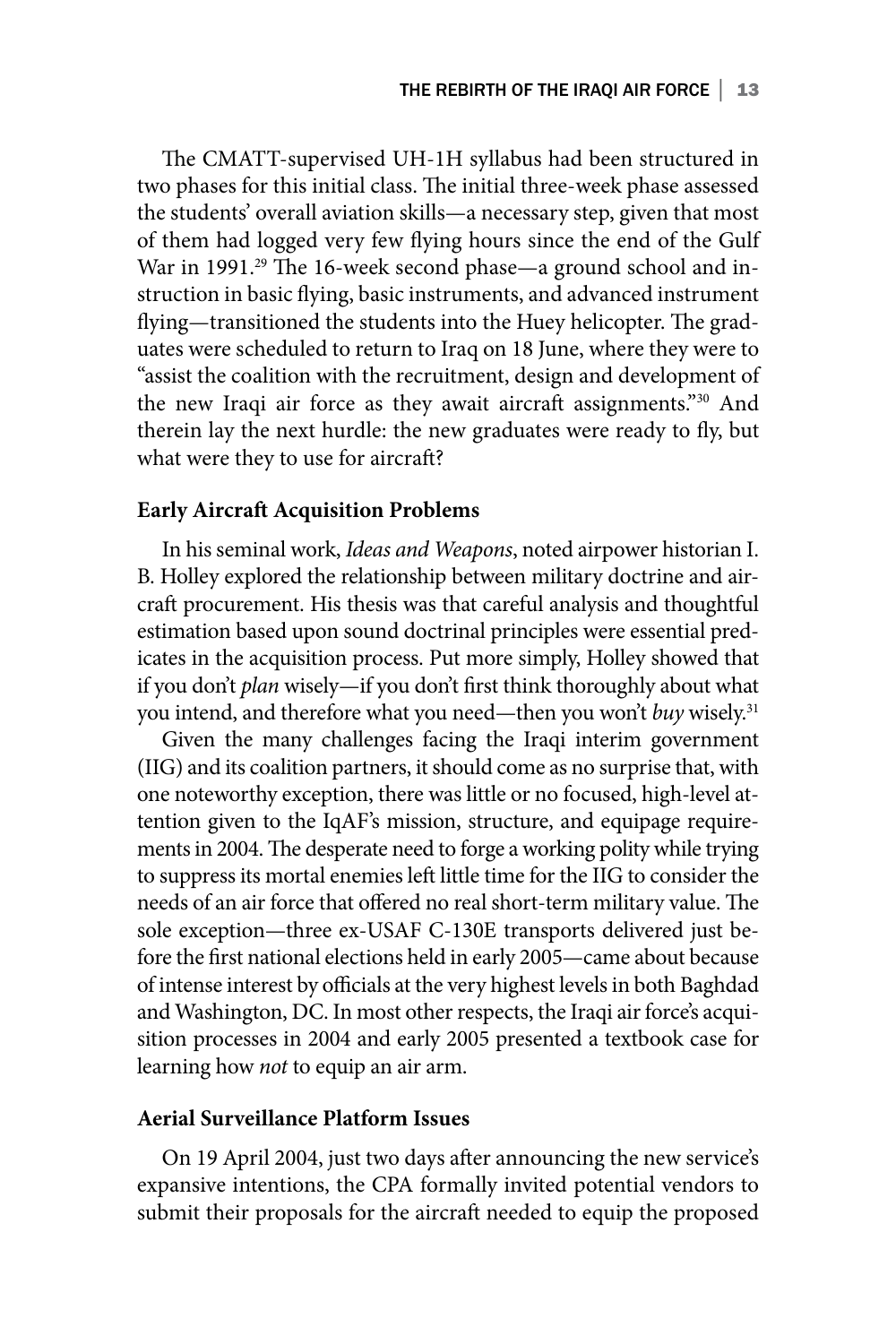The CMATT-supervised UH-1H syllabus had been structured in two phases for this initial class. The initial three-week phase assessed the students' overall aviation skills—a necessary step, given that most of them had logged very few flying hours since the end of the Gulf War in 1991.<sup>29</sup> The 16-week second phase—a ground school and instruction in basic flying, basic instruments, and advanced instrument flying—transitioned the students into the Huey helicopter. The graduates were scheduled to return to Iraq on 18 June, where they were to "assist the coalition with the recruitment, design and development of the new Iraqi air force as they await aircraft assignments."30 And therein lay the next hurdle: the new graduates were ready to fly, but what were they to use for aircraft?

#### **Early Aircraft Acquisition Problems**

In his seminal work, *Ideas and Weapons*, noted airpower historian I. B. Holley explored the relationship between military doctrine and aircraft procurement. His thesis was that careful analysis and thoughtful estimation based upon sound doctrinal principles were essential predicates in the acquisition process. Put more simply, Holley showed that if you don't *plan* wisely—if you don't first think thoroughly about what you intend, and therefore what you need—then you won't *buy* wisely.<sup>31</sup>

Given the many challenges facing the Iraqi interim government (IIG) and its coalition partners, it should come as no surprise that, with one noteworthy exception, there was little or no focused, high-level attention given to the IqAF's mission, structure, and equipage requirements in 2004. The desperate need to forge a working polity while trying to suppress its mortal enemies left little time for the IIG to consider the needs of an air force that offered no real short-term military value. The sole exception—three ex-USAF C-130E transports delivered just before the first national elections held in early 2005—came about because of intense interest by officials at the very highest levels in both Baghdad and Washington, DC. In most other respects, the Iraqi air force's acquisition processes in 2004 and early 2005 presented a textbook case for learning how *not* to equip an air arm.

#### **Aerial Surveillance Platform Issues**

On 19 April 2004, just two days after announcing the new service's expansive intentions, the CPA formally invited potential vendors to submit their proposals for the aircraft needed to equip the proposed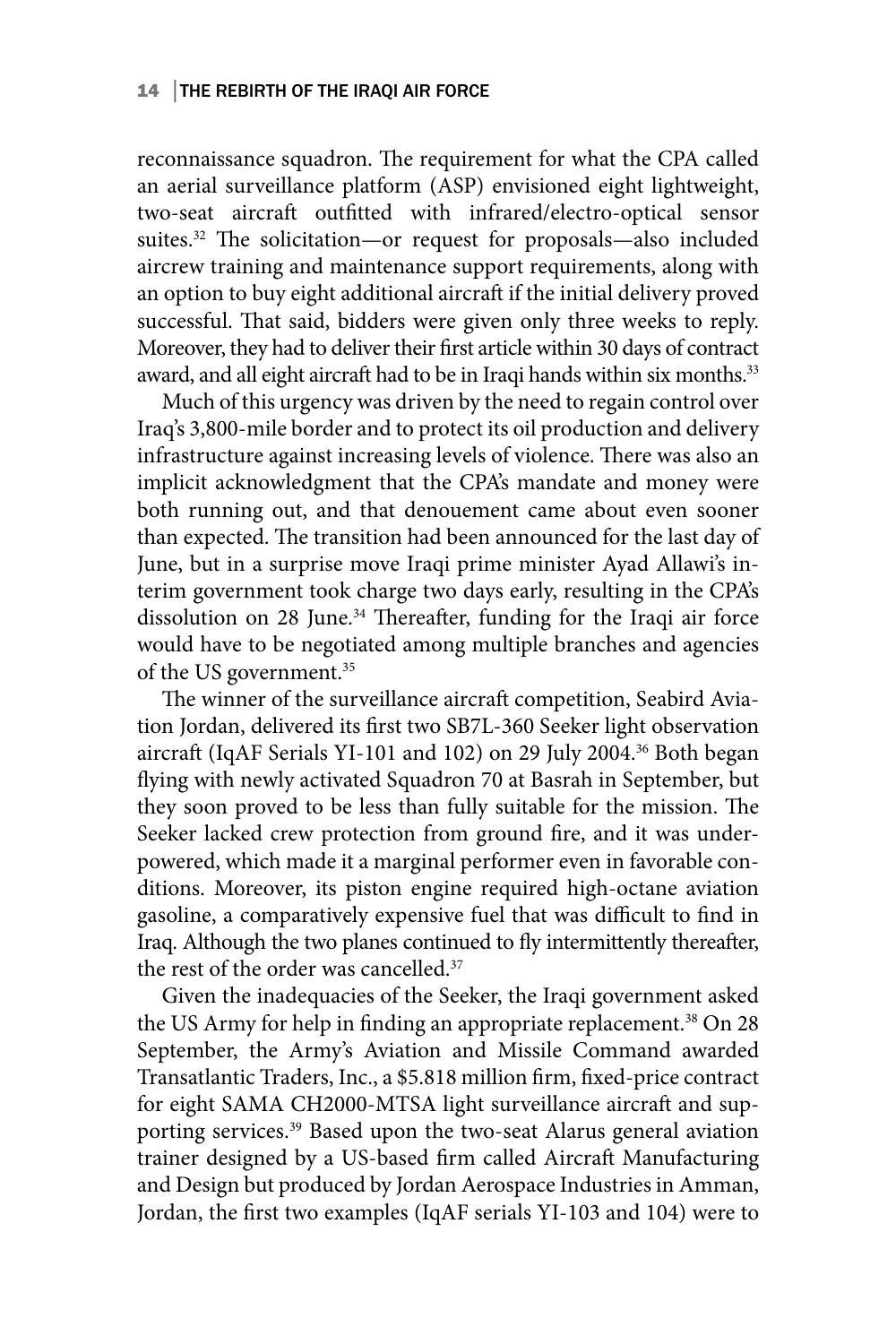#### 14 THE REBIRTH OF THE IRAQI AIR FORCE

reconnaissance squadron. The requirement for what the CPA called an aerial surveillance platform (ASP) envisioned eight lightweight, two-seat aircraft outfitted with infrared/electro-optical sensor suites.<sup>32</sup> The solicitation—or request for proposals—also included aircrew training and maintenance support requirements, along with an option to buy eight additional aircraft if the initial delivery proved successful. That said, bidders were given only three weeks to reply. Moreover, they had to deliver their first article within 30 days of contract award, and all eight aircraft had to be in Iraqi hands within six months.<sup>33</sup>

Much of this urgency was driven by the need to regain control over Iraq's 3,800-mile border and to protect its oil production and delivery infrastructure against increasing levels of violence. There was also an implicit acknowledgment that the CPA's mandate and money were both running out, and that denouement came about even sooner than expected. The transition had been announced for the last day of June, but in a surprise move Iraqi prime minister Ayad Allawi's interim government took charge two days early, resulting in the CPA's dissolution on 28 June.<sup>34</sup> Thereafter, funding for the Iraqi air force would have to be negotiated among multiple branches and agencies of the US government.<sup>35</sup>

The winner of the surveillance aircraft competition, Seabird Aviation Jordan, delivered its first two SB7L-360 Seeker light observation aircraft (IqAF Serials YI-101 and 102) on 29 July 2004.36 Both began flying with newly activated Squadron 70 at Basrah in September, but they soon proved to be less than fully suitable for the mission. The Seeker lacked crew protection from ground fire, and it was underpowered, which made it a marginal performer even in favorable conditions. Moreover, its piston engine required high-octane aviation gasoline, a comparatively expensive fuel that was difficult to find in Iraq. Although the two planes continued to fly intermittently thereafter, the rest of the order was cancelled.<sup>37</sup>

Given the inadequacies of the Seeker, the Iraqi government asked the US Army for help in finding an appropriate replacement.<sup>38</sup> On 28 September, the Army's Aviation and Missile Command awarded Transatlantic Traders, Inc., a \$5.818 million firm, fixed-price contract for eight SAMA CH2000-MTSA light surveillance aircraft and supporting services.<sup>39</sup> Based upon the two-seat Alarus general aviation trainer designed by a US-based firm called Aircraft Manufacturing and Design but produced by Jordan Aerospace Industries in Amman, Jordan, the first two examples (IqAF serials YI-103 and 104) were to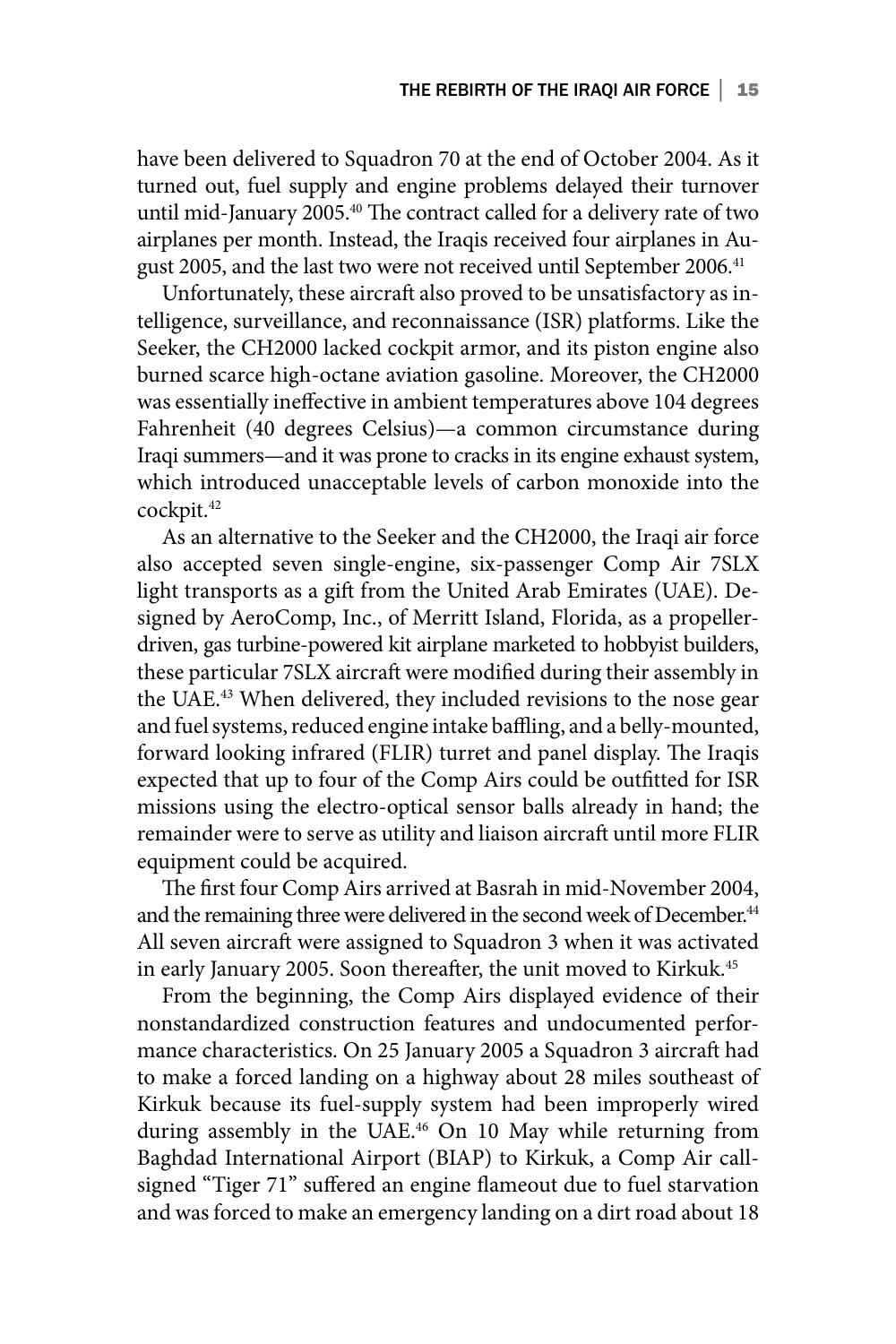have been delivered to Squadron 70 at the end of October 2004. As it turned out, fuel supply and engine problems delayed their turnover until mid-January 2005.<sup>40</sup> The contract called for a delivery rate of two airplanes per month. Instead, the Iraqis received four airplanes in August 2005, and the last two were not received until September 2006.<sup>41</sup>

Unfortunately, these aircraft also proved to be unsatisfactory as intelligence, surveillance, and reconnaissance (ISR) platforms. Like the Seeker, the CH2000 lacked cockpit armor, and its piston engine also burned scarce high-octane aviation gasoline. Moreover, the CH2000 was essentially ineffective in ambient temperatures above 104 degrees Fahrenheit (40 degrees Celsius)—a common circumstance during Iraqi summers—and it was prone to cracks in its engine exhaust system, which introduced unacceptable levels of carbon monoxide into the cockpit.42

As an alternative to the Seeker and the CH2000, the Iraqi air force also accepted seven single-engine, six-passenger Comp Air 7SLX light transports as a gift from the United Arab Emirates (UAE). Designed by AeroComp, Inc., of Merritt Island, Florida, as a propellerdriven, gas turbine-powered kit airplane marketed to hobbyist builders, these particular 7SLX aircraft were modified during their assembly in the UAE.<sup>43</sup> When delivered, they included revisions to the nose gear and fuel systems, reduced engine intake baffling, and a belly-mounted, forward looking infrared (FLIR) turret and panel display. The Iraqis expected that up to four of the Comp Airs could be outfitted for ISR missions using the electro-optical sensor balls already in hand; the remainder were to serve as utility and liaison aircraft until more FLIR equipment could be acquired.

The first four Comp Airs arrived at Basrah in mid-November 2004, and the remaining three were delivered in the second week of December.<sup>44</sup> All seven aircraft were assigned to Squadron 3 when it was activated in early January 2005. Soon thereafter, the unit moved to Kirkuk.45

From the beginning, the Comp Airs displayed evidence of their nonstandardized construction features and undocumented performance characteristics. On 25 January 2005 a Squadron 3 aircraft had to make a forced landing on a highway about 28 miles southeast of Kirkuk because its fuel-supply system had been improperly wired during assembly in the UAE.<sup>46</sup> On 10 May while returning from Baghdad International Airport (BIAP) to Kirkuk, a Comp Air callsigned "Tiger 71" suffered an engine flameout due to fuel starvation and was forced to make an emergency landing on a dirt road about 18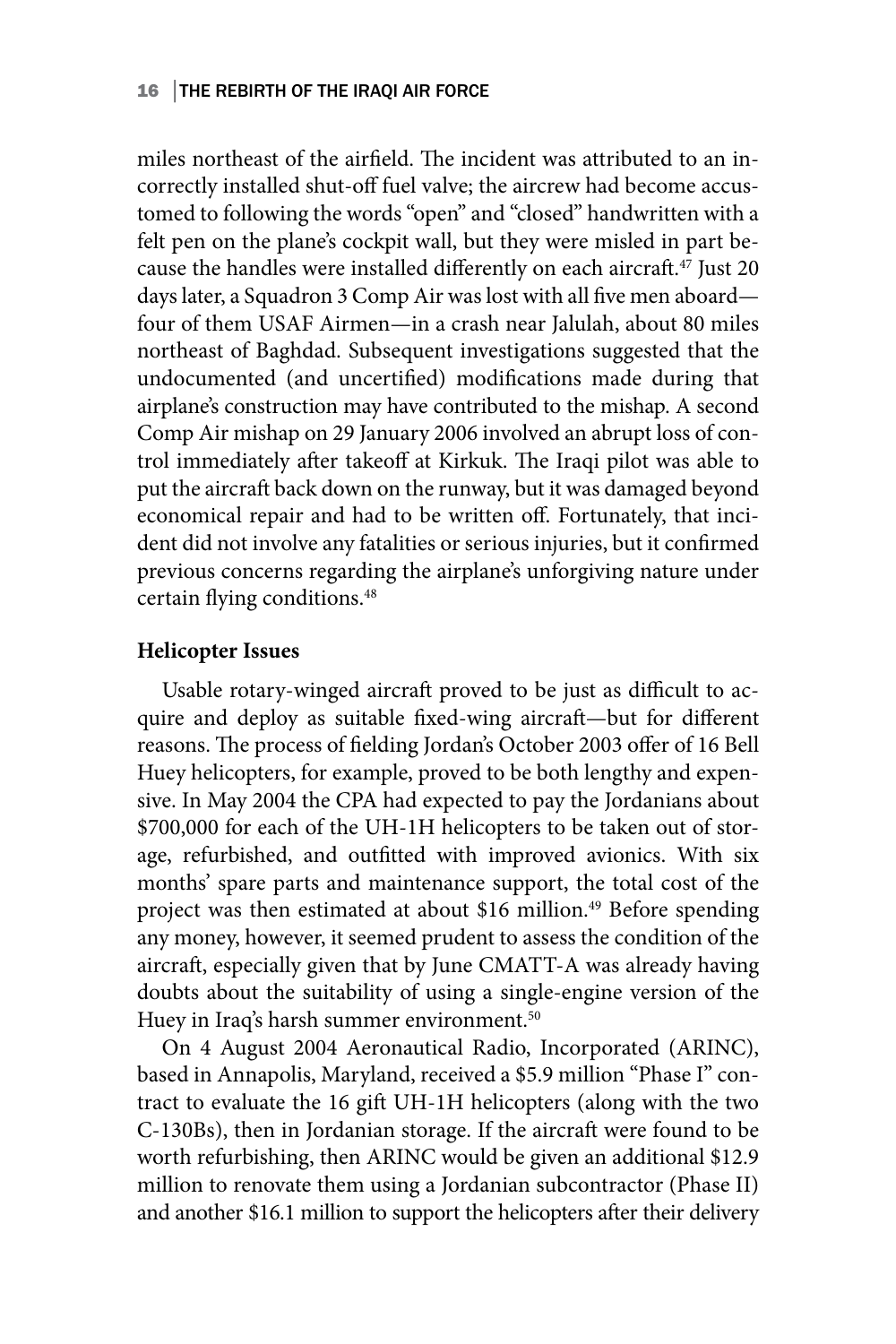#### 16 │THE REBIRTH OF THE IRAQI AIR FORCE

miles northeast of the airfield. The incident was attributed to an incorrectly installed shut-off fuel valve; the aircrew had become accustomed to following the words "open" and "closed" handwritten with a felt pen on the plane's cockpit wall, but they were misled in part because the handles were installed differently on each aircraft.<sup>47</sup> Just 20 days later, a Squadron 3 Comp Air was lost with all five men aboard four of them USAF Airmen—in a crash near Jalulah, about 80 miles northeast of Baghdad. Subsequent investigations suggested that the undocumented (and uncertified) modifications made during that airplane's construction may have contributed to the mishap. A second Comp Air mishap on 29 January 2006 involved an abrupt loss of control immediately after takeoff at Kirkuk. The Iraqi pilot was able to put the aircraft back down on the runway, but it was damaged beyond economical repair and had to be written off. Fortunately, that incident did not involve any fatalities or serious injuries, but it confirmed previous concerns regarding the airplane's unforgiving nature under certain flying conditions.48

#### **Helicopter Issues**

Usable rotary-winged aircraft proved to be just as difficult to acquire and deploy as suitable fixed-wing aircraft—but for different reasons. The process of fielding Jordan's October 2003 offer of 16 Bell Huey helicopters, for example, proved to be both lengthy and expensive. In May 2004 the CPA had expected to pay the Jordanians about \$700,000 for each of the UH-1H helicopters to be taken out of storage, refurbished, and outfitted with improved avionics. With six months' spare parts and maintenance support, the total cost of the project was then estimated at about \$16 million.<sup>49</sup> Before spending any money, however, it seemed prudent to assess the condition of the aircraft, especially given that by June CMATT-A was already having doubts about the suitability of using a single-engine version of the Huey in Iraq's harsh summer environment.<sup>50</sup>

On 4 August 2004 Aeronautical Radio, Incorporated (ARINC), based in Annapolis, Maryland, received a \$5.9 million "Phase I" contract to evaluate the 16 gift UH-1H helicopters (along with the two C-130Bs), then in Jordanian storage. If the aircraft were found to be worth refurbishing, then ARINC would be given an additional \$12.9 million to renovate them using a Jordanian subcontractor (Phase II) and another \$16.1 million to support the helicopters after their delivery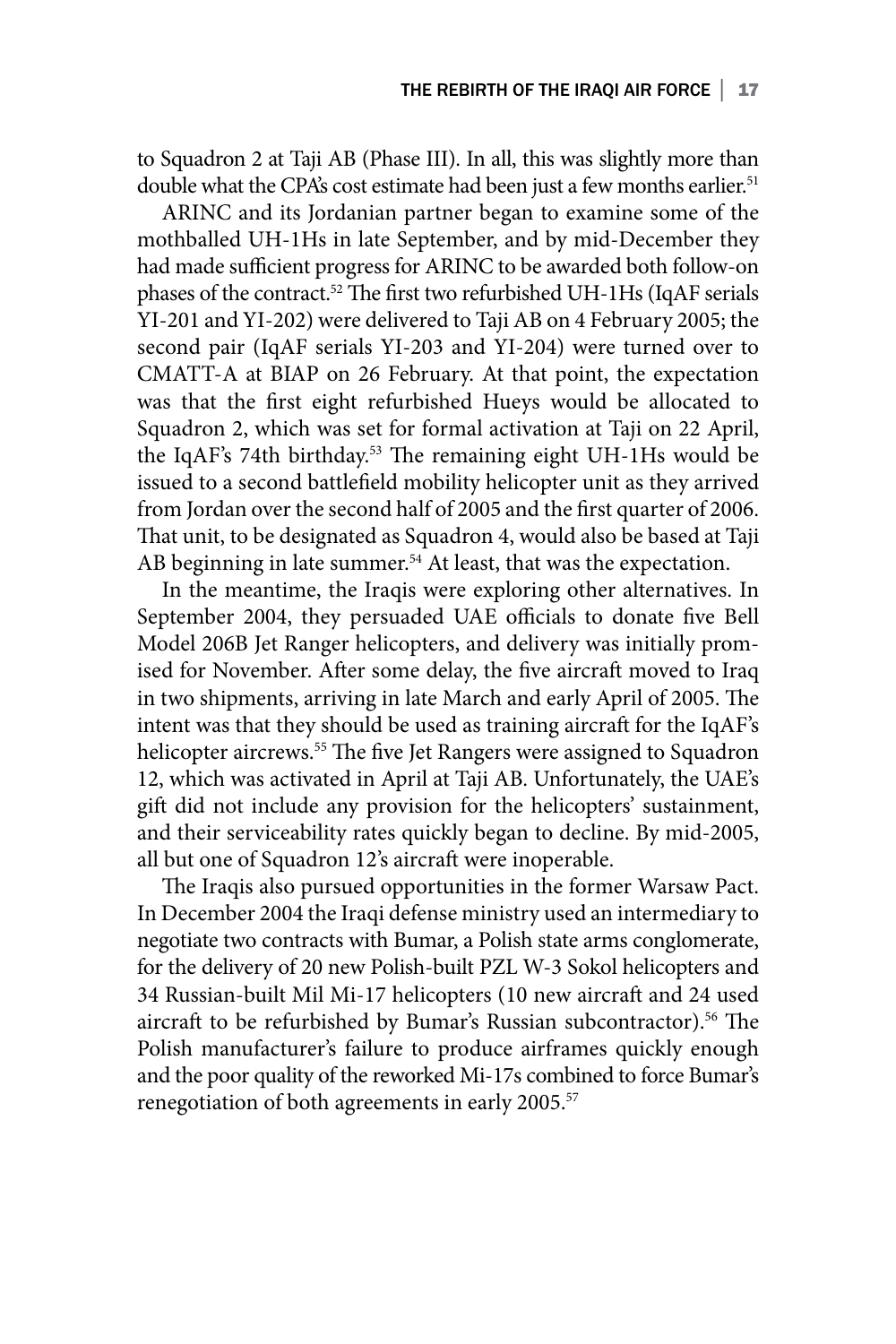to Squadron 2 at Taji AB (Phase III). In all, this was slightly more than double what the CPA's cost estimate had been just a few months earlier.<sup>51</sup>

ARINC and its Jordanian partner began to examine some of the mothballed UH-1Hs in late September, and by mid-December they had made sufficient progress for ARINC to be awarded both follow-on phases of the contract.52 The first two refurbished UH-1Hs (IqAF serials YI-201 and YI-202) were delivered to Taji AB on 4 February 2005; the second pair (IqAF serials YI-203 and YI-204) were turned over to CMATT-A at BIAP on 26 February. At that point, the expectation was that the first eight refurbished Hueys would be allocated to Squadron 2, which was set for formal activation at Taji on 22 April, the IqAF's 74th birthday.<sup>53</sup> The remaining eight UH-1Hs would be issued to a second battlefield mobility helicopter unit as they arrived from Jordan over the second half of 2005 and the first quarter of 2006. That unit, to be designated as Squadron 4, would also be based at Taji AB beginning in late summer.<sup>54</sup> At least, that was the expectation.

In the meantime, the Iraqis were exploring other alternatives. In September 2004, they persuaded UAE officials to donate five Bell Model 206B Jet Ranger helicopters, and delivery was initially promised for November. After some delay, the five aircraft moved to Iraq in two shipments, arriving in late March and early April of 2005. The intent was that they should be used as training aircraft for the IqAF's helicopter aircrews.<sup>55</sup> The five Jet Rangers were assigned to Squadron 12, which was activated in April at Taji AB. Unfortunately, the UAE's gift did not include any provision for the helicopters' sustainment, and their serviceability rates quickly began to decline. By mid-2005, all but one of Squadron 12's aircraft were inoperable.

The Iraqis also pursued opportunities in the former Warsaw Pact. In December 2004 the Iraqi defense ministry used an intermediary to negotiate two contracts with Bumar, a Polish state arms conglomerate, for the delivery of 20 new Polish-built PZL W-3 Sokol helicopters and 34 Russian-built Mil Mi-17 helicopters (10 new aircraft and 24 used aircraft to be refurbished by Bumar's Russian subcontractor).<sup>56</sup> The Polish manufacturer's failure to produce airframes quickly enough and the poor quality of the reworked Mi-17s combined to force Bumar's renegotiation of both agreements in early 2005.<sup>57</sup>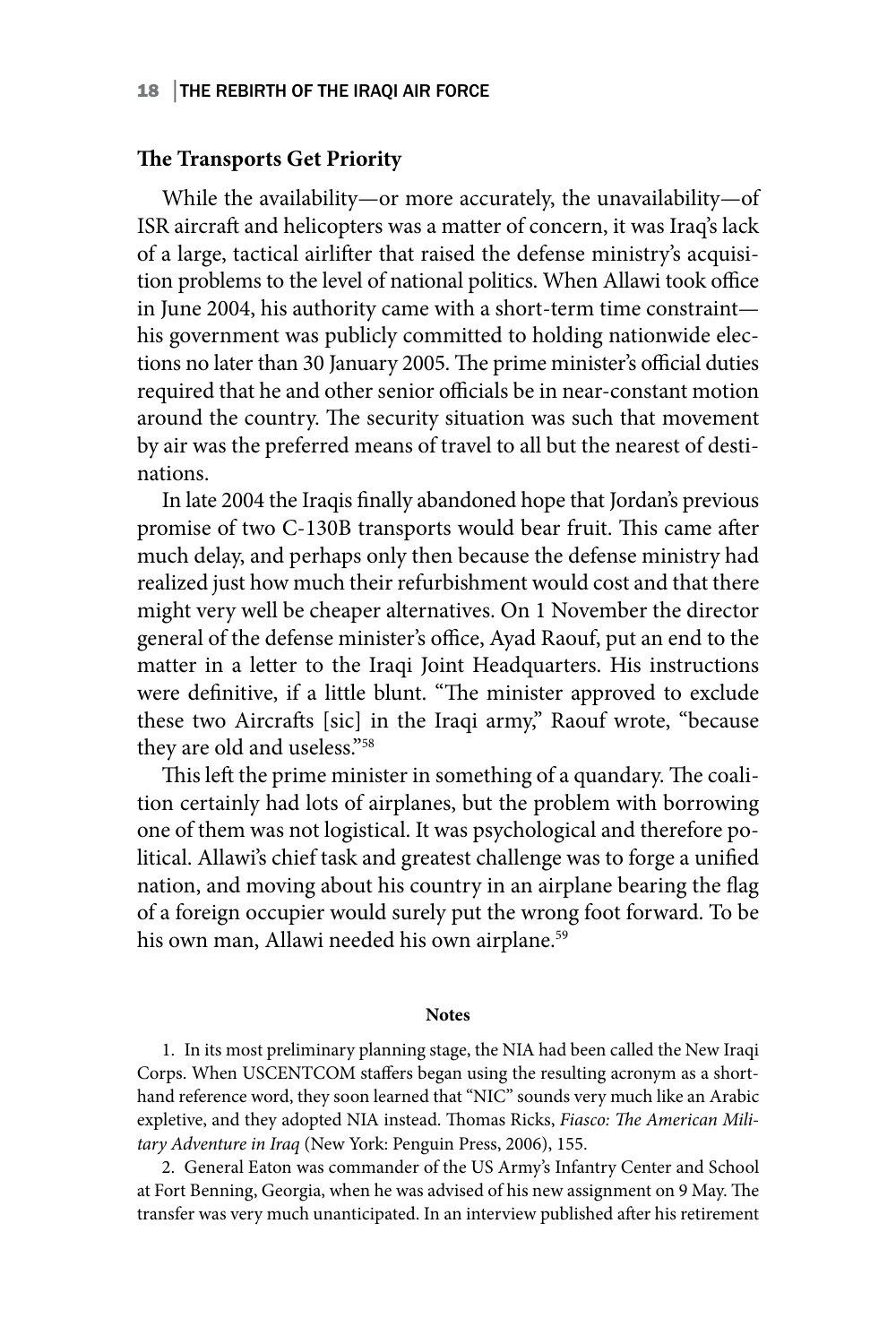#### 18 │THE REBIRTH OF THE IRAQI AIR FORCE

#### **The Transports Get Priority**

While the availability—or more accurately, the unavailability—of ISR aircraft and helicopters was a matter of concern, it was Iraq's lack of a large, tactical airlifter that raised the defense ministry's acquisition problems to the level of national politics. When Allawi took office in June 2004, his authority came with a short-term time constraint his government was publicly committed to holding nationwide elections no later than 30 January 2005. The prime minister's official duties required that he and other senior officials be in near-constant motion around the country. The security situation was such that movement by air was the preferred means of travel to all but the nearest of destinations.

In late 2004 the Iraqis finally abandoned hope that Jordan's previous promise of two C-130B transports would bear fruit. This came after much delay, and perhaps only then because the defense ministry had realized just how much their refurbishment would cost and that there might very well be cheaper alternatives. On 1 November the director general of the defense minister's office, Ayad Raouf, put an end to the matter in a letter to the Iraqi Joint Headquarters. His instructions were definitive, if a little blunt. "The minister approved to exclude these two Aircrafts [sic] in the Iraqi army," Raouf wrote, "because they are old and useless."58

This left the prime minister in something of a quandary. The coalition certainly had lots of airplanes, but the problem with borrowing one of them was not logistical. It was psychological and therefore political. Allawi's chief task and greatest challenge was to forge a unified nation, and moving about his country in an airplane bearing the flag of a foreign occupier would surely put the wrong foot forward. To be his own man, Allawi needed his own airplane.<sup>59</sup>

#### **Notes**

1. In its most preliminary planning stage, the NIA had been called the New Iraqi Corps. When USCENTCOM staffers began using the resulting acronym as a shorthand reference word, they soon learned that "NIC" sounds very much like an Arabic expletive, and they adopted NIA instead. Thomas Ricks, *Fiasco: The American Military Adventure in Iraq* (New York: Penguin Press, 2006), 155.

2. General Eaton was commander of the US Army's Infantry Center and School at Fort Benning, Georgia, when he was advised of his new assignment on 9 May. The transfer was very much unanticipated. In an interview published after his retirement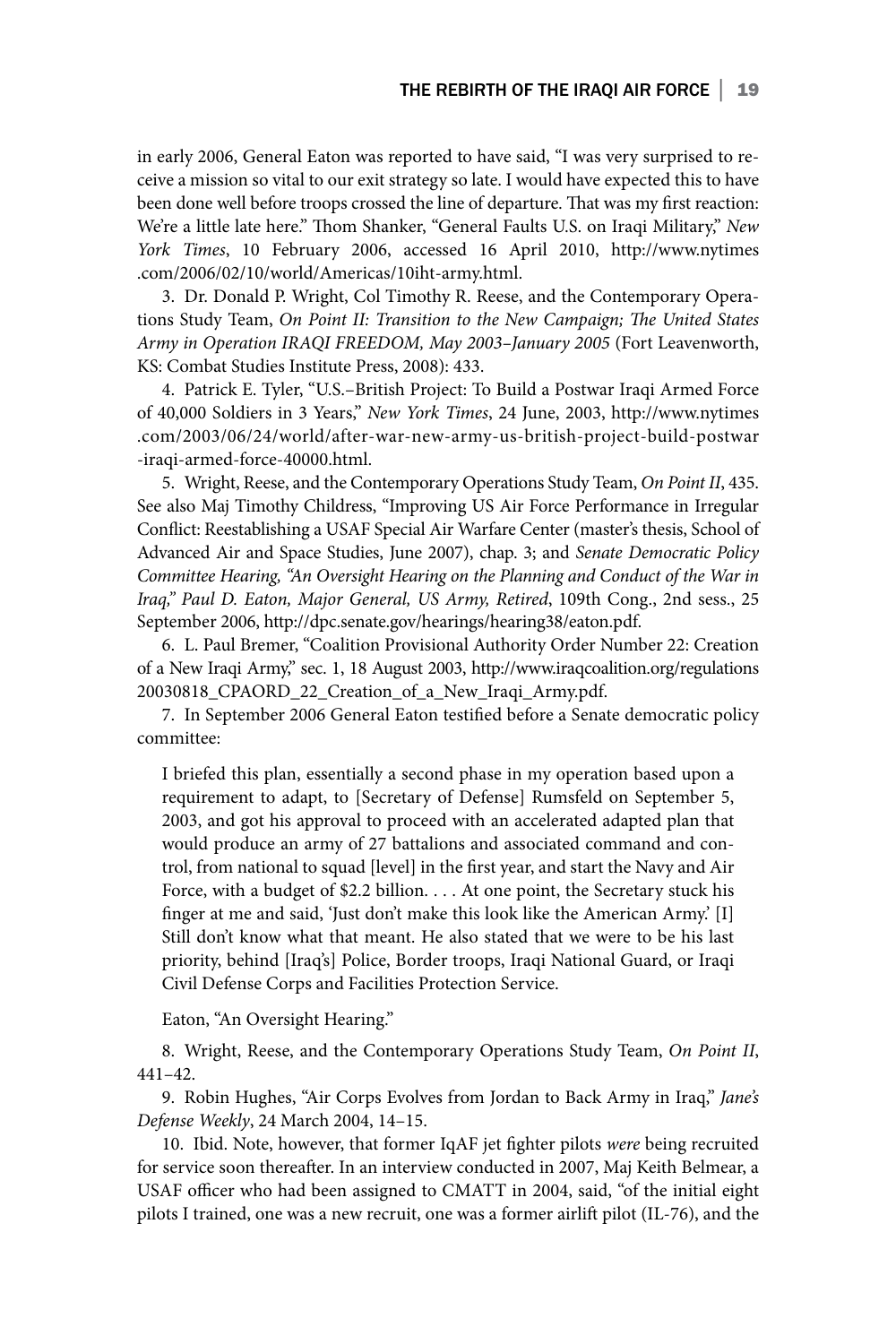in early 2006, General Eaton was reported to have said, "I was very surprised to receive a mission so vital to our exit strategy so late. I would have expected this to have been done well before troops crossed the line of departure. That was my first reaction: We're a little late here." Thom Shanker, "General Faults U.S. on Iraqi Military," *New York Times*, 10 February 2006, accessed 16 April 2010, http://www.nytimes .com/2006/02/10/world/Americas/10iht-army.html.

3. Dr. Donald P. Wright, Col Timothy R. Reese, and the Contemporary Operations Study Team, *On Point II: Transition to the New Campaign; The United States Army in Operation IRAQI FREEDOM, May 2003–January 2005* (Fort Leavenworth, KS: Combat Studies Institute Press, 2008): 433.

4. Patrick E. Tyler, "U.S.–British Project: To Build a Postwar Iraqi Armed Force of 40,000 Soldiers in 3 Years," *New York Times*, 24 June, 2003, http://www.nytimes .com/2003/06/24/world/after-war-new-army-us-british-project-build-postwar -iraqi-armed-force-40000.html.

5. Wright, Reese, and the Contemporary Operations Study Team, *On Point II*, 435. See also Maj Timothy Childress, "Improving US Air Force Performance in Irregular Conflict: Reestablishing a USAF Special Air Warfare Center (master's thesis, School of Advanced Air and Space Studies, June 2007), chap. 3; and *Senate Democratic Policy*  Committee Hearing, "An Oversight Hearing on the Planning and Conduct of the War in *Iraq," Paul D. Eaton, Major General, US Army, Retired*, 109th Cong., 2nd sess., 25 September 2006, http://dpc.senate.gov/hearings/hearing38/eaton.pdf.

6. L. Paul Bremer, "Coalition Provisional Authority Order Number 22: Creation of a New Iraqi Army," sec. 1, 18 August 2003, http://www.iraqcoalition.org/regulations 20030818\_CPAORD\_22\_Creation\_of\_a\_New\_Iraqi\_Army.pdf.

7. In September 2006 General Eaton testified before a Senate democratic policy committee:

I briefed this plan, essentially a second phase in my operation based upon a requirement to adapt, to [Secretary of Defense] Rumsfeld on September 5, 2003, and got his approval to proceed with an accelerated adapted plan that would produce an army of 27 battalions and associated command and control, from national to squad [level] in the first year, and start the Navy and Air Force, with a budget of \$2.2 billion. . . . At one point, the Secretary stuck his finger at me and said, 'Just don't make this look like the American Army.' [I] Still don't know what that meant. He also stated that we were to be his last priority, behind [Iraq's] Police, Border troops, Iraqi National Guard, or Iraqi Civil Defense Corps and Facilities Protection Service.

Eaton, "An Oversight Hearing."

8. Wright, Reese, and the Contemporary Operations Study Team, *On Point II*, 441–42.

9. Robin Hughes, "Air Corps Evolves from Jordan to Back Army in Iraq," *Jane's Defense Weekly*, 24 March 2004, 14–15.

10. Ibid. Note, however, that former IqAF jet fighter pilots *were* being recruited for service soon thereafter. In an interview conducted in 2007, Maj Keith Belmear, a USAF officer who had been assigned to CMATT in 2004, said, "of the initial eight pilots I trained, one was a new recruit, one was a former airlift pilot (IL-76), and the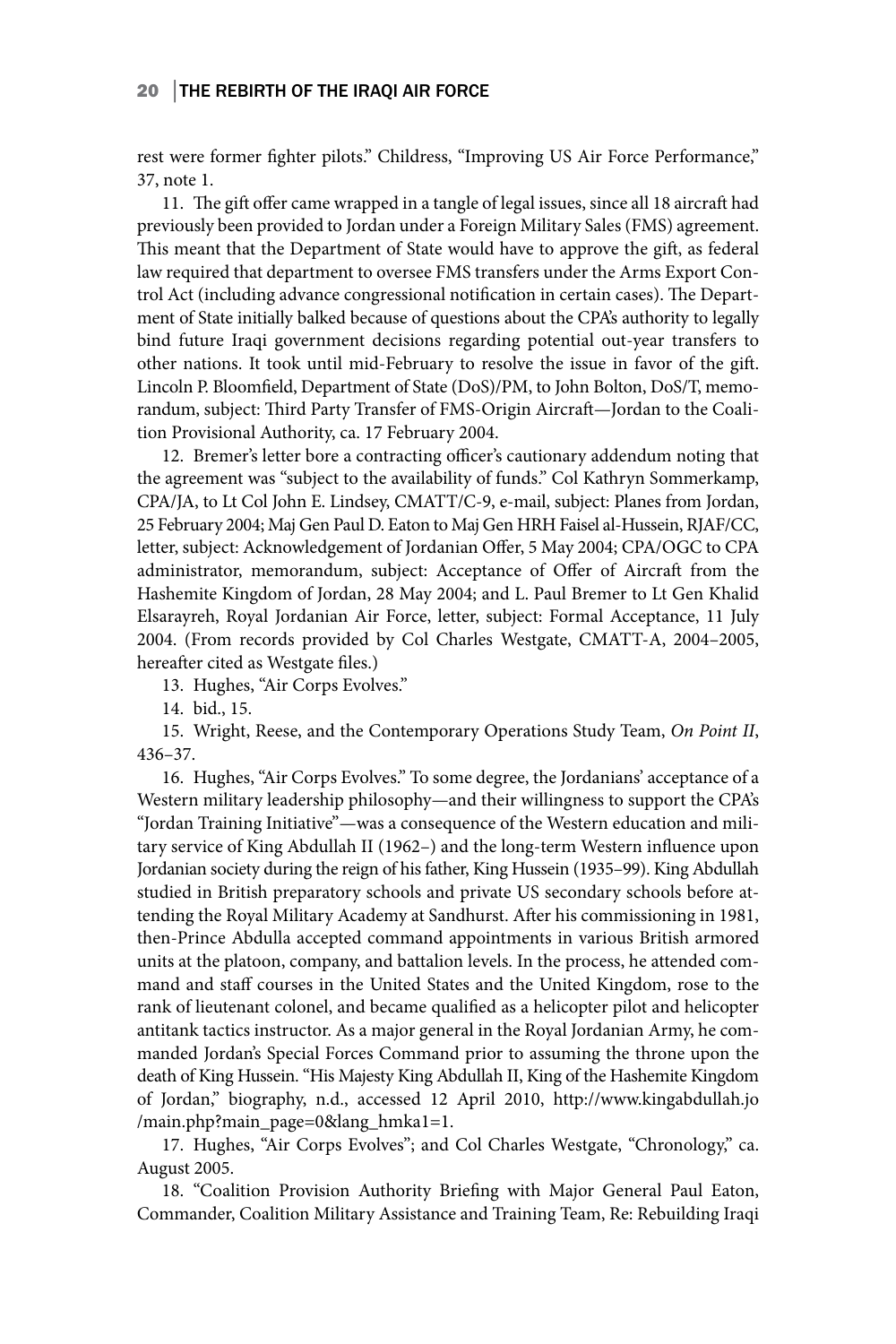#### 20 │THE REBIRTH OF THE IRAQI AIR FORCE

rest were former fighter pilots." Childress, "Improving US Air Force Performance," 37, note 1.

11. The gift offer came wrapped in a tangle of legal issues, since all 18 aircraft had previously been provided to Jordan under a Foreign Military Sales (FMS) agreement. This meant that the Department of State would have to approve the gift, as federal law required that department to oversee FMS transfers under the Arms Export Control Act (including advance congressional notification in certain cases). The Department of State initially balked because of questions about the CPA's authority to legally bind future Iraqi government decisions regarding potential out-year transfers to other nations. It took until mid-February to resolve the issue in favor of the gift. Lincoln P. Bloomfield, Department of State (DoS)/PM, to John Bolton, DoS/T, memorandum, subject: Third Party Transfer of FMS-Origin Aircraft—Jordan to the Coalition Provisional Authority, ca. 17 February 2004.

12. Bremer's letter bore a contracting officer's cautionary addendum noting that the agreement was "subject to the availability of funds." Col Kathryn Sommerkamp, CPA/JA, to Lt Col John E. Lindsey, CMATT/C-9, e-mail, subject: Planes from Jordan, 25 February 2004; Maj Gen Paul D. Eaton to Maj Gen HRH Faisel al-Hussein, RJAF/CC, letter, subject: Acknowledgement of Jordanian Offer, 5 May 2004; CPA/OGC to CPA administrator, memorandum, subject: Acceptance of Offer of Aircraft from the Hashemite Kingdom of Jordan, 28 May 2004; and L. Paul Bremer to Lt Gen Khalid Elsarayreh, Royal Jordanian Air Force, letter, subject: Formal Acceptance, 11 July 2004. (From records provided by Col Charles Westgate, CMATT-A, 2004–2005, hereafter cited as Westgate files.)

13. Hughes, "Air Corps Evolves."

14. bid., 15.

15. Wright, Reese, and the Contemporary Operations Study Team, *On Point II*, 436–37.

16. Hughes, "Air Corps Evolves." To some degree, the Jordanians' acceptance of a Western military leadership philosophy—and their willingness to support the CPA's "Jordan Training Initiative"—was a consequence of the Western education and military service of King Abdullah II (1962–) and the long-term Western influence upon Jordanian society during the reign of his father, King Hussein (1935–99). King Abdullah studied in British preparatory schools and private US secondary schools before attending the Royal Military Academy at Sandhurst. After his commissioning in 1981, then-Prince Abdulla accepted command appointments in various British armored units at the platoon, company, and battalion levels. In the process, he attended command and staff courses in the United States and the United Kingdom, rose to the rank of lieutenant colonel, and became qualified as a helicopter pilot and helicopter antitank tactics instructor. As a major general in the Royal Jordanian Army, he commanded Jordan's Special Forces Command prior to assuming the throne upon the death of King Hussein. "His Majesty King Abdullah II, King of the Hashemite Kingdom of Jordan," biography, n.d., accessed 12 April 2010, http://www.kingabdullah.jo /main.php?main\_page=0&lang\_hmka1=1.

17. Hughes, "Air Corps Evolves"; and Col Charles Westgate, "Chronology," ca. August 2005.

18. "Coalition Provision Authority Briefing with Major General Paul Eaton, Commander, Coalition Military Assistance and Training Team, Re: Rebuilding Iraqi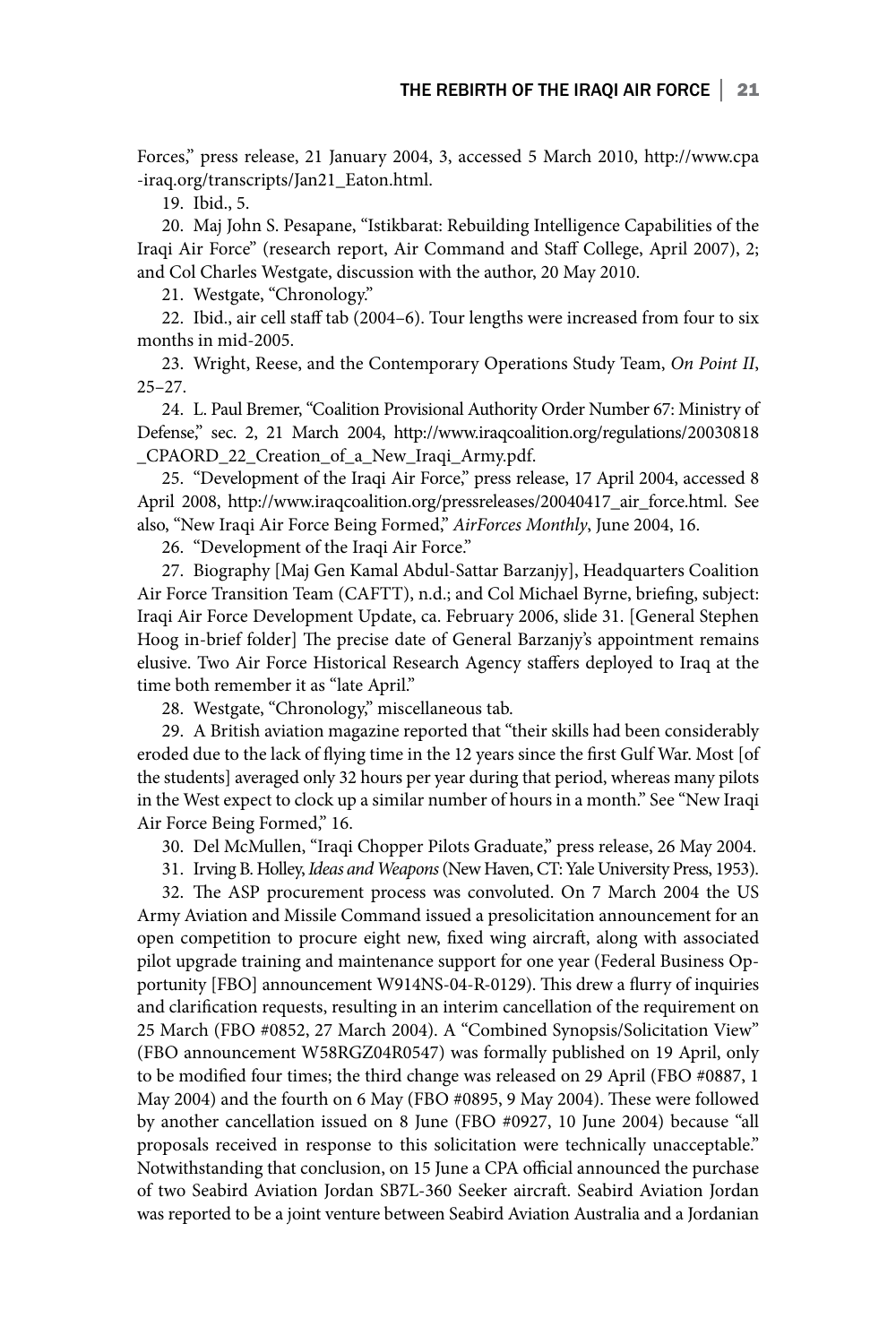Forces," press release, 21 January 2004, 3, accessed 5 March 2010, http://www.cpa -iraq.org/transcripts/Jan21\_Eaton.html.

19. Ibid., 5.

20. Maj John S. Pesapane, "Istikbarat: Rebuilding Intelligence Capabilities of the Iraqi Air Force" (research report, Air Command and Staff College, April 2007), 2; and Col Charles Westgate, discussion with the author, 20 May 2010.

21. Westgate, "Chronology."

22. Ibid., air cell staff tab (2004–6). Tour lengths were increased from four to six months in mid-2005.

23. Wright, Reese, and the Contemporary Operations Study Team, *On Point II*,  $25 - 27$ .

24. L. Paul Bremer, "Coalition Provisional Authority Order Number 67: Ministry of Defense," sec. 2, 21 March 2004, http://www.iraqcoalition.org/regulations/20030818 \_CPAORD\_22\_Creation\_of\_a\_New\_Iraqi\_Army.pdf.

25. "Development of the Iraqi Air Force," press release, 17 April 2004, accessed 8 April 2008, http://www.iraqcoalition.org/pressreleases/20040417\_air\_force.html. See also, "New Iraqi Air Force Being Formed," *AirForces Monthly*, June 2004, 16.

26. "Development of the Iraqi Air Force."

27. Biography [Maj Gen Kamal Abdul-Sattar Barzanjy], Headquarters Coalition Air Force Transition Team (CAFTT), n.d.; and Col Michael Byrne, briefing, subject: Iraqi Air Force Development Update, ca. February 2006, slide 31. [General Stephen Hoog in-brief folder] The precise date of General Barzanjy's appointment remains elusive. Two Air Force Historical Research Agency staffers deployed to Iraq at the time both remember it as "late April."

28. Westgate, "Chronology," miscellaneous tab.

29. A British aviation magazine reported that "their skills had been considerably eroded due to the lack of flying time in the 12 years since the first Gulf War. Most [of the students] averaged only 32 hours per year during that period, whereas many pilots in the West expect to clock up a similar number of hours in a month." See "New Iraqi Air Force Being Formed," 16.

30. Del McMullen, "Iraqi Chopper Pilots Graduate," press release, 26 May 2004.

31. Irving B. Holley, *Ideas and Weapons* (New Haven, CT: Yale University Press, 1953).

32. The ASP procurement process was convoluted. On 7 March 2004 the US Army Aviation and Missile Command issued a presolicitation announcement for an open competition to procure eight new, fixed wing aircraft, along with associated pilot upgrade training and maintenance support for one year (Federal Business Opportunity [FBO] announcement W914NS-04-R-0129). This drew a flurry of inquiries and clarification requests, resulting in an interim cancellation of the requirement on 25 March (FBO #0852, 27 March 2004). A "Combined Synopsis/Solicitation View" (FBO announcement W58RGZ04R0547) was formally published on 19 April, only to be modified four times; the third change was released on 29 April (FBO #0887, 1 May 2004) and the fourth on 6 May (FBO #0895, 9 May 2004). These were followed by another cancellation issued on 8 June (FBO #0927, 10 June 2004) because "all proposals received in response to this solicitation were technically unacceptable." Notwithstanding that conclusion, on 15 June a CPA official announced the purchase of two Seabird Aviation Jordan SB7L-360 Seeker aircraft. Seabird Aviation Jordan was reported to be a joint venture between Seabird Aviation Australia and a Jordanian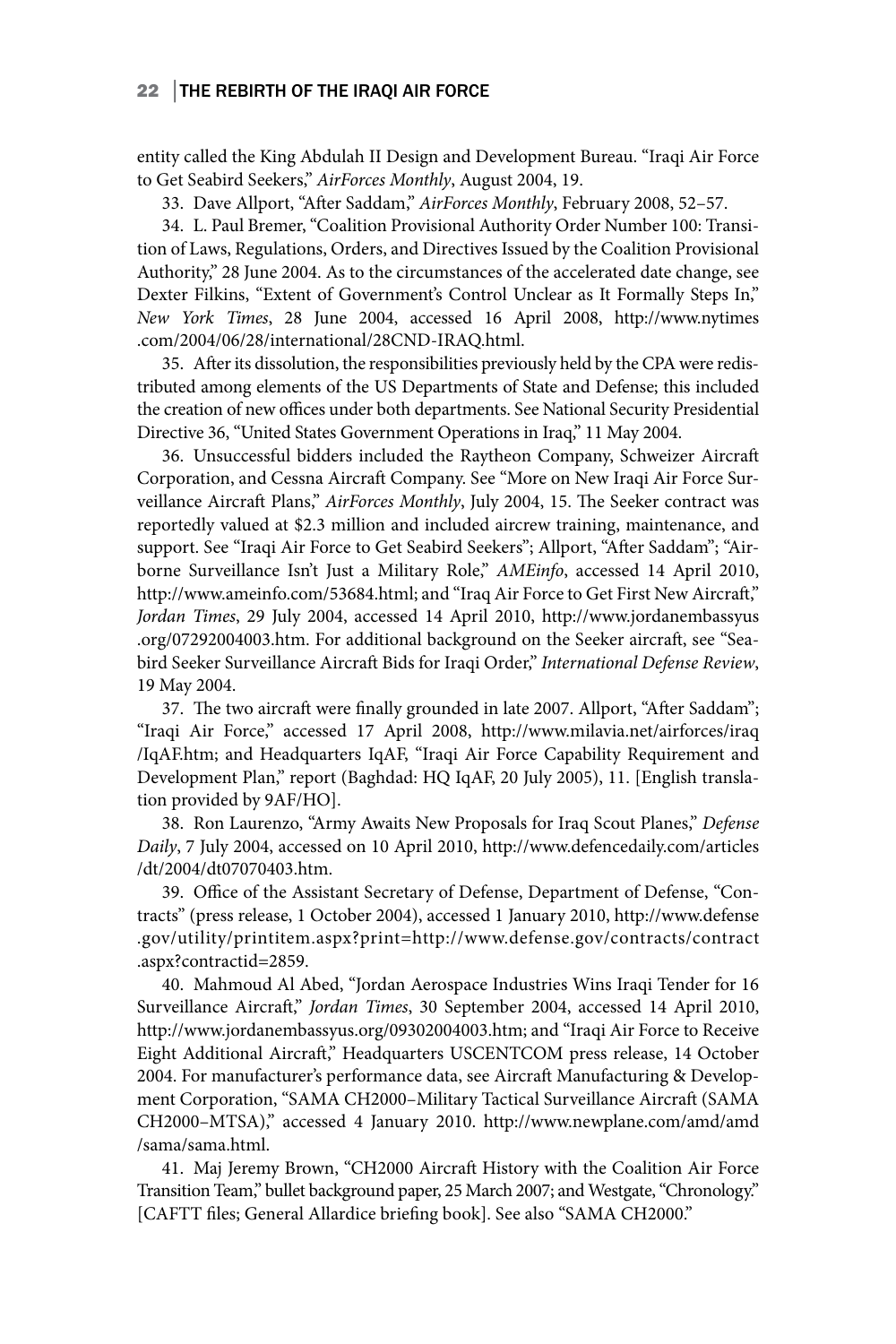### 22 THE REBIRTH OF THE IRAQI AIR FORCE

entity called the King Abdulah II Design and Development Bureau. "Iraqi Air Force to Get Seabird Seekers," *AirForces Monthly*, August 2004, 19.

33. Dave Allport, "After Saddam," *AirForces Monthly*, February 2008, 52–57.

34. L. Paul Bremer, "Coalition Provisional Authority Order Number 100: Transition of Laws, Regulations, Orders, and Directives Issued by the Coalition Provisional Authority," 28 June 2004. As to the circumstances of the accelerated date change, see Dexter Filkins, "Extent of Government's Control Unclear as It Formally Steps In," *New York Times*, 28 June 2004, accessed 16 April 2008, http://www.nytimes .com/2004/06/28/international/28CND-IRAQ.html.

35. After its dissolution, the responsibilities previously held by the CPA were redistributed among elements of the US Departments of State and Defense; this included the creation of new offices under both departments. See National Security Presidential Directive 36, "United States Government Operations in Iraq," 11 May 2004.

36. Unsuccessful bidders included the Raytheon Company, Schweizer Aircraft Corporation, and Cessna Aircraft Company. See "More on New Iraqi Air Force Surveillance Aircraft Plans," *AirForces Monthly*, July 2004, 15. The Seeker contract was reportedly valued at \$2.3 million and included aircrew training, maintenance, and support. See "Iraqi Air Force to Get Seabird Seekers"; Allport, "After Saddam"; "Airborne Surveillance Isn't Just a Military Role," *AMEinfo*, accessed 14 April 2010, http://www.ameinfo.com/53684.html; and "Iraq Air Force to Get First New Aircraft," *Jordan Times*, 29 July 2004, accessed 14 April 2010, http://www.jordanembassyus .org/07292004003.htm. For additional background on the Seeker aircraft, see "Seabird Seeker Surveillance Aircraft Bids for Iraqi Order," *International Defense Review*, 19 May 2004.

37. The two aircraft were finally grounded in late 2007. Allport, "After Saddam"; "Iraqi Air Force," accessed 17 April 2008, http://www.milavia.net/airforces/iraq /IqAF.htm; and Headquarters IqAF, "Iraqi Air Force Capability Requirement and Development Plan," report (Baghdad: HQ IqAF, 20 July 2005), 11. [English translation provided by 9AF/HO].

38. Ron Laurenzo, "Army Awaits New Proposals for Iraq Scout Planes," *Defense Daily*, 7 July 2004, accessed on 10 April 2010, http://www.defencedaily.com/articles /dt/2004/dt07070403.htm.

39. Office of the Assistant Secretary of Defense, Department of Defense, "Contracts" (press release, 1 October 2004), accessed 1 January 2010, http://www.defense .gov/utility/printitem.aspx?print=http://www.defense.gov/contracts/contract .aspx?contractid=2859.

40. Mahmoud Al Abed, "Jordan Aerospace Industries Wins Iraqi Tender for 16 Surveillance Aircraft," *Jordan Times*, 30 September 2004, accessed 14 April 2010, http://www.jordanembassyus.org/09302004003.htm; and "Iraqi Air Force to Receive Eight Additional Aircraft," Headquarters USCENTCOM press release, 14 October 2004. For manufacturer's performance data, see Aircraft Manufacturing & Development Corporation, "SAMA CH2000–Military Tactical Surveillance Aircraft (SAMA CH2000–MTSA)," accessed 4 January 2010. http://www.newplane.com/amd/amd /sama/sama.html.

41. Maj Jeremy Brown, "CH2000 Aircraft History with the Coalition Air Force Transition Team," bullet background paper, 25 March 2007; and Westgate, "Chronology." [CAFTT files; General Allardice briefing book]. See also "SAMA CH2000."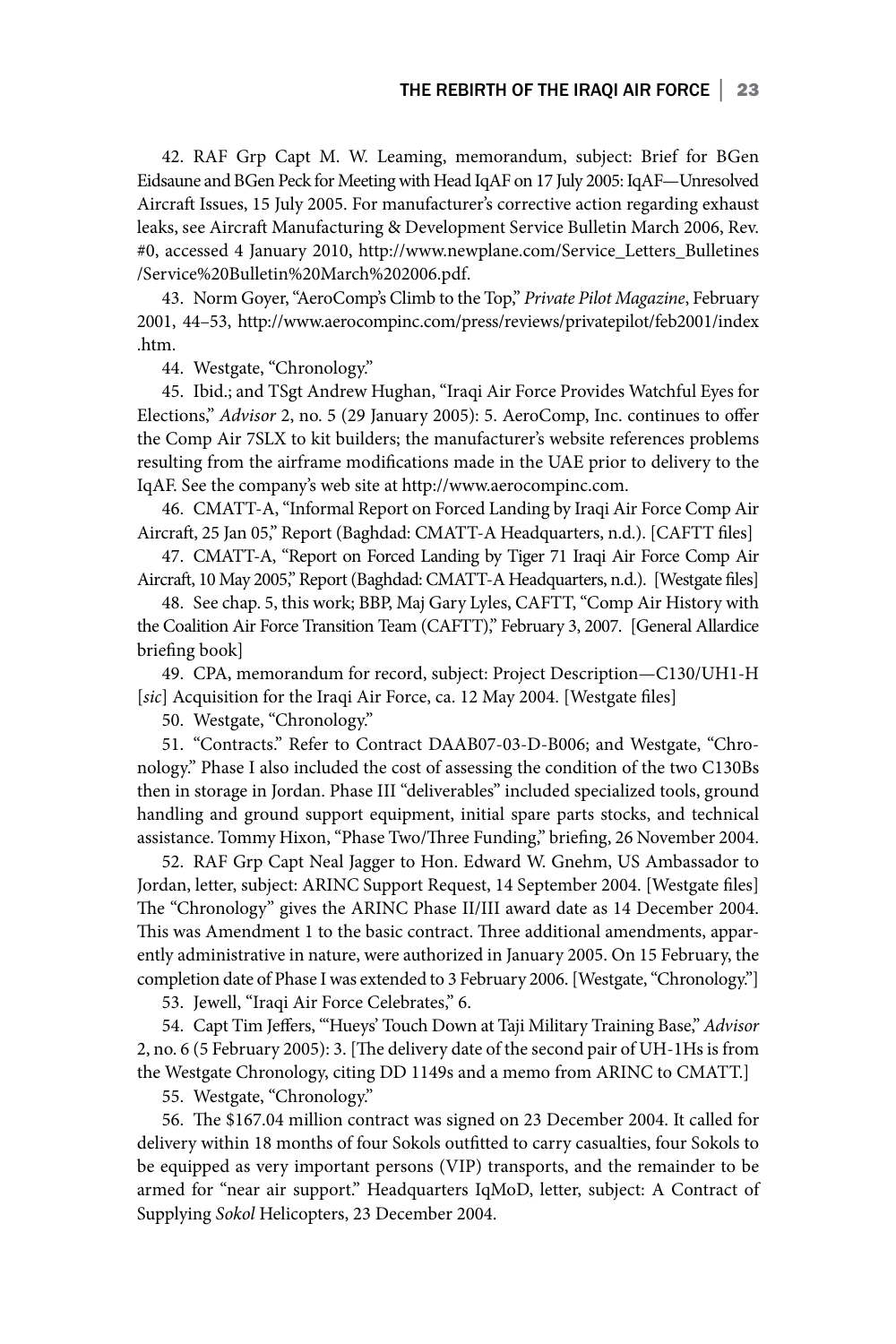42. RAF Grp Capt M. W. Leaming, memorandum, subject: Brief for BGen Eidsaune and BGen Peck for Meeting with Head IqAF on 17 July 2005: IqAF—Unresolved Aircraft Issues, 15 July 2005. For manufacturer's corrective action regarding exhaust leaks, see Aircraft Manufacturing & Development Service Bulletin March 2006, Rev. #0, accessed 4 January 2010, http://www.newplane.com/Service\_Letters\_Bulletines /Service%20Bulletin%20March%202006.pdf.

43. Norm Goyer, "AeroComp's Climb to the Top," *Private Pilot Magazine*, February 2001, 44–53, http://www.aerocompinc.com/press/reviews/privatepilot/feb2001/index .htm.

44. Westgate, "Chronology."

45. Ibid.; and TSgt Andrew Hughan, "Iraqi Air Force Provides Watchful Eyes for Elections," *Advisor* 2, no. 5 (29 January 2005): 5. AeroComp, Inc. continues to offer the Comp Air 7SLX to kit builders; the manufacturer's website references problems resulting from the airframe modifications made in the UAE prior to delivery to the IqAF. See the company's web site at http://www.aerocompinc.com.

46. CMATT-A, "Informal Report on Forced Landing by Iraqi Air Force Comp Air Aircraft, 25 Jan 05," Report (Baghdad: CMATT-A Headquarters, n.d.). [CAFTT files]

47. CMATT-A, "Report on Forced Landing by Tiger 71 Iraqi Air Force Comp Air Aircraft, 10 May 2005," Report (Baghdad: CMATT-A Headquarters, n.d.). [Westgate files]

48. See chap. 5, this work; BBP, Maj Gary Lyles, CAFTT, "Comp Air History with the Coalition Air Force Transition Team (CAFTT)," February 3, 2007. [General Allardice briefing book]

49. CPA, memorandum for record, subject: Project Description—C130/UH1-H [sic] Acquisition for the Iraqi Air Force, ca. 12 May 2004. [Westgate files]

50. Westgate, "Chronology."

51. "Contracts." Refer to Contract DAAB07-03-D-B006; and Westgate, "Chronology." Phase I also included the cost of assessing the condition of the two C130Bs then in storage in Jordan. Phase III "deliverables" included specialized tools, ground handling and ground support equipment, initial spare parts stocks, and technical assistance. Tommy Hixon, "Phase Two/Three Funding," briefing, 26 November 2004.

52. RAF Grp Capt Neal Jagger to Hon. Edward W. Gnehm, US Ambassador to Jordan, letter, subject: ARINC Support Request, 14 September 2004. [Westgate files] The "Chronology" gives the ARINC Phase II/III award date as 14 December 2004. This was Amendment 1 to the basic contract. Three additional amendments, apparently administrative in nature, were authorized in January 2005. On 15 February, the completion date of Phase I was extended to 3 February 2006. [Westgate, "Chronology."]

53. Jewell, "Iraqi Air Force Celebrates," 6.

54. Capt Tim Jeffers, "'Hueys' Touch Down at Taji Military Training Base," *Advisor* 2, no. 6 (5 February 2005): 3. [The delivery date of the second pair of UH-1Hs is from the Westgate Chronology, citing DD 1149s and a memo from ARINC to CMATT.]

55. Westgate, "Chronology."

56. The \$167.04 million contract was signed on 23 December 2004. It called for delivery within 18 months of four Sokols outfitted to carry casualties, four Sokols to be equipped as very important persons (VIP) transports, and the remainder to be armed for "near air support." Headquarters IqMoD, letter, subject: A Contract of Supplying *Sokol* Helicopters, 23 December 2004.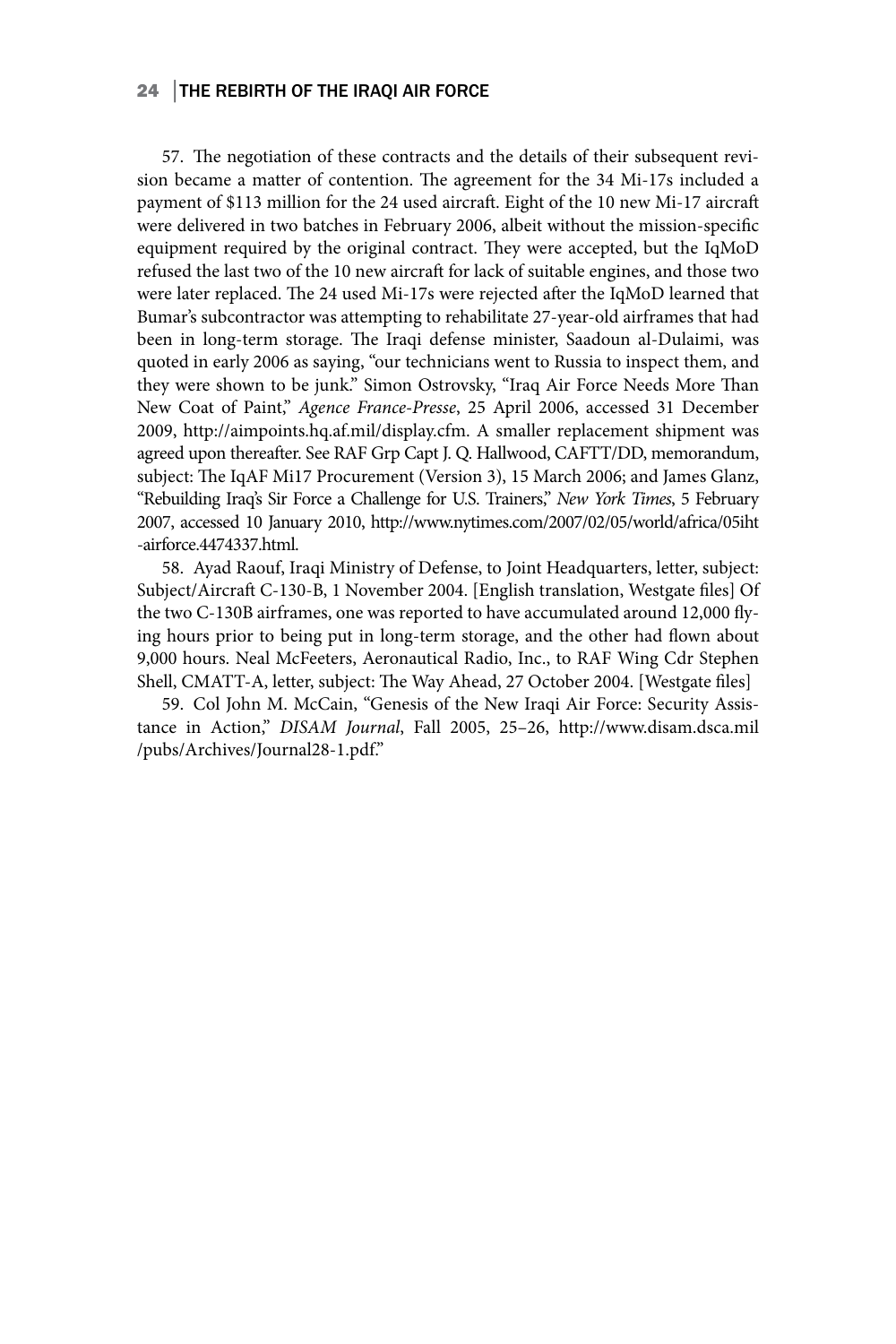### 24 │THE REBIRTH OF THE IRAQI AIR FORCE

57. The negotiation of these contracts and the details of their subsequent revision became a matter of contention. The agreement for the 34 Mi-17s included a payment of \$113 million for the 24 used aircraft. Eight of the 10 new Mi-17 aircraft were delivered in two batches in February 2006, albeit without the mission-specific equipment required by the original contract. They were accepted, but the IqMoD refused the last two of the 10 new aircraft for lack of suitable engines, and those two were later replaced. The 24 used Mi-17s were rejected after the IqMoD learned that Bumar's subcontractor was attempting to rehabilitate 27-year-old airframes that had been in long-term storage. The Iraqi defense minister, Saadoun al-Dulaimi, was quoted in early 2006 as saying, "our technicians went to Russia to inspect them, and they were shown to be junk." Simon Ostrovsky, "Iraq Air Force Needs More Than New Coat of Paint," *Agence France-Presse*, 25 April 2006, accessed 31 December 2009, http://aimpoints.hq.af.mil/display.cfm. A smaller replacement shipment was agreed upon thereafter. See RAF Grp Capt J. Q. Hallwood, CAFTT/DD, memorandum, subject: The IqAF Mi17 Procurement (Version 3), 15 March 2006; and James Glanz, "Rebuilding Iraq's Sir Force a Challenge for U.S. Trainers," *New York Times*, 5 February 2007, accessed 10 January 2010, http://www.nytimes.com/2007/02/05/world/africa/05iht -airforce.4474337.html.

58. Ayad Raouf, Iraqi Ministry of Defense, to Joint Headquarters, letter, subject: Subject/Aircraft C-130-B, 1 November 2004. [English translation, Westgate files] Of the two C-130B airframes, one was reported to have accumulated around 12,000 flying hours prior to being put in long-term storage, and the other had flown about 9,000 hours. Neal McFeeters, Aeronautical Radio, Inc., to RAF Wing Cdr Stephen Shell, CMATT-A, letter, subject: The Way Ahead, 27 October 2004. [Westgate files]

59. Col John M. McCain, "Genesis of the New Iraqi Air Force: Security Assistance in Action," *DISAM Journal*, Fall 2005, 25–26, http://www.disam.dsca.mil /pubs/Archives/Journal28-1.pdf."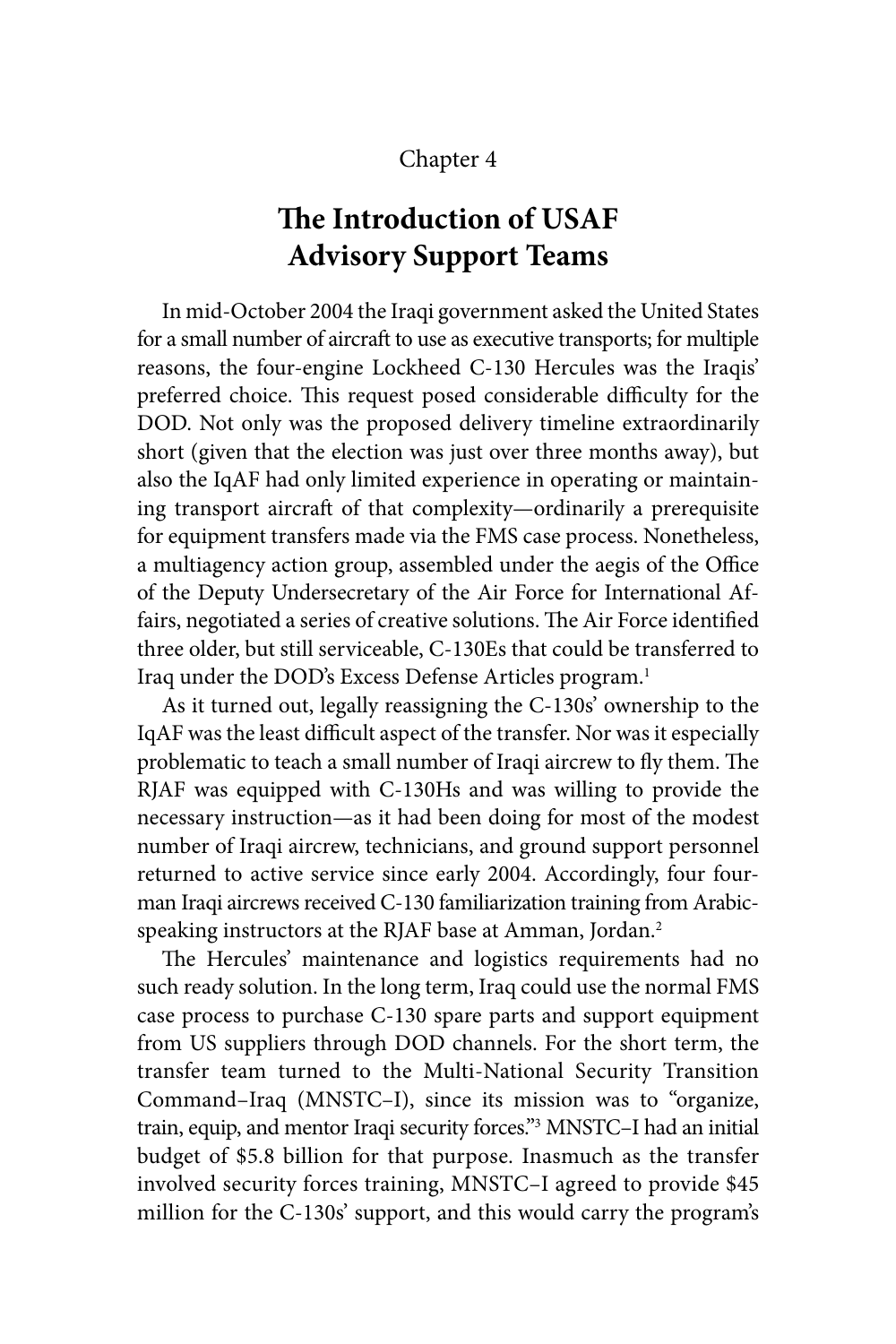### Chapter 4

# **The Introduction of USAF Advisory Support Teams**

In mid-October 2004 the Iraqi government asked the United States for a small number of aircraft to use as executive transports; for multiple reasons, the four-engine Lockheed C-130 Hercules was the Iraqis' preferred choice. This request posed considerable difficulty for the DOD. Not only was the proposed delivery timeline extraordinarily short (given that the election was just over three months away), but also the IqAF had only limited experience in operating or maintaining transport aircraft of that complexity—ordinarily a prerequisite for equipment transfers made via the FMS case process. Nonetheless, a multiagency action group, assembled under the aegis of the Office of the Deputy Undersecretary of the Air Force for International Affairs, negotiated a series of creative solutions. The Air Force identified three older, but still serviceable, C-130Es that could be transferred to Iraq under the DOD's Excess Defense Articles program.<sup>1</sup>

As it turned out, legally reassigning the C-130s' ownership to the IqAF was the least difficult aspect of the transfer. Nor was it especially problematic to teach a small number of Iraqi aircrew to fly them. The RJAF was equipped with C-130Hs and was willing to provide the necessary instruction—as it had been doing for most of the modest number of Iraqi aircrew, technicians, and ground support personnel returned to active service since early 2004. Accordingly, four fourman Iraqi aircrews received C-130 familiarization training from Arabicspeaking instructors at the RJAF base at Amman, Jordan.2

The Hercules' maintenance and logistics requirements had no such ready solution. In the long term, Iraq could use the normal FMS case process to purchase C-130 spare parts and support equipment from US suppliers through DOD channels. For the short term, the transfer team turned to the Multi-National Security Transition Command–Iraq (MNSTC–I), since its mission was to "organize, train, equip, and mentor Iraqi security forces."3 MNSTC–I had an initial budget of \$5.8 billion for that purpose. Inasmuch as the transfer involved security forces training, MNSTC–I agreed to provide \$45 million for the C-130s' support, and this would carry the program's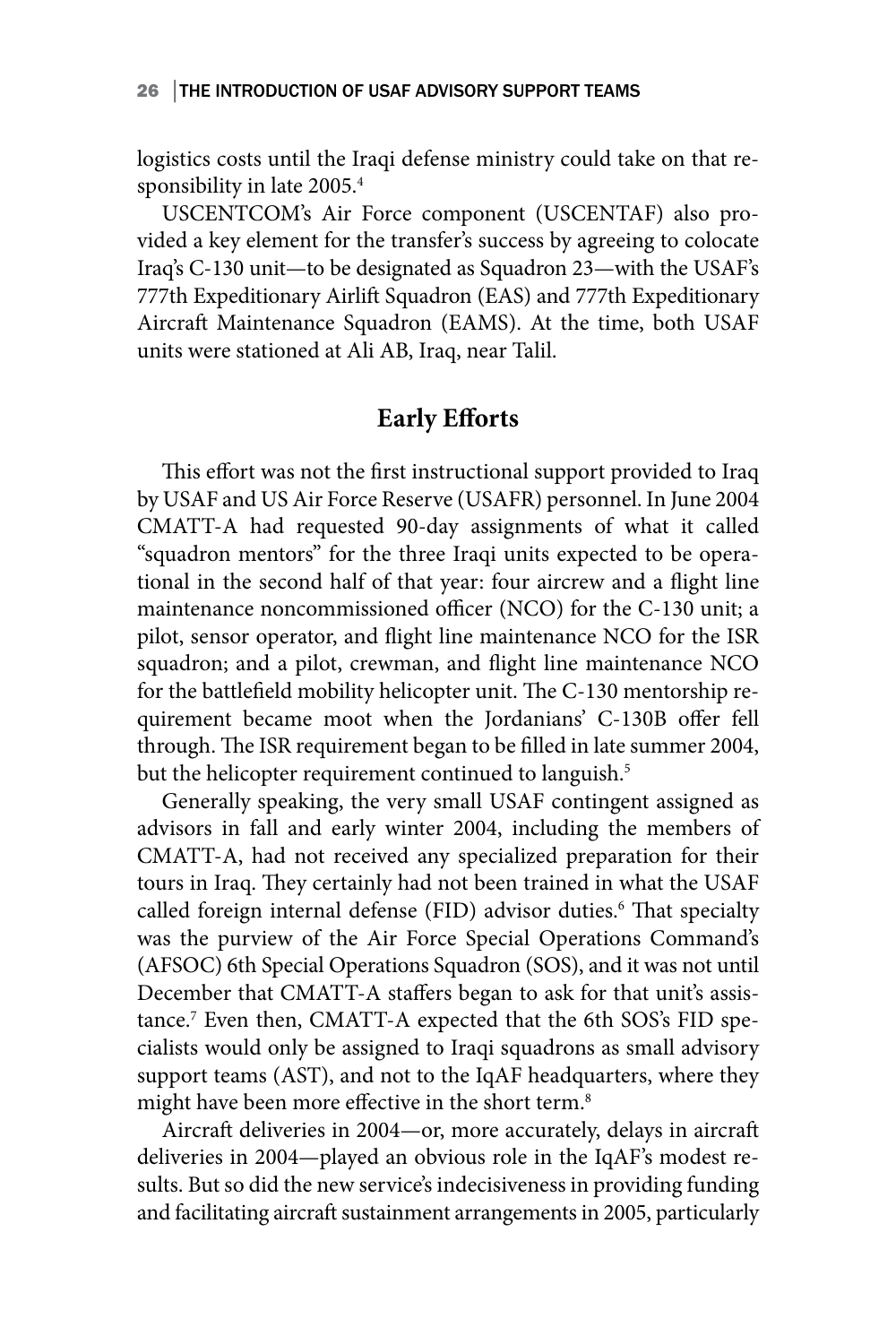logistics costs until the Iraqi defense ministry could take on that responsibility in late 2005.4

USCENTCOM's Air Force component (USCENTAF) also provided a key element for the transfer's success by agreeing to colocate Iraq's C-130 unit—to be designated as Squadron 23—with the USAF's 777th Expeditionary Airlift Squadron (EAS) and 777th Expeditionary Aircraft Maintenance Squadron (EAMS). At the time, both USAF units were stationed at Ali AB, Iraq, near Talil.

# **Early Efforts**

This effort was not the first instructional support provided to Iraq by USAF and US Air Force Reserve (USAFR) personnel. In June 2004 CMATT-A had requested 90-day assignments of what it called "squadron mentors" for the three Iraqi units expected to be operational in the second half of that year: four aircrew and a flight line maintenance noncommissioned officer (NCO) for the C-130 unit; a pilot, sensor operator, and flight line maintenance NCO for the ISR squadron; and a pilot, crewman, and flight line maintenance NCO for the battlefield mobility helicopter unit. The C-130 mentorship requirement became moot when the Jordanians' C-130B offer fell through. The ISR requirement began to be filled in late summer 2004, but the helicopter requirement continued to languish.<sup>5</sup>

Generally speaking, the very small USAF contingent assigned as advisors in fall and early winter 2004, including the members of CMATT-A, had not received any specialized preparation for their tours in Iraq. They certainly had not been trained in what the USAF called foreign internal defense (FID) advisor duties.<sup>6</sup> That specialty was the purview of the Air Force Special Operations Command's (AFSOC) 6th Special Operations Squadron (SOS), and it was not until December that CMATT-A staffers began to ask for that unit's assistance.7 Even then, CMATT-A expected that the 6th SOS's FID specialists would only be assigned to Iraqi squadrons as small advisory support teams (AST), and not to the IqAF headquarters, where they might have been more effective in the short term.<sup>8</sup>

Aircraft deliveries in 2004—or, more accurately, delays in aircraft deliveries in 2004—played an obvious role in the IqAF's modest results. But so did the new service's indecisiveness in providing funding and facilitating aircraft sustainment arrangements in 2005, particularly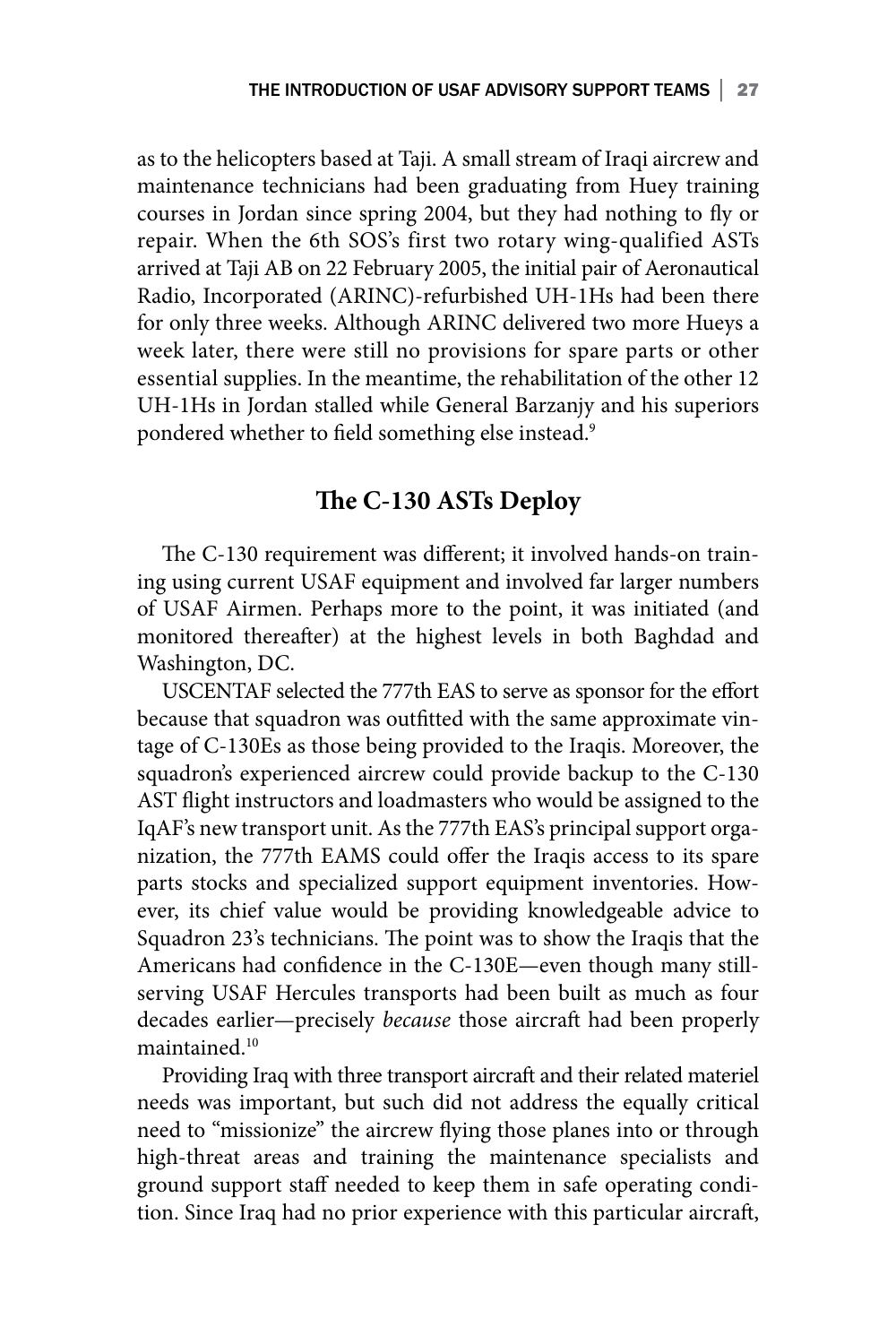as to the helicopters based at Taji. A small stream of Iraqi aircrew and maintenance technicians had been graduating from Huey training courses in Jordan since spring 2004, but they had nothing to fly or repair. When the 6th SOS's first two rotary wing-qualified ASTs arrived at Taji AB on 22 February 2005, the initial pair of Aeronautical Radio, Incorporated (ARINC)-refurbished UH-1Hs had been there for only three weeks. Although ARINC delivered two more Hueys a week later, there were still no provisions for spare parts or other essential supplies. In the meantime, the rehabilitation of the other 12 UH-1Hs in Jordan stalled while General Barzanjy and his superiors pondered whether to field something else instead.<sup>9</sup>

## **The C-130 ASTs Deploy**

The C-130 requirement was different; it involved hands-on training using current USAF equipment and involved far larger numbers of USAF Airmen. Perhaps more to the point, it was initiated (and monitored thereafter) at the highest levels in both Baghdad and Washington, DC.

USCENTAF selected the 777th EAS to serve as sponsor for the effort because that squadron was outfitted with the same approximate vintage of C-130Es as those being provided to the Iraqis. Moreover, the squadron's experienced aircrew could provide backup to the C-130 AST flight instructors and loadmasters who would be assigned to the IqAF's new transport unit. As the 777th EAS's principal support organization, the 777th EAMS could offer the Iraqis access to its spare parts stocks and specialized support equipment inventories. However, its chief value would be providing knowledgeable advice to Squadron 23's technicians. The point was to show the Iraqis that the Americans had confidence in the C-130E—even though many stillserving USAF Hercules transports had been built as much as four decades earlier—precisely *because* those aircraft had been properly maintained.10

Providing Iraq with three transport aircraft and their related materiel needs was important, but such did not address the equally critical need to "missionize" the aircrew flying those planes into or through high-threat areas and training the maintenance specialists and ground support staff needed to keep them in safe operating condition. Since Iraq had no prior experience with this particular aircraft,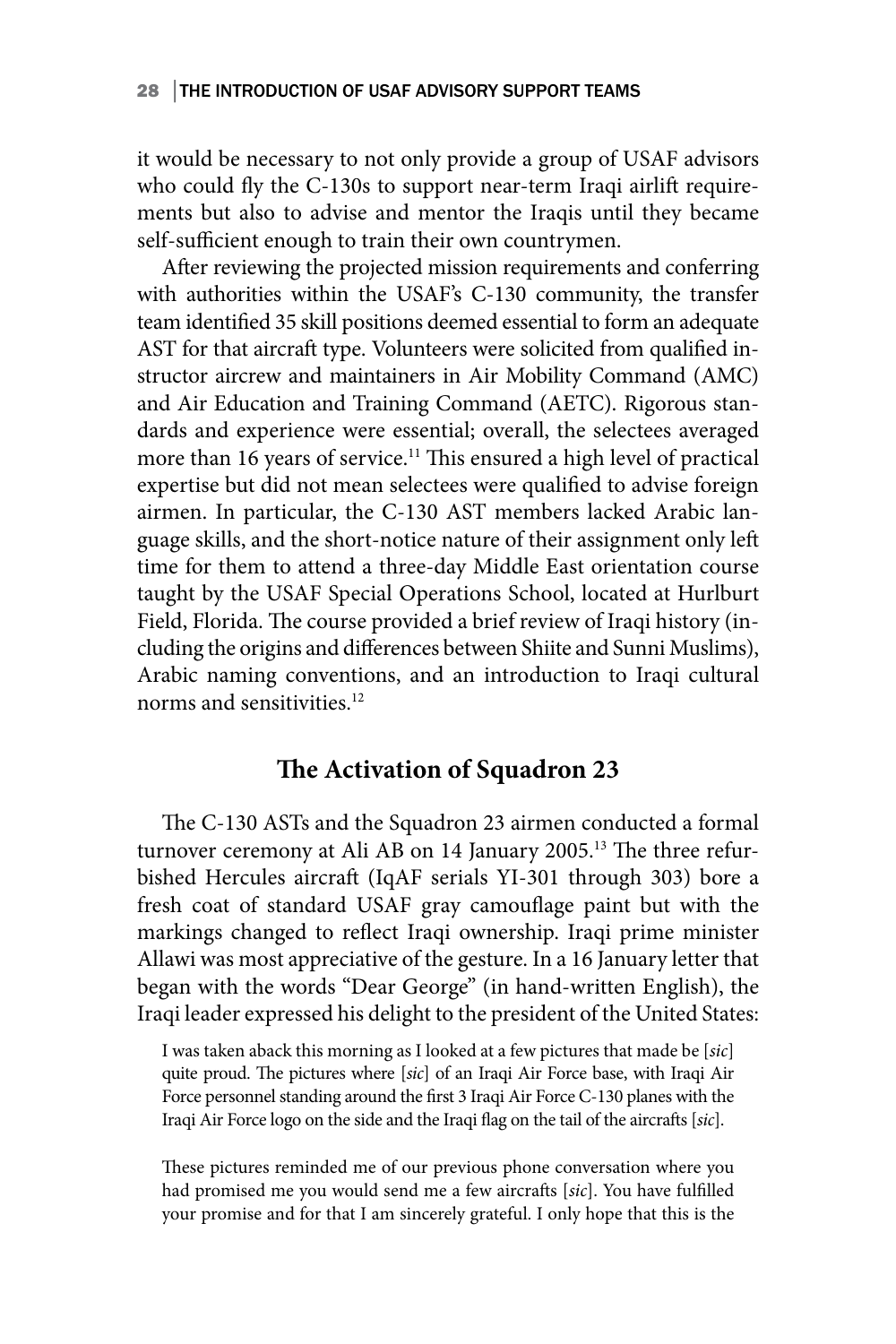### 28 THE INTRODUCTION OF USAF ADVISORY SUPPORT TEAMS

it would be necessary to not only provide a group of USAF advisors who could fly the C-130s to support near-term Iraqi airlift requirements but also to advise and mentor the Iraqis until they became self-sufficient enough to train their own countrymen.

After reviewing the projected mission requirements and conferring with authorities within the USAF's C-130 community, the transfer team identified 35 skill positions deemed essential to form an adequate AST for that aircraft type. Volunteers were solicited from qualified instructor aircrew and maintainers in Air Mobility Command (AMC) and Air Education and Training Command (AETC). Rigorous standards and experience were essential; overall, the selectees averaged more than 16 years of service.<sup>11</sup> This ensured a high level of practical expertise but did not mean selectees were qualified to advise foreign airmen. In particular, the C-130 AST members lacked Arabic language skills, and the short-notice nature of their assignment only left time for them to attend a three-day Middle East orientation course taught by the USAF Special Operations School, located at Hurlburt Field, Florida. The course provided a brief review of Iraqi history (including the origins and differences between Shiite and Sunni Muslims), Arabic naming conventions, and an introduction to Iraqi cultural norms and sensitivities.<sup>12</sup>

# **The Activation of Squadron 23**

The C-130 ASTs and the Squadron 23 airmen conducted a formal turnover ceremony at Ali AB on 14 January 2005.<sup>13</sup> The three refurbished Hercules aircraft (IqAF serials YI-301 through 303) bore a fresh coat of standard USAF gray camouflage paint but with the markings changed to reflect Iraqi ownership. Iraqi prime minister Allawi was most appreciative of the gesture. In a 16 January letter that began with the words "Dear George" (in hand-written English), the Iraqi leader expressed his delight to the president of the United States:

I was taken aback this morning as I looked at a few pictures that made be [*sic*] quite proud. The pictures where [*sic*] of an Iraqi Air Force base, with Iraqi Air Force personnel standing around the first 3 Iraqi Air Force C-130 planes with the Iraqi Air Force logo on the side and the Iraqi flag on the tail of the aircrafts [*sic*].

These pictures reminded me of our previous phone conversation where you had promised me you would send me a few aircrafts [*sic*]. You have fulfilled your promise and for that I am sincerely grateful. I only hope that this is the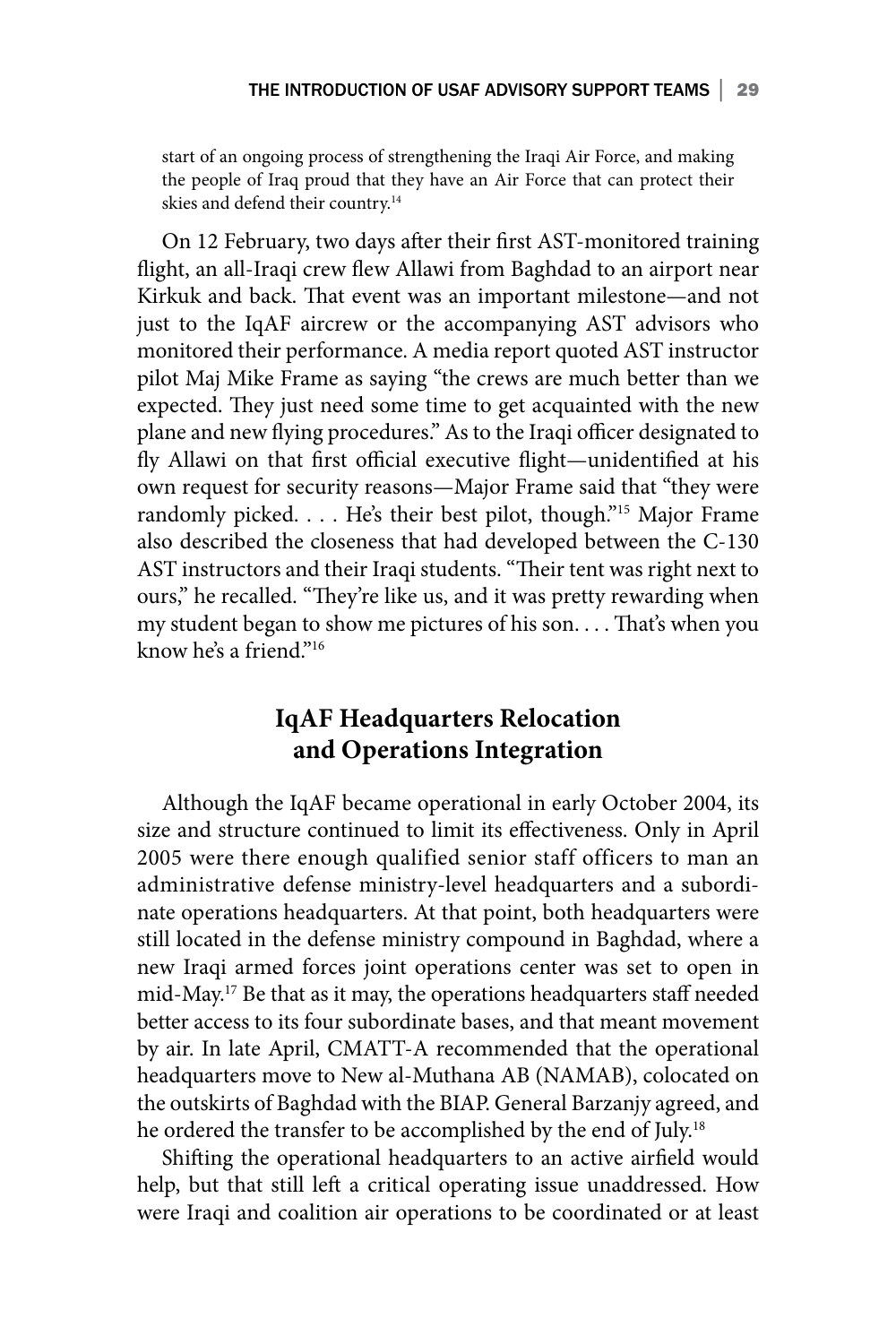start of an ongoing process of strengthening the Iraqi Air Force, and making the people of Iraq proud that they have an Air Force that can protect their skies and defend their country.<sup>14</sup>

On 12 February, two days after their first AST-monitored training flight, an all-Iraqi crew flew Allawi from Baghdad to an airport near Kirkuk and back. That event was an important milestone—and not just to the IqAF aircrew or the accompanying AST advisors who monitored their performance. A media report quoted AST instructor pilot Maj Mike Frame as saying "the crews are much better than we expected. They just need some time to get acquainted with the new plane and new flying procedures." As to the Iraqi officer designated to fly Allawi on that first official executive flight—unidentified at his own request for security reasons—Major Frame said that "they were randomly picked. . . . He's their best pilot, though."15 Major Frame also described the closeness that had developed between the C-130 AST instructors and their Iraqi students. "Their tent was right next to ours," he recalled. "They're like us, and it was pretty rewarding when my student began to show me pictures of his son. . . . That's when you know he's a friend." $16$ 

# **IqAF Headquarters Relocation and Operations Integration**

Although the IqAF became operational in early October 2004, its size and structure continued to limit its effectiveness. Only in April 2005 were there enough qualified senior staff officers to man an administrative defense ministry-level headquarters and a subordinate operations headquarters. At that point, both headquarters were still located in the defense ministry compound in Baghdad, where a new Iraqi armed forces joint operations center was set to open in mid-May.17 Be that as it may, the operations headquarters staff needed better access to its four subordinate bases, and that meant movement by air. In late April, CMATT-A recommended that the operational headquarters move to New al-Muthana AB (NAMAB), colocated on the outskirts of Baghdad with the BIAP. General Barzanjy agreed, and he ordered the transfer to be accomplished by the end of July.<sup>18</sup>

Shifting the operational headquarters to an active airfield would help, but that still left a critical operating issue unaddressed. How were Iraqi and coalition air operations to be coordinated or at least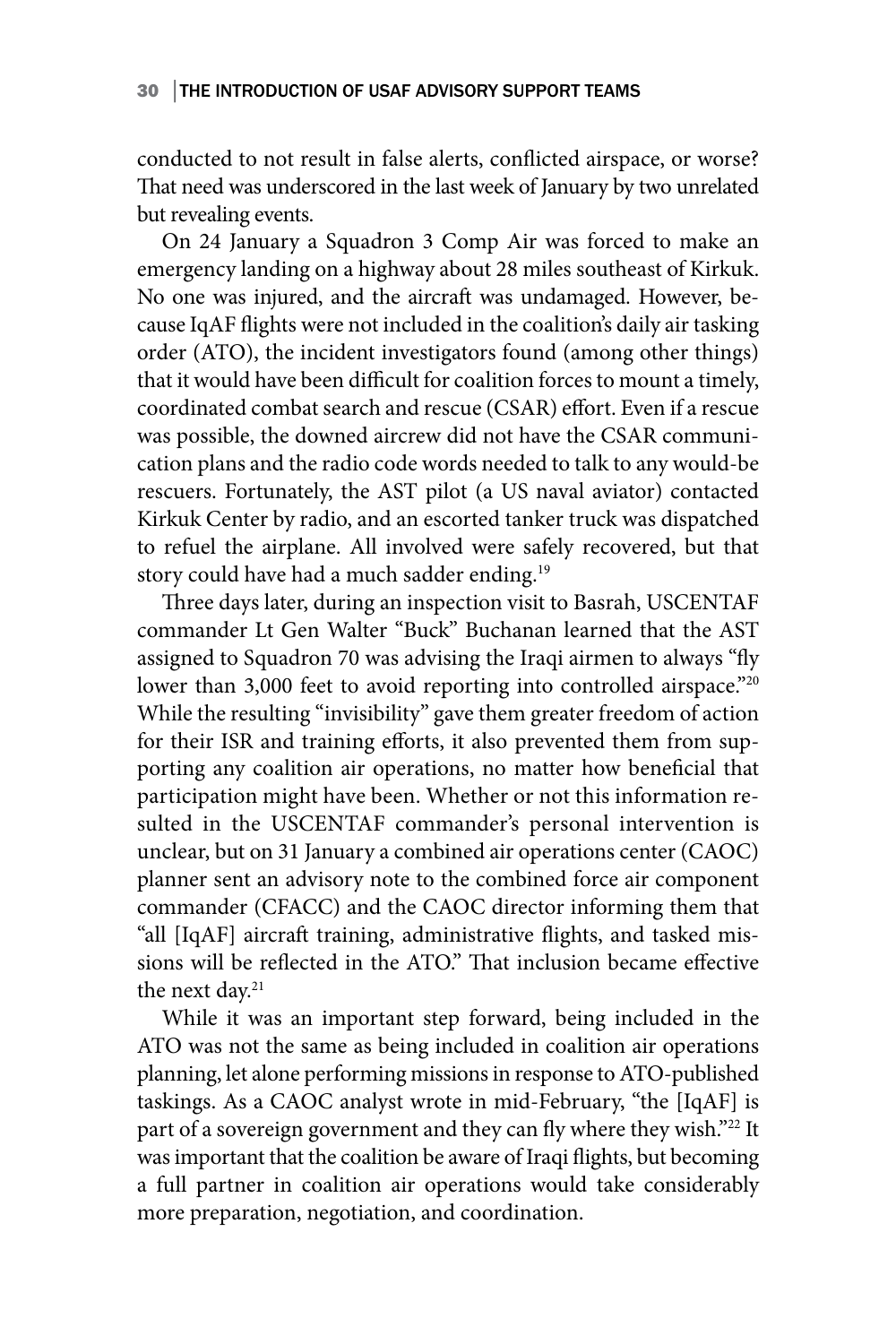conducted to not result in false alerts, conflicted airspace, or worse? That need was underscored in the last week of January by two unrelated but revealing events.

On 24 January a Squadron 3 Comp Air was forced to make an emergency landing on a highway about 28 miles southeast of Kirkuk. No one was injured, and the aircraft was undamaged. However, because IqAF flights were not included in the coalition's daily air tasking order (ATO), the incident investigators found (among other things) that it would have been difficult for coalition forces to mount a timely, coordinated combat search and rescue (CSAR) effort. Even if a rescue was possible, the downed aircrew did not have the CSAR communication plans and the radio code words needed to talk to any would-be rescuers. Fortunately, the AST pilot (a US naval aviator) contacted Kirkuk Center by radio, and an escorted tanker truck was dispatched to refuel the airplane. All involved were safely recovered, but that story could have had a much sadder ending.<sup>19</sup>

Three days later, during an inspection visit to Basrah, USCENTAF commander Lt Gen Walter "Buck" Buchanan learned that the AST assigned to Squadron 70 was advising the Iraqi airmen to always "fly lower than 3,000 feet to avoid reporting into controlled airspace."20 While the resulting "invisibility" gave them greater freedom of action for their ISR and training efforts, it also prevented them from supporting any coalition air operations, no matter how beneficial that participation might have been. Whether or not this information resulted in the USCENTAF commander's personal intervention is unclear, but on 31 January a combined air operations center (CAOC) planner sent an advisory note to the combined force air component commander (CFACC) and the CAOC director informing them that "all [IqAF] aircraft training, administrative flights, and tasked missions will be reflected in the ATO." That inclusion became effective the next day.<sup>21</sup>

While it was an important step forward, being included in the ATO was not the same as being included in coalition air operations planning, let alone performing missions in response to ATO-published taskings. As a CAOC analyst wrote in mid-February, "the [IqAF] is part of a sovereign government and they can fly where they wish."<sup>22</sup> It was important that the coalition be aware of Iraqi flights, but becoming a full partner in coalition air operations would take considerably more preparation, negotiation, and coordination.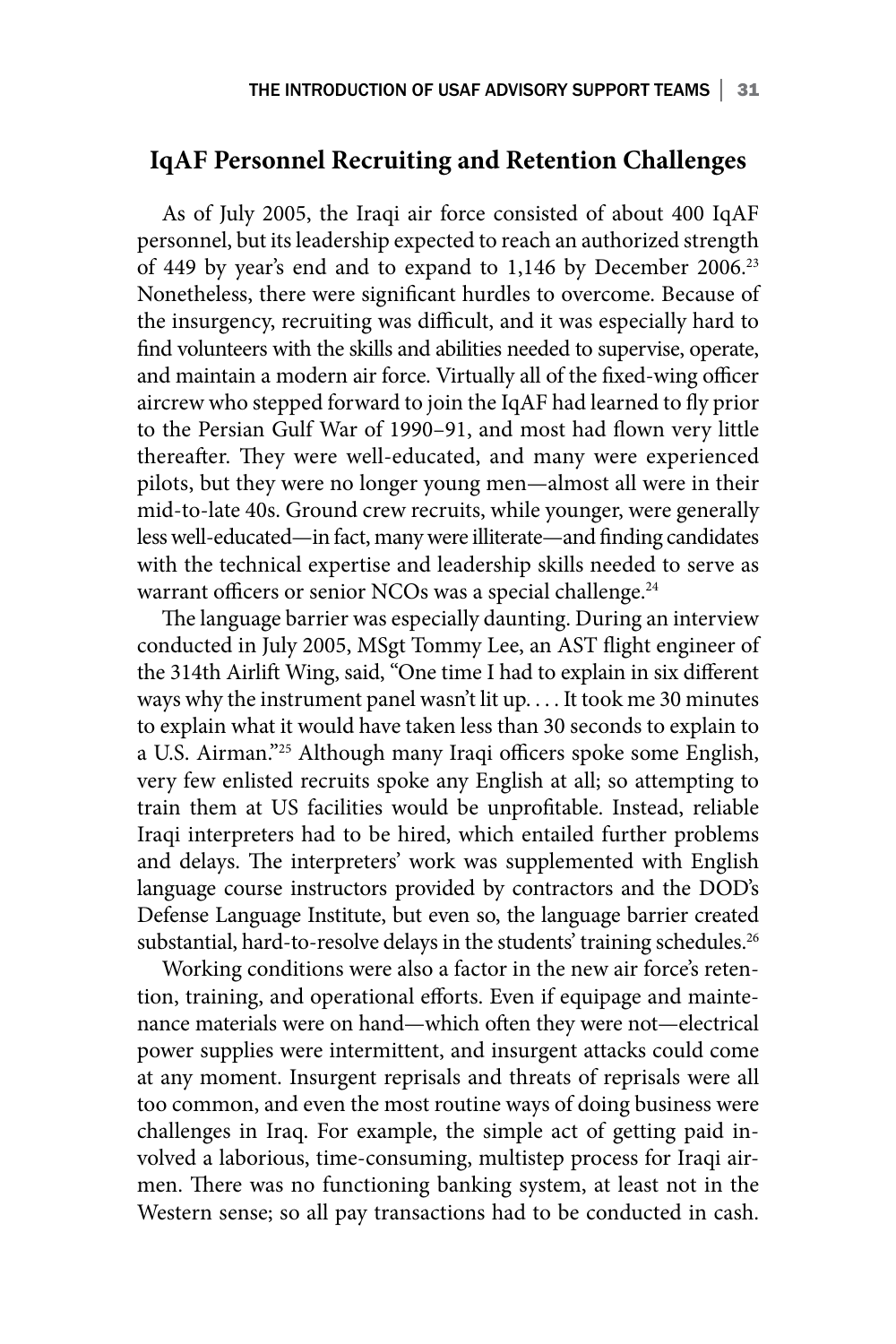## **IqAF Personnel Recruiting and Retention Challenges**

As of July 2005, the Iraqi air force consisted of about 400 IqAF personnel, but its leadership expected to reach an authorized strength of 449 by year's end and to expand to 1,146 by December 2006.23 Nonetheless, there were significant hurdles to overcome. Because of the insurgency, recruiting was difficult, and it was especially hard to find volunteers with the skills and abilities needed to supervise, operate, and maintain a modern air force. Virtually all of the fixed-wing officer aircrew who stepped forward to join the IqAF had learned to fly prior to the Persian Gulf War of 1990–91, and most had flown very little thereafter. They were well-educated, and many were experienced pilots, but they were no longer young men—almost all were in their mid-to-late 40s. Ground crew recruits, while younger, were generally less well-educated—in fact, many were illiterate—and finding candidates with the technical expertise and leadership skills needed to serve as warrant officers or senior NCOs was a special challenge.<sup>24</sup>

The language barrier was especially daunting. During an interview conducted in July 2005, MSgt Tommy Lee, an AST flight engineer of the 314th Airlift Wing, said, "One time I had to explain in six different ways why the instrument panel wasn't lit up. . . . It took me 30 minutes to explain what it would have taken less than 30 seconds to explain to a U.S. Airman."25 Although many Iraqi officers spoke some English, very few enlisted recruits spoke any English at all; so attempting to train them at US facilities would be unprofitable. Instead, reliable Iraqi interpreters had to be hired, which entailed further problems and delays. The interpreters' work was supplemented with English language course instructors provided by contractors and the DOD's Defense Language Institute, but even so, the language barrier created substantial, hard-to-resolve delays in the students' training schedules.<sup>26</sup>

Working conditions were also a factor in the new air force's retention, training, and operational efforts. Even if equipage and maintenance materials were on hand—which often they were not—electrical power supplies were intermittent, and insurgent attacks could come at any moment. Insurgent reprisals and threats of reprisals were all too common, and even the most routine ways of doing business were challenges in Iraq. For example, the simple act of getting paid involved a laborious, time-consuming, multistep process for Iraqi airmen. There was no functioning banking system, at least not in the Western sense; so all pay transactions had to be conducted in cash.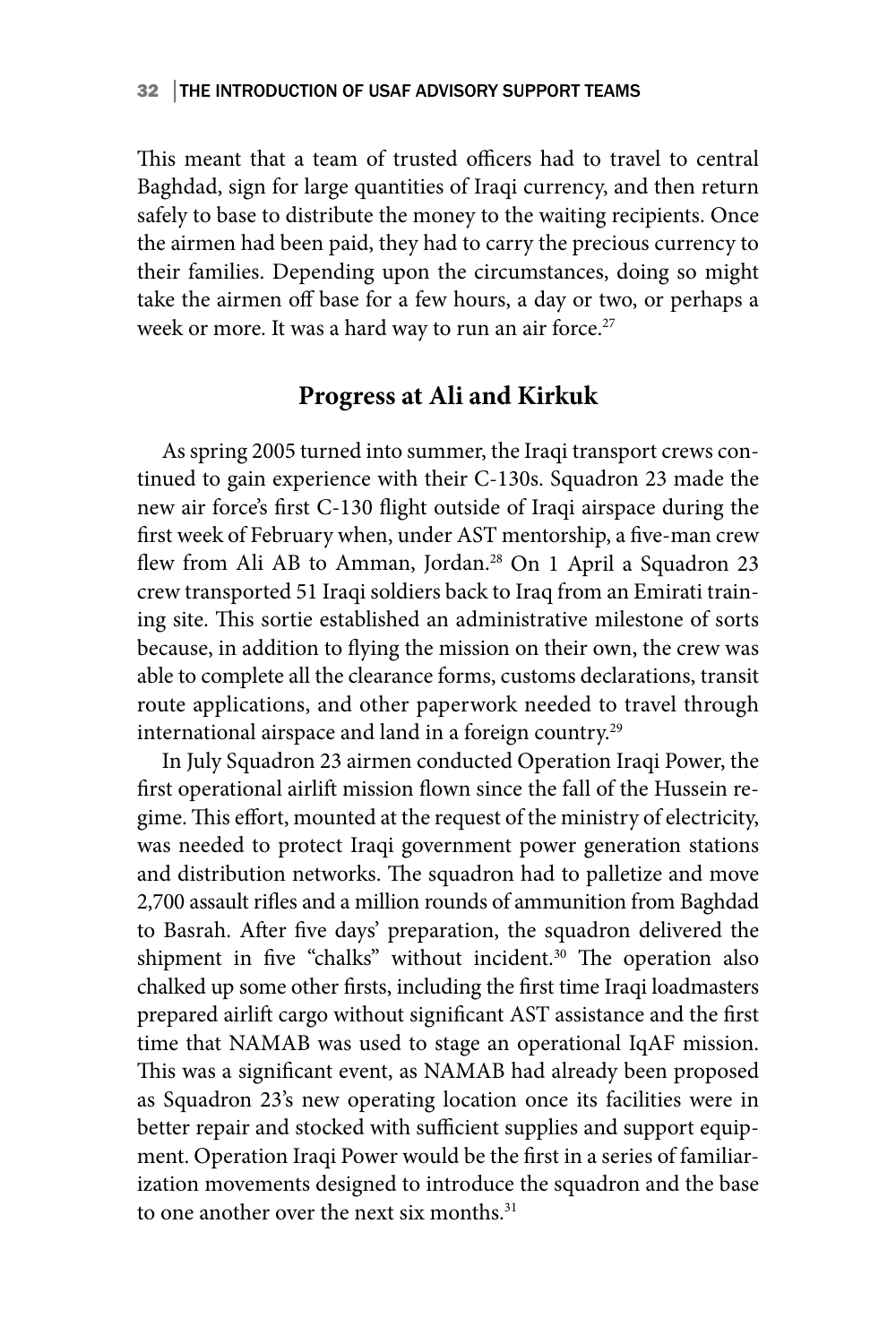This meant that a team of trusted officers had to travel to central Baghdad, sign for large quantities of Iraqi currency, and then return safely to base to distribute the money to the waiting recipients. Once the airmen had been paid, they had to carry the precious currency to their families. Depending upon the circumstances, doing so might take the airmen off base for a few hours, a day or two, or perhaps a week or more. It was a hard way to run an air force.<sup>27</sup>

### **Progress at Ali and Kirkuk**

As spring 2005 turned into summer, the Iraqi transport crews continued to gain experience with their C-130s. Squadron 23 made the new air force's first C-130 flight outside of Iraqi airspace during the first week of February when, under AST mentorship, a five-man crew flew from Ali AB to Amman, Jordan.<sup>28</sup> On 1 April a Squadron 23 crew transported 51 Iraqi soldiers back to Iraq from an Emirati training site. This sortie established an administrative milestone of sorts because, in addition to flying the mission on their own, the crew was able to complete all the clearance forms, customs declarations, transit route applications, and other paperwork needed to travel through international airspace and land in a foreign country.<sup>29</sup>

In July Squadron 23 airmen conducted Operation Iraqi Power, the first operational airlift mission flown since the fall of the Hussein regime. This effort, mounted at the request of the ministry of electricity, was needed to protect Iraqi government power generation stations and distribution networks. The squadron had to palletize and move 2,700 assault rifles and a million rounds of ammunition from Baghdad to Basrah. After five days' preparation, the squadron delivered the shipment in five "chalks" without incident.<sup>30</sup> The operation also chalked up some other firsts, including the first time Iraqi loadmasters prepared airlift cargo without significant AST assistance and the first time that NAMAB was used to stage an operational IqAF mission. This was a significant event, as NAMAB had already been proposed as Squadron 23's new operating location once its facilities were in better repair and stocked with sufficient supplies and support equipment. Operation Iraqi Power would be the first in a series of familiarization movements designed to introduce the squadron and the base to one another over the next six months.<sup>31</sup>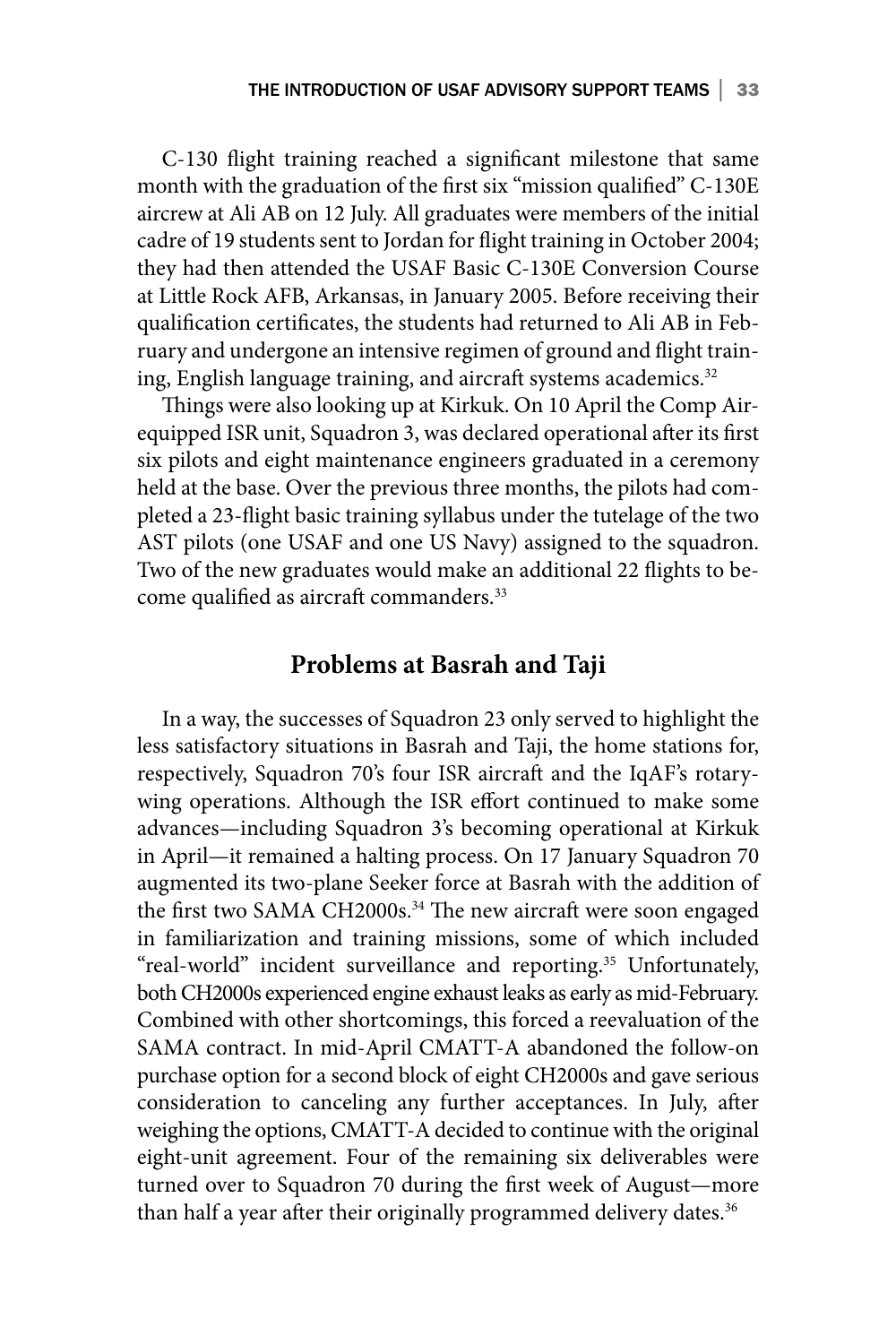C-130 flight training reached a significant milestone that same month with the graduation of the first six "mission qualified" C-130E aircrew at Ali AB on 12 July. All graduates were members of the initial cadre of 19 students sent to Jordan for flight training in October 2004; they had then attended the USAF Basic C-130E Conversion Course at Little Rock AFB, Arkansas, in January 2005. Before receiving their qualification certificates, the students had returned to Ali AB in February and undergone an intensive regimen of ground and flight training, English language training, and aircraft systems academics.<sup>32</sup>

Things were also looking up at Kirkuk. On 10 April the Comp Airequipped ISR unit, Squadron 3, was declared operational after its first six pilots and eight maintenance engineers graduated in a ceremony held at the base. Over the previous three months, the pilots had completed a 23-flight basic training syllabus under the tutelage of the two AST pilots (one USAF and one US Navy) assigned to the squadron. Two of the new graduates would make an additional 22 flights to become qualified as aircraft commanders.<sup>33</sup>

### **Problems at Basrah and Taji**

In a way, the successes of Squadron 23 only served to highlight the less satisfactory situations in Basrah and Taji, the home stations for, respectively, Squadron 70's four ISR aircraft and the IqAF's rotarywing operations. Although the ISR effort continued to make some advances—including Squadron 3's becoming operational at Kirkuk in April—it remained a halting process. On 17 January Squadron 70 augmented its two-plane Seeker force at Basrah with the addition of the first two SAMA CH2000s.<sup>34</sup> The new aircraft were soon engaged in familiarization and training missions, some of which included "real-world" incident surveillance and reporting.<sup>35</sup> Unfortunately, both CH2000s experienced engine exhaust leaks as early as mid-February. Combined with other shortcomings, this forced a reevaluation of the SAMA contract. In mid-April CMATT-A abandoned the follow-on purchase option for a second block of eight CH2000s and gave serious consideration to canceling any further acceptances. In July, after weighing the options, CMATT-A decided to continue with the original eight-unit agreement. Four of the remaining six deliverables were turned over to Squadron 70 during the first week of August—more than half a year after their originally programmed delivery dates.<sup>36</sup>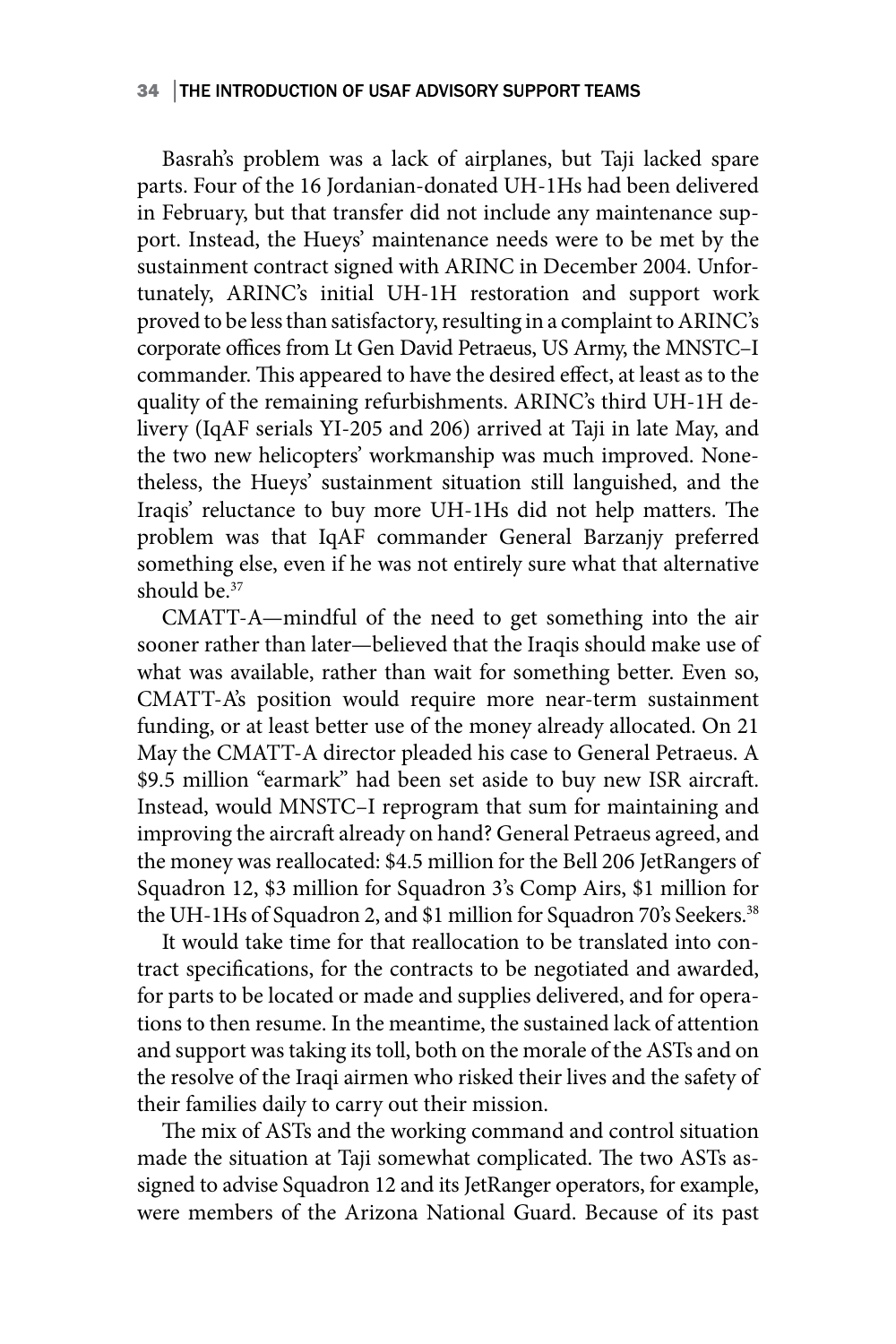### 34 │THE INTRODUCTION OF USAF ADVISORY SUPPORT TEAMS

Basrah's problem was a lack of airplanes, but Taji lacked spare parts. Four of the 16 Jordanian-donated UH-1Hs had been delivered in February, but that transfer did not include any maintenance support. Instead, the Hueys' maintenance needs were to be met by the sustainment contract signed with ARINC in December 2004. Unfortunately, ARINC's initial UH-1H restoration and support work proved to be less than satisfactory, resulting in a complaint to ARINC's corporate offices from Lt Gen David Petraeus, US Army, the MNSTC–I commander. This appeared to have the desired effect, at least as to the quality of the remaining refurbishments. ARINC's third UH-1H delivery (IqAF serials YI-205 and 206) arrived at Taji in late May, and the two new helicopters' workmanship was much improved. Nonetheless, the Hueys' sustainment situation still languished, and the Iraqis' reluctance to buy more UH-1Hs did not help matters. The problem was that IqAF commander General Barzanjy preferred something else, even if he was not entirely sure what that alternative should be.<sup>37</sup>

CMATT-A—mindful of the need to get something into the air sooner rather than later—believed that the Iraqis should make use of what was available, rather than wait for something better. Even so, CMATT-A's position would require more near-term sustainment funding, or at least better use of the money already allocated. On 21 May the CMATT-A director pleaded his case to General Petraeus. A \$9.5 million "earmark" had been set aside to buy new ISR aircraft. Instead, would MNSTC–I reprogram that sum for maintaining and improving the aircraft already on hand? General Petraeus agreed, and the money was reallocated: \$4.5 million for the Bell 206 JetRangers of Squadron 12, \$3 million for Squadron 3's Comp Airs, \$1 million for the UH-1Hs of Squadron 2, and \$1 million for Squadron 70's Seekers.<sup>38</sup>

It would take time for that reallocation to be translated into contract specifications, for the contracts to be negotiated and awarded, for parts to be located or made and supplies delivered, and for operations to then resume. In the meantime, the sustained lack of attention and support was taking its toll, both on the morale of the ASTs and on the resolve of the Iraqi airmen who risked their lives and the safety of their families daily to carry out their mission.

The mix of ASTs and the working command and control situation made the situation at Taji somewhat complicated. The two ASTs assigned to advise Squadron 12 and its JetRanger operators, for example, were members of the Arizona National Guard. Because of its past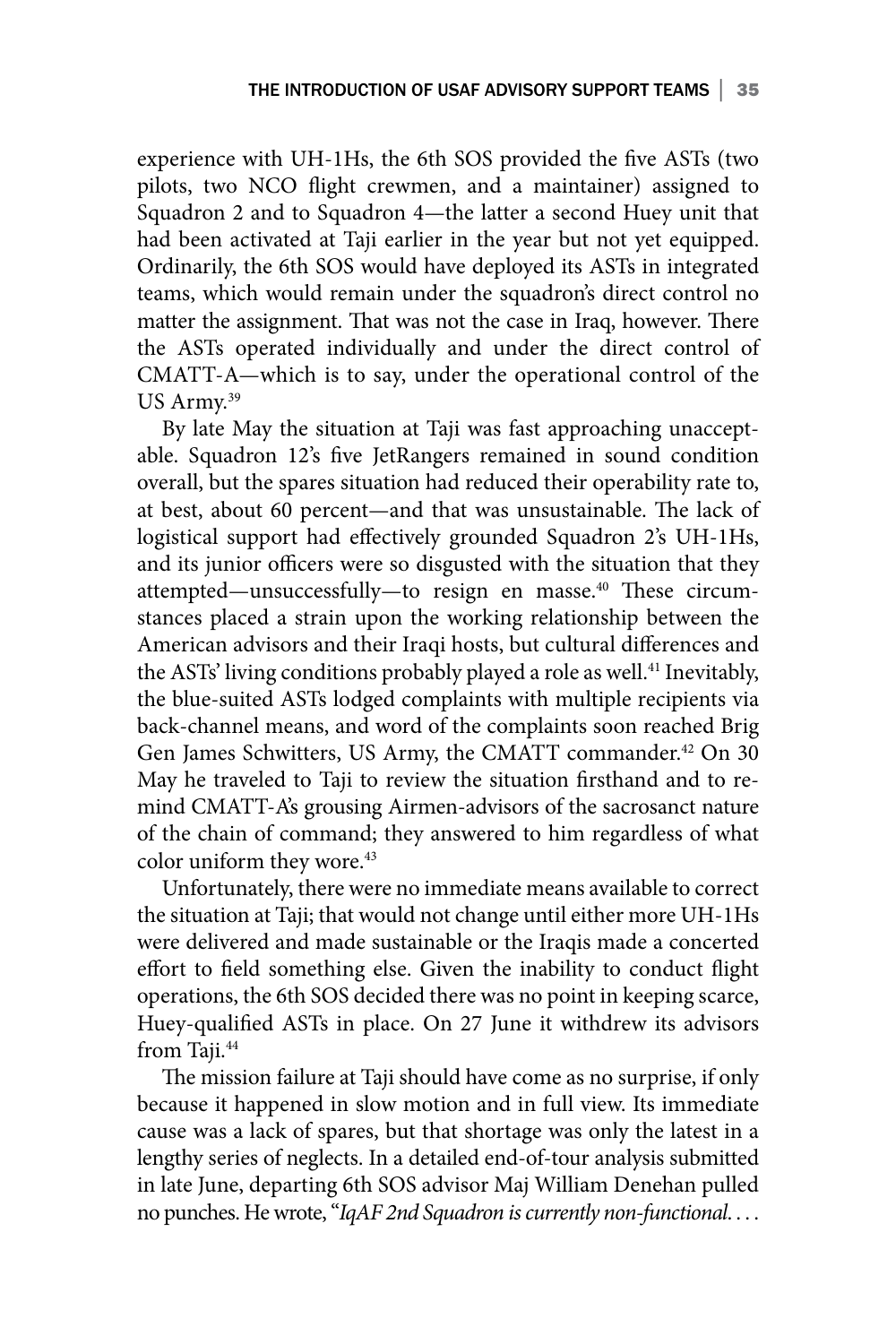experience with UH-1Hs, the 6th SOS provided the five ASTs (two pilots, two NCO flight crewmen, and a maintainer) assigned to Squadron 2 and to Squadron 4—the latter a second Huey unit that had been activated at Taji earlier in the year but not yet equipped. Ordinarily, the 6th SOS would have deployed its ASTs in integrated teams, which would remain under the squadron's direct control no matter the assignment. That was not the case in Iraq, however. There the ASTs operated individually and under the direct control of CMATT-A—which is to say, under the operational control of the US Army.<sup>39</sup>

By late May the situation at Taji was fast approaching unacceptable. Squadron 12's five JetRangers remained in sound condition overall, but the spares situation had reduced their operability rate to, at best, about 60 percent—and that was unsustainable. The lack of logistical support had effectively grounded Squadron 2's UH-1Hs, and its junior officers were so disgusted with the situation that they attempted—unsuccessfully—to resign en masse.<sup>40</sup> These circumstances placed a strain upon the working relationship between the American advisors and their Iraqi hosts, but cultural differences and the ASTs' living conditions probably played a role as well.<sup>41</sup> Inevitably, the blue-suited ASTs lodged complaints with multiple recipients via back-channel means, and word of the complaints soon reached Brig Gen James Schwitters, US Army, the CMATT commander.<sup>42</sup> On 30 May he traveled to Taji to review the situation firsthand and to remind CMATT-A's grousing Airmen-advisors of the sacrosanct nature of the chain of command; they answered to him regardless of what color uniform they wore.<sup>43</sup>

Unfortunately, there were no immediate means available to correct the situation at Taji; that would not change until either more UH-1Hs were delivered and made sustainable or the Iraqis made a concerted effort to field something else. Given the inability to conduct flight operations, the 6th SOS decided there was no point in keeping scarce, Huey-qualified ASTs in place. On 27 June it withdrew its advisors from Taji.<sup>44</sup>

The mission failure at Taji should have come as no surprise, if only because it happened in slow motion and in full view. Its immediate cause was a lack of spares, but that shortage was only the latest in a lengthy series of neglects. In a detailed end-of-tour analysis submitted in late June, departing 6th SOS advisor Maj William Denehan pulled no punches. He wrote, "*IqAF 2nd Squadron is currently non-functional*. . . .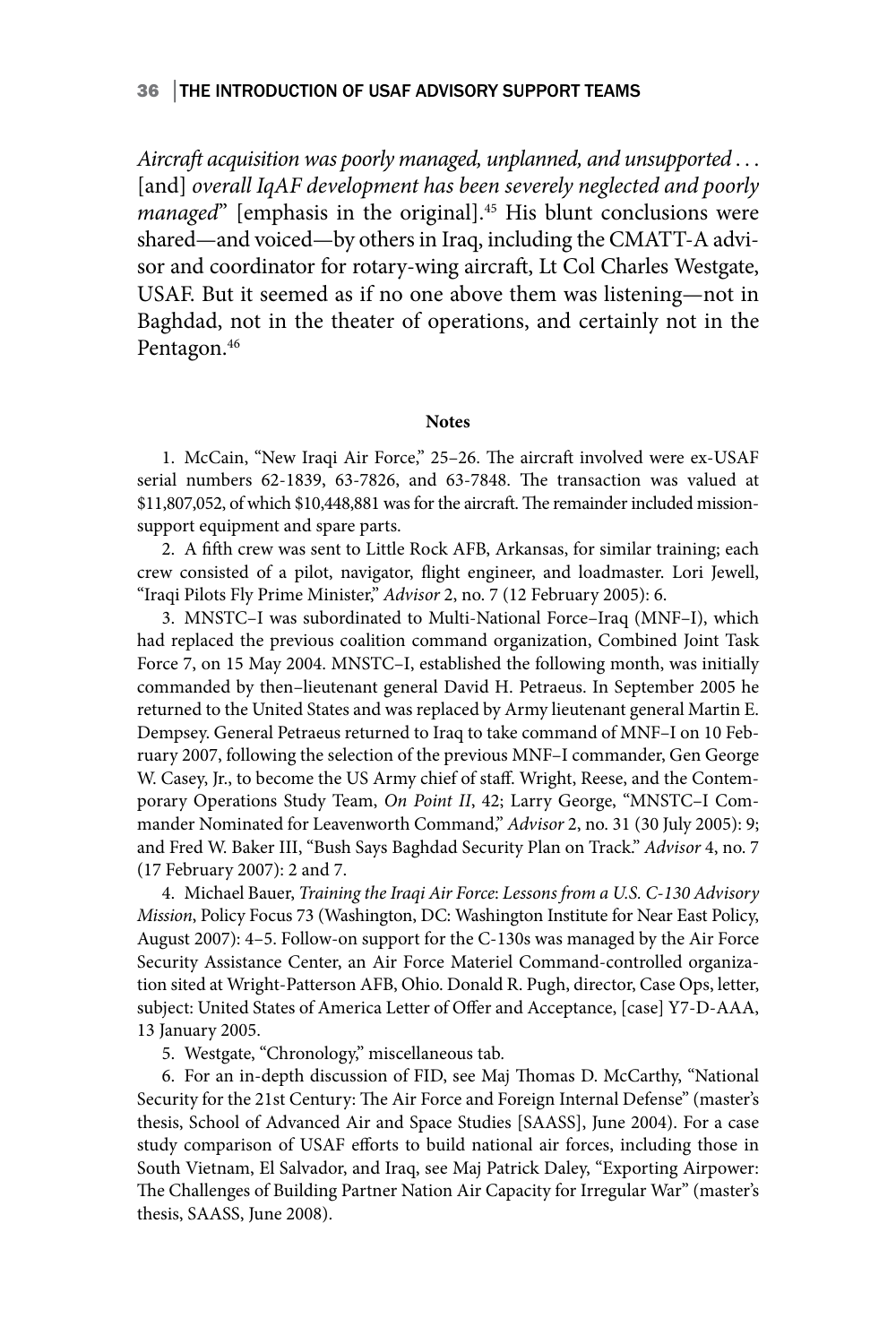### 36 │THE INTRODUCTION OF USAF ADVISORY SUPPORT TEAMS

*Aircraft acquisition was poorly managed, unplanned, and unsupported* . . . [and] *overall IqAF development has been severely neglected and poorly managed*" [emphasis in the original].<sup>45</sup> His blunt conclusions were shared—and voiced—by others in Iraq, including the CMATT-A advisor and coordinator for rotary-wing aircraft, Lt Col Charles Westgate, USAF. But it seemed as if no one above them was listening—not in Baghdad, not in the theater of operations, and certainly not in the Pentagon.<sup>46</sup>

#### **Notes**

1. McCain, "New Iraqi Air Force," 25–26. The aircraft involved were ex-USAF serial numbers 62-1839, 63-7826, and 63-7848. The transaction was valued at \$11,807,052, of which \$10,448,881 was for the aircraft. The remainder included missionsupport equipment and spare parts.

2. A fifth crew was sent to Little Rock AFB, Arkansas, for similar training; each crew consisted of a pilot, navigator, flight engineer, and loadmaster. Lori Jewell, "Iraqi Pilots Fly Prime Minister," *Advisor* 2, no. 7 (12 February 2005): 6.

3. MNSTC–I was subordinated to Multi-National Force–Iraq (MNF–I), which had replaced the previous coalition command organization, Combined Joint Task Force 7, on 15 May 2004. MNSTC–I, established the following month, was initially commanded by then–lieutenant general David H. Petraeus. In September 2005 he returned to the United States and was replaced by Army lieutenant general Martin E. Dempsey. General Petraeus returned to Iraq to take command of MNF–I on 10 February 2007, following the selection of the previous MNF–I commander, Gen George W. Casey, Jr., to become the US Army chief of staff. Wright, Reese, and the Contemporary Operations Study Team, *On Point II*, 42; Larry George, "MNSTC–I Commander Nominated for Leavenworth Command," *Advisor* 2, no. 31 (30 July 2005): 9; and Fred W. Baker III, "Bush Says Baghdad Security Plan on Track." *Advisor* 4, no. 7 (17 February 2007): 2 and 7.

4. Michael Bauer, *Training the Iraqi Air Force*: *Lessons from a U.S. C-130 Advisory Mission*, Policy Focus 73 (Washington, DC: Washington Institute for Near East Policy, August 2007): 4–5. Follow-on support for the C-130s was managed by the Air Force Security Assistance Center, an Air Force Materiel Command-controlled organization sited at Wright-Patterson AFB, Ohio. Donald R. Pugh, director, Case Ops, letter, subject: United States of America Letter of Offer and Acceptance, [case] Y7-D-AAA, 13 January 2005.

5. Westgate, "Chronology," miscellaneous tab*.*

6. For an in-depth discussion of FID, see Maj Thomas D. McCarthy, "National Security for the 21st Century: The Air Force and Foreign Internal Defense" (master's thesis, School of Advanced Air and Space Studies [SAASS], June 2004). For a case study comparison of USAF efforts to build national air forces, including those in South Vietnam, El Salvador, and Iraq, see Maj Patrick Daley, "Exporting Airpower: The Challenges of Building Partner Nation Air Capacity for Irregular War" (master's thesis, SAASS, June 2008).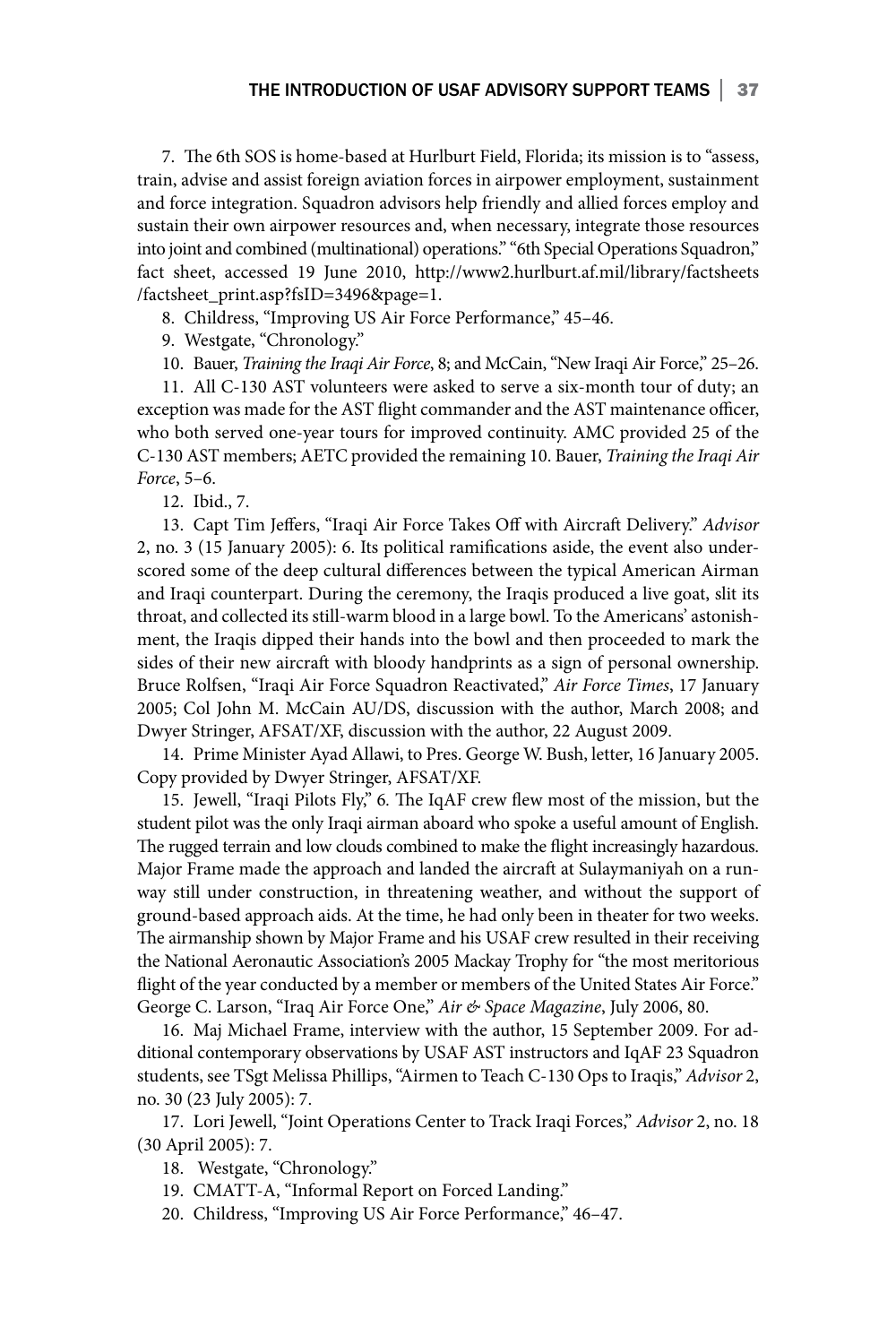7. The 6th SOS is home-based at Hurlburt Field, Florida; its mission is to "assess, train, advise and assist foreign aviation forces in airpower employment, sustainment and force integration. Squadron advisors help friendly and allied forces employ and sustain their own airpower resources and, when necessary, integrate those resources into joint and combined (multinational) operations." "6th Special Operations Squadron," fact sheet, accessed 19 June 2010, http://www2.hurlburt.af.mil/library/factsheets /factsheet\_print.asp?fsID=3496&page=1.

8. Childress, "Improving US Air Force Performance," 45–46.

9. Westgate, "Chronology."

10. Bauer, *Training the Iraqi Air Force*, 8; and McCain, "New Iraqi Air Force," 25–26.

11. All C-130 AST volunteers were asked to serve a six-month tour of duty; an exception was made for the AST flight commander and the AST maintenance officer, who both served one-year tours for improved continuity. AMC provided 25 of the C-130 AST members; AETC provided the remaining 10. Bauer, *Training the Iraqi Air Force*, 5–6.

12. Ibid., 7.

13. Capt Tim Jeffers, "Iraqi Air Force Takes Off with Aircraft Delivery." *Advisor* 2, no. 3 (15 January 2005): 6. Its political ramifications aside, the event also underscored some of the deep cultural differences between the typical American Airman and Iraqi counterpart. During the ceremony, the Iraqis produced a live goat, slit its throat, and collected its still-warm blood in a large bowl. To the Americans' astonishment, the Iraqis dipped their hands into the bowl and then proceeded to mark the sides of their new aircraft with bloody handprints as a sign of personal ownership. Bruce Rolfsen, "Iraqi Air Force Squadron Reactivated," *Air Force Times*, 17 January 2005; Col John M. McCain AU/DS, discussion with the author, March 2008; and Dwyer Stringer, AFSAT/XF, discussion with the author, 22 August 2009.

14. Prime Minister Ayad Allawi, to Pres. George W. Bush, letter, 16 January 2005. Copy provided by Dwyer Stringer, AFSAT/XF.

15. Jewell, "Iraqi Pilots Fly," 6*.* The IqAF crew flew most of the mission, but the student pilot was the only Iraqi airman aboard who spoke a useful amount of English. The rugged terrain and low clouds combined to make the flight increasingly hazardous. Major Frame made the approach and landed the aircraft at Sulaymaniyah on a runway still under construction, in threatening weather, and without the support of ground-based approach aids. At the time, he had only been in theater for two weeks. The airmanship shown by Major Frame and his USAF crew resulted in their receiving the National Aeronautic Association's 2005 Mackay Trophy for "the most meritorious flight of the year conducted by a member or members of the United States Air Force." George C. Larson, "Iraq Air Force One," *Air & Space Magazine*, July 2006, 80.

16. Maj Michael Frame, interview with the author, 15 September 2009. For additional contemporary observations by USAF AST instructors and IqAF 23 Squadron students, see TSgt Melissa Phillips, "Airmen to Teach C-130 Ops to Iraqis," *Advisor* 2, no. 30 (23 July 2005): 7.

17. Lori Jewell, "Joint Operations Center to Track Iraqi Forces," *Advisor* 2, no. 18 (30 April 2005): 7.

- 18. Westgate, "Chronology."
- 19. CMATT-A, "Informal Report on Forced Landing."

20. Childress, "Improving US Air Force Performance," 46–47.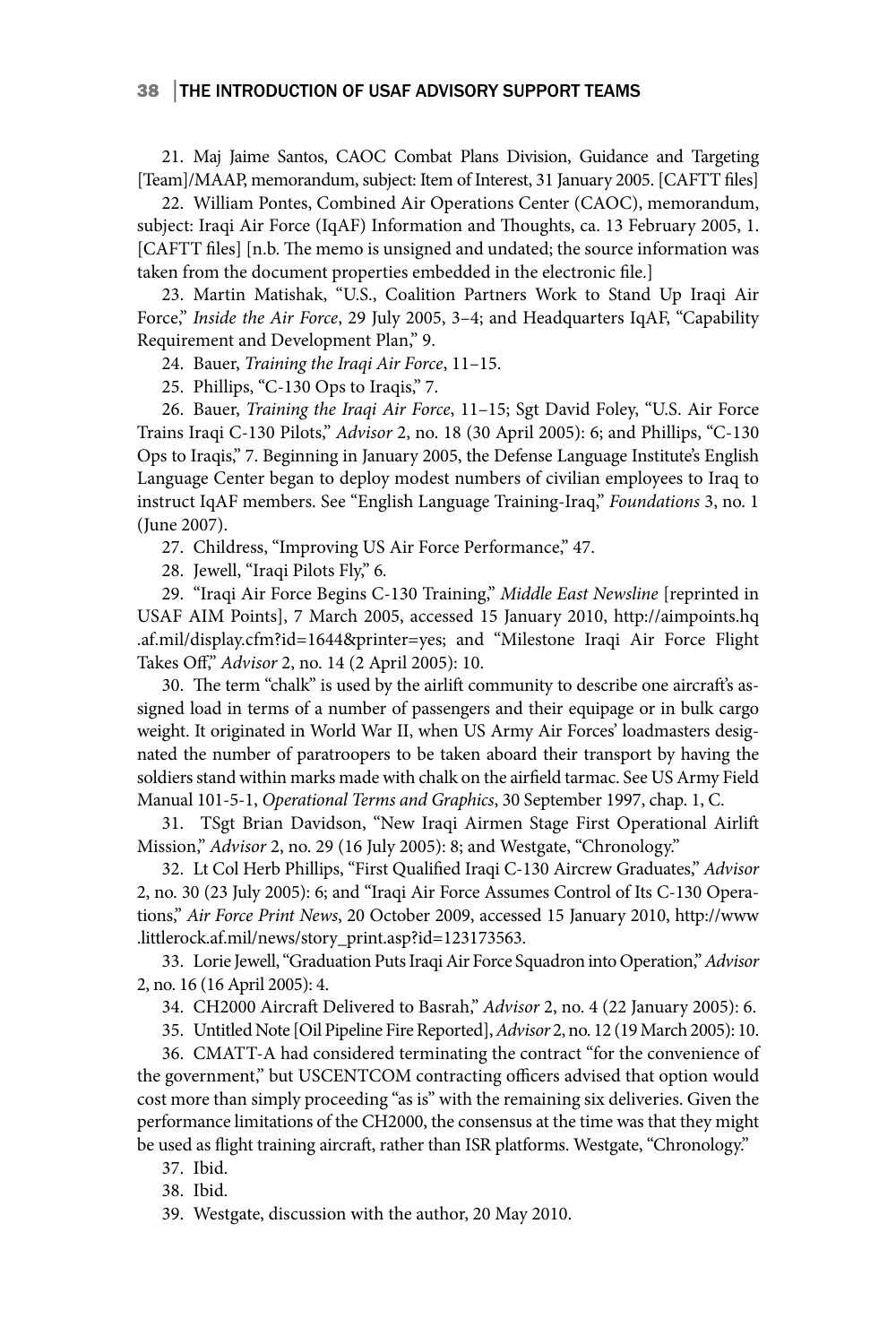### 38 │THE INTRODUCTION OF USAF ADVISORY SUPPORT TEAMS

21. Maj Jaime Santos, CAOC Combat Plans Division, Guidance and Targeting [Team]/MAAP, memorandum, subject: Item of Interest, 31 January 2005. [CAFTT files]

22. William Pontes, Combined Air Operations Center (CAOC), memorandum, subject: Iraqi Air Force (IqAF) Information and Thoughts, ca. 13 February 2005, 1. [CAFTT files] [n.b. The memo is unsigned and undated; the source information was taken from the document properties embedded in the electronic file.]

23. Martin Matishak, "U.S., Coalition Partners Work to Stand Up Iraqi Air Force," *Inside the Air Force*, 29 July 2005, 3–4; and Headquarters IqAF, "Capability Requirement and Development Plan," 9.

24. Bauer, *Training the Iraqi Air Force*, 11–15.

25. Phillips, "C-130 Ops to Iraqis," 7.

26. Bauer, *Training the Iraqi Air Force*, 11–15; Sgt David Foley, "U.S. Air Force Trains Iraqi C-130 Pilots," *Advisor* 2, no. 18 (30 April 2005): 6; and Phillips, "C-130 Ops to Iraqis," 7. Beginning in January 2005, the Defense Language Institute's English Language Center began to deploy modest numbers of civilian employees to Iraq to instruct IqAF members. See "English Language Training-Iraq," *Foundations* 3, no. 1 (June 2007).

27. Childress, "Improving US Air Force Performance," 47.

28. Jewell, "Iraqi Pilots Fly," 6*.*

29. "Iraqi Air Force Begins C-130 Training," *Middle East Newsline* [reprinted in USAF AIM Points], 7 March 2005, accessed 15 January 2010, http://aimpoints.hq .af.mil/display.cfm?id=1644&printer=yes; and "Milestone Iraqi Air Force Flight Takes Off," *Advisor* 2, no. 14 (2 April 2005): 10.

30. The term "chalk" is used by the airlift community to describe one aircraft's assigned load in terms of a number of passengers and their equipage or in bulk cargo weight. It originated in World War II, when US Army Air Forces' loadmasters designated the number of paratroopers to be taken aboard their transport by having the soldiers stand within marks made with chalk on the airfield tarmac. See US Army Field Manual 101-5-1, *Operational Terms and Graphics*, 30 September 1997, chap. 1, C.

31. TSgt Brian Davidson, "New Iraqi Airmen Stage First Operational Airlift Mission," *Advisor* 2, no. 29 (16 July 2005): 8; and Westgate, "Chronology."

32. Lt Col Herb Phillips, "First Qualified Iraqi C-130 Aircrew Graduates," *Advisor* 2, no. 30 (23 July 2005): 6; and "Iraqi Air Force Assumes Control of Its C-130 Operations," *Air Force Print News*, 20 October 2009, accessed 15 January 2010, http://www .littlerock.af.mil/news/story\_print.asp?id=123173563.

33. Lorie Jewell, "Graduation Puts Iraqi Air Force Squadron into Operation," *Advisor* 2, no. 16 (16 April 2005): 4.

34. CH2000 Aircraft Delivered to Basrah," *Advisor* 2, no. 4 (22 January 2005): 6.

35. Untitled Note [Oil Pipeline Fire Reported], *Advisor* 2, no. 12 (19 March 2005): 10.

36. CMATT-A had considered terminating the contract "for the convenience of the government," but USCENTCOM contracting officers advised that option would cost more than simply proceeding "as is" with the remaining six deliveries. Given the performance limitations of the CH2000, the consensus at the time was that they might be used as flight training aircraft, rather than ISR platforms. Westgate, "Chronology."

- 37. Ibid.
- 38. Ibid.

39. Westgate, discussion with the author, 20 May 2010.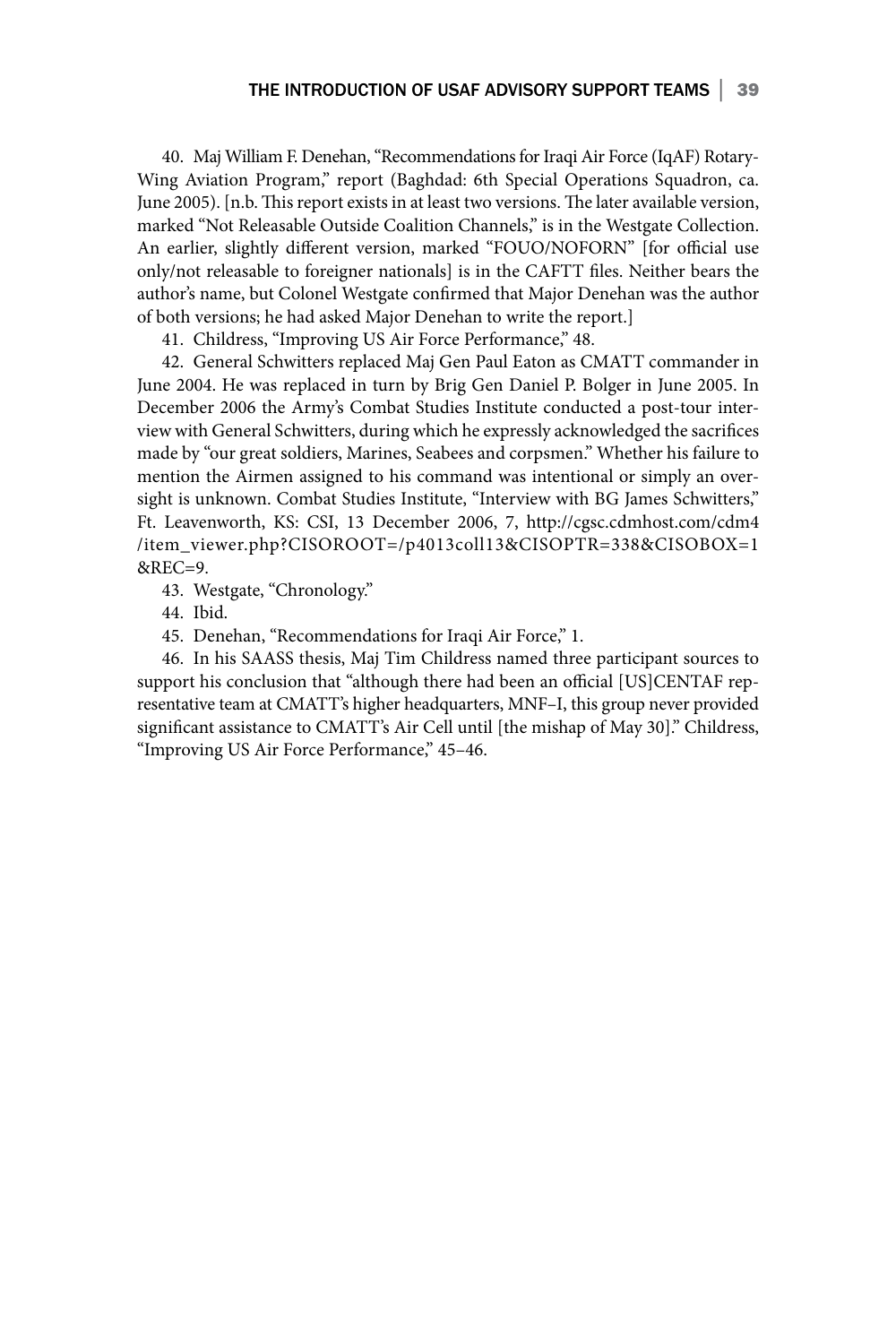40. Maj William F. Denehan, "Recommendations for Iraqi Air Force (IqAF) Rotary-Wing Aviation Program," report (Baghdad: 6th Special Operations Squadron, ca. June 2005). [n.b. This report exists in at least two versions. The later available version, marked "Not Releasable Outside Coalition Channels," is in the Westgate Collection. An earlier, slightly different version, marked "FOUO/NOFORN" [for official use only/not releasable to foreigner nationals] is in the CAFTT files. Neither bears the author's name, but Colonel Westgate confirmed that Major Denehan was the author of both versions; he had asked Major Denehan to write the report.]

41. Childress, "Improving US Air Force Performance," 48.

42. General Schwitters replaced Maj Gen Paul Eaton as CMATT commander in June 2004. He was replaced in turn by Brig Gen Daniel P. Bolger in June 2005. In December 2006 the Army's Combat Studies Institute conducted a post-tour interview with General Schwitters, during which he expressly acknowledged the sacrifices made by "our great soldiers, Marines, Seabees and corpsmen." Whether his failure to mention the Airmen assigned to his command was intentional or simply an oversight is unknown. Combat Studies Institute, "Interview with BG James Schwitters," Ft. Leavenworth, KS: CSI, 13 December 2006, 7, http://cgsc.cdmhost.com/cdm4 /item\_viewer.php?CISOROOT=/p4013coll13&CISOPTR=338&CISOBOX=1 &REC=9.

43. Westgate, "Chronology."

44. Ibid.

45. Denehan, "Recommendations for Iraqi Air Force," 1.

46. In his SAASS thesis, Maj Tim Childress named three participant sources to support his conclusion that "although there had been an official [US]CENTAF representative team at CMATT's higher headquarters, MNF–I, this group never provided significant assistance to CMATT's Air Cell until [the mishap of May 30]." Childress, "Improving US Air Force Performance," 45–46.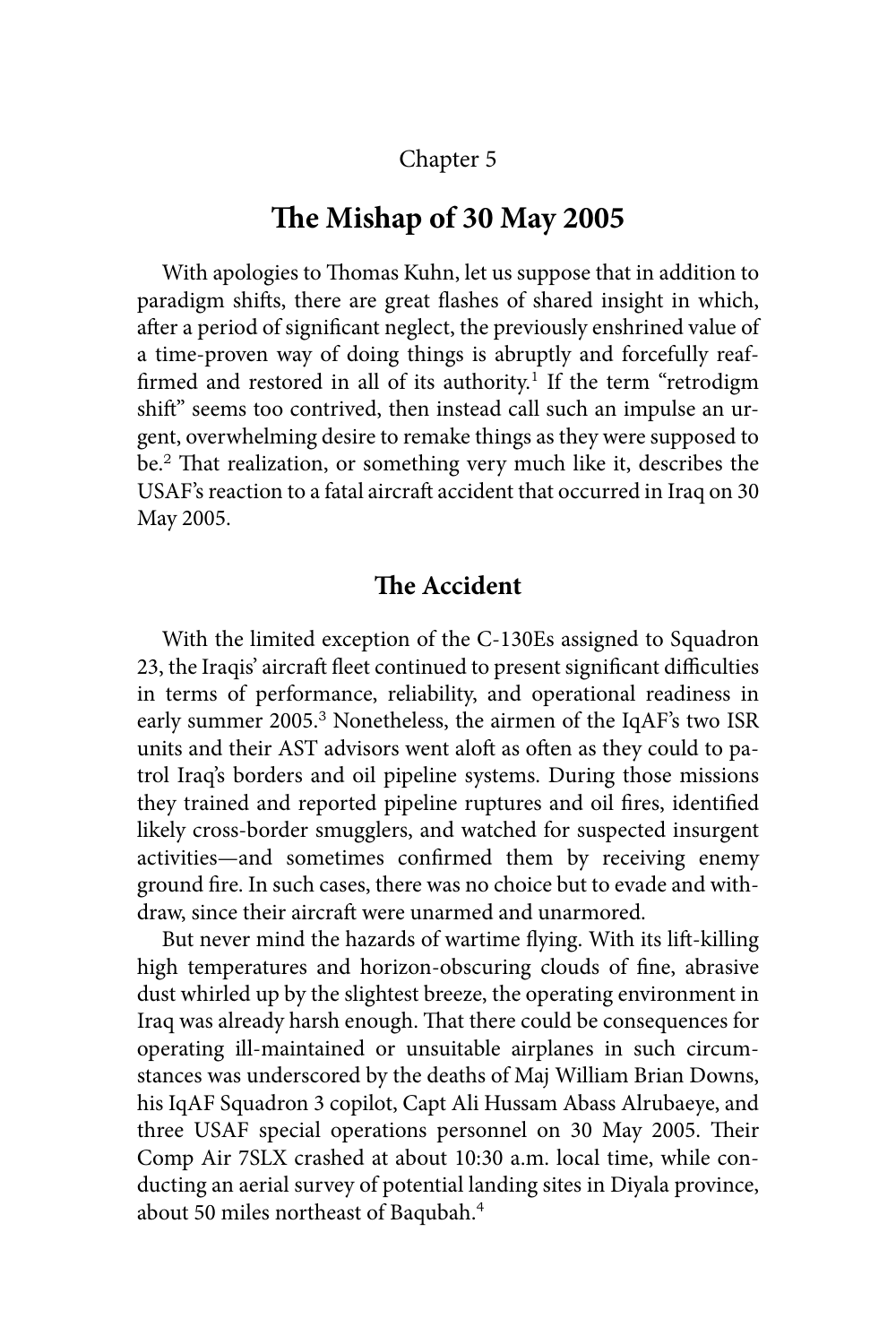# Chapter 5

# **The Mishap of 30 May 2005**

With apologies to Thomas Kuhn, let us suppose that in addition to paradigm shifts, there are great flashes of shared insight in which, after a period of significant neglect, the previously enshrined value of a time-proven way of doing things is abruptly and forcefully reaffirmed and restored in all of its authority.<sup>1</sup> If the term "retrodigm shift" seems too contrived, then instead call such an impulse an urgent, overwhelming desire to remake things as they were supposed to be.<sup>2</sup> That realization, or something very much like it, describes the USAF's reaction to a fatal aircraft accident that occurred in Iraq on 30 May 2005.

### **The Accident**

With the limited exception of the C-130Es assigned to Squadron 23, the Iraqis' aircraft fleet continued to present significant difficulties in terms of performance, reliability, and operational readiness in early summer 2005.<sup>3</sup> Nonetheless, the airmen of the IqAF's two ISR units and their AST advisors went aloft as often as they could to patrol Iraq's borders and oil pipeline systems. During those missions they trained and reported pipeline ruptures and oil fires, identified likely cross-border smugglers, and watched for suspected insurgent activities—and sometimes confirmed them by receiving enemy ground fire. In such cases, there was no choice but to evade and withdraw, since their aircraft were unarmed and unarmored.

But never mind the hazards of wartime flying. With its lift-killing high temperatures and horizon-obscuring clouds of fine, abrasive dust whirled up by the slightest breeze, the operating environment in Iraq was already harsh enough. That there could be consequences for operating ill-maintained or unsuitable airplanes in such circumstances was underscored by the deaths of Maj William Brian Downs, his IqAF Squadron 3 copilot, Capt Ali Hussam Abass Alrubaeye, and three USAF special operations personnel on 30 May 2005. Their Comp Air 7SLX crashed at about 10:30 a.m. local time, while conducting an aerial survey of potential landing sites in Diyala province, about 50 miles northeast of Baqubah.4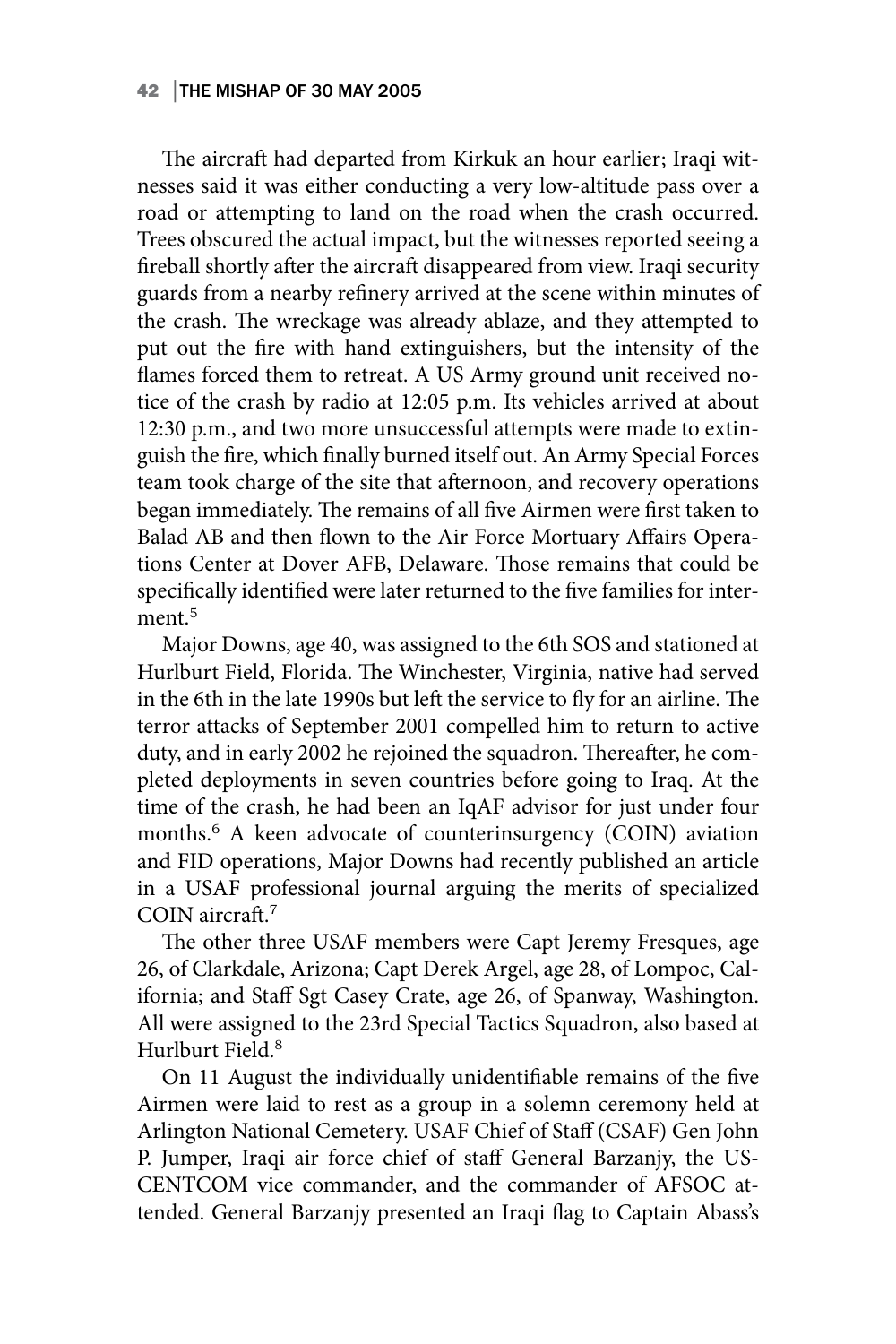### 42 │THE MISHAP OF 30 MAY 2005

The aircraft had departed from Kirkuk an hour earlier; Iraqi witnesses said it was either conducting a very low-altitude pass over a road or attempting to land on the road when the crash occurred. Trees obscured the actual impact, but the witnesses reported seeing a fireball shortly after the aircraft disappeared from view. Iraqi security guards from a nearby refinery arrived at the scene within minutes of the crash. The wreckage was already ablaze, and they attempted to put out the fire with hand extinguishers, but the intensity of the flames forced them to retreat. A US Army ground unit received notice of the crash by radio at 12:05 p.m. Its vehicles arrived at about 12:30 p.m., and two more unsuccessful attempts were made to extinguish the fire, which finally burned itself out. An Army Special Forces team took charge of the site that afternoon, and recovery operations began immediately. The remains of all five Airmen were first taken to Balad AB and then flown to the Air Force Mortuary Affairs Operations Center at Dover AFB, Delaware. Those remains that could be specifically identified were later returned to the five families for interment.<sup>5</sup>

Major Downs, age 40, was assigned to the 6th SOS and stationed at Hurlburt Field, Florida. The Winchester, Virginia, native had served in the 6th in the late 1990s but left the service to fly for an airline. The terror attacks of September 2001 compelled him to return to active duty, and in early 2002 he rejoined the squadron. Thereafter, he completed deployments in seven countries before going to Iraq. At the time of the crash, he had been an IqAF advisor for just under four months.<sup>6</sup> A keen advocate of counterinsurgency (COIN) aviation and FID operations, Major Downs had recently published an article in a USAF professional journal arguing the merits of specialized COIN aircraft.<sup>7</sup>

The other three USAF members were Capt Jeremy Fresques, age 26, of Clarkdale, Arizona; Capt Derek Argel, age 28, of Lompoc, California; and Staff Sgt Casey Crate, age 26, of Spanway, Washington. All were assigned to the 23rd Special Tactics Squadron, also based at Hurlburt Field.<sup>8</sup>

On 11 August the individually unidentifiable remains of the five Airmen were laid to rest as a group in a solemn ceremony held at Arlington National Cemetery. USAF Chief of Staff (CSAF) Gen John P. Jumper, Iraqi air force chief of staff General Barzanjy, the US-CENTCOM vice commander, and the commander of AFSOC attended. General Barzanjy presented an Iraqi flag to Captain Abass's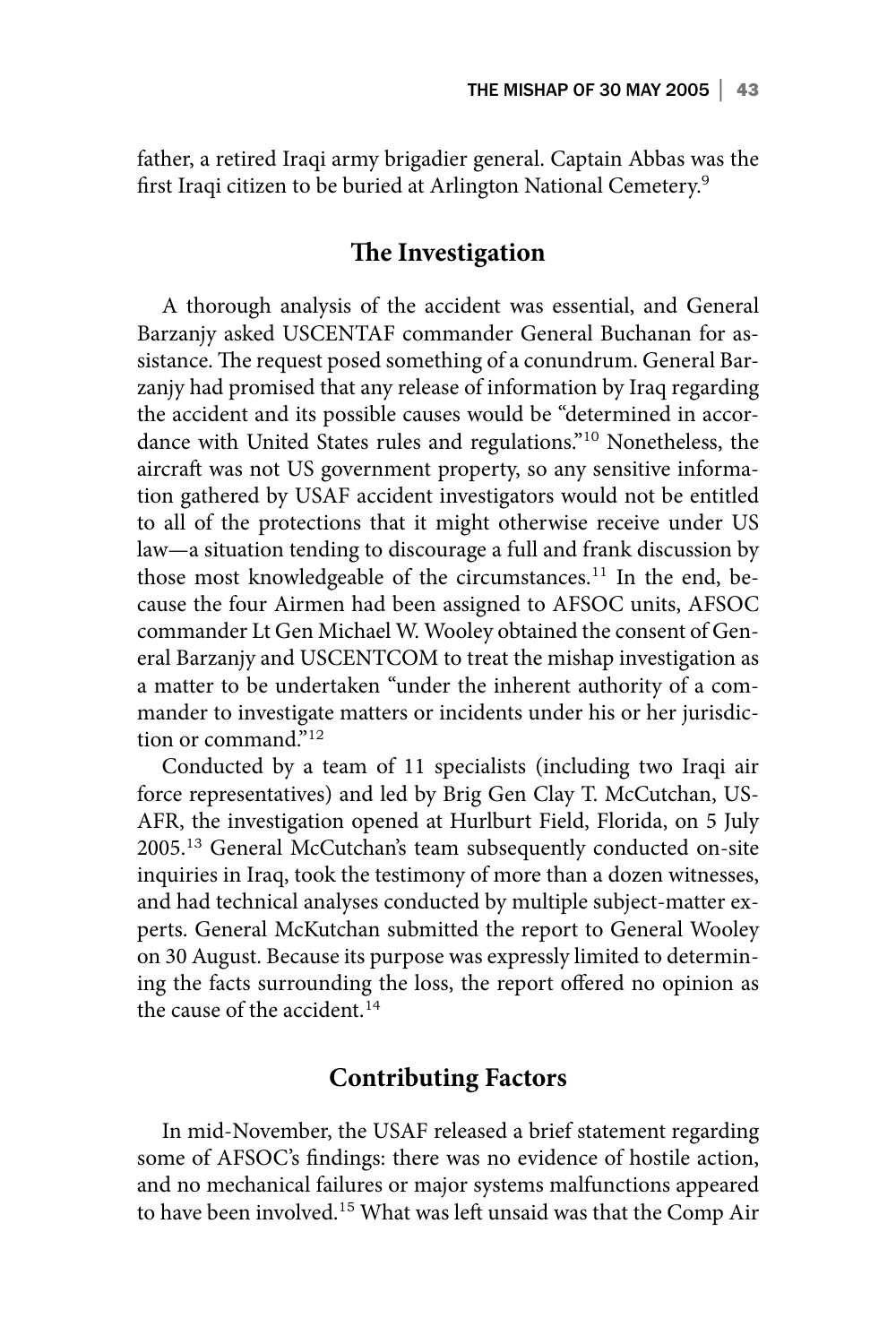father, a retired Iraqi army brigadier general. Captain Abbas was the first Iraqi citizen to be buried at Arlington National Cemetery.<sup>9</sup>

## **The Investigation**

A thorough analysis of the accident was essential, and General Barzanjy asked USCENTAF commander General Buchanan for assistance. The request posed something of a conundrum. General Barzanjy had promised that any release of information by Iraq regarding the accident and its possible causes would be "determined in accordance with United States rules and regulations."<sup>10</sup> Nonetheless, the aircraft was not US government property, so any sensitive information gathered by USAF accident investigators would not be entitled to all of the protections that it might otherwise receive under US law—a situation tending to discourage a full and frank discussion by those most knowledgeable of the circumstances.<sup>11</sup> In the end, because the four Airmen had been assigned to AFSOC units, AFSOC commander Lt Gen Michael W. Wooley obtained the consent of General Barzanjy and USCENTCOM to treat the mishap investigation as a matter to be undertaken "under the inherent authority of a commander to investigate matters or incidents under his or her jurisdiction or command."<sup>12</sup>

Conducted by a team of 11 specialists (including two Iraqi air force representatives) and led by Brig Gen Clay T. McCutchan, US-AFR, the investigation opened at Hurlburt Field, Florida, on 5 July 2005.<sup>13</sup> General McCutchan's team subsequently conducted on-site inquiries in Iraq, took the testimony of more than a dozen witnesses, and had technical analyses conducted by multiple subject-matter experts. General McKutchan submitted the report to General Wooley on 30 August. Because its purpose was expressly limited to determining the facts surrounding the loss, the report offered no opinion as the cause of the accident. $14$ 

### **Contributing Factors**

In mid-November, the USAF released a brief statement regarding some of AFSOC's findings: there was no evidence of hostile action, and no mechanical failures or major systems malfunctions appeared to have been involved.15 What was left unsaid was that the Comp Air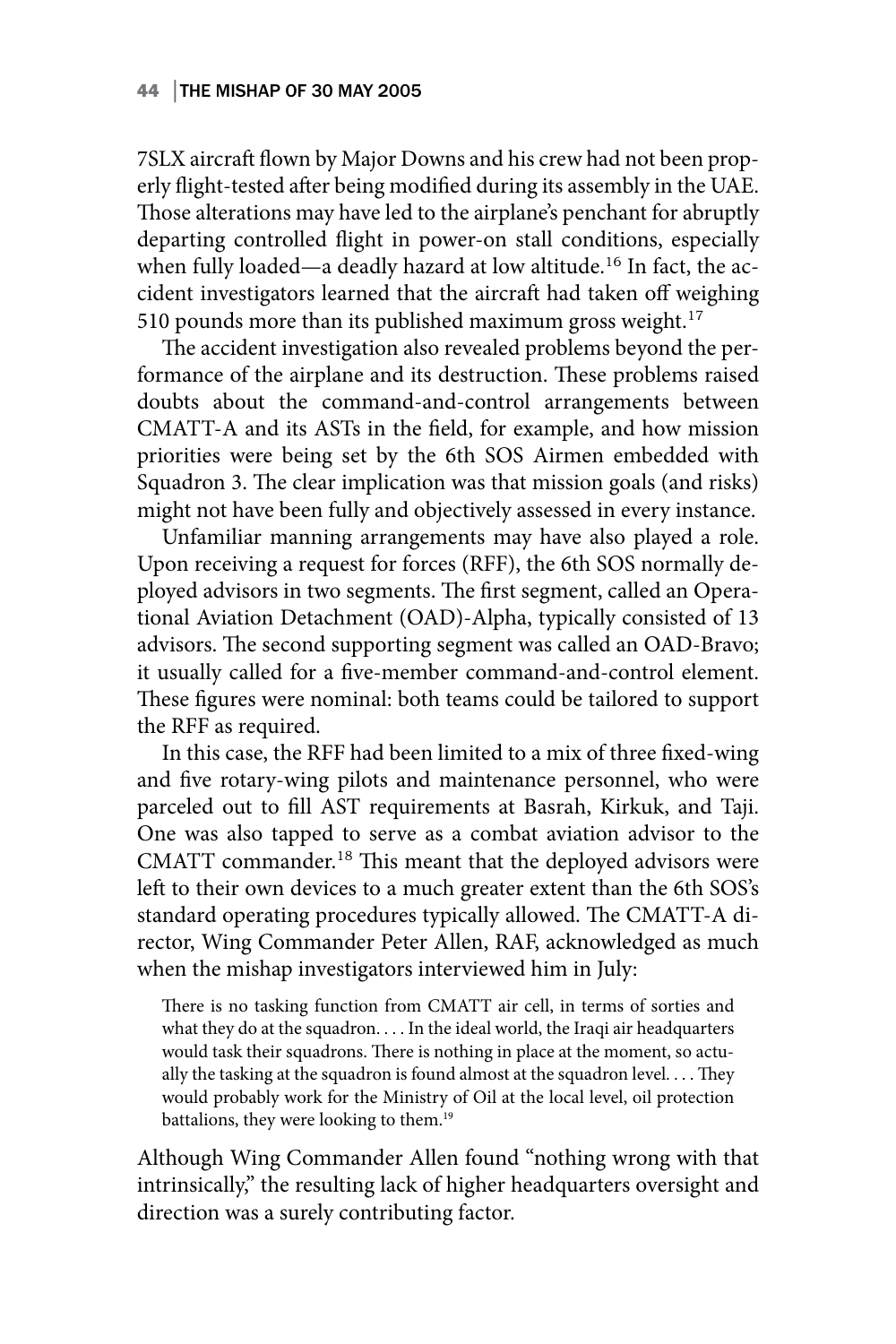7SLX aircraft flown by Major Downs and his crew had not been properly flight-tested after being modified during its assembly in the UAE. Those alterations may have led to the airplane's penchant for abruptly departing controlled flight in power-on stall conditions, especially when fully loaded—a deadly hazard at low altitude.<sup>16</sup> In fact, the accident investigators learned that the aircraft had taken off weighing 510 pounds more than its published maximum gross weight. $17$ 

The accident investigation also revealed problems beyond the performance of the airplane and its destruction. These problems raised doubts about the command-and-control arrangements between CMATT-A and its ASTs in the field, for example, and how mission priorities were being set by the 6th SOS Airmen embedded with Squadron 3. The clear implication was that mission goals (and risks) might not have been fully and objectively assessed in every instance.

Unfamiliar manning arrangements may have also played a role. Upon receiving a request for forces (RFF), the 6th SOS normally deployed advisors in two segments. The first segment, called an Operational Aviation Detachment (OAD)-Alpha, typically consisted of 13 advisors. The second supporting segment was called an OAD-Bravo; it usually called for a five-member command-and-control element. These figures were nominal: both teams could be tailored to support the RFF as required.

In this case, the RFF had been limited to a mix of three fixed-wing and five rotary-wing pilots and maintenance personnel, who were parceled out to fill AST requirements at Basrah, Kirkuk, and Taji. One was also tapped to serve as a combat aviation advisor to the CMATT commander.<sup>18</sup> This meant that the deployed advisors were left to their own devices to a much greater extent than the 6th SOS's standard operating procedures typically allowed. The CMATT-A director, Wing Commander Peter Allen, RAF, acknowledged as much when the mishap investigators interviewed him in July:

There is no tasking function from CMATT air cell, in terms of sorties and what they do at the squadron. . . . In the ideal world, the Iraqi air headquarters would task their squadrons. There is nothing in place at the moment, so actually the tasking at the squadron is found almost at the squadron level. . . . They would probably work for the Ministry of Oil at the local level, oil protection battalions, they were looking to them.<sup>19</sup>

Although Wing Commander Allen found "nothing wrong with that intrinsically," the resulting lack of higher headquarters oversight and direction was a surely contributing factor.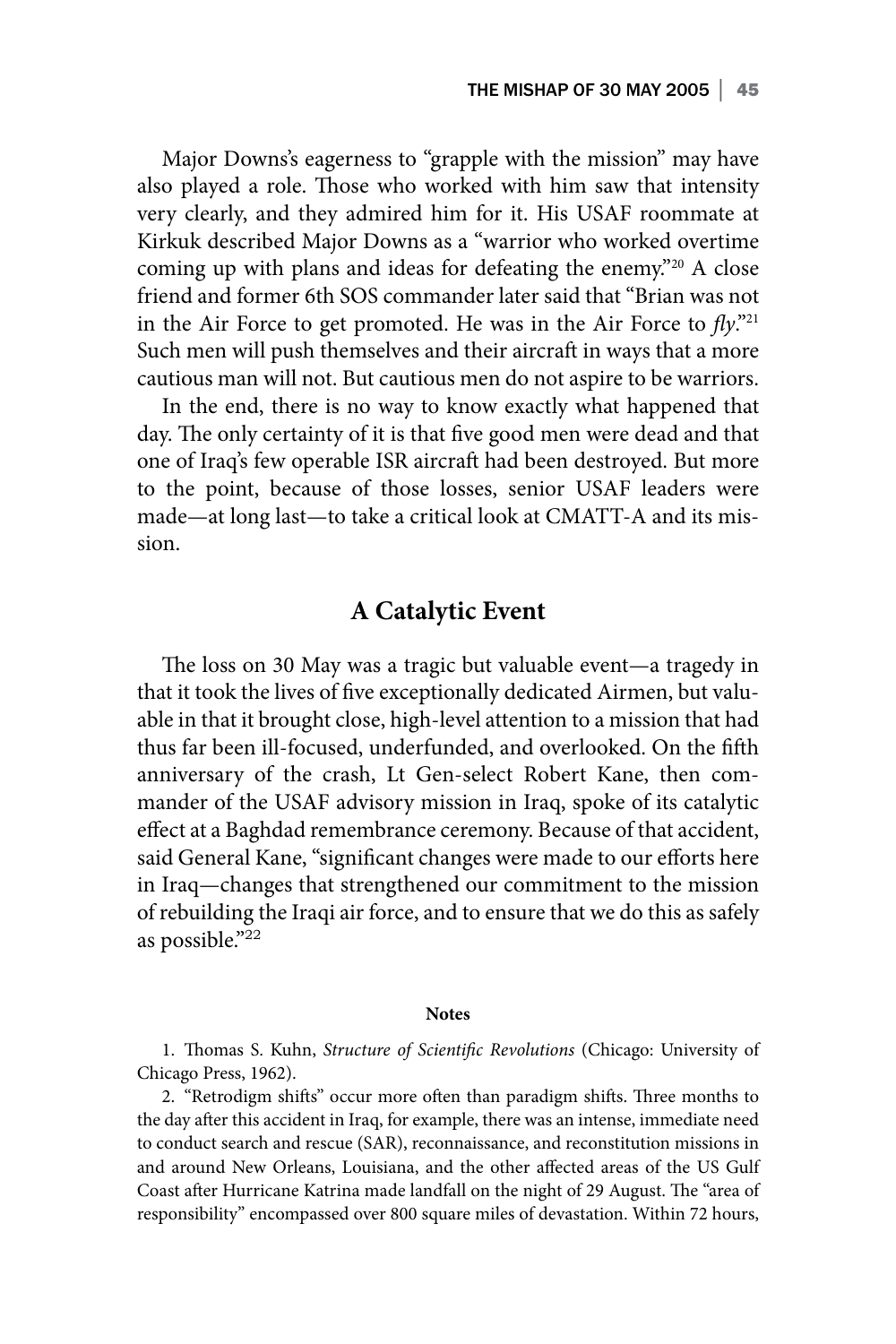Major Downs's eagerness to "grapple with the mission" may have also played a role. Those who worked with him saw that intensity very clearly, and they admired him for it. His USAF roommate at Kirkuk described Major Downs as a "warrior who worked overtime coming up with plans and ideas for defeating the enemy."20 A close friend and former 6th SOS commander later said that "Brian was not in the Air Force to get promoted. He was in the Air Force to  $fly.^{n_{21}}$ Such men will push themselves and their aircraft in ways that a more cautious man will not. But cautious men do not aspire to be warriors.

In the end, there is no way to know exactly what happened that day. The only certainty of it is that five good men were dead and that one of Iraq's few operable ISR aircraft had been destroyed. But more to the point, because of those losses, senior USAF leaders were made—at long last—to take a critical look at CMATT-A and its mission.

### **A Catalytic Event**

The loss on 30 May was a tragic but valuable event—a tragedy in that it took the lives of five exceptionally dedicated Airmen, but valuable in that it brought close, high-level attention to a mission that had thus far been ill-focused, underfunded, and overlooked. On the fifth anniversary of the crash, Lt Gen-select Robert Kane, then commander of the USAF advisory mission in Iraq, spoke of its catalytic effect at a Baghdad remembrance ceremony. Because of that accident, said General Kane, "significant changes were made to our efforts here in Iraq—changes that strengthened our commitment to the mission of rebuilding the Iraqi air force, and to ensure that we do this as safely as possible."<sup>22</sup>

### **Notes**

1. Thomas S. Kuhn, *Structure of Scientific Revolutions* (Chicago: University of Chicago Press, 1962).

2. "Retrodigm shifts" occur more often than paradigm shifts. Three months to the day after this accident in Iraq, for example, there was an intense, immediate need to conduct search and rescue (SAR), reconnaissance, and reconstitution missions in and around New Orleans, Louisiana, and the other affected areas of the US Gulf Coast after Hurricane Katrina made landfall on the night of 29 August. The "area of responsibility" encompassed over 800 square miles of devastation. Within 72 hours,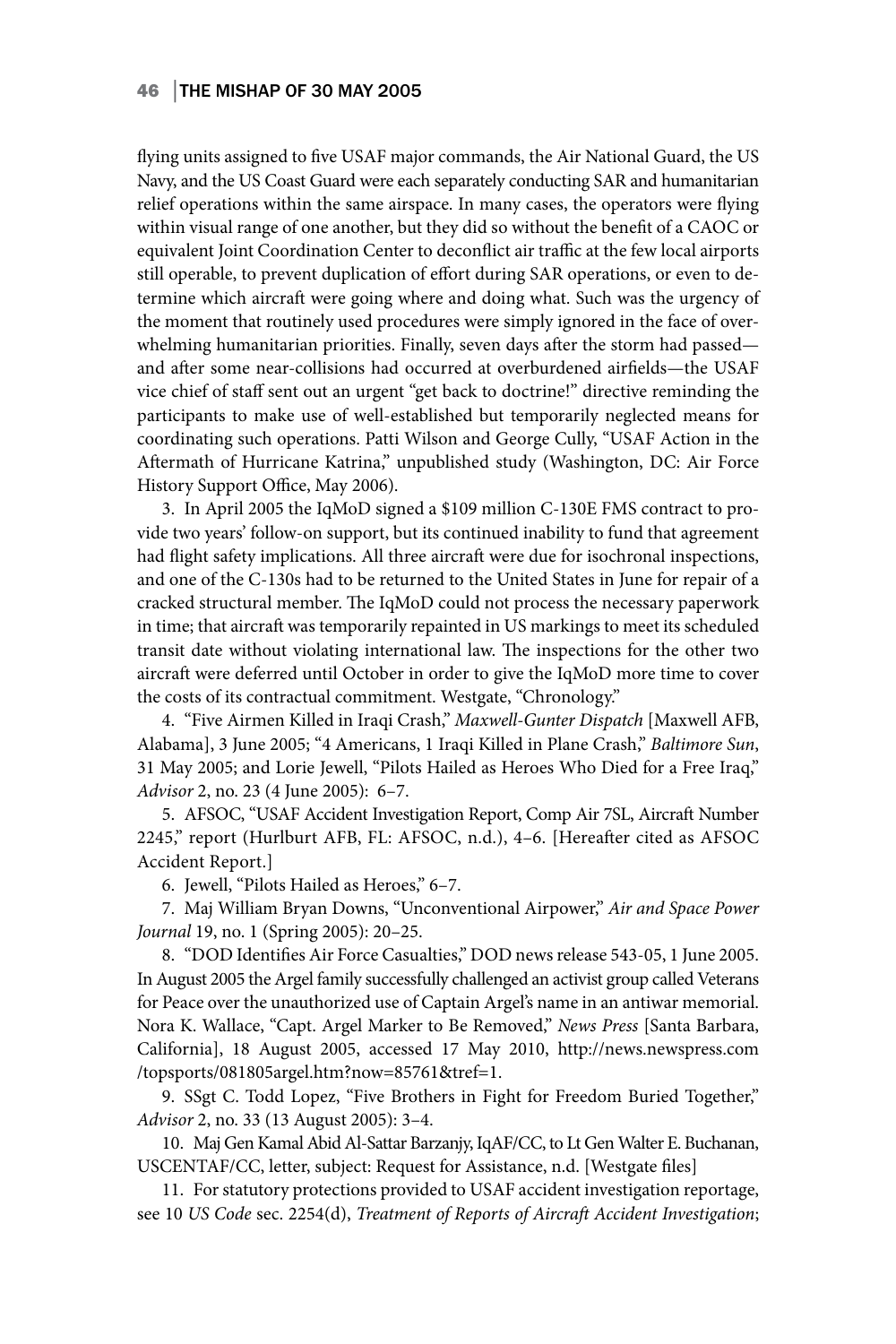### 46 │THE MISHAP OF 30 MAY 2005

flying units assigned to five USAF major commands, the Air National Guard, the US Navy, and the US Coast Guard were each separately conducting SAR and humanitarian relief operations within the same airspace. In many cases, the operators were flying within visual range of one another, but they did so without the benefit of a CAOC or equivalent Joint Coordination Center to deconflict air traffic at the few local airports still operable, to prevent duplication of effort during SAR operations, or even to determine which aircraft were going where and doing what. Such was the urgency of the moment that routinely used procedures were simply ignored in the face of overwhelming humanitarian priorities. Finally, seven days after the storm had passed and after some near-collisions had occurred at overburdened airfields—the USAF vice chief of staff sent out an urgent "get back to doctrine!" directive reminding the participants to make use of well-established but temporarily neglected means for coordinating such operations. Patti Wilson and George Cully, "USAF Action in the Aftermath of Hurricane Katrina," unpublished study (Washington, DC: Air Force History Support Office, May 2006).

3. In April 2005 the IqMoD signed a \$109 million C-130E FMS contract to provide two years' follow-on support, but its continued inability to fund that agreement had flight safety implications. All three aircraft were due for isochronal inspections, and one of the C-130s had to be returned to the United States in June for repair of a cracked structural member. The IqMoD could not process the necessary paperwork in time; that aircraft was temporarily repainted in US markings to meet its scheduled transit date without violating international law. The inspections for the other two aircraft were deferred until October in order to give the IqMoD more time to cover the costs of its contractual commitment. Westgate, "Chronology."

4. "Five Airmen Killed in Iraqi Crash," *Maxwell-Gunter Dispatch* [Maxwell AFB, Alabama], 3 June 2005; "4 Americans, 1 Iraqi Killed in Plane Crash," *Baltimore Sun*, 31 May 2005; and Lorie Jewell, "Pilots Hailed as Heroes Who Died for a Free Iraq," *Advisor* 2, no. 23 (4 June 2005): 6–7.

5. AFSOC, "USAF Accident Investigation Report, Comp Air 7SL, Aircraft Number 2245," report (Hurlburt AFB, FL: AFSOC, n.d.), 4–6. [Hereafter cited as AFSOC Accident Report.]

6. Jewell, "Pilots Hailed as Heroes," 6–7.

7. Maj William Bryan Downs, "Unconventional Airpower," *Air and Space Power Journal* 19, no. 1 (Spring 2005): 20–25.

8. "DOD Identifies Air Force Casualties," DOD news release 543-05, 1 June 2005. In August 2005 the Argel family successfully challenged an activist group called Veterans for Peace over the unauthorized use of Captain Argel's name in an antiwar memorial. Nora K. Wallace, "Capt. Argel Marker to Be Removed," *News Press* [Santa Barbara, California], 18 August 2005, accessed 17 May 2010, http://news.newspress.com /topsports/081805argel.htm?now=85761&tref=1.

9. SSgt C. Todd Lopez, "Five Brothers in Fight for Freedom Buried Together," *Advisor* 2, no. 33 (13 August 2005): 3–4.

10. Maj Gen Kamal Abid Al-Sattar Barzanjy, IqAF/CC, to Lt Gen Walter E. Buchanan, USCENTAF/CC, letter, subject: Request for Assistance, n.d. [Westgate files]

11. For statutory protections provided to USAF accident investigation reportage, see 10 *US Code* sec. 2254(d), *Treatment of Reports of Aircraft Accident Investigation*;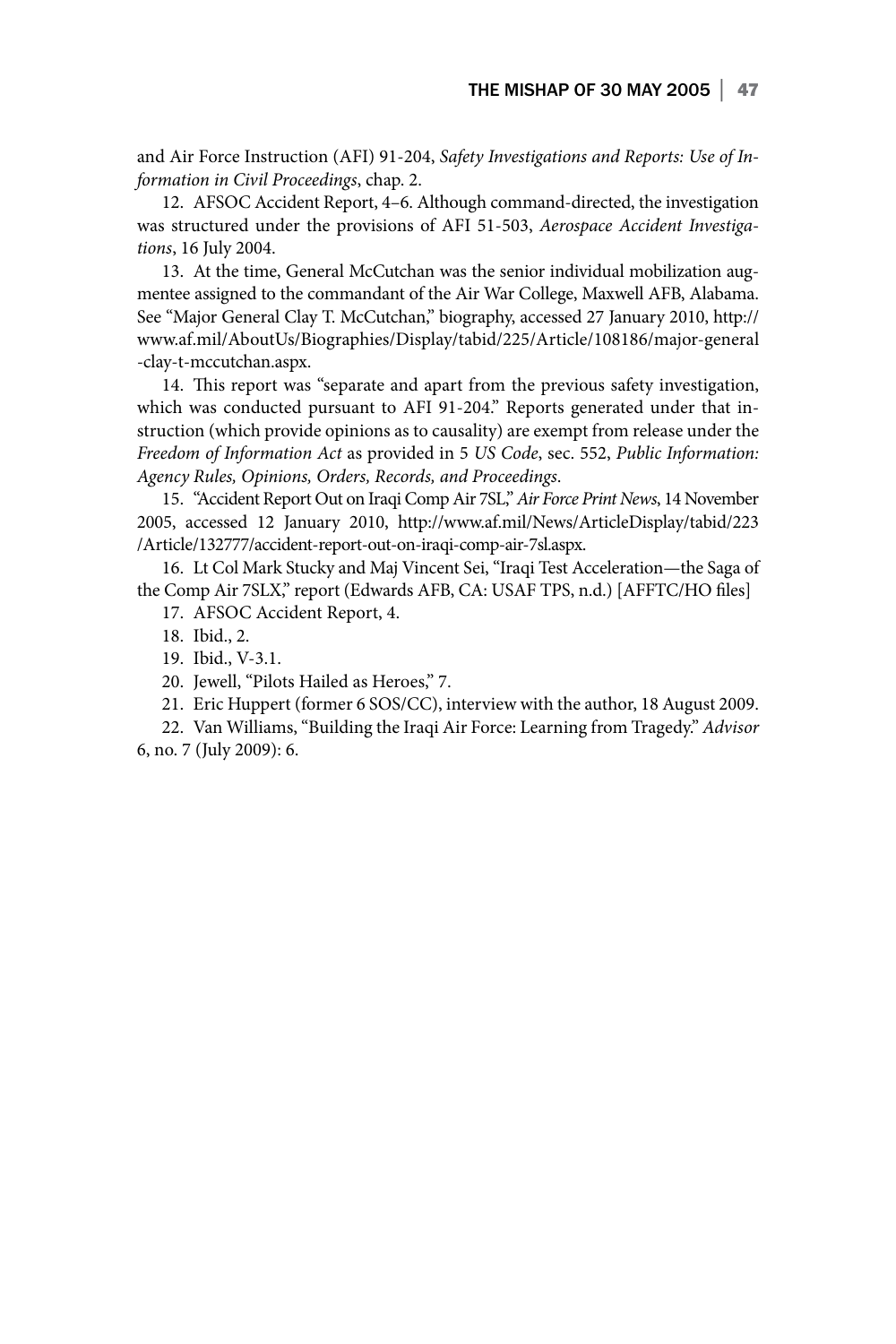and Air Force Instruction (AFI) 91-204, *Safety Investigations and Reports: Use of Information in Civil Proceedings*, chap. 2.

12. AFSOC Accident Report, 4–6. Although command-directed, the investigation was structured under the provisions of AFI 51-503, *Aerospace Accident Investigations*, 16 July 2004.

13. At the time, General McCutchan was the senior individual mobilization augmentee assigned to the commandant of the Air War College, Maxwell AFB, Alabama. See "Major General Clay T. McCutchan," biography, accessed 27 January 2010, http:// www.af.mil/AboutUs/Biographies/Display/tabid/225/Article/108186/major-general -clay-t-mccutchan.aspx.

14. This report was "separate and apart from the previous safety investigation, which was conducted pursuant to AFI 91-204." Reports generated under that instruction (which provide opinions as to causality) are exempt from release under the *Freedom of Information Act* as provided in 5 *US Code*, sec. 552, *Public Information: Agency Rules, Opinions, Orders, Records, and Proceedings*.

15. "Accident Report Out on Iraqi Comp Air 7SL," *Air Force Print News*, 14 November 2005, accessed 12 January 2010, http://www.af.mil/News/ArticleDisplay/tabid/223 /Article/132777/accident-report-out-on-iraqi-comp-air-7sl.aspx.

16. Lt Col Mark Stucky and Maj Vincent Sei, "Iraqi Test Acceleration—the Saga of the Comp Air 7SLX," report (Edwards AFB, CA: USAF TPS, n.d.) [AFFTC/HO files]

17. AFSOC Accident Report, 4.

18. Ibid., 2.

19. Ibid., V-3.1.

20. Jewell, "Pilots Hailed as Heroes," 7.

21. Eric Huppert (former 6 SOS/CC), interview with the author, 18 August 2009.

22. Van Williams, "Building the Iraqi Air Force: Learning from Tragedy." *Advisor* 6, no. 7 (July 2009): 6.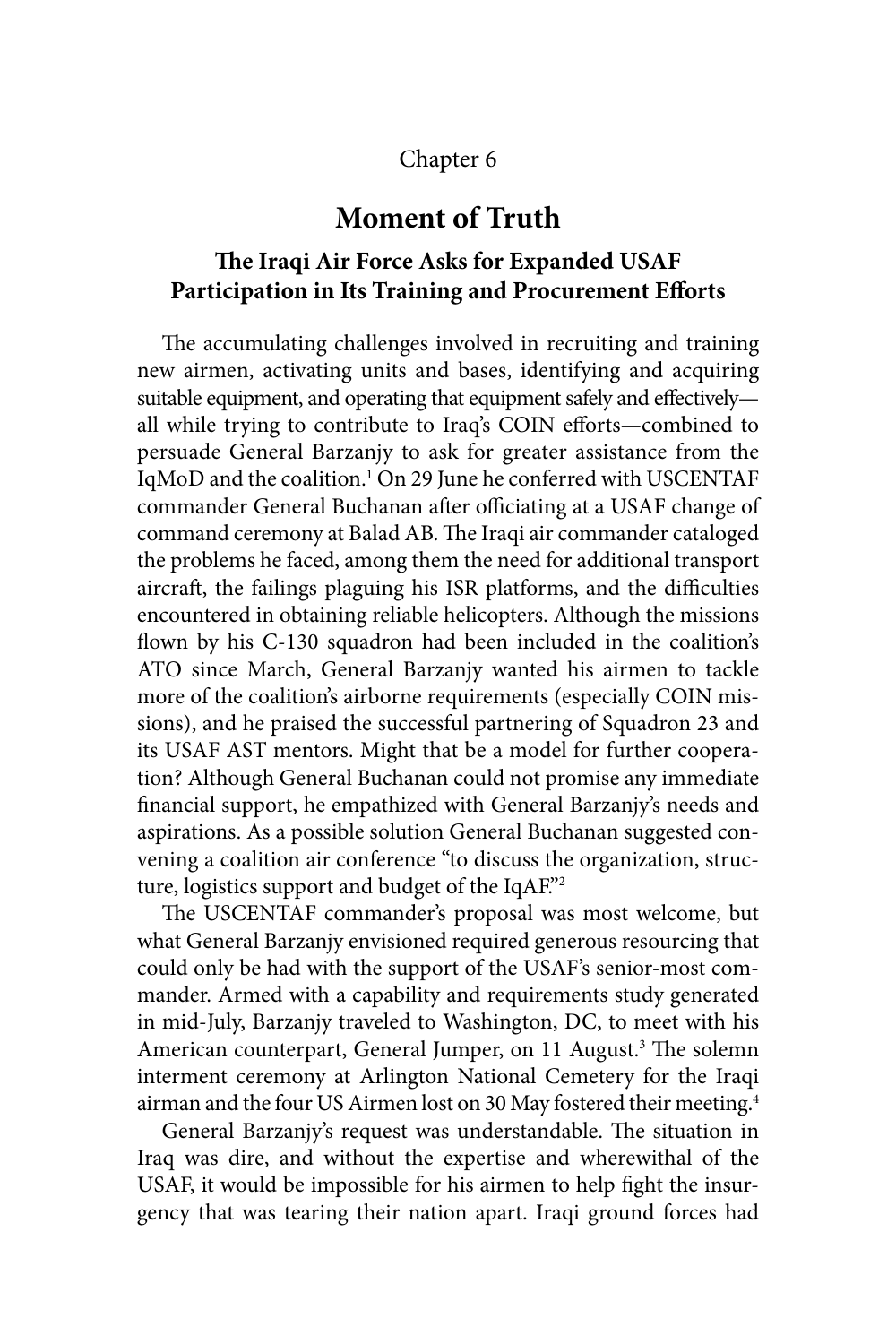## Chapter 6

# **Moment of Truth**

# **The Iraqi Air Force Asks for Expanded USAF Participation in Its Training and Procurement Efforts**

The accumulating challenges involved in recruiting and training new airmen, activating units and bases, identifying and acquiring suitable equipment, and operating that equipment safely and effectively all while trying to contribute to Iraq's COIN efforts—combined to persuade General Barzanjy to ask for greater assistance from the IqMoD and the coalition.1 On 29 June he conferred with USCENTAF commander General Buchanan after officiating at a USAF change of command ceremony at Balad AB. The Iraqi air commander cataloged the problems he faced, among them the need for additional transport aircraft, the failings plaguing his ISR platforms, and the difficulties encountered in obtaining reliable helicopters. Although the missions flown by his C-130 squadron had been included in the coalition's ATO since March, General Barzanjy wanted his airmen to tackle more of the coalition's airborne requirements (especially COIN missions), and he praised the successful partnering of Squadron 23 and its USAF AST mentors. Might that be a model for further cooperation? Although General Buchanan could not promise any immediate financial support, he empathized with General Barzanjy's needs and aspirations. As a possible solution General Buchanan suggested convening a coalition air conference "to discuss the organization, structure, logistics support and budget of the IqAF."2

The USCENTAF commander's proposal was most welcome, but what General Barzanjy envisioned required generous resourcing that could only be had with the support of the USAF's senior-most commander. Armed with a capability and requirements study generated in mid-July, Barzanjy traveled to Washington, DC, to meet with his American counterpart, General Jumper, on 11 August.<sup>3</sup> The solemn interment ceremony at Arlington National Cemetery for the Iraqi airman and the four US Airmen lost on 30 May fostered their meeting.4

General Barzanjy's request was understandable. The situation in Iraq was dire, and without the expertise and wherewithal of the USAF, it would be impossible for his airmen to help fight the insurgency that was tearing their nation apart. Iraqi ground forces had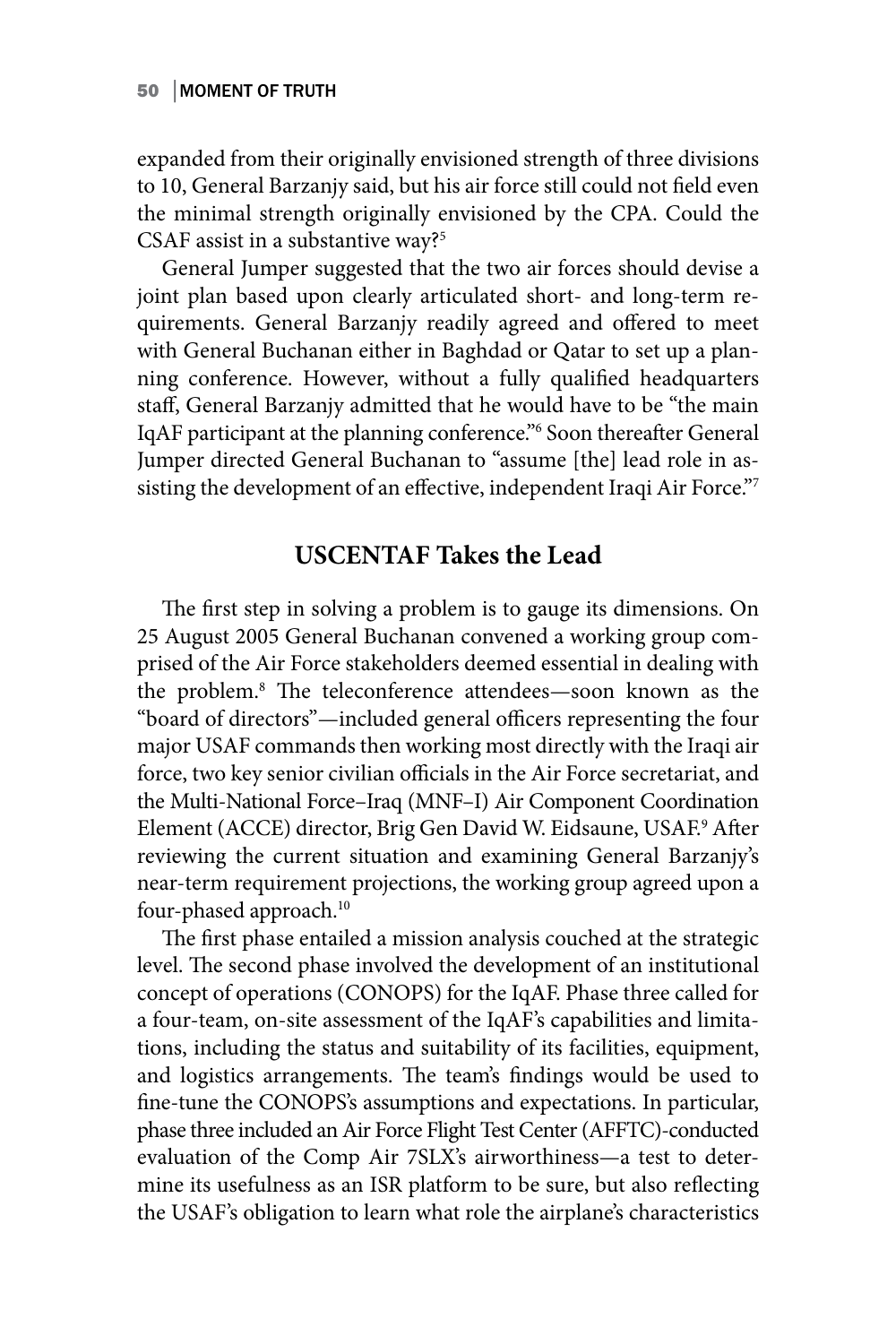expanded from their originally envisioned strength of three divisions to 10, General Barzanjy said, but his air force still could not field even the minimal strength originally envisioned by the CPA. Could the CSAF assist in a substantive way?<sup>5</sup>

General Jumper suggested that the two air forces should devise a joint plan based upon clearly articulated short- and long-term requirements. General Barzanjy readily agreed and offered to meet with General Buchanan either in Baghdad or Qatar to set up a planning conference. However, without a fully qualified headquarters staff, General Barzanjy admitted that he would have to be "the main IqAF participant at the planning conference."6 Soon thereafter General Jumper directed General Buchanan to "assume [the] lead role in assisting the development of an effective, independent Iraqi Air Force."7

## **USCENTAF Takes the Lead**

The first step in solving a problem is to gauge its dimensions. On 25 August 2005 General Buchanan convened a working group comprised of the Air Force stakeholders deemed essential in dealing with the problem.8 The teleconference attendees—soon known as the "board of directors"—included general officers representing the four major USAF commands then working most directly with the Iraqi air force, two key senior civilian officials in the Air Force secretariat, and the Multi-National Force–Iraq (MNF–I) Air Component Coordination Element (ACCE) director, Brig Gen David W. Eidsaune, USAF.<sup>9</sup> After reviewing the current situation and examining General Barzanjy's near-term requirement projections, the working group agreed upon a four-phased approach.<sup>10</sup>

The first phase entailed a mission analysis couched at the strategic level. The second phase involved the development of an institutional concept of operations (CONOPS) for the IqAF. Phase three called for a four-team, on-site assessment of the IqAF's capabilities and limitations, including the status and suitability of its facilities, equipment, and logistics arrangements. The team's findings would be used to fine-tune the CONOPS's assumptions and expectations. In particular, phase three included an Air Force Flight Test Center (AFFTC)-conducted evaluation of the Comp Air 7SLX's airworthiness—a test to determine its usefulness as an ISR platform to be sure, but also reflecting the USAF's obligation to learn what role the airplane's characteristics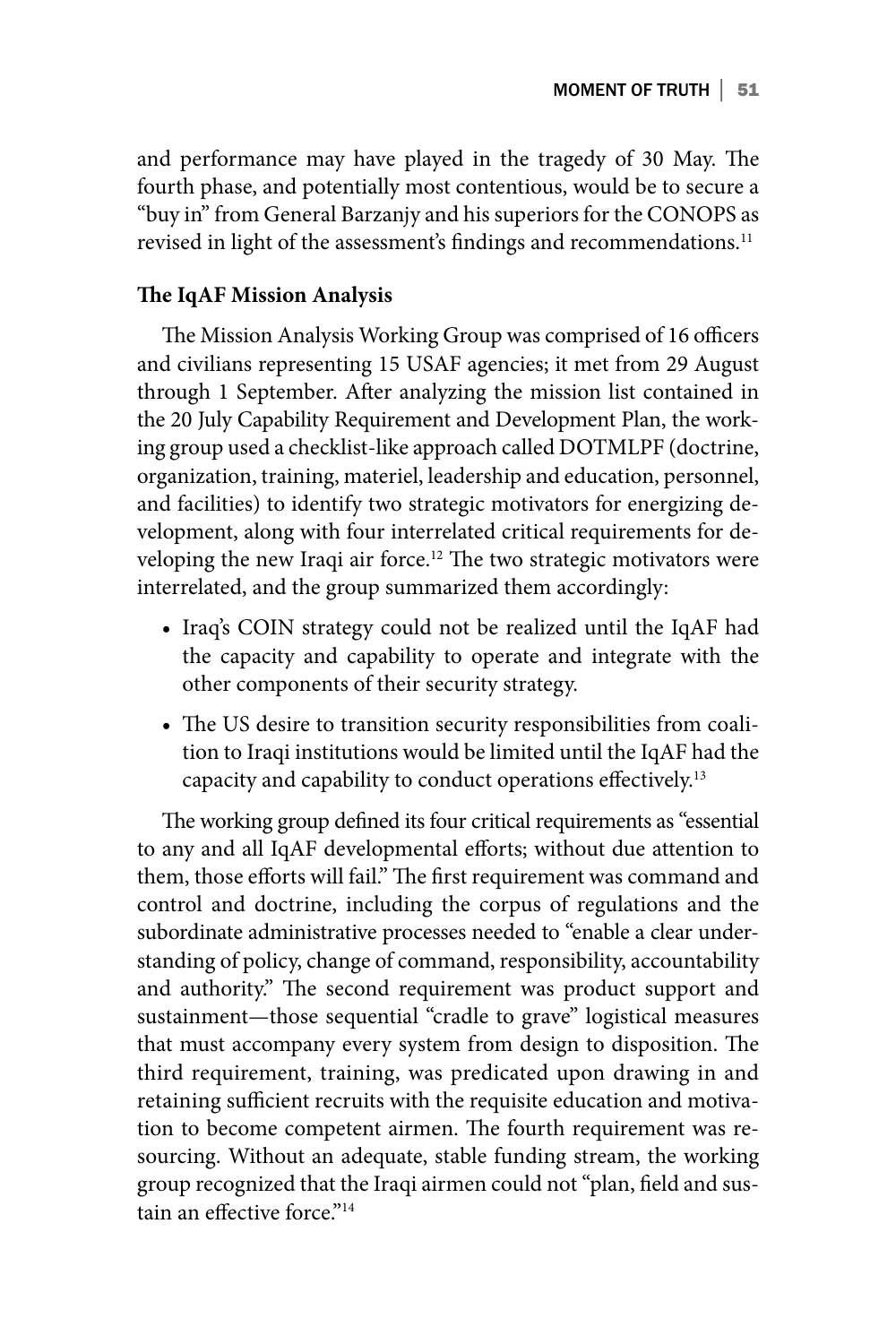and performance may have played in the tragedy of 30 May. The fourth phase, and potentially most contentious, would be to secure a "buy in" from General Barzanjy and his superiors for the CONOPS as revised in light of the assessment's findings and recommendations.<sup>11</sup>

### **The IqAF Mission Analysis**

The Mission Analysis Working Group was comprised of 16 officers and civilians representing 15 USAF agencies; it met from 29 August through 1 September. After analyzing the mission list contained in the 20 July Capability Requirement and Development Plan, the working group used a checklist-like approach called DOTMLPF (doctrine, organization, training, materiel, leadership and education, personnel, and facilities) to identify two strategic motivators for energizing development, along with four interrelated critical requirements for developing the new Iraqi air force.<sup>12</sup> The two strategic motivators were interrelated, and the group summarized them accordingly:

- **•** Iraq's COIN strategy could not be realized until the IqAF had the capacity and capability to operate and integrate with the other components of their security strategy.
- **•** The US desire to transition security responsibilities from coalition to Iraqi institutions would be limited until the IqAF had the capacity and capability to conduct operations effectively.13

The working group defined its four critical requirements as "essential to any and all IqAF developmental efforts; without due attention to them, those efforts will fail." The first requirement was command and control and doctrine, including the corpus of regulations and the subordinate administrative processes needed to "enable a clear understanding of policy, change of command, responsibility, accountability and authority." The second requirement was product support and sustainment—those sequential "cradle to grave" logistical measures that must accompany every system from design to disposition. The third requirement, training, was predicated upon drawing in and retaining sufficient recruits with the requisite education and motivation to become competent airmen. The fourth requirement was resourcing. Without an adequate, stable funding stream, the working group recognized that the Iraqi airmen could not "plan, field and sustain an effective force."<sup>14</sup>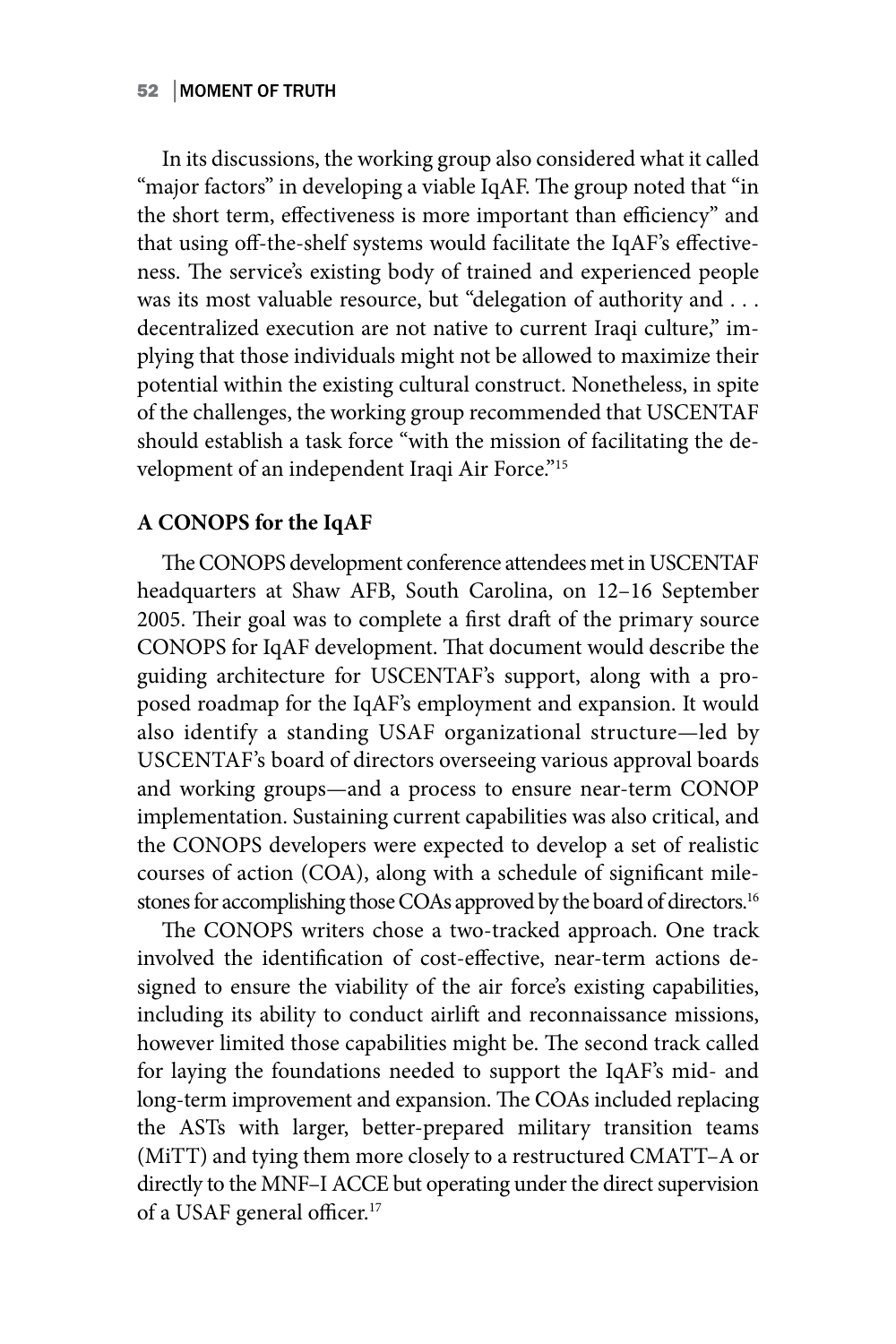In its discussions, the working group also considered what it called "major factors" in developing a viable IqAF. The group noted that "in the short term, effectiveness is more important than efficiency" and that using off-the-shelf systems would facilitate the IqAF's effectiveness. The service's existing body of trained and experienced people was its most valuable resource, but "delegation of authority and . . . decentralized execution are not native to current Iraqi culture," implying that those individuals might not be allowed to maximize their potential within the existing cultural construct. Nonetheless, in spite of the challenges, the working group recommended that USCENTAF should establish a task force "with the mission of facilitating the development of an independent Iraqi Air Force."<sup>15</sup>

### **A CONOPS for the IqAF**

The CONOPS development conference attendees met in USCENTAF headquarters at Shaw AFB, South Carolina, on 12–16 September 2005. Their goal was to complete a first draft of the primary source CONOPS for IqAF development. That document would describe the guiding architecture for USCENTAF's support, along with a proposed roadmap for the IqAF's employment and expansion. It would also identify a standing USAF organizational structure—led by USCENTAF's board of directors overseeing various approval boards and working groups—and a process to ensure near-term CONOP implementation. Sustaining current capabilities was also critical, and the CONOPS developers were expected to develop a set of realistic courses of action (COA), along with a schedule of significant milestones for accomplishing those COAs approved by the board of directors.<sup>16</sup>

The CONOPS writers chose a two-tracked approach. One track involved the identification of cost-effective, near-term actions designed to ensure the viability of the air force's existing capabilities, including its ability to conduct airlift and reconnaissance missions, however limited those capabilities might be. The second track called for laying the foundations needed to support the IqAF's mid- and long-term improvement and expansion. The COAs included replacing the ASTs with larger, better-prepared military transition teams (MiTT) and tying them more closely to a restructured CMATT–A or directly to the MNF–I ACCE but operating under the direct supervision of a USAF general officer.<sup>17</sup>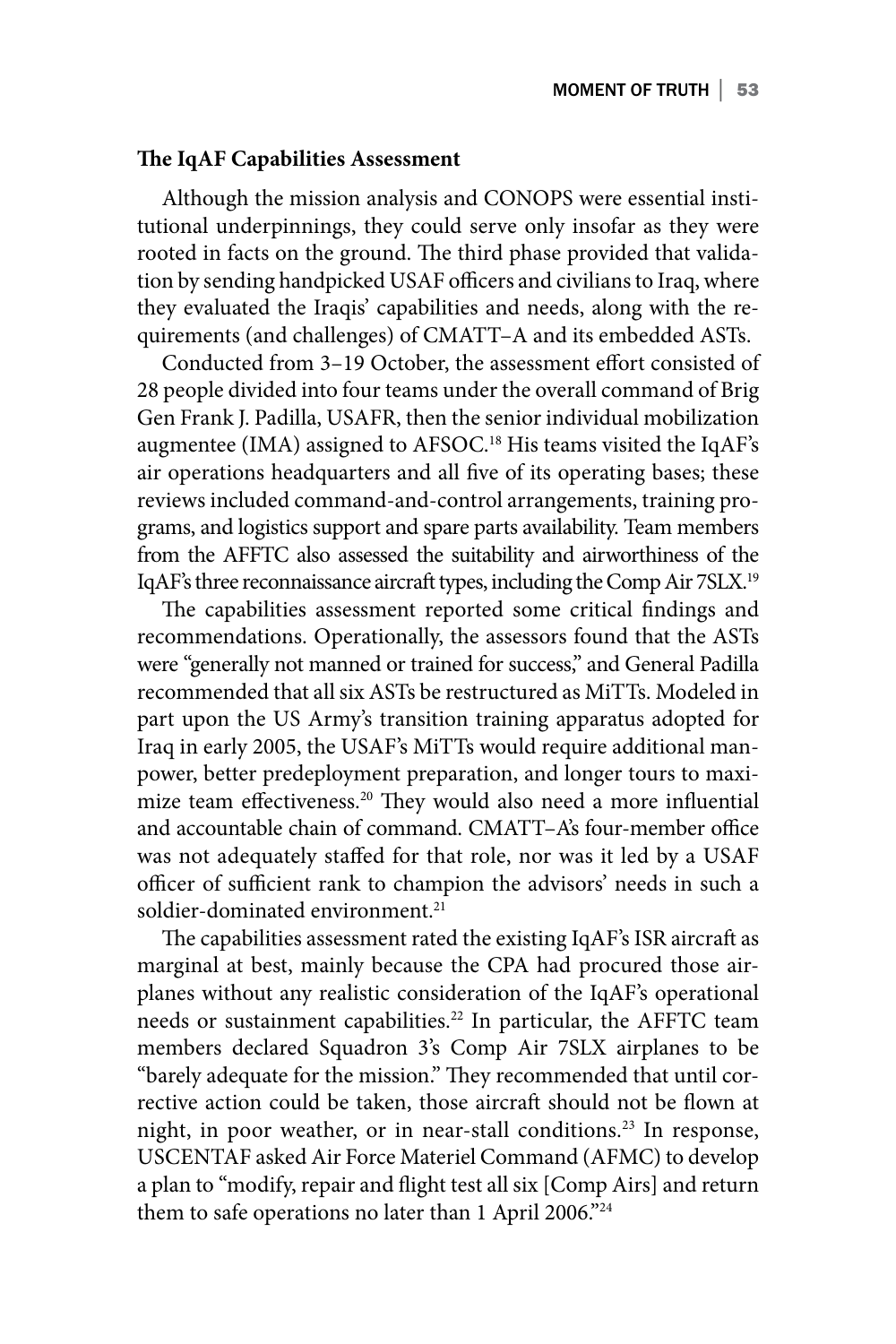### **The IqAF Capabilities Assessment**

Although the mission analysis and CONOPS were essential institutional underpinnings, they could serve only insofar as they were rooted in facts on the ground. The third phase provided that validation by sending handpicked USAF officers and civilians to Iraq, where they evaluated the Iraqis' capabilities and needs, along with the requirements (and challenges) of CMATT–A and its embedded ASTs.

Conducted from 3–19 October, the assessment effort consisted of 28 people divided into four teams under the overall command of Brig Gen Frank J. Padilla, USAFR, then the senior individual mobilization augmentee (IMA) assigned to AFSOC.<sup>18</sup> His teams visited the IqAF's air operations headquarters and all five of its operating bases; these reviews included command-and-control arrangements, training programs, and logistics support and spare parts availability. Team members from the AFFTC also assessed the suitability and airworthiness of the IqAF's three reconnaissance aircraft types, including the Comp Air 7SLX.19

The capabilities assessment reported some critical findings and recommendations. Operationally, the assessors found that the ASTs were "generally not manned or trained for success," and General Padilla recommended that all six ASTs be restructured as MiTTs. Modeled in part upon the US Army's transition training apparatus adopted for Iraq in early 2005, the USAF's MiTTs would require additional manpower, better predeployment preparation, and longer tours to maximize team effectiveness.20 They would also need a more influential and accountable chain of command. CMATT–A's four-member office was not adequately staffed for that role, nor was it led by a USAF officer of sufficient rank to champion the advisors' needs in such a soldier-dominated environment.<sup>21</sup>

The capabilities assessment rated the existing IqAF's ISR aircraft as marginal at best, mainly because the CPA had procured those airplanes without any realistic consideration of the IqAF's operational needs or sustainment capabilities.<sup>22</sup> In particular, the AFFTC team members declared Squadron 3's Comp Air 7SLX airplanes to be "barely adequate for the mission." They recommended that until corrective action could be taken, those aircraft should not be flown at night, in poor weather, or in near-stall conditions.<sup>23</sup> In response, USCENTAF asked Air Force Materiel Command (AFMC) to develop a plan to "modify, repair and flight test all six [Comp Airs] and return them to safe operations no later than 1 April 2006."<sup>24</sup>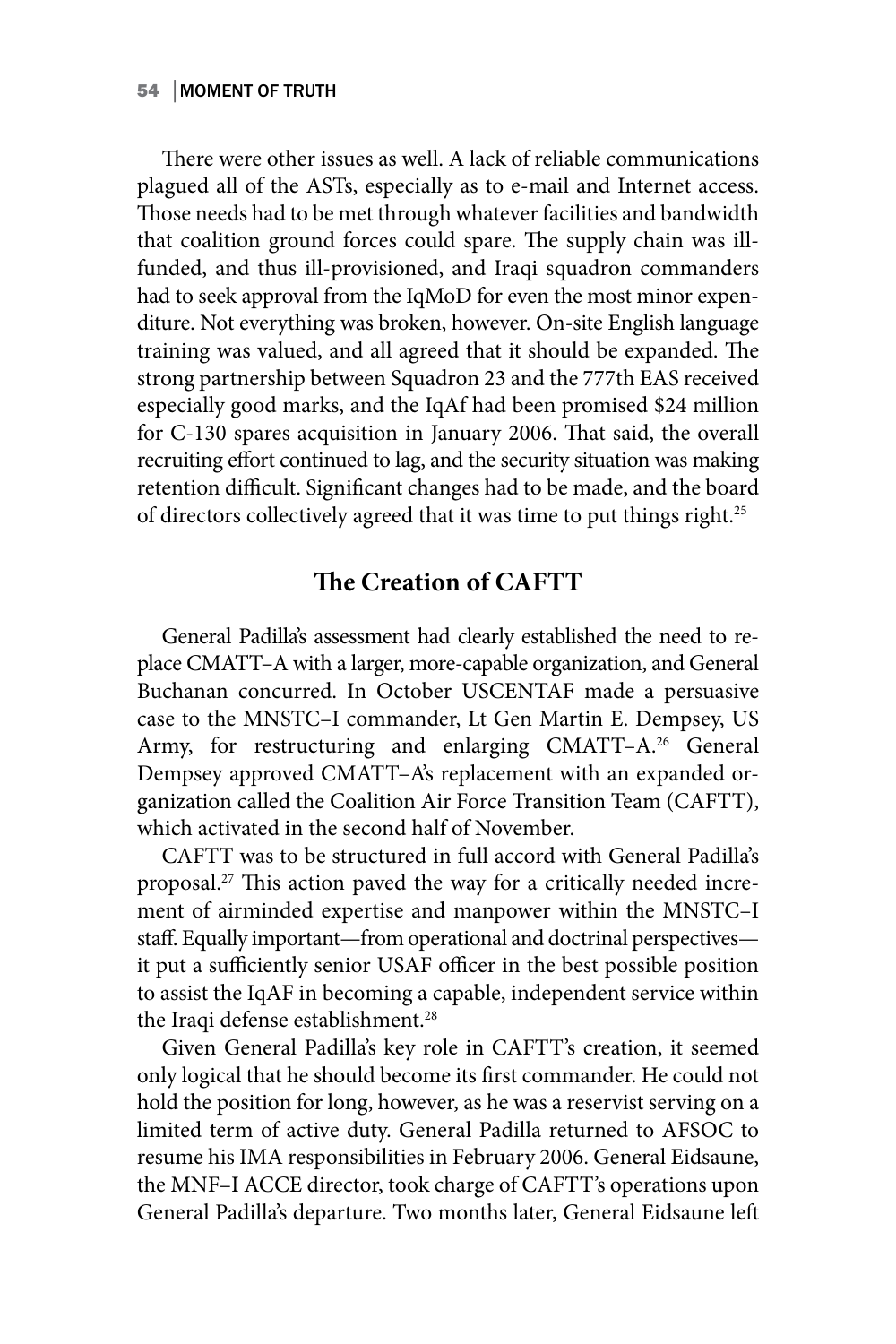### 54 │MOMENT OF TRUTH

There were other issues as well. A lack of reliable communications plagued all of the ASTs, especially as to e-mail and Internet access. Those needs had to be met through whatever facilities and bandwidth that coalition ground forces could spare. The supply chain was illfunded, and thus ill-provisioned, and Iraqi squadron commanders had to seek approval from the IqMoD for even the most minor expenditure. Not everything was broken, however. On-site English language training was valued, and all agreed that it should be expanded. The strong partnership between Squadron 23 and the 777th EAS received especially good marks, and the IqAf had been promised \$24 million for C-130 spares acquisition in January 2006. That said, the overall recruiting effort continued to lag, and the security situation was making retention difficult. Significant changes had to be made, and the board of directors collectively agreed that it was time to put things right.<sup>25</sup>

# **The Creation of CAFTT**

General Padilla's assessment had clearly established the need to replace CMATT–A with a larger, more-capable organization, and General Buchanan concurred. In October USCENTAF made a persuasive case to the MNSTC–I commander, Lt Gen Martin E. Dempsey, US Army, for restructuring and enlarging CMATT-A.<sup>26</sup> General Dempsey approved CMATT–A's replacement with an expanded organization called the Coalition Air Force Transition Team (CAFTT), which activated in the second half of November.

CAFTT was to be structured in full accord with General Padilla's proposal.27 This action paved the way for a critically needed increment of airminded expertise and manpower within the MNSTC–I staff. Equally important—from operational and doctrinal perspectives it put a sufficiently senior USAF officer in the best possible position to assist the IqAF in becoming a capable, independent service within the Iraqi defense establishment.<sup>28</sup>

Given General Padilla's key role in CAFTT's creation, it seemed only logical that he should become its first commander. He could not hold the position for long, however, as he was a reservist serving on a limited term of active duty. General Padilla returned to AFSOC to resume his IMA responsibilities in February 2006. General Eidsaune, the MNF–I ACCE director, took charge of CAFTT's operations upon General Padilla's departure. Two months later, General Eidsaune left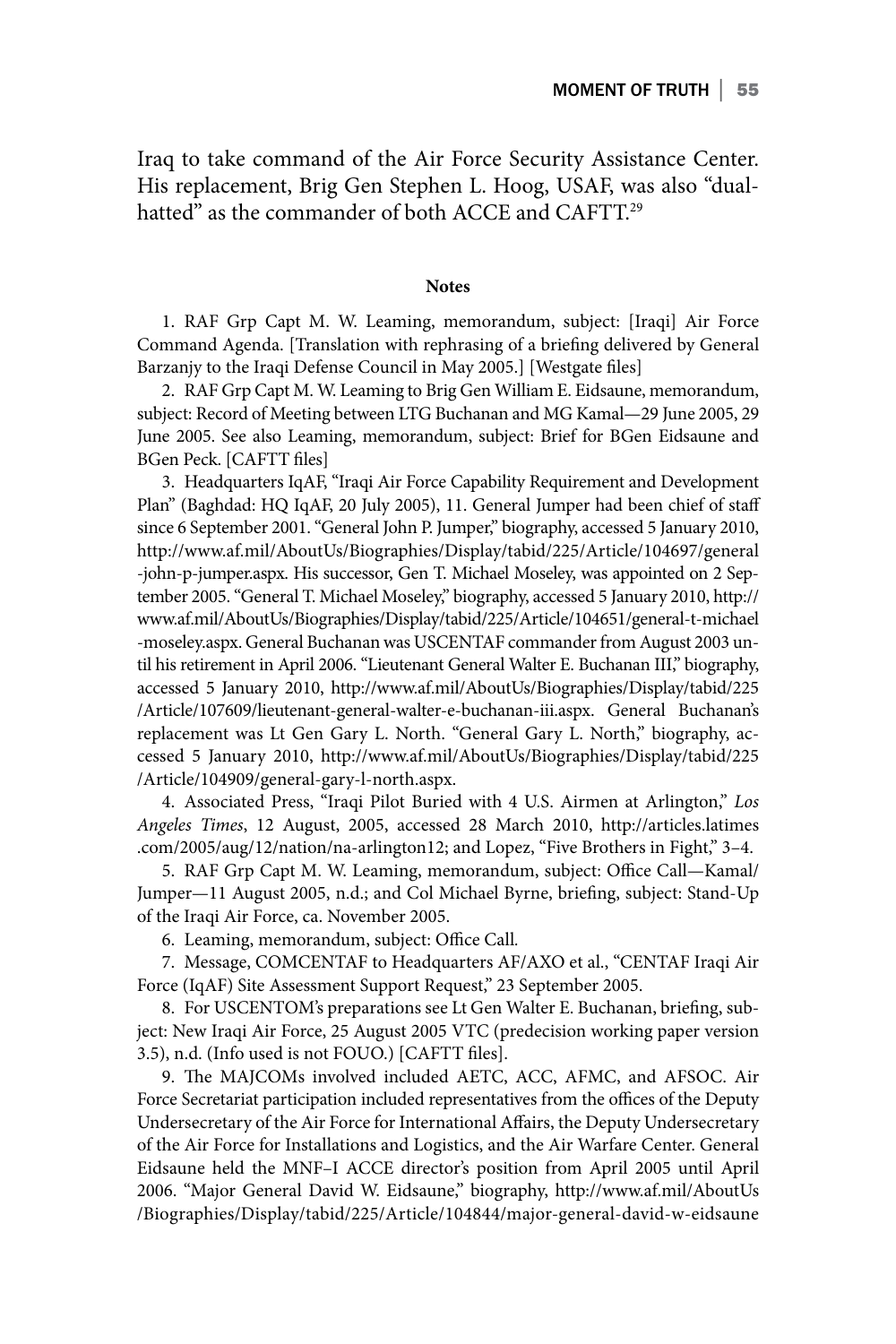Iraq to take command of the Air Force Security Assistance Center. His replacement, Brig Gen Stephen L. Hoog, USAF, was also "dualhatted" as the commander of both ACCE and CAFTT.<sup>29</sup>

#### **Notes**

1. RAF Grp Capt M. W. Leaming, memorandum, subject: [Iraqi] Air Force Command Agenda. [Translation with rephrasing of a briefing delivered by General Barzanjy to the Iraqi Defense Council in May 2005.] [Westgate files]

2. RAF Grp Capt M. W. Leaming to Brig Gen William E. Eidsaune, memorandum, subject: Record of Meeting between LTG Buchanan and MG Kamal—29 June 2005, 29 June 2005. See also Leaming, memorandum, subject: Brief for BGen Eidsaune and BGen Peck. [CAFTT files]

3. Headquarters IqAF, "Iraqi Air Force Capability Requirement and Development Plan" (Baghdad: HQ IqAF, 20 July 2005), 11. General Jumper had been chief of staff since 6 September 2001. "General John P. Jumper," biography, accessed 5 January 2010, http://www.af.mil/AboutUs/Biographies/Display/tabid/225/Article/104697/general -john-p-jumper.aspx. His successor, Gen T. Michael Moseley, was appointed on 2 September 2005. "General T. Michael Moseley," biography, accessed 5 January 2010, http:// www.af.mil/AboutUs/Biographies/Display/tabid/225/Article/104651/general-t-michael -moseley.aspx. General Buchanan was USCENTAF commander from August 2003 until his retirement in April 2006. "Lieutenant General Walter E. Buchanan III," biography, accessed 5 January 2010, http://www.af.mil/AboutUs/Biographies/Display/tabid/225 /Article/107609/lieutenant-general-walter-e-buchanan-iii.aspx. General Buchanan's replacement was Lt Gen Gary L. North. "General Gary L. North," biography, accessed 5 January 2010, http://www.af.mil/AboutUs/Biographies/Display/tabid/225 /Article/104909/general-gary-l-north.aspx.

4. Associated Press, "Iraqi Pilot Buried with 4 U.S. Airmen at Arlington," *Los Angeles Times*, 12 August, 2005, accessed 28 March 2010, http://articles.latimes .com/2005/aug/12/nation/na-arlington12; and Lopez, "Five Brothers in Fight," 3–4.

5. RAF Grp Capt M. W. Leaming, memorandum, subject: Office Call—Kamal/ Jumper—11 August 2005, n.d.; and Col Michael Byrne, briefing, subject: Stand-Up of the Iraqi Air Force, ca. November 2005.

6. Leaming, memorandum, subject: Office Call*.*

7. Message, COMCENTAF to Headquarters AF/AXO et al., "CENTAF Iraqi Air Force (IqAF) Site Assessment Support Request," 23 September 2005.

8. For USCENTOM's preparations see Lt Gen Walter E. Buchanan, briefing, subject: New Iraqi Air Force, 25 August 2005 VTC (predecision working paper version 3.5), n.d. (Info used is not FOUO.) [CAFTT files].

9. The MAJCOMs involved included AETC, ACC, AFMC, and AFSOC. Air Force Secretariat participation included representatives from the offices of the Deputy Undersecretary of the Air Force for International Affairs, the Deputy Undersecretary of the Air Force for Installations and Logistics, and the Air Warfare Center. General Eidsaune held the MNF–I ACCE director's position from April 2005 until April 2006. "Major General David W. Eidsaune," biography, http://www.af.mil/AboutUs /Biographies/Display/tabid/225/Article/104844/major-general-david-w-eidsaune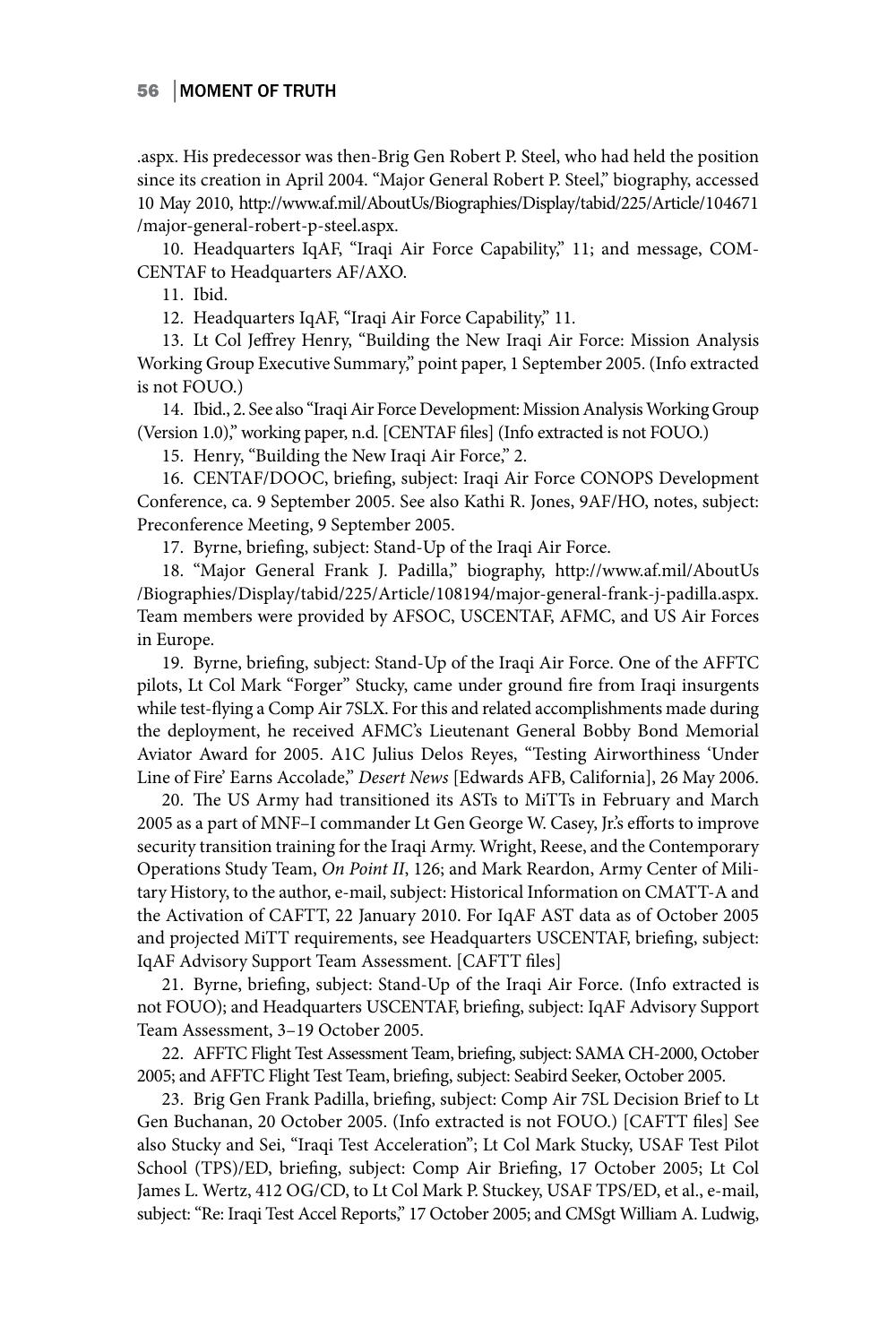.aspx. His predecessor was then-Brig Gen Robert P. Steel, who had held the position since its creation in April 2004. "Major General Robert P. Steel," biography, accessed 10 May 2010, http://www.af.mil/AboutUs/Biographies/Display/tabid/225/Article/104671 /major-general-robert-p-steel.aspx.

10. Headquarters IqAF, "Iraqi Air Force Capability," 11; and message, COM-CENTAF to Headquarters AF/AXO.

11. Ibid.

12. Headquarters IqAF, "Iraqi Air Force Capability," 11*.*

13. Lt Col Jeffrey Henry, "Building the New Iraqi Air Force: Mission Analysis Working Group Executive Summary," point paper, 1 September 2005. (Info extracted is not FOUO.)

14. Ibid., 2. See also "Iraqi Air Force Development: Mission Analysis Working Group (Version 1.0)," working paper, n.d. [CENTAF files] (Info extracted is not FOUO.)

15. Henry, "Building the New Iraqi Air Force," 2.

16. CENTAF/DOOC, briefing, subject: Iraqi Air Force CONOPS Development Conference, ca. 9 September 2005. See also Kathi R. Jones, 9AF/HO, notes, subject: Preconference Meeting, 9 September 2005.

17. Byrne, briefing, subject: Stand-Up of the Iraqi Air Force.

18. "Major General Frank J. Padilla," biography, http://www.af.mil/AboutUs /Biographies/Display/tabid/225/Article/108194/major-general-frank-j-padilla.aspx. Team members were provided by AFSOC, USCENTAF, AFMC, and US Air Forces in Europe.

19. Byrne, briefing, subject: Stand-Up of the Iraqi Air Force. One of the AFFTC pilots, Lt Col Mark "Forger" Stucky, came under ground fire from Iraqi insurgents while test-flying a Comp Air 7SLX. For this and related accomplishments made during the deployment, he received AFMC's Lieutenant General Bobby Bond Memorial Aviator Award for 2005. A1C Julius Delos Reyes, "Testing Airworthiness 'Under Line of Fire' Earns Accolade," *Desert News* [Edwards AFB, California], 26 May 2006.

20. The US Army had transitioned its ASTs to MiTTs in February and March 2005 as a part of MNF–I commander Lt Gen George W. Casey, Jr.'s efforts to improve security transition training for the Iraqi Army. Wright, Reese, and the Contemporary Operations Study Team, *On Point II*, 126; and Mark Reardon, Army Center of Military History, to the author, e-mail, subject: Historical Information on CMATT-A and the Activation of CAFTT, 22 January 2010. For IqAF AST data as of October 2005 and projected MiTT requirements, see Headquarters USCENTAF, briefing, subject: IqAF Advisory Support Team Assessment. [CAFTT files]

21. Byrne, briefing, subject: Stand-Up of the Iraqi Air Force. (Info extracted is not FOUO); and Headquarters USCENTAF, briefing, subject: IqAF Advisory Support Team Assessment, 3–19 October 2005.

22. AFFTC Flight Test Assessment Team, briefing, subject: SAMA CH-2000, October 2005; and AFFTC Flight Test Team, briefing, subject: Seabird Seeker, October 2005.

23. Brig Gen Frank Padilla, briefing, subject: Comp Air 7SL Decision Brief to Lt Gen Buchanan, 20 October 2005. (Info extracted is not FOUO.) [CAFTT files] See also Stucky and Sei, "Iraqi Test Acceleration"; Lt Col Mark Stucky, USAF Test Pilot School (TPS)/ED, briefing, subject: Comp Air Briefing, 17 October 2005; Lt Col James L. Wertz, 412 OG/CD, to Lt Col Mark P. Stuckey, USAF TPS/ED, et al., e-mail, subject: "Re: Iraqi Test Accel Reports," 17 October 2005; and CMSgt William A. Ludwig,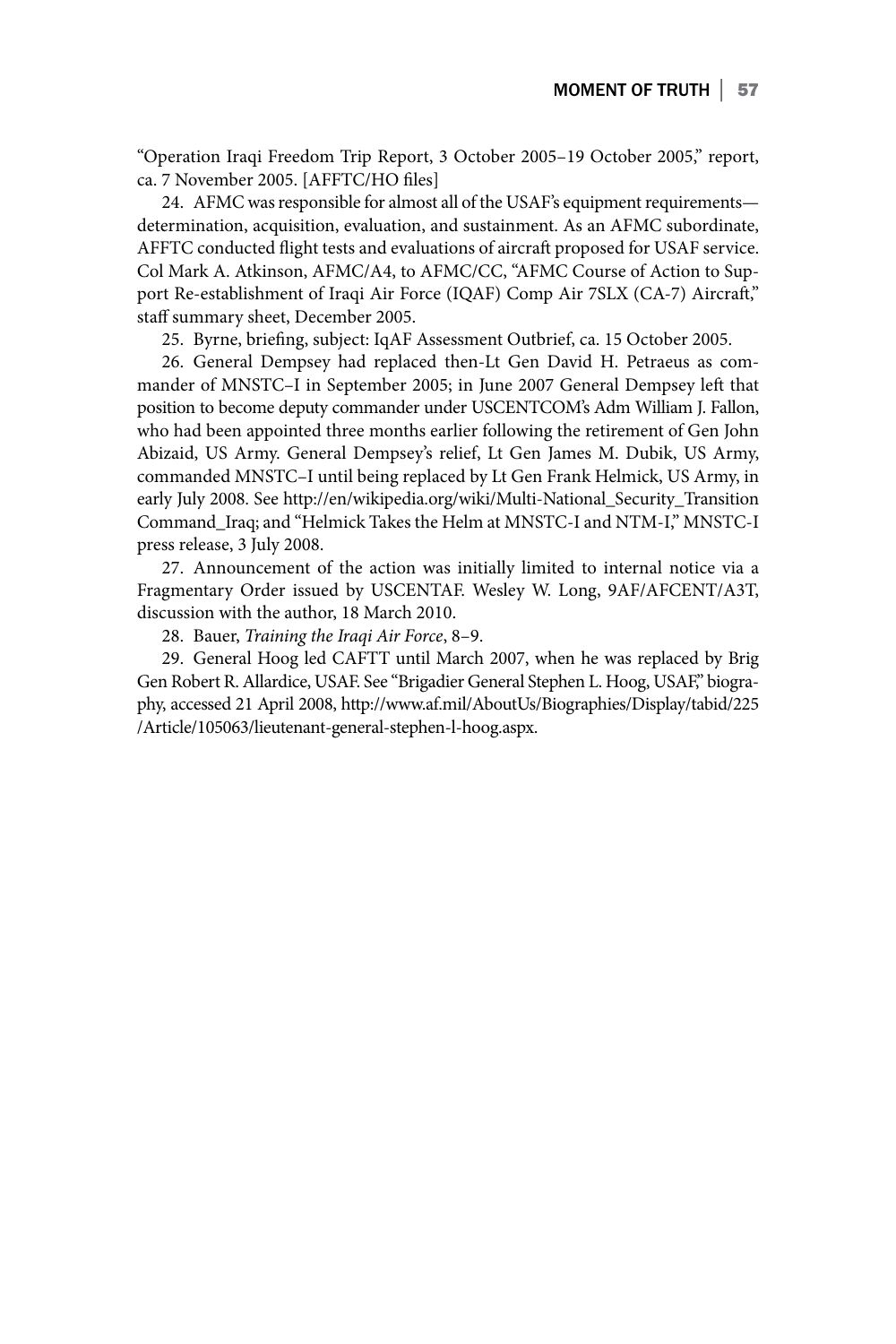"Operation Iraqi Freedom Trip Report, 3 October 2005–19 October 2005," report, ca. 7 November 2005. [AFFTC/HO files]

24. AFMC was responsible for almost all of the USAF's equipment requirements determination, acquisition, evaluation, and sustainment. As an AFMC subordinate, AFFTC conducted flight tests and evaluations of aircraft proposed for USAF service. Col Mark A. Atkinson, AFMC/A4, to AFMC/CC, "AFMC Course of Action to Support Re-establishment of Iraqi Air Force (IQAF) Comp Air 7SLX (CA-7) Aircraft," staff summary sheet, December 2005.

25. Byrne, briefing, subject: IqAF Assessment Outbrief, ca. 15 October 2005.

26. General Dempsey had replaced then-Lt Gen David H. Petraeus as commander of MNSTC–I in September 2005; in June 2007 General Dempsey left that position to become deputy commander under USCENTCOM's Adm William J. Fallon, who had been appointed three months earlier following the retirement of Gen John Abizaid, US Army. General Dempsey's relief, Lt Gen James M. Dubik, US Army, commanded MNSTC–I until being replaced by Lt Gen Frank Helmick, US Army, in early July 2008. See http://en/wikipedia.org/wiki/Multi-National\_Security\_Transition Command\_Iraq; and "Helmick Takes the Helm at MNSTC-I and NTM-I," MNSTC-I press release, 3 July 2008.

27. Announcement of the action was initially limited to internal notice via a Fragmentary Order issued by USCENTAF. Wesley W. Long, 9AF/AFCENT/A3T, discussion with the author, 18 March 2010.

28. Bauer, *Training the Iraqi Air Force*, 8–9.

29. General Hoog led CAFTT until March 2007, when he was replaced by Brig Gen Robert R. Allardice, USAF. See "Brigadier General Stephen L. Hoog, USAF," biography, accessed 21 April 2008, http://www.af.mil/AboutUs/Biographies/Display/tabid/225 /Article/105063/lieutenant-general-stephen-l-hoog.aspx.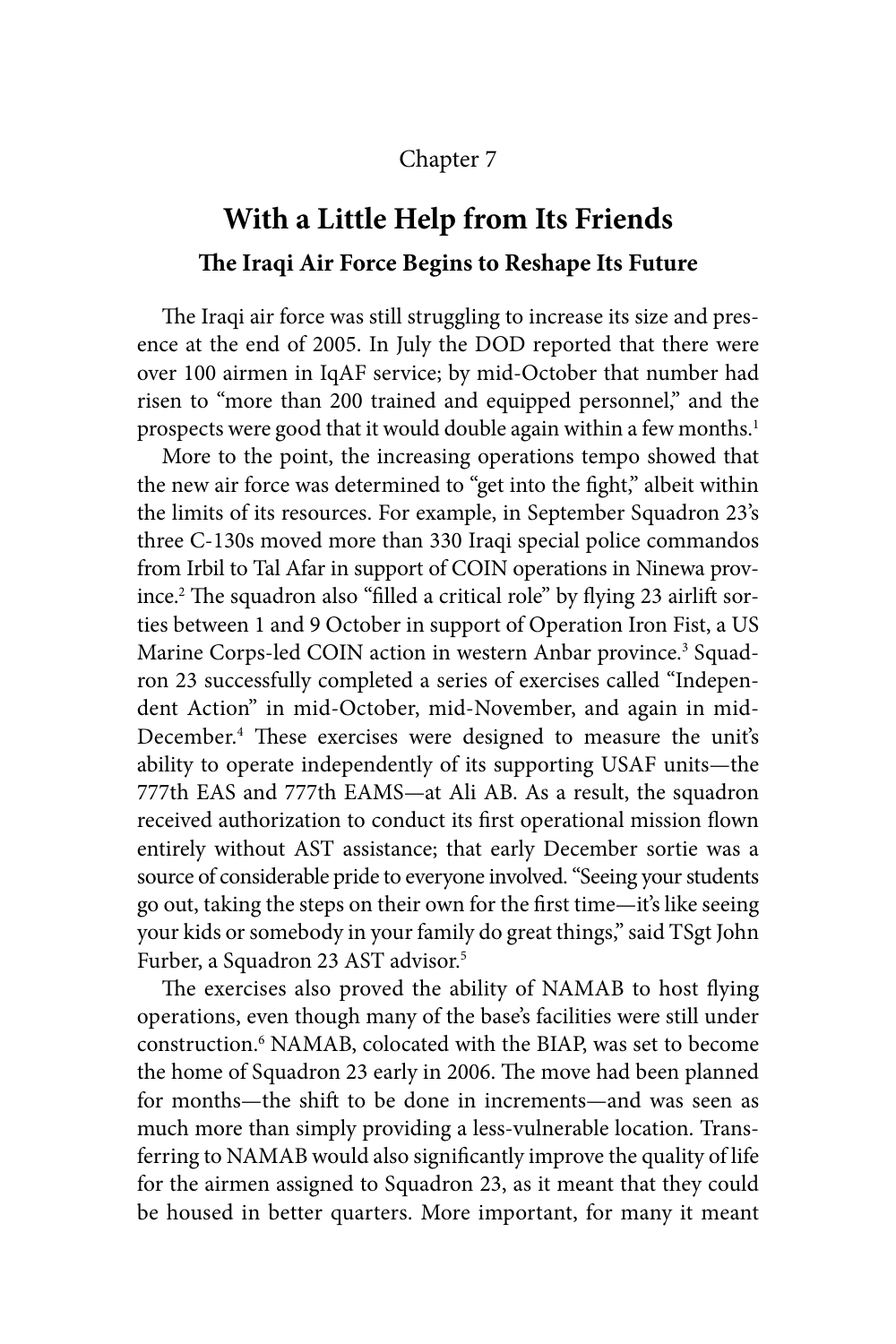### Chapter 7

# **With a Little Help from Its Friends The Iraqi Air Force Begins to Reshape Its Future**

The Iraqi air force was still struggling to increase its size and presence at the end of 2005. In July the DOD reported that there were over 100 airmen in IqAF service; by mid-October that number had risen to "more than 200 trained and equipped personnel," and the prospects were good that it would double again within a few months.<sup>1</sup>

More to the point, the increasing operations tempo showed that the new air force was determined to "get into the fight," albeit within the limits of its resources. For example, in September Squadron 23's three C-130s moved more than 330 Iraqi special police commandos from Irbil to Tal Afar in support of COIN operations in Ninewa province.2 The squadron also "filled a critical role" by flying 23 airlift sorties between 1 and 9 October in support of Operation Iron Fist, a US Marine Corps-led COIN action in western Anbar province.<sup>3</sup> Squadron 23 successfully completed a series of exercises called "Independent Action" in mid-October, mid-November, and again in mid-December.4 These exercises were designed to measure the unit's ability to operate independently of its supporting USAF units—the 777th EAS and 777th EAMS—at Ali AB. As a result, the squadron received authorization to conduct its first operational mission flown entirely without AST assistance; that early December sortie was a source of considerable pride to everyone involved. "Seeing your students go out, taking the steps on their own for the first time—it's like seeing your kids or somebody in your family do great things," said TSgt John Furber, a Squadron 23 AST advisor.<sup>5</sup>

The exercises also proved the ability of NAMAB to host flying operations, even though many of the base's facilities were still under construction.<sup>6</sup> NAMAB, colocated with the BIAP, was set to become the home of Squadron 23 early in 2006. The move had been planned for months—the shift to be done in increments—and was seen as much more than simply providing a less-vulnerable location. Transferring to NAMAB would also significantly improve the quality of life for the airmen assigned to Squadron 23, as it meant that they could be housed in better quarters. More important, for many it meant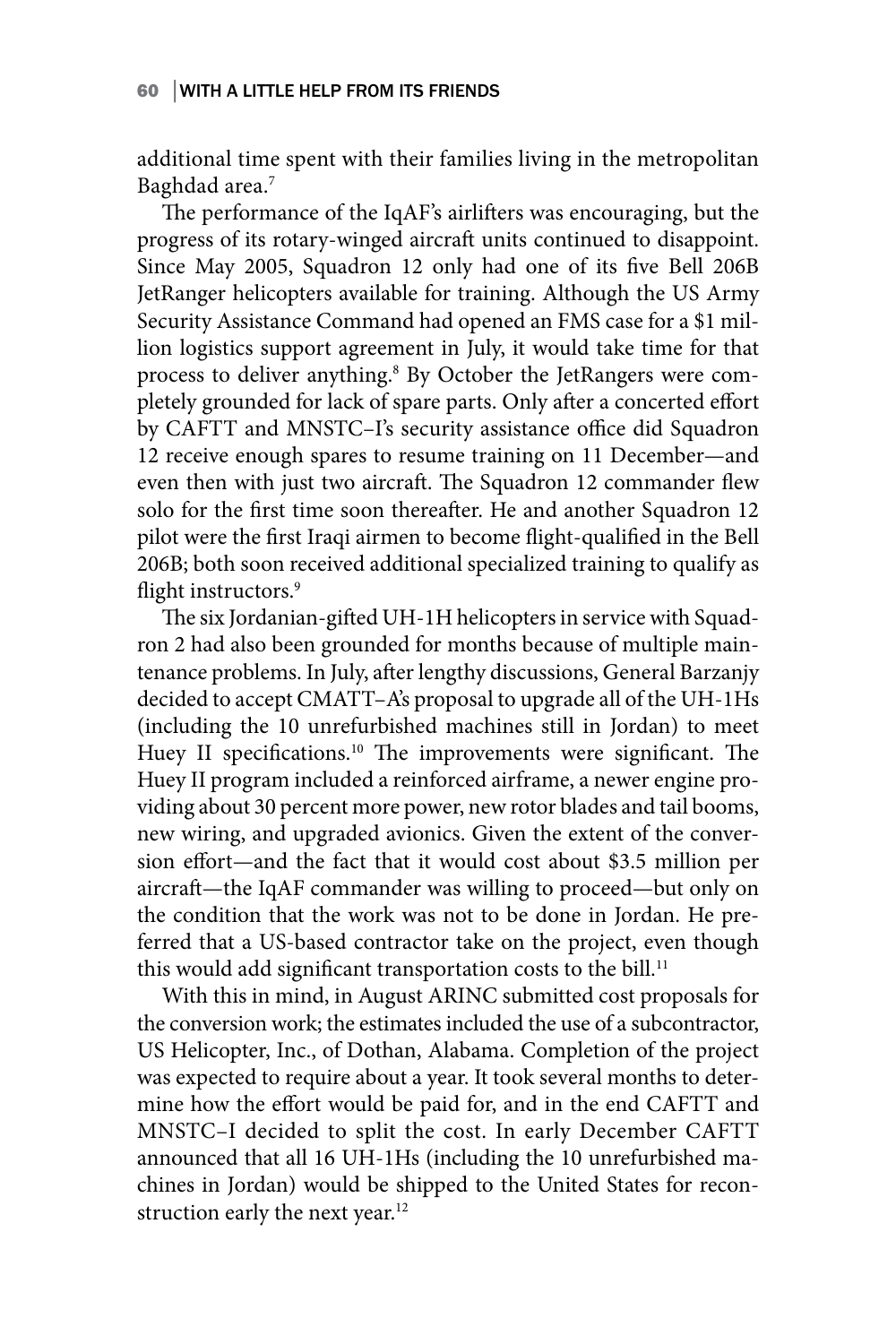additional time spent with their families living in the metropolitan Baghdad area.<sup>7</sup>

The performance of the IqAF's airlifters was encouraging, but the progress of its rotary-winged aircraft units continued to disappoint. Since May 2005, Squadron 12 only had one of its five Bell 206B JetRanger helicopters available for training. Although the US Army Security Assistance Command had opened an FMS case for a \$1 million logistics support agreement in July, it would take time for that process to deliver anything.<sup>8</sup> By October the JetRangers were completely grounded for lack of spare parts. Only after a concerted effort by CAFTT and MNSTC–I's security assistance office did Squadron 12 receive enough spares to resume training on 11 December—and even then with just two aircraft. The Squadron 12 commander flew solo for the first time soon thereafter. He and another Squadron 12 pilot were the first Iraqi airmen to become flight-qualified in the Bell 206B; both soon received additional specialized training to qualify as flight instructors.<sup>9</sup>

The six Jordanian-gifted UH-1H helicopters in service with Squadron 2 had also been grounded for months because of multiple maintenance problems. In July, after lengthy discussions, General Barzanjy decided to accept CMATT–A's proposal to upgrade all of the UH-1Hs (including the 10 unrefurbished machines still in Jordan) to meet Huey II specifications.<sup>10</sup> The improvements were significant. The Huey II program included a reinforced airframe, a newer engine providing about 30 percent more power, new rotor blades and tail booms, new wiring, and upgraded avionics. Given the extent of the conversion effort—and the fact that it would cost about \$3.5 million per aircraft—the IqAF commander was willing to proceed—but only on the condition that the work was not to be done in Jordan. He preferred that a US-based contractor take on the project, even though this would add significant transportation costs to the bill.<sup>11</sup>

With this in mind, in August ARINC submitted cost proposals for the conversion work; the estimates included the use of a subcontractor, US Helicopter, Inc., of Dothan, Alabama. Completion of the project was expected to require about a year. It took several months to determine how the effort would be paid for, and in the end CAFTT and MNSTC–I decided to split the cost. In early December CAFTT announced that all 16 UH-1Hs (including the 10 unrefurbished machines in Jordan) would be shipped to the United States for reconstruction early the next year.<sup>12</sup>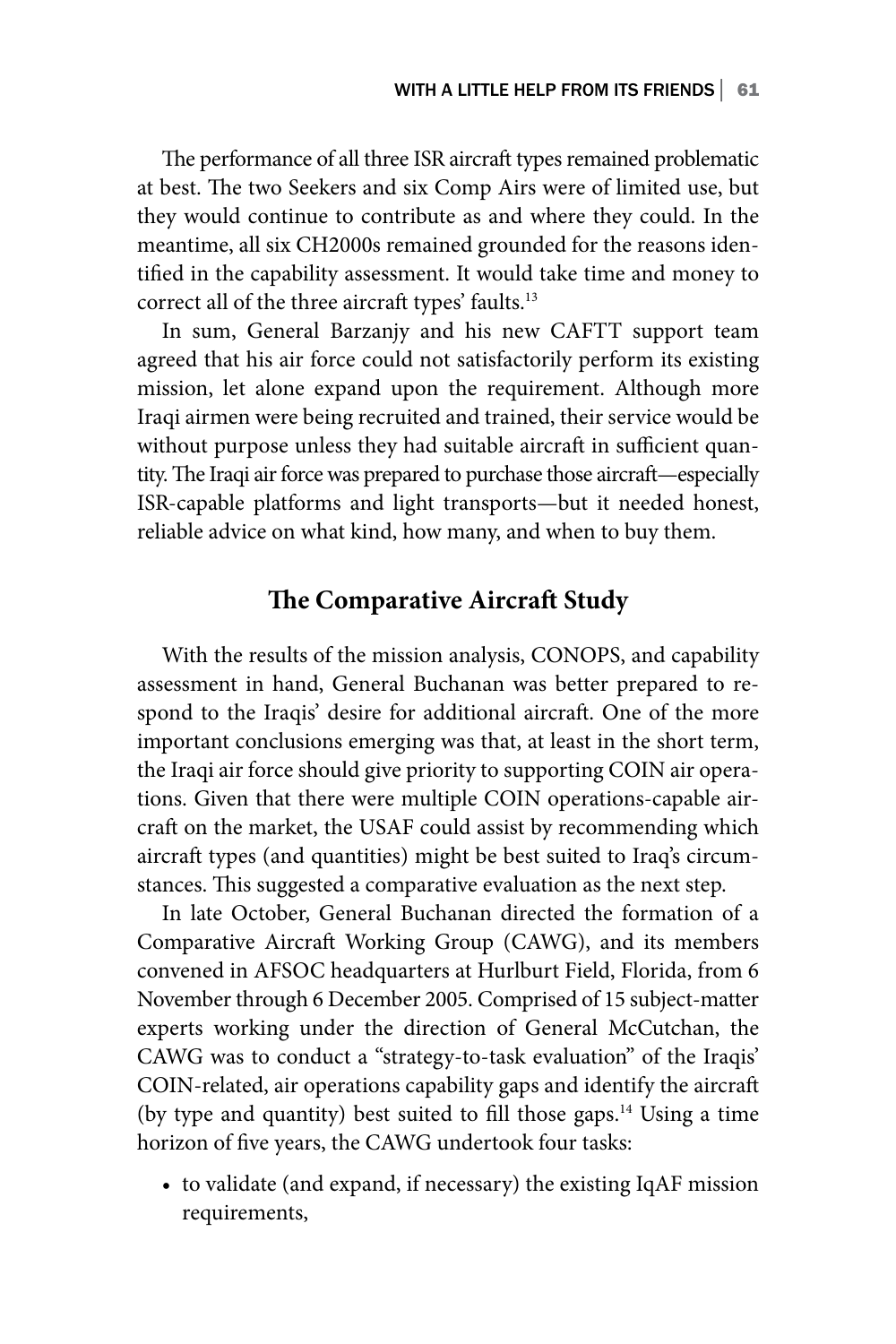The performance of all three ISR aircraft types remained problematic at best. The two Seekers and six Comp Airs were of limited use, but they would continue to contribute as and where they could. In the meantime, all six CH2000s remained grounded for the reasons identified in the capability assessment. It would take time and money to correct all of the three aircraft types' faults.13

In sum, General Barzanjy and his new CAFTT support team agreed that his air force could not satisfactorily perform its existing mission, let alone expand upon the requirement. Although more Iraqi airmen were being recruited and trained, their service would be without purpose unless they had suitable aircraft in sufficient quantity. The Iraqi air force was prepared to purchase those aircraft—especially ISR-capable platforms and light transports—but it needed honest, reliable advice on what kind, how many, and when to buy them.

## **The Comparative Aircraft Study**

With the results of the mission analysis, CONOPS, and capability assessment in hand, General Buchanan was better prepared to respond to the Iraqis' desire for additional aircraft. One of the more important conclusions emerging was that, at least in the short term, the Iraqi air force should give priority to supporting COIN air operations. Given that there were multiple COIN operations-capable aircraft on the market, the USAF could assist by recommending which aircraft types (and quantities) might be best suited to Iraq's circumstances. This suggested a comparative evaluation as the next step.

In late October, General Buchanan directed the formation of a Comparative Aircraft Working Group (CAWG), and its members convened in AFSOC headquarters at Hurlburt Field, Florida, from 6 November through 6 December 2005. Comprised of 15 subject-matter experts working under the direction of General McCutchan, the CAWG was to conduct a "strategy-to-task evaluation" of the Iraqis' COIN-related, air operations capability gaps and identify the aircraft (by type and quantity) best suited to fill those gaps.14 Using a time horizon of five years, the CAWG undertook four tasks:

• to validate (and expand, if necessary) the existing IqAF mission requirements,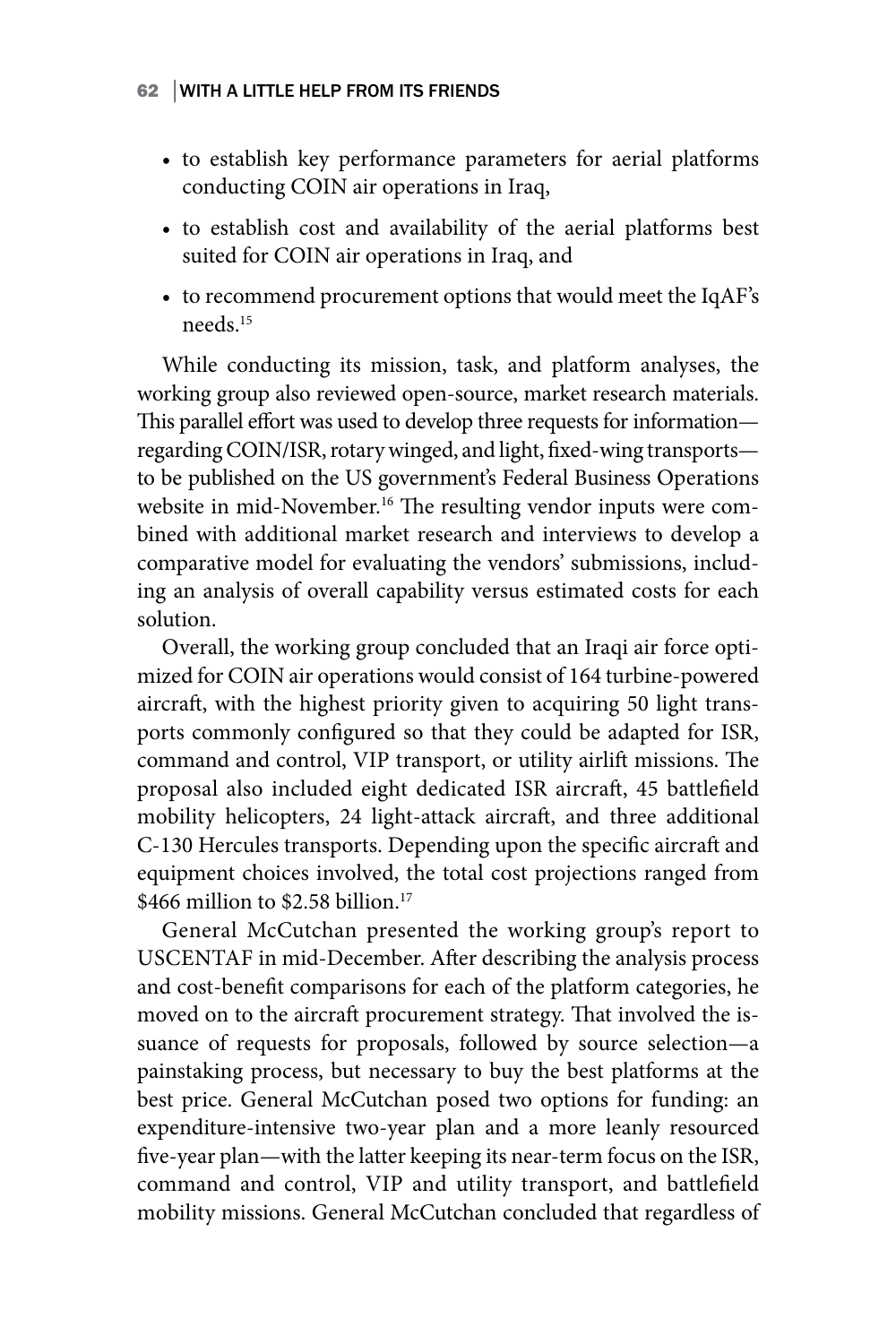- to establish key performance parameters for aerial platforms conducting COIN air operations in Iraq,
- to establish cost and availability of the aerial platforms best suited for COIN air operations in Iraq, and
- to recommend procurement options that would meet the IqAF's needs<sup>15</sup>

While conducting its mission, task, and platform analyses, the working group also reviewed open-source, market research materials. This parallel effort was used to develop three requests for information regarding COIN/ISR, rotary winged, and light, fixed-wing transports to be published on the US government's Federal Business Operations website in mid-November.<sup>16</sup> The resulting vendor inputs were combined with additional market research and interviews to develop a comparative model for evaluating the vendors' submissions, including an analysis of overall capability versus estimated costs for each solution.

Overall, the working group concluded that an Iraqi air force optimized for COIN air operations would consist of 164 turbine-powered aircraft, with the highest priority given to acquiring 50 light transports commonly configured so that they could be adapted for ISR, command and control, VIP transport, or utility airlift missions. The proposal also included eight dedicated ISR aircraft, 45 battlefield mobility helicopters, 24 light-attack aircraft, and three additional C-130 Hercules transports. Depending upon the specific aircraft and equipment choices involved, the total cost projections ranged from  $$466$  million to \$2.58 billion<sup>17</sup>

General McCutchan presented the working group's report to USCENTAF in mid-December. After describing the analysis process and cost-benefit comparisons for each of the platform categories, he moved on to the aircraft procurement strategy. That involved the issuance of requests for proposals, followed by source selection—a painstaking process, but necessary to buy the best platforms at the best price. General McCutchan posed two options for funding: an expenditure-intensive two-year plan and a more leanly resourced five-year plan—with the latter keeping its near-term focus on the ISR, command and control, VIP and utility transport, and battlefield mobility missions. General McCutchan concluded that regardless of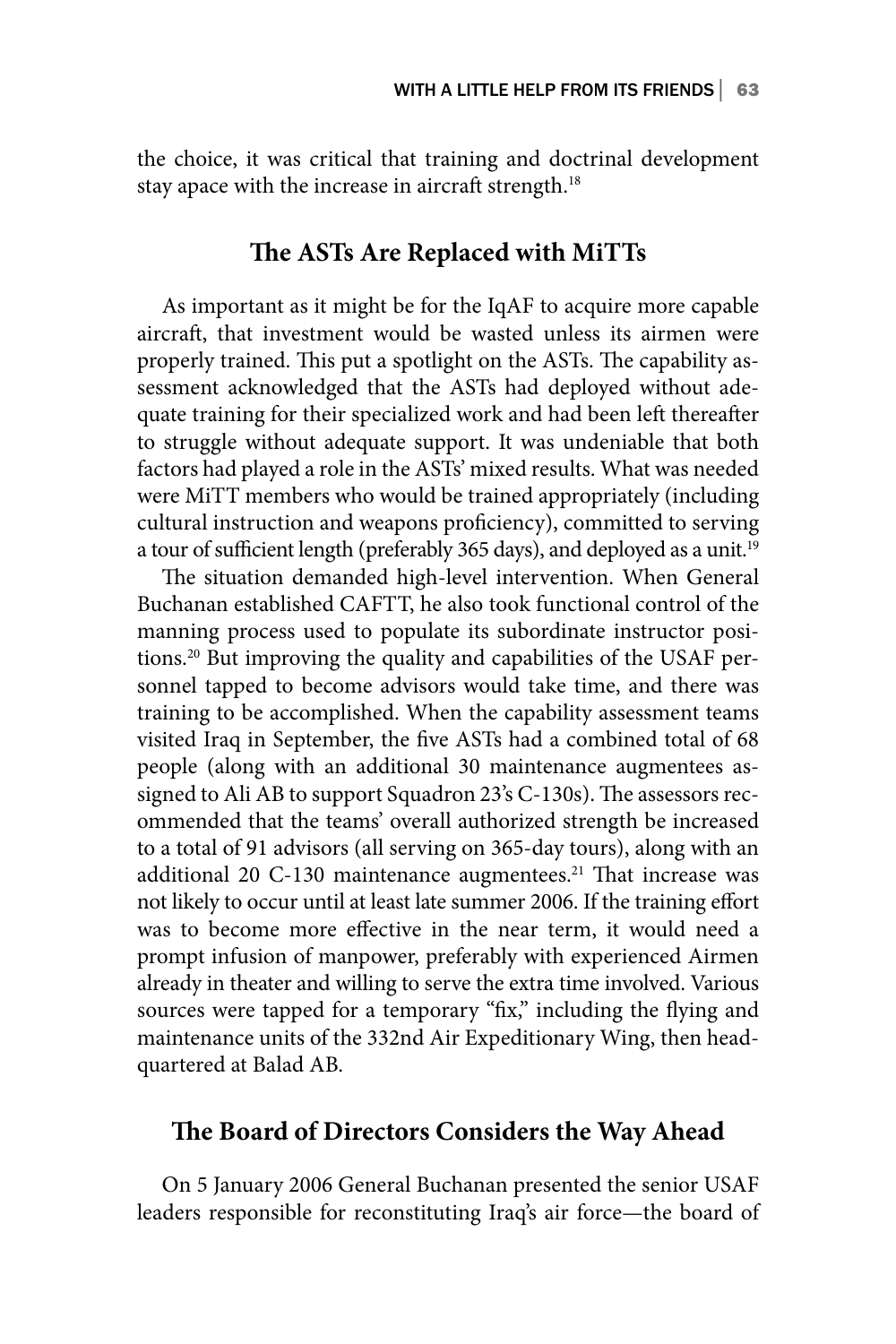the choice, it was critical that training and doctrinal development stay apace with the increase in aircraft strength.<sup>18</sup>

### **The ASTs Are Replaced with MiTTs**

As important as it might be for the IqAF to acquire more capable aircraft, that investment would be wasted unless its airmen were properly trained. This put a spotlight on the ASTs. The capability assessment acknowledged that the ASTs had deployed without adequate training for their specialized work and had been left thereafter to struggle without adequate support. It was undeniable that both factors had played a role in the ASTs' mixed results. What was needed were MiTT members who would be trained appropriately (including cultural instruction and weapons proficiency), committed to serving a tour of sufficient length (preferably 365 days), and deployed as a unit.<sup>19</sup>

The situation demanded high-level intervention. When General Buchanan established CAFTT, he also took functional control of the manning process used to populate its subordinate instructor positions.20 But improving the quality and capabilities of the USAF personnel tapped to become advisors would take time, and there was training to be accomplished. When the capability assessment teams visited Iraq in September, the five ASTs had a combined total of 68 people (along with an additional 30 maintenance augmentees assigned to Ali AB to support Squadron 23's C-130s). The assessors recommended that the teams' overall authorized strength be increased to a total of 91 advisors (all serving on 365-day tours), along with an additional 20 C-130 maintenance augmentees.<sup>21</sup> That increase was not likely to occur until at least late summer 2006. If the training effort was to become more effective in the near term, it would need a prompt infusion of manpower, preferably with experienced Airmen already in theater and willing to serve the extra time involved. Various sources were tapped for a temporary "fix," including the flying and maintenance units of the 332nd Air Expeditionary Wing, then headquartered at Balad AB.

## **The Board of Directors Considers the Way Ahead**

On 5 January 2006 General Buchanan presented the senior USAF leaders responsible for reconstituting Iraq's air force—the board of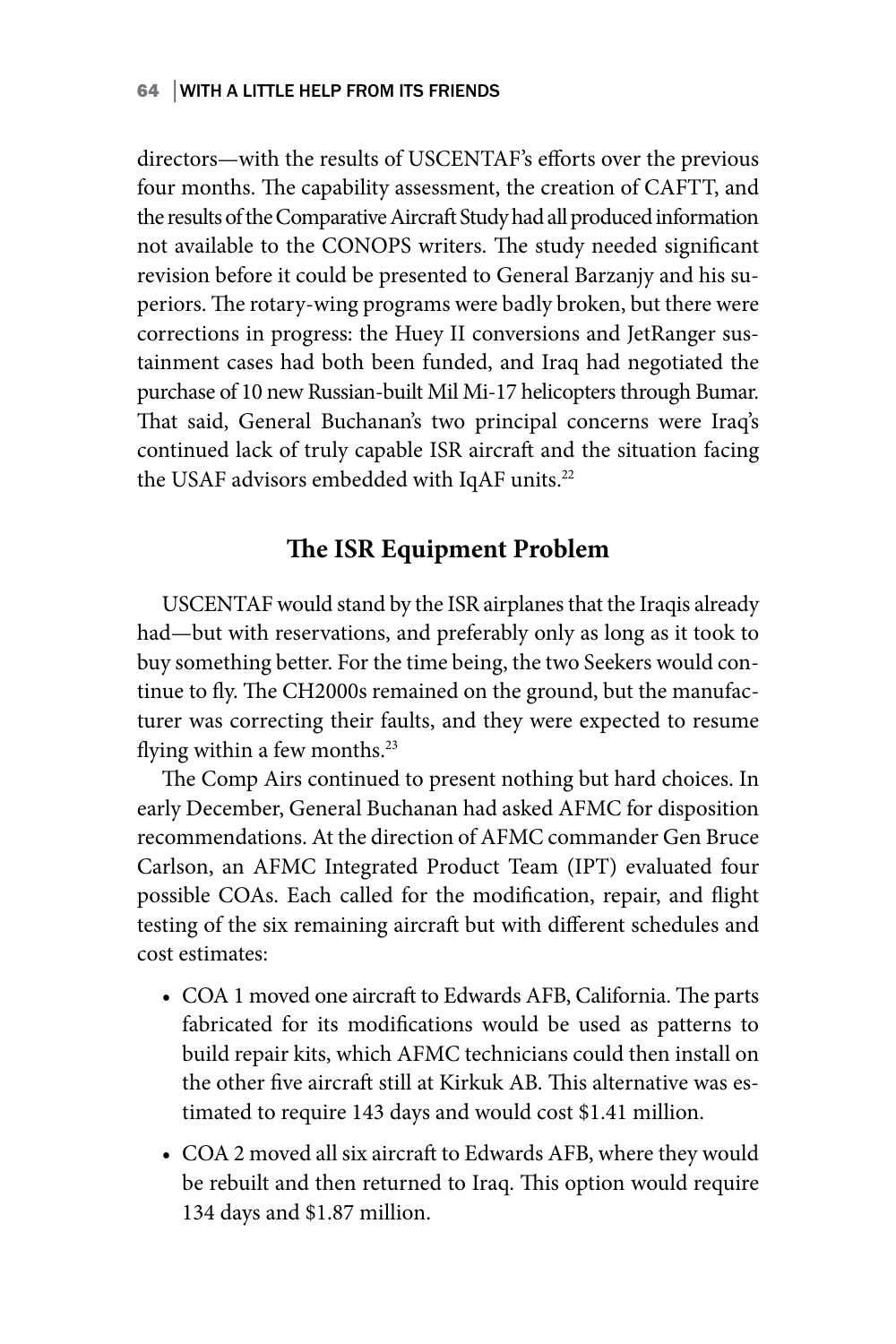directors—with the results of USCENTAF's efforts over the previous four months. The capability assessment, the creation of CAFTT, and the results of the Comparative Aircraft Study had all produced information not available to the CONOPS writers. The study needed significant revision before it could be presented to General Barzanjy and his superiors. The rotary-wing programs were badly broken, but there were corrections in progress: the Huey II conversions and JetRanger sustainment cases had both been funded, and Iraq had negotiated the purchase of 10 new Russian-built Mil Mi-17 helicopters through Bumar. That said, General Buchanan's two principal concerns were Iraq's continued lack of truly capable ISR aircraft and the situation facing the USAF advisors embedded with IqAF units.<sup>22</sup>

## **The ISR Equipment Problem**

USCENTAF would stand by the ISR airplanes that the Iraqis already had—but with reservations, and preferably only as long as it took to buy something better. For the time being, the two Seekers would continue to fly. The CH2000s remained on the ground, but the manufacturer was correcting their faults, and they were expected to resume flying within a few months.<sup>23</sup>

The Comp Airs continued to present nothing but hard choices. In early December, General Buchanan had asked AFMC for disposition recommendations. At the direction of AFMC commander Gen Bruce Carlson, an AFMC Integrated Product Team (IPT) evaluated four possible COAs. Each called for the modification, repair, and flight testing of the six remaining aircraft but with different schedules and cost estimates:

- COA 1 moved one aircraft to Edwards AFB, California. The parts fabricated for its modifications would be used as patterns to build repair kits, which AFMC technicians could then install on the other five aircraft still at Kirkuk AB. This alternative was estimated to require 143 days and would cost \$1.41 million.
- COA 2 moved all six aircraft to Edwards AFB, where they would be rebuilt and then returned to Iraq. This option would require 134 days and \$1.87 million.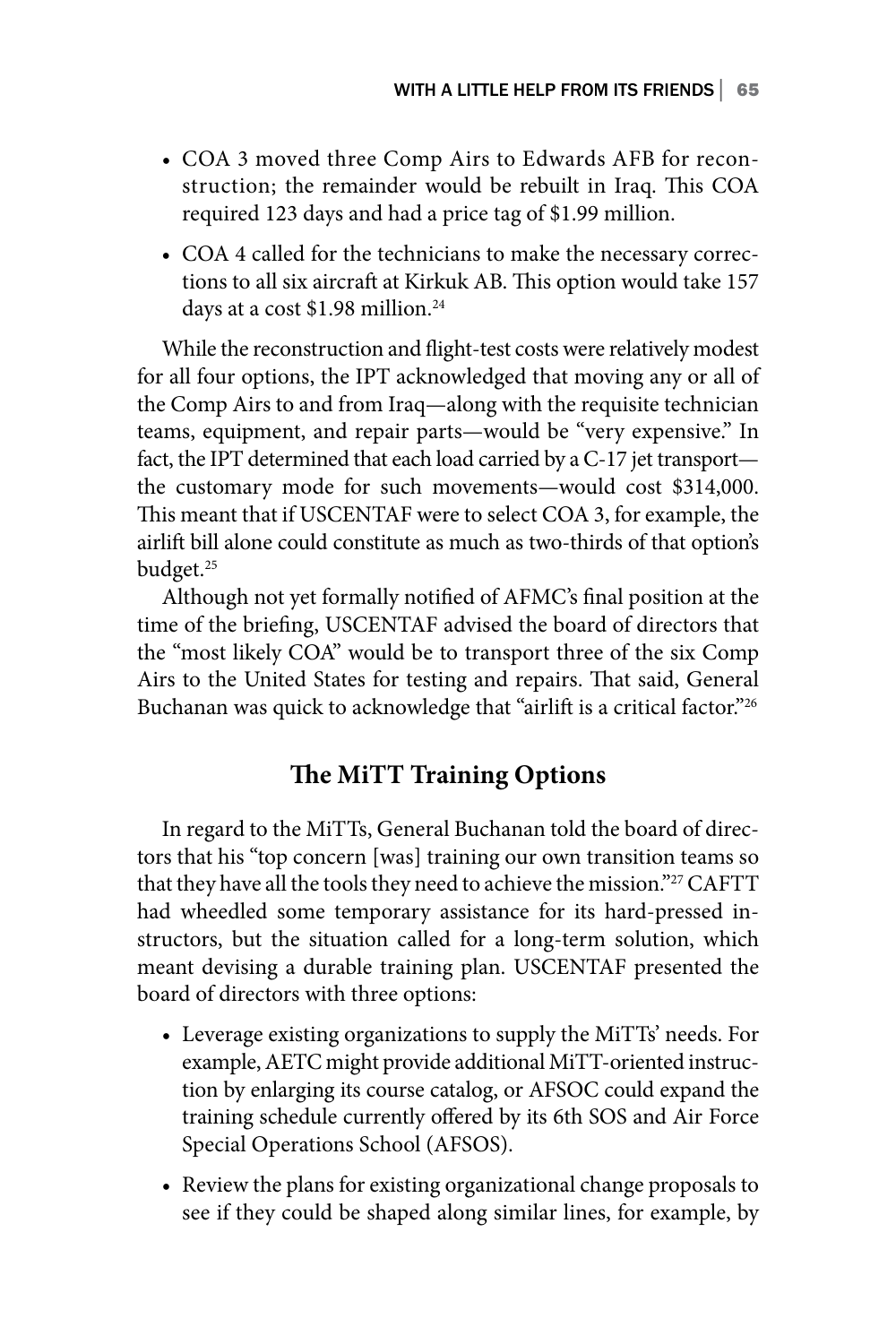- COA 3 moved three Comp Airs to Edwards AFB for reconstruction; the remainder would be rebuilt in Iraq. This COA required 123 days and had a price tag of \$1.99 million.
- COA 4 called for the technicians to make the necessary corrections to all six aircraft at Kirkuk AB. This option would take 157 days at a cost \$1.98 million.<sup>24</sup>

While the reconstruction and flight-test costs were relatively modest for all four options, the IPT acknowledged that moving any or all of the Comp Airs to and from Iraq—along with the requisite technician teams, equipment, and repair parts—would be "very expensive." In fact, the IPT determined that each load carried by a C-17 jet transport the customary mode for such movements—would cost \$314,000. This meant that if USCENTAF were to select COA 3, for example, the airlift bill alone could constitute as much as two-thirds of that option's budget.<sup>25</sup>

Although not yet formally notified of AFMC's final position at the time of the briefing, USCENTAF advised the board of directors that the "most likely COA" would be to transport three of the six Comp Airs to the United States for testing and repairs. That said, General Buchanan was quick to acknowledge that "airlift is a critical factor."26

## **The MiTT Training Options**

In regard to the MiTTs, General Buchanan told the board of directors that his "top concern [was] training our own transition teams so that they have all the tools they need to achieve the mission."<sup>27</sup> CAFTT had wheedled some temporary assistance for its hard-pressed instructors, but the situation called for a long-term solution, which meant devising a durable training plan. USCENTAF presented the board of directors with three options:

- Leverage existing organizations to supply the MiTTs' needs. For example, AETC might provide additional MiTT-oriented instruction by enlarging its course catalog, or AFSOC could expand the training schedule currently offered by its 6th SOS and Air Force Special Operations School (AFSOS).
- Review the plans for existing organizational change proposals to see if they could be shaped along similar lines, for example, by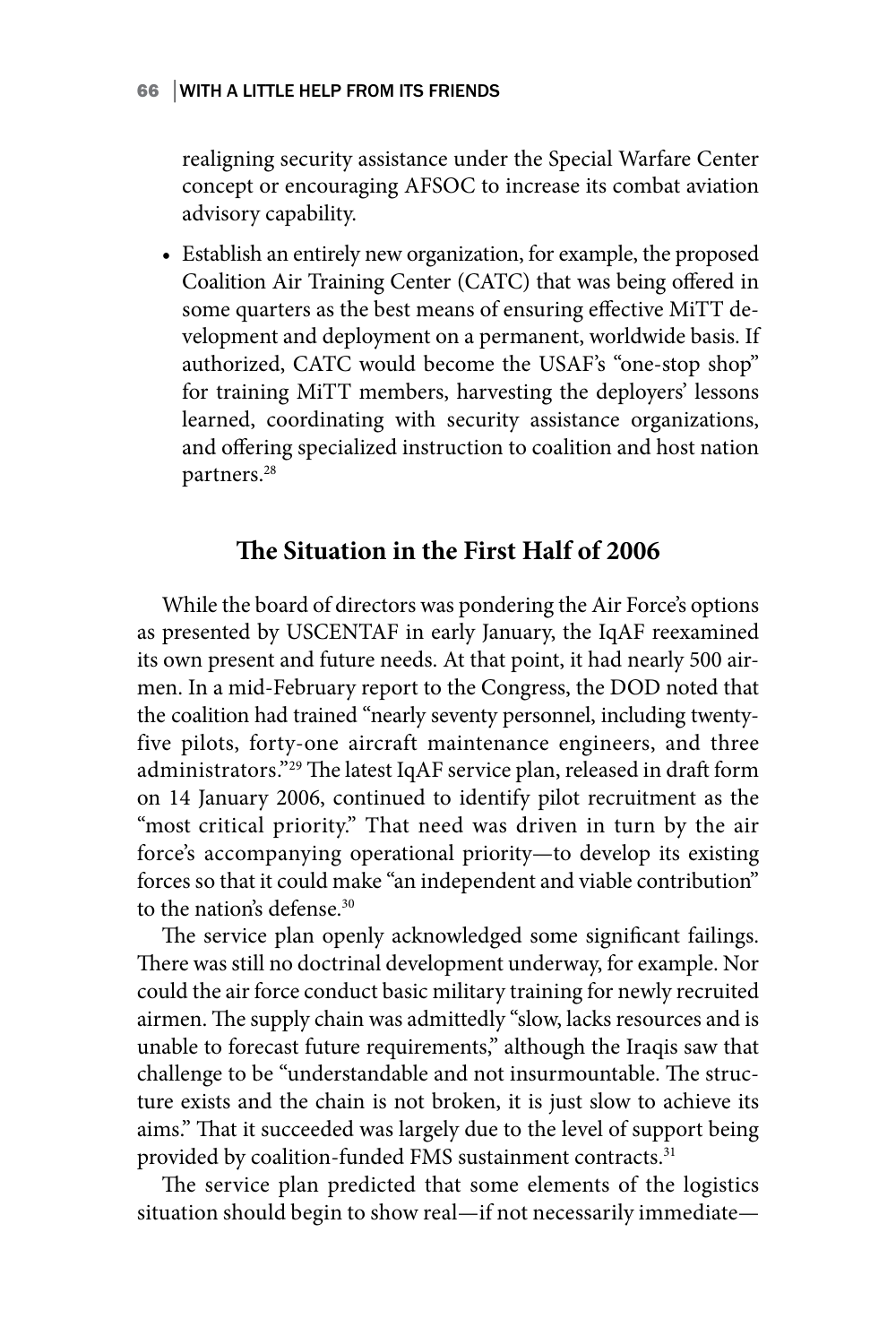realigning security assistance under the Special Warfare Center concept or encouraging AFSOC to increase its combat aviation advisory capability.

• Establish an entirely new organization, for example, the proposed Coalition Air Training Center (CATC) that was being offered in some quarters as the best means of ensuring effective MiTT development and deployment on a permanent, worldwide basis. If authorized, CATC would become the USAF's "one-stop shop" for training MiTT members, harvesting the deployers' lessons learned, coordinating with security assistance organizations, and offering specialized instruction to coalition and host nation partners.<sup>28</sup>

## **The Situation in the First Half of 2006**

While the board of directors was pondering the Air Force's options as presented by USCENTAF in early January, the IqAF reexamined its own present and future needs. At that point, it had nearly 500 airmen. In a mid-February report to the Congress, the DOD noted that the coalition had trained "nearly seventy personnel, including twentyfive pilots, forty-one aircraft maintenance engineers, and three administrators."29 The latest IqAF service plan, released in draft form on 14 January 2006, continued to identify pilot recruitment as the "most critical priority." That need was driven in turn by the air force's accompanying operational priority—to develop its existing forces so that it could make "an independent and viable contribution" to the nation's defense.<sup>30</sup>

The service plan openly acknowledged some significant failings. There was still no doctrinal development underway, for example. Nor could the air force conduct basic military training for newly recruited airmen. The supply chain was admittedly "slow, lacks resources and is unable to forecast future requirements," although the Iraqis saw that challenge to be "understandable and not insurmountable. The structure exists and the chain is not broken, it is just slow to achieve its aims." That it succeeded was largely due to the level of support being provided by coalition-funded FMS sustainment contracts.<sup>31</sup>

The service plan predicted that some elements of the logistics situation should begin to show real—if not necessarily immediate—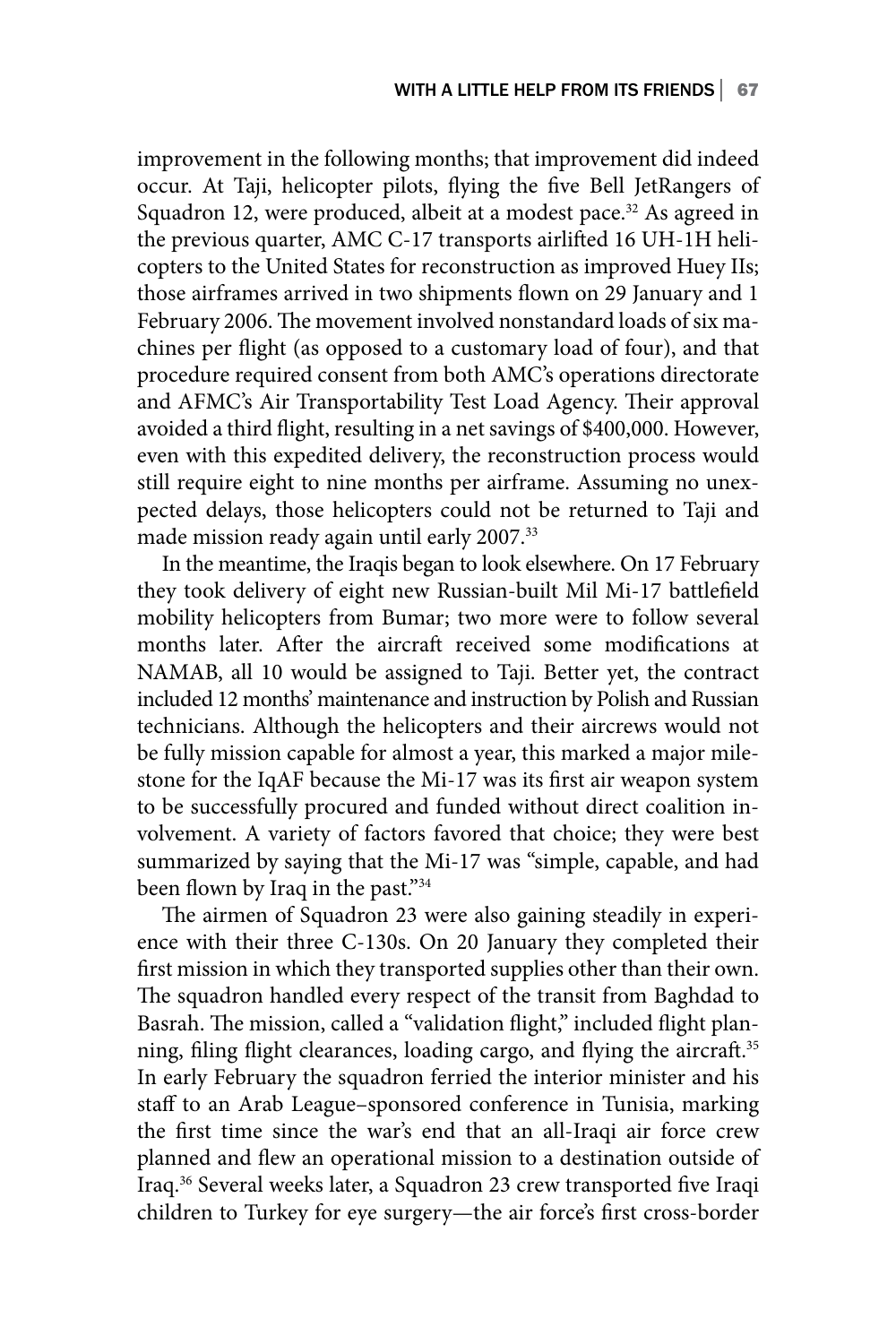improvement in the following months; that improvement did indeed occur. At Taji, helicopter pilots, flying the five Bell JetRangers of Squadron 12, were produced, albeit at a modest pace.<sup>32</sup> As agreed in the previous quarter, AMC C-17 transports airlifted 16 UH-1H helicopters to the United States for reconstruction as improved Huey IIs; those airframes arrived in two shipments flown on 29 January and 1 February 2006. The movement involved nonstandard loads of six machines per flight (as opposed to a customary load of four), and that procedure required consent from both AMC's operations directorate and AFMC's Air Transportability Test Load Agency. Their approval avoided a third flight, resulting in a net savings of \$400,000. However, even with this expedited delivery, the reconstruction process would still require eight to nine months per airframe. Assuming no unexpected delays, those helicopters could not be returned to Taji and made mission ready again until early 2007.33

In the meantime, the Iraqis began to look elsewhere. On 17 February they took delivery of eight new Russian-built Mil Mi-17 battlefield mobility helicopters from Bumar; two more were to follow several months later. After the aircraft received some modifications at NAMAB, all 10 would be assigned to Taji. Better yet, the contract included 12 months' maintenance and instruction by Polish and Russian technicians. Although the helicopters and their aircrews would not be fully mission capable for almost a year, this marked a major milestone for the IqAF because the Mi-17 was its first air weapon system to be successfully procured and funded without direct coalition involvement. A variety of factors favored that choice; they were best summarized by saying that the Mi-17 was "simple, capable, and had been flown by Iraq in the past."<sup>34</sup>

The airmen of Squadron 23 were also gaining steadily in experience with their three C-130s. On 20 January they completed their first mission in which they transported supplies other than their own. The squadron handled every respect of the transit from Baghdad to Basrah. The mission, called a "validation flight," included flight planning, filing flight clearances, loading cargo, and flying the aircraft.<sup>35</sup> In early February the squadron ferried the interior minister and his staff to an Arab League–sponsored conference in Tunisia, marking the first time since the war's end that an all-Iraqi air force crew planned and flew an operational mission to a destination outside of Iraq.36 Several weeks later, a Squadron 23 crew transported five Iraqi children to Turkey for eye surgery—the air force's first cross-border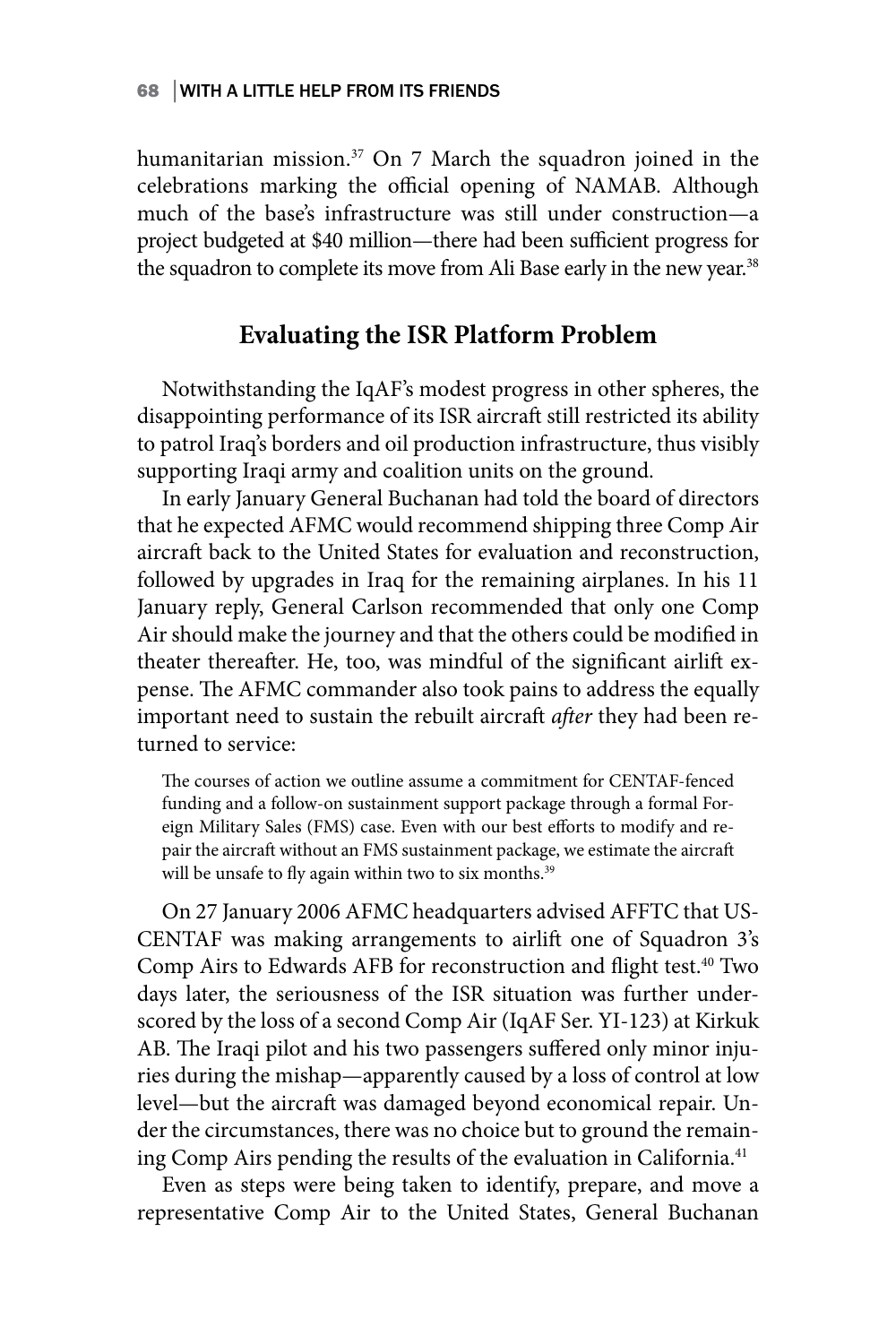humanitarian mission.<sup>37</sup> On 7 March the squadron joined in the celebrations marking the official opening of NAMAB. Although much of the base's infrastructure was still under construction—a project budgeted at \$40 million—there had been sufficient progress for the squadron to complete its move from Ali Base early in the new year.<sup>38</sup>

## **Evaluating the ISR Platform Problem**

Notwithstanding the IqAF's modest progress in other spheres, the disappointing performance of its ISR aircraft still restricted its ability to patrol Iraq's borders and oil production infrastructure, thus visibly supporting Iraqi army and coalition units on the ground.

In early January General Buchanan had told the board of directors that he expected AFMC would recommend shipping three Comp Air aircraft back to the United States for evaluation and reconstruction, followed by upgrades in Iraq for the remaining airplanes. In his 11 January reply, General Carlson recommended that only one Comp Air should make the journey and that the others could be modified in theater thereafter. He, too, was mindful of the significant airlift expense. The AFMC commander also took pains to address the equally important need to sustain the rebuilt aircraft *after* they had been returned to service:

The courses of action we outline assume a commitment for CENTAF-fenced funding and a follow-on sustainment support package through a formal Foreign Military Sales (FMS) case. Even with our best efforts to modify and repair the aircraft without an FMS sustainment package, we estimate the aircraft will be unsafe to fly again within two to six months.<sup>39</sup>

On 27 January 2006 AFMC headquarters advised AFFTC that US-CENTAF was making arrangements to airlift one of Squadron 3's Comp Airs to Edwards AFB for reconstruction and flight test.<sup>40</sup> Two days later, the seriousness of the ISR situation was further underscored by the loss of a second Comp Air (IqAF Ser. YI-123) at Kirkuk AB. The Iraqi pilot and his two passengers suffered only minor injuries during the mishap—apparently caused by a loss of control at low level—but the aircraft was damaged beyond economical repair. Under the circumstances, there was no choice but to ground the remaining Comp Airs pending the results of the evaluation in California.<sup>41</sup>

Even as steps were being taken to identify, prepare, and move a representative Comp Air to the United States, General Buchanan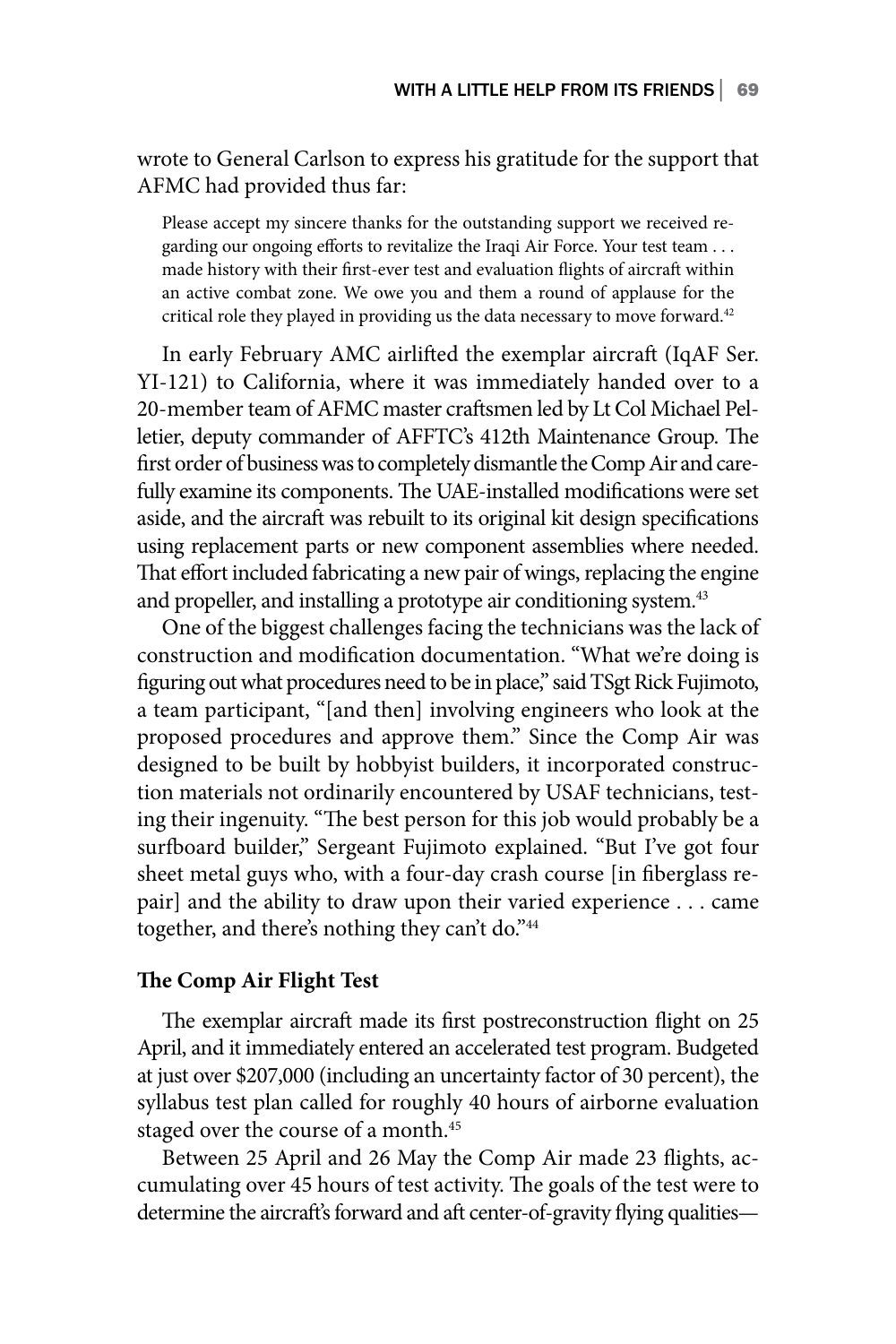wrote to General Carlson to express his gratitude for the support that AFMC had provided thus far:

Please accept my sincere thanks for the outstanding support we received regarding our ongoing efforts to revitalize the Iraqi Air Force. Your test team . . . made history with their first-ever test and evaluation flights of aircraft within an active combat zone. We owe you and them a round of applause for the critical role they played in providing us the data necessary to move forward.<sup>42</sup>

In early February AMC airlifted the exemplar aircraft (IqAF Ser. YI-121) to California, where it was immediately handed over to a 20-member team of AFMC master craftsmen led by Lt Col Michael Pelletier, deputy commander of AFFTC's 412th Maintenance Group. The first order of business was to completely dismantle the Comp Air and carefully examine its components. The UAE-installed modifications were set aside, and the aircraft was rebuilt to its original kit design specifications using replacement parts or new component assemblies where needed. That effort included fabricating a new pair of wings, replacing the engine and propeller, and installing a prototype air conditioning system.<sup>43</sup>

One of the biggest challenges facing the technicians was the lack of construction and modification documentation. "What we're doing is figuring out what procedures need to be in place," said TSgt Rick Fujimoto, a team participant, "[and then] involving engineers who look at the proposed procedures and approve them." Since the Comp Air was designed to be built by hobbyist builders, it incorporated construction materials not ordinarily encountered by USAF technicians, testing their ingenuity. "The best person for this job would probably be a surfboard builder," Sergeant Fujimoto explained. "But I've got four sheet metal guys who, with a four-day crash course [in fiberglass repair] and the ability to draw upon their varied experience . . . came together, and there's nothing they can't do."44

### **The Comp Air Flight Test**

The exemplar aircraft made its first postreconstruction flight on 25 April, and it immediately entered an accelerated test program. Budgeted at just over \$207,000 (including an uncertainty factor of 30 percent), the syllabus test plan called for roughly 40 hours of airborne evaluation staged over the course of a month.<sup>45</sup>

Between 25 April and 26 May the Comp Air made 23 flights, accumulating over 45 hours of test activity. The goals of the test were to determine the aircraft's forward and aft center-of-gravity flying qualities—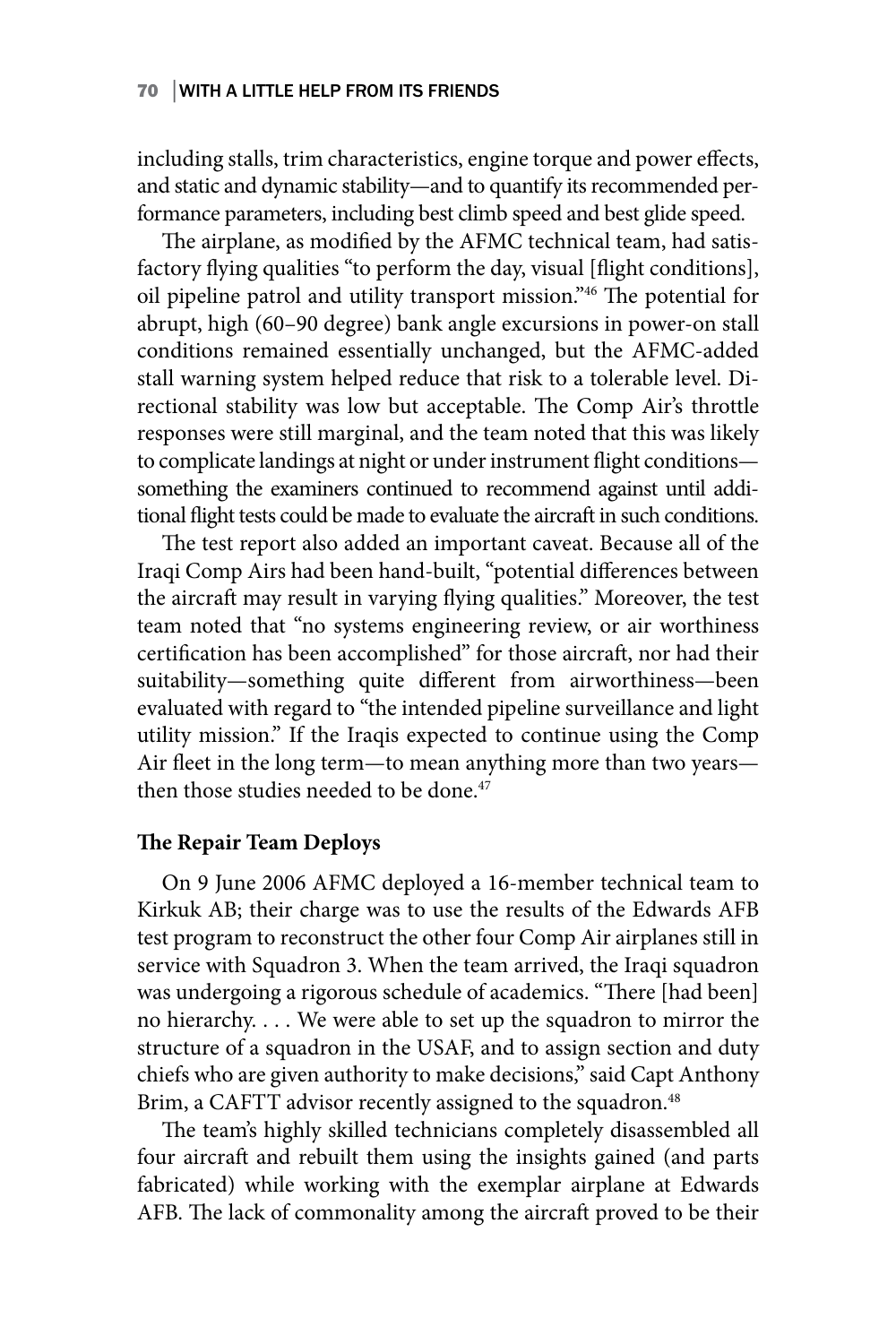including stalls, trim characteristics, engine torque and power effects, and static and dynamic stability—and to quantify its recommended performance parameters, including best climb speed and best glide speed.

The airplane, as modified by the AFMC technical team, had satisfactory flying qualities "to perform the day, visual [flight conditions], oil pipeline patrol and utility transport mission."46 The potential for abrupt, high (60–90 degree) bank angle excursions in power-on stall conditions remained essentially unchanged, but the AFMC-added stall warning system helped reduce that risk to a tolerable level. Directional stability was low but acceptable. The Comp Air's throttle responses were still marginal, and the team noted that this was likely to complicate landings at night or under instrument flight conditions something the examiners continued to recommend against until additional flight tests could be made to evaluate the aircraft in such conditions.

The test report also added an important caveat. Because all of the Iraqi Comp Airs had been hand-built, "potential differences between the aircraft may result in varying flying qualities." Moreover, the test team noted that "no systems engineering review, or air worthiness certification has been accomplished" for those aircraft, nor had their suitability—something quite different from airworthiness—been evaluated with regard to "the intended pipeline surveillance and light utility mission." If the Iraqis expected to continue using the Comp Air fleet in the long term—to mean anything more than two years then those studies needed to be done.<sup>47</sup>

### **The Repair Team Deploys**

On 9 June 2006 AFMC deployed a 16-member technical team to Kirkuk AB; their charge was to use the results of the Edwards AFB test program to reconstruct the other four Comp Air airplanes still in service with Squadron 3. When the team arrived, the Iraqi squadron was undergoing a rigorous schedule of academics. "There [had been] no hierarchy. . . . We were able to set up the squadron to mirror the structure of a squadron in the USAF, and to assign section and duty chiefs who are given authority to make decisions," said Capt Anthony Brim, a CAFTT advisor recently assigned to the squadron.<sup>48</sup>

The team's highly skilled technicians completely disassembled all four aircraft and rebuilt them using the insights gained (and parts fabricated) while working with the exemplar airplane at Edwards AFB. The lack of commonality among the aircraft proved to be their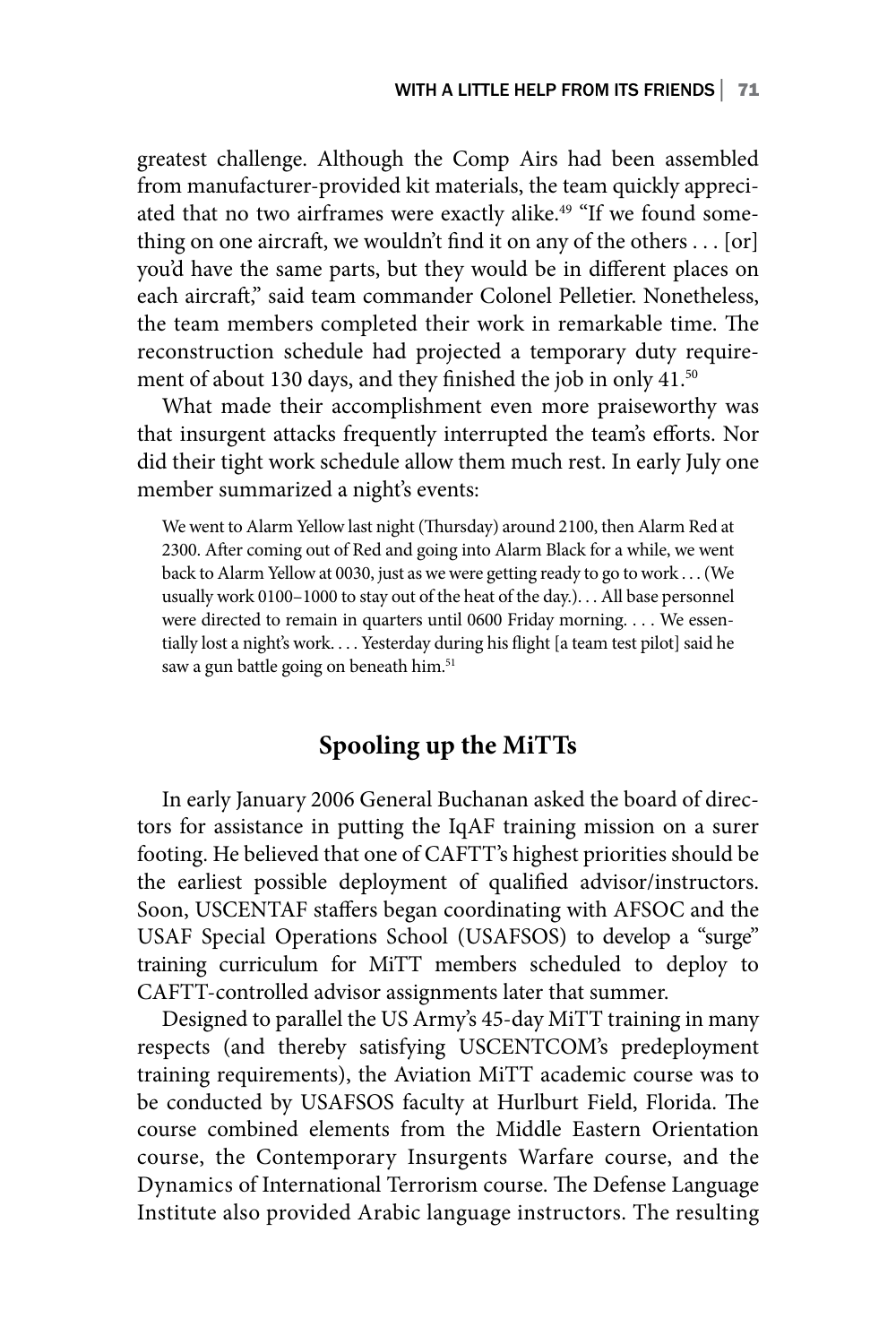greatest challenge. Although the Comp Airs had been assembled from manufacturer-provided kit materials, the team quickly appreciated that no two airframes were exactly alike.<sup>49</sup> "If we found something on one aircraft, we wouldn't find it on any of the others . . . [or] you'd have the same parts, but they would be in different places on each aircraft," said team commander Colonel Pelletier. Nonetheless, the team members completed their work in remarkable time. The reconstruction schedule had projected a temporary duty requirement of about 130 days, and they finished the job in only 41.<sup>50</sup>

What made their accomplishment even more praiseworthy was that insurgent attacks frequently interrupted the team's efforts. Nor did their tight work schedule allow them much rest. In early July one member summarized a night's events:

We went to Alarm Yellow last night (Thursday) around 2100, then Alarm Red at 2300. After coming out of Red and going into Alarm Black for a while, we went back to Alarm Yellow at 0030, just as we were getting ready to go to work . . . (We usually work 0100–1000 to stay out of the heat of the day.). . . All base personnel were directed to remain in quarters until 0600 Friday morning. . . . We essentially lost a night's work. . . . Yesterday during his flight [a team test pilot] said he saw a gun battle going on beneath him.<sup>51</sup>

### **Spooling up the MiTTs**

In early January 2006 General Buchanan asked the board of directors for assistance in putting the IqAF training mission on a surer footing. He believed that one of CAFTT's highest priorities should be the earliest possible deployment of qualified advisor/instructors. Soon, USCENTAF staffers began coordinating with AFSOC and the USAF Special Operations School (USAFSOS) to develop a "surge" training curriculum for MiTT members scheduled to deploy to CAFTT-controlled advisor assignments later that summer.

Designed to parallel the US Army's 45-day MiTT training in many respects (and thereby satisfying USCENTCOM's predeployment training requirements), the Aviation MiTT academic course was to be conducted by USAFSOS faculty at Hurlburt Field, Florida. The course combined elements from the Middle Eastern Orientation course, the Contemporary Insurgents Warfare course, and the Dynamics of International Terrorism course. The Defense Language Institute also provided Arabic language instructors. The resulting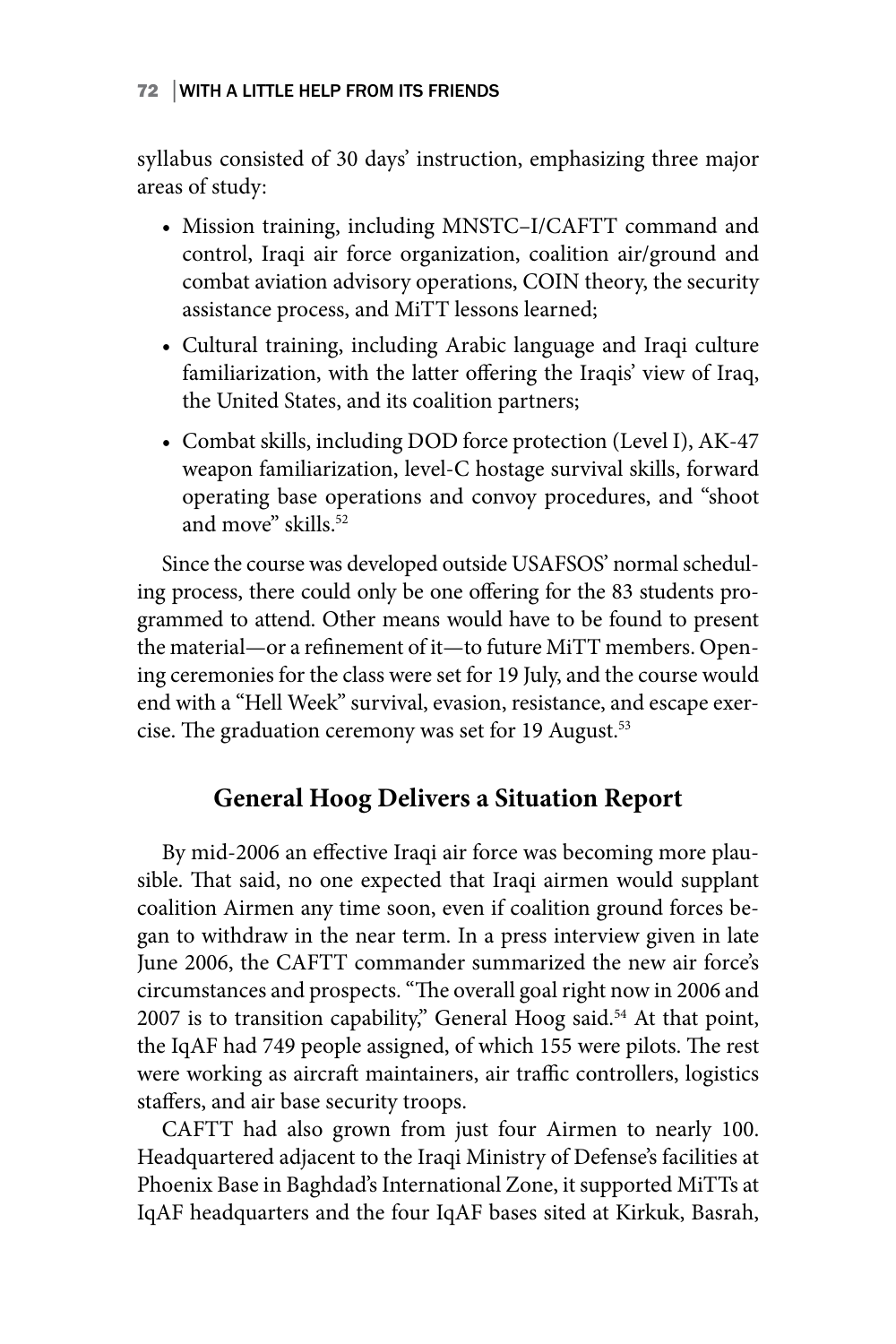syllabus consisted of 30 days' instruction, emphasizing three major areas of study:

- Mission training, including MNSTC–I/CAFTT command and control, Iraqi air force organization, coalition air/ground and combat aviation advisory operations, COIN theory, the security assistance process, and MiTT lessons learned;
- Cultural training, including Arabic language and Iraqi culture familiarization, with the latter offering the Iraqis' view of Iraq, the United States, and its coalition partners;
- Combat skills, including DOD force protection (Level I), AK-47 weapon familiarization, level-C hostage survival skills, forward operating base operations and convoy procedures, and "shoot and move" skills.<sup>52</sup>

Since the course was developed outside USAFSOS' normal scheduling process, there could only be one offering for the 83 students programmed to attend. Other means would have to be found to present the material—or a refinement of it—to future MiTT members. Opening ceremonies for the class were set for 19 July, and the course would end with a "Hell Week" survival, evasion, resistance, and escape exercise. The graduation ceremony was set for 19 August.<sup>53</sup>

## **General Hoog Delivers a Situation Report**

By mid-2006 an effective Iraqi air force was becoming more plausible. That said, no one expected that Iraqi airmen would supplant coalition Airmen any time soon, even if coalition ground forces began to withdraw in the near term. In a press interview given in late June 2006, the CAFTT commander summarized the new air force's circumstances and prospects. "The overall goal right now in 2006 and  $2007$  is to transition capability," General Hoog said.<sup>54</sup> At that point, the IqAF had 749 people assigned, of which 155 were pilots. The rest were working as aircraft maintainers, air traffic controllers, logistics staffers, and air base security troops.

CAFTT had also grown from just four Airmen to nearly 100. Headquartered adjacent to the Iraqi Ministry of Defense's facilities at Phoenix Base in Baghdad's International Zone, it supported MiTTs at IqAF headquarters and the four IqAF bases sited at Kirkuk, Basrah,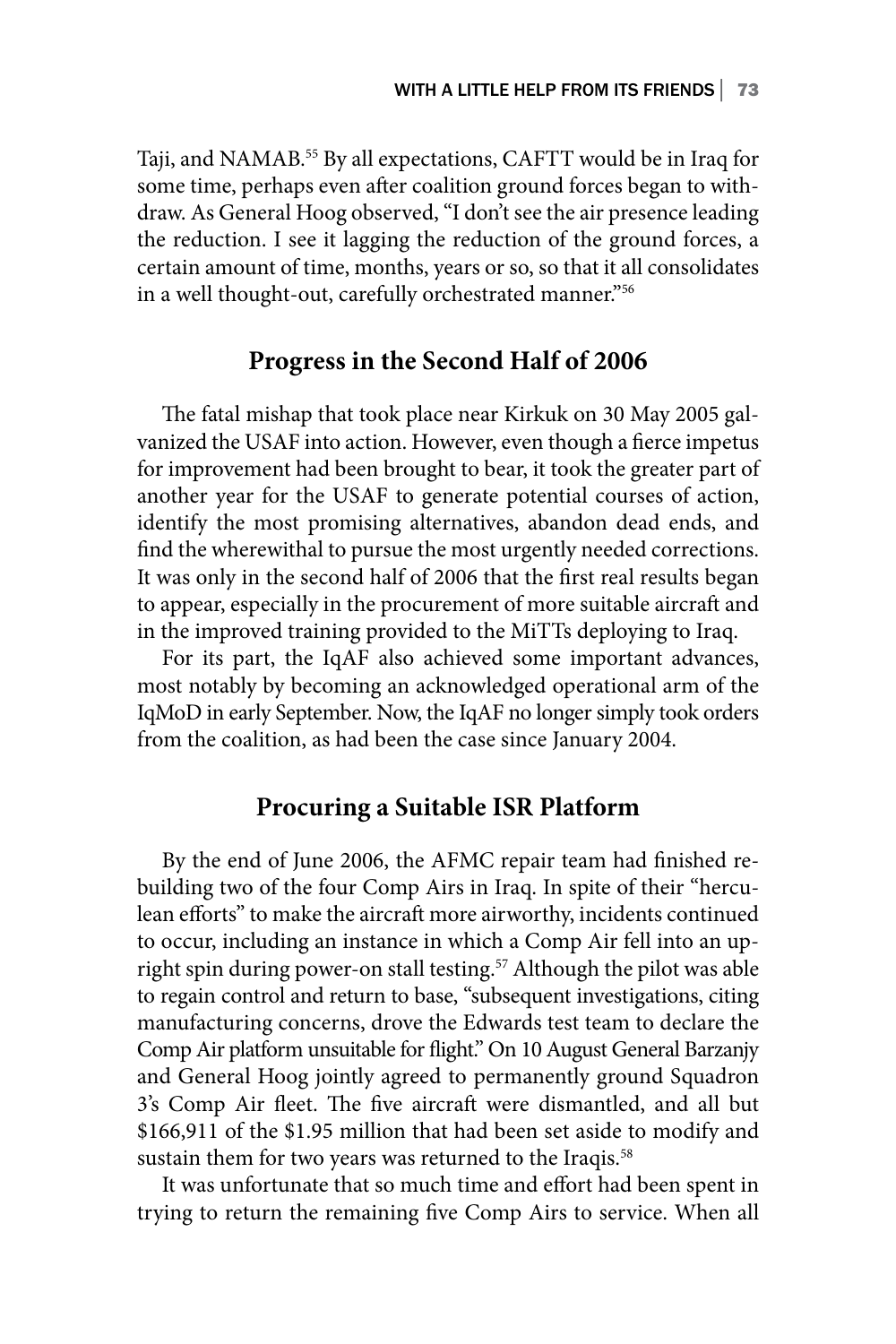Taji, and NAMAB.55 By all expectations, CAFTT would be in Iraq for some time, perhaps even after coalition ground forces began to withdraw. As General Hoog observed, "I don't see the air presence leading the reduction. I see it lagging the reduction of the ground forces, a certain amount of time, months, years or so, so that it all consolidates in a well thought-out, carefully orchestrated manner."56

### **Progress in the Second Half of 2006**

The fatal mishap that took place near Kirkuk on 30 May 2005 galvanized the USAF into action. However, even though a fierce impetus for improvement had been brought to bear, it took the greater part of another year for the USAF to generate potential courses of action, identify the most promising alternatives, abandon dead ends, and find the wherewithal to pursue the most urgently needed corrections. It was only in the second half of 2006 that the first real results began to appear, especially in the procurement of more suitable aircraft and in the improved training provided to the MiTTs deploying to Iraq.

For its part, the IqAF also achieved some important advances, most notably by becoming an acknowledged operational arm of the IqMoD in early September. Now, the IqAF no longer simply took orders from the coalition, as had been the case since January 2004.

### **Procuring a Suitable ISR Platform**

By the end of June 2006, the AFMC repair team had finished rebuilding two of the four Comp Airs in Iraq. In spite of their "herculean efforts" to make the aircraft more airworthy, incidents continued to occur, including an instance in which a Comp Air fell into an upright spin during power-on stall testing.<sup>57</sup> Although the pilot was able to regain control and return to base, "subsequent investigations, citing manufacturing concerns, drove the Edwards test team to declare the Comp Air platform unsuitable for flight." On 10 August General Barzanjy and General Hoog jointly agreed to permanently ground Squadron 3's Comp Air fleet. The five aircraft were dismantled, and all but \$166,911 of the \$1.95 million that had been set aside to modify and sustain them for two years was returned to the Iraqis.<sup>58</sup>

It was unfortunate that so much time and effort had been spent in trying to return the remaining five Comp Airs to service. When all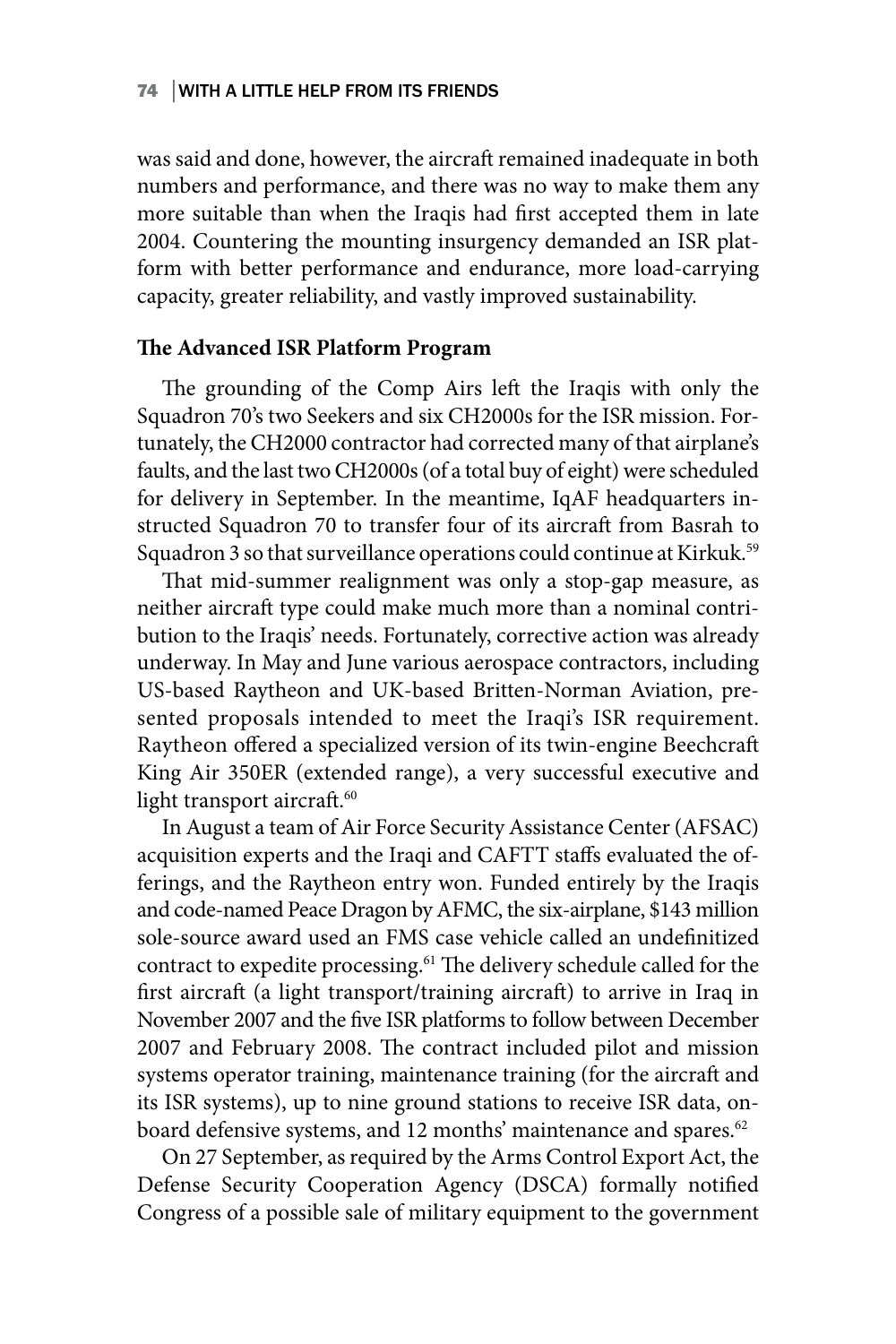was said and done, however, the aircraft remained inadequate in both numbers and performance, and there was no way to make them any more suitable than when the Iraqis had first accepted them in late 2004. Countering the mounting insurgency demanded an ISR platform with better performance and endurance, more load-carrying capacity, greater reliability, and vastly improved sustainability.

### **The Advanced ISR Platform Program**

The grounding of the Comp Airs left the Iraqis with only the Squadron 70's two Seekers and six CH2000s for the ISR mission. Fortunately, the CH2000 contractor had corrected many of that airplane's faults, and the last two CH2000s (of a total buy of eight) were scheduled for delivery in September. In the meantime, IqAF headquarters instructed Squadron 70 to transfer four of its aircraft from Basrah to Squadron 3 so that surveillance operations could continue at Kirkuk.<sup>59</sup>

That mid-summer realignment was only a stop-gap measure, as neither aircraft type could make much more than a nominal contribution to the Iraqis' needs. Fortunately, corrective action was already underway. In May and June various aerospace contractors, including US-based Raytheon and UK-based Britten-Norman Aviation, presented proposals intended to meet the Iraqi's ISR requirement. Raytheon offered a specialized version of its twin-engine Beechcraft King Air 350ER (extended range), a very successful executive and light transport aircraft.<sup>60</sup>

In August a team of Air Force Security Assistance Center (AFSAC) acquisition experts and the Iraqi and CAFTT staffs evaluated the offerings, and the Raytheon entry won. Funded entirely by the Iraqis and code-named Peace Dragon by AFMC, the six-airplane, \$143 million sole-source award used an FMS case vehicle called an undefinitized contract to expedite processing.<sup>61</sup> The delivery schedule called for the first aircraft (a light transport/training aircraft) to arrive in Iraq in November 2007 and the five ISR platforms to follow between December 2007 and February 2008. The contract included pilot and mission systems operator training, maintenance training (for the aircraft and its ISR systems), up to nine ground stations to receive ISR data, onboard defensive systems, and 12 months' maintenance and spares.<sup>62</sup>

On 27 September, as required by the Arms Control Export Act, the Defense Security Cooperation Agency (DSCA) formally notified Congress of a possible sale of military equipment to the government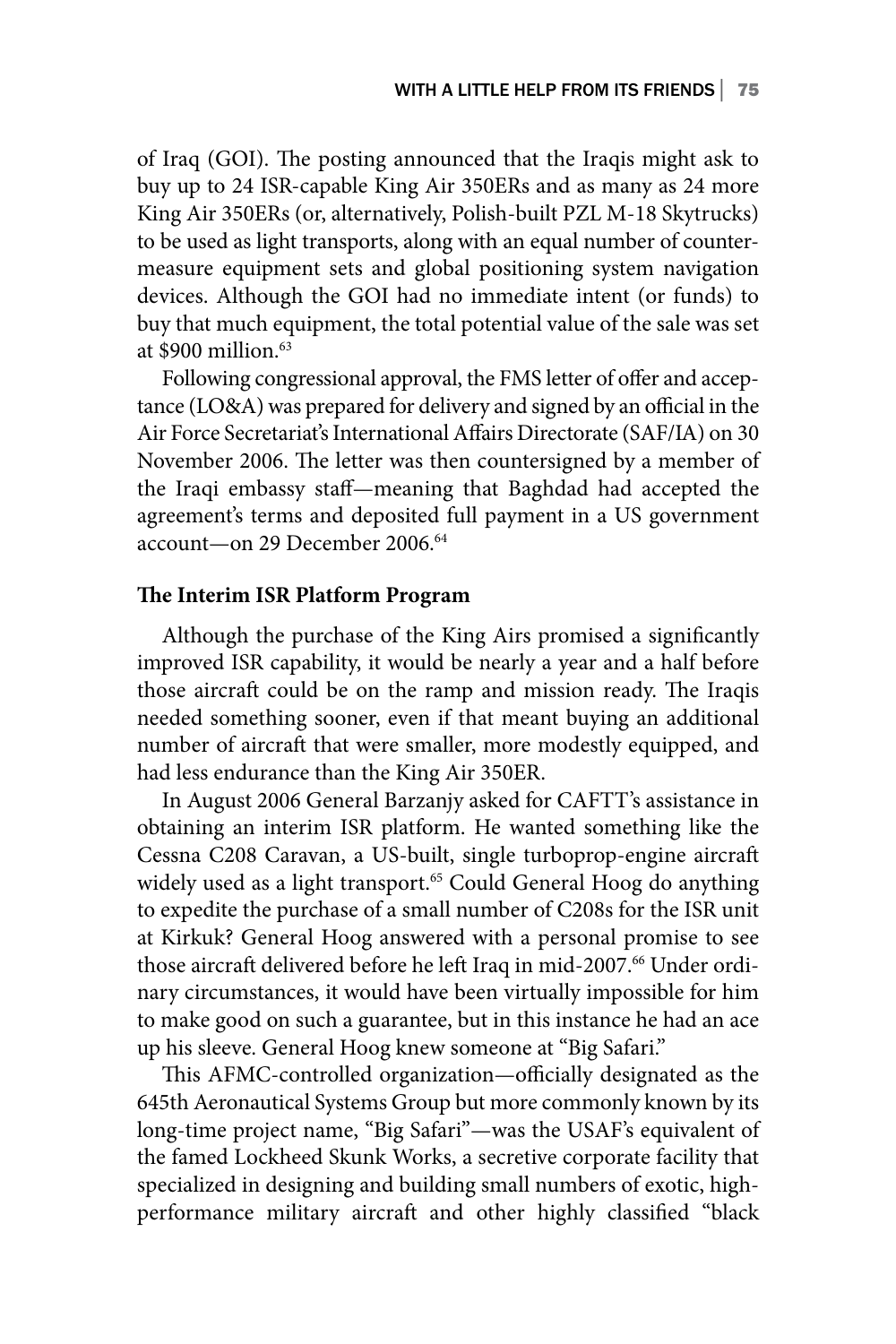of Iraq (GOI). The posting announced that the Iraqis might ask to buy up to 24 ISR-capable King Air 350ERs and as many as 24 more King Air 350ERs (or, alternatively, Polish-built PZL M-18 Skytrucks) to be used as light transports, along with an equal number of countermeasure equipment sets and global positioning system navigation devices. Although the GOI had no immediate intent (or funds) to buy that much equipment, the total potential value of the sale was set at  $$900$  million  $^{63}$ 

Following congressional approval, the FMS letter of offer and acceptance (LO&A) was prepared for delivery and signed by an official in the Air Force Secretariat's International Affairs Directorate (SAF/IA) on 30 November 2006. The letter was then countersigned by a member of the Iraqi embassy staff—meaning that Baghdad had accepted the agreement's terms and deposited full payment in a US government account—on 29 December 2006.64

### **The Interim ISR Platform Program**

Although the purchase of the King Airs promised a significantly improved ISR capability, it would be nearly a year and a half before those aircraft could be on the ramp and mission ready. The Iraqis needed something sooner, even if that meant buying an additional number of aircraft that were smaller, more modestly equipped, and had less endurance than the King Air 350ER.

In August 2006 General Barzanjy asked for CAFTT's assistance in obtaining an interim ISR platform. He wanted something like the Cessna C208 Caravan, a US-built, single turboprop-engine aircraft widely used as a light transport.<sup>65</sup> Could General Hoog do anything to expedite the purchase of a small number of C208s for the ISR unit at Kirkuk? General Hoog answered with a personal promise to see those aircraft delivered before he left Iraq in mid-2007.<sup>66</sup> Under ordinary circumstances, it would have been virtually impossible for him to make good on such a guarantee, but in this instance he had an ace up his sleeve. General Hoog knew someone at "Big Safari."

This AFMC-controlled organization—officially designated as the 645th Aeronautical Systems Group but more commonly known by its long-time project name, "Big Safari"—was the USAF's equivalent of the famed Lockheed Skunk Works, a secretive corporate facility that specialized in designing and building small numbers of exotic, highperformance military aircraft and other highly classified "black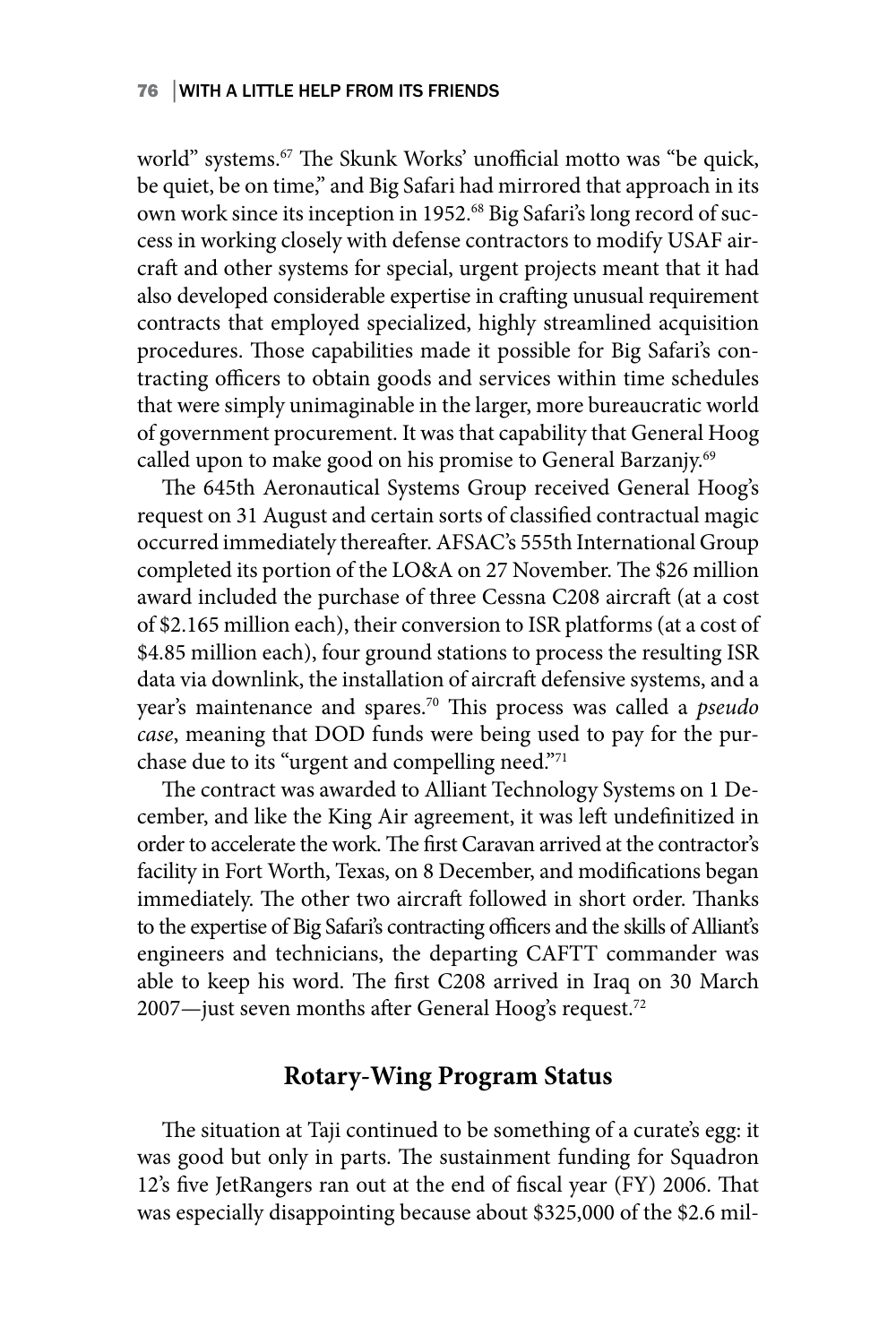world" systems.<sup>67</sup> The Skunk Works' unofficial motto was "be quick, be quiet, be on time," and Big Safari had mirrored that approach in its own work since its inception in 1952.<sup>68</sup> Big Safari's long record of success in working closely with defense contractors to modify USAF aircraft and other systems for special, urgent projects meant that it had also developed considerable expertise in crafting unusual requirement contracts that employed specialized, highly streamlined acquisition procedures. Those capabilities made it possible for Big Safari's contracting officers to obtain goods and services within time schedules that were simply unimaginable in the larger, more bureaucratic world of government procurement. It was that capability that General Hoog called upon to make good on his promise to General Barzanjy.<sup>69</sup>

The 645th Aeronautical Systems Group received General Hoog's request on 31 August and certain sorts of classified contractual magic occurred immediately thereafter. AFSAC's 555th International Group completed its portion of the LO&A on 27 November. The \$26 million award included the purchase of three Cessna C208 aircraft (at a cost of \$2.165 million each), their conversion to ISR platforms (at a cost of \$4.85 million each), four ground stations to process the resulting ISR data via downlink, the installation of aircraft defensive systems, and a year's maintenance and spares.70 This process was called a *pseudo case*, meaning that DOD funds were being used to pay for the purchase due to its "urgent and compelling need."71

The contract was awarded to Alliant Technology Systems on 1 December, and like the King Air agreement, it was left undefinitized in order to accelerate the work. The first Caravan arrived at the contractor's facility in Fort Worth, Texas, on 8 December, and modifications began immediately. The other two aircraft followed in short order. Thanks to the expertise of Big Safari's contracting officers and the skills of Alliant's engineers and technicians, the departing CAFTT commander was able to keep his word. The first C208 arrived in Iraq on 30 March 2007—just seven months after General Hoog's request.72

### **Rotary-Wing Program Status**

The situation at Taji continued to be something of a curate's egg: it was good but only in parts. The sustainment funding for Squadron 12's five JetRangers ran out at the end of fiscal year (FY) 2006. That was especially disappointing because about \$325,000 of the \$2.6 mil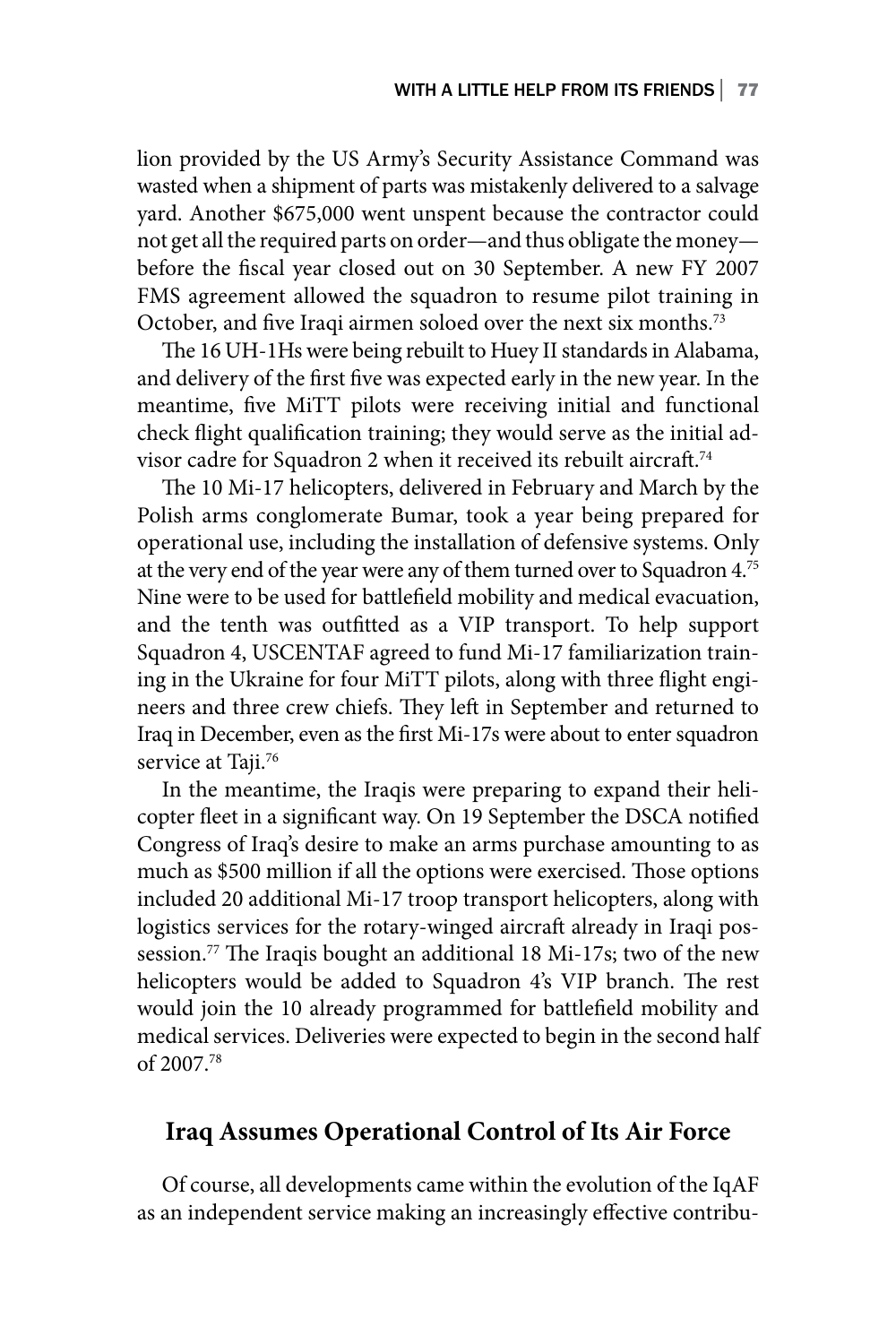lion provided by the US Army's Security Assistance Command was wasted when a shipment of parts was mistakenly delivered to a salvage yard. Another \$675,000 went unspent because the contractor could not get all the required parts on order—and thus obligate the money before the fiscal year closed out on 30 September. A new FY 2007 FMS agreement allowed the squadron to resume pilot training in October, and five Iraqi airmen soloed over the next six months.73

The 16 UH-1Hs were being rebuilt to Huey II standards in Alabama, and delivery of the first five was expected early in the new year. In the meantime, five MiTT pilots were receiving initial and functional check flight qualification training; they would serve as the initial advisor cadre for Squadron 2 when it received its rebuilt aircraft.<sup>74</sup>

The 10 Mi-17 helicopters, delivered in February and March by the Polish arms conglomerate Bumar, took a year being prepared for operational use, including the installation of defensive systems. Only at the very end of the year were any of them turned over to Squadron 4.75 Nine were to be used for battlefield mobility and medical evacuation, and the tenth was outfitted as a VIP transport. To help support Squadron 4, USCENTAF agreed to fund Mi-17 familiarization training in the Ukraine for four MiTT pilots, along with three flight engineers and three crew chiefs. They left in September and returned to Iraq in December, even as the first Mi-17s were about to enter squadron service at Taji.<sup>76</sup>

In the meantime, the Iraqis were preparing to expand their helicopter fleet in a significant way. On 19 September the DSCA notified Congress of Iraq's desire to make an arms purchase amounting to as much as \$500 million if all the options were exercised. Those options included 20 additional Mi-17 troop transport helicopters, along with logistics services for the rotary-winged aircraft already in Iraqi possession.<sup>77</sup> The Iraqis bought an additional 18 Mi-17s; two of the new helicopters would be added to Squadron 4's VIP branch. The rest would join the 10 already programmed for battlefield mobility and medical services. Deliveries were expected to begin in the second half of 2007.78

## **Iraq Assumes Operational Control of Its Air Force**

Of course, all developments came within the evolution of the IqAF as an independent service making an increasingly effective contribu-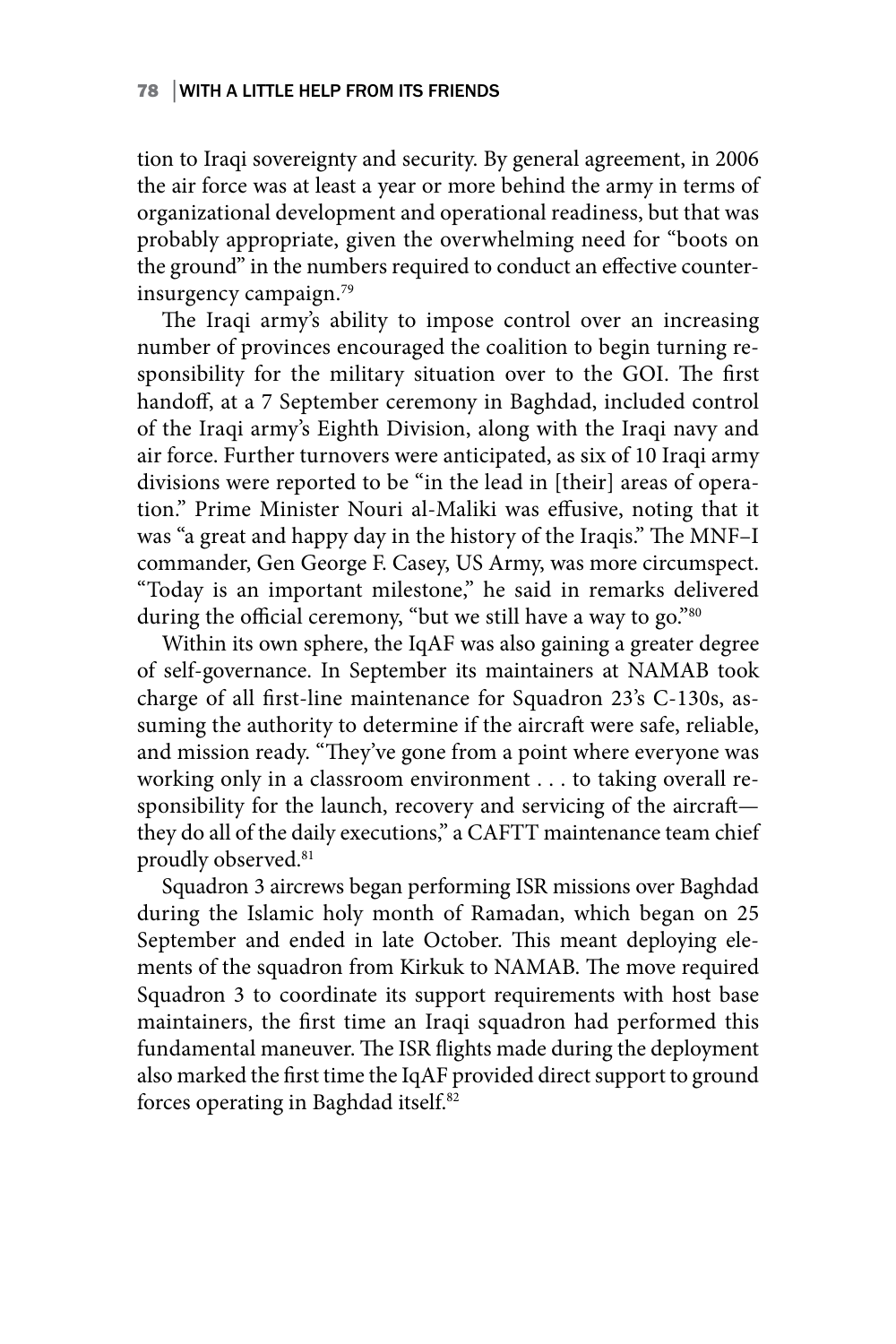tion to Iraqi sovereignty and security. By general agreement, in 2006 the air force was at least a year or more behind the army in terms of organizational development and operational readiness, but that was probably appropriate, given the overwhelming need for "boots on the ground" in the numbers required to conduct an effective counterinsurgency campaign.79

The Iraqi army's ability to impose control over an increasing number of provinces encouraged the coalition to begin turning responsibility for the military situation over to the GOI. The first handoff, at a 7 September ceremony in Baghdad, included control of the Iraqi army's Eighth Division, along with the Iraqi navy and air force. Further turnovers were anticipated, as six of 10 Iraqi army divisions were reported to be "in the lead in [their] areas of operation." Prime Minister Nouri al-Maliki was effusive, noting that it was "a great and happy day in the history of the Iraqis." The MNF–I commander, Gen George F. Casey, US Army, was more circumspect. "Today is an important milestone," he said in remarks delivered during the official ceremony, "but we still have a way to go."<sup>80</sup>

Within its own sphere, the IqAF was also gaining a greater degree of self-governance. In September its maintainers at NAMAB took charge of all first-line maintenance for Squadron 23's C-130s, assuming the authority to determine if the aircraft were safe, reliable, and mission ready. "They've gone from a point where everyone was working only in a classroom environment . . . to taking overall responsibility for the launch, recovery and servicing of the aircraft they do all of the daily executions," a CAFTT maintenance team chief proudly observed.<sup>81</sup>

Squadron 3 aircrews began performing ISR missions over Baghdad during the Islamic holy month of Ramadan, which began on 25 September and ended in late October. This meant deploying elements of the squadron from Kirkuk to NAMAB. The move required Squadron 3 to coordinate its support requirements with host base maintainers, the first time an Iraqi squadron had performed this fundamental maneuver. The ISR flights made during the deployment also marked the first time the IqAF provided direct support to ground forces operating in Baghdad itself.82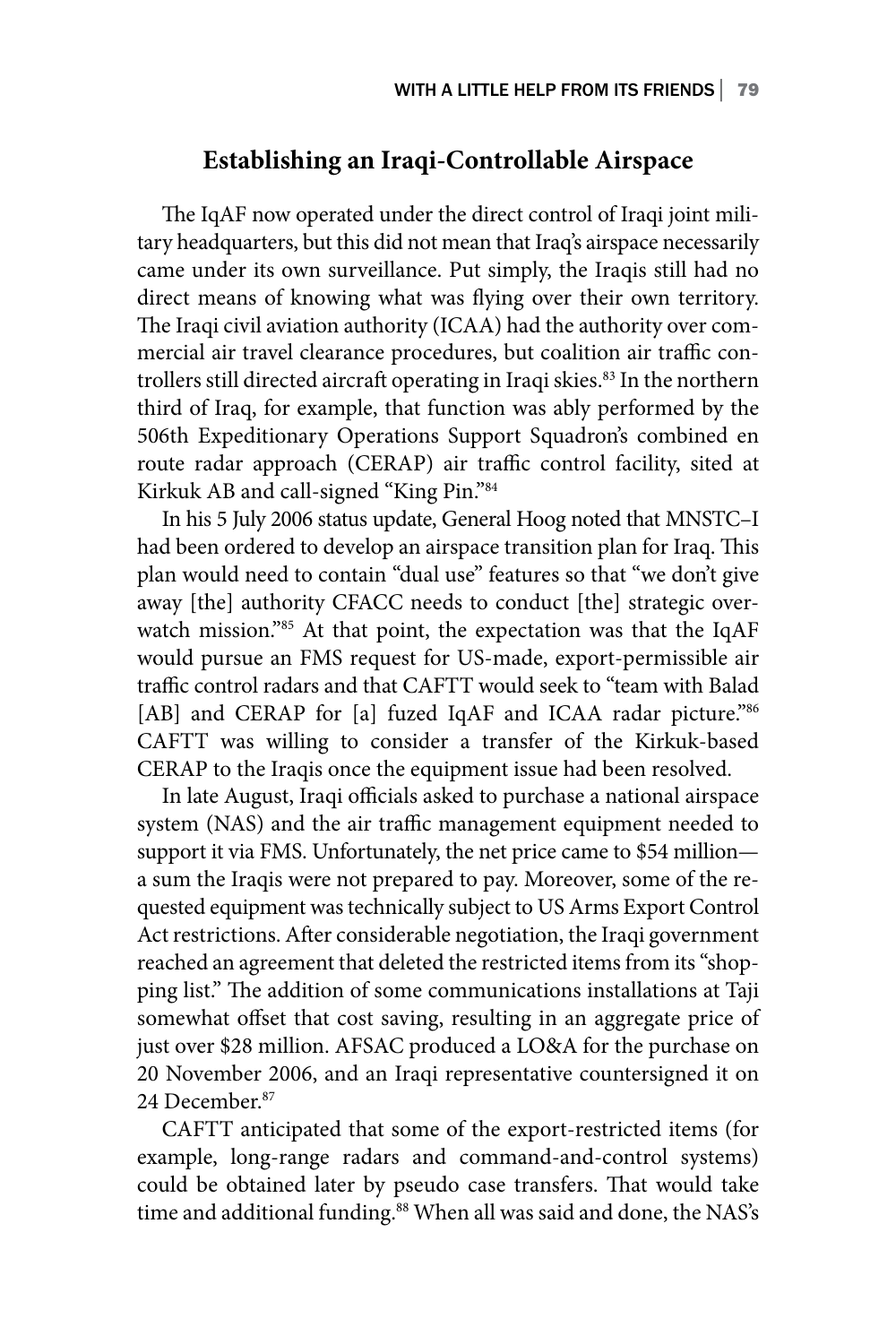### **Establishing an Iraqi-Controllable Airspace**

The IqAF now operated under the direct control of Iraqi joint military headquarters, but this did not mean that Iraq's airspace necessarily came under its own surveillance. Put simply, the Iraqis still had no direct means of knowing what was flying over their own territory. The Iraqi civil aviation authority (ICAA) had the authority over commercial air travel clearance procedures, but coalition air traffic controllers still directed aircraft operating in Iraqi skies.<sup>83</sup> In the northern third of Iraq, for example, that function was ably performed by the 506th Expeditionary Operations Support Squadron's combined en route radar approach (CERAP) air traffic control facility, sited at Kirkuk AB and call-signed "King Pin."84

In his 5 July 2006 status update, General Hoog noted that MNSTC–I had been ordered to develop an airspace transition plan for Iraq. This plan would need to contain "dual use" features so that "we don't give away [the] authority CFACC needs to conduct [the] strategic overwatch mission."85 At that point, the expectation was that the IqAF would pursue an FMS request for US-made, export-permissible air traffic control radars and that CAFTT would seek to "team with Balad [AB] and CERAP for [a] fuzed IqAF and ICAA radar picture."86 CAFTT was willing to consider a transfer of the Kirkuk-based CERAP to the Iraqis once the equipment issue had been resolved.

In late August, Iraqi officials asked to purchase a national airspace system (NAS) and the air traffic management equipment needed to support it via FMS. Unfortunately, the net price came to \$54 million a sum the Iraqis were not prepared to pay. Moreover, some of the requested equipment was technically subject to US Arms Export Control Act restrictions. After considerable negotiation, the Iraqi government reached an agreement that deleted the restricted items from its "shopping list." The addition of some communications installations at Taji somewhat offset that cost saving, resulting in an aggregate price of just over \$28 million. AFSAC produced a LO&A for the purchase on 20 November 2006, and an Iraqi representative countersigned it on 24 December.87

CAFTT anticipated that some of the export-restricted items (for example, long-range radars and command-and-control systems) could be obtained later by pseudo case transfers. That would take time and additional funding.<sup>88</sup> When all was said and done, the NAS's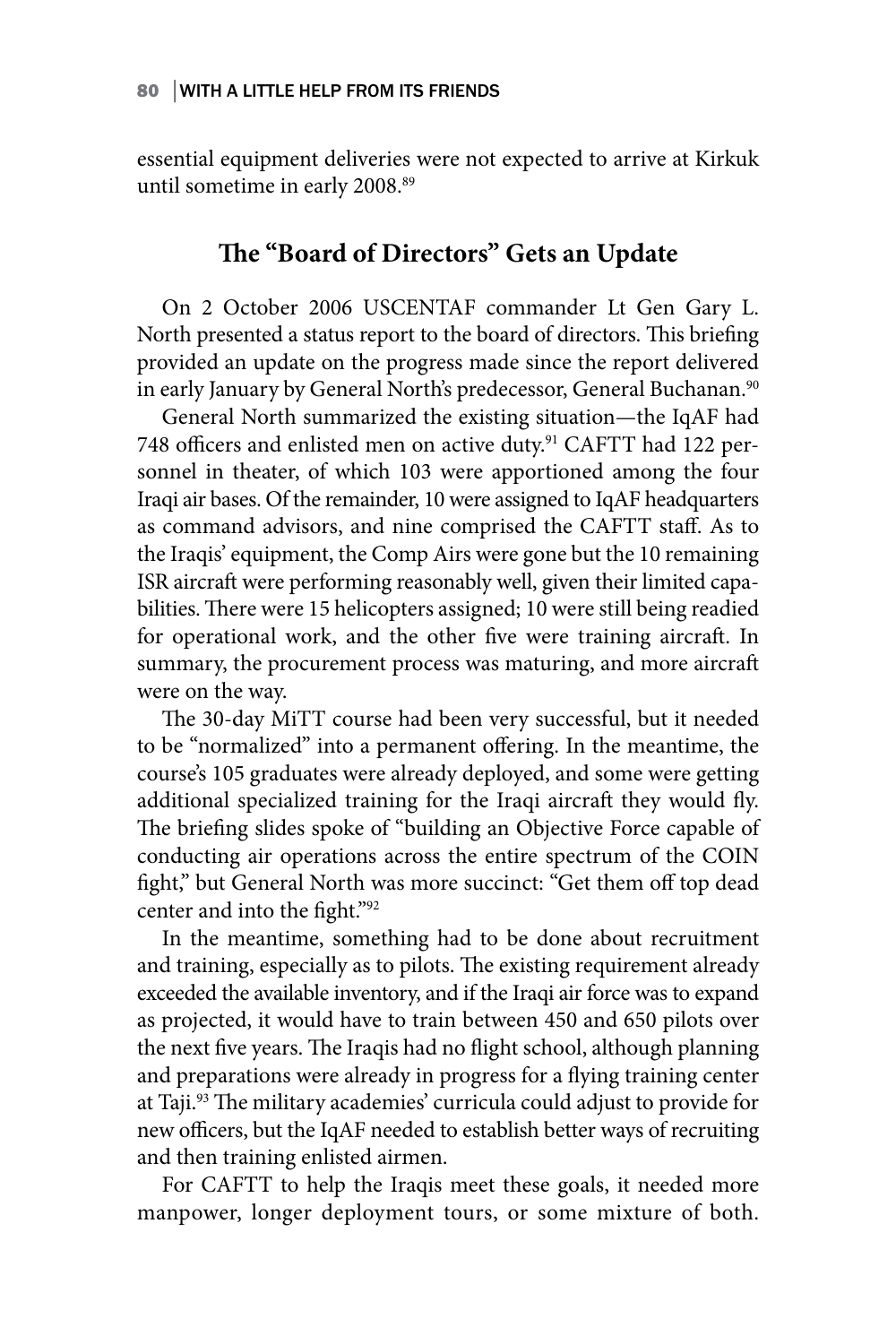essential equipment deliveries were not expected to arrive at Kirkuk until sometime in early 2008.<sup>89</sup>

## **The "Board of Directors" Gets an Update**

On 2 October 2006 USCENTAF commander Lt Gen Gary L. North presented a status report to the board of directors. This briefing provided an update on the progress made since the report delivered in early January by General North's predecessor, General Buchanan.<sup>90</sup>

General North summarized the existing situation—the IqAF had 748 officers and enlisted men on active duty.91 CAFTT had 122 personnel in theater, of which 103 were apportioned among the four Iraqi air bases. Of the remainder, 10 were assigned to IqAF headquarters as command advisors, and nine comprised the CAFTT staff. As to the Iraqis' equipment, the Comp Airs were gone but the 10 remaining ISR aircraft were performing reasonably well, given their limited capabilities. There were 15 helicopters assigned; 10 were still being readied for operational work, and the other five were training aircraft. In summary, the procurement process was maturing, and more aircraft were on the way.

The 30-day MiTT course had been very successful, but it needed to be "normalized" into a permanent offering. In the meantime, the course's 105 graduates were already deployed, and some were getting additional specialized training for the Iraqi aircraft they would fly. The briefing slides spoke of "building an Objective Force capable of conducting air operations across the entire spectrum of the COIN fight," but General North was more succinct: "Get them off top dead center and into the fight."92

In the meantime, something had to be done about recruitment and training, especially as to pilots. The existing requirement already exceeded the available inventory, and if the Iraqi air force was to expand as projected, it would have to train between 450 and 650 pilots over the next five years. The Iraqis had no flight school, although planning and preparations were already in progress for a flying training center at Taji.93 The military academies' curricula could adjust to provide for new officers, but the IqAF needed to establish better ways of recruiting and then training enlisted airmen.

For CAFTT to help the Iraqis meet these goals, it needed more manpower, longer deployment tours, or some mixture of both.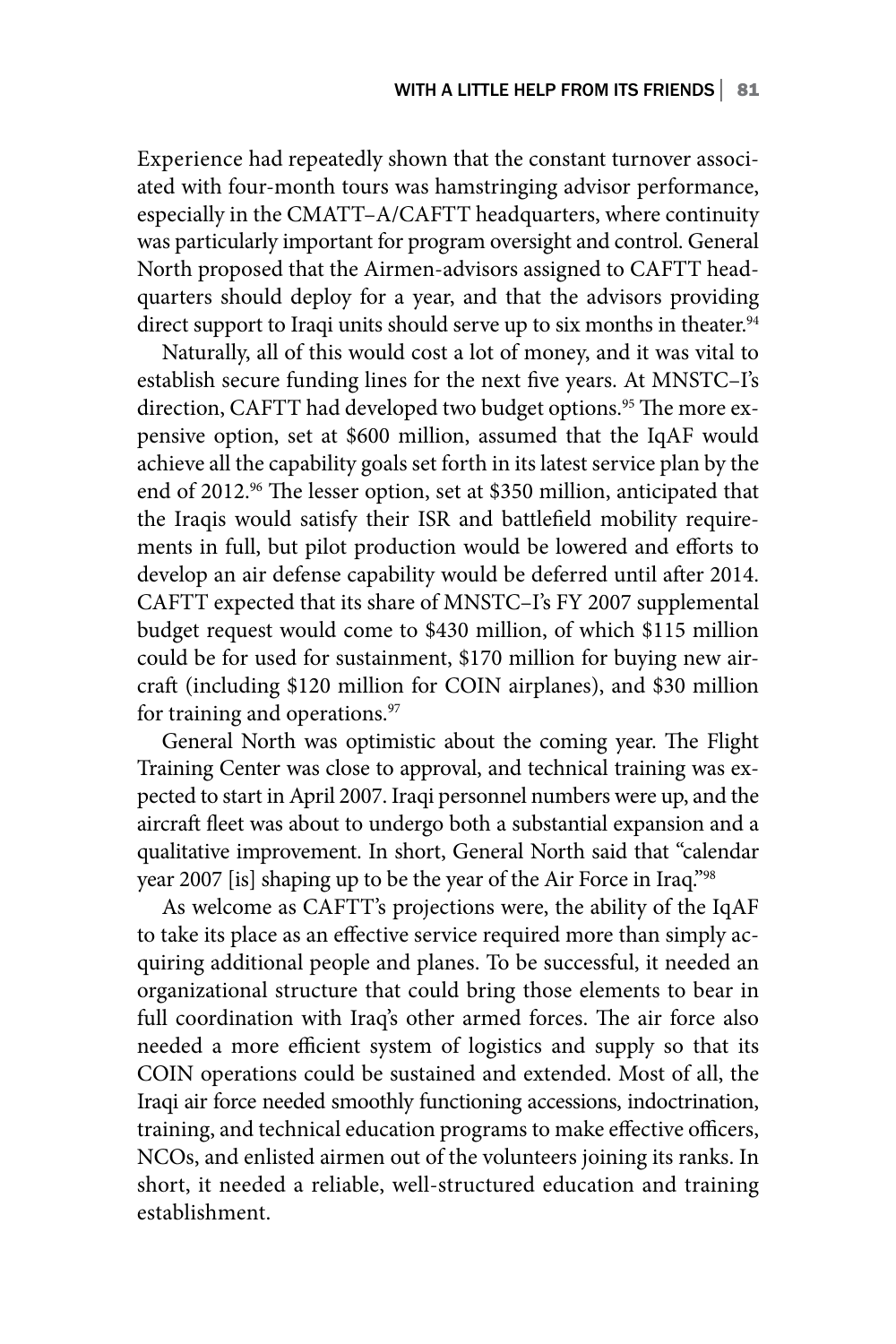Experience had repeatedly shown that the constant turnover associated with four-month tours was hamstringing advisor performance, especially in the CMATT–A/CAFTT headquarters, where continuity was particularly important for program oversight and control. General North proposed that the Airmen-advisors assigned to CAFTT headquarters should deploy for a year, and that the advisors providing direct support to Iraqi units should serve up to six months in theater.<sup>94</sup>

Naturally, all of this would cost a lot of money, and it was vital to establish secure funding lines for the next five years. At MNSTC–I's direction, CAFTT had developed two budget options.<sup>95</sup> The more expensive option, set at \$600 million, assumed that the IqAF would achieve all the capability goals set forth in its latest service plan by the end of 2012.<sup>96</sup> The lesser option, set at \$350 million, anticipated that the Iraqis would satisfy their ISR and battlefield mobility requirements in full, but pilot production would be lowered and efforts to develop an air defense capability would be deferred until after 2014. CAFTT expected that its share of MNSTC–I's FY 2007 supplemental budget request would come to \$430 million, of which \$115 million could be for used for sustainment, \$170 million for buying new aircraft (including \$120 million for COIN airplanes), and \$30 million for training and operations.<sup>97</sup>

General North was optimistic about the coming year. The Flight Training Center was close to approval, and technical training was expected to start in April 2007. Iraqi personnel numbers were up, and the aircraft fleet was about to undergo both a substantial expansion and a qualitative improvement. In short, General North said that "calendar year 2007 [is] shaping up to be the year of the Air Force in Iraq."98

As welcome as CAFTT's projections were, the ability of the IqAF to take its place as an effective service required more than simply acquiring additional people and planes. To be successful, it needed an organizational structure that could bring those elements to bear in full coordination with Iraq's other armed forces. The air force also needed a more efficient system of logistics and supply so that its COIN operations could be sustained and extended. Most of all, the Iraqi air force needed smoothly functioning accessions, indoctrination, training, and technical education programs to make effective officers, NCOs, and enlisted airmen out of the volunteers joining its ranks. In short, it needed a reliable, well-structured education and training establishment.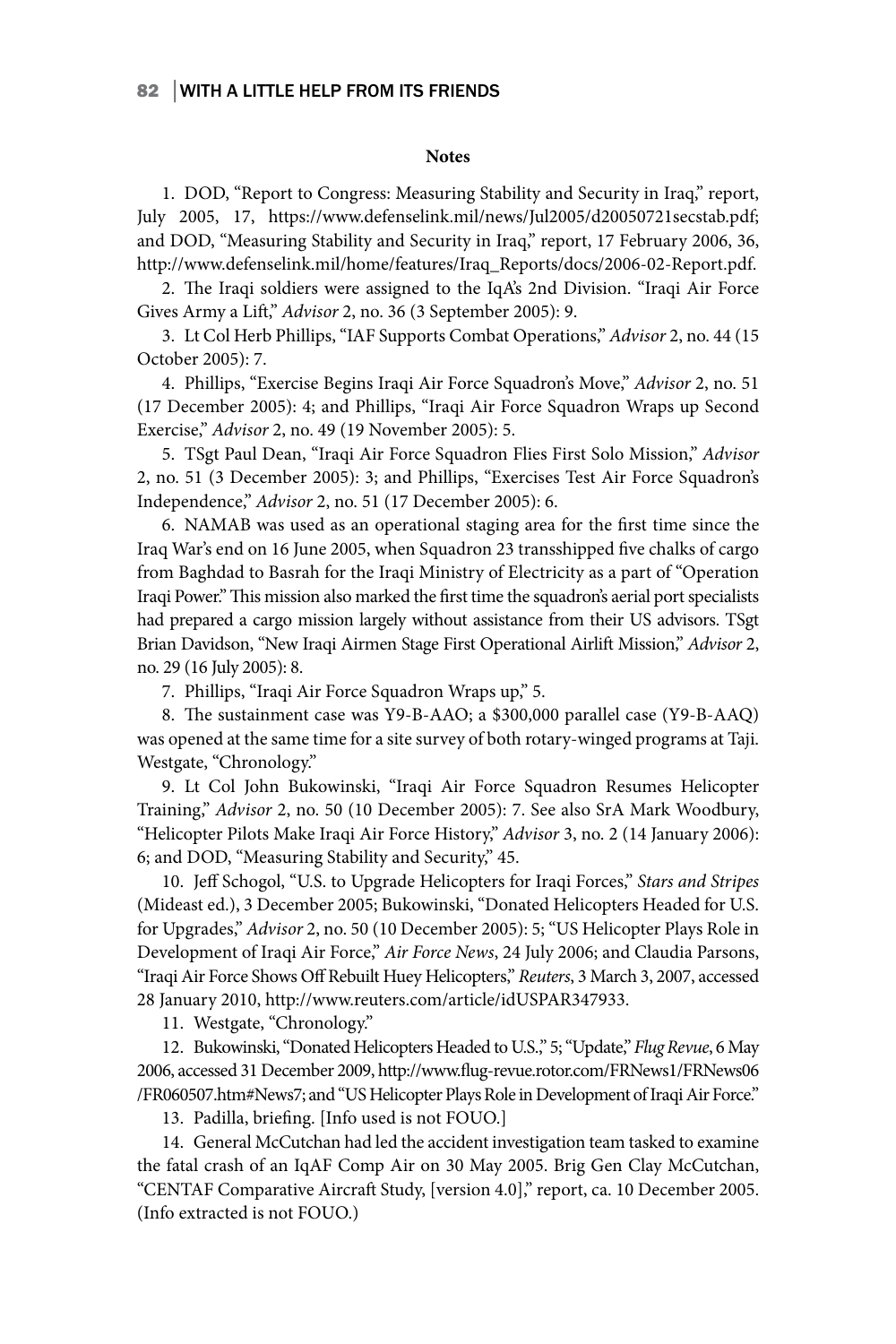#### **Notes**

1. DOD, "Report to Congress: Measuring Stability and Security in Iraq," report, July 2005, 17, https://www.defenselink.mil/news/Jul2005/d20050721secstab.pdf; and DOD, "Measuring Stability and Security in Iraq," report, 17 February 2006, 36, http://www.defenselink.mil/home/features/Iraq\_Reports/docs/2006-02-Report.pdf.

2. The Iraqi soldiers were assigned to the IqA's 2nd Division. "Iraqi Air Force Gives Army a Lift," *Advisor* 2, no. 36 (3 September 2005): 9.

3. Lt Col Herb Phillips,"IAF Supports Combat Operations," *Advisor* 2, no. 44 (15 October 2005): 7.

4. Phillips, "Exercise Begins Iraqi Air Force Squadron's Move," *Advisor* 2, no. 51 (17 December 2005): 4; and Phillips, "Iraqi Air Force Squadron Wraps up Second Exercise," *Advisor* 2, no. 49 (19 November 2005): 5.

5. TSgt Paul Dean, "Iraqi Air Force Squadron Flies First Solo Mission," *Advisor* 2, no. 51 (3 December 2005): 3; and Phillips, "Exercises Test Air Force Squadron's Independence," *Advisor* 2, no. 51 (17 December 2005): 6.

6. NAMAB was used as an operational staging area for the first time since the Iraq War's end on 16 June 2005, when Squadron 23 transshipped five chalks of cargo from Baghdad to Basrah for the Iraqi Ministry of Electricity as a part of "Operation Iraqi Power." This mission also marked the first time the squadron's aerial port specialists had prepared a cargo mission largely without assistance from their US advisors. TSgt Brian Davidson, "New Iraqi Airmen Stage First Operational Airlift Mission," *Advisor* 2, no. 29 (16 July 2005): 8.

7. Phillips, "Iraqi Air Force Squadron Wraps up," 5.

8. The sustainment case was Y9-B-AAO; a \$300,000 parallel case (Y9-B-AAQ) was opened at the same time for a site survey of both rotary-winged programs at Taji. Westgate, "Chronology."

9. Lt Col John Bukowinski, "Iraqi Air Force Squadron Resumes Helicopter Training," *Advisor* 2, no. 50 (10 December 2005): 7. See also SrA Mark Woodbury, "Helicopter Pilots Make Iraqi Air Force History," *Advisor* 3, no. 2 (14 January 2006): 6; and DOD, "Measuring Stability and Security," 45.

10. Jeff Schogol, "U.S. to Upgrade Helicopters for Iraqi Forces," *Stars and Stripes*  (Mideast ed.), 3 December 2005; Bukowinski, "Donated Helicopters Headed for U.S. for Upgrades," *Advisor* 2, no. 50 (10 December 2005): 5; "US Helicopter Plays Role in Development of Iraqi Air Force," *Air Force News*, 24 July 2006; and Claudia Parsons, "Iraqi Air Force Shows Off Rebuilt Huey Helicopters," *Reuters*, 3 March 3, 2007, accessed 28 January 2010, http://www.reuters.com/article/idUSPAR347933.

11. Westgate, "Chronology."

12. Bukowinski, "Donated Helicopters Headed to U.S.," 5; "Update," *Flug Revue*, 6 May 2006, accessed 31 December 2009, http://www.flug-revue.rotor.com/FRNews1/FRNews06 /FR060507.htm#News7; and "US Helicopter Plays Role in Development of Iraqi Air Force."

13. Padilla, briefing. [Info used is not FOUO.]

14. General McCutchan had led the accident investigation team tasked to examine the fatal crash of an IqAF Comp Air on 30 May 2005. Brig Gen Clay McCutchan, "CENTAF Comparative Aircraft Study, [version 4.0]," report, ca. 10 December 2005. (Info extracted is not FOUO.)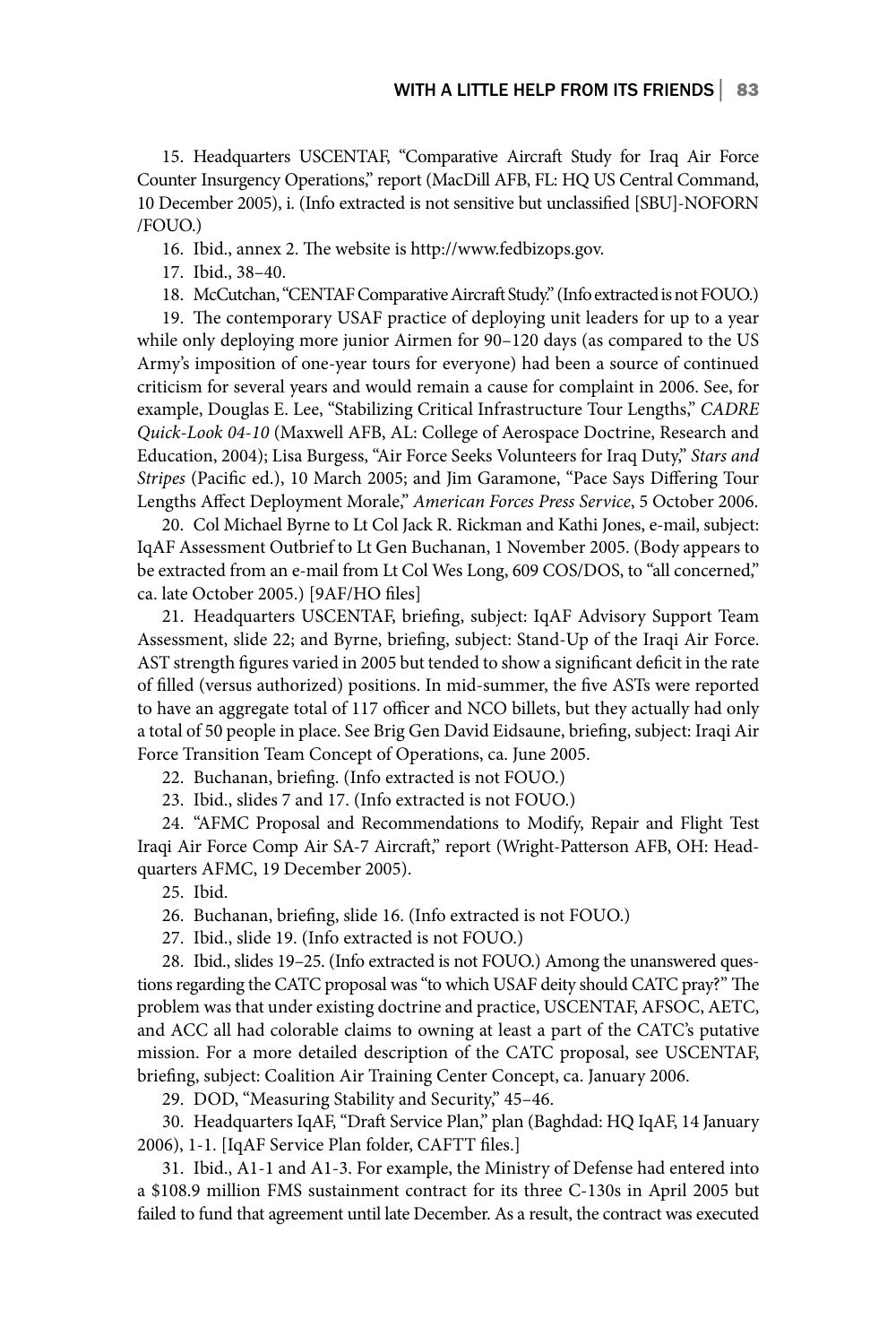15. Headquarters USCENTAF, "Comparative Aircraft Study for Iraq Air Force Counter Insurgency Operations," report (MacDill AFB, FL: HQ US Central Command, 10 December 2005), i. (Info extracted is not sensitive but unclassified [SBU]-NOFORN /FOUO.)

16. Ibid., annex 2. The website is http://www.fedbizops.gov.

17. Ibid., 38–40.

18. McCutchan, "CENTAF Comparative Aircraft Study." (Info extracted is not FOUO.)

19. The contemporary USAF practice of deploying unit leaders for up to a year while only deploying more junior Airmen for 90–120 days (as compared to the US Army's imposition of one-year tours for everyone) had been a source of continued criticism for several years and would remain a cause for complaint in 2006. See, for example, Douglas E. Lee, "Stabilizing Critical Infrastructure Tour Lengths," *CADRE Quick-Look 04-10* (Maxwell AFB, AL: College of Aerospace Doctrine, Research and Education, 2004); Lisa Burgess, "Air Force Seeks Volunteers for Iraq Duty," *Stars and Stripes* (Pacific ed.), 10 March 2005; and Jim Garamone, "Pace Says Differing Tour Lengths Affect Deployment Morale," *American Forces Press Service*, 5 October 2006.

20. Col Michael Byrne to Lt Col Jack R. Rickman and Kathi Jones, e-mail, subject: IqAF Assessment Outbrief to Lt Gen Buchanan, 1 November 2005. (Body appears to be extracted from an e-mail from Lt Col Wes Long, 609 COS/DOS, to "all concerned," ca. late October 2005.) [9AF/HO files]

21. Headquarters USCENTAF, briefing, subject: IqAF Advisory Support Team Assessment, slide 22; and Byrne, briefing, subject: Stand-Up of the Iraqi Air Force. AST strength figures varied in 2005 but tended to show a significant deficit in the rate of filled (versus authorized) positions. In mid-summer, the five ASTs were reported to have an aggregate total of 117 officer and NCO billets, but they actually had only a total of 50 people in place. See Brig Gen David Eidsaune, briefing, subject: Iraqi Air Force Transition Team Concept of Operations, ca. June 2005.

22. Buchanan, briefing. (Info extracted is not FOUO.)

23. Ibid., slides 7 and 17. (Info extracted is not FOUO.)

24. "AFMC Proposal and Recommendations to Modify, Repair and Flight Test Iraqi Air Force Comp Air SA-7 Aircraft," report (Wright-Patterson AFB, OH: Headquarters AFMC, 19 December 2005).

25. Ibid.

26. Buchanan, briefing, slide 16. (Info extracted is not FOUO.)

27. Ibid., slide 19. (Info extracted is not FOUO.)

28. Ibid., slides 19–25. (Info extracted is not FOUO.) Among the unanswered questions regarding the CATC proposal was "to which USAF deity should CATC pray?" The problem was that under existing doctrine and practice, USCENTAF, AFSOC, AETC, and ACC all had colorable claims to owning at least a part of the CATC's putative mission. For a more detailed description of the CATC proposal, see USCENTAF, briefing, subject: Coalition Air Training Center Concept, ca. January 2006.

29. DOD, "Measuring Stability and Security," 45–46.

30. Headquarters IqAF, "Draft Service Plan," plan (Baghdad: HQ IqAF, 14 January 2006), 1-1. [IqAF Service Plan folder, CAFTT files.]

31. Ibid., A1-1 and A1-3. For example, the Ministry of Defense had entered into a \$108.9 million FMS sustainment contract for its three C-130s in April 2005 but failed to fund that agreement until late December. As a result, the contract was executed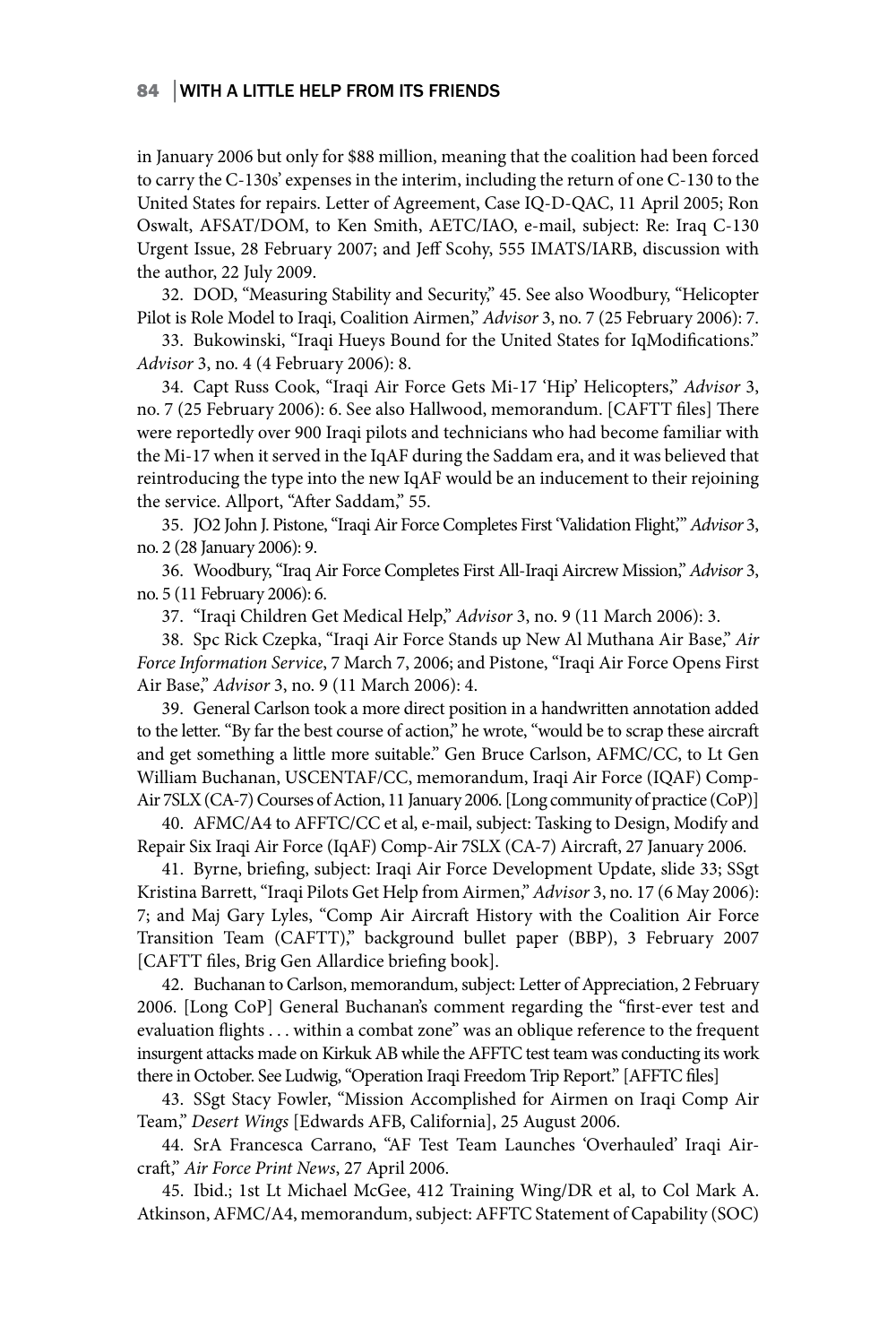in January 2006 but only for \$88 million, meaning that the coalition had been forced to carry the C-130s' expenses in the interim, including the return of one C-130 to the United States for repairs. Letter of Agreement, Case IQ-D-QAC, 11 April 2005; Ron Oswalt, AFSAT/DOM, to Ken Smith, AETC/IAO, e-mail, subject: Re: Iraq C-130 Urgent Issue, 28 February 2007; and Jeff Scohy, 555 IMATS/IARB, discussion with the author, 22 July 2009.

32. DOD, "Measuring Stability and Security," 45. See also Woodbury, "Helicopter Pilot is Role Model to Iraqi, Coalition Airmen," *Advisor* 3, no. 7 (25 February 2006): 7.

33. Bukowinski, "Iraqi Hueys Bound for the United States for IqModifications." *Advisor* 3, no. 4 (4 February 2006): 8.

34. Capt Russ Cook, "Iraqi Air Force Gets Mi-17 'Hip' Helicopters," *Advisor* 3, no. 7 (25 February 2006): 6. See also Hallwood, memorandum. [CAFTT files] There were reportedly over 900 Iraqi pilots and technicians who had become familiar with the Mi-17 when it served in the IqAF during the Saddam era, and it was believed that reintroducing the type into the new IqAF would be an inducement to their rejoining the service. Allport, "After Saddam," 55.

35. JO2 John J. Pistone, "Iraqi Air Force Completes First 'Validation Flight,'" *Advisor* 3, no. 2 (28 January 2006): 9.

36. Woodbury, "Iraq Air Force Completes First All-Iraqi Aircrew Mission," *Advisor* 3, no. 5 (11 February 2006): 6.

37. "Iraqi Children Get Medical Help," *Advisor* 3, no. 9 (11 March 2006): 3.

38. Spc Rick Czepka, "Iraqi Air Force Stands up New Al Muthana Air Base," *Air Force Information Service*, 7 March 7, 2006; and Pistone, "Iraqi Air Force Opens First Air Base," *Advisor* 3, no. 9 (11 March 2006): 4.

39. General Carlson took a more direct position in a handwritten annotation added to the letter. "By far the best course of action," he wrote, "would be to scrap these aircraft and get something a little more suitable." Gen Bruce Carlson, AFMC/CC, to Lt Gen William Buchanan, USCENTAF/CC, memorandum, Iraqi Air Force (IQAF) Comp-Air 7SLX (CA-7) Courses of Action, 11 January 2006. [Long community of practice (CoP)]

40. AFMC/A4 to AFFTC/CC et al, e-mail, subject: Tasking to Design, Modify and Repair Six Iraqi Air Force (IqAF) Comp-Air 7SLX (CA-7) Aircraft, 27 January 2006.

41. Byrne, briefing, subject: Iraqi Air Force Development Update, slide 33; SSgt Kristina Barrett, "Iraqi Pilots Get Help from Airmen," *Advisor* 3, no. 17 (6 May 2006): 7; and Maj Gary Lyles, "Comp Air Aircraft History with the Coalition Air Force Transition Team (CAFTT)," background bullet paper (BBP), 3 February 2007 [CAFTT files, Brig Gen Allardice briefing book].

42. Buchanan to Carlson, memorandum, subject: Letter of Appreciation, 2 February 2006. [Long CoP] General Buchanan's comment regarding the "first-ever test and evaluation flights . . . within a combat zone" was an oblique reference to the frequent insurgent attacks made on Kirkuk AB while the AFFTC test team was conducting its work there in October. See Ludwig,"Operation Iraqi Freedom Trip Report." [AFFTC files]

43. SSgt Stacy Fowler, "Mission Accomplished for Airmen on Iraqi Comp Air Team," *Desert Wings* [Edwards AFB, California], 25 August 2006.

44. SrA Francesca Carrano, "AF Test Team Launches 'Overhauled' Iraqi Aircraft," *Air Force Print News*, 27 April 2006.

45. Ibid.; 1st Lt Michael McGee, 412 Training Wing/DR et al, to Col Mark A. Atkinson, AFMC/A4, memorandum, subject: AFFTC Statement of Capability (SOC)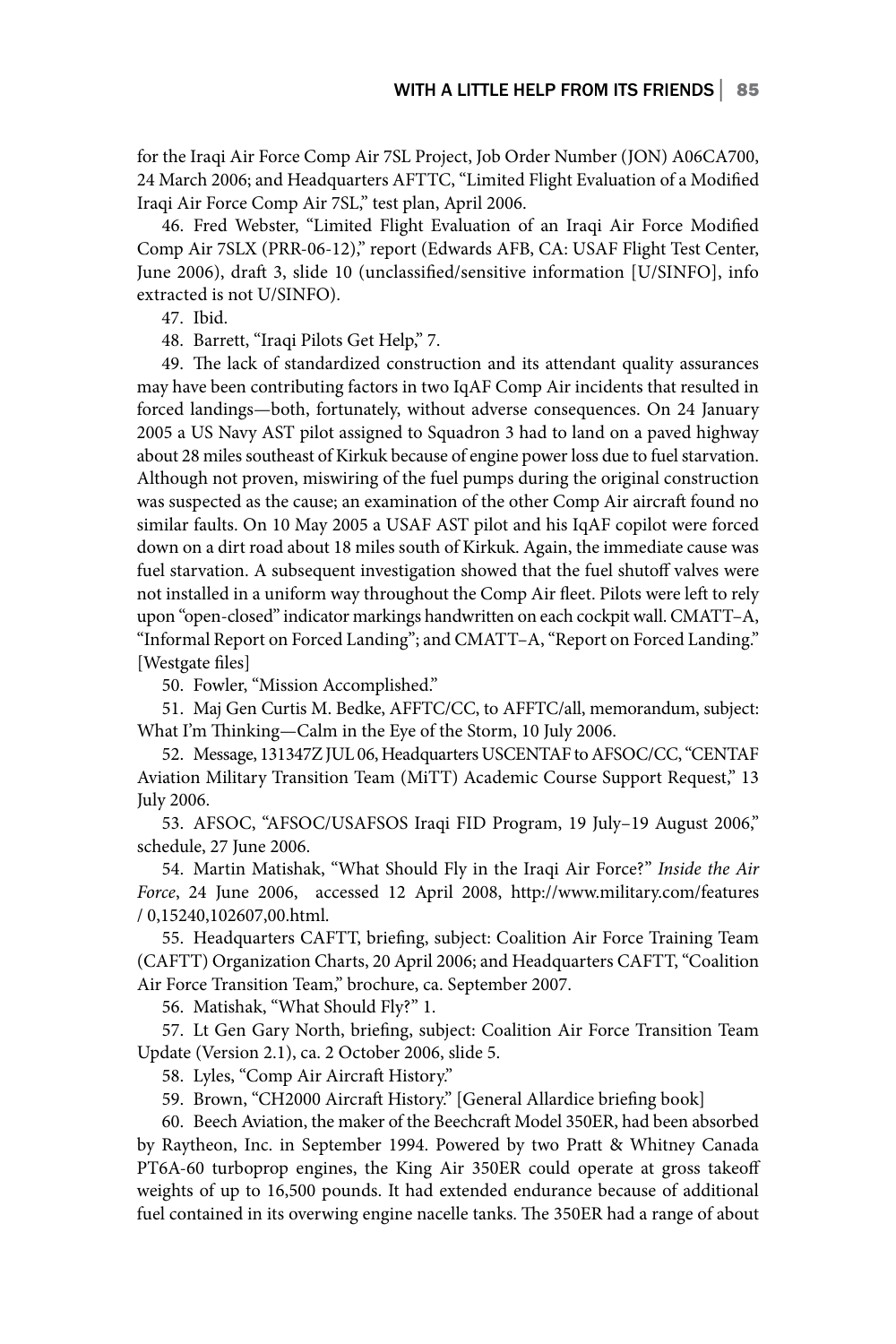for the Iraqi Air Force Comp Air 7SL Project, Job Order Number (JON) A06CA700, 24 March 2006; and Headquarters AFTTC, "Limited Flight Evaluation of a Modified Iraqi Air Force Comp Air 7SL," test plan, April 2006.

46. Fred Webster, "Limited Flight Evaluation of an Iraqi Air Force Modified Comp Air 7SLX (PRR-06-12)," report (Edwards AFB, CA: USAF Flight Test Center, June 2006), draft 3, slide 10 (unclassified/sensitive information [U/SINFO], info extracted is not U/SINFO).

47. Ibid.

48. Barrett, "Iraqi Pilots Get Help," 7.

49. The lack of standardized construction and its attendant quality assurances may have been contributing factors in two IqAF Comp Air incidents that resulted in forced landings—both, fortunately, without adverse consequences. On 24 January 2005 a US Navy AST pilot assigned to Squadron 3 had to land on a paved highway about 28 miles southeast of Kirkuk because of engine power loss due to fuel starvation. Although not proven, miswiring of the fuel pumps during the original construction was suspected as the cause; an examination of the other Comp Air aircraft found no similar faults. On 10 May 2005 a USAF AST pilot and his IqAF copilot were forced down on a dirt road about 18 miles south of Kirkuk. Again, the immediate cause was fuel starvation. A subsequent investigation showed that the fuel shutoff valves were not installed in a uniform way throughout the Comp Air fleet. Pilots were left to rely upon "open-closed" indicator markings handwritten on each cockpit wall. CMATT–A, "Informal Report on Forced Landing"; and CMATT–A,"Report on Forced Landing." [Westgate files]

50. Fowler, "Mission Accomplished."

51. Maj Gen Curtis M. Bedke, AFFTC/CC, to AFFTC/all, memorandum, subject: What I'm Thinking—Calm in the Eye of the Storm, 10 July 2006.

52. Message, 131347Z JUL 06, Headquarters USCENTAF to AFSOC/CC, "CENTAF Aviation Military Transition Team (MiTT) Academic Course Support Request," 13 July 2006.

53. AFSOC, "AFSOC/USAFSOS Iraqi FID Program, 19 July–19 August 2006," schedule, 27 June 2006.

54. Martin Matishak, "What Should Fly in the Iraqi Air Force?" *Inside the Air Force*, 24 June 2006, accessed 12 April 2008, http://www.military.com/features / 0,15240,102607,00.html.

55. Headquarters CAFTT, briefing, subject: Coalition Air Force Training Team (CAFTT) Organization Charts, 20 April 2006; and Headquarters CAFTT, "Coalition Air Force Transition Team," brochure, ca. September 2007.

56. Matishak, "What Should Fly?" 1.

57. Lt Gen Gary North, briefing, subject: Coalition Air Force Transition Team Update (Version 2.1), ca. 2 October 2006, slide 5.

58. Lyles, "Comp Air Aircraft History."

59. Brown, "CH2000 Aircraft History." [General Allardice briefing book]

60. Beech Aviation, the maker of the Beechcraft Model 350ER, had been absorbed by Raytheon, Inc. in September 1994. Powered by two Pratt & Whitney Canada PT6A-60 turboprop engines, the King Air 350ER could operate at gross takeoff weights of up to 16,500 pounds. It had extended endurance because of additional fuel contained in its overwing engine nacelle tanks. The 350ER had a range of about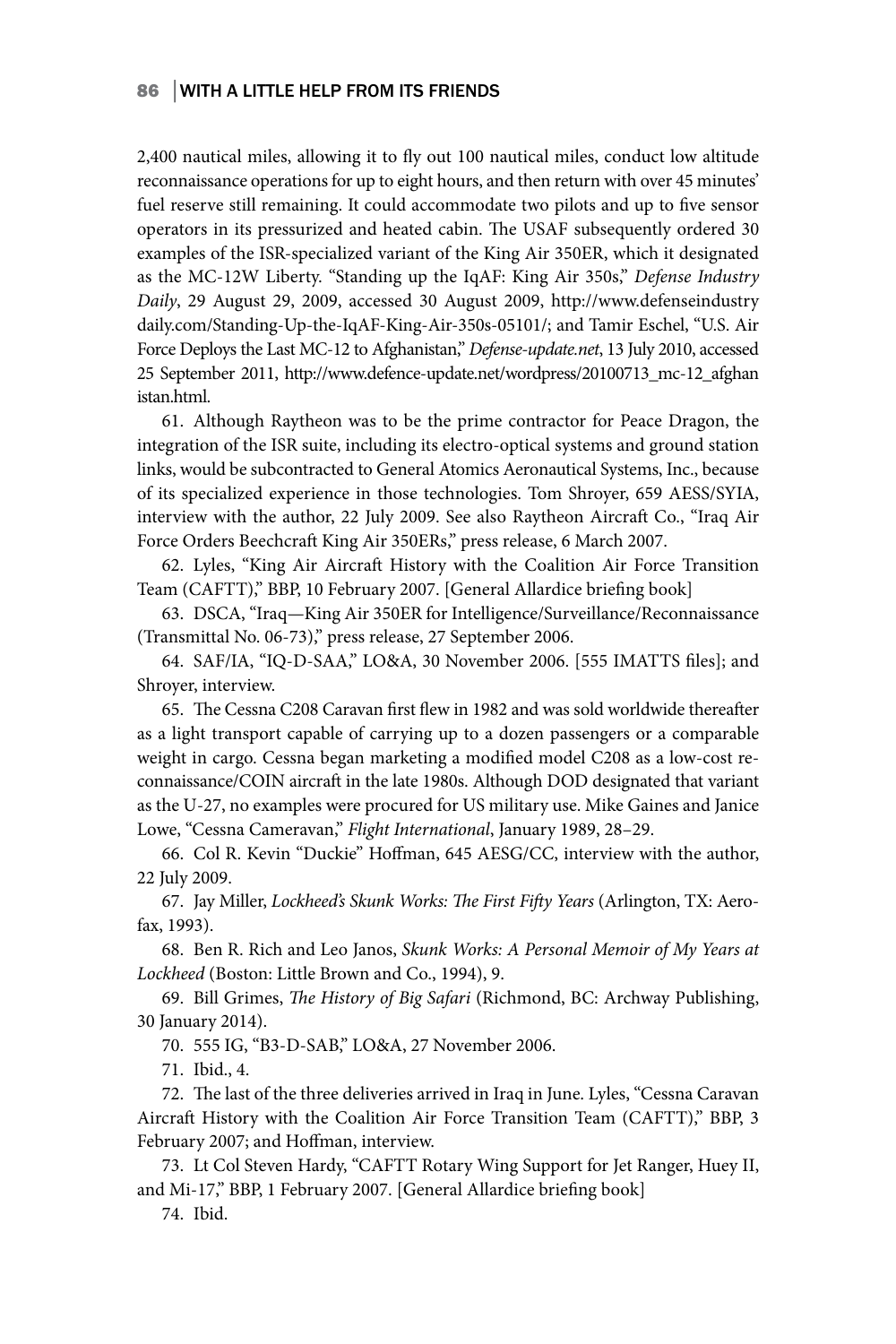2,400 nautical miles, allowing it to fly out 100 nautical miles, conduct low altitude reconnaissance operations for up to eight hours, and then return with over 45 minutes' fuel reserve still remaining. It could accommodate two pilots and up to five sensor operators in its pressurized and heated cabin. The USAF subsequently ordered 30 examples of the ISR-specialized variant of the King Air 350ER, which it designated as the MC-12W Liberty. "Standing up the IqAF: King Air 350s," *Defense Industry Daily*, 29 August 29, 2009, accessed 30 August 2009, http://www.defenseindustry daily.com/Standing-Up-the-IqAF-King-Air-350s-05101/; and Tamir Eschel, "U.S. Air Force Deploys the Last MC-12 to Afghanistan," *Defense-update.net*, 13 July 2010, accessed 25 September 2011, http://www.defence-update.net/wordpress/20100713\_mc-12\_afghan istan.html.

61. Although Raytheon was to be the prime contractor for Peace Dragon, the integration of the ISR suite, including its electro-optical systems and ground station links, would be subcontracted to General Atomics Aeronautical Systems, Inc., because of its specialized experience in those technologies. Tom Shroyer, 659 AESS/SYIA, interview with the author, 22 July 2009. See also Raytheon Aircraft Co., "Iraq Air Force Orders Beechcraft King Air 350ERs," press release, 6 March 2007.

62. Lyles, "King Air Aircraft History with the Coalition Air Force Transition Team (CAFTT)," BBP, 10 February 2007. [General Allardice briefing book]

63. DSCA, "Iraq—King Air 350ER for Intelligence/Surveillance/Reconnaissance (Transmittal No. 06-73)," press release, 27 September 2006.

64. SAF/IA, "IQ-D-SAA," LO&A, 30 November 2006. [555 IMATTS files]; and Shroyer, interview.

65. The Cessna C208 Caravan first flew in 1982 and was sold worldwide thereafter as a light transport capable of carrying up to a dozen passengers or a comparable weight in cargo. Cessna began marketing a modified model C208 as a low-cost reconnaissance/COIN aircraft in the late 1980s. Although DOD designated that variant as the U-27, no examples were procured for US military use. Mike Gaines and Janice Lowe, "Cessna Cameravan," *Flight International*, January 1989, 28–29.

66. Col R. Kevin "Duckie" Hoffman, 645 AESG/CC, interview with the author, 22 July 2009.

67. Jay Miller, *Lockheed's Skunk Works: The First Fifty Years* (Arlington, TX: Aerofax, 1993).

68. Ben R. Rich and Leo Janos, *Skunk Works: A Personal Memoir of My Years at Lockheed* (Boston: Little Brown and Co., 1994), 9.

69. Bill Grimes, *The History of Big Safari* (Richmond, BC: Archway Publishing, 30 January 2014).

70. 555 IG, "B3-D-SAB," LO&A, 27 November 2006.

71. Ibid., 4.

72. The last of the three deliveries arrived in Iraq in June. Lyles, "Cessna Caravan Aircraft History with the Coalition Air Force Transition Team (CAFTT)," BBP, 3 February 2007; and Hoffman, interview.

73. Lt Col Steven Hardy, "CAFTT Rotary Wing Support for Jet Ranger, Huey II, and Mi-17," BBP, 1 February 2007. [General Allardice briefing book]

74. Ibid.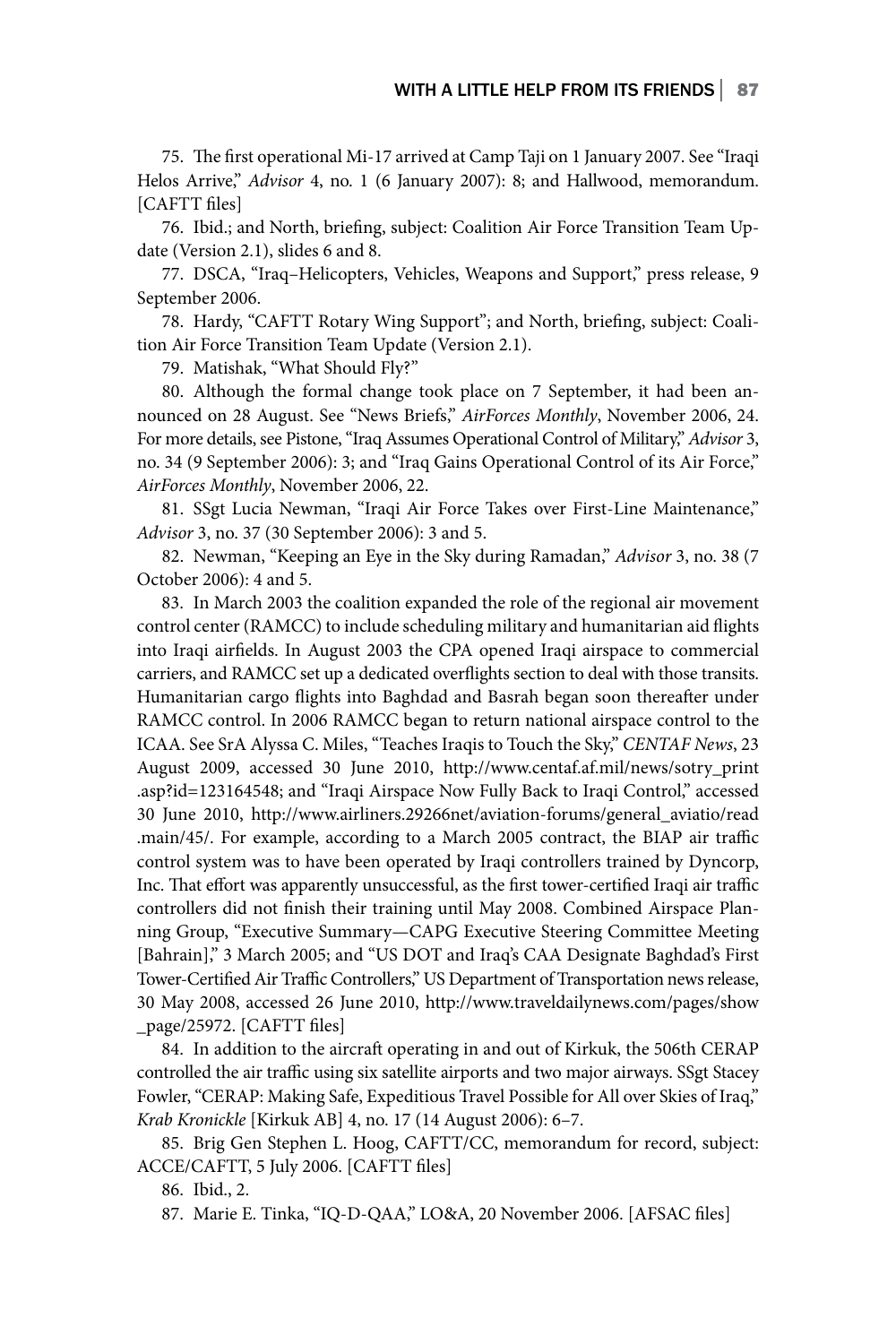75. The first operational Mi-17 arrived at Camp Taji on 1 January 2007. See "Iraqi Helos Arrive," *Advisor* 4, no. 1 (6 January 2007): 8; and Hallwood, memorandum. [CAFTT files]

76. Ibid.; and North, briefing, subject: Coalition Air Force Transition Team Update (Version 2.1), slides 6 and 8.

77. DSCA, "Iraq-Helicopters, Vehicles, Weapons and Support," press release, 9 September 2006.

78. Hardy, "CAFTT Rotary Wing Support"; and North, briefing, subject: Coalition Air Force Transition Team Update (Version 2.1).

79. Matishak, "What Should Fly?"

80. Although the formal change took place on 7 September, it had been announced on 28 August. See "News Briefs," *AirForces Monthly*, November 2006, 24. For more details, see Pistone, "Iraq Assumes Operational Control of Military," *Advisor* 3, no. 34 (9 September 2006): 3; and "Iraq Gains Operational Control of its Air Force," *AirForces Monthly*, November 2006, 22.

81. SSgt Lucia Newman, "Iraqi Air Force Takes over First-Line Maintenance," *Advisor* 3, no. 37 (30 September 2006): 3 and 5.

82. Newman, "Keeping an Eye in the Sky during Ramadan," *Advisor* 3, no. 38 (7 October 2006): 4 and 5.

83. In March 2003 the coalition expanded the role of the regional air movement control center (RAMCC) to include scheduling military and humanitarian aid flights into Iraqi airfields. In August 2003 the CPA opened Iraqi airspace to commercial carriers, and RAMCC set up a dedicated overflights section to deal with those transits. Humanitarian cargo flights into Baghdad and Basrah began soon thereafter under RAMCC control. In 2006 RAMCC began to return national airspace control to the ICAA. See SrA Alyssa C. Miles, "Teaches Iraqis to Touch the Sky," *CENTAF News*, 23 August 2009, accessed 30 June 2010, http://www.centaf.af.mil/news/sotry\_print .asp?id=123164548; and "Iraqi Airspace Now Fully Back to Iraqi Control," accessed 30 June 2010, http://www.airliners.29266net/aviation-forums/general\_aviatio/read .main/45/. For example, according to a March 2005 contract, the BIAP air traffic control system was to have been operated by Iraqi controllers trained by Dyncorp, Inc. That effort was apparently unsuccessful, as the first tower-certified Iraqi air traffic controllers did not finish their training until May 2008. Combined Airspace Planning Group, "Executive Summary—CAPG Executive Steering Committee Meeting [Bahrain]," 3 March 2005; and "US DOT and Iraq's CAA Designate Baghdad's First Tower-Certified Air Traffic Controllers," US Department of Transportation news release, 30 May 2008, accessed 26 June 2010, http://www.traveldailynews.com/pages/show \_page/25972. [CAFTT files]

84. In addition to the aircraft operating in and out of Kirkuk, the 506th CERAP controlled the air traffic using six satellite airports and two major airways. SSgt Stacey Fowler, "CERAP: Making Safe, Expeditious Travel Possible for All over Skies of Iraq," *Krab Kronickle* [Kirkuk AB] 4, no. 17 (14 August 2006): 6–7.

85. Brig Gen Stephen L. Hoog, CAFTT/CC, memorandum for record, subject: ACCE/CAFTT, 5 July 2006. [CAFTT files]

86. Ibid., 2.

87. Marie E. Tinka, "IQ-D-QAA," LO&A, 20 November 2006. [AFSAC files]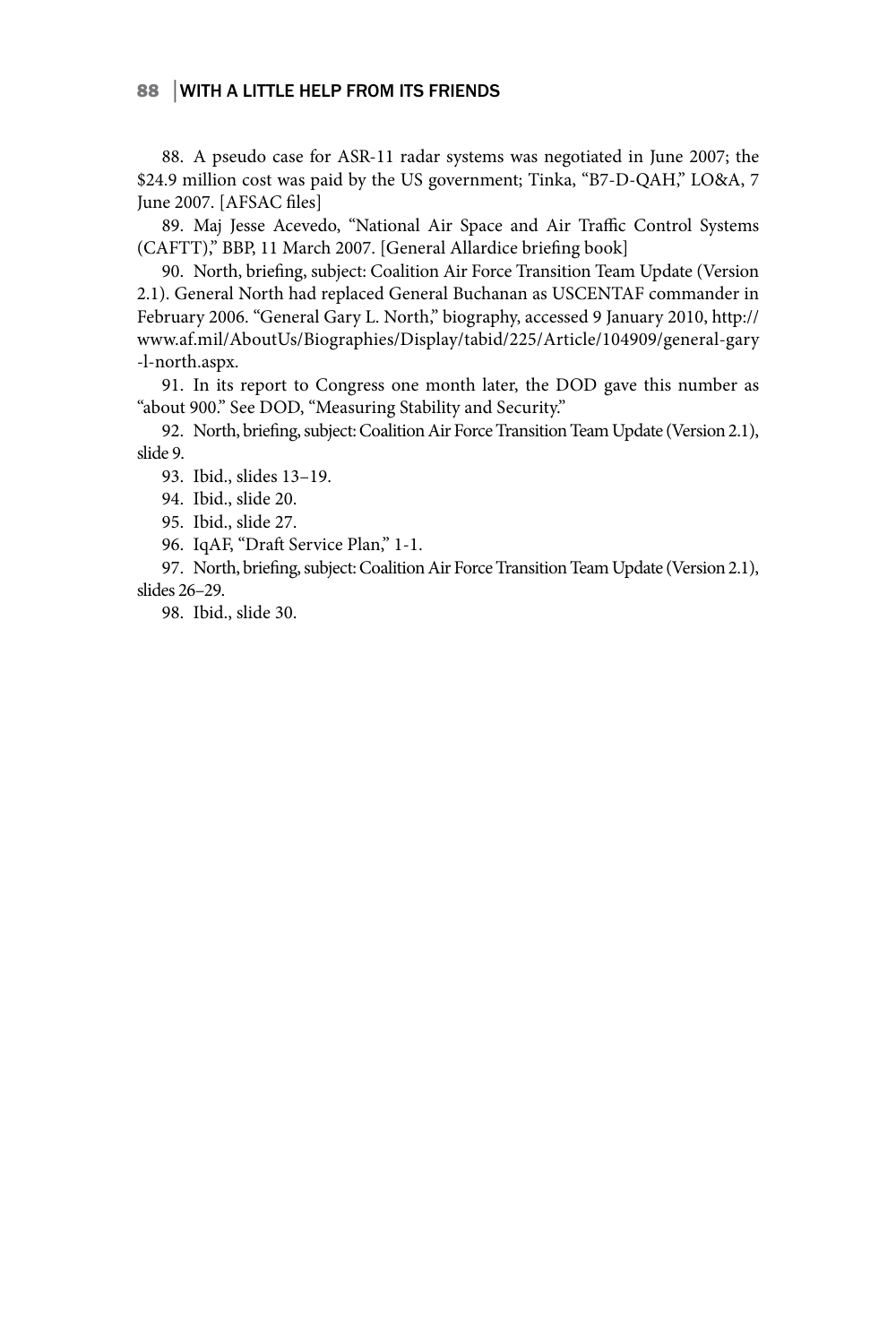88. A pseudo case for ASR-11 radar systems was negotiated in June 2007; the \$24.9 million cost was paid by the US government; Tinka, "B7-D-QAH," LO&A, 7 June 2007. [AFSAC files]

89. Maj Jesse Acevedo, "National Air Space and Air Traffic Control Systems (CAFTT)," BBP, 11 March 2007. [General Allardice briefing book]

90. North, briefing, subject: Coalition Air Force Transition Team Update (Version 2.1). General North had replaced General Buchanan as USCENTAF commander in February 2006. "General Gary L. North," biography, accessed 9 January 2010, http:// www.af.mil/AboutUs/Biographies/Display/tabid/225/Article/104909/general-gary -l-north.aspx.

91. In its report to Congress one month later, the DOD gave this number as "about 900." See DOD, "Measuring Stability and Security."

92. North, briefing, subject: Coalition Air Force Transition Team Update (Version 2.1), slide 9.

93. Ibid., slides 13–19.

94. Ibid., slide 20.

95. Ibid., slide 27.

96. IqAF, "Draft Service Plan," 1-1.

97. North, briefing, subject: Coalition Air Force Transition Team Update (Version 2.1), slides 26–29.

98. Ibid., slide 30.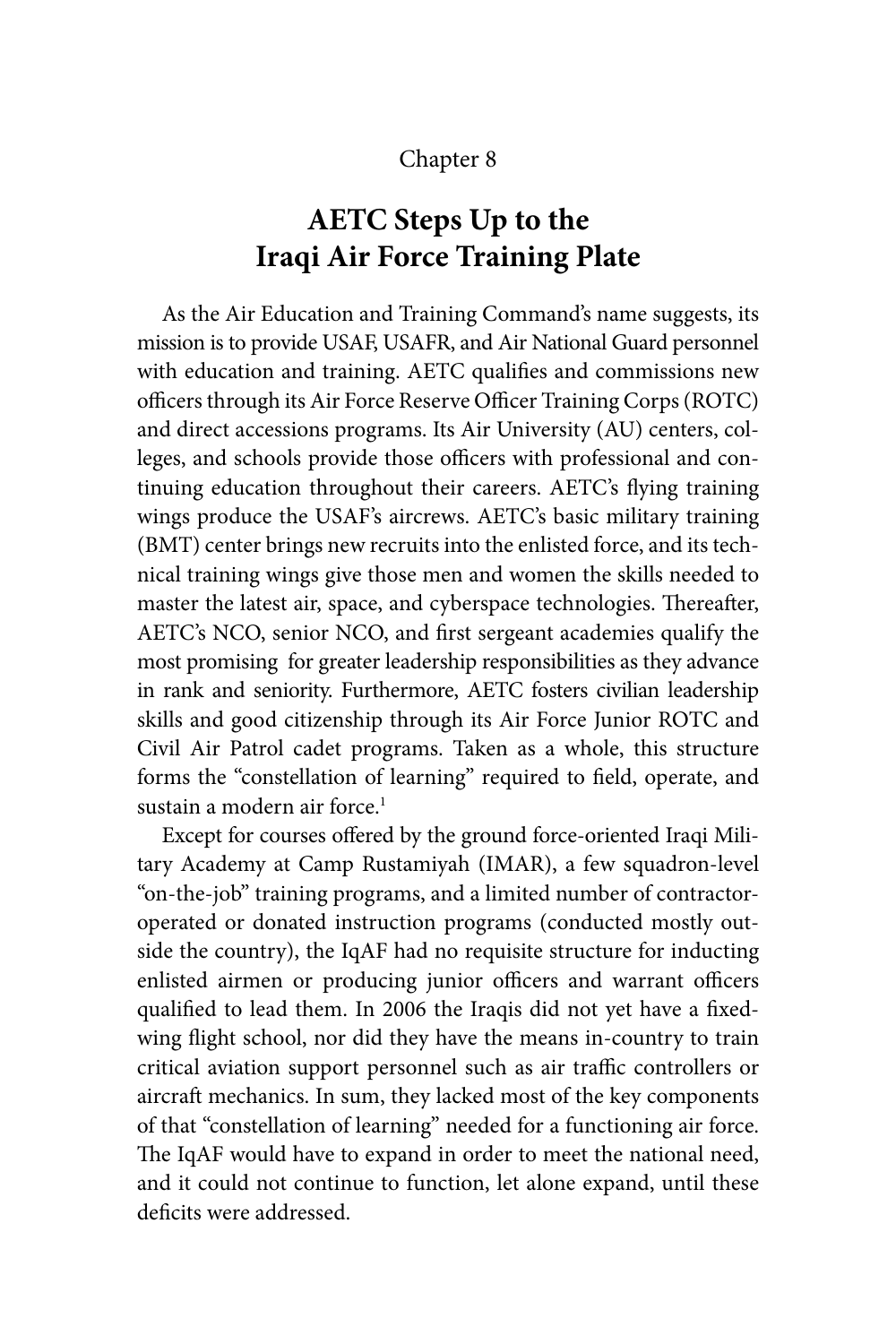### Chapter 8

# **AETC Steps Up to the Iraqi Air Force Training Plate**

As the Air Education and Training Command's name suggests, its mission is to provide USAF, USAFR, and Air National Guard personnel with education and training. AETC qualifies and commissions new officers through its Air Force Reserve Officer Training Corps (ROTC) and direct accessions programs. Its Air University (AU) centers, colleges, and schools provide those officers with professional and continuing education throughout their careers. AETC's flying training wings produce the USAF's aircrews. AETC's basic military training (BMT) center brings new recruits into the enlisted force, and its technical training wings give those men and women the skills needed to master the latest air, space, and cyberspace technologies. Thereafter, AETC's NCO, senior NCO, and first sergeant academies qualify the most promising for greater leadership responsibilities as they advance in rank and seniority. Furthermore, AETC fosters civilian leadership skills and good citizenship through its Air Force Junior ROTC and Civil Air Patrol cadet programs. Taken as a whole, this structure forms the "constellation of learning" required to field, operate, and sustain a modern air force.<sup>1</sup>

Except for courses offered by the ground force-oriented Iraqi Military Academy at Camp Rustamiyah (IMAR), a few squadron-level "on-the-job" training programs, and a limited number of contractoroperated or donated instruction programs (conducted mostly outside the country), the IqAF had no requisite structure for inducting enlisted airmen or producing junior officers and warrant officers qualified to lead them. In 2006 the Iraqis did not yet have a fixedwing flight school, nor did they have the means in-country to train critical aviation support personnel such as air traffic controllers or aircraft mechanics. In sum, they lacked most of the key components of that "constellation of learning" needed for a functioning air force. The IqAF would have to expand in order to meet the national need, and it could not continue to function, let alone expand, until these deficits were addressed.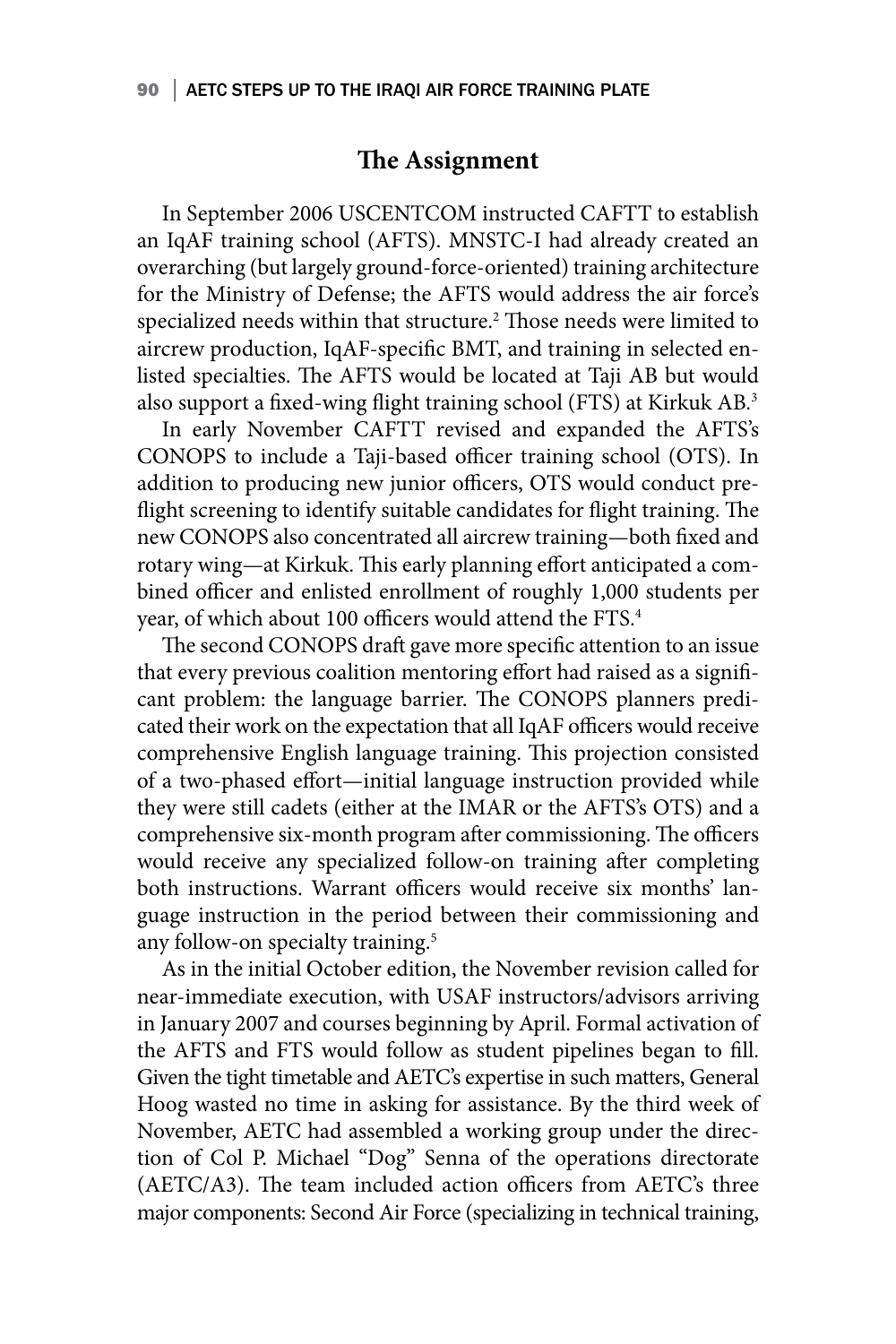### **The Assignment**

In September 2006 USCENTCOM instructed CAFTT to establish an IqAF training school (AFTS). MNSTC-I had already created an overarching (but largely ground-force-oriented) training architecture for the Ministry of Defense; the AFTS would address the air force's specialized needs within that structure.<sup>2</sup> Those needs were limited to aircrew production, IqAF-specific BMT, and training in selected enlisted specialties. The AFTS would be located at Taji AB but would also support a fixed-wing flight training school (FTS) at Kirkuk AB.3

In early November CAFTT revised and expanded the AFTS's CONOPS to include a Taji-based officer training school (OTS). In addition to producing new junior officers, OTS would conduct preflight screening to identify suitable candidates for flight training. The new CONOPS also concentrated all aircrew training—both fixed and rotary wing—at Kirkuk. This early planning effort anticipated a combined officer and enlisted enrollment of roughly 1,000 students per year, of which about 100 officers would attend the FTS.<sup>4</sup>

The second CONOPS draft gave more specific attention to an issue that every previous coalition mentoring effort had raised as a significant problem: the language barrier. The CONOPS planners predicated their work on the expectation that all IqAF officers would receive comprehensive English language training. This projection consisted of a two-phased effort—initial language instruction provided while they were still cadets (either at the IMAR or the AFTS's OTS) and a comprehensive six-month program after commissioning. The officers would receive any specialized follow-on training after completing both instructions. Warrant officers would receive six months' language instruction in the period between their commissioning and any follow-on specialty training.<sup>5</sup>

As in the initial October edition, the November revision called for near-immediate execution, with USAF instructors/advisors arriving in January 2007 and courses beginning by April. Formal activation of the AFTS and FTS would follow as student pipelines began to fill. Given the tight timetable and AETC's expertise in such matters, General Hoog wasted no time in asking for assistance. By the third week of November, AETC had assembled a working group under the direction of Col P. Michael "Dog" Senna of the operations directorate (AETC/A3). The team included action officers from AETC's three major components: Second Air Force (specializing in technical training,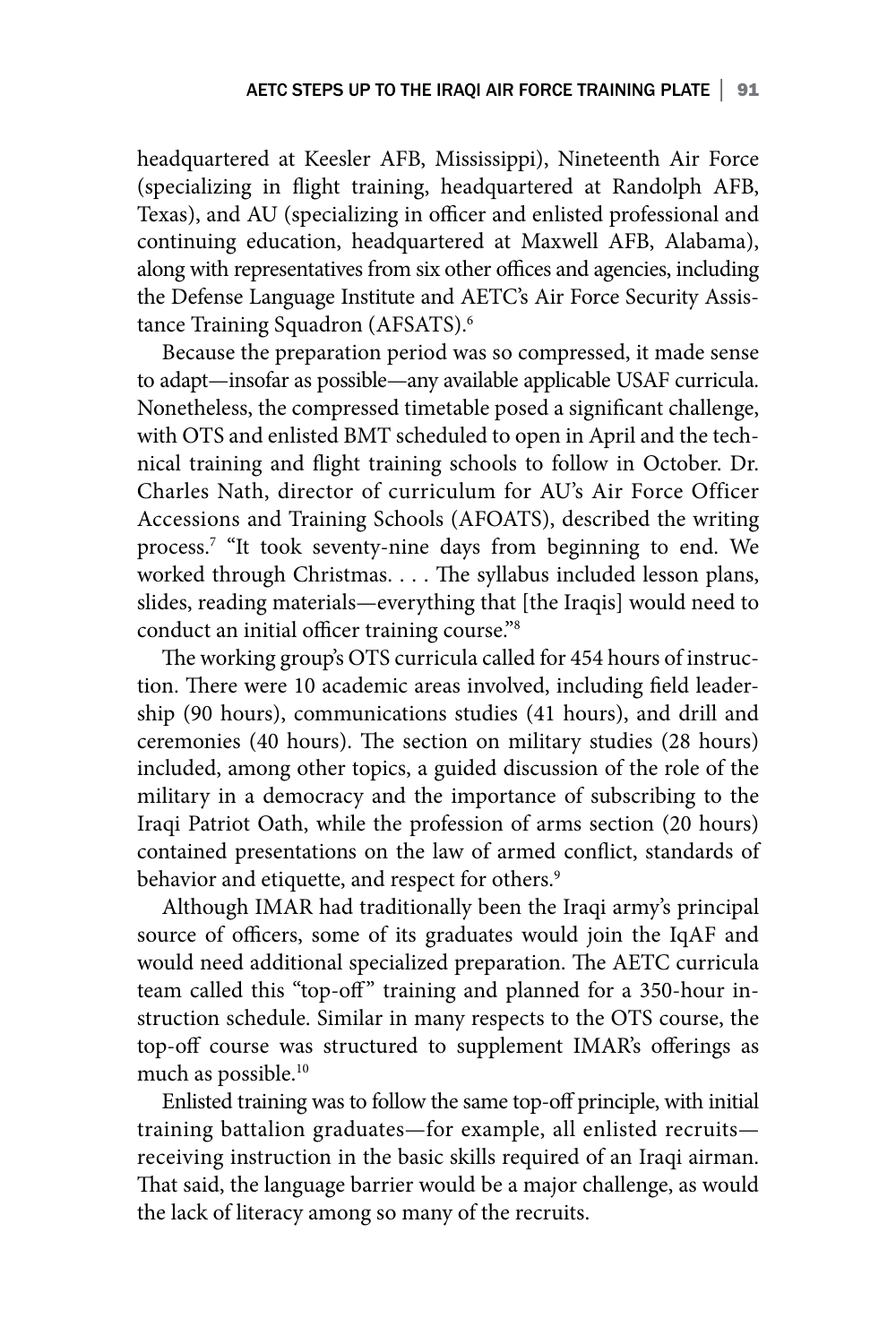headquartered at Keesler AFB, Mississippi), Nineteenth Air Force (specializing in flight training, headquartered at Randolph AFB, Texas), and AU (specializing in officer and enlisted professional and continuing education, headquartered at Maxwell AFB, Alabama), along with representatives from six other offices and agencies, including the Defense Language Institute and AETC's Air Force Security Assistance Training Squadron (AFSATS).<sup>6</sup>

Because the preparation period was so compressed, it made sense to adapt—insofar as possible—any available applicable USAF curricula. Nonetheless, the compressed timetable posed a significant challenge, with OTS and enlisted BMT scheduled to open in April and the technical training and flight training schools to follow in October. Dr. Charles Nath, director of curriculum for AU's Air Force Officer Accessions and Training Schools (AFOATS), described the writing process.7 "It took seventy-nine days from beginning to end. We worked through Christmas. . . . The syllabus included lesson plans, slides, reading materials—everything that [the Iraqis] would need to conduct an initial officer training course."8

The working group's OTS curricula called for 454 hours of instruction. There were 10 academic areas involved, including field leadership (90 hours), communications studies (41 hours), and drill and ceremonies (40 hours). The section on military studies (28 hours) included, among other topics, a guided discussion of the role of the military in a democracy and the importance of subscribing to the Iraqi Patriot Oath, while the profession of arms section (20 hours) contained presentations on the law of armed conflict, standards of behavior and etiquette, and respect for others.<sup>9</sup>

Although IMAR had traditionally been the Iraqi army's principal source of officers, some of its graduates would join the IqAF and would need additional specialized preparation. The AETC curricula team called this "top-off" training and planned for a 350-hour instruction schedule. Similar in many respects to the OTS course, the top-off course was structured to supplement IMAR's offerings as much as possible.10

Enlisted training was to follow the same top-off principle, with initial training battalion graduates—for example, all enlisted recruits receiving instruction in the basic skills required of an Iraqi airman. That said, the language barrier would be a major challenge, as would the lack of literacy among so many of the recruits.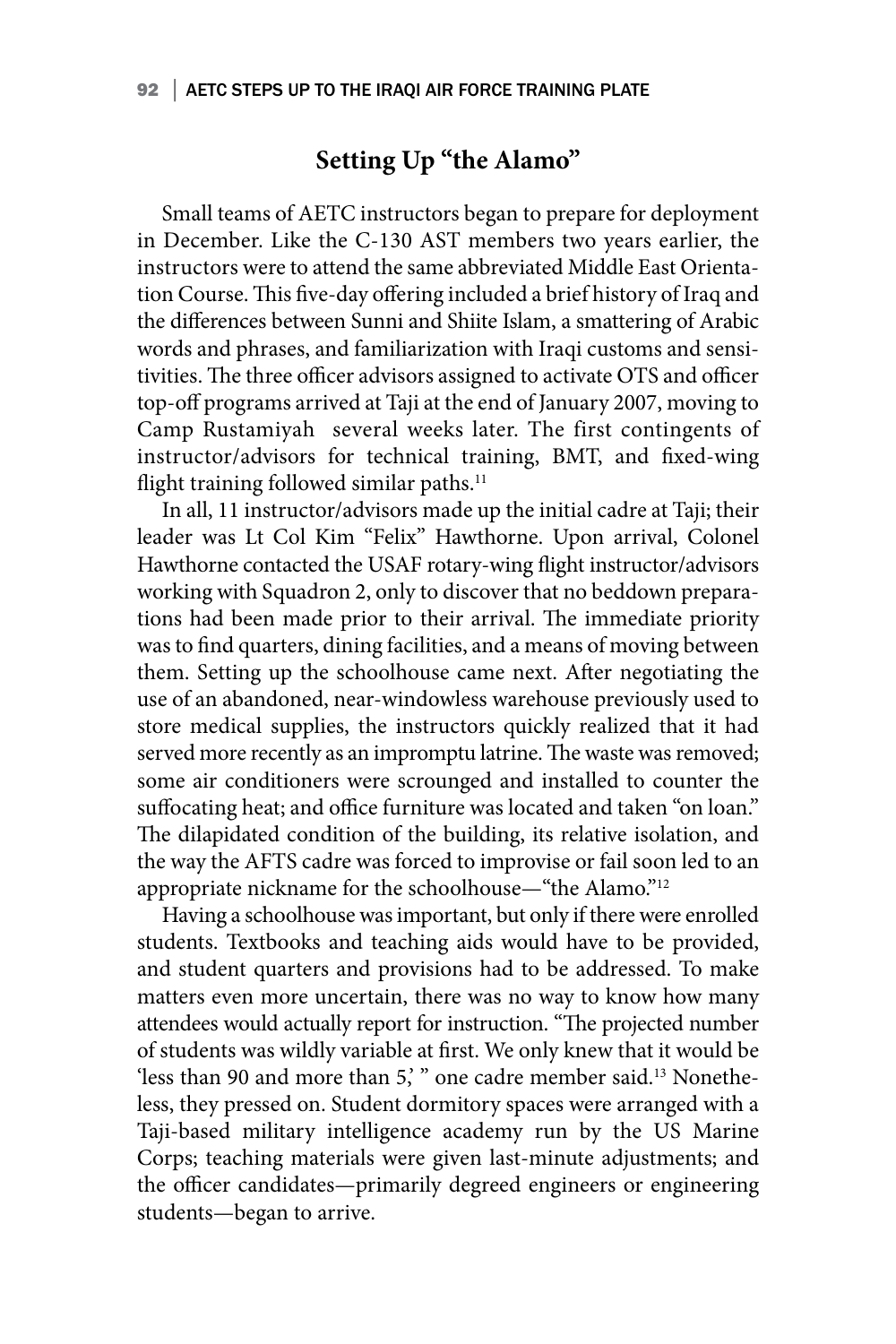## **Setting Up "the Alamo"**

Small teams of AETC instructors began to prepare for deployment in December. Like the C-130 AST members two years earlier, the instructors were to attend the same abbreviated Middle East Orientation Course. This five-day offering included a brief history of Iraq and the differences between Sunni and Shiite Islam, a smattering of Arabic words and phrases, and familiarization with Iraqi customs and sensitivities. The three officer advisors assigned to activate OTS and officer top-off programs arrived at Taji at the end of January 2007, moving to Camp Rustamiyah several weeks later. The first contingents of instructor/advisors for technical training, BMT, and fixed-wing flight training followed similar paths.<sup>11</sup>

In all, 11 instructor/advisors made up the initial cadre at Taji; their leader was Lt Col Kim "Felix" Hawthorne. Upon arrival, Colonel Hawthorne contacted the USAF rotary-wing flight instructor/advisors working with Squadron 2, only to discover that no beddown preparations had been made prior to their arrival. The immediate priority was to find quarters, dining facilities, and a means of moving between them. Setting up the schoolhouse came next. After negotiating the use of an abandoned, near-windowless warehouse previously used to store medical supplies, the instructors quickly realized that it had served more recently as an impromptu latrine. The waste was removed; some air conditioners were scrounged and installed to counter the suffocating heat; and office furniture was located and taken "on loan." The dilapidated condition of the building, its relative isolation, and the way the AFTS cadre was forced to improvise or fail soon led to an appropriate nickname for the schoolhouse—"the Alamo."<sup>12</sup>

Having a schoolhouse was important, but only if there were enrolled students. Textbooks and teaching aids would have to be provided, and student quarters and provisions had to be addressed. To make matters even more uncertain, there was no way to know how many attendees would actually report for instruction. "The projected number of students was wildly variable at first. We only knew that it would be 'less than 90 and more than 5,' " one cadre member said.13 Nonetheless, they pressed on. Student dormitory spaces were arranged with a Taji-based military intelligence academy run by the US Marine Corps; teaching materials were given last-minute adjustments; and the officer candidates—primarily degreed engineers or engineering students—began to arrive.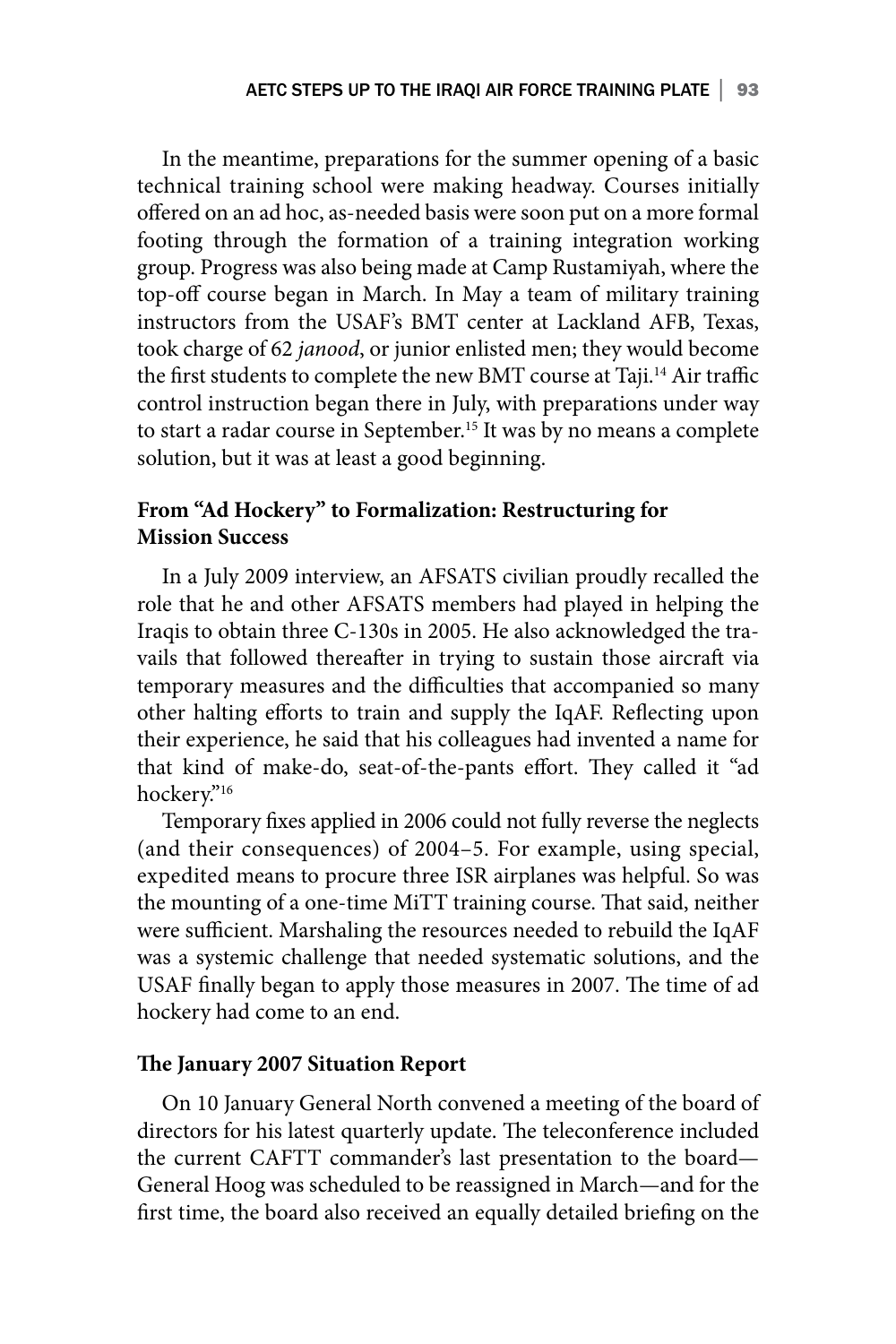In the meantime, preparations for the summer opening of a basic technical training school were making headway. Courses initially offered on an ad hoc, as-needed basis were soon put on a more formal footing through the formation of a training integration working group. Progress was also being made at Camp Rustamiyah, where the top-off course began in March. In May a team of military training instructors from the USAF's BMT center at Lackland AFB, Texas, took charge of 62 *janood*, or junior enlisted men; they would become the first students to complete the new BMT course at Taji.<sup>14</sup> Air traffic control instruction began there in July, with preparations under way to start a radar course in September.<sup>15</sup> It was by no means a complete solution, but it was at least a good beginning.

### **From "Ad Hockery" to Formalization: Restructuring for Mission Success**

In a July 2009 interview, an AFSATS civilian proudly recalled the role that he and other AFSATS members had played in helping the Iraqis to obtain three C-130s in 2005. He also acknowledged the travails that followed thereafter in trying to sustain those aircraft via temporary measures and the difficulties that accompanied so many other halting efforts to train and supply the IqAF. Reflecting upon their experience, he said that his colleagues had invented a name for that kind of make-do, seat-of-the-pants effort. They called it "ad hockery."16

Temporary fixes applied in 2006 could not fully reverse the neglects (and their consequences) of 2004–5. For example, using special, expedited means to procure three ISR airplanes was helpful. So was the mounting of a one-time MiTT training course. That said, neither were sufficient. Marshaling the resources needed to rebuild the IqAF was a systemic challenge that needed systematic solutions, and the USAF finally began to apply those measures in 2007. The time of ad hockery had come to an end.

### **The January 2007 Situation Report**

On 10 January General North convened a meeting of the board of directors for his latest quarterly update. The teleconference included the current CAFTT commander's last presentation to the board— General Hoog was scheduled to be reassigned in March—and for the first time, the board also received an equally detailed briefing on the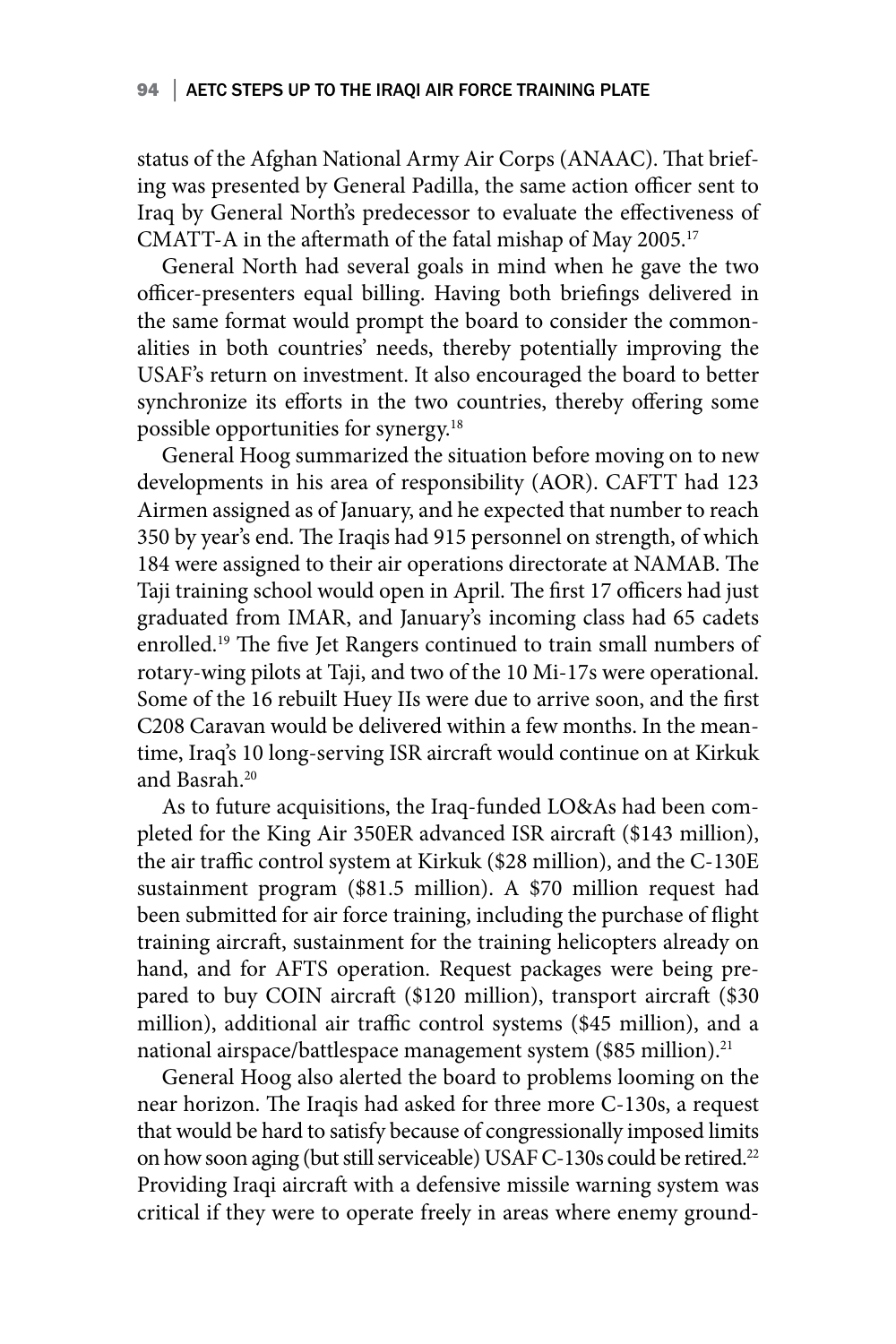status of the Afghan National Army Air Corps (ANAAC). That briefing was presented by General Padilla, the same action officer sent to Iraq by General North's predecessor to evaluate the effectiveness of CMATT-A in the aftermath of the fatal mishap of May 2005.17

General North had several goals in mind when he gave the two officer-presenters equal billing. Having both briefings delivered in the same format would prompt the board to consider the commonalities in both countries' needs, thereby potentially improving the USAF's return on investment. It also encouraged the board to better synchronize its efforts in the two countries, thereby offering some possible opportunities for synergy.18

General Hoog summarized the situation before moving on to new developments in his area of responsibility (AOR). CAFTT had 123 Airmen assigned as of January, and he expected that number to reach 350 by year's end. The Iraqis had 915 personnel on strength, of which 184 were assigned to their air operations directorate at NAMAB. The Taji training school would open in April. The first 17 officers had just graduated from IMAR, and January's incoming class had 65 cadets enrolled.<sup>19</sup> The five Jet Rangers continued to train small numbers of rotary-wing pilots at Taji, and two of the 10 Mi-17s were operational. Some of the 16 rebuilt Huey IIs were due to arrive soon, and the first C208 Caravan would be delivered within a few months. In the meantime, Iraq's 10 long-serving ISR aircraft would continue on at Kirkuk and Basrah.20

As to future acquisitions, the Iraq-funded LO&As had been completed for the King Air 350ER advanced ISR aircraft (\$143 million), the air traffic control system at Kirkuk (\$28 million), and the C-130E sustainment program (\$81.5 million). A \$70 million request had been submitted for air force training, including the purchase of flight training aircraft, sustainment for the training helicopters already on hand, and for AFTS operation. Request packages were being prepared to buy COIN aircraft (\$120 million), transport aircraft (\$30 million), additional air traffic control systems (\$45 million), and a national airspace/battlespace management system (\$85 million).<sup>21</sup>

General Hoog also alerted the board to problems looming on the near horizon. The Iraqis had asked for three more C-130s, a request that would be hard to satisfy because of congressionally imposed limits on how soon aging (but still serviceable) USAF C-130s could be retired.<sup>22</sup> Providing Iraqi aircraft with a defensive missile warning system was critical if they were to operate freely in areas where enemy ground-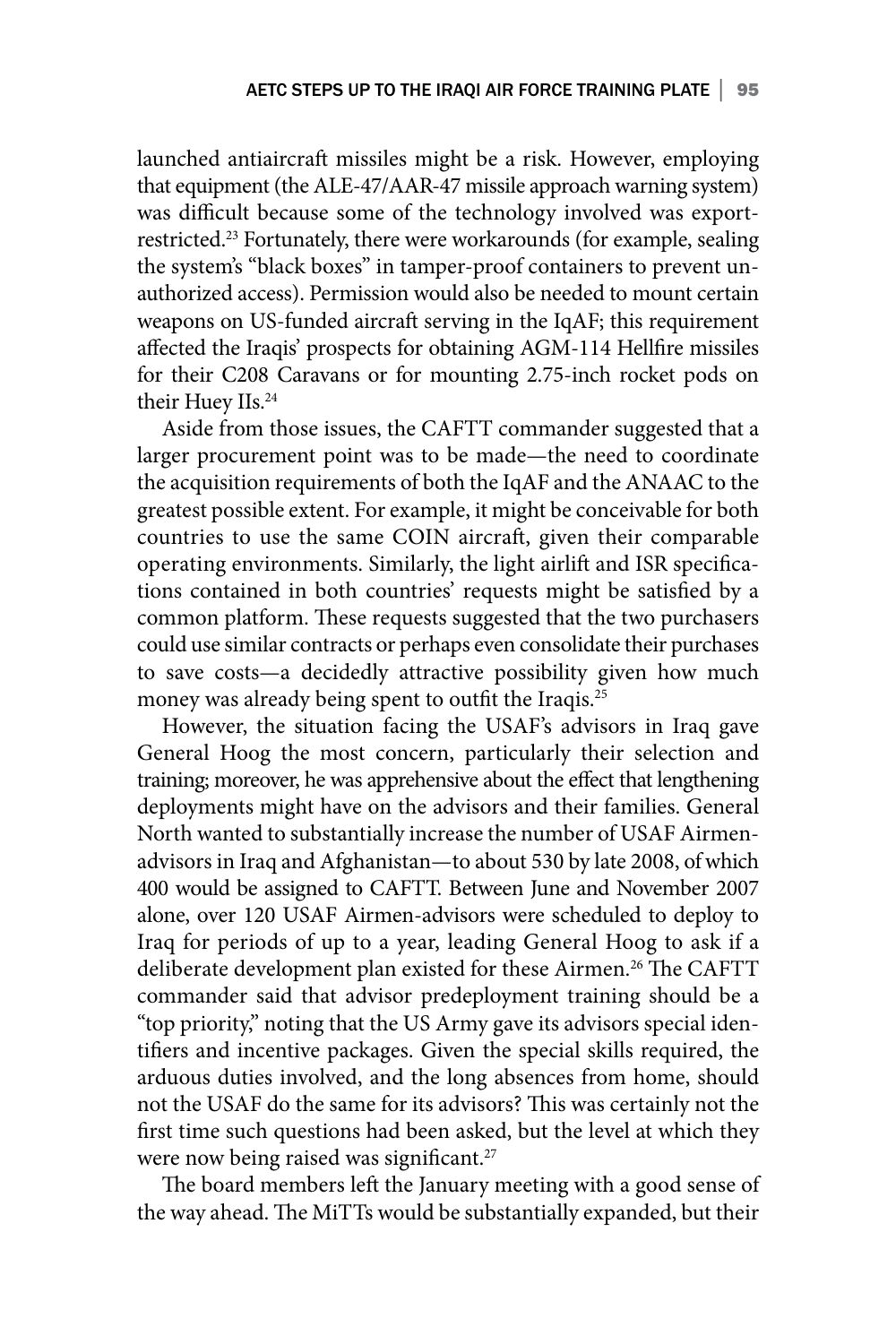launched antiaircraft missiles might be a risk. However, employing that equipment (the ALE-47/AAR-47 missile approach warning system) was difficult because some of the technology involved was exportrestricted.23 Fortunately, there were workarounds (for example, sealing the system's "black boxes" in tamper-proof containers to prevent unauthorized access). Permission would also be needed to mount certain weapons on US-funded aircraft serving in the IqAF; this requirement affected the Iraqis' prospects for obtaining AGM-114 Hellfire missiles for their C208 Caravans or for mounting 2.75-inch rocket pods on their Huey IIs.<sup>24</sup>

Aside from those issues, the CAFTT commander suggested that a larger procurement point was to be made—the need to coordinate the acquisition requirements of both the IqAF and the ANAAC to the greatest possible extent. For example, it might be conceivable for both countries to use the same COIN aircraft, given their comparable operating environments. Similarly, the light airlift and ISR specifications contained in both countries' requests might be satisfied by a common platform. These requests suggested that the two purchasers could use similar contracts or perhaps even consolidate their purchases to save costs—a decidedly attractive possibility given how much money was already being spent to outfit the Iraqis.<sup>25</sup>

However, the situation facing the USAF's advisors in Iraq gave General Hoog the most concern, particularly their selection and training; moreover, he was apprehensive about the effect that lengthening deployments might have on the advisors and their families. General North wanted to substantially increase the number of USAF Airmenadvisors in Iraq and Afghanistan—to about 530 by late 2008, of which 400 would be assigned to CAFTT. Between June and November 2007 alone, over 120 USAF Airmen-advisors were scheduled to deploy to Iraq for periods of up to a year, leading General Hoog to ask if a deliberate development plan existed for these Airmen.26 The CAFTT commander said that advisor predeployment training should be a "top priority," noting that the US Army gave its advisors special identifiers and incentive packages. Given the special skills required, the arduous duties involved, and the long absences from home, should not the USAF do the same for its advisors? This was certainly not the first time such questions had been asked, but the level at which they were now being raised was significant.<sup>27</sup>

The board members left the January meeting with a good sense of the way ahead. The MiTTs would be substantially expanded, but their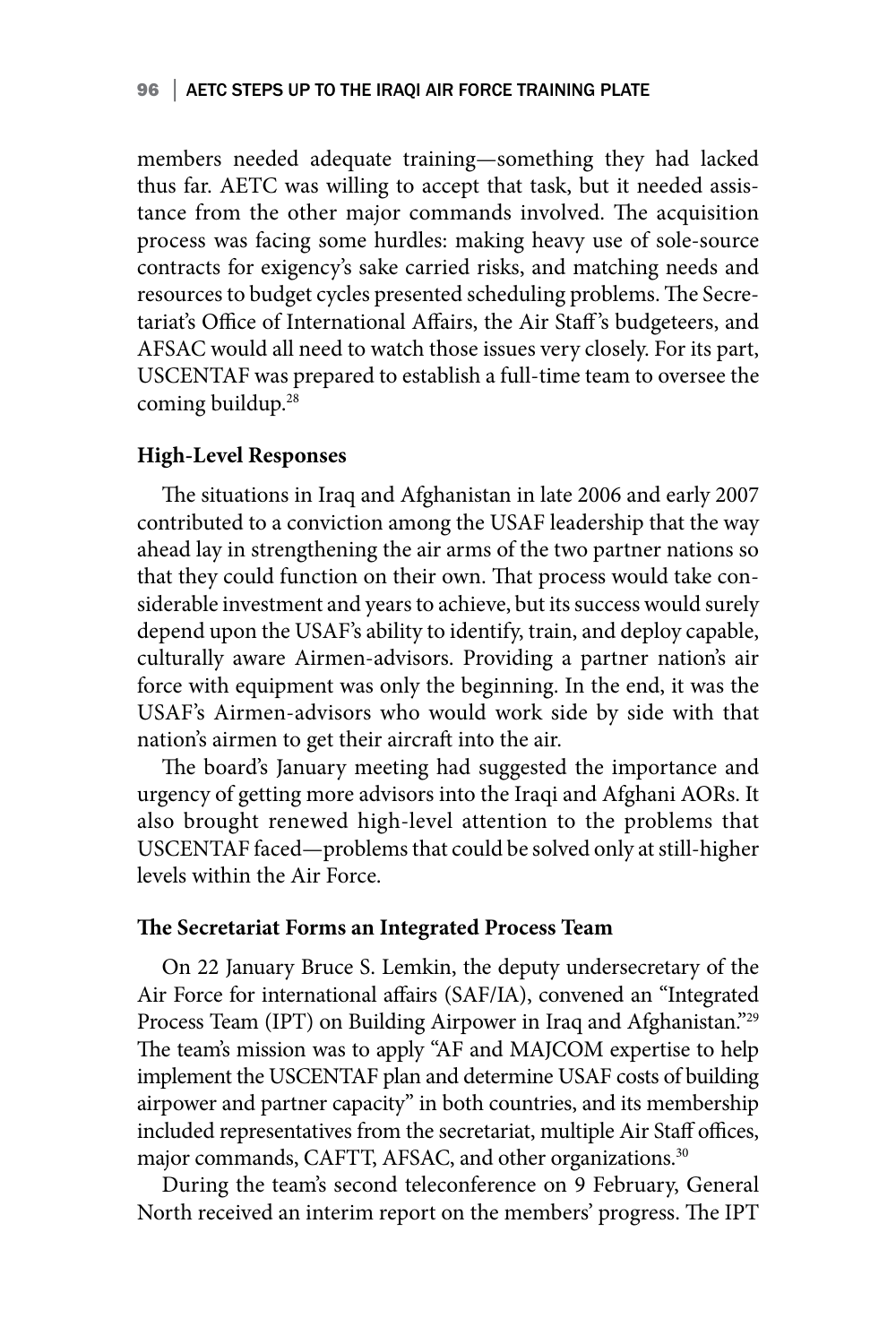#### 96 | AETC STEPS UP TO THE IRAQI AIR FORCE TRAINING PLATE

members needed adequate training—something they had lacked thus far. AETC was willing to accept that task, but it needed assistance from the other major commands involved. The acquisition process was facing some hurdles: making heavy use of sole-source contracts for exigency's sake carried risks, and matching needs and resources to budget cycles presented scheduling problems. The Secretariat's Office of International Affairs, the Air Staff 's budgeteers, and AFSAC would all need to watch those issues very closely. For its part, USCENTAF was prepared to establish a full-time team to oversee the coming buildup.<sup>28</sup>

#### **High-Level Responses**

The situations in Iraq and Afghanistan in late 2006 and early 2007 contributed to a conviction among the USAF leadership that the way ahead lay in strengthening the air arms of the two partner nations so that they could function on their own. That process would take considerable investment and years to achieve, but its success would surely depend upon the USAF's ability to identify, train, and deploy capable, culturally aware Airmen-advisors. Providing a partner nation's air force with equipment was only the beginning. In the end, it was the USAF's Airmen-advisors who would work side by side with that nation's airmen to get their aircraft into the air.

The board's January meeting had suggested the importance and urgency of getting more advisors into the Iraqi and Afghani AORs. It also brought renewed high-level attention to the problems that USCENTAF faced—problems that could be solved only at still-higher levels within the Air Force.

#### **The Secretariat Forms an Integrated Process Team**

On 22 January Bruce S. Lemkin, the deputy undersecretary of the Air Force for international affairs (SAF/IA), convened an "Integrated Process Team (IPT) on Building Airpower in Iraq and Afghanistan."29 The team's mission was to apply "AF and MAJCOM expertise to help implement the USCENTAF plan and determine USAF costs of building airpower and partner capacity" in both countries, and its membership included representatives from the secretariat, multiple Air Staff offices, major commands, CAFTT, AFSAC, and other organizations.<sup>30</sup>

During the team's second teleconference on 9 February, General North received an interim report on the members' progress. The IPT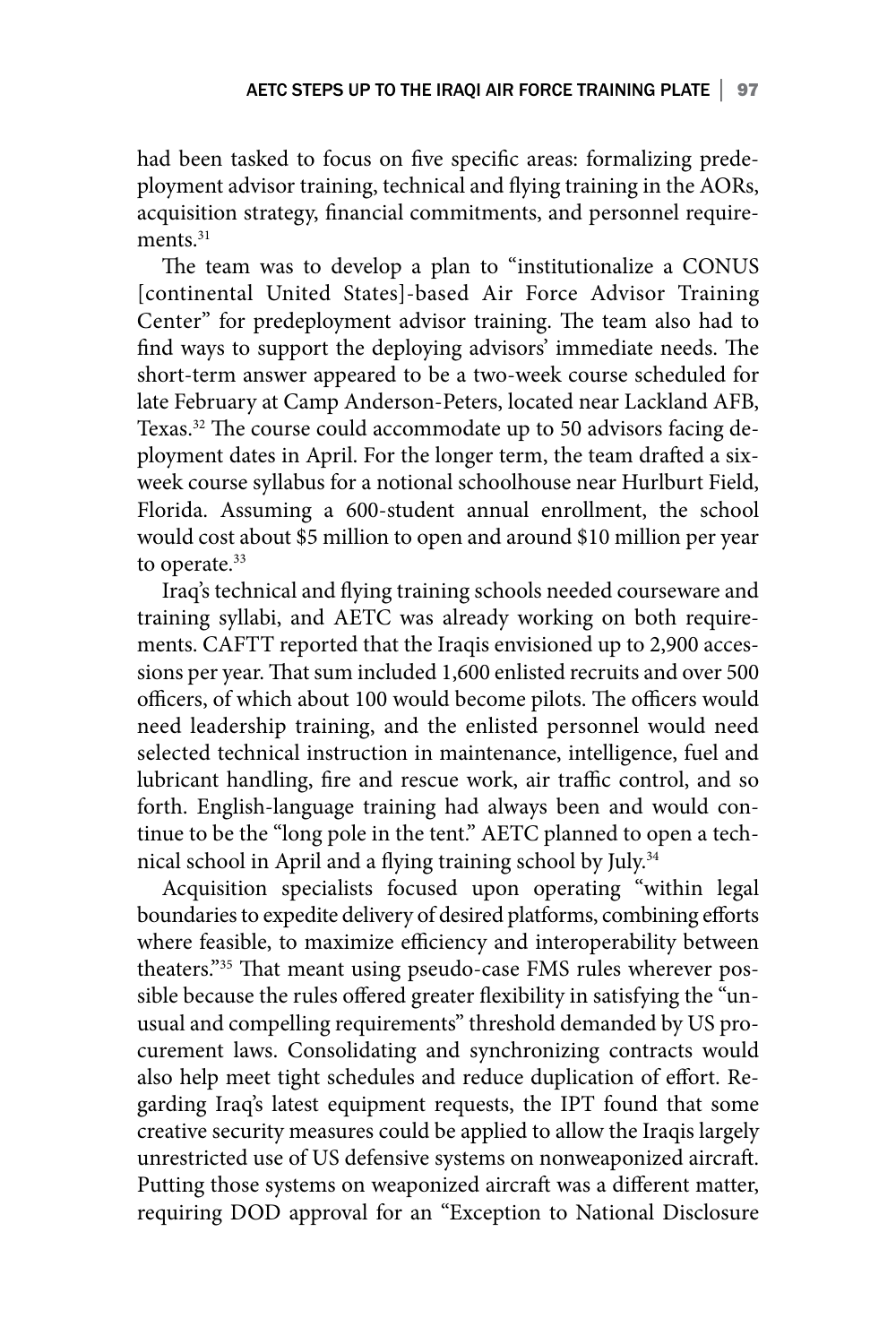had been tasked to focus on five specific areas: formalizing predeployment advisor training, technical and flying training in the AORs, acquisition strategy, financial commitments, and personnel requirements.<sup>31</sup>

The team was to develop a plan to "institutionalize a CONUS [continental United States]-based Air Force Advisor Training Center" for predeployment advisor training. The team also had to find ways to support the deploying advisors' immediate needs. The short-term answer appeared to be a two-week course scheduled for late February at Camp Anderson-Peters, located near Lackland AFB, Texas.<sup>32</sup> The course could accommodate up to 50 advisors facing deployment dates in April. For the longer term, the team drafted a sixweek course syllabus for a notional schoolhouse near Hurlburt Field, Florida. Assuming a 600-student annual enrollment, the school would cost about \$5 million to open and around \$10 million per year to operate.<sup>33</sup>

Iraq's technical and flying training schools needed courseware and training syllabi, and AETC was already working on both requirements. CAFTT reported that the Iraqis envisioned up to 2,900 accessions per year. That sum included 1,600 enlisted recruits and over 500 officers, of which about 100 would become pilots. The officers would need leadership training, and the enlisted personnel would need selected technical instruction in maintenance, intelligence, fuel and lubricant handling, fire and rescue work, air traffic control, and so forth. English-language training had always been and would continue to be the "long pole in the tent." AETC planned to open a technical school in April and a flying training school by July.34

Acquisition specialists focused upon operating "within legal boundaries to expedite delivery of desired platforms, combining efforts where feasible, to maximize efficiency and interoperability between theaters."35 That meant using pseudo-case FMS rules wherever possible because the rules offered greater flexibility in satisfying the "unusual and compelling requirements" threshold demanded by US procurement laws. Consolidating and synchronizing contracts would also help meet tight schedules and reduce duplication of effort. Regarding Iraq's latest equipment requests, the IPT found that some creative security measures could be applied to allow the Iraqis largely unrestricted use of US defensive systems on nonweaponized aircraft. Putting those systems on weaponized aircraft was a different matter, requiring DOD approval for an "Exception to National Disclosure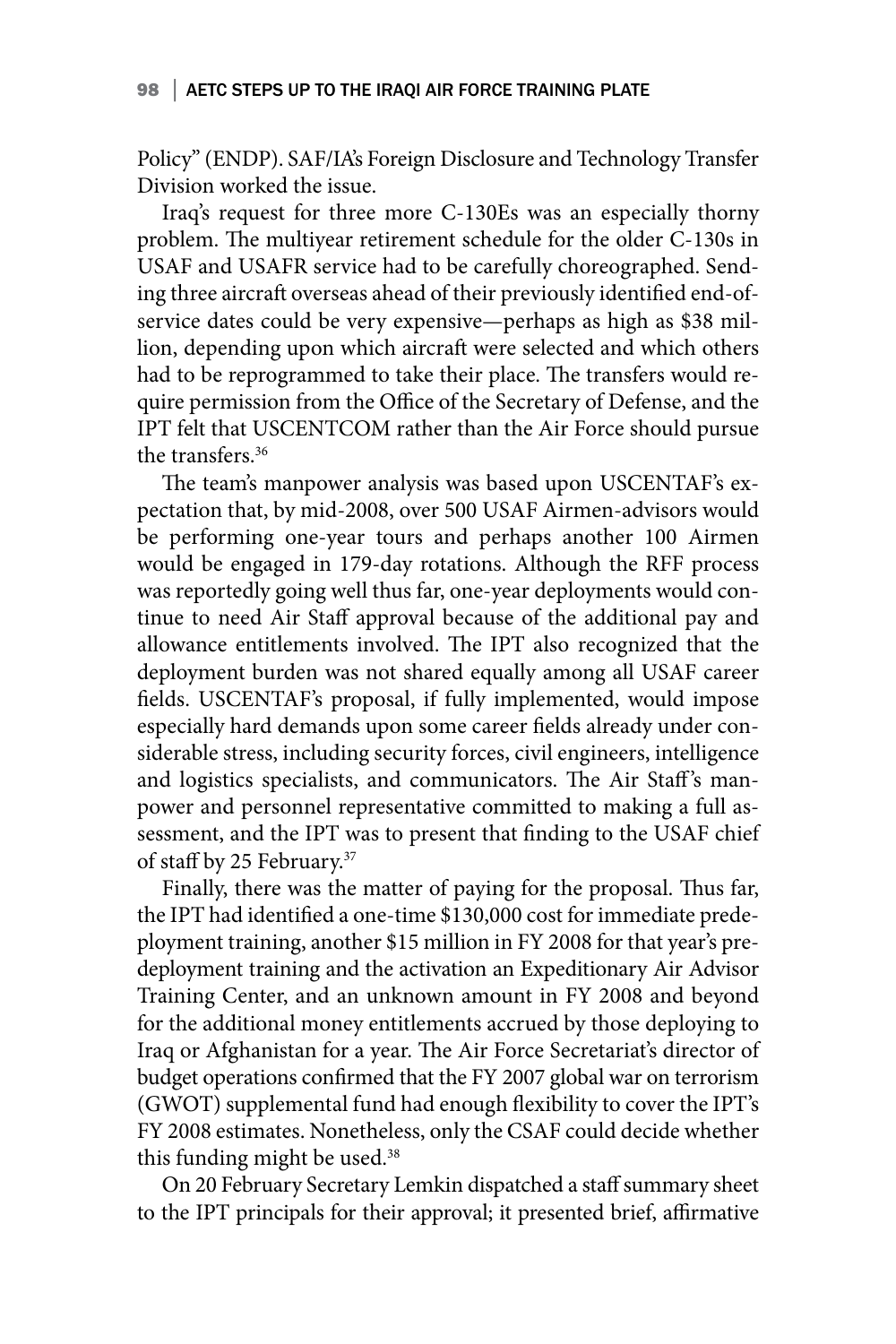Policy" (ENDP). SAF/IA's Foreign Disclosure and Technology Transfer Division worked the issue.

Iraq's request for three more C-130Es was an especially thorny problem. The multiyear retirement schedule for the older C-130s in USAF and USAFR service had to be carefully choreographed. Sending three aircraft overseas ahead of their previously identified end-ofservice dates could be very expensive—perhaps as high as \$38 million, depending upon which aircraft were selected and which others had to be reprogrammed to take their place. The transfers would require permission from the Office of the Secretary of Defense, and the IPT felt that USCENTCOM rather than the Air Force should pursue the transfers.<sup>36</sup>

The team's manpower analysis was based upon USCENTAF's expectation that, by mid-2008, over 500 USAF Airmen-advisors would be performing one-year tours and perhaps another 100 Airmen would be engaged in 179-day rotations. Although the RFF process was reportedly going well thus far, one-year deployments would continue to need Air Staff approval because of the additional pay and allowance entitlements involved. The IPT also recognized that the deployment burden was not shared equally among all USAF career fields. USCENTAF's proposal, if fully implemented, would impose especially hard demands upon some career fields already under considerable stress, including security forces, civil engineers, intelligence and logistics specialists, and communicators. The Air Staff's manpower and personnel representative committed to making a full assessment, and the IPT was to present that finding to the USAF chief of staff by 25 February.37

Finally, there was the matter of paying for the proposal. Thus far, the IPT had identified a one-time \$130,000 cost for immediate predeployment training, another \$15 million in FY 2008 for that year's predeployment training and the activation an Expeditionary Air Advisor Training Center, and an unknown amount in FY 2008 and beyond for the additional money entitlements accrued by those deploying to Iraq or Afghanistan for a year. The Air Force Secretariat's director of budget operations confirmed that the FY 2007 global war on terrorism (GWOT) supplemental fund had enough flexibility to cover the IPT's FY 2008 estimates. Nonetheless, only the CSAF could decide whether this funding might be used.<sup>38</sup>

On 20 February Secretary Lemkin dispatched a staff summary sheet to the IPT principals for their approval; it presented brief, affirmative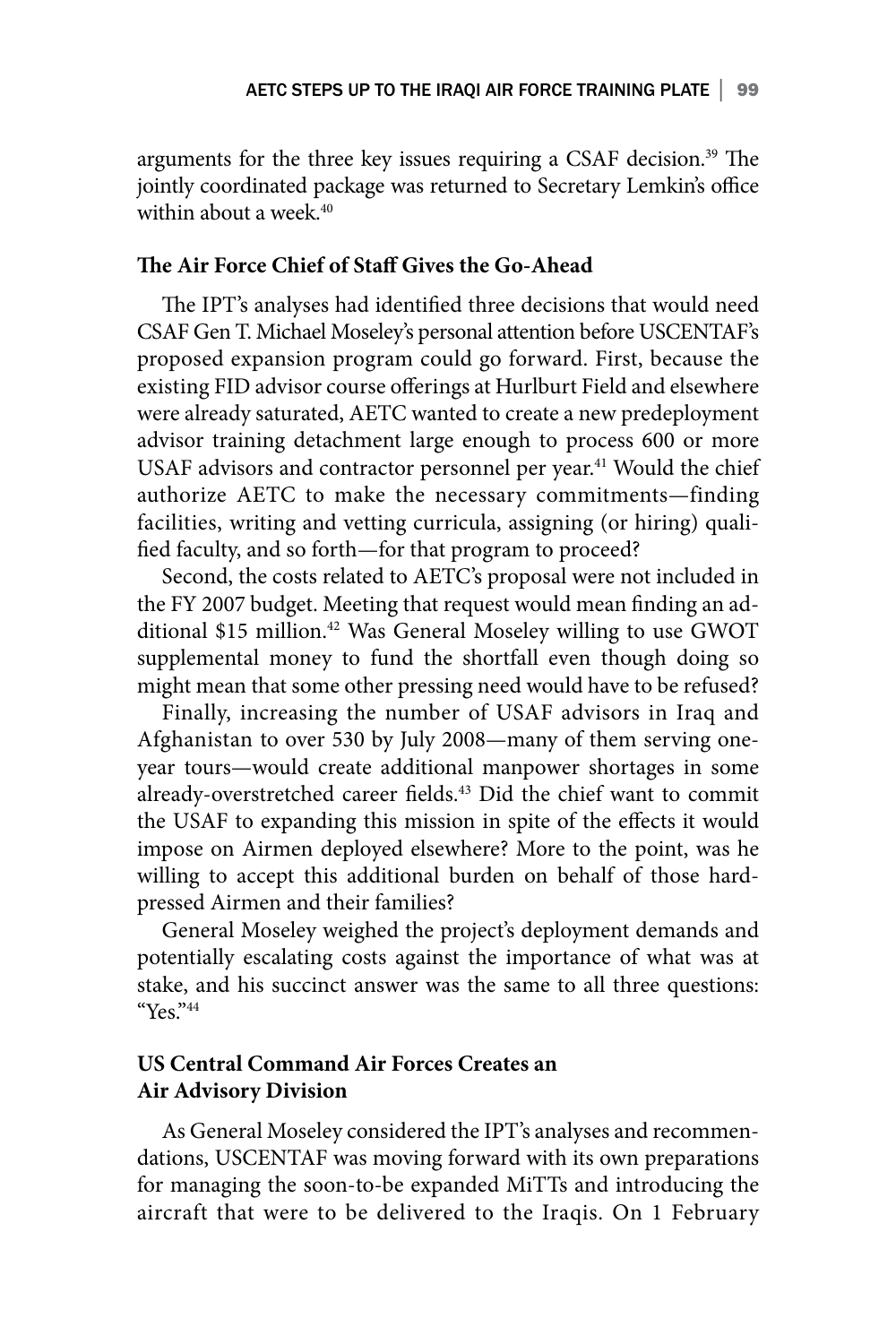arguments for the three key issues requiring a CSAF decision.<sup>39</sup> The jointly coordinated package was returned to Secretary Lemkin's office within about a week.<sup>40</sup>

### **The Air Force Chief of Staff Gives the Go-Ahead**

The IPT's analyses had identified three decisions that would need CSAF Gen T. Michael Moseley's personal attention before USCENTAF's proposed expansion program could go forward. First, because the existing FID advisor course offerings at Hurlburt Field and elsewhere were already saturated, AETC wanted to create a new predeployment advisor training detachment large enough to process 600 or more USAF advisors and contractor personnel per year.<sup>41</sup> Would the chief authorize AETC to make the necessary commitments—finding facilities, writing and vetting curricula, assigning (or hiring) qualified faculty, and so forth—for that program to proceed?

Second, the costs related to AETC's proposal were not included in the FY 2007 budget. Meeting that request would mean finding an additional \$15 million.<sup>42</sup> Was General Moseley willing to use GWOT supplemental money to fund the shortfall even though doing so might mean that some other pressing need would have to be refused?

Finally, increasing the number of USAF advisors in Iraq and Afghanistan to over 530 by July 2008—many of them serving oneyear tours—would create additional manpower shortages in some already-overstretched career fields.<sup>43</sup> Did the chief want to commit the USAF to expanding this mission in spite of the effects it would impose on Airmen deployed elsewhere? More to the point, was he willing to accept this additional burden on behalf of those hardpressed Airmen and their families?

General Moseley weighed the project's deployment demands and potentially escalating costs against the importance of what was at stake, and his succinct answer was the same to all three questions: "Yes." $44$ 

### **US Central Command Air Forces Creates an Air Advisory Division**

As General Moseley considered the IPT's analyses and recommendations, USCENTAF was moving forward with its own preparations for managing the soon-to-be expanded MiTTs and introducing the aircraft that were to be delivered to the Iraqis. On 1 February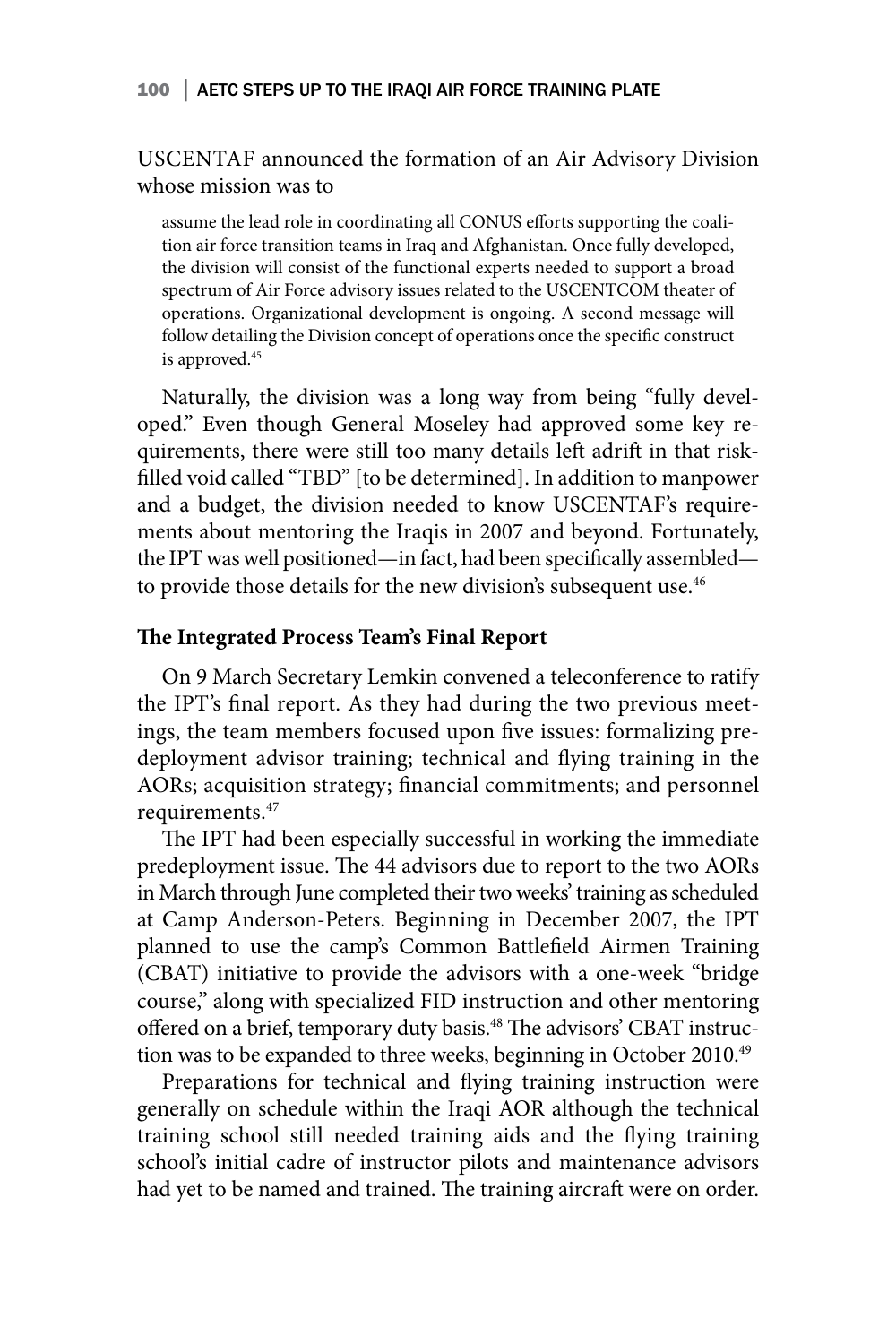USCENTAF announced the formation of an Air Advisory Division whose mission was to

assume the lead role in coordinating all CONUS efforts supporting the coalition air force transition teams in Iraq and Afghanistan. Once fully developed, the division will consist of the functional experts needed to support a broad spectrum of Air Force advisory issues related to the USCENTCOM theater of operations. Organizational development is ongoing. A second message will follow detailing the Division concept of operations once the specific construct is approved.<sup>45</sup>

Naturally, the division was a long way from being "fully developed." Even though General Moseley had approved some key requirements, there were still too many details left adrift in that riskfilled void called "TBD" [to be determined]. In addition to manpower and a budget, the division needed to know USCENTAF's requirements about mentoring the Iraqis in 2007 and beyond. Fortunately, the IPT was well positioned—in fact, had been specifically assembled to provide those details for the new division's subsequent use.<sup>46</sup>

### **The Integrated Process Team's Final Report**

On 9 March Secretary Lemkin convened a teleconference to ratify the IPT's final report. As they had during the two previous meetings, the team members focused upon five issues: formalizing predeployment advisor training; technical and flying training in the AORs; acquisition strategy; financial commitments; and personnel requirements.47

The IPT had been especially successful in working the immediate predeployment issue. The 44 advisors due to report to the two AORs in March through June completed their two weeks' training as scheduled at Camp Anderson-Peters. Beginning in December 2007, the IPT planned to use the camp's Common Battlefield Airmen Training (CBAT) initiative to provide the advisors with a one-week "bridge course," along with specialized FID instruction and other mentoring offered on a brief, temporary duty basis.<sup>48</sup> The advisors' CBAT instruction was to be expanded to three weeks, beginning in October 2010.49

Preparations for technical and flying training instruction were generally on schedule within the Iraqi AOR although the technical training school still needed training aids and the flying training school's initial cadre of instructor pilots and maintenance advisors had yet to be named and trained. The training aircraft were on order.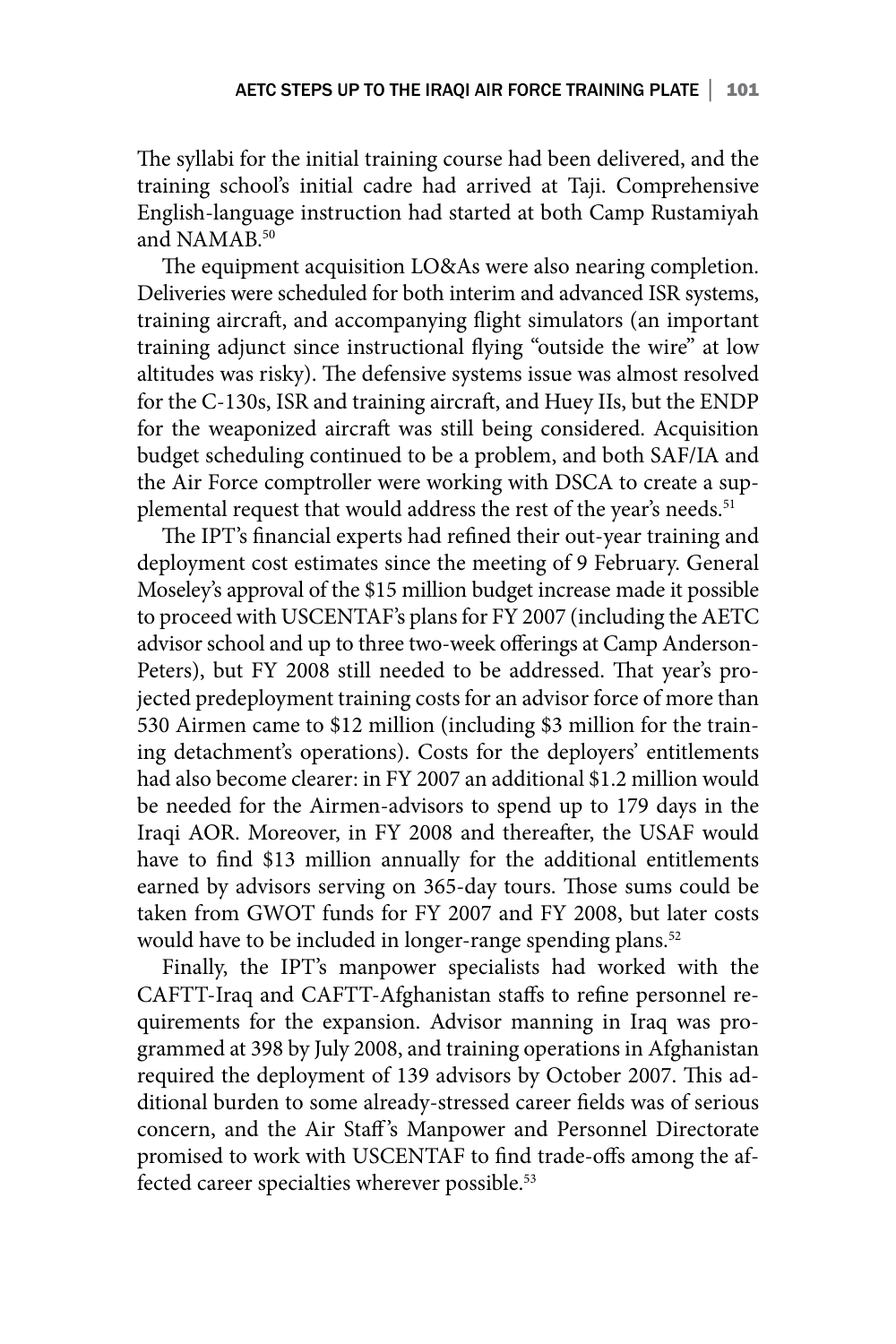The syllabi for the initial training course had been delivered, and the training school's initial cadre had arrived at Taji. Comprehensive English-language instruction had started at both Camp Rustamiyah and NAMAB.<sup>50</sup>

The equipment acquisition LO&As were also nearing completion. Deliveries were scheduled for both interim and advanced ISR systems, training aircraft, and accompanying flight simulators (an important training adjunct since instructional flying "outside the wire" at low altitudes was risky). The defensive systems issue was almost resolved for the C-130s, ISR and training aircraft, and Huey IIs, but the ENDP for the weaponized aircraft was still being considered. Acquisition budget scheduling continued to be a problem, and both SAF/IA and the Air Force comptroller were working with DSCA to create a supplemental request that would address the rest of the year's needs.<sup>51</sup>

The IPT's financial experts had refined their out-year training and deployment cost estimates since the meeting of 9 February. General Moseley's approval of the \$15 million budget increase made it possible to proceed with USCENTAF's plans for FY 2007 (including the AETC advisor school and up to three two-week offerings at Camp Anderson-Peters), but FY 2008 still needed to be addressed. That year's projected predeployment training costs for an advisor force of more than 530 Airmen came to \$12 million (including \$3 million for the training detachment's operations). Costs for the deployers' entitlements had also become clearer: in FY 2007 an additional \$1.2 million would be needed for the Airmen-advisors to spend up to 179 days in the Iraqi AOR. Moreover, in FY 2008 and thereafter, the USAF would have to find \$13 million annually for the additional entitlements earned by advisors serving on 365-day tours. Those sums could be taken from GWOT funds for FY 2007 and FY 2008, but later costs would have to be included in longer-range spending plans.<sup>52</sup>

Finally, the IPT's manpower specialists had worked with the CAFTT-Iraq and CAFTT-Afghanistan staffs to refine personnel requirements for the expansion. Advisor manning in Iraq was programmed at 398 by July 2008, and training operations in Afghanistan required the deployment of 139 advisors by October 2007. This additional burden to some already-stressed career fields was of serious concern, and the Air Staff's Manpower and Personnel Directorate promised to work with USCENTAF to find trade-offs among the affected career specialties wherever possible.<sup>53</sup>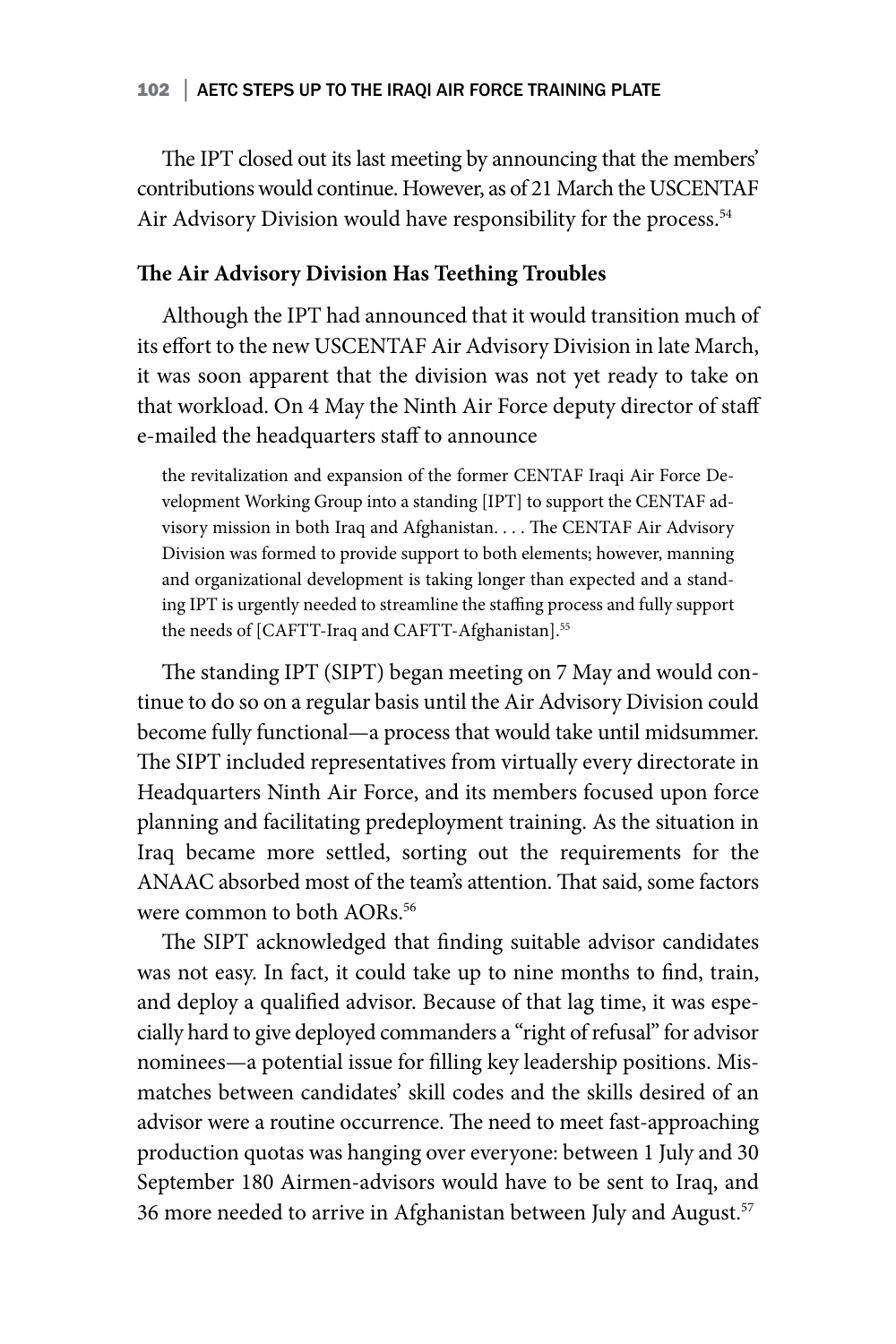The IPT closed out its last meeting by announcing that the members' contributions would continue. However, as of 21 March the USCENTAF Air Advisory Division would have responsibility for the process.<sup>54</sup>

### **The Air Advisory Division Has Teething Troubles**

Although the IPT had announced that it would transition much of its effort to the new USCENTAF Air Advisory Division in late March, it was soon apparent that the division was not yet ready to take on that workload. On 4 May the Ninth Air Force deputy director of staff e-mailed the headquarters staff to announce

the revitalization and expansion of the former CENTAF Iraqi Air Force Development Working Group into a standing [IPT] to support the CENTAF advisory mission in both Iraq and Afghanistan. . . . The CENTAF Air Advisory Division was formed to provide support to both elements; however, manning and organizational development is taking longer than expected and a standing IPT is urgently needed to streamline the staffing process and fully support the needs of [CAFTT-Iraq and CAFTT-Afghanistan].<sup>55</sup>

The standing IPT (SIPT) began meeting on 7 May and would continue to do so on a regular basis until the Air Advisory Division could become fully functional—a process that would take until midsummer. The SIPT included representatives from virtually every directorate in Headquarters Ninth Air Force, and its members focused upon force planning and facilitating predeployment training. As the situation in Iraq became more settled, sorting out the requirements for the ANAAC absorbed most of the team's attention. That said, some factors were common to both AORs.<sup>56</sup>

The SIPT acknowledged that finding suitable advisor candidates was not easy. In fact, it could take up to nine months to find, train, and deploy a qualified advisor. Because of that lag time, it was especially hard to give deployed commanders a "right of refusal" for advisor nominees—a potential issue for filling key leadership positions. Mismatches between candidates' skill codes and the skills desired of an advisor were a routine occurrence. The need to meet fast-approaching production quotas was hanging over everyone: between 1 July and 30 September 180 Airmen-advisors would have to be sent to Iraq, and 36 more needed to arrive in Afghanistan between July and August.57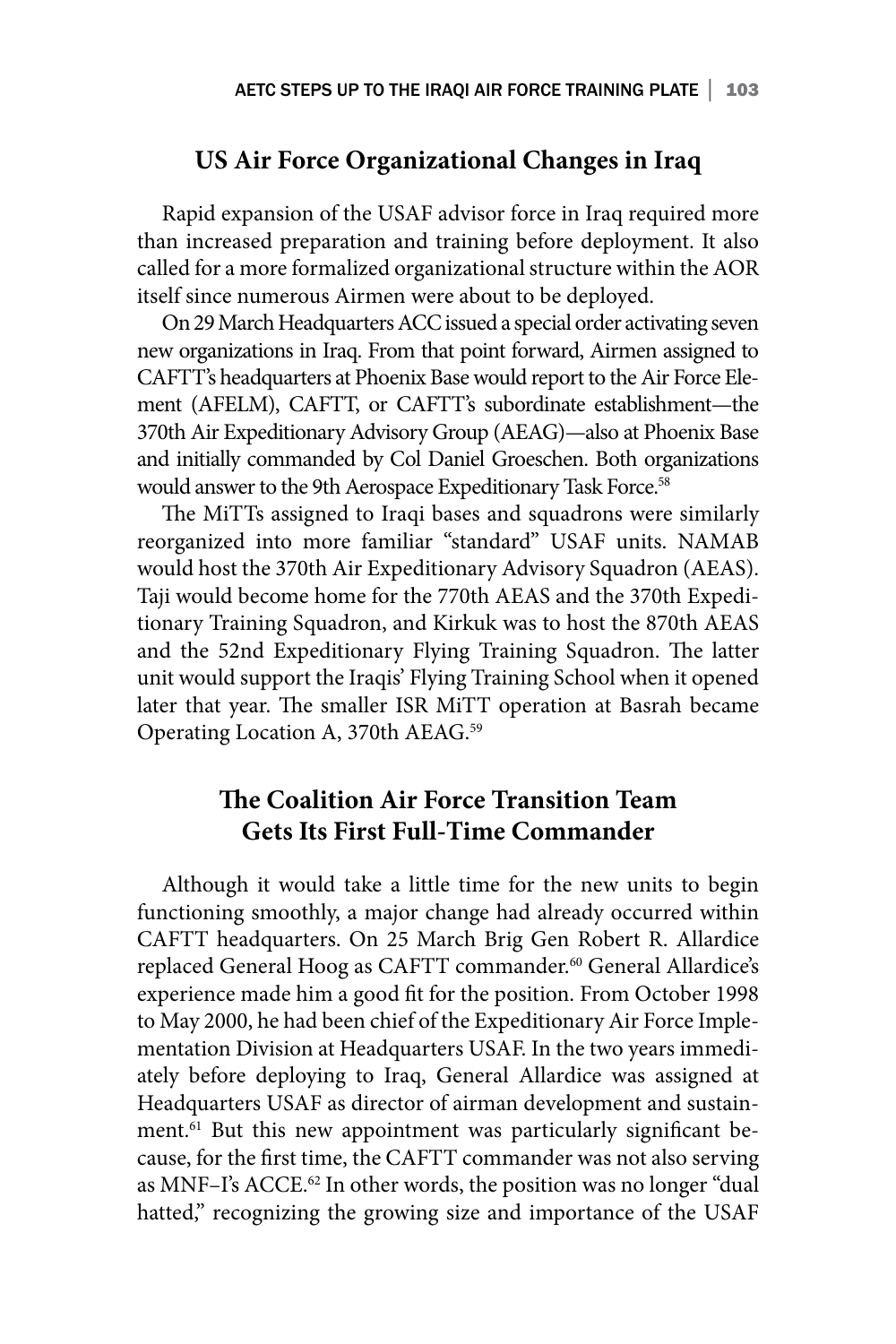## **US Air Force Organizational Changes in Iraq**

Rapid expansion of the USAF advisor force in Iraq required more than increased preparation and training before deployment. It also called for a more formalized organizational structure within the AOR itself since numerous Airmen were about to be deployed.

On 29 March Headquarters ACC issued a special order activating seven new organizations in Iraq. From that point forward, Airmen assigned to CAFTT's headquarters at Phoenix Base would report to the Air Force Element (AFELM), CAFTT, or CAFTT's subordinate establishment—the 370th Air Expeditionary Advisory Group (AEAG)—also at Phoenix Base and initially commanded by Col Daniel Groeschen. Both organizations would answer to the 9th Aerospace Expeditionary Task Force.<sup>58</sup>

The MiTTs assigned to Iraqi bases and squadrons were similarly reorganized into more familiar "standard" USAF units. NAMAB would host the 370th Air Expeditionary Advisory Squadron (AEAS). Taji would become home for the 770th AEAS and the 370th Expeditionary Training Squadron, and Kirkuk was to host the 870th AEAS and the 52nd Expeditionary Flying Training Squadron. The latter unit would support the Iraqis' Flying Training School when it opened later that year. The smaller ISR MiTT operation at Basrah became Operating Location A, 370th AEAG.59

## **The Coalition Air Force Transition Team Gets Its First Full-Time Commander**

Although it would take a little time for the new units to begin functioning smoothly, a major change had already occurred within CAFTT headquarters. On 25 March Brig Gen Robert R. Allardice replaced General Hoog as CAFTT commander.<sup>60</sup> General Allardice's experience made him a good fit for the position. From October 1998 to May 2000, he had been chief of the Expeditionary Air Force Implementation Division at Headquarters USAF. In the two years immediately before deploying to Iraq, General Allardice was assigned at Headquarters USAF as director of airman development and sustainment.61 But this new appointment was particularly significant because, for the first time, the CAFTT commander was not also serving as MNF-I's ACCE.<sup>62</sup> In other words, the position was no longer "dual hatted," recognizing the growing size and importance of the USAF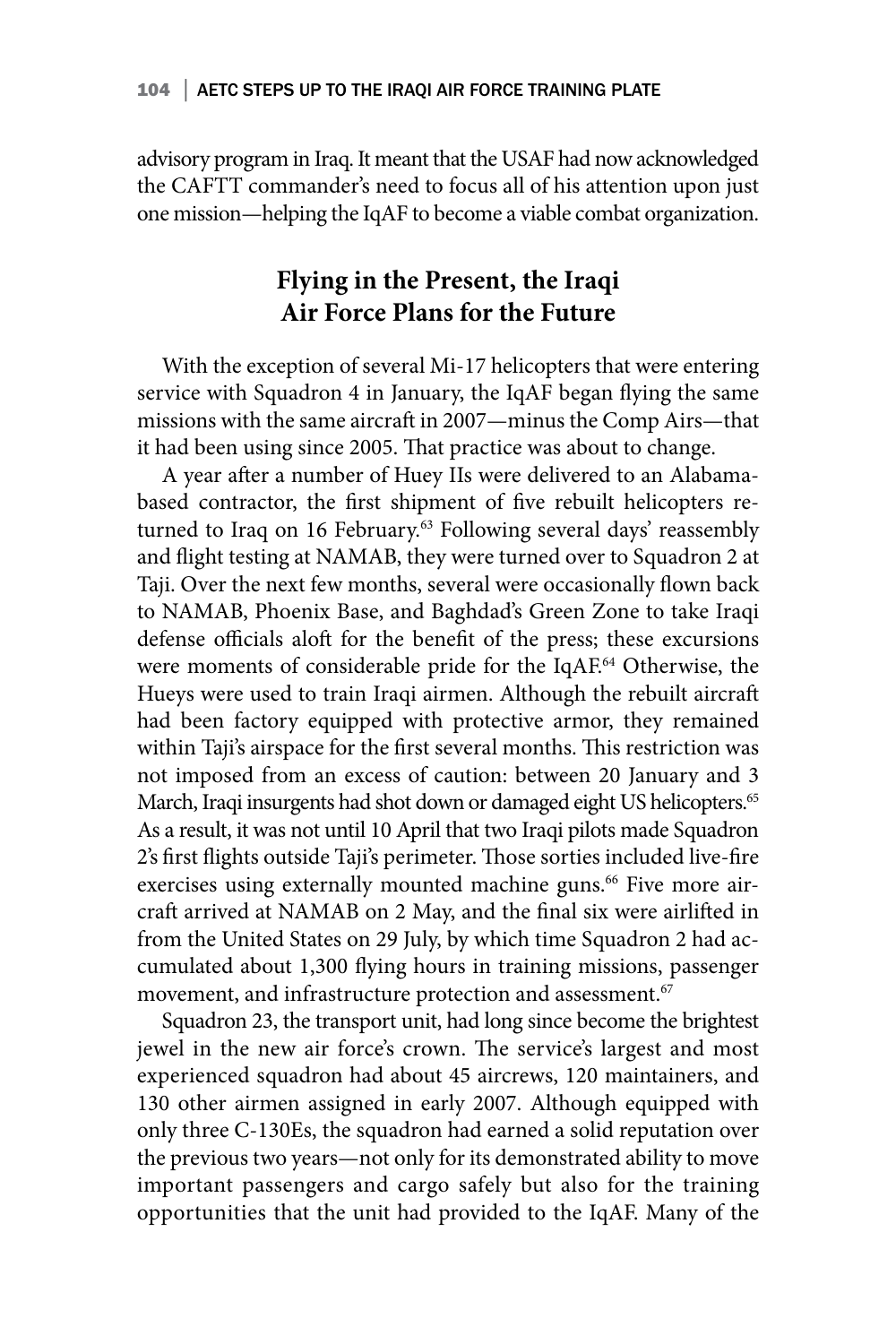advisory program in Iraq. It meant that the USAF had now acknowledged the CAFTT commander's need to focus all of his attention upon just one mission—helping the IqAF to become a viable combat organization.

## **Flying in the Present, the Iraqi Air Force Plans for the Future**

With the exception of several Mi-17 helicopters that were entering service with Squadron 4 in January, the IqAF began flying the same missions with the same aircraft in 2007—minus the Comp Airs—that it had been using since 2005. That practice was about to change.

A year after a number of Huey IIs were delivered to an Alabamabased contractor, the first shipment of five rebuilt helicopters returned to Iraq on 16 February.<sup>63</sup> Following several days' reassembly and flight testing at NAMAB, they were turned over to Squadron 2 at Taji. Over the next few months, several were occasionally flown back to NAMAB, Phoenix Base, and Baghdad's Green Zone to take Iraqi defense officials aloft for the benefit of the press; these excursions were moments of considerable pride for the IqAF.<sup>64</sup> Otherwise, the Hueys were used to train Iraqi airmen. Although the rebuilt aircraft had been factory equipped with protective armor, they remained within Taji's airspace for the first several months. This restriction was not imposed from an excess of caution: between 20 January and 3 March, Iraqi insurgents had shot down or damaged eight US helicopters.<sup>65</sup> As a result, it was not until 10 April that two Iraqi pilots made Squadron 2's first flights outside Taji's perimeter. Those sorties included live-fire exercises using externally mounted machine guns.<sup>66</sup> Five more aircraft arrived at NAMAB on 2 May, and the final six were airlifted in from the United States on 29 July, by which time Squadron 2 had accumulated about 1,300 flying hours in training missions, passenger movement, and infrastructure protection and assessment.<sup>67</sup>

Squadron 23, the transport unit, had long since become the brightest jewel in the new air force's crown. The service's largest and most experienced squadron had about 45 aircrews, 120 maintainers, and 130 other airmen assigned in early 2007. Although equipped with only three C-130Es, the squadron had earned a solid reputation over the previous two years—not only for its demonstrated ability to move important passengers and cargo safely but also for the training opportunities that the unit had provided to the IqAF. Many of the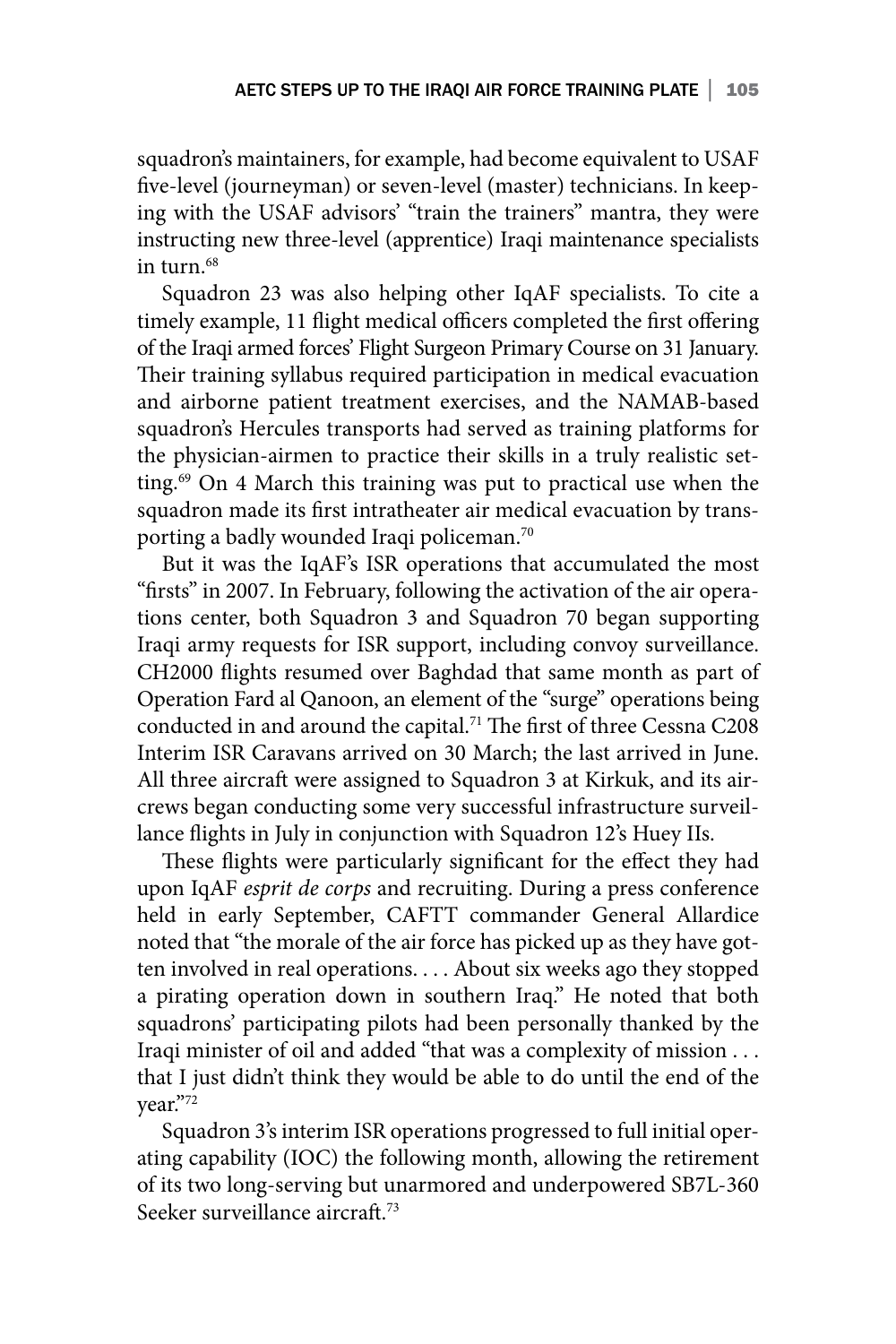squadron's maintainers, for example, had become equivalent to USAF five-level (journeyman) or seven-level (master) technicians. In keeping with the USAF advisors' "train the trainers" mantra, they were instructing new three-level (apprentice) Iraqi maintenance specialists in turn  $68$ 

Squadron 23 was also helping other IqAF specialists. To cite a timely example, 11 flight medical officers completed the first offering of the Iraqi armed forces' Flight Surgeon Primary Course on 31 January. Their training syllabus required participation in medical evacuation and airborne patient treatment exercises, and the NAMAB-based squadron's Hercules transports had served as training platforms for the physician-airmen to practice their skills in a truly realistic setting.<sup>69</sup> On 4 March this training was put to practical use when the squadron made its first intratheater air medical evacuation by transporting a badly wounded Iraqi policeman.<sup>70</sup>

But it was the IqAF's ISR operations that accumulated the most "firsts" in 2007. In February, following the activation of the air operations center, both Squadron 3 and Squadron 70 began supporting Iraqi army requests for ISR support, including convoy surveillance. CH2000 flights resumed over Baghdad that same month as part of Operation Fard al Qanoon, an element of the "surge" operations being conducted in and around the capital.<sup>71</sup> The first of three Cessna C208 Interim ISR Caravans arrived on 30 March; the last arrived in June. All three aircraft were assigned to Squadron 3 at Kirkuk, and its aircrews began conducting some very successful infrastructure surveillance flights in July in conjunction with Squadron 12's Huey IIs.

These flights were particularly significant for the effect they had upon IqAF *esprit de corps* and recruiting. During a press conference held in early September, CAFTT commander General Allardice noted that "the morale of the air force has picked up as they have gotten involved in real operations. . . . About six weeks ago they stopped a pirating operation down in southern Iraq." He noted that both squadrons' participating pilots had been personally thanked by the Iraqi minister of oil and added "that was a complexity of mission . . . that I just didn't think they would be able to do until the end of the year."72

Squadron 3's interim ISR operations progressed to full initial operating capability (IOC) the following month, allowing the retirement of its two long-serving but unarmored and underpowered SB7L-360 Seeker surveillance aircraft<sup>73</sup>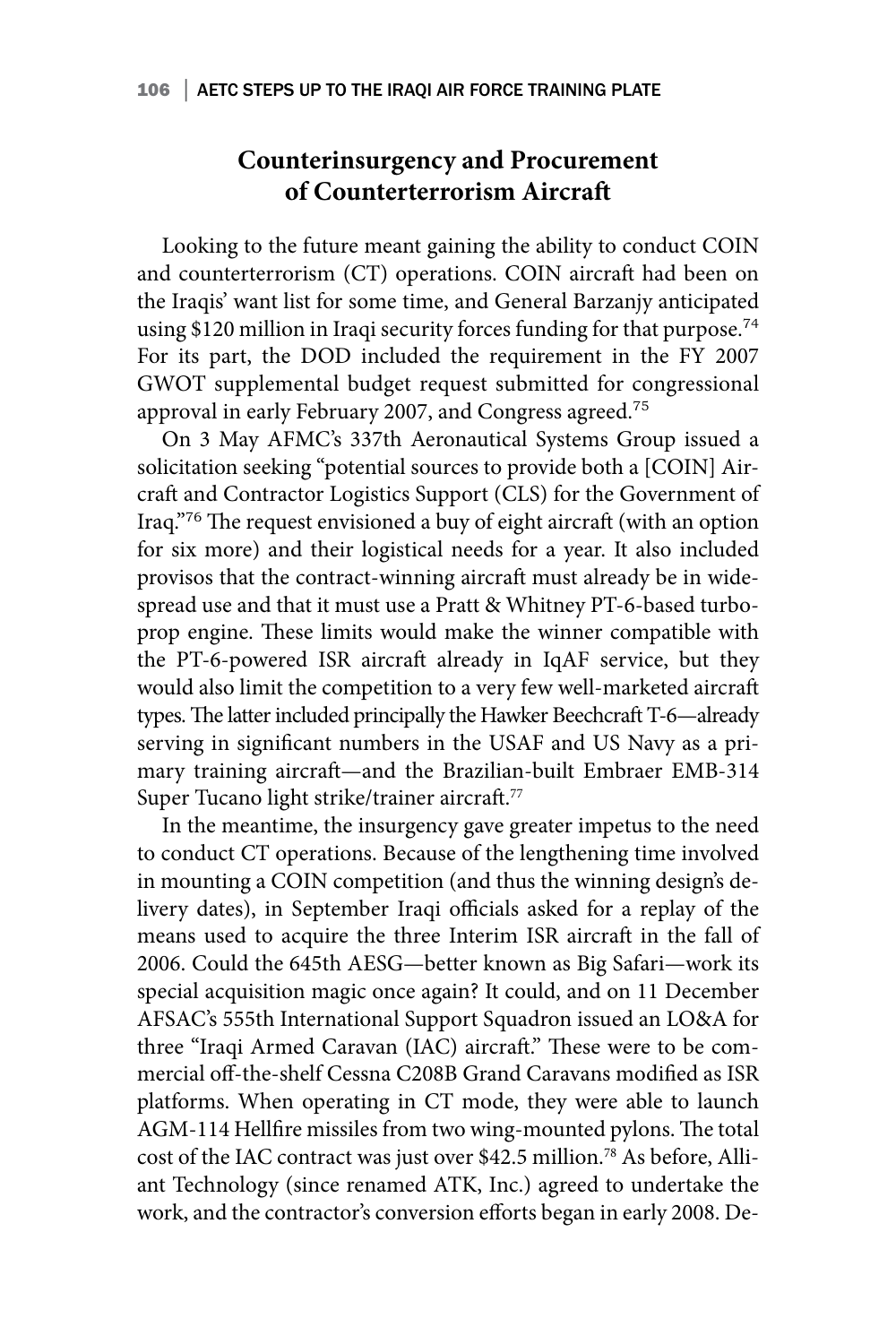## **Counterinsurgency and Procurement of Counterterrorism Aircraft**

Looking to the future meant gaining the ability to conduct COIN and counterterrorism (CT) operations. COIN aircraft had been on the Iraqis' want list for some time, and General Barzanjy anticipated using \$120 million in Iraqi security forces funding for that purpose.<sup>74</sup> For its part, the DOD included the requirement in the FY 2007 GWOT supplemental budget request submitted for congressional approval in early February 2007, and Congress agreed.<sup>75</sup>

On 3 May AFMC's 337th Aeronautical Systems Group issued a solicitation seeking "potential sources to provide both a [COIN] Aircraft and Contractor Logistics Support (CLS) for the Government of Iraq."<sup>76</sup> The request envisioned a buy of eight aircraft (with an option for six more) and their logistical needs for a year. It also included provisos that the contract-winning aircraft must already be in widespread use and that it must use a Pratt & Whitney PT-6-based turboprop engine. These limits would make the winner compatible with the PT-6-powered ISR aircraft already in IqAF service, but they would also limit the competition to a very few well-marketed aircraft types. The latter included principally the Hawker Beechcraft T-6—already serving in significant numbers in the USAF and US Navy as a primary training aircraft—and the Brazilian-built Embraer EMB-314 Super Tucano light strike/trainer aircraft.<sup>77</sup>

In the meantime, the insurgency gave greater impetus to the need to conduct CT operations. Because of the lengthening time involved in mounting a COIN competition (and thus the winning design's delivery dates), in September Iraqi officials asked for a replay of the means used to acquire the three Interim ISR aircraft in the fall of 2006. Could the 645th AESG—better known as Big Safari—work its special acquisition magic once again? It could, and on 11 December AFSAC's 555th International Support Squadron issued an LO&A for three "Iraqi Armed Caravan (IAC) aircraft." These were to be commercial off-the-shelf Cessna C208B Grand Caravans modified as ISR platforms. When operating in CT mode, they were able to launch AGM-114 Hellfire missiles from two wing-mounted pylons. The total cost of the IAC contract was just over \$42.5 million.78 As before, Alliant Technology (since renamed ATK, Inc.) agreed to undertake the work, and the contractor's conversion efforts began in early 2008. De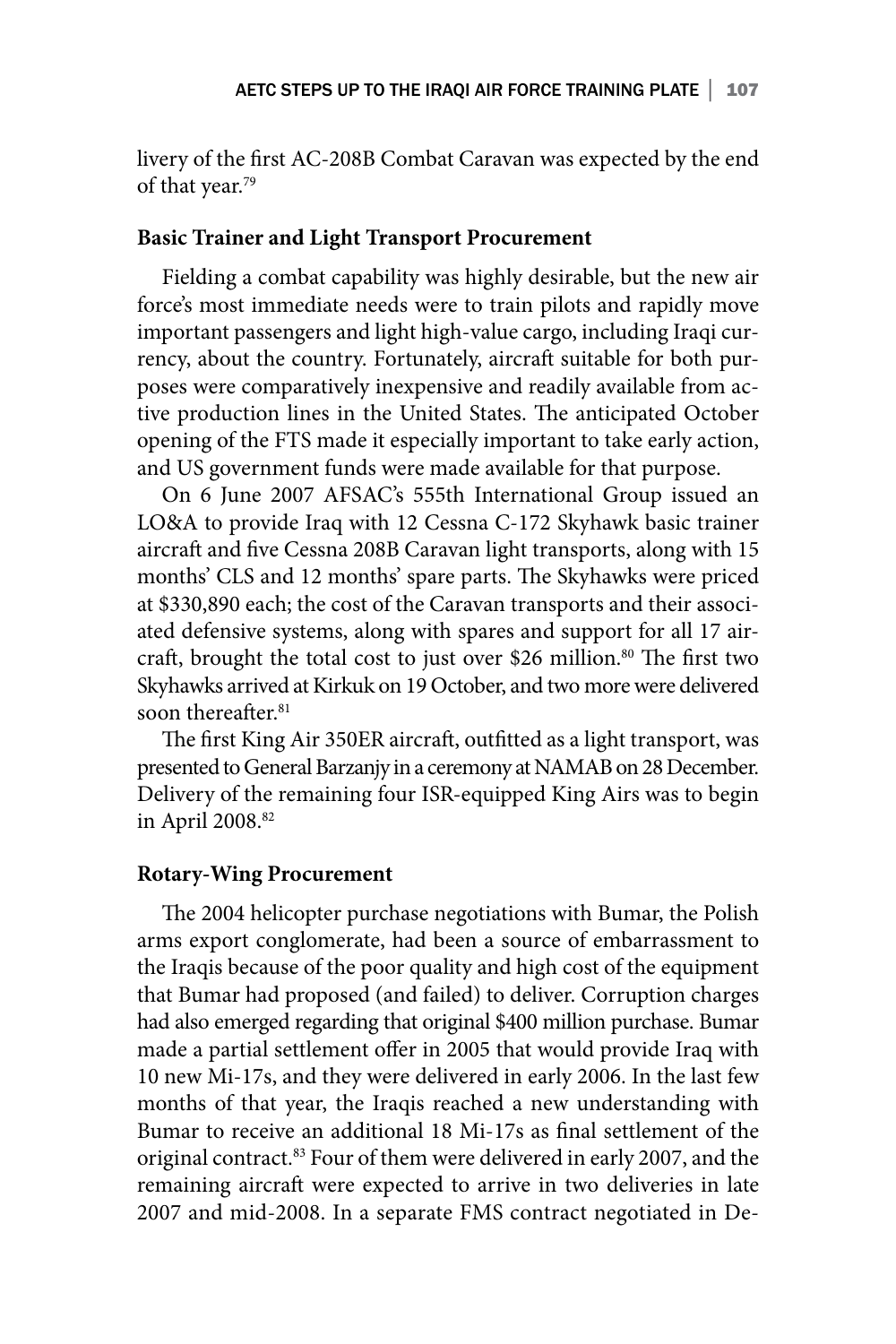livery of the first AC-208B Combat Caravan was expected by the end of that year.79

### **Basic Trainer and Light Transport Procurement**

Fielding a combat capability was highly desirable, but the new air force's most immediate needs were to train pilots and rapidly move important passengers and light high-value cargo, including Iraqi currency, about the country. Fortunately, aircraft suitable for both purposes were comparatively inexpensive and readily available from active production lines in the United States. The anticipated October opening of the FTS made it especially important to take early action, and US government funds were made available for that purpose.

On 6 June 2007 AFSAC's 555th International Group issued an LO&A to provide Iraq with 12 Cessna C-172 Skyhawk basic trainer aircraft and five Cessna 208B Caravan light transports, along with 15 months' CLS and 12 months' spare parts. The Skyhawks were priced at \$330,890 each; the cost of the Caravan transports and their associated defensive systems, along with spares and support for all 17 aircraft, brought the total cost to just over \$26 million.<sup>80</sup> The first two Skyhawks arrived at Kirkuk on 19 October, and two more were delivered soon thereafter.<sup>81</sup>

The first King Air 350ER aircraft, outfitted as a light transport, was presented to General Barzanjy in a ceremony at NAMAB on 28 December. Delivery of the remaining four ISR-equipped King Airs was to begin in April 2008.82

### **Rotary-Wing Procurement**

The 2004 helicopter purchase negotiations with Bumar, the Polish arms export conglomerate, had been a source of embarrassment to the Iraqis because of the poor quality and high cost of the equipment that Bumar had proposed (and failed) to deliver. Corruption charges had also emerged regarding that original \$400 million purchase. Bumar made a partial settlement offer in 2005 that would provide Iraq with 10 new Mi-17s, and they were delivered in early 2006. In the last few months of that year, the Iraqis reached a new understanding with Bumar to receive an additional 18 Mi-17s as final settlement of the original contract.<sup>83</sup> Four of them were delivered in early 2007, and the remaining aircraft were expected to arrive in two deliveries in late 2007 and mid-2008. In a separate FMS contract negotiated in De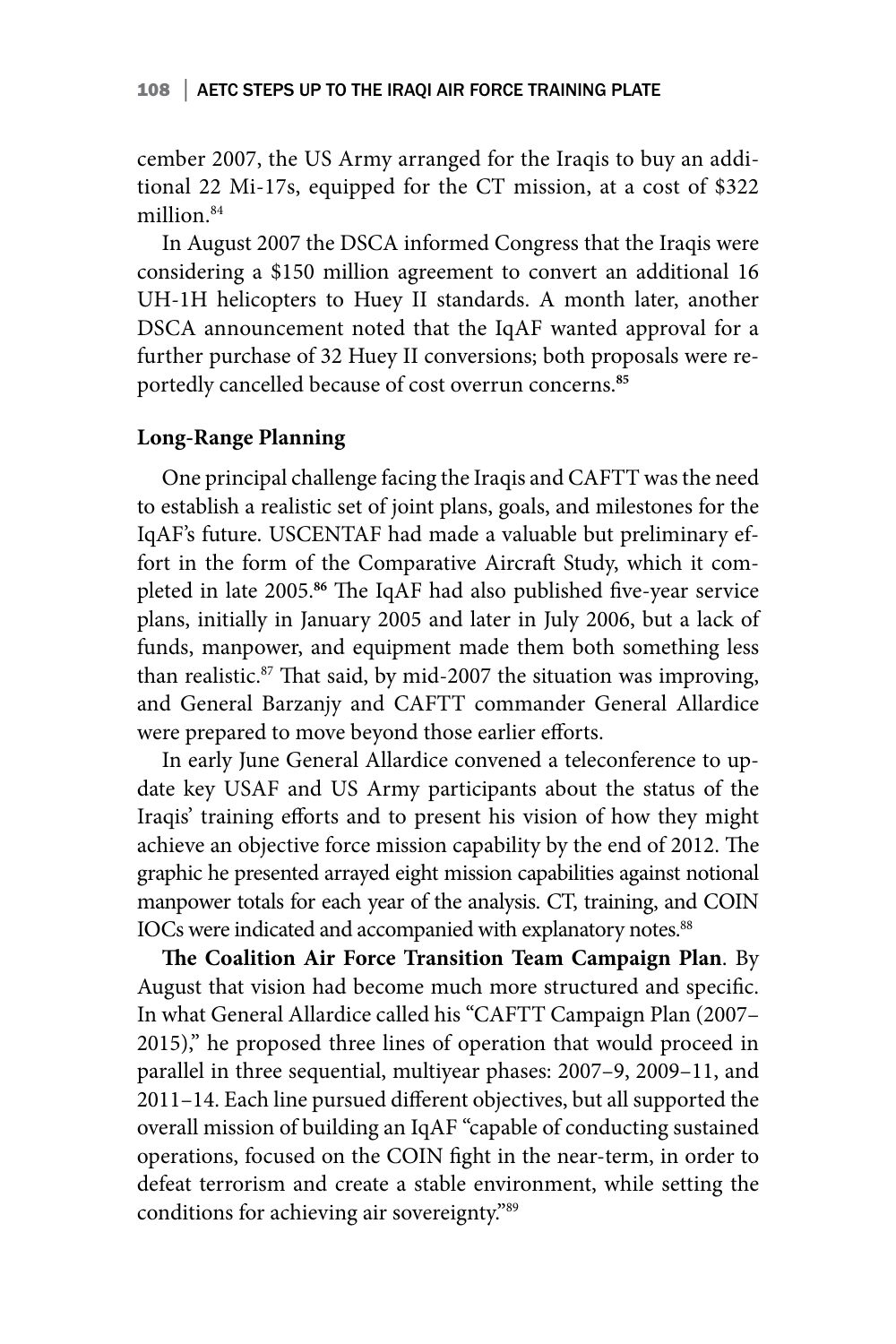cember 2007, the US Army arranged for the Iraqis to buy an additional 22 Mi-17s, equipped for the CT mission, at a cost of \$322 million.<sup>84</sup>

In August 2007 the DSCA informed Congress that the Iraqis were considering a \$150 million agreement to convert an additional 16 UH-1H helicopters to Huey II standards. A month later, another DSCA announcement noted that the IqAF wanted approval for a further purchase of 32 Huey II conversions; both proposals were reportedly cancelled because of cost overrun concerns.**<sup>85</sup>**

### **Long-Range Planning**

One principal challenge facing the Iraqis and CAFTT was the need to establish a realistic set of joint plans, goals, and milestones for the IqAF's future. USCENTAF had made a valuable but preliminary effort in the form of the Comparative Aircraft Study, which it completed in late 2005.**<sup>86</sup>** The IqAF had also published five-year service plans, initially in January 2005 and later in July 2006, but a lack of funds, manpower, and equipment made them both something less than realistic.<sup>87</sup> That said, by mid-2007 the situation was improving, and General Barzanjy and CAFTT commander General Allardice were prepared to move beyond those earlier efforts.

In early June General Allardice convened a teleconference to update key USAF and US Army participants about the status of the Iraqis' training efforts and to present his vision of how they might achieve an objective force mission capability by the end of 2012. The graphic he presented arrayed eight mission capabilities against notional manpower totals for each year of the analysis. CT, training, and COIN IOCs were indicated and accompanied with explanatory notes.<sup>88</sup>

**The Coalition Air Force Transition Team Campaign Plan**. By August that vision had become much more structured and specific. In what General Allardice called his "CAFTT Campaign Plan (2007– 2015)," he proposed three lines of operation that would proceed in parallel in three sequential, multiyear phases: 2007–9, 2009–11, and 2011–14. Each line pursued different objectives, but all supported the overall mission of building an IqAF "capable of conducting sustained operations, focused on the COIN fight in the near-term, in order to defeat terrorism and create a stable environment, while setting the conditions for achieving air sovereignty."89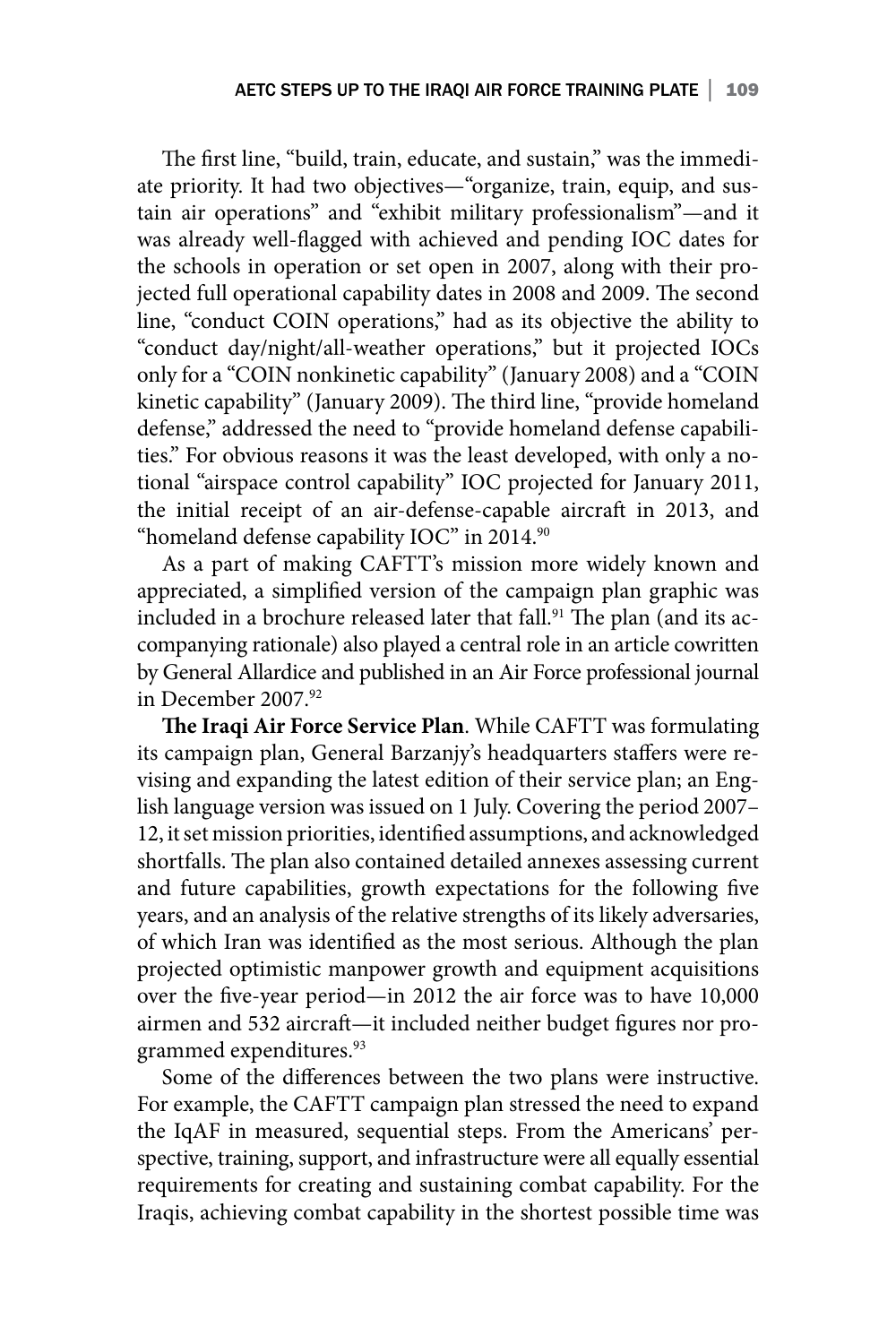The first line, "build, train, educate, and sustain," was the immediate priority. It had two objectives—"organize, train, equip, and sustain air operations" and "exhibit military professionalism"—and it was already well-flagged with achieved and pending IOC dates for the schools in operation or set open in 2007, along with their projected full operational capability dates in 2008 and 2009. The second line, "conduct COIN operations," had as its objective the ability to "conduct day/night/all-weather operations," but it projected IOCs only for a "COIN nonkinetic capability" (January 2008) and a "COIN kinetic capability" (January 2009). The third line, "provide homeland defense," addressed the need to "provide homeland defense capabilities." For obvious reasons it was the least developed, with only a notional "airspace control capability" IOC projected for January 2011, the initial receipt of an air-defense-capable aircraft in 2013, and "homeland defense capability IOC" in 2014.<sup>90</sup>

As a part of making CAFTT's mission more widely known and appreciated, a simplified version of the campaign plan graphic was included in a brochure released later that fall.<sup>91</sup> The plan (and its accompanying rationale) also played a central role in an article cowritten by General Allardice and published in an Air Force professional journal in December 2007.92

**The Iraqi Air Force Service Plan**. While CAFTT was formulating its campaign plan, General Barzanjy's headquarters staffers were revising and expanding the latest edition of their service plan; an English language version was issued on 1 July. Covering the period 2007– 12, it set mission priorities, identified assumptions, and acknowledged shortfalls. The plan also contained detailed annexes assessing current and future capabilities, growth expectations for the following five years, and an analysis of the relative strengths of its likely adversaries, of which Iran was identified as the most serious. Although the plan projected optimistic manpower growth and equipment acquisitions over the five-year period—in 2012 the air force was to have 10,000 airmen and 532 aircraft—it included neither budget figures nor programmed expenditures.<sup>93</sup>

Some of the differences between the two plans were instructive. For example, the CAFTT campaign plan stressed the need to expand the IqAF in measured, sequential steps. From the Americans' perspective, training, support, and infrastructure were all equally essential requirements for creating and sustaining combat capability. For the Iraqis, achieving combat capability in the shortest possible time was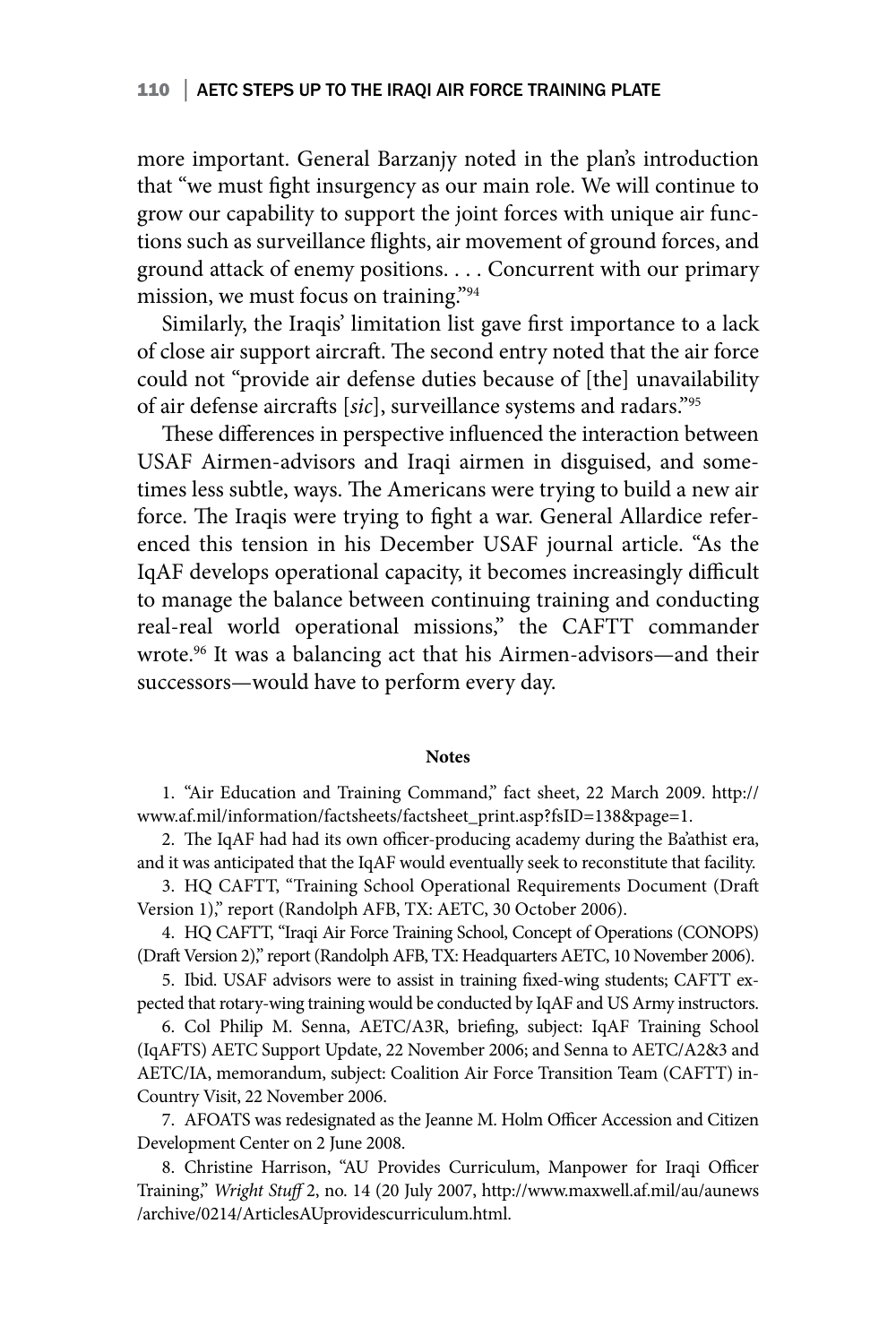more important. General Barzanjy noted in the plan's introduction that "we must fight insurgency as our main role. We will continue to grow our capability to support the joint forces with unique air functions such as surveillance flights, air movement of ground forces, and ground attack of enemy positions. . . . Concurrent with our primary mission, we must focus on training."94

Similarly, the Iraqis' limitation list gave first importance to a lack of close air support aircraft. The second entry noted that the air force could not "provide air defense duties because of [the] unavailability of air defense aircrafts [*sic*], surveillance systems and radars."95

These differences in perspective influenced the interaction between USAF Airmen-advisors and Iraqi airmen in disguised, and sometimes less subtle, ways. The Americans were trying to build a new air force. The Iraqis were trying to fight a war. General Allardice referenced this tension in his December USAF journal article. "As the IqAF develops operational capacity, it becomes increasingly difficult to manage the balance between continuing training and conducting real-real world operational missions," the CAFTT commander wrote.96 It was a balancing act that his Airmen-advisors—and their successors—would have to perform every day.

#### **Notes**

1. "Air Education and Training Command," fact sheet, 22 March 2009. http:// www.af.mil/information/factsheets/factsheet\_print.asp?fsID=138&page=1.

2. The IqAF had had its own officer-producing academy during the Ba'athist era, and it was anticipated that the IqAF would eventually seek to reconstitute that facility.

3. HQ CAFTT, "Training School Operational Requirements Document (Draft Version 1)," report (Randolph AFB, TX: AETC, 30 October 2006).

4. HQ CAFTT, "Iraqi Air Force Training School, Concept of Operations (CONOPS) (Draft Version 2)," report (Randolph AFB, TX: Headquarters AETC, 10 November 2006).

5. Ibid. USAF advisors were to assist in training fixed-wing students; CAFTT expected that rotary-wing training would be conducted by IqAF and US Army instructors.

6. Col Philip M. Senna, AETC/A3R, briefing, subject: IqAF Training School (IqAFTS) AETC Support Update, 22 November 2006; and Senna to AETC/A2&3 and AETC/IA, memorandum, subject: Coalition Air Force Transition Team (CAFTT) in-Country Visit, 22 November 2006.

7. AFOATS was redesignated as the Jeanne M. Holm Officer Accession and Citizen Development Center on 2 June 2008.

8. Christine Harrison, "AU Provides Curriculum, Manpower for Iraqi Officer Training," *Wright Stuff* 2, no. 14 (20 July 2007, http://www.maxwell.af.mil/au/aunews /archive/0214/ArticlesAUprovidescurriculum.html.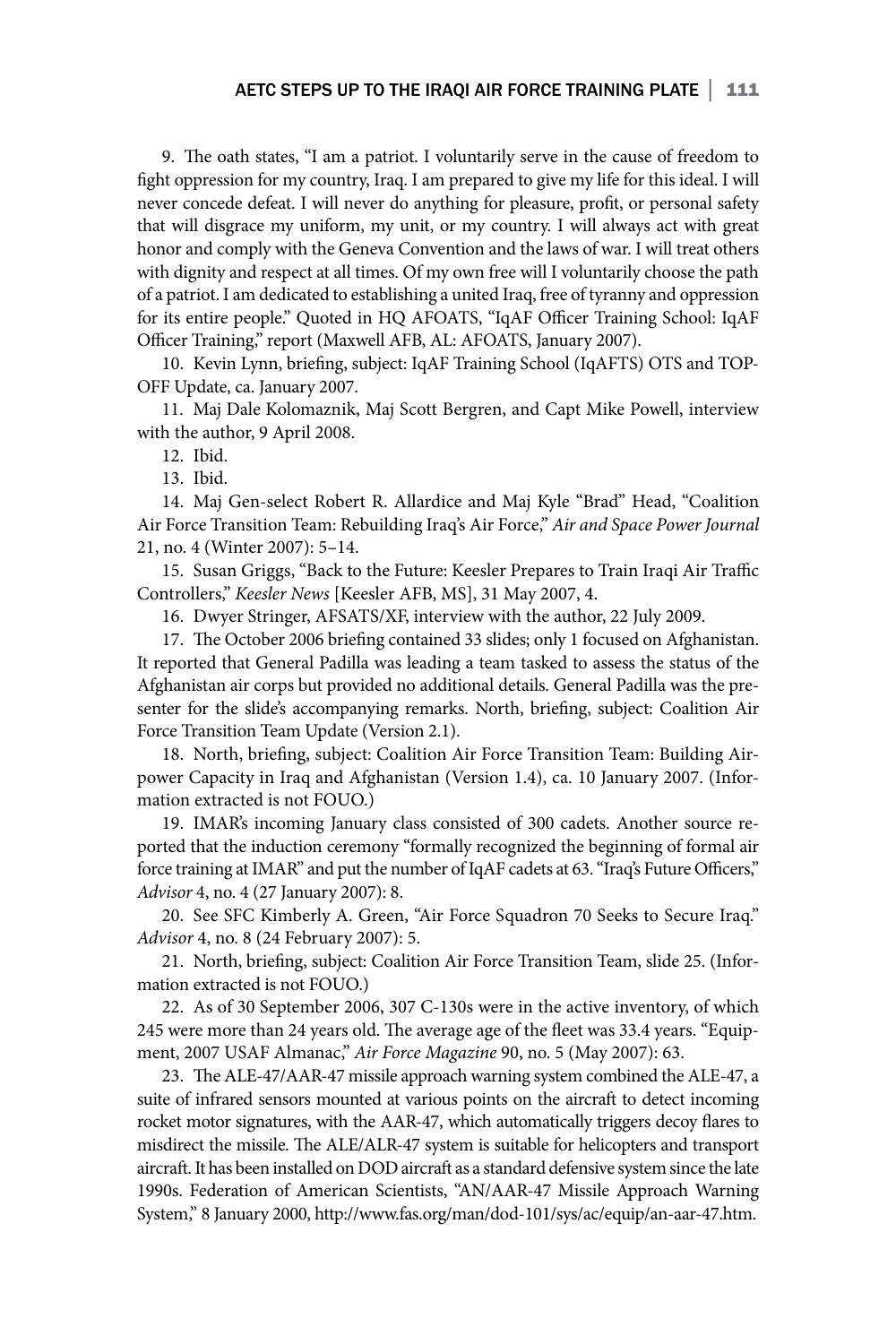9. The oath states, "I am a patriot. I voluntarily serve in the cause of freedom to fight oppression for my country, Iraq. I am prepared to give my life for this ideal. I will never concede defeat. I will never do anything for pleasure, profit, or personal safety that will disgrace my uniform, my unit, or my country. I will always act with great honor and comply with the Geneva Convention and the laws of war. I will treat others with dignity and respect at all times. Of my own free will I voluntarily choose the path of a patriot. I am dedicated to establishing a united Iraq, free of tyranny and oppression for its entire people." Quoted in HQ AFOATS, "IqAF Officer Training School: IqAF Officer Training," report (Maxwell AFB, AL: AFOATS, January 2007).

10. Kevin Lynn, briefing, subject: IqAF Training School (IqAFTS) OTS and TOP-OFF Update, ca. January 2007.

11. Maj Dale Kolomaznik, Maj Scott Bergren, and Capt Mike Powell, interview with the author, 9 April 2008.

12. Ibid.

13. Ibid.

14. Maj Gen-select Robert R. Allardice and Maj Kyle "Brad" Head, "Coalition Air Force Transition Team: Rebuilding Iraq's Air Force," *Air and Space Power Journal* 21, no. 4 (Winter 2007): 5–14.

15. Susan Griggs, "Back to the Future: Keesler Prepares to Train Iraqi Air Traffic Controllers," *Keesler News* [Keesler AFB, MS], 31 May 2007, 4.

16. Dwyer Stringer, AFSATS/XF, interview with the author, 22 July 2009.

17. The October 2006 briefing contained 33 slides; only 1 focused on Afghanistan. It reported that General Padilla was leading a team tasked to assess the status of the Afghanistan air corps but provided no additional details. General Padilla was the presenter for the slide's accompanying remarks. North, briefing, subject: Coalition Air Force Transition Team Update (Version 2.1).

18. North, briefing, subject: Coalition Air Force Transition Team: Building Airpower Capacity in Iraq and Afghanistan (Version 1.4), ca. 10 January 2007. (Information extracted is not FOUO.)

19. IMAR's incoming January class consisted of 300 cadets. Another source reported that the induction ceremony "formally recognized the beginning of formal air force training at IMAR" and put the number of IqAF cadets at 63. "Iraq's Future Officers," *Advisor* 4, no. 4 (27 January 2007): 8.

20. See SFC Kimberly A. Green, "Air Force Squadron 70 Seeks to Secure Iraq." *Advisor* 4, no. 8 (24 February 2007): 5.

21. North, briefing, subject: Coalition Air Force Transition Team, slide 25. (Information extracted is not FOUO.)

22. As of 30 September 2006, 307 C-130s were in the active inventory, of which 245 were more than 24 years old. The average age of the fleet was 33.4 years. "Equipment, 2007 USAF Almanac," *Air Force Magazine* 90, no. 5 (May 2007): 63.

23. The ALE-47/AAR-47 missile approach warning system combined the ALE-47, a suite of infrared sensors mounted at various points on the aircraft to detect incoming rocket motor signatures, with the AAR-47, which automatically triggers decoy flares to misdirect the missile. The ALE/ALR-47 system is suitable for helicopters and transport aircraft. It has been installed on DOD aircraft as a standard defensive system since the late 1990s. Federation of American Scientists, "AN/AAR-47 Missile Approach Warning System," 8 January 2000, http://www.fas.org/man/dod-101/sys/ac/equip/an-aar-47.htm.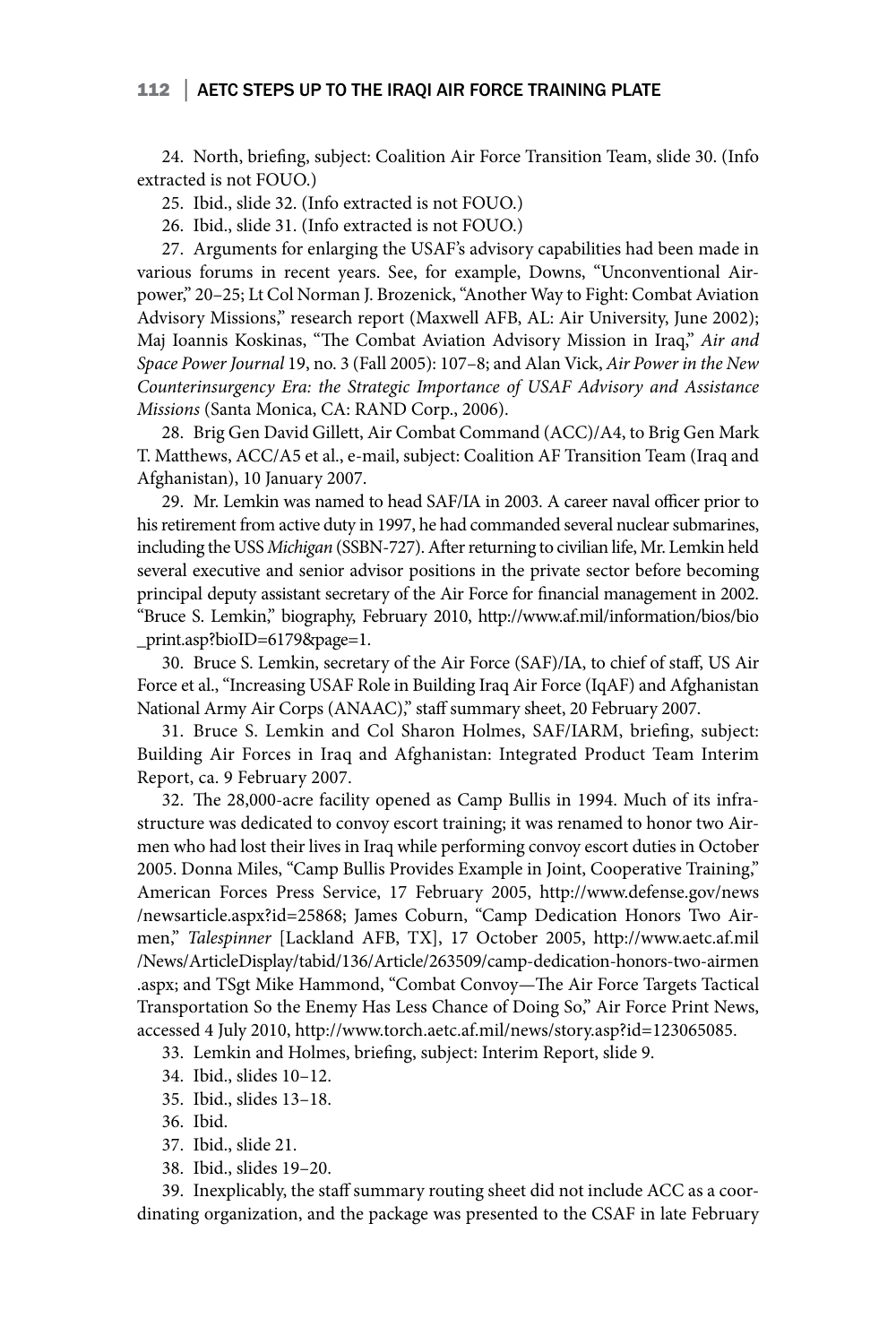#### 112 | AETC STEPS UP TO THE IRAQI AIR FORCE TRAINING PLATE

24. North, briefing, subject: Coalition Air Force Transition Team, slide 30. (Info extracted is not FOUO.)

25. Ibid., slide 32. (Info extracted is not FOUO.)

26. Ibid., slide 31. (Info extracted is not FOUO.)

27. Arguments for enlarging the USAF's advisory capabilities had been made in various forums in recent years. See, for example, Downs, "Unconventional Airpower," 20–25; Lt Col Norman J. Brozenick, "Another Way to Fight: Combat Aviation Advisory Missions," research report (Maxwell AFB, AL: Air University, June 2002); Maj Ioannis Koskinas, "The Combat Aviation Advisory Mission in Iraq," *Air and Space Power Journal* 19, no. 3 (Fall 2005): 107–8; and Alan Vick, *Air Power in the New Counterinsurgency Era: the Strategic Importance of USAF Advisory and Assistance Missions* (Santa Monica, CA: RAND Corp., 2006).

28. Brig Gen David Gillett, Air Combat Command (ACC)/A4, to Brig Gen Mark T. Matthews, ACC/A5 et al., e-mail, subject: Coalition AF Transition Team (Iraq and Afghanistan), 10 January 2007.

29. Mr. Lemkin was named to head SAF/IA in 2003. A career naval officer prior to his retirement from active duty in 1997, he had commanded several nuclear submarines, including the USS *Michigan* (SSBN-727). After returning to civilian life, Mr. Lemkin held several executive and senior advisor positions in the private sector before becoming principal deputy assistant secretary of the Air Force for financial management in 2002. "Bruce S. Lemkin," biography, February 2010, http://www.af.mil/information/bios/bio \_print.asp?bioID=6179&page=1.

30. Bruce S. Lemkin, secretary of the Air Force (SAF)/IA, to chief of staff, US Air Force et al., "Increasing USAF Role in Building Iraq Air Force (IqAF) and Afghanistan National Army Air Corps (ANAAC)," staff summary sheet, 20 February 2007.

31. Bruce S. Lemkin and Col Sharon Holmes, SAF/IARM, briefing, subject: Building Air Forces in Iraq and Afghanistan: Integrated Product Team Interim Report, ca. 9 February 2007.

32. The 28,000-acre facility opened as Camp Bullis in 1994. Much of its infrastructure was dedicated to convoy escort training; it was renamed to honor two Airmen who had lost their lives in Iraq while performing convoy escort duties in October 2005. Donna Miles, "Camp Bullis Provides Example in Joint, Cooperative Training," American Forces Press Service, 17 February 2005, http://www.defense.gov/news /newsarticle.aspx?id=25868; James Coburn, "Camp Dedication Honors Two Airmen," *Talespinner* [Lackland AFB, TX], 17 October 2005, http://www.aetc.af.mil /News/ArticleDisplay/tabid/136/Article/263509/camp-dedication-honors-two-airmen .aspx; and TSgt Mike Hammond, "Combat Convoy—The Air Force Targets Tactical Transportation So the Enemy Has Less Chance of Doing So," Air Force Print News, accessed 4 July 2010, http://www.torch.aetc.af.mil/news/story.asp?id=123065085.

33. Lemkin and Holmes, briefing, subject: Interim Report, slide 9.

- 34. Ibid., slides 10–12.
- 35. Ibid., slides 13–18.
- 36. Ibid.
- 37. Ibid., slide 21.
- 38. Ibid., slides 19–20.

39. Inexplicably, the staff summary routing sheet did not include ACC as a coordinating organization, and the package was presented to the CSAF in late February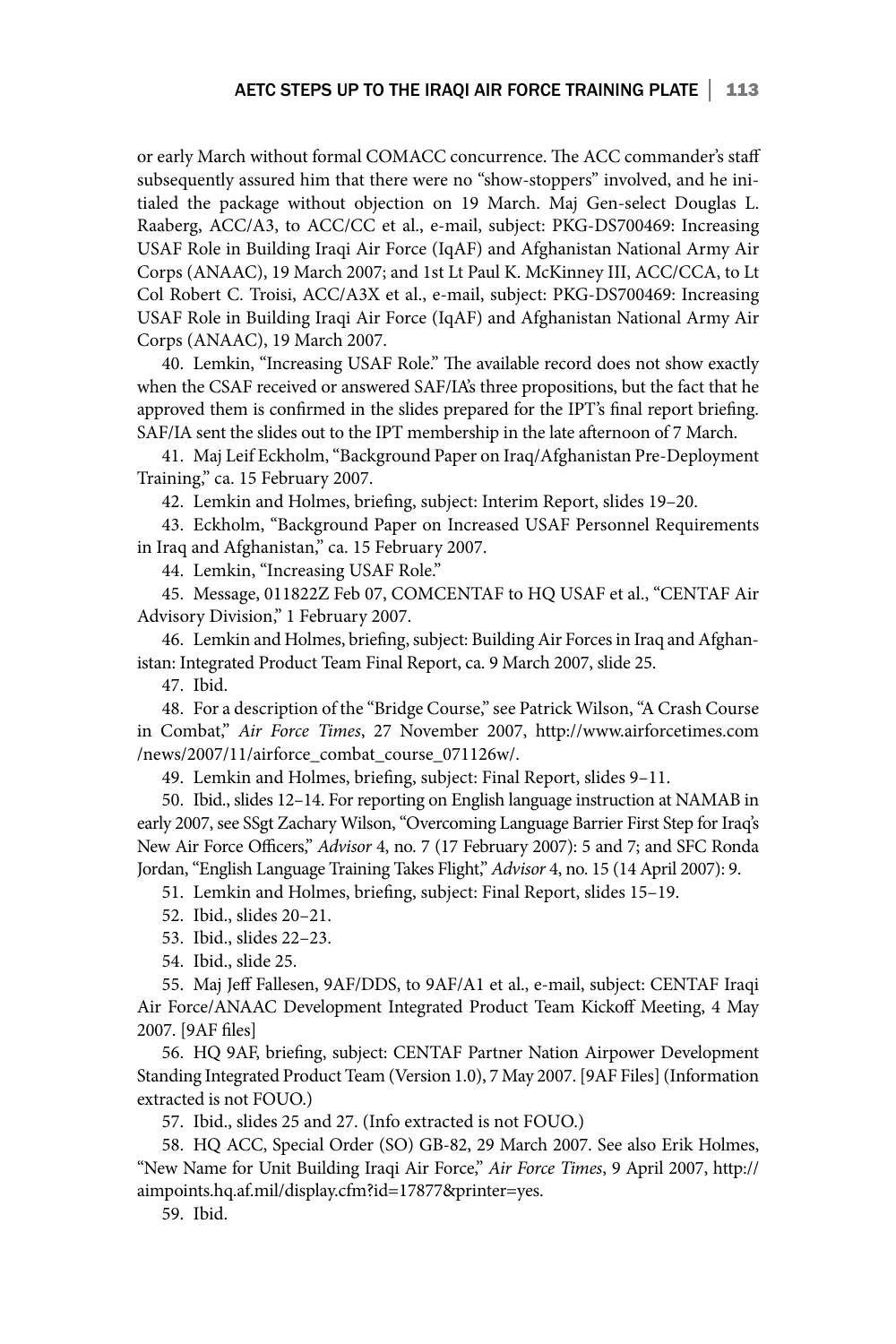or early March without formal COMACC concurrence. The ACC commander's staff subsequently assured him that there were no "show-stoppers" involved, and he initialed the package without objection on 19 March. Maj Gen-select Douglas L. Raaberg, ACC/A3, to ACC/CC et al., e-mail, subject: PKG-DS700469: Increasing USAF Role in Building Iraqi Air Force (IqAF) and Afghanistan National Army Air Corps (ANAAC), 19 March 2007; and 1st Lt Paul K. McKinney III, ACC/CCA, to Lt Col Robert C. Troisi, ACC/A3X et al., e-mail, subject: PKG-DS700469: Increasing USAF Role in Building Iraqi Air Force (IqAF) and Afghanistan National Army Air Corps (ANAAC), 19 March 2007.

40. Lemkin, "Increasing USAF Role." The available record does not show exactly when the CSAF received or answered SAF/IA's three propositions, but the fact that he approved them is confirmed in the slides prepared for the IPT's final report briefing. SAF/IA sent the slides out to the IPT membership in the late afternoon of 7 March.

41. Maj Leif Eckholm, "Background Paper on Iraq/Afghanistan Pre-Deployment Training," ca. 15 February 2007.

42. Lemkin and Holmes, briefing, subject: Interim Report, slides 19–20.

43. Eckholm, "Background Paper on Increased USAF Personnel Requirements in Iraq and Afghanistan," ca. 15 February 2007.

44. Lemkin, "Increasing USAF Role."

45. Message, 011822Z Feb 07, COMCENTAF to HQ USAF et al., "CENTAF Air Advisory Division," 1 February 2007.

46. Lemkin and Holmes, briefing, subject: Building Air Forces in Iraq and Afghanistan: Integrated Product Team Final Report, ca. 9 March 2007, slide 25.

47. Ibid.

48. For a description of the "Bridge Course," see Patrick Wilson, "A Crash Course in Combat," *Air Force Times*, 27 November 2007, http://www.airforcetimes.com /news/2007/11/airforce\_combat\_course\_071126w/.

49. Lemkin and Holmes, briefing, subject: Final Report, slides 9–11.

50. Ibid., slides 12–14. For reporting on English language instruction at NAMAB in early 2007, see SSgt Zachary Wilson, "Overcoming Language Barrier First Step for Iraq's New Air Force Officers," *Advisor* 4, no. 7 (17 February 2007): 5 and 7; and SFC Ronda Jordan, "English Language Training Takes Flight," *Advisor* 4, no. 15 (14 April 2007): 9.

51. Lemkin and Holmes, briefing, subject: Final Report, slides 15–19.

52. Ibid., slides 20–21.

- 53. Ibid., slides 22–23.
- 54. Ibid., slide 25.

55. Maj Jeff Fallesen, 9AF/DDS, to 9AF/A1 et al., e-mail, subject: CENTAF Iraqi Air Force/ANAAC Development Integrated Product Team Kickoff Meeting, 4 May 2007. [9AF files]

56. HQ 9AF, briefing, subject: CENTAF Partner Nation Airpower Development Standing Integrated Product Team (Version 1.0), 7 May 2007. [9AF Files] (Information extracted is not FOUO.)

57. Ibid., slides 25 and 27. (Info extracted is not FOUO.)

58. HQ ACC, Special Order (SO) GB-82, 29 March 2007. See also Erik Holmes, "New Name for Unit Building Iraqi Air Force," *Air Force Times*, 9 April 2007, http:// aimpoints.hq.af.mil/display.cfm?id=17877&printer=yes.

59. Ibid.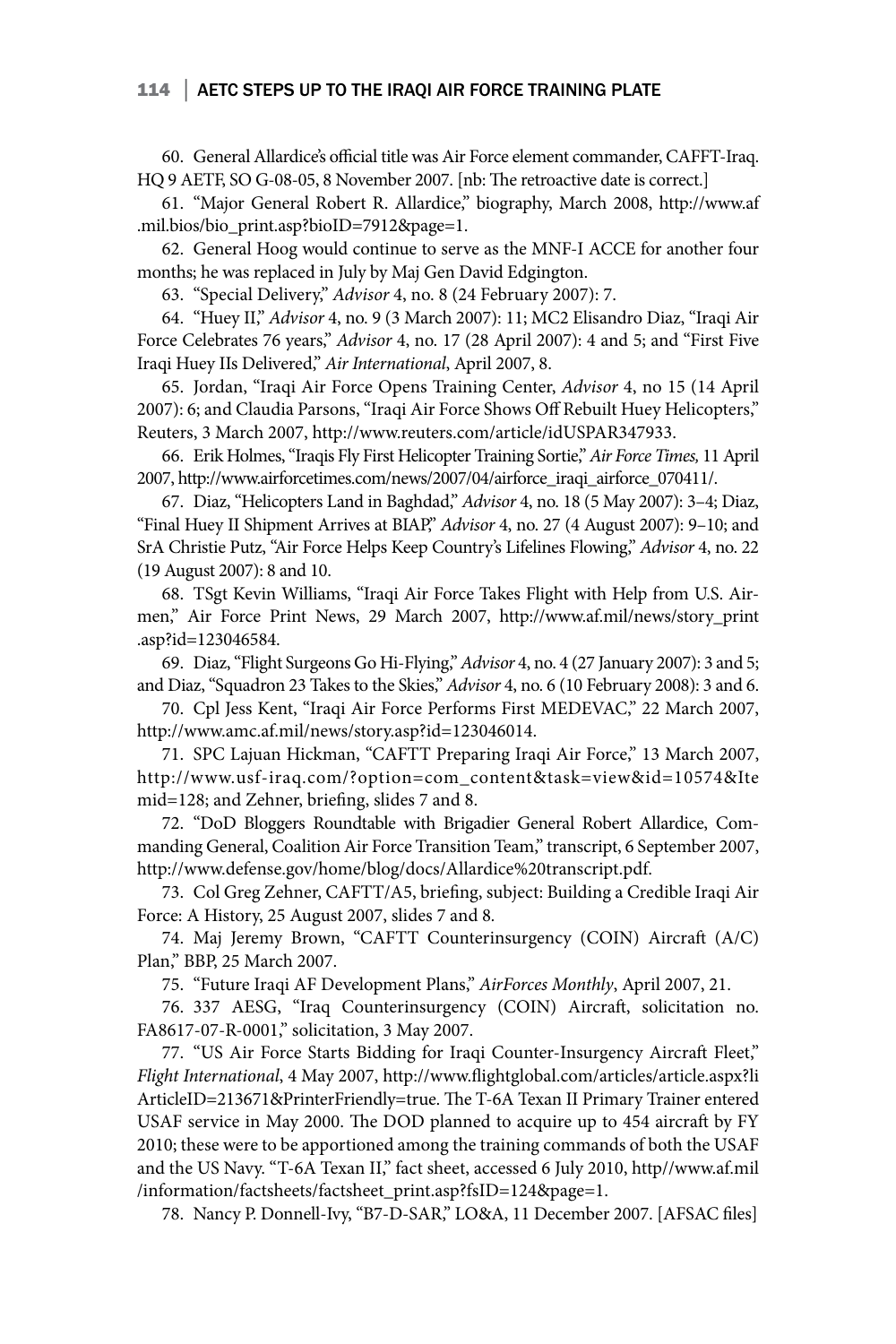#### 114 | AETC STEPS UP TO THE IRAQI AIR FORCE TRAINING PLATE

60. General Allardice's official title was Air Force element commander, CAFFT-Iraq. HQ 9 AETF, SO G-08-05, 8 November 2007. [nb: The retroactive date is correct.]

61. "Major General Robert R. Allardice," biography, March 2008, http://www.af .mil.bios/bio\_print.asp?bioID=7912&page=1.

62. General Hoog would continue to serve as the MNF-I ACCE for another four months; he was replaced in July by Maj Gen David Edgington.

63. "Special Delivery," *Advisor* 4, no. 8 (24 February 2007): 7.

64. "Huey II," *Advisor* 4, no. 9 (3 March 2007): 11; MC2 Elisandro Diaz, "Iraqi Air Force Celebrates 76 years," *Advisor* 4, no. 17 (28 April 2007): 4 and 5; and "First Five Iraqi Huey IIs Delivered," *Air International*, April 2007, 8.

65. Jordan, "Iraqi Air Force Opens Training Center, *Advisor* 4, no 15 (14 April 2007): 6; and Claudia Parsons, "Iraqi Air Force Shows Off Rebuilt Huey Helicopters," Reuters, 3 March 2007, http://www.reuters.com/article/idUSPAR347933.

66. Erik Holmes, "Iraqis Fly First Helicopter Training Sortie," *Air Force Times,* 11 April 2007, http://www.airforcetimes.com/news/2007/04/airforce\_iraqi\_airforce\_070411/.

67. Diaz, "Helicopters Land in Baghdad," *Advisor* 4, no. 18 (5 May 2007): 3–4; Diaz, "Final Huey II Shipment Arrives at BIAP," *Advisor* 4, no. 27 (4 August 2007): 9-10; and SrA Christie Putz, "Air Force Helps Keep Country's Lifelines Flowing," *Advisor* 4, no. 22 (19 August 2007): 8 and 10.

68. TSgt Kevin Williams, "Iraqi Air Force Takes Flight with Help from U.S. Airmen," Air Force Print News, 29 March 2007, http://www.af.mil/news/story\_print .asp?id=123046584.

69. Diaz, "Flight Surgeons Go Hi-Flying," *Advisor* 4, no. 4 (27 January 2007): 3 and 5; and Diaz, "Squadron 23 Takes to the Skies," *Advisor* 4, no. 6 (10 February 2008): 3 and 6.

70. Cpl Jess Kent, "Iraqi Air Force Performs First MEDEVAC," 22 March 2007, http://www.amc.af.mil/news/story.asp?id=123046014.

71. SPC Lajuan Hickman, "CAFTT Preparing Iraqi Air Force," 13 March 2007, http://www.usf-iraq.com/?option=com\_content&task=view&id=10574&Ite mid=128; and Zehner, briefing, slides 7 and 8.

72. "DoD Bloggers Roundtable with Brigadier General Robert Allardice, Commanding General, Coalition Air Force Transition Team," transcript, 6 September 2007, http://www.defense.gov/home/blog/docs/Allardice%20transcript.pdf.

73. Col Greg Zehner, CAFTT/A5, briefing, subject: Building a Credible Iraqi Air Force: A History, 25 August 2007, slides 7 and 8*.*

74. Maj Jeremy Brown, "CAFTT Counterinsurgency (COIN) Aircraft (A/C) Plan," BBP, 25 March 2007.

75. "Future Iraqi AF Development Plans," *AirForces Monthly*, April 2007, 21.

76. 337 AESG, "Iraq Counterinsurgency (COIN) Aircraft, solicitation no. FA8617-07-R-0001," solicitation, 3 May 2007.

77. "US Air Force Starts Bidding for Iraqi Counter-Insurgency Aircraft Fleet," *Flight International*, 4 May 2007, http://www.flightglobal.com/articles/article.aspx?li ArticleID=213671&PrinterFriendly=true. The T-6A Texan II Primary Trainer entered USAF service in May 2000. The DOD planned to acquire up to 454 aircraft by FY 2010; these were to be apportioned among the training commands of both the USAF and the US Navy. "T-6A Texan II," fact sheet, accessed 6 July 2010, http//www.af.mil /information/factsheets/factsheet\_print.asp?fsID=124&page=1.

78. Nancy P. Donnell-Ivy, "B7-D-SAR," LO&A, 11 December 2007. [AFSAC files]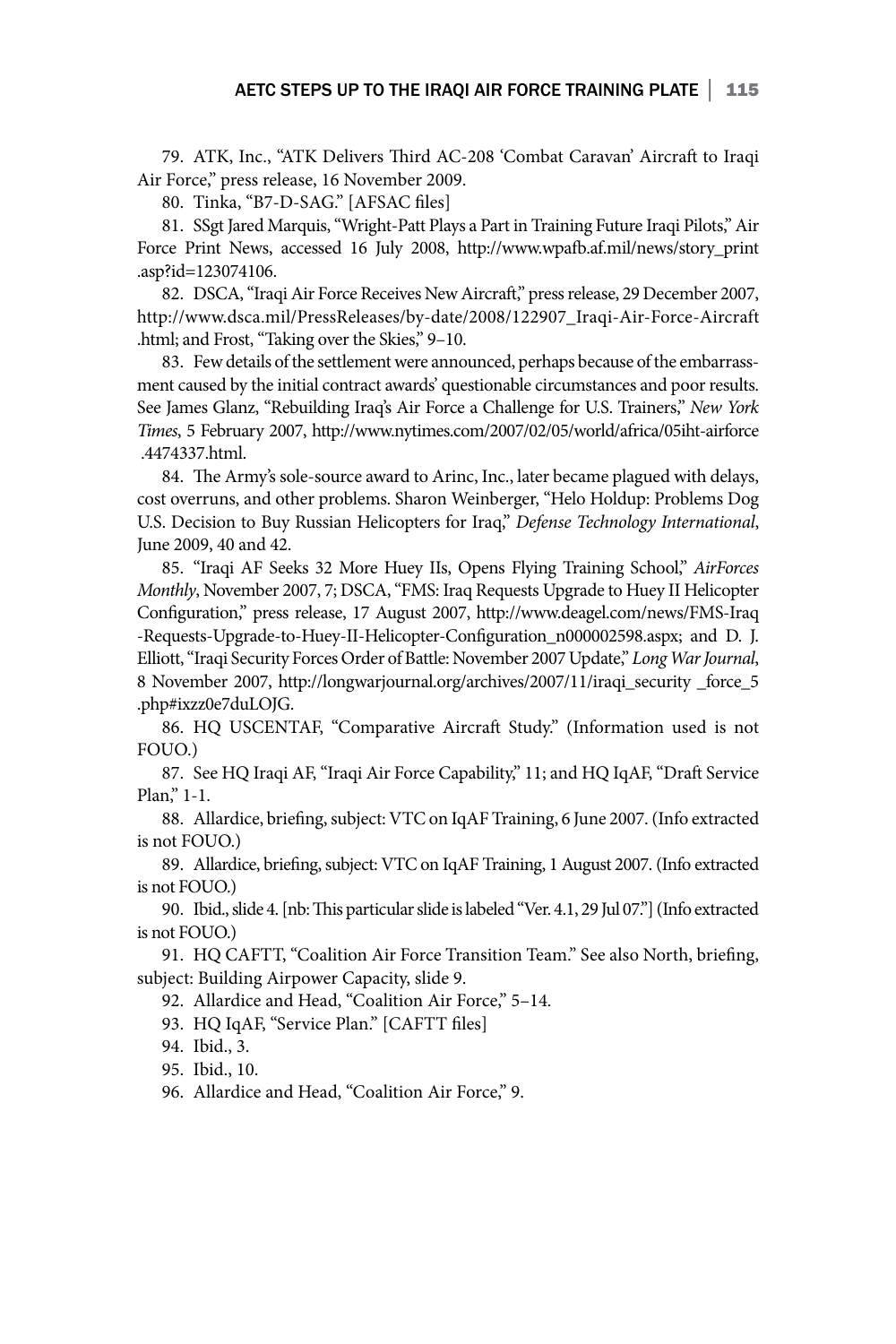79. ATK, Inc., "ATK Delivers Third AC-208 'Combat Caravan' Aircraft to Iraqi Air Force," press release, 16 November 2009.

80. Tinka, "B7-D-SAG." [AFSAC files]

81. SSgt Jared Marquis, "Wright-Patt Plays a Part in Training Future Iraqi Pilots," Air Force Print News, accessed 16 July 2008, http://www.wpafb.af.mil/news/story\_print .asp?id=123074106.

82. DSCA, "Iraqi Air Force Receives New Aircraft," press release, 29 December 2007, http://www.dsca.mil/PressReleases/by-date/2008/122907\_Iraqi-Air-Force-Aircraft .html; and Frost, "Taking over the Skies," 9–10.

83. Few details of the settlement were announced, perhaps because of the embarrassment caused by the initial contract awards' questionable circumstances and poor results. See James Glanz, "Rebuilding Iraq's Air Force a Challenge for U.S. Trainers," *New York Times*, 5 February 2007, http://www.nytimes.com/2007/02/05/world/africa/05iht-airforce .4474337.html.

84. The Army's sole-source award to Arinc, Inc., later became plagued with delays, cost overruns, and other problems. Sharon Weinberger, "Helo Holdup: Problems Dog U.S. Decision to Buy Russian Helicopters for Iraq," *Defense Technology International*, June 2009, 40 and 42.

85. "Iraqi AF Seeks 32 More Huey IIs, Opens Flying Training School," *AirForces Monthly*, November 2007, 7; DSCA, "FMS: Iraq Requests Upgrade to Huey II Helicopter Configuration," press release, 17 August 2007, http://www.deagel.com/news/FMS-Iraq -Requests-Upgrade-to-Huey-II-Helicopter-Configuration\_n000002598.aspx; and D. J. Elliott, "Iraqi Security Forces Order of Battle: November 2007 Update," *Long War Journal*, 8 November 2007, http://longwarjournal.org/archives/2007/11/iraqi\_security \_force\_5 .php#ixzz0e7duLOJG.

86. HQ USCENTAF, "Comparative Aircraft Study." (Information used is not FOUO.)

87. See HQ Iraqi AF, "Iraqi Air Force Capability," 11; and HQ IqAF, "Draft Service Plan," 1-1.

88. Allardice, briefing, subject: VTC on IqAF Training, 6 June 2007. (Info extracted is not FOUO.)

89. Allardice, briefing, subject: VTC on IqAF Training, 1 August 2007. (Info extracted is not FOUO.)

90. Ibid., slide 4. [nb: This particular slide is labeled "Ver. 4.1, 29 Jul 07."] (Info extracted is not FOUO.)

91. HQ CAFTT, "Coalition Air Force Transition Team." See also North, briefing, subject: Building Airpower Capacity, slide 9.

92. Allardice and Head, "Coalition Air Force," 5–14*.*

93. HQ IqAF, "Service Plan." [CAFTT files]

94. Ibid., 3.

95. Ibid., 10.

96. Allardice and Head, "Coalition Air Force," 9.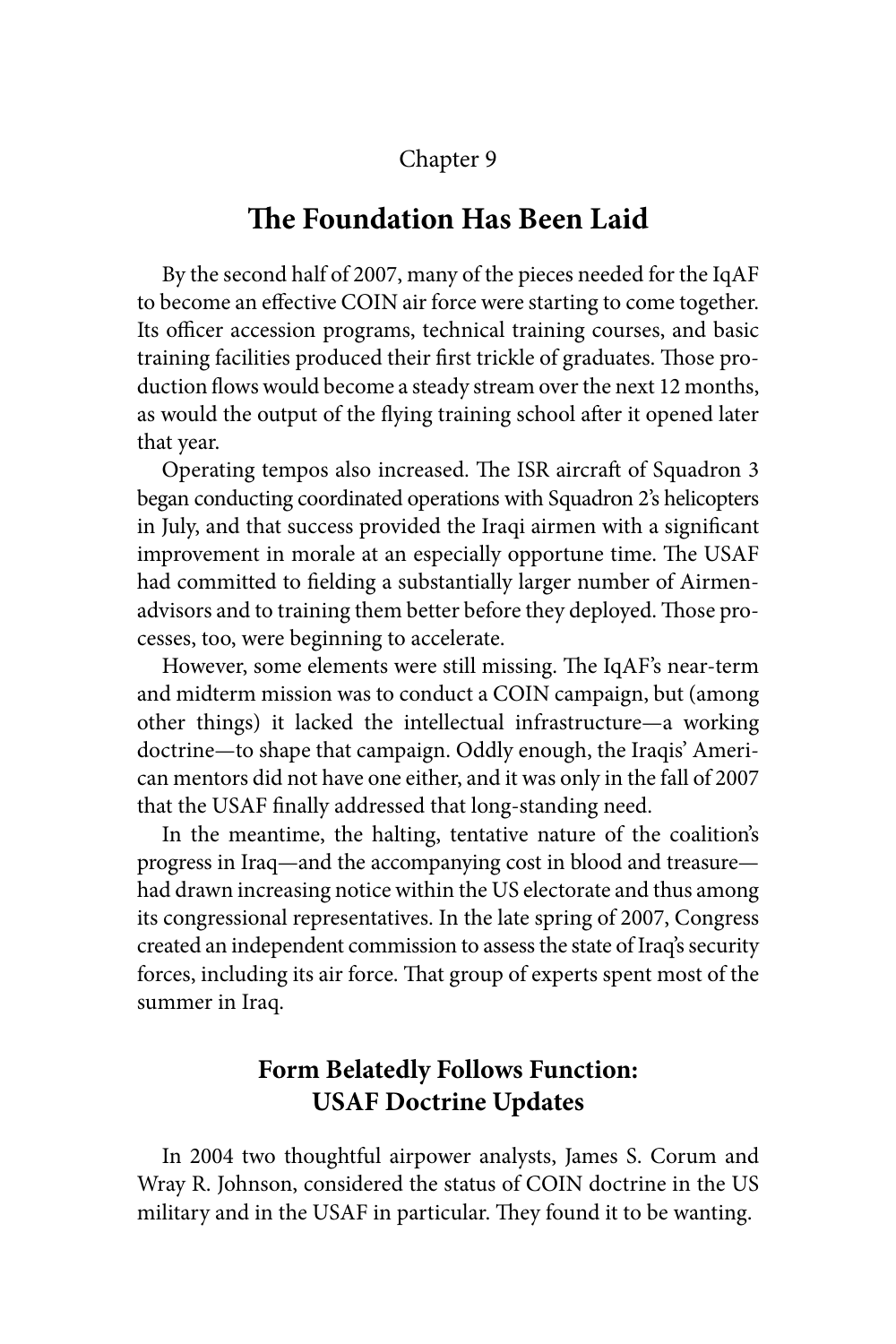### Chapter 9

## **The Foundation Has Been Laid**

By the second half of 2007, many of the pieces needed for the IqAF to become an effective COIN air force were starting to come together. Its officer accession programs, technical training courses, and basic training facilities produced their first trickle of graduates. Those production flows would become a steady stream over the next 12 months, as would the output of the flying training school after it opened later that year.

Operating tempos also increased. The ISR aircraft of Squadron 3 began conducting coordinated operations with Squadron 2's helicopters in July, and that success provided the Iraqi airmen with a significant improvement in morale at an especially opportune time. The USAF had committed to fielding a substantially larger number of Airmenadvisors and to training them better before they deployed. Those processes, too, were beginning to accelerate.

However, some elements were still missing. The IqAF's near-term and midterm mission was to conduct a COIN campaign, but (among other things) it lacked the intellectual infrastructure—a working doctrine—to shape that campaign. Oddly enough, the Iraqis' American mentors did not have one either, and it was only in the fall of 2007 that the USAF finally addressed that long-standing need.

In the meantime, the halting, tentative nature of the coalition's progress in Iraq—and the accompanying cost in blood and treasure had drawn increasing notice within the US electorate and thus among its congressional representatives. In the late spring of 2007, Congress created an independent commission to assess the state of Iraq's security forces, including its air force. That group of experts spent most of the summer in Iraq.

## **Form Belatedly Follows Function: USAF Doctrine Updates**

In 2004 two thoughtful airpower analysts, James S. Corum and Wray R. Johnson, considered the status of COIN doctrine in the US military and in the USAF in particular. They found it to be wanting.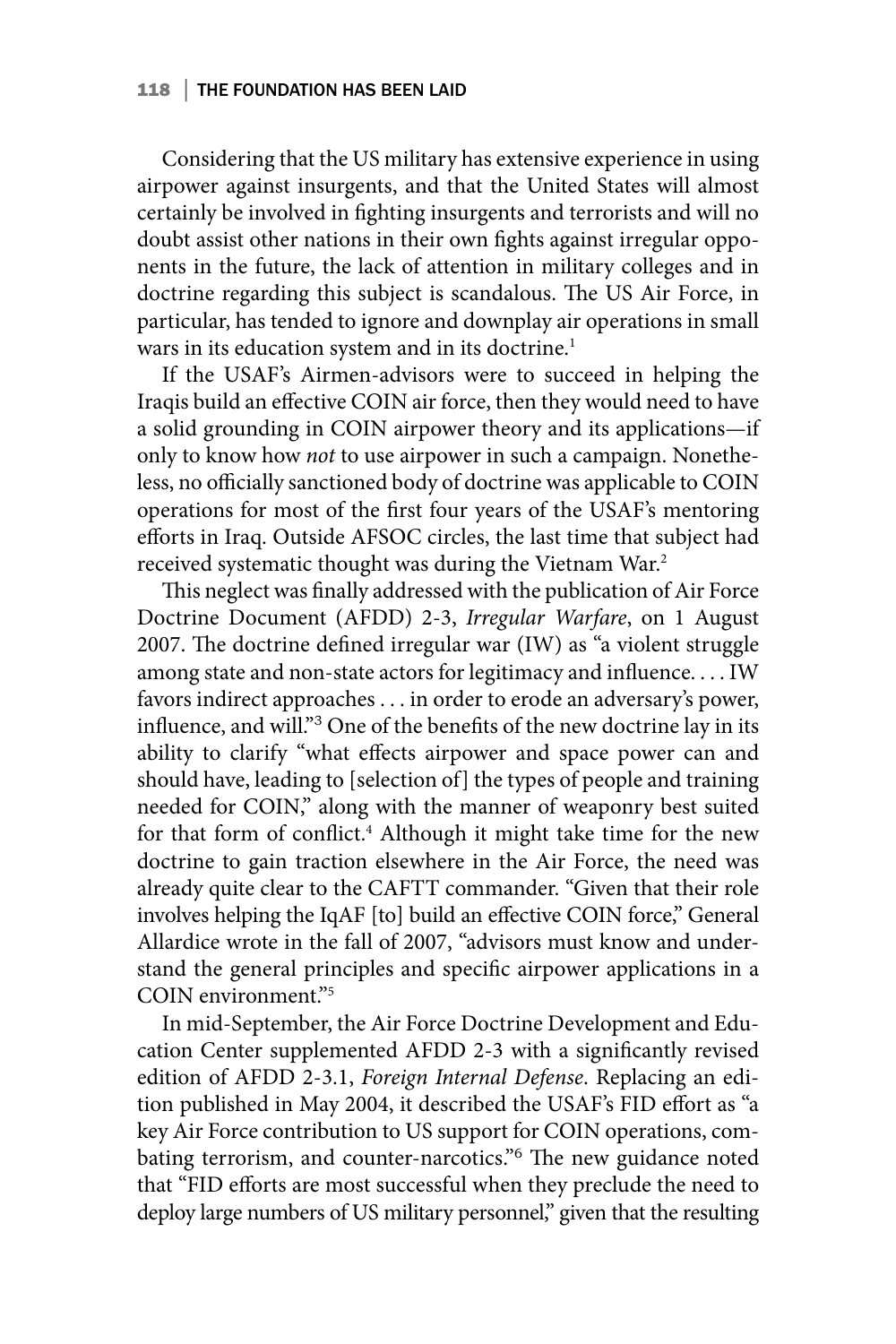#### 118 | THE FOUNDATION HAS BEEN LAID

Considering that the US military has extensive experience in using airpower against insurgents, and that the United States will almost certainly be involved in fighting insurgents and terrorists and will no doubt assist other nations in their own fights against irregular opponents in the future, the lack of attention in military colleges and in doctrine regarding this subject is scandalous. The US Air Force, in particular, has tended to ignore and downplay air operations in small wars in its education system and in its doctrine.<sup>1</sup>

If the USAF's Airmen-advisors were to succeed in helping the Iraqis build an effective COIN air force, then they would need to have a solid grounding in COIN airpower theory and its applications—if only to know how *not* to use airpower in such a campaign. Nonetheless, no officially sanctioned body of doctrine was applicable to COIN operations for most of the first four years of the USAF's mentoring efforts in Iraq. Outside AFSOC circles, the last time that subject had received systematic thought was during the Vietnam War.2

This neglect was finally addressed with the publication of Air Force Doctrine Document (AFDD) 2-3, *Irregular Warfare*, on 1 August 2007. The doctrine defined irregular war (IW) as "a violent struggle among state and non-state actors for legitimacy and influence. . . . IW favors indirect approaches . . . in order to erode an adversary's power, influence, and will."<sup>3</sup> One of the benefits of the new doctrine lay in its ability to clarify "what effects airpower and space power can and should have, leading to [selection of] the types of people and training needed for COIN," along with the manner of weaponry best suited for that form of conflict.<sup>4</sup> Although it might take time for the new doctrine to gain traction elsewhere in the Air Force, the need was already quite clear to the CAFTT commander. "Given that their role involves helping the IqAF [to] build an effective COIN force," General Allardice wrote in the fall of 2007, "advisors must know and understand the general principles and specific airpower applications in a COIN environment."5

In mid-September, the Air Force Doctrine Development and Education Center supplemented AFDD 2-3 with a significantly revised edition of AFDD 2-3.1, *Foreign Internal Defense*. Replacing an edition published in May 2004, it described the USAF's FID effort as "a key Air Force contribution to US support for COIN operations, combating terrorism, and counter-narcotics."<sup>6</sup> The new guidance noted that "FID efforts are most successful when they preclude the need to deploy large numbers of US military personnel," given that the resulting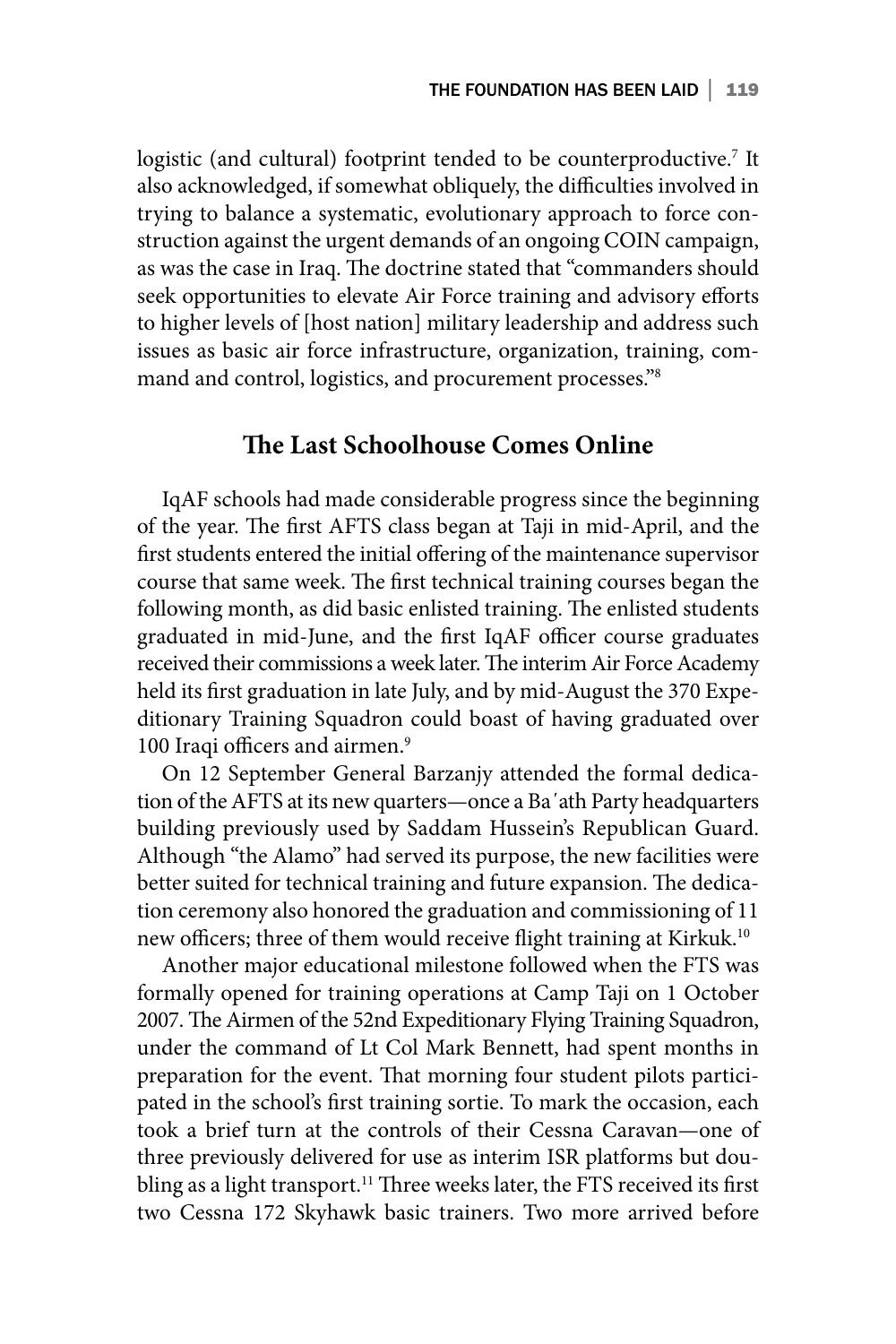logistic (and cultural) footprint tended to be counterproductive.<sup>7</sup> It also acknowledged, if somewhat obliquely, the difficulties involved in trying to balance a systematic, evolutionary approach to force construction against the urgent demands of an ongoing COIN campaign, as was the case in Iraq. The doctrine stated that "commanders should seek opportunities to elevate Air Force training and advisory efforts to higher levels of [host nation] military leadership and address such issues as basic air force infrastructure, organization, training, command and control, logistics, and procurement processes."8

### **The Last Schoolhouse Comes Online**

IqAF schools had made considerable progress since the beginning of the year. The first AFTS class began at Taji in mid-April, and the first students entered the initial offering of the maintenance supervisor course that same week. The first technical training courses began the following month, as did basic enlisted training. The enlisted students graduated in mid-June, and the first IqAF officer course graduates received their commissions a week later. The interim Air Force Academy held its first graduation in late July, and by mid-August the 370 Expeditionary Training Squadron could boast of having graduated over 100 Iraqi officers and airmen.<sup>9</sup>

On 12 September General Barzanjy attended the formal dedication of the AFTS at its new quarters—once a Ba΄ath Party headquarters building previously used by Saddam Hussein's Republican Guard. Although "the Alamo" had served its purpose, the new facilities were better suited for technical training and future expansion. The dedication ceremony also honored the graduation and commissioning of 11 new officers; three of them would receive flight training at Kirkuk.10

Another major educational milestone followed when the FTS was formally opened for training operations at Camp Taji on 1 October 2007. The Airmen of the 52nd Expeditionary Flying Training Squadron, under the command of Lt Col Mark Bennett, had spent months in preparation for the event. That morning four student pilots participated in the school's first training sortie. To mark the occasion, each took a brief turn at the controls of their Cessna Caravan—one of three previously delivered for use as interim ISR platforms but doubling as a light transport.<sup>11</sup> Three weeks later, the FTS received its first two Cessna 172 Skyhawk basic trainers. Two more arrived before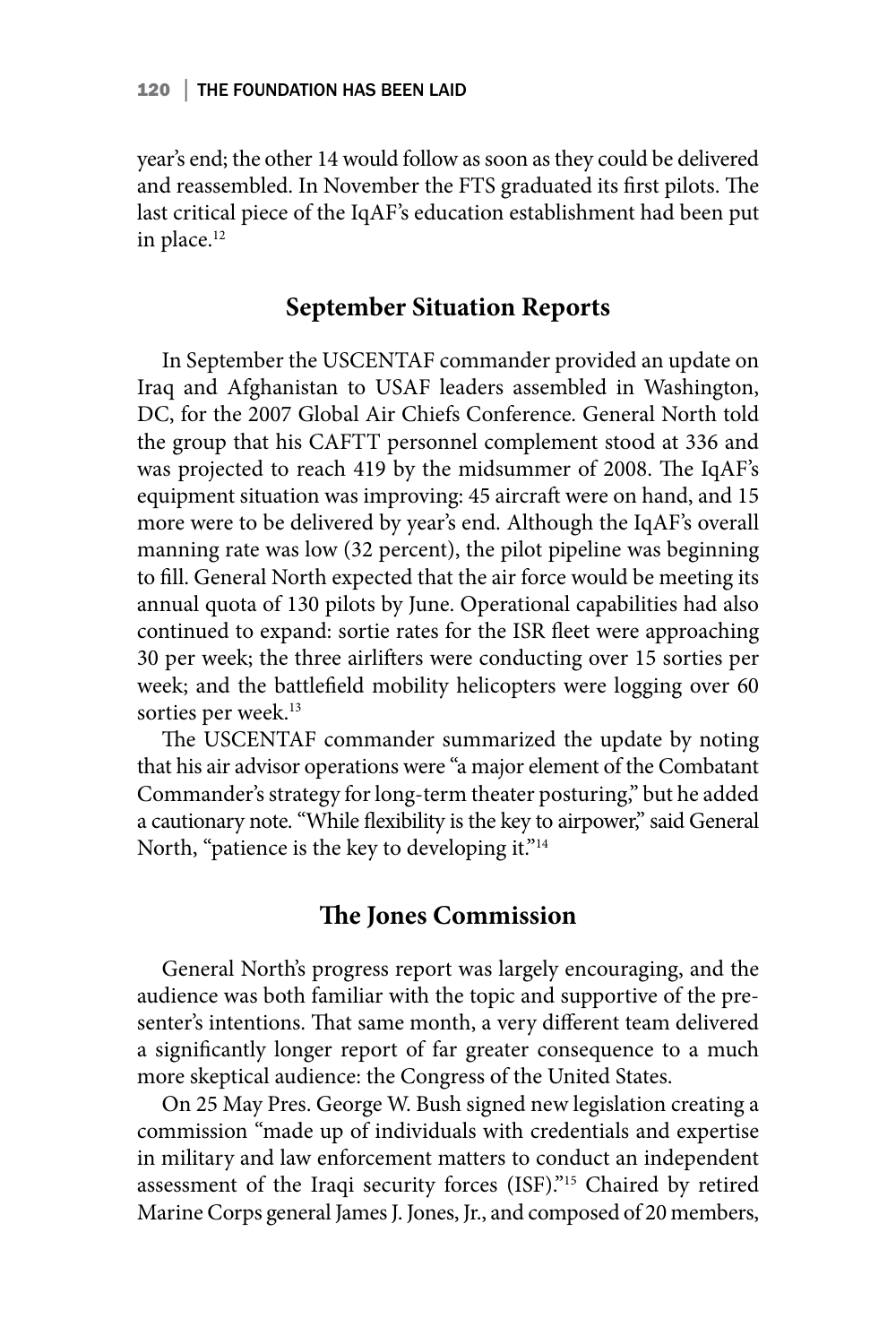year's end; the other 14 would follow as soon as they could be delivered and reassembled. In November the FTS graduated its first pilots. The last critical piece of the IqAF's education establishment had been put in place.<sup>12</sup>

## **September Situation Reports**

In September the USCENTAF commander provided an update on Iraq and Afghanistan to USAF leaders assembled in Washington, DC, for the 2007 Global Air Chiefs Conference. General North told the group that his CAFTT personnel complement stood at 336 and was projected to reach 419 by the midsummer of 2008. The IqAF's equipment situation was improving: 45 aircraft were on hand, and 15 more were to be delivered by year's end. Although the IqAF's overall manning rate was low (32 percent), the pilot pipeline was beginning to fill. General North expected that the air force would be meeting its annual quota of 130 pilots by June. Operational capabilities had also continued to expand: sortie rates for the ISR fleet were approaching 30 per week; the three airlifters were conducting over 15 sorties per week; and the battlefield mobility helicopters were logging over 60 sorties per week.<sup>13</sup>

The USCENTAF commander summarized the update by noting that his air advisor operations were "a major element of the Combatant Commander's strategy for long-term theater posturing," but he added a cautionary note. "While flexibility is the key to airpower," said General North, "patience is the key to developing it."<sup>14</sup>

### **The Jones Commission**

General North's progress report was largely encouraging, and the audience was both familiar with the topic and supportive of the presenter's intentions. That same month, a very different team delivered a significantly longer report of far greater consequence to a much more skeptical audience: the Congress of the United States.

On 25 May Pres. George W. Bush signed new legislation creating a commission "made up of individuals with credentials and expertise in military and law enforcement matters to conduct an independent assessment of the Iraqi security forces (ISF)."15 Chaired by retired Marine Corps general James J. Jones, Jr., and composed of 20 members,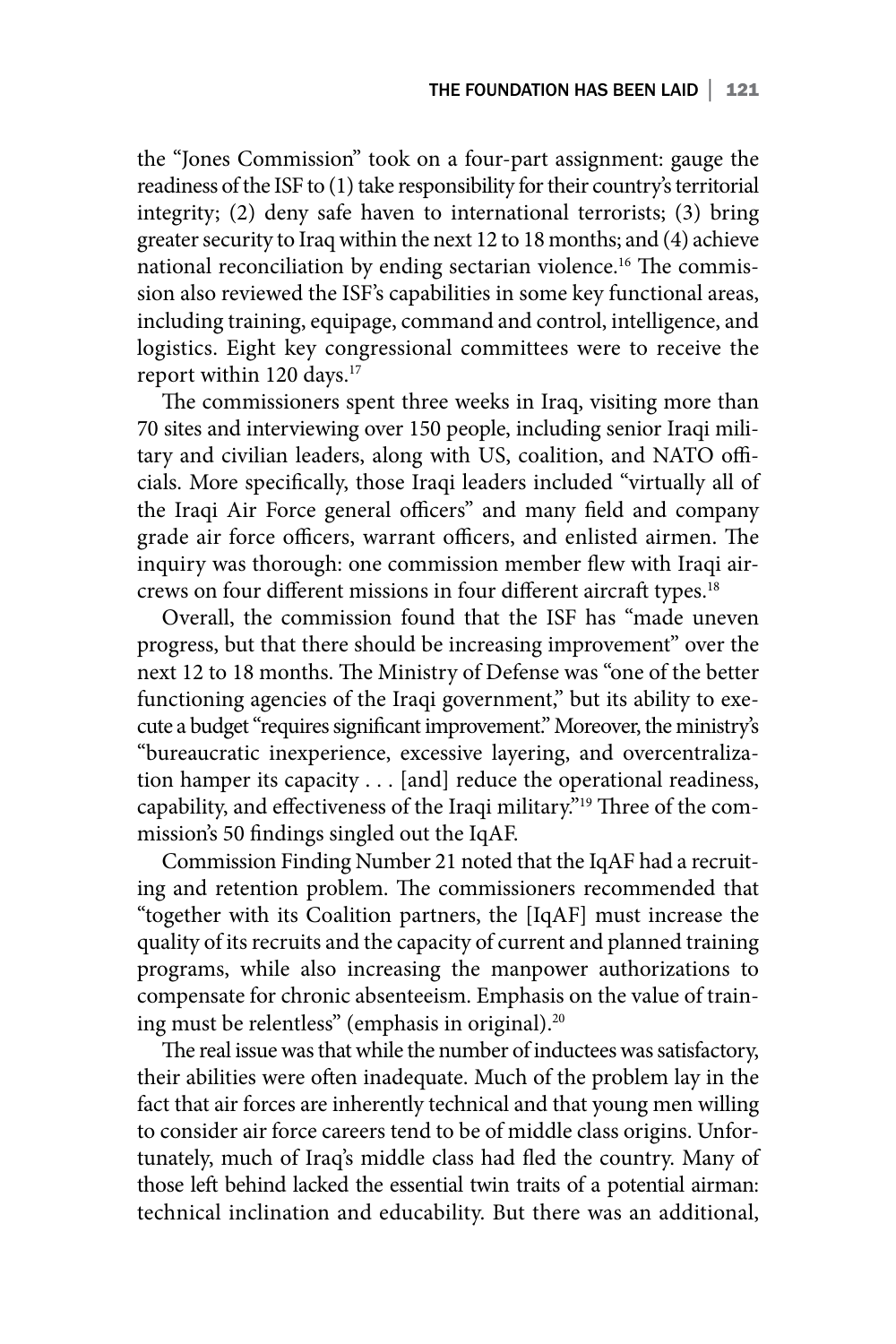the "Jones Commission" took on a four-part assignment: gauge the readiness of the ISF to (1) take responsibility for their country's territorial integrity; (2) deny safe haven to international terrorists; (3) bring greater security to Iraq within the next 12 to 18 months; and (4) achieve national reconciliation by ending sectarian violence.16 The commission also reviewed the ISF's capabilities in some key functional areas, including training, equipage, command and control, intelligence, and logistics. Eight key congressional committees were to receive the report within 120 days.<sup>17</sup>

The commissioners spent three weeks in Iraq, visiting more than 70 sites and interviewing over 150 people, including senior Iraqi military and civilian leaders, along with US, coalition, and NATO officials. More specifically, those Iraqi leaders included "virtually all of the Iraqi Air Force general officers" and many field and company grade air force officers, warrant officers, and enlisted airmen. The inquiry was thorough: one commission member flew with Iraqi aircrews on four different missions in four different aircraft types.<sup>18</sup>

Overall, the commission found that the ISF has "made uneven progress, but that there should be increasing improvement" over the next 12 to 18 months. The Ministry of Defense was "one of the better functioning agencies of the Iraqi government," but its ability to execute a budget "requires significant improvement." Moreover, the ministry's "bureaucratic inexperience, excessive layering, and overcentralization hamper its capacity . . . [and] reduce the operational readiness, capability, and effectiveness of the Iraqi military."19 Three of the commission's 50 findings singled out the IqAF.

Commission Finding Number 21 noted that the IqAF had a recruiting and retention problem. The commissioners recommended that "together with its Coalition partners, the [IqAF] must increase the quality of its recruits and the capacity of current and planned training programs, while also increasing the manpower authorizations to compensate for chronic absenteeism. Emphasis on the value of training must be relentless" (emphasis in original).<sup>20</sup>

The real issue was that while the number of inductees was satisfactory, their abilities were often inadequate. Much of the problem lay in the fact that air forces are inherently technical and that young men willing to consider air force careers tend to be of middle class origins. Unfortunately, much of Iraq's middle class had fled the country. Many of those left behind lacked the essential twin traits of a potential airman: technical inclination and educability. But there was an additional,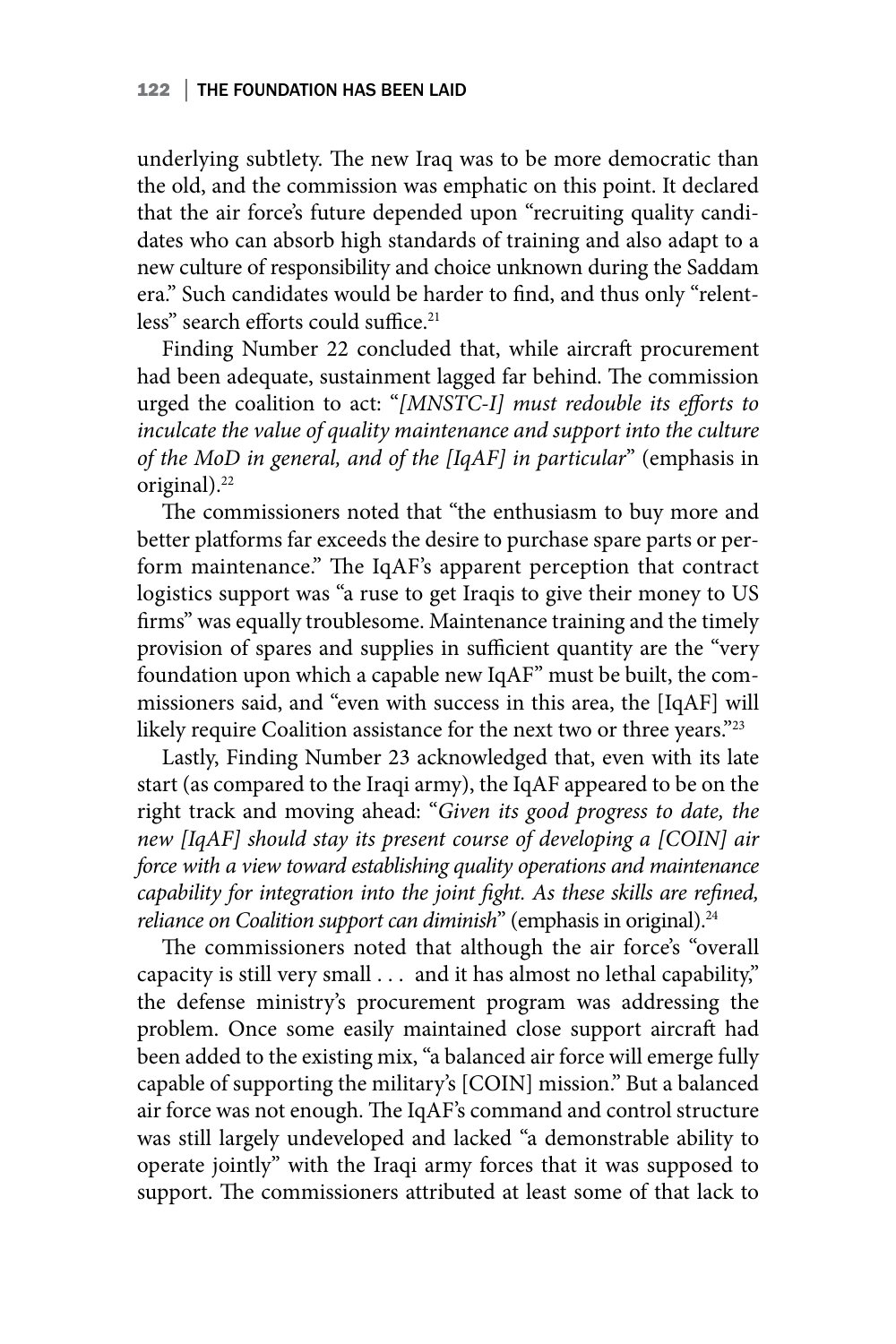underlying subtlety. The new Iraq was to be more democratic than the old, and the commission was emphatic on this point. It declared that the air force's future depended upon "recruiting quality candidates who can absorb high standards of training and also adapt to a new culture of responsibility and choice unknown during the Saddam era." Such candidates would be harder to find, and thus only "relentless" search efforts could suffice.<sup>21</sup>

Finding Number 22 concluded that, while aircraft procurement had been adequate, sustainment lagged far behind. The commission urged the coalition to act: "*[MNSTC-I] must redouble its efforts to*  inculcate the value of quality maintenance and support into the culture *of the MoD in general, and of the [IqAF] in particular*" (emphasis in original).<sup>22</sup>

The commissioners noted that "the enthusiasm to buy more and better platforms far exceeds the desire to purchase spare parts or perform maintenance." The IqAF's apparent perception that contract logistics support was "a ruse to get Iraqis to give their money to US firms" was equally troublesome. Maintenance training and the timely provision of spares and supplies in sufficient quantity are the "very foundation upon which a capable new IqAF" must be built, the commissioners said, and "even with success in this area, the [IqAF] will likely require Coalition assistance for the next two or three years."23

Lastly, Finding Number 23 acknowledged that, even with its late start (as compared to the Iraqi army), the IqAF appeared to be on the right track and moving ahead: "*Given its good progress to date, the new [IqAF] should stay its present course of developing a [COIN] air force with a view toward establishing quality operations and maintenance capability for integration into the joint fight. As these skills are refined, reliance on Coalition support can diminish*" (emphasis in original).<sup>24</sup>

The commissioners noted that although the air force's "overall capacity is still very small . . . and it has almost no lethal capability," the defense ministry's procurement program was addressing the problem. Once some easily maintained close support aircraft had been added to the existing mix, "a balanced air force will emerge fully capable of supporting the military's [COIN] mission." But a balanced air force was not enough. The IqAF's command and control structure was still largely undeveloped and lacked "a demonstrable ability to operate jointly" with the Iraqi army forces that it was supposed to support. The commissioners attributed at least some of that lack to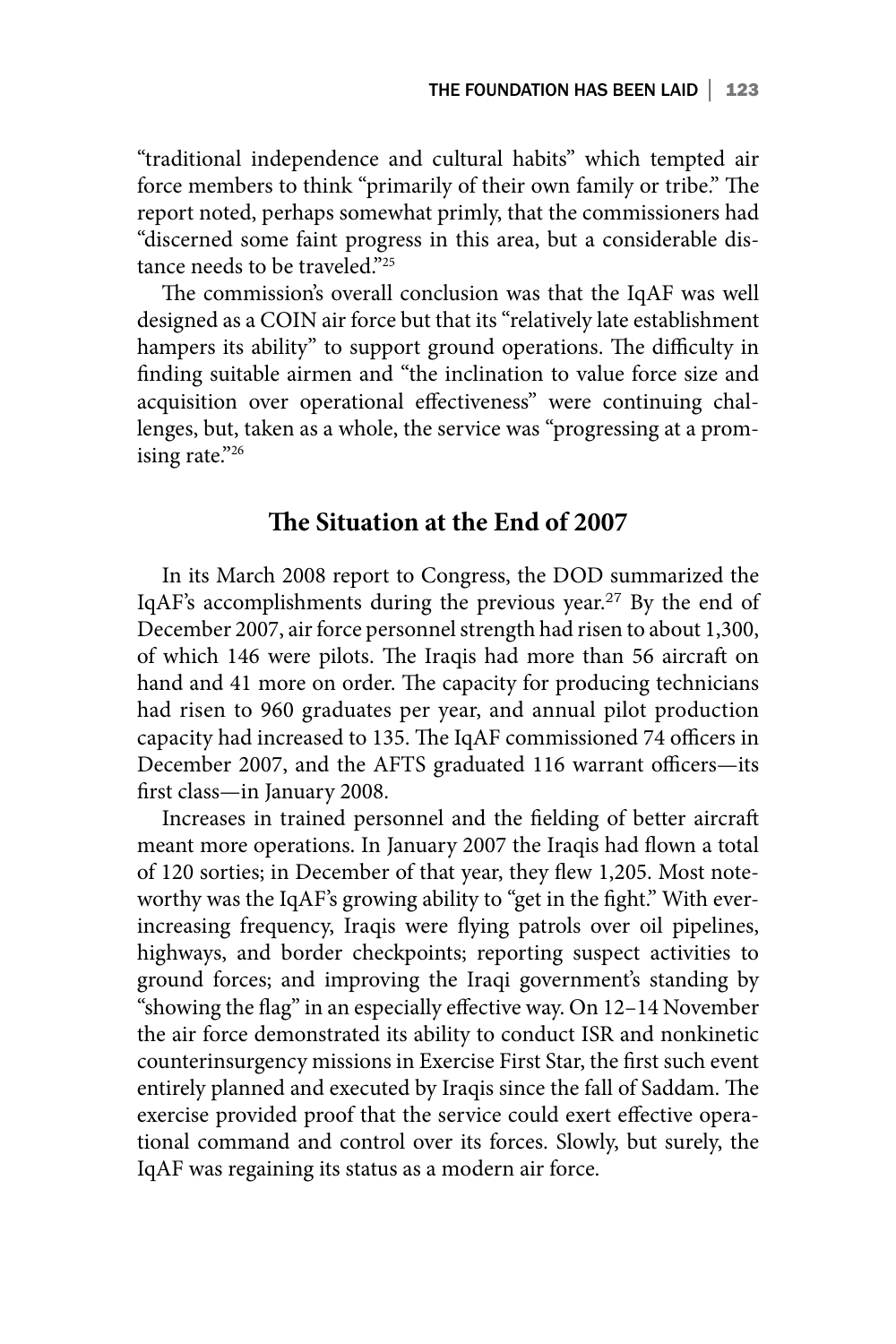"traditional independence and cultural habits" which tempted air force members to think "primarily of their own family or tribe." The report noted, perhaps somewhat primly, that the commissioners had "discerned some faint progress in this area, but a considerable distance needs to be traveled."<sup>25</sup>

The commission's overall conclusion was that the IqAF was well designed as a COIN air force but that its "relatively late establishment hampers its ability" to support ground operations. The difficulty in finding suitable airmen and "the inclination to value force size and acquisition over operational effectiveness" were continuing challenges, but, taken as a whole, the service was "progressing at a promising rate."26

### **The Situation at the End of 2007**

In its March 2008 report to Congress, the DOD summarized the IqAF's accomplishments during the previous year.<sup>27</sup> By the end of December 2007, air force personnel strength had risen to about 1,300, of which 146 were pilots. The Iraqis had more than 56 aircraft on hand and 41 more on order. The capacity for producing technicians had risen to 960 graduates per year, and annual pilot production capacity had increased to 135. The IqAF commissioned 74 officers in December 2007, and the AFTS graduated 116 warrant officers—its first class—in January 2008.

Increases in trained personnel and the fielding of better aircraft meant more operations. In January 2007 the Iraqis had flown a total of 120 sorties; in December of that year, they flew 1,205. Most noteworthy was the IqAF's growing ability to "get in the fight." With everincreasing frequency, Iraqis were flying patrols over oil pipelines, highways, and border checkpoints; reporting suspect activities to ground forces; and improving the Iraqi government's standing by "showing the flag" in an especially effective way. On 12–14 November the air force demonstrated its ability to conduct ISR and nonkinetic counterinsurgency missions in Exercise First Star, the first such event entirely planned and executed by Iraqis since the fall of Saddam. The exercise provided proof that the service could exert effective operational command and control over its forces. Slowly, but surely, the IqAF was regaining its status as a modern air force.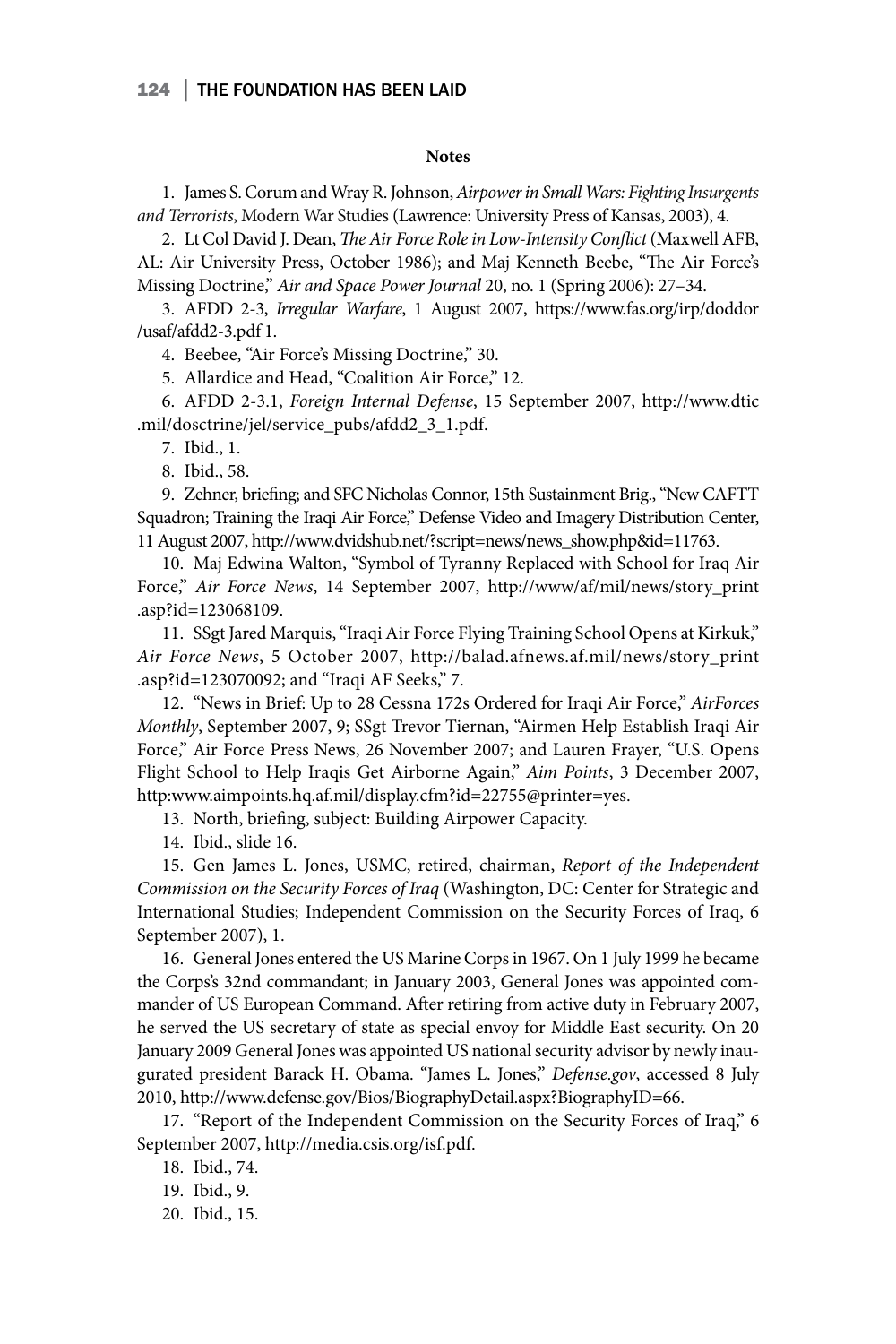#### 124 | THE FOUNDATION HAS BEEN LAID

#### **Notes**

1. James S. Corum and Wray R. Johnson, *Airpower in Small Wars: Fighting Insurgents and Terrorists*, Modern War Studies (Lawrence: University Press of Kansas, 2003), 4.

2. Lt Col David J. Dean, *The Air Force Role in Low-Intensity Conflict* (Maxwell AFB, AL: Air University Press, October 1986); and Maj Kenneth Beebe, "The Air Force's Missing Doctrine," *Air and Space Power Journal* 20, no. 1 (Spring 2006): 27–34.

3. AFDD 2-3, *Irregular Warfare*, 1 August 2007, https://www.fas.org/irp/doddor /usaf/afdd2-3.pdf 1.

4. Beebee, "Air Force's Missing Doctrine," 30.

5. Allardice and Head, "Coalition Air Force," 12.

6. AFDD 2-3.1, *Foreign Internal Defense*, 15 September 2007, http://www.dtic .mil/dosctrine/jel/service\_pubs/afdd2\_3\_1.pdf.

7. Ibid., 1.

8. Ibid., 58.

9. Zehner, briefing; and SFC Nicholas Connor, 15th Sustainment Brig., "New CAFTT Squadron; Training the Iraqi Air Force," Defense Video and Imagery Distribution Center, 11 August 2007, http://www.dvidshub.net/?script=news/news\_show.php&id=11763.

10. Maj Edwina Walton, "Symbol of Tyranny Replaced with School for Iraq Air Force," *Air Force News*, 14 September 2007, http://www/af/mil/news/story\_print .asp?id=123068109.

11. SSgt Jared Marquis, "Iraqi Air Force Flying Training School Opens at Kirkuk," *Air Force News*, 5 October 2007, http://balad.afnews.af.mil/news/story\_print .asp?id=123070092; and "Iraqi AF Seeks," 7.

12. "News in Brief: Up to 28 Cessna 172s Ordered for Iraqi Air Force," *AirForces Monthly*, September 2007, 9; SSgt Trevor Tiernan, "Airmen Help Establish Iraqi Air Force," Air Force Press News, 26 November 2007; and Lauren Frayer, "U.S. Opens Flight School to Help Iraqis Get Airborne Again," *Aim Points*, 3 December 2007, http:www.aimpoints.hq.af.mil/display.cfm?id=22755@printer=yes.

13. North, briefing, subject: Building Airpower Capacity.

14. Ibid., slide 16.

15. Gen James L. Jones, USMC, retired, chairman, *Report of the Independent Commission on the Security Forces of Iraq* (Washington, DC: Center for Strategic and International Studies; Independent Commission on the Security Forces of Iraq, 6 September 2007), 1.

16. General Jones entered the US Marine Corps in 1967. On 1 July 1999 he became the Corps's 32nd commandant; in January 2003, General Jones was appointed commander of US European Command. After retiring from active duty in February 2007, he served the US secretary of state as special envoy for Middle East security. On 20 January 2009 General Jones was appointed US national security advisor by newly inaugurated president Barack H. Obama. "James L. Jones," *Defense.gov*, accessed 8 July 2010, http://www.defense.gov/Bios/BiographyDetail.aspx?BiographyID=66.

17. "Report of the Independent Commission on the Security Forces of Iraq," 6 September 2007, http://media.csis.org/isf.pdf.

18. Ibid., 74.

19. Ibid., 9.

20. Ibid., 15.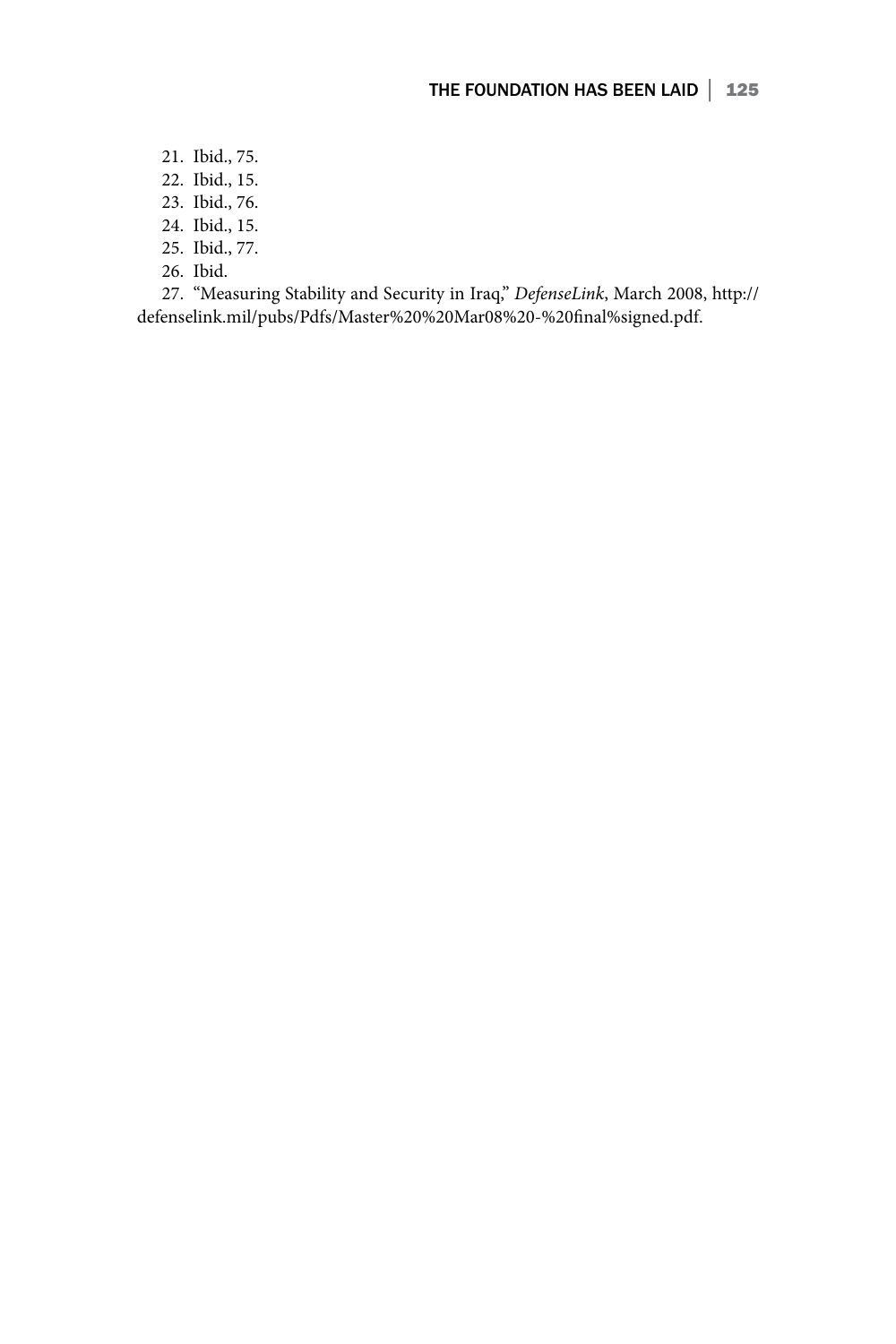- 21. Ibid., 75.
- 22. Ibid., 15.
- 23. Ibid., 76.
- 24. Ibid., 15.
- 25. Ibid., 77.
- 26. Ibid.

27. "Measuring Stability and Security in Iraq," *DefenseLink*, March 2008, http:// defenselink.mil/pubs/Pdfs/Master%20%20Mar08%20-%20final%signed.pdf.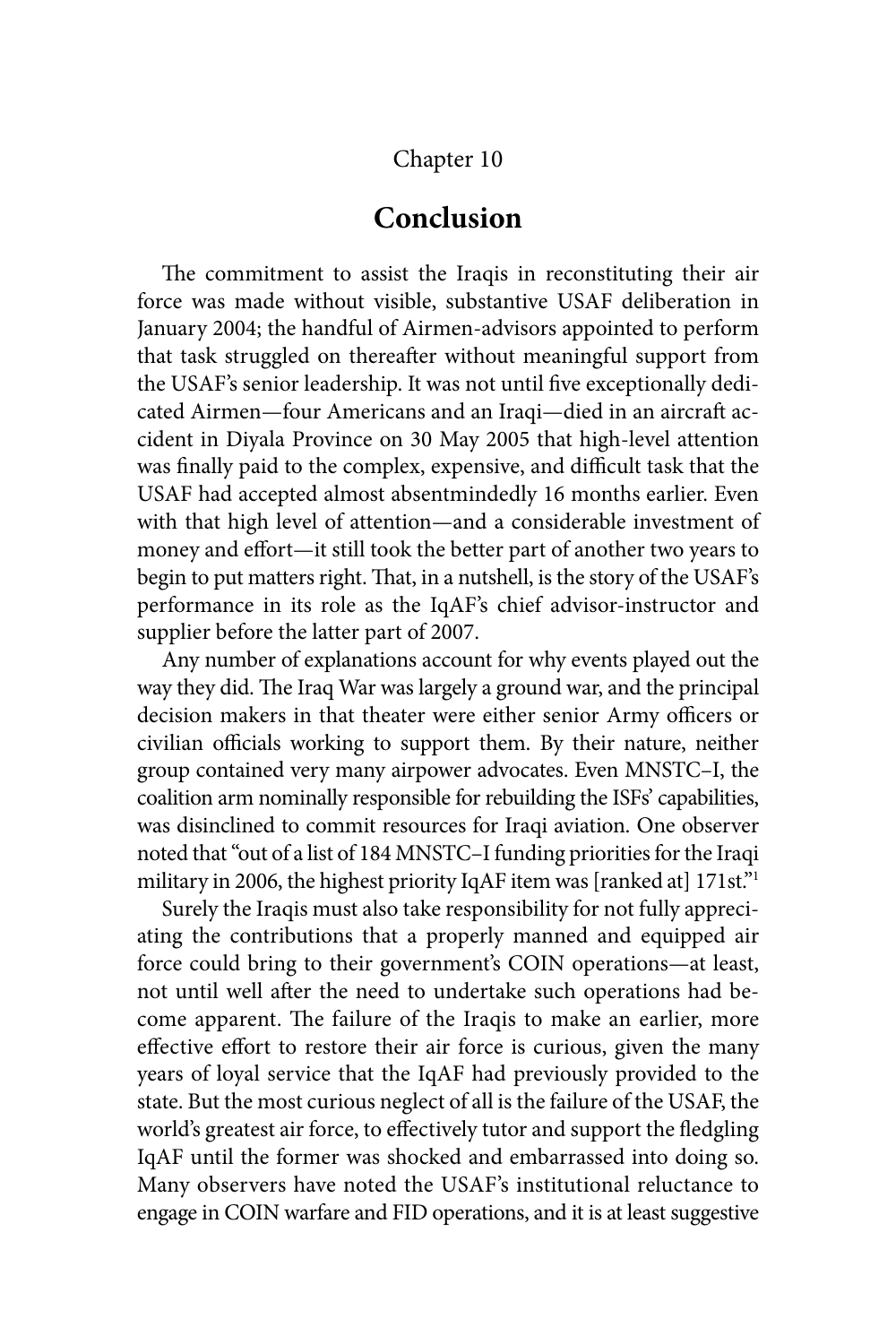### Chapter 10

## **Conclusion**

The commitment to assist the Iraqis in reconstituting their air force was made without visible, substantive USAF deliberation in January 2004; the handful of Airmen-advisors appointed to perform that task struggled on thereafter without meaningful support from the USAF's senior leadership. It was not until five exceptionally dedicated Airmen—four Americans and an Iraqi—died in an aircraft accident in Diyala Province on 30 May 2005 that high-level attention was finally paid to the complex, expensive, and difficult task that the USAF had accepted almost absentmindedly 16 months earlier. Even with that high level of attention—and a considerable investment of money and effort—it still took the better part of another two years to begin to put matters right. That, in a nutshell, is the story of the USAF's performance in its role as the IqAF's chief advisor-instructor and supplier before the latter part of 2007.

Any number of explanations account for why events played out the way they did. The Iraq War was largely a ground war, and the principal decision makers in that theater were either senior Army officers or civilian officials working to support them. By their nature, neither group contained very many airpower advocates. Even MNSTC–I, the coalition arm nominally responsible for rebuilding the ISFs' capabilities, was disinclined to commit resources for Iraqi aviation. One observer noted that "out of a list of 184 MNSTC–I funding priorities for the Iraqi military in 2006, the highest priority IqAF item was [ranked at] 171st."<sup>1</sup>

Surely the Iraqis must also take responsibility for not fully appreciating the contributions that a properly manned and equipped air force could bring to their government's COIN operations—at least, not until well after the need to undertake such operations had become apparent. The failure of the Iraqis to make an earlier, more effective effort to restore their air force is curious, given the many years of loyal service that the IqAF had previously provided to the state. But the most curious neglect of all is the failure of the USAF, the world's greatest air force, to effectively tutor and support the fledgling IqAF until the former was shocked and embarrassed into doing so. Many observers have noted the USAF's institutional reluctance to engage in COIN warfare and FID operations, and it is at least suggestive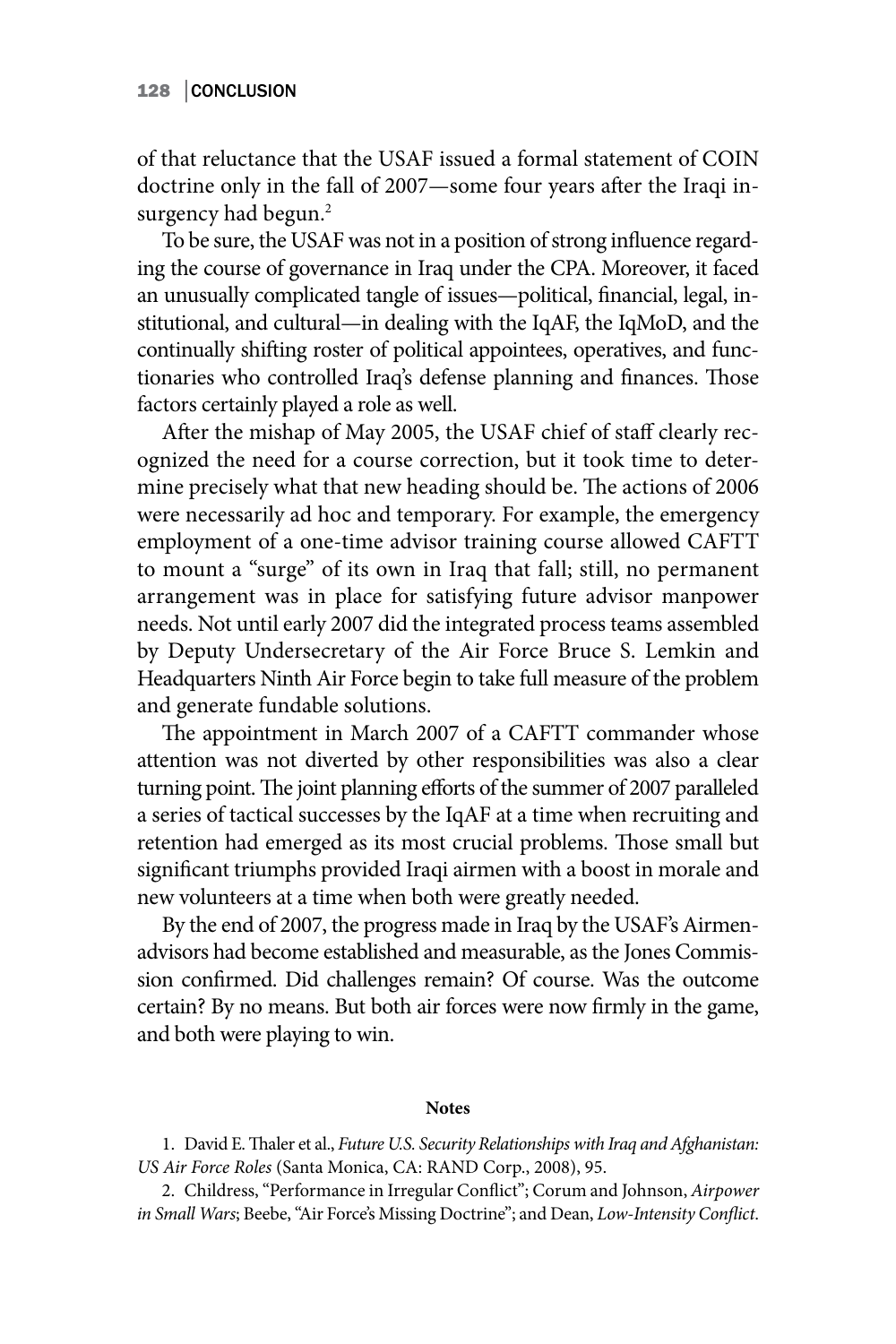of that reluctance that the USAF issued a formal statement of COIN doctrine only in the fall of 2007—some four years after the Iraqi insurgency had begun.<sup>2</sup>

To be sure, the USAF was not in a position of strong influence regarding the course of governance in Iraq under the CPA. Moreover, it faced an unusually complicated tangle of issues—political, financial, legal, institutional, and cultural—in dealing with the IqAF, the IqMoD, and the continually shifting roster of political appointees, operatives, and functionaries who controlled Iraq's defense planning and finances. Those factors certainly played a role as well.

After the mishap of May 2005, the USAF chief of staff clearly recognized the need for a course correction, but it took time to determine precisely what that new heading should be. The actions of 2006 were necessarily ad hoc and temporary. For example, the emergency employment of a one-time advisor training course allowed CAFTT to mount a "surge" of its own in Iraq that fall; still, no permanent arrangement was in place for satisfying future advisor manpower needs. Not until early 2007 did the integrated process teams assembled by Deputy Undersecretary of the Air Force Bruce S. Lemkin and Headquarters Ninth Air Force begin to take full measure of the problem and generate fundable solutions.

The appointment in March 2007 of a CAFTT commander whose attention was not diverted by other responsibilities was also a clear turning point. The joint planning efforts of the summer of 2007 paralleled a series of tactical successes by the IqAF at a time when recruiting and retention had emerged as its most crucial problems. Those small but significant triumphs provided Iraqi airmen with a boost in morale and new volunteers at a time when both were greatly needed.

By the end of 2007, the progress made in Iraq by the USAF's Airmenadvisors had become established and measurable, as the Jones Commission confirmed. Did challenges remain? Of course. Was the outcome certain? By no means. But both air forces were now firmly in the game, and both were playing to win.

#### **Notes**

1. David E. Thaler et al., *Future U.S. Security Relationships with Iraq and Afghanistan: US Air Force Roles* (Santa Monica, CA: RAND Corp., 2008), 95.

2. Childress, "Performance in Irregular Conflict"; Corum and Johnson, *Airpower in Small Wars*; Beebe, "Air Force's Missing Doctrine"; and Dean, *Low-Intensity Conflict*.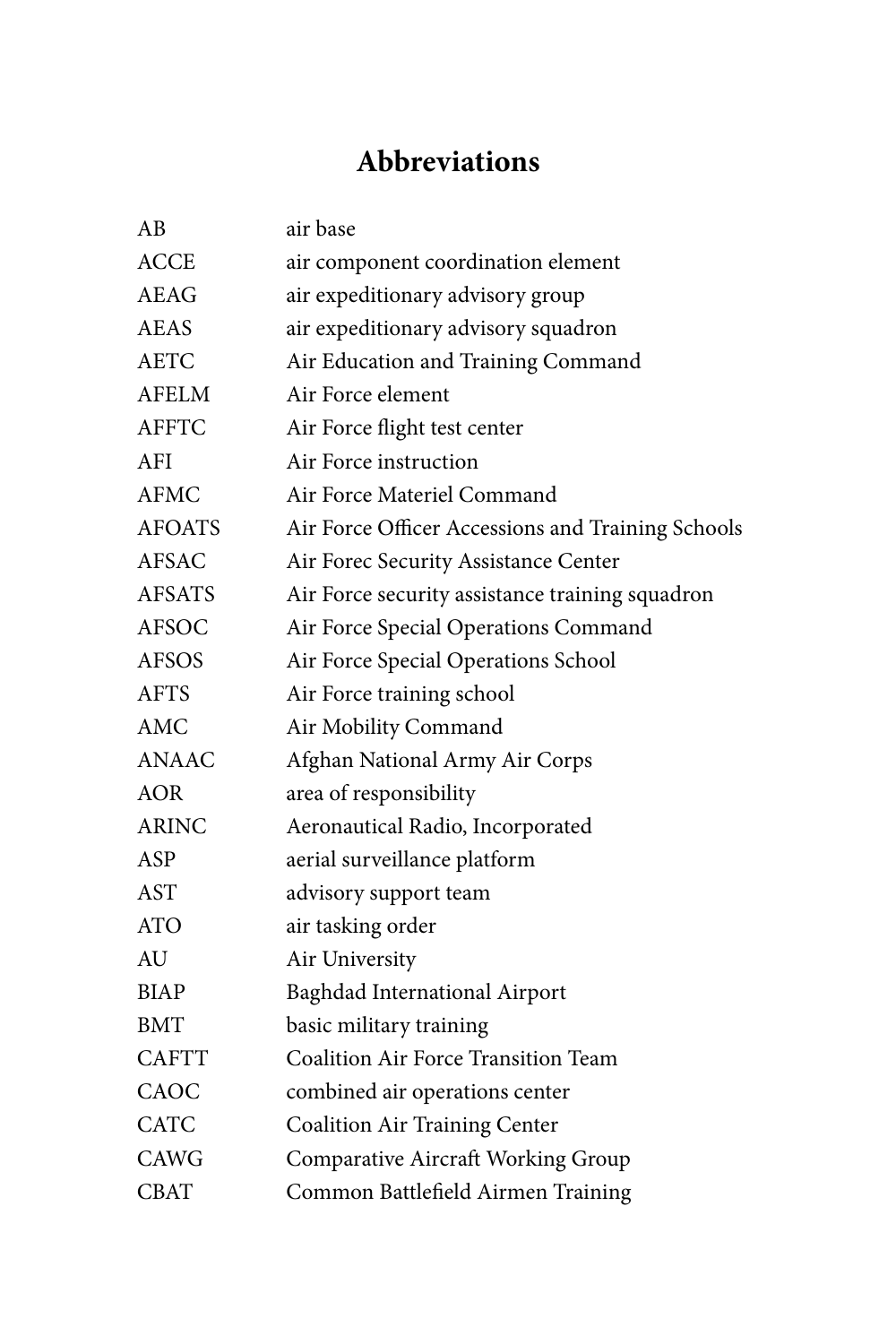# **Abbreviations**

| ΑB            | air base                                          |
|---------------|---------------------------------------------------|
| <b>ACCE</b>   | air component coordination element                |
| <b>AEAG</b>   | air expeditionary advisory group                  |
| AEAS          | air expeditionary advisory squadron               |
| <b>AETC</b>   | Air Education and Training Command                |
| <b>AFELM</b>  | Air Force element                                 |
| <b>AFFTC</b>  | Air Force flight test center                      |
| <b>AFI</b>    | Air Force instruction                             |
| <b>AFMC</b>   | Air Force Materiel Command                        |
| <b>AFOATS</b> | Air Force Officer Accessions and Training Schools |
| <b>AFSAC</b>  | Air Forec Security Assistance Center              |
| <b>AFSATS</b> | Air Force security assistance training squadron   |
| <b>AFSOC</b>  | Air Force Special Operations Command              |
| <b>AFSOS</b>  | Air Force Special Operations School               |
| <b>AFTS</b>   | Air Force training school                         |
| <b>AMC</b>    | Air Mobility Command                              |
| <b>ANAAC</b>  | Afghan National Army Air Corps                    |
| <b>AOR</b>    | area of responsibility                            |
| <b>ARINC</b>  | Aeronautical Radio, Incorporated                  |
| ASP           | aerial surveillance platform                      |
| <b>AST</b>    | advisory support team                             |
| <b>ATO</b>    | air tasking order                                 |
| AU            | Air University                                    |
| <b>BIAP</b>   | Baghdad International Airport                     |
| <b>BMT</b>    | basic military training                           |
| <b>CAFTT</b>  | Coalition Air Force Transition Team               |
| CAOC          | combined air operations center                    |
| <b>CATC</b>   | <b>Coalition Air Training Center</b>              |
| <b>CAWG</b>   | <b>Comparative Aircraft Working Group</b>         |
| <b>CBAT</b>   | Common Battlefield Airmen Training                |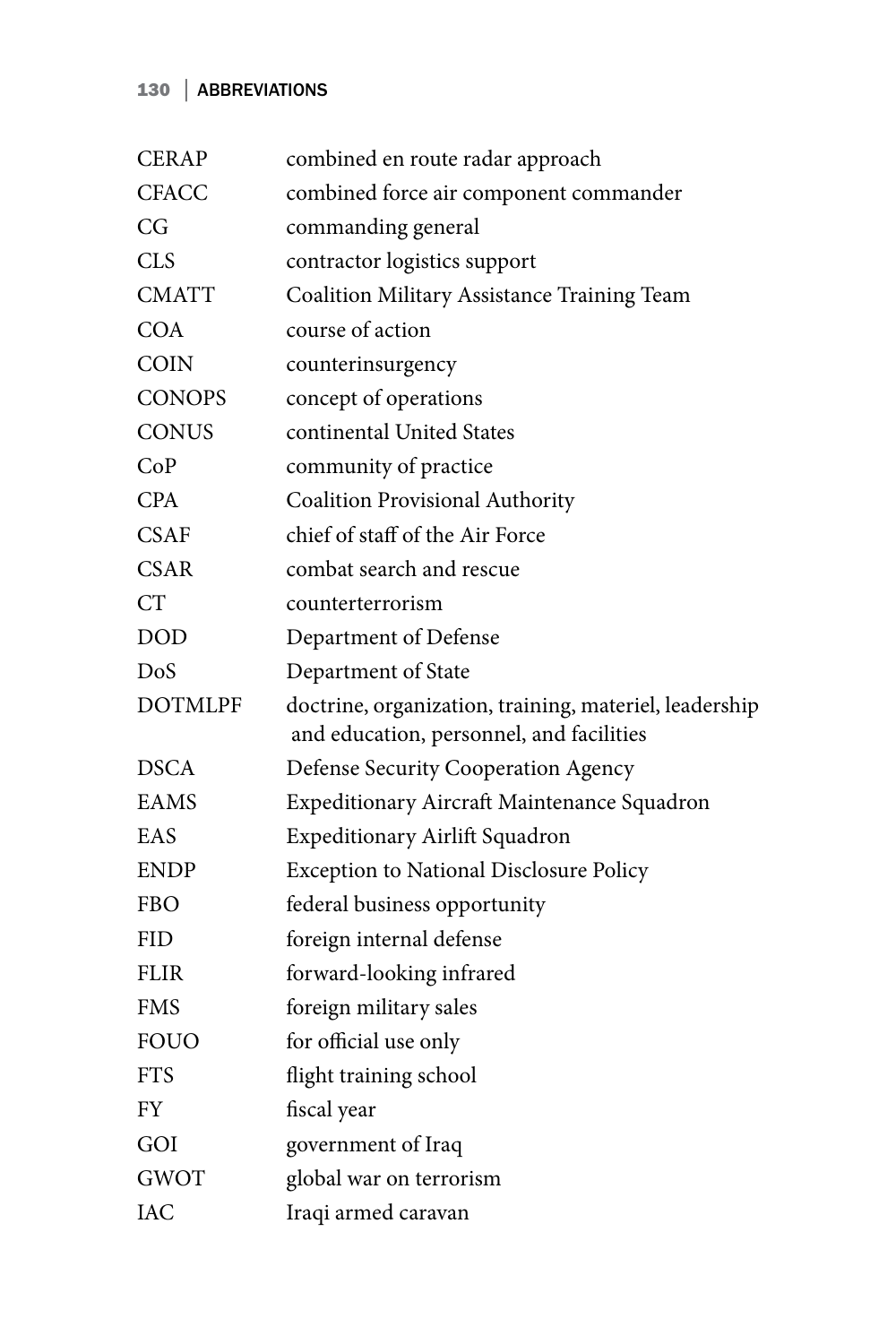## 130 | ABBREVIATIONS

| <b>CERAP</b>   | combined en route radar approach                                                                   |
|----------------|----------------------------------------------------------------------------------------------------|
| <b>CFACC</b>   | combined force air component commander                                                             |
| CG             | commanding general                                                                                 |
| <b>CLS</b>     | contractor logistics support                                                                       |
| CMATT          | Coalition Military Assistance Training Team                                                        |
| <b>COA</b>     | course of action                                                                                   |
| COIN           | counterinsurgency                                                                                  |
| <b>CONOPS</b>  | concept of operations                                                                              |
| CONUS          | continental United States                                                                          |
| CoP            | community of practice                                                                              |
| CPA            | Coalition Provisional Authority                                                                    |
| <b>CSAF</b>    | chief of staff of the Air Force                                                                    |
| <b>CSAR</b>    | combat search and rescue                                                                           |
| <b>CT</b>      | counterterrorism                                                                                   |
| DOD            | Department of Defense                                                                              |
| DoS            | Department of State                                                                                |
| <b>DOTMLPF</b> | doctrine, organization, training, materiel, leadership<br>and education, personnel, and facilities |
| <b>DSCA</b>    | Defense Security Cooperation Agency                                                                |
| EAMS           | Expeditionary Aircraft Maintenance Squadron                                                        |
| EAS            | Expeditionary Airlift Squadron                                                                     |
| ENDP           | <b>Exception to National Disclosure Policy</b>                                                     |
| FBO            | federal business opportunity                                                                       |
| <b>FID</b>     | foreign internal defense                                                                           |
| FLIR           | forward-looking infrared                                                                           |
| FMS            | foreign military sales                                                                             |
| <b>FOUO</b>    | for official use only                                                                              |
| <b>FTS</b>     | flight training school                                                                             |
| FY             | fiscal year                                                                                        |
| GOI            | government of Iraq                                                                                 |
| <b>GWOT</b>    | global war on terrorism                                                                            |
| IAC            | Iraqi armed caravan                                                                                |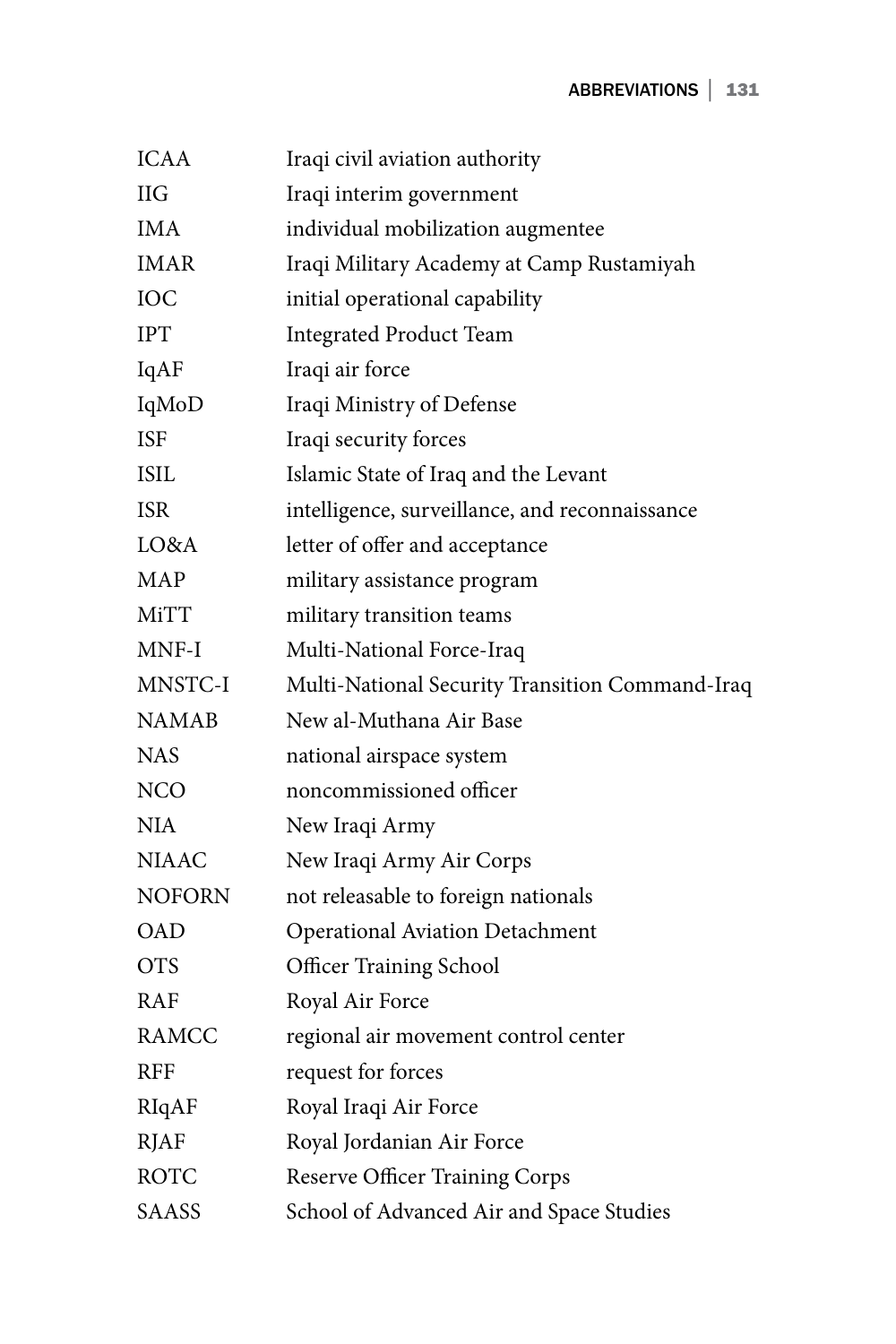| <b>ICAA</b>   | Iraqi civil aviation authority                  |
|---------------|-------------------------------------------------|
| <b>IIG</b>    | Iraqi interim government                        |
| <b>IMA</b>    | individual mobilization augmentee               |
| IMAR          | Iraqi Military Academy at Camp Rustamiyah       |
| ЮC            | initial operational capability                  |
| <b>IPT</b>    | <b>Integrated Product Team</b>                  |
| IqAF          | Iraqi air force                                 |
| IqMoD         | Iraqi Ministry of Defense                       |
| <b>ISF</b>    | Iraqi security forces                           |
| <b>ISIL</b>   | Islamic State of Iraq and the Levant            |
| <b>ISR</b>    | intelligence, surveillance, and reconnaissance  |
| LO&A          | letter of offer and acceptance                  |
| MAP           | military assistance program                     |
| MiTT          | military transition teams                       |
| MNF-I         | Multi-National Force-Iraq                       |
| MNSTC-I       | Multi-National Security Transition Command-Iraq |
| NAMAB         | New al-Muthana Air Base                         |
| <b>NAS</b>    | national airspace system                        |
| NCO           | noncommissioned officer                         |
| NI A          | New Iraqi Army                                  |
| <b>NIAAC</b>  | New Iraqi Army Air Corps                        |
| <b>NOFORN</b> | not releasable to foreign nationals             |
| OAD           | <b>Operational Aviation Detachment</b>          |
| <b>OTS</b>    | <b>Officer Training School</b>                  |
| RAF           | Royal Air Force                                 |
| RAMCC         | regional air movement control center            |
| RFF           | request for forces                              |
| RIqAF         | Royal Iraqi Air Force                           |
| <b>RJAF</b>   | Royal Jordanian Air Force                       |
| ROTC          | Reserve Officer Training Corps                  |
| SAASS         | School of Advanced Air and Space Studies        |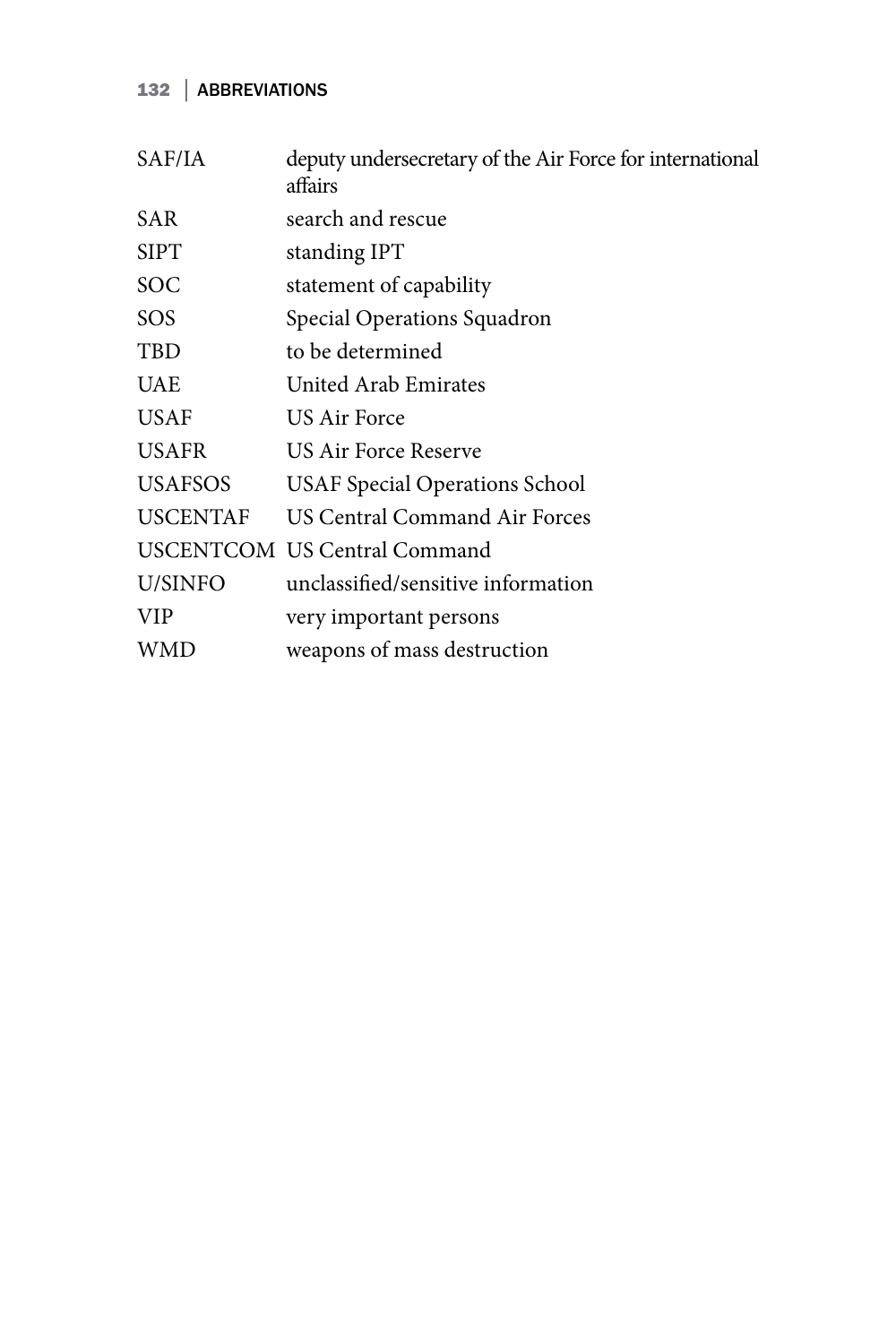## 132 | ABBREVIATIONS

| SAF/IA          | deputy undersecretary of the Air Force for international<br>affairs |
|-----------------|---------------------------------------------------------------------|
| SAR             | search and rescue                                                   |
| <b>SIPT</b>     | standing IPT                                                        |
| SOC             | statement of capability                                             |
| SOS             | Special Operations Squadron                                         |
| TBD             | to be determined                                                    |
| <b>UAE</b>      | United Arab Emirates                                                |
| <b>USAF</b>     | US Air Force                                                        |
| <b>USAFR</b>    | US Air Force Reserve                                                |
| <b>USAFSOS</b>  | <b>USAF Special Operations School</b>                               |
| <b>USCENTAF</b> | US Central Command Air Forces                                       |
|                 | <b>USCENTCOM US Central Command</b>                                 |
| U/SINFO         | unclassified/sensitive information                                  |
| <b>VIP</b>      | very important persons                                              |
| WMD             | weapons of mass destruction                                         |
|                 |                                                                     |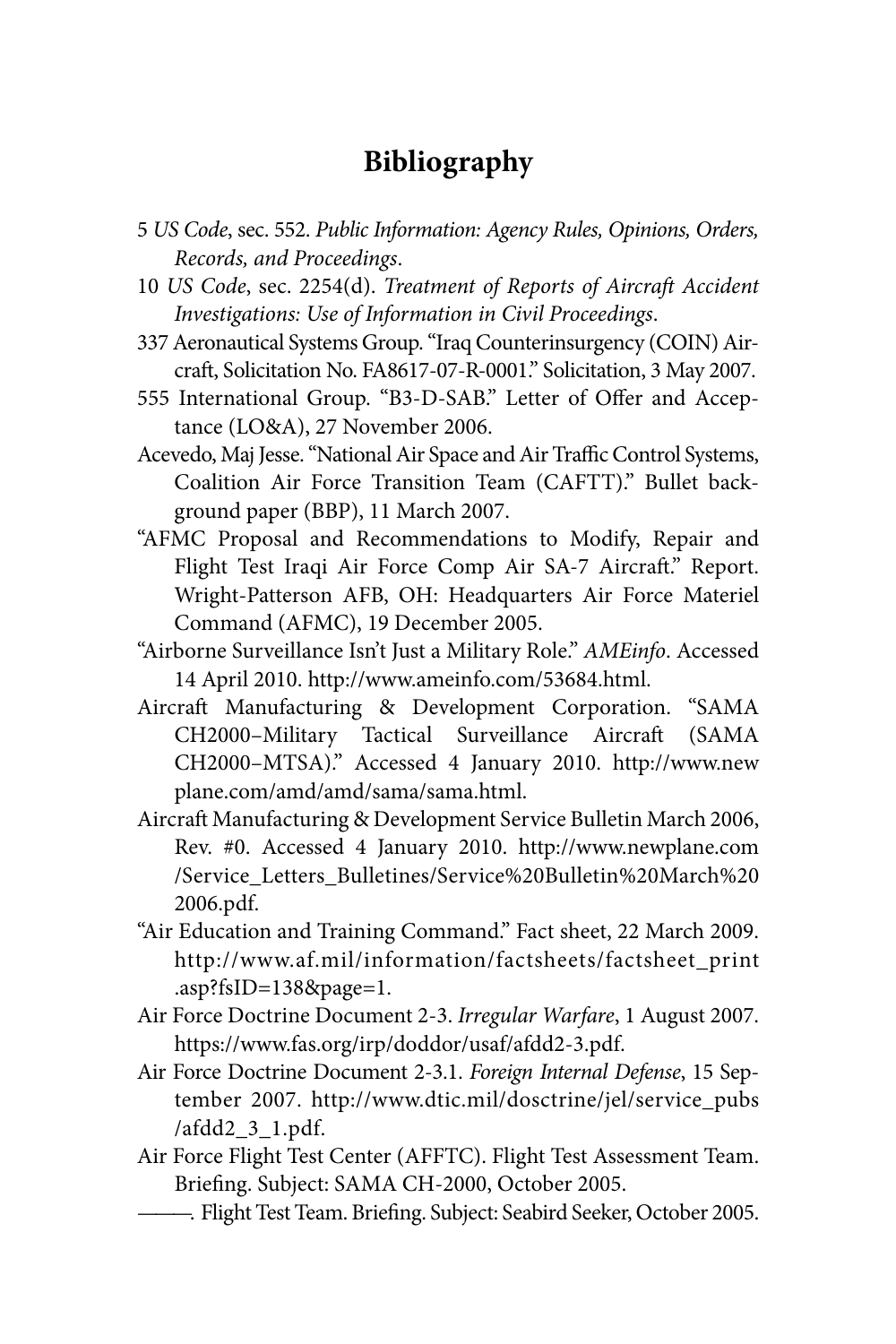## **Bibliography**

- 5 *US Code*, sec. 552. *Public Information: Agency Rules, Opinions, Orders, Records, and Proceedings*.
- 10 *US Code*, sec. 2254(d). *Treatment of Reports of Aircraft Accident Investigations: Use of Information in Civil Proceedings*.
- 337 Aeronautical Systems Group. "Iraq Counterinsurgency (COIN) Aircraft, Solicitation No. FA8617-07-R-0001." Solicitation, 3 May 2007.
- 555 International Group. "B3-D-SAB." Letter of Offer and Acceptance (LO&A), 27 November 2006.
- Acevedo, Maj Jesse. "National Air Space and Air Traffic Control Systems, Coalition Air Force Transition Team (CAFTT)." Bullet background paper (BBP), 11 March 2007.
- "AFMC Proposal and Recommendations to Modify, Repair and Flight Test Iraqi Air Force Comp Air SA-7 Aircraft." Report. Wright-Patterson AFB, OH: Headquarters Air Force Materiel Command (AFMC), 19 December 2005.
- "Airborne Surveillance Isn't Just a Military Role." *AMEinfo*. Accessed 14 April 2010. http://www.ameinfo.com/53684.html.
- Aircraft Manufacturing & Development Corporation. "SAMA CH2000–Military Tactical Surveillance Aircraft (SAMA CH2000–MTSA)." Accessed 4 January 2010. http://www.new plane.com/amd/amd/sama/sama.html.
- Aircraft Manufacturing & Development Service Bulletin March 2006, Rev. #0. Accessed 4 January 2010. http://www.newplane.com /Service\_Letters\_Bulletines/Service%20Bulletin%20March%20 2006.pdf.
- "Air Education and Training Command." Fact sheet, 22 March 2009. http://www.af.mil/information/factsheets/factsheet\_print .asp?fsID=138&page=1.
- Air Force Doctrine Document 2-3. *Irregular Warfare*, 1 August 2007. https://www.fas.org/irp/doddor/usaf/afdd2-3.pdf.
- Air Force Doctrine Document 2-3.1. *Foreign Internal Defense*, 15 September 2007. http://www.dtic.mil/dosctrine/jel/service\_pubs /afdd2\_3\_1.pdf.
- Air Force Flight Test Center (AFFTC). Flight Test Assessment Team. Briefing. Subject: SAMA CH-2000, October 2005.
- ———. Flight Test Team. Briefing. Subject: Seabird Seeker, October 2005.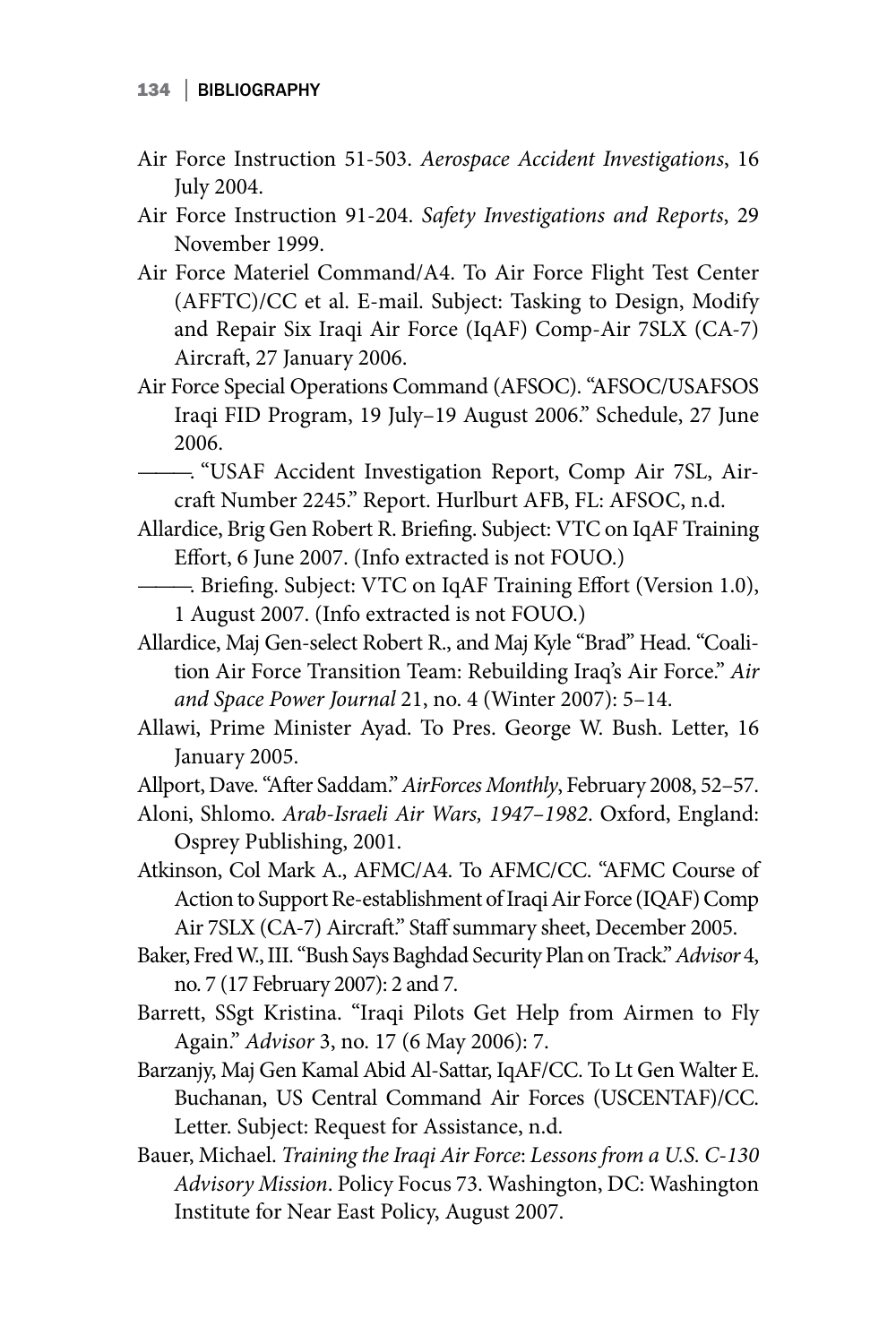- Air Force Instruction 51-503. *Aerospace Accident Investigations*, 16 July 2004.
- Air Force Instruction 91-204. *Safety Investigations and Reports*, 29 November 1999.
- Air Force Materiel Command/A4. To Air Force Flight Test Center (AFFTC)/CC et al. E-mail. Subject: Tasking to Design, Modify and Repair Six Iraqi Air Force (IqAF) Comp-Air 7SLX (CA-7) Aircraft, 27 January 2006.
- Air Force Special Operations Command (AFSOC). "AFSOC/USAFSOS Iraqi FID Program, 19 July–19 August 2006." Schedule, 27 June 2006.
- ———. "USAF Accident Investigation Report, Comp Air 7SL, Aircraft Number 2245." Report. Hurlburt AFB, FL: AFSOC, n.d.
- Allardice, Brig Gen Robert R. Briefing. Subject: VTC on IqAF Training Effort, 6 June 2007. (Info extracted is not FOUO.)
- ———. Briefing. Subject: VTC on IqAF Training Effort (Version 1.0), 1 August 2007. (Info extracted is not FOUO.)
- Allardice, Maj Gen-select Robert R., and Maj Kyle "Brad" Head. "Coalition Air Force Transition Team: Rebuilding Iraq's Air Force." *Air and Space Power Journal* 21, no. 4 (Winter 2007): 5–14.
- Allawi, Prime Minister Ayad. To Pres. George W. Bush. Letter, 16 January 2005.
- Allport, Dave. "After Saddam." *AirForces Monthly*, February 2008, 52–57.
- Aloni, Shlomo. *Arab-Israeli Air Wars, 1947–1982*. Oxford, England: Osprey Publishing, 2001.
- Atkinson, Col Mark A., AFMC/A4. To AFMC/CC. "AFMC Course of Action to Support Re-establishment of Iraqi Air Force (IQAF) Comp Air 7SLX (CA-7) Aircraft." Staff summary sheet, December 2005.
- Baker, Fred W., III. "Bush Says Baghdad Security Plan on Track." *Advisor* 4, no. 7 (17 February 2007): 2 and 7.
- Barrett, SSgt Kristina. "Iraqi Pilots Get Help from Airmen to Fly Again." *Advisor* 3, no. 17 (6 May 2006): 7.
- Barzanjy, Maj Gen Kamal Abid Al-Sattar, IqAF/CC. To Lt Gen Walter E. Buchanan, US Central Command Air Forces (USCENTAF)/CC. Letter. Subject: Request for Assistance, n.d.
- Bauer, Michael. *Training the Iraqi Air Force*: *Lessons from a U.S. C-130 Advisory Mission*. Policy Focus 73. Washington, DC: Washington Institute for Near East Policy, August 2007.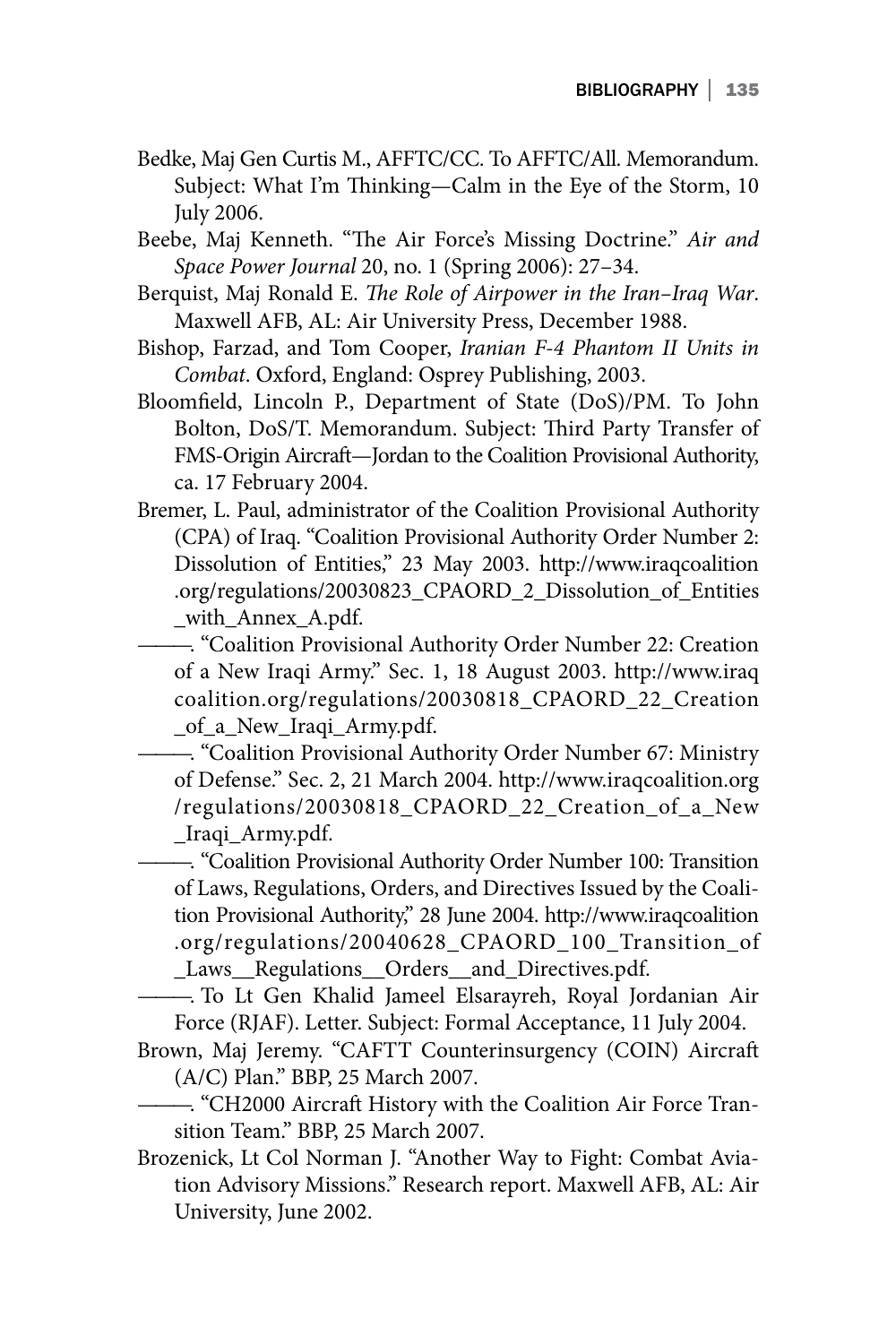- Bedke, Maj Gen Curtis M., AFFTC/CC. To AFFTC/All. Memorandum. Subject: What I'm Thinking—Calm in the Eye of the Storm, 10 July 2006.
- Beebe, Maj Kenneth. "The Air Force's Missing Doctrine." *Air and Space Power Journal* 20, no. 1 (Spring 2006): 27–34.
- Berquist, Maj Ronald E. *The Role of Airpower in the Iran–Iraq War*. Maxwell AFB, AL: Air University Press, December 1988.
- Bishop, Farzad, and Tom Cooper, *Iranian F-4 Phantom II Units in Combat*. Oxford, England: Osprey Publishing, 2003.
- Bloomfield, Lincoln P., Department of State (DoS)/PM. To John Bolton, DoS/T. Memorandum. Subject: Third Party Transfer of FMS-Origin Aircraft—Jordan to the Coalition Provisional Authority, ca. 17 February 2004.
- Bremer, L. Paul, administrator of the Coalition Provisional Authority (CPA) of Iraq. "Coalition Provisional Authority Order Number 2: Dissolution of Entities," 23 May 2003. http://www.iraqcoalition .org/regulations/20030823\_CPAORD\_2\_Dissolution\_of\_Entities with Annex A.pdf.

———. "Coalition Provisional Authority Order Number 22: Creation of a New Iraqi Army." Sec. 1, 18 August 2003. http://www.iraq coalition.org/regulations/20030818\_CPAORD\_22\_Creation \_of\_a\_New\_Iraqi\_Army.pdf.

———. "Coalition Provisional Authority Order Number 67: Ministry of Defense." Sec. 2, 21 March 2004. http://www.iraqcoalition.org /regulations/20030818\_CPAORD\_22\_Creation\_of\_a\_New \_Iraqi\_Army.pdf.

———. "Coalition Provisional Authority Order Number 100: Transition of Laws, Regulations, Orders, and Directives Issued by the Coalition Provisional Authority," 28 June 2004. http://www.iraqcoalition .org/regulations/20040628\_CPAORD\_100\_Transition\_of \_Laws\_\_Regulations\_\_Orders\_\_and\_Directives.pdf.

———. To Lt Gen Khalid Jameel Elsarayreh, Royal Jordanian Air Force (RJAF). Letter. Subject: Formal Acceptance, 11 July 2004.

- Brown, Maj Jeremy. "CAFTT Counterinsurgency (COIN) Aircraft (A/C) Plan." BBP, 25 March 2007.
- ———. "CH2000 Aircraft History with the Coalition Air Force Transition Team." BBP, 25 March 2007.
- Brozenick, Lt Col Norman J. "Another Way to Fight: Combat Aviation Advisory Missions." Research report. Maxwell AFB, AL: Air University, June 2002.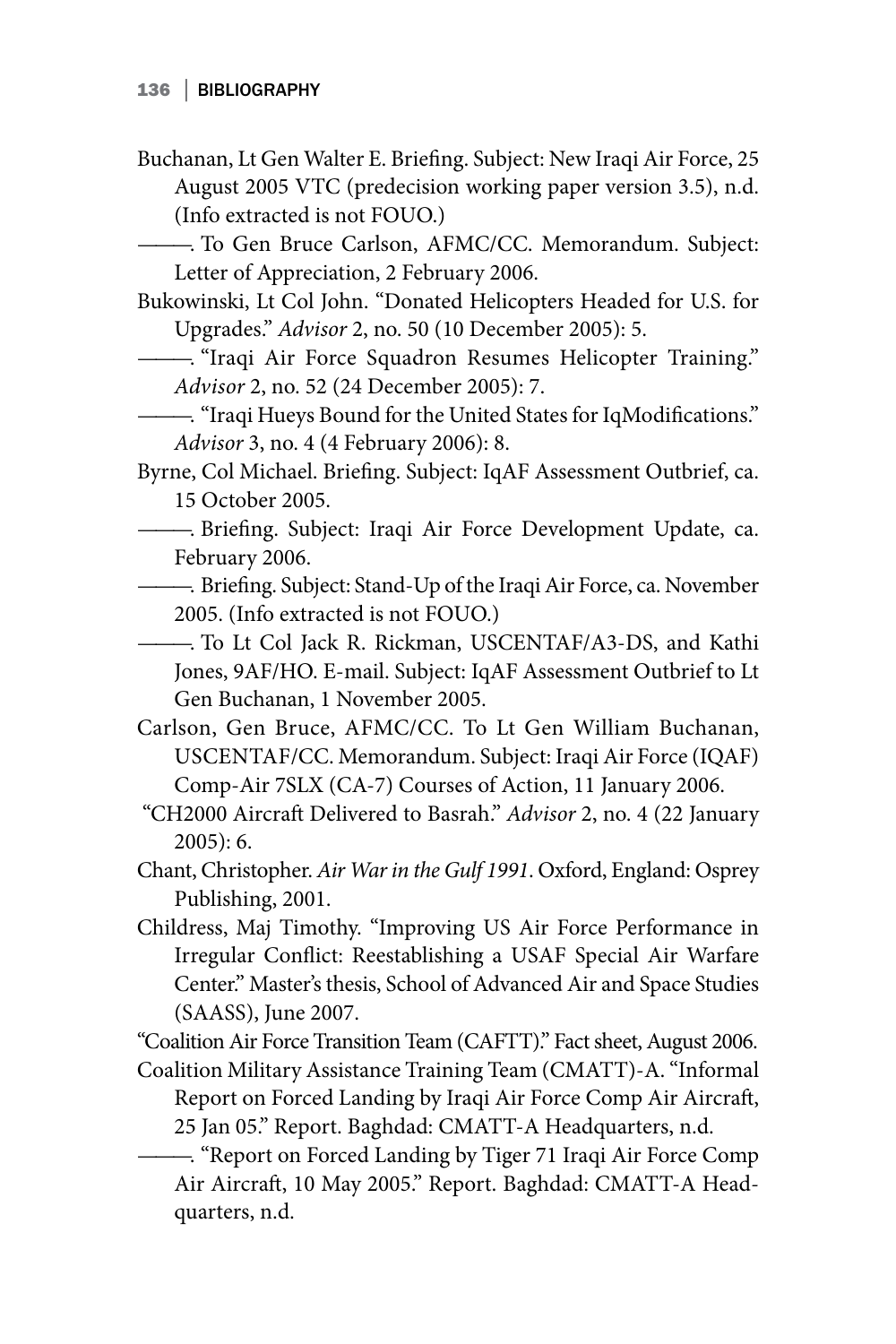Buchanan, Lt Gen Walter E. Briefing. Subject: New Iraqi Air Force, 25 August 2005 VTC (predecision working paper version 3.5), n.d. (Info extracted is not FOUO.)

———. To Gen Bruce Carlson, AFMC/CC. Memorandum. Subject: Letter of Appreciation, 2 February 2006.

Bukowinski, Lt Col John. "Donated Helicopters Headed for U.S. for Upgrades." *Advisor* 2, no. 50 (10 December 2005): 5.

———. "Iraqi Air Force Squadron Resumes Helicopter Training." *Advisor* 2, no. 52 (24 December 2005): 7.

———. "Iraqi Hueys Bound for the United States for IqModifications." *Advisor* 3, no. 4 (4 February 2006): 8.

Byrne, Col Michael. Briefing. Subject: IqAF Assessment Outbrief, ca. 15 October 2005.

- ———. Briefing. Subject: Iraqi Air Force Development Update, ca. February 2006.
- ———. Briefing. Subject: Stand-Up of the Iraqi Air Force, ca. November 2005. (Info extracted is not FOUO.)

———. To Lt Col Jack R. Rickman, USCENTAF/A3-DS, and Kathi Jones, 9AF/HO. E-mail. Subject: IqAF Assessment Outbrief to Lt Gen Buchanan, 1 November 2005.

Carlson, Gen Bruce, AFMC/CC. To Lt Gen William Buchanan, USCENTAF/CC. Memorandum. Subject: Iraqi Air Force (IQAF) Comp-Air 7SLX (CA-7) Courses of Action, 11 January 2006.

 "CH2000 Aircraft Delivered to Basrah." *Advisor* 2, no. 4 (22 January 2005): 6.

- Chant, Christopher. *Air War in the Gulf 1991*. Oxford, England: Osprey Publishing, 2001.
- Childress, Maj Timothy. "Improving US Air Force Performance in Irregular Conflict: Reestablishing a USAF Special Air Warfare Center." Master's thesis, School of Advanced Air and Space Studies (SAASS), June 2007.

"Coalition Air Force Transition Team (CAFTT)." Fact sheet, August 2006.

Coalition Military Assistance Training Team (CMATT)-A. "Informal Report on Forced Landing by Iraqi Air Force Comp Air Aircraft, 25 Jan 05." Report. Baghdad: CMATT-A Headquarters, n.d.

———. "Report on Forced Landing by Tiger 71 Iraqi Air Force Comp Air Aircraft, 10 May 2005." Report. Baghdad: CMATT-A Headquarters, n.d.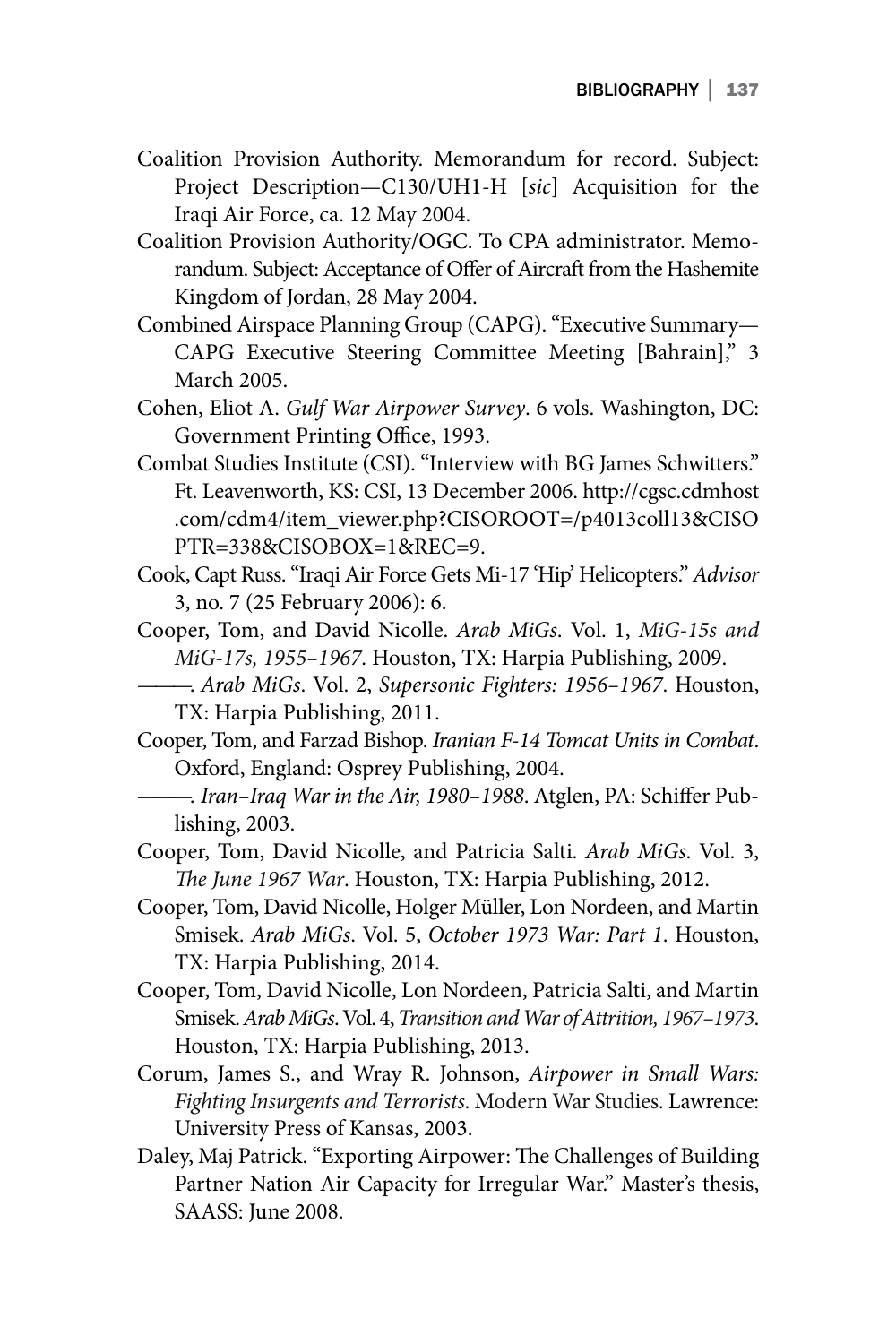- Coalition Provision Authority. Memorandum for record. Subject: Project Description—C130/UH1-H [*sic*] Acquisition for the Iraqi Air Force, ca. 12 May 2004.
- Coalition Provision Authority/OGC. To CPA administrator. Memorandum. Subject: Acceptance of Offer of Aircraft from the Hashemite Kingdom of Jordan, 28 May 2004.
- Combined Airspace Planning Group (CAPG). "Executive Summary— CAPG Executive Steering Committee Meeting [Bahrain]," 3 March 2005.
- Cohen, Eliot A. *Gulf War Airpower Survey*. 6 vols. Washington, DC: Government Printing Office, 1993.
- Combat Studies Institute (CSI). "Interview with BG James Schwitters." Ft. Leavenworth, KS: CSI, 13 December 2006. http://cgsc.cdmhost .com/cdm4/item\_viewer.php?CISOROOT=/p4013coll13&CISO PTR=338&CISOBOX=1&REC=9.
- Cook, Capt Russ. "Iraqi Air Force Gets Mi-17 'Hip' Helicopters." *Advisor* 3, no. 7 (25 February 2006): 6.
- Cooper, Tom, and David Nicolle. *Arab MiGs*. Vol. 1, *MiG-15s and MiG-17s, 1955–1967*. Houston, TX: Harpia Publishing, 2009.
- ———. *Arab MiGs*. Vol. 2, *Supersonic Fighters: 1956–1967*. Houston, TX: Harpia Publishing, 2011.
- Cooper, Tom, and Farzad Bishop. *Iranian F-14 Tomcat Units in Combat*. Oxford, England: Osprey Publishing, 2004.
- ———. *Iran–Iraq War in the Air, 1980–1988*. Atglen, PA: Schiffer Publishing, 2003.
- Cooper, Tom, David Nicolle, and Patricia Salti. *Arab MiGs*. Vol. 3, *The June 1967 War*. Houston, TX: Harpia Publishing, 2012.
- Cooper, Tom, David Nicolle, Holger Müller, Lon Nordeen, and Martin Smisek. *Arab MiGs*. Vol. 5, *October 1973 War: Part 1*. Houston, TX: Harpia Publishing, 2014.
- Cooper, Tom, David Nicolle, Lon Nordeen, Patricia Salti, and Martin Smisek. *Arab MiGs*. Vol. 4, *Transition and War of Attrition, 1967–1973*. Houston, TX: Harpia Publishing, 2013.
- Corum, James S., and Wray R. Johnson, *Airpower in Small Wars: Fighting Insurgents and Terrorists*. Modern War Studies. Lawrence: University Press of Kansas, 2003.
- Daley, Maj Patrick. "Exporting Airpower: The Challenges of Building Partner Nation Air Capacity for Irregular War." Master's thesis, SAASS: June 2008.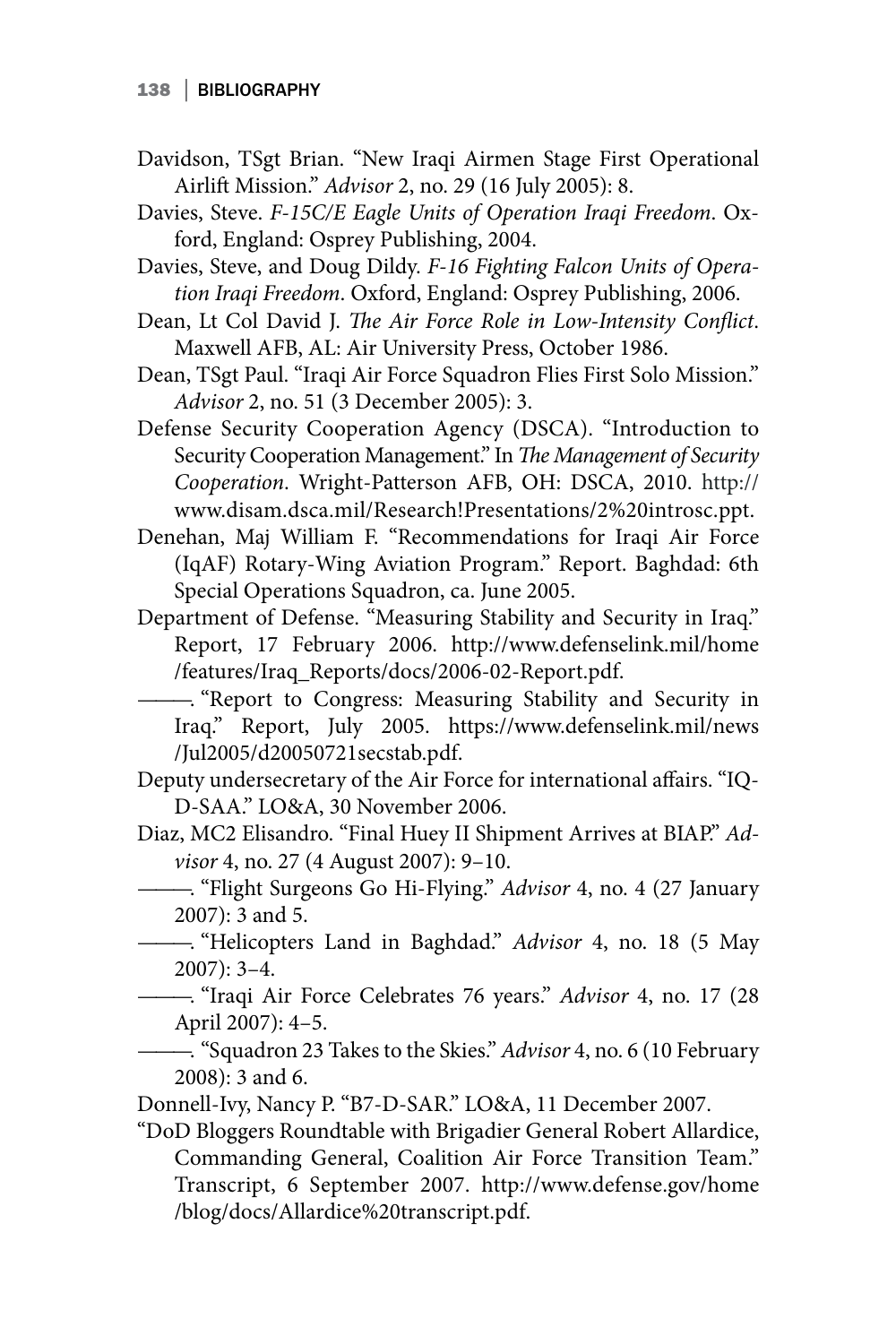- Davidson, TSgt Brian. "New Iraqi Airmen Stage First Operational Airlift Mission." *Advisor* 2, no. 29 (16 July 2005): 8.
- Davies, Steve. *F-15C/E Eagle Units of Operation Iraqi Freedom*. Oxford, England: Osprey Publishing, 2004.
- Davies, Steve, and Doug Dildy. *F-16 Fighting Falcon Units of Operation Iraqi Freedom*. Oxford, England: Osprey Publishing, 2006.
- Dean, Lt Col David J. *The Air Force Role in Low-Intensity Conflict*. Maxwell AFB, AL: Air University Press, October 1986.
- Dean, TSgt Paul. "Iraqi Air Force Squadron Flies First Solo Mission." *Advisor* 2, no. 51 (3 December 2005): 3.
- Defense Security Cooperation Agency (DSCA). "Introduction to Security Cooperation Management." In *The Management of Security Cooperation*. Wright-Patterson AFB, OH: DSCA, 2010. http:// www.disam.dsca.mil/Research!Presentations/2%20introsc.ppt.
- Denehan, Maj William F. "Recommendations for Iraqi Air Force (IqAF) Rotary-Wing Aviation Program." Report. Baghdad: 6th Special Operations Squadron, ca. June 2005.
- Department of Defense. "Measuring Stability and Security in Iraq." Report, 17 February 2006. http://www.defenselink.mil/home /features/Iraq\_Reports/docs/2006-02-Report.pdf.
	- ———. "Report to Congress: Measuring Stability and Security in Iraq." Report, July 2005. https://www.defenselink.mil/news /Jul2005/d20050721secstab.pdf.
- Deputy undersecretary of the Air Force for international affairs. "IQ-D-SAA." LO&A, 30 November 2006.
- Diaz, MC2 Elisandro. "Final Huey II Shipment Arrives at BIAP." *Advisor* 4, no. 27 (4 August 2007): 9–10.
- ———. "Flight Surgeons Go Hi-Flying." *Advisor* 4, no. 4 (27 January 2007): 3 and 5.
	- ———. "Helicopters Land in Baghdad." *Advisor* 4, no. 18 (5 May 2007): 3–4.
- ———. "Iraqi Air Force Celebrates 76 years." *Advisor* 4, no. 17 (28 April 2007): 4–5.
- ———. "Squadron 23 Takes to the Skies." *Advisor* 4, no. 6 (10 February 2008): 3 and 6.
- Donnell-Ivy, Nancy P. "B7-D-SAR." LO&A, 11 December 2007.
- "DoD Bloggers Roundtable with Brigadier General Robert Allardice, Commanding General, Coalition Air Force Transition Team." Transcript, 6 September 2007. http://www.defense.gov/home /blog/docs/Allardice%20transcript.pdf.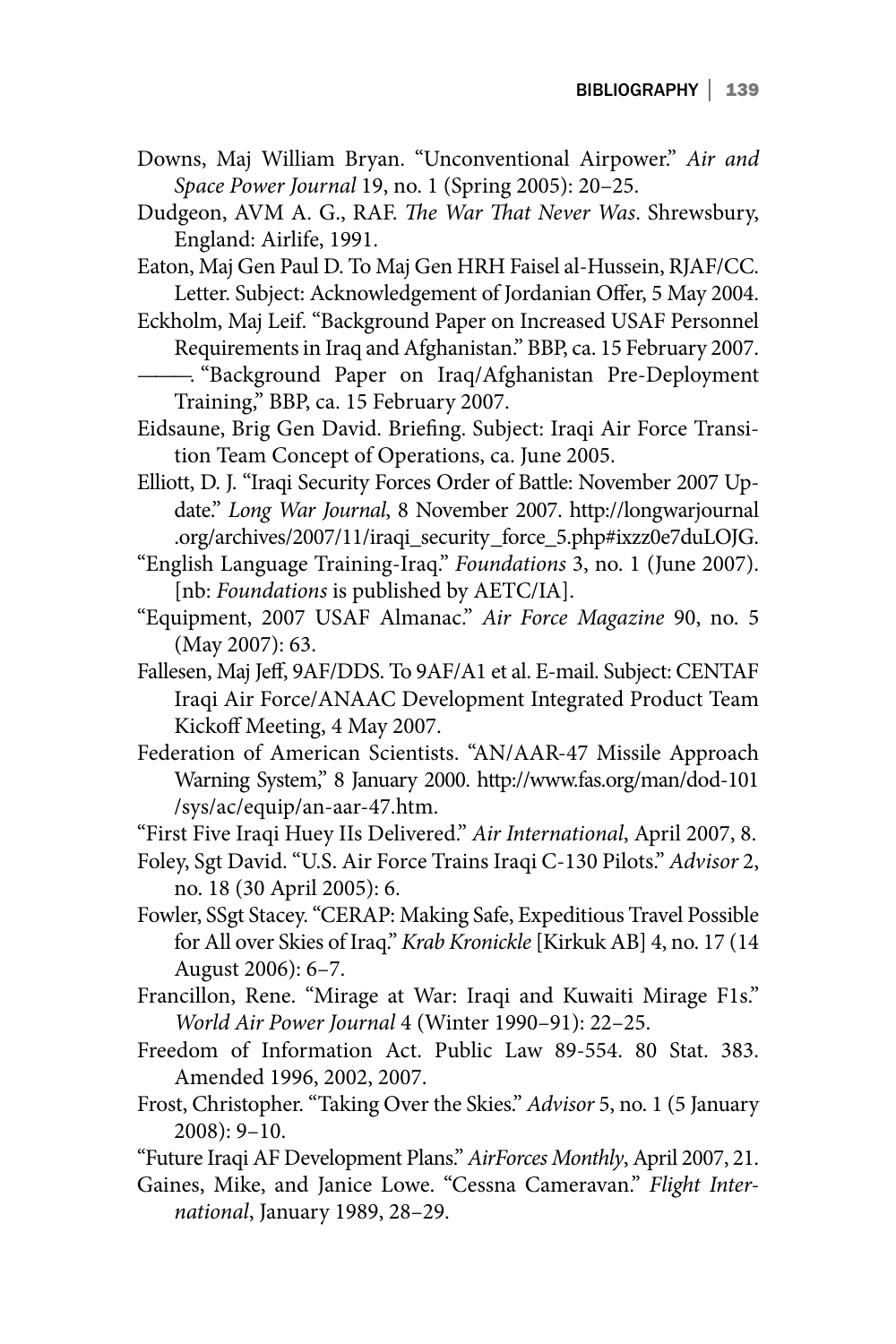- Downs, Maj William Bryan. "Unconventional Airpower." *Air and Space Power Journal* 19, no. 1 (Spring 2005): 20–25.
- Dudgeon, AVM A. G., RAF. *The War That Never Was*. Shrewsbury, England: Airlife, 1991.
- Eaton, Maj Gen Paul D. To Maj Gen HRH Faisel al-Hussein, RJAF/CC. Letter. Subject: Acknowledgement of Jordanian Offer, 5 May 2004.
- Eckholm, Maj Leif. "Background Paper on Increased USAF Personnel Requirements in Iraq and Afghanistan." BBP, ca. 15 February 2007.
- ———. "Background Paper on Iraq/Afghanistan Pre-Deployment Training," BBP, ca. 15 February 2007.
- Eidsaune, Brig Gen David. Briefing. Subject: Iraqi Air Force Transition Team Concept of Operations, ca. June 2005.
- Elliott, D. J. "Iraqi Security Forces Order of Battle: November 2007 Update." *Long War Journal*, 8 November 2007. http://longwarjournal .org/archives/2007/11/iraqi\_security \_force\_5.php#ixzz0e7duLOJG.
- "English Language Training-Iraq." *Foundations* 3, no. 1 (June 2007). [nb: *Foundations* is published by AETC/IA].
- "Equipment, 2007 USAF Almanac." *Air Force Magazine* 90, no. 5 (May 2007): 63.
- Fallesen, Maj Jeff, 9AF/DDS. To 9AF/A1 et al. E-mail. Subject: CENTAF Iraqi Air Force/ANAAC Development Integrated Product Team Kickoff Meeting, 4 May 2007.
- Federation of American Scientists. "AN/AAR-47 Missile Approach Warning System," 8 January 2000. http://www.fas.org/man/dod-101 /sys/ac/equip/an-aar-47.htm.
- "First Five Iraqi Huey IIs Delivered." *Air International*, April 2007, 8.
- Foley, Sgt David. "U.S. Air Force Trains Iraqi C-130 Pilots." *Advisor* 2, no. 18 (30 April 2005): 6.
- Fowler, SSgt Stacey. "CERAP: Making Safe, Expeditious Travel Possible for All over Skies of Iraq." *Krab Kronickle* [Kirkuk AB] 4, no. 17 (14 August 2006): 6–7.
- Francillon, Rene. "Mirage at War: Iraqi and Kuwaiti Mirage F1s." *World Air Power Journal* 4 (Winter 1990–91): 22–25.
- Freedom of Information Act. Public Law 89-554. 80 Stat. 383. Amended 1996, 2002, 2007.
- Frost, Christopher. "Taking Over the Skies." *Advisor* 5, no. 1 (5 January 2008): 9–10.
- "Future Iraqi AF Development Plans." *AirForces Monthly*, April 2007, 21.
- Gaines, Mike, and Janice Lowe. "Cessna Cameravan." *Flight International*, January 1989, 28–29.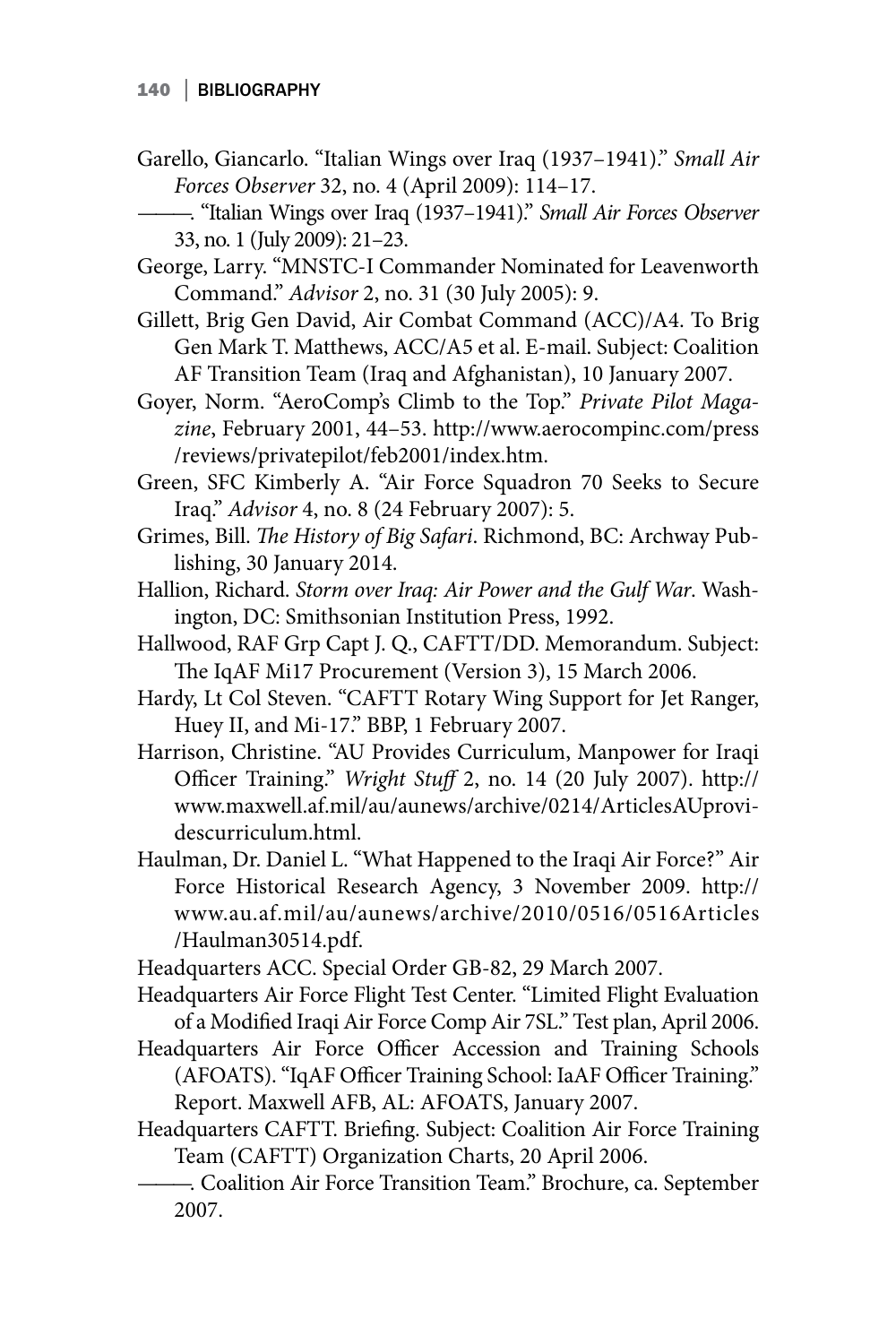- Garello, Giancarlo. "Italian Wings over Iraq (1937–1941)." *Small Air Forces Observer* 32, no. 4 (April 2009): 114–17.
- ———. "Italian Wings over Iraq (1937–1941)." *Small Air Forces Observer* 33, no. 1 (July 2009): 21–23.
- George, Larry. "MNSTC-I Commander Nominated for Leavenworth Command." *Advisor* 2, no. 31 (30 July 2005): 9.
- Gillett, Brig Gen David, Air Combat Command (ACC)/A4. To Brig Gen Mark T. Matthews, ACC/A5 et al. E-mail. Subject: Coalition AF Transition Team (Iraq and Afghanistan), 10 January 2007.
- Goyer, Norm. "AeroComp's Climb to the Top." *Private Pilot Magazine*, February 2001, 44–53. http://www.aerocompinc.com/press /reviews/privatepilot/feb2001/index.htm.
- Green, SFC Kimberly A. "Air Force Squadron 70 Seeks to Secure Iraq." *Advisor* 4, no. 8 (24 February 2007): 5.
- Grimes, Bill. *The History of Big Safari*. Richmond, BC: Archway Publishing, 30 January 2014.
- Hallion, Richard. *Storm over Iraq: Air Power and the Gulf War*. Washington, DC: Smithsonian Institution Press, 1992.
- Hallwood, RAF Grp Capt J. Q., CAFTT/DD. Memorandum. Subject: The IqAF Mi17 Procurement (Version 3), 15 March 2006.
- Hardy, Lt Col Steven. "CAFTT Rotary Wing Support for Jet Ranger, Huey II, and Mi-17." BBP, 1 February 2007.
- Harrison, Christine. "AU Provides Curriculum, Manpower for Iraqi Officer Training." *Wright Stuff* 2, no. 14 (20 July 2007). http:// www.maxwell.af.mil/au/aunews/archive/0214/ArticlesAUprovidescurriculum.html.
- Haulman, Dr. Daniel L. "What Happened to the Iraqi Air Force?" Air Force Historical Research Agency, 3 November 2009. http:// www.au.af.mil/au/aunews/archive/2010/0516/0516Articles /Haulman30514.pdf.

Headquarters ACC. Special Order GB-82, 29 March 2007.

- Headquarters Air Force Flight Test Center. "Limited Flight Evaluation of a Modified Iraqi Air Force Comp Air 7SL." Test plan, April 2006.
- Headquarters Air Force Officer Accession and Training Schools (AFOATS). "IqAF Officer Training School: IaAF Officer Training." Report. Maxwell AFB, AL: AFOATS, January 2007.
- Headquarters CAFTT. Briefing. Subject: Coalition Air Force Training Team (CAFTT) Organization Charts, 20 April 2006.
- ———. Coalition Air Force Transition Team." Brochure, ca. September 2007.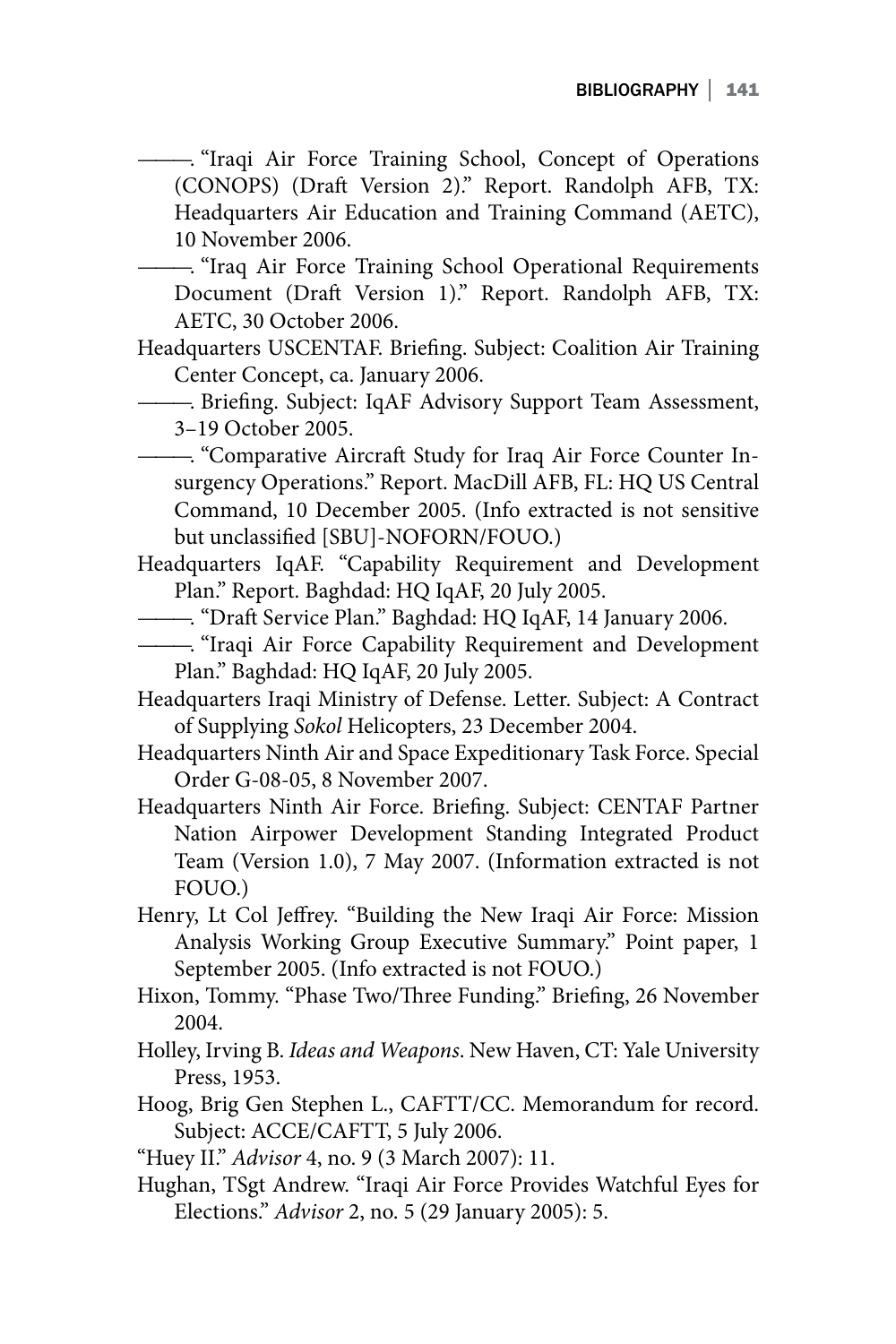———. "Iraqi Air Force Training School, Concept of Operations (CONOPS) (Draft Version 2)." Report. Randolph AFB, TX: Headquarters Air Education and Training Command (AETC), 10 November 2006.

———. "Iraq Air Force Training School Operational Requirements Document (Draft Version 1)." Report. Randolph AFB, TX: AETC, 30 October 2006.

- Headquarters USCENTAF. Briefing. Subject: Coalition Air Training Center Concept, ca. January 2006.
- ———. Briefing. Subject: IqAF Advisory Support Team Assessment, 3–19 October 2005.

———. "Comparative Aircraft Study for Iraq Air Force Counter Insurgency Operations." Report. MacDill AFB, FL: HQ US Central Command, 10 December 2005. (Info extracted is not sensitive but unclassified [SBU]-NOFORN/FOUO.)

- Headquarters IqAF. "Capability Requirement and Development Plan." Report. Baghdad: HQ IqAF, 20 July 2005.
- ———. "Draft Service Plan." Baghdad: HQ IqAF, 14 January 2006.
- ———. "Iraqi Air Force Capability Requirement and Development Plan." Baghdad: HQ IqAF, 20 July 2005.
- Headquarters Iraqi Ministry of Defense. Letter. Subject: A Contract of Supplying *Sokol* Helicopters, 23 December 2004.
- Headquarters Ninth Air and Space Expeditionary Task Force. Special Order G-08-05, 8 November 2007.
- Headquarters Ninth Air Force. Briefing. Subject: CENTAF Partner Nation Airpower Development Standing Integrated Product Team (Version 1.0), 7 May 2007. (Information extracted is not FOUO.)
- Henry, Lt Col Jeffrey. "Building the New Iraqi Air Force: Mission Analysis Working Group Executive Summary." Point paper, 1 September 2005. (Info extracted is not FOUO.)
- Hixon, Tommy. "Phase Two/Three Funding." Briefing, 26 November 2004.
- Holley, Irving B. *Ideas and Weapons*. New Haven, CT: Yale University Press, 1953.
- Hoog, Brig Gen Stephen L., CAFTT/CC. Memorandum for record. Subject: ACCE/CAFTT, 5 July 2006.
- "Huey II." *Advisor* 4, no. 9 (3 March 2007): 11.
- Hughan, TSgt Andrew. "Iraqi Air Force Provides Watchful Eyes for Elections." *Advisor* 2, no. 5 (29 January 2005): 5.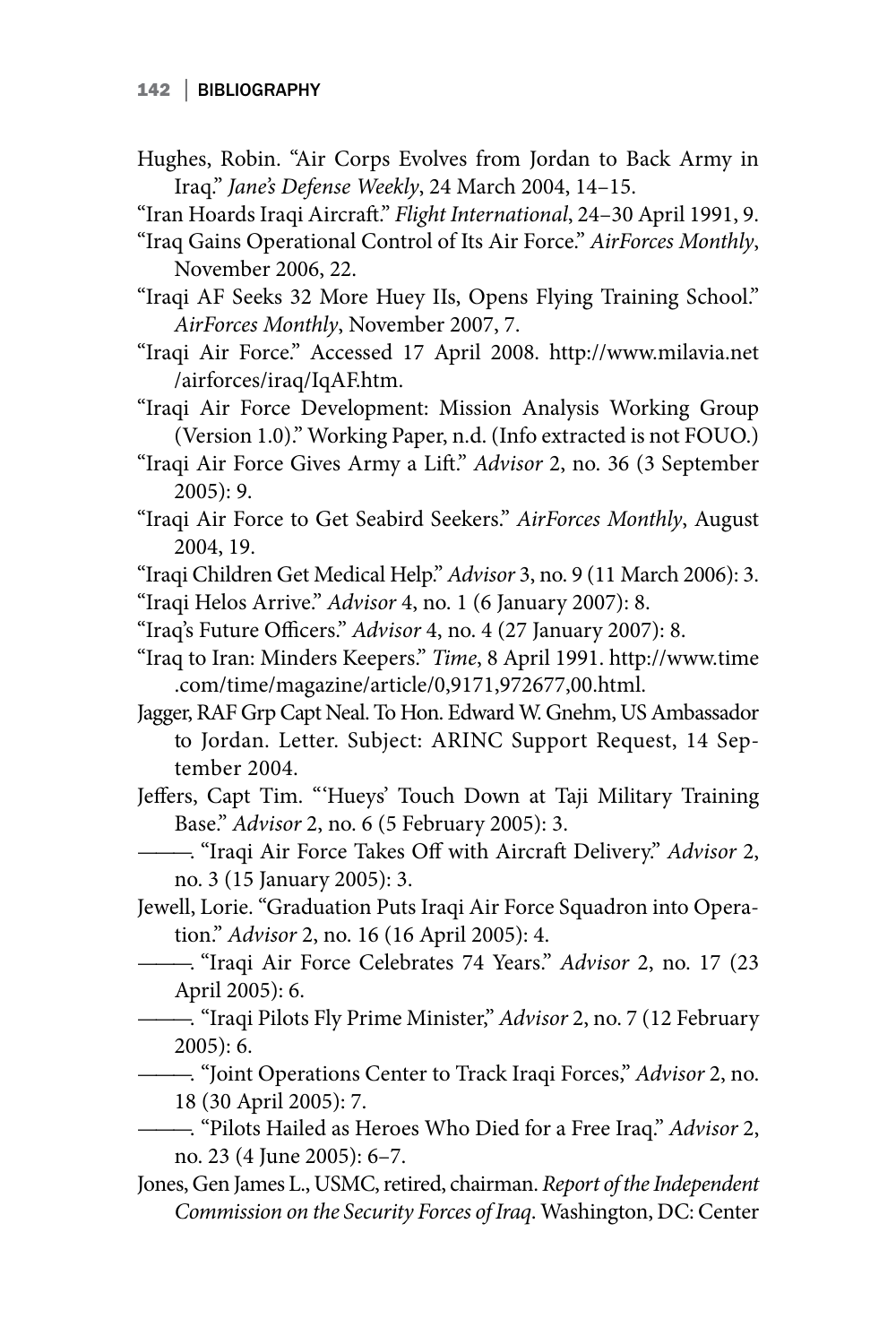- Hughes, Robin. "Air Corps Evolves from Jordan to Back Army in Iraq." *Jane's Defense Weekly*, 24 March 2004, 14–15.
- "Iran Hoards Iraqi Aircraft." *Flight International*, 24–30 April 1991, 9.
- "Iraq Gains Operational Control of Its Air Force." *AirForces Monthly*, November 2006, 22.

"Iraqi AF Seeks 32 More Huey IIs, Opens Flying Training School." *AirForces Monthly*, November 2007, 7.

- "Iraqi Air Force." Accessed 17 April 2008. http://www.milavia.net /airforces/iraq/IqAF.htm.
- "Iraqi Air Force Development: Mission Analysis Working Group (Version 1.0)." Working Paper, n.d. (Info extracted is not FOUO.)
- "Iraqi Air Force Gives Army a Lift." *Advisor* 2, no. 36 (3 September 2005): 9.
- "Iraqi Air Force to Get Seabird Seekers." *AirForces Monthly*, August 2004, 19.
- "Iraqi Children Get Medical Help." *Advisor* 3, no. 9 (11 March 2006): 3.

"Iraqi Helos Arrive." *Advisor* 4, no. 1 (6 January 2007): 8.

- "Iraq's Future Officers." *Advisor* 4, no. 4 (27 January 2007): 8.
- "Iraq to Iran: Minders Keepers." *Time*, 8 April 1991. http://www.time .com/time/magazine/article/0,9171,972677,00.html.
- Jagger, RAF Grp Capt Neal. To Hon. Edward W. Gnehm, US Ambassador to Jordan. Letter. Subject: ARINC Support Request, 14 September 2004.
- Jeffers, Capt Tim. "'Hueys' Touch Down at Taji Military Training Base." *Advisor* 2, no. 6 (5 February 2005): 3.
- ———. "Iraqi Air Force Takes Off with Aircraft Delivery." *Advisor* 2, no. 3 (15 January 2005): 3.
- Jewell, Lorie. "Graduation Puts Iraqi Air Force Squadron into Operation." *Advisor* 2, no. 16 (16 April 2005): 4.
- ———. "Iraqi Air Force Celebrates 74 Years." *Advisor* 2, no. 17 (23 April 2005): 6.
- ———. "Iraqi Pilots Fly Prime Minister," *Advisor* 2, no. 7 (12 February 2005): 6.

———. "Joint Operations Center to Track Iraqi Forces," *Advisor* 2, no. 18 (30 April 2005): 7.

- ———. "Pilots Hailed as Heroes Who Died for a Free Iraq." *Advisor* 2, no. 23 (4 June 2005): 6–7.
- Jones, Gen James L., USMC, retired, chairman. *Report of the Independent Commission on the Security Forces of Iraq*. Washington, DC: Center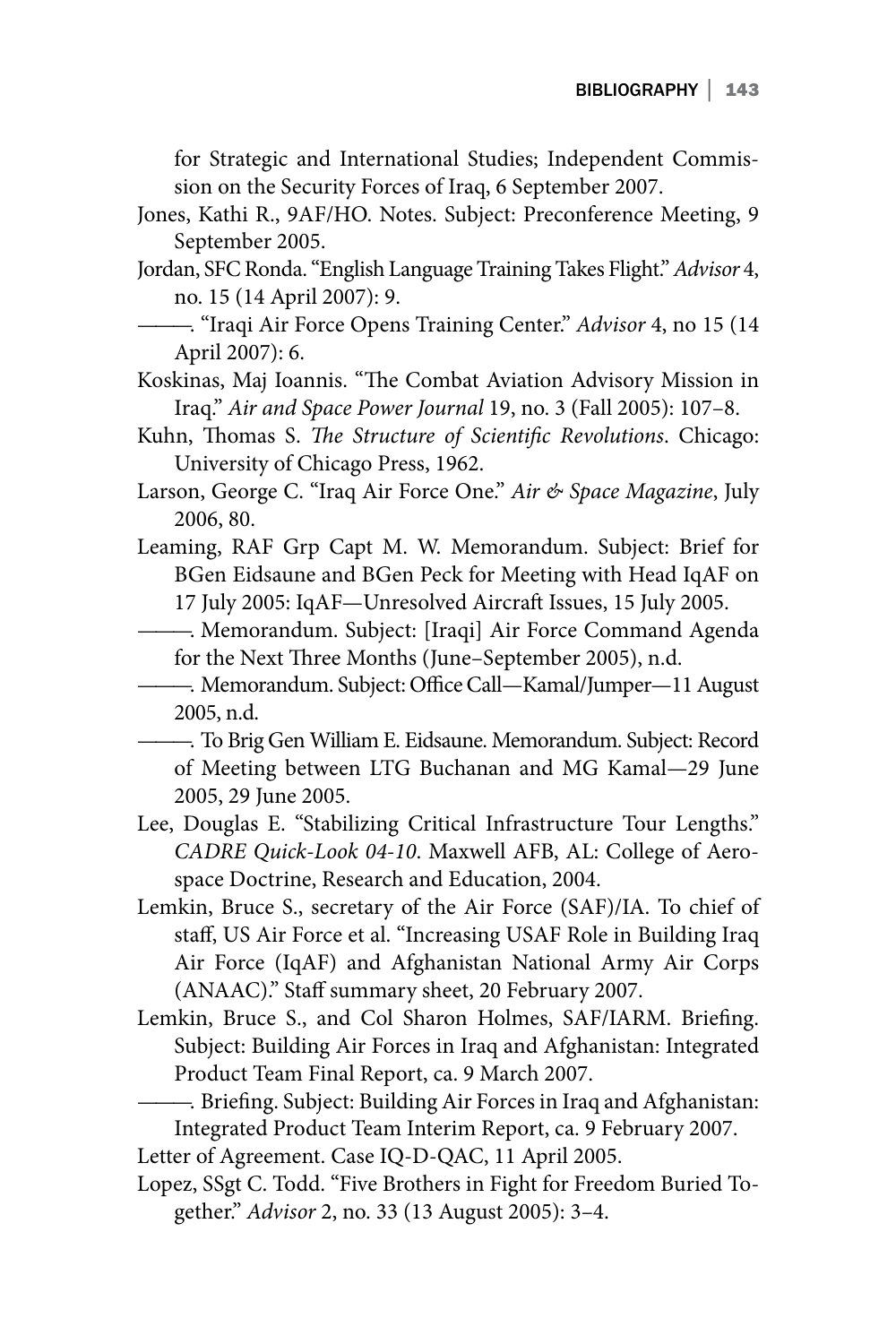for Strategic and International Studies; Independent Commission on the Security Forces of Iraq, 6 September 2007.

- Jones, Kathi R., 9AF/HO. Notes. Subject: Preconference Meeting, 9 September 2005.
- Jordan, SFC Ronda. "English Language Training Takes Flight." *Advisor* 4, no. 15 (14 April 2007): 9.
- ———. "Iraqi Air Force Opens Training Center." *Advisor* 4, no 15 (14 April 2007): 6.
- Koskinas, Maj Ioannis. "The Combat Aviation Advisory Mission in Iraq." *Air and Space Power Journal* 19, no. 3 (Fall 2005): 107–8.
- Kuhn, Thomas S. *The Structure of Scientific Revolutions*. Chicago: University of Chicago Press, 1962.
- Larson, George C. "Iraq Air Force One." *Air & Space Magazine*, July 2006, 80.
- Leaming, RAF Grp Capt M. W. Memorandum. Subject: Brief for BGen Eidsaune and BGen Peck for Meeting with Head IqAF on 17 July 2005: IqAF—Unresolved Aircraft Issues, 15 July 2005.
- ———. Memorandum. Subject: [Iraqi] Air Force Command Agenda for the Next Three Months (June–September 2005), n.d.
- ———. Memorandum. Subject: Office Call—Kamal/Jumper—11 August 2005, n.d.
- ———. To Brig Gen William E. Eidsaune. Memorandum. Subject: Record of Meeting between LTG Buchanan and MG Kamal—29 June 2005, 29 June 2005.
- Lee, Douglas E. "Stabilizing Critical Infrastructure Tour Lengths." *CADRE Quick-Look 04-10*. Maxwell AFB, AL: College of Aerospace Doctrine, Research and Education, 2004.
- Lemkin, Bruce S., secretary of the Air Force (SAF)/IA. To chief of staff, US Air Force et al. "Increasing USAF Role in Building Iraq Air Force (IqAF) and Afghanistan National Army Air Corps (ANAAC)." Staff summary sheet, 20 February 2007.
- Lemkin, Bruce S., and Col Sharon Holmes, SAF/IARM. Briefing. Subject: Building Air Forces in Iraq and Afghanistan: Integrated Product Team Final Report, ca. 9 March 2007.
- ———. Briefing. Subject: Building Air Forces in Iraq and Afghanistan: Integrated Product Team Interim Report, ca. 9 February 2007.

Letter of Agreement. Case IQ-D-QAC, 11 April 2005.

Lopez, SSgt C. Todd. "Five Brothers in Fight for Freedom Buried Together." *Advisor* 2, no. 33 (13 August 2005): 3–4.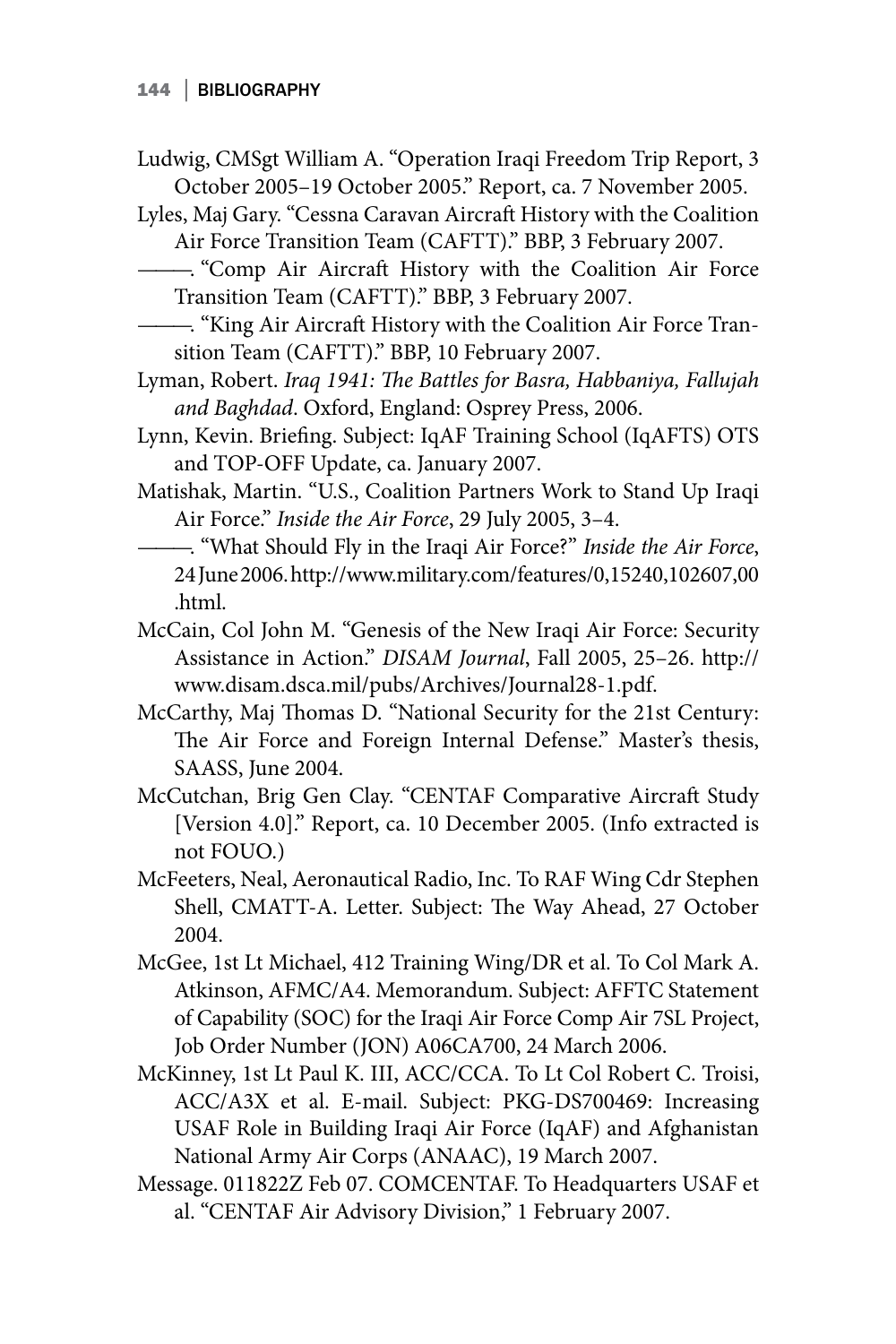- Ludwig, CMSgt William A. "Operation Iraqi Freedom Trip Report, 3 October 2005–19 October 2005." Report, ca. 7 November 2005.
- Lyles, Maj Gary. "Cessna Caravan Aircraft History with the Coalition Air Force Transition Team (CAFTT)." BBP, 3 February 2007.
	- ———. "Comp Air Aircraft History with the Coalition Air Force Transition Team (CAFTT)." BBP, 3 February 2007.
- ———. "King Air Aircraft History with the Coalition Air Force Transition Team (CAFTT)." BBP, 10 February 2007.
- Lyman, Robert. *Iraq 1941: The Battles for Basra, Habbaniya, Fallujah and Baghdad*. Oxford, England: Osprey Press, 2006.
- Lynn, Kevin. Briefing. Subject: IqAF Training School (IqAFTS) OTS and TOP-OFF Update, ca. January 2007.
- Matishak, Martin. "U.S., Coalition Partners Work to Stand Up Iraqi Air Force." *Inside the Air Force*, 29 July 2005, 3–4.
- ———. "What Should Fly in the Iraqi Air Force?" *Inside the Air Force*, 24 June 2006. http://www.military.com/features/0,15240,102607,00 .html.
- McCain, Col John M. "Genesis of the New Iraqi Air Force: Security Assistance in Action." *DISAM Journal*, Fall 2005, 25–26. http:// www.disam.dsca.mil/pubs/Archives/Journal28-1.pdf.
- McCarthy, Maj Thomas D. "National Security for the 21st Century: The Air Force and Foreign Internal Defense." Master's thesis, SAASS, June 2004.
- McCutchan, Brig Gen Clay. "CENTAF Comparative Aircraft Study [Version 4.0]." Report, ca. 10 December 2005. (Info extracted is not FOUO.)
- McFeeters, Neal, Aeronautical Radio, Inc. To RAF Wing Cdr Stephen Shell, CMATT-A. Letter. Subject: The Way Ahead, 27 October 2004.
- McGee, 1st Lt Michael, 412 Training Wing/DR et al. To Col Mark A. Atkinson, AFMC/A4. Memorandum. Subject: AFFTC Statement of Capability (SOC) for the Iraqi Air Force Comp Air 7SL Project, Job Order Number (JON) A06CA700, 24 March 2006.
- McKinney, 1st Lt Paul K. III, ACC/CCA. To Lt Col Robert C. Troisi, ACC/A3X et al. E-mail. Subject: PKG-DS700469: Increasing USAF Role in Building Iraqi Air Force (IqAF) and Afghanistan National Army Air Corps (ANAAC), 19 March 2007.
- Message. 011822Z Feb 07. COMCENTAF. To Headquarters USAF et al. "CENTAF Air Advisory Division," 1 February 2007.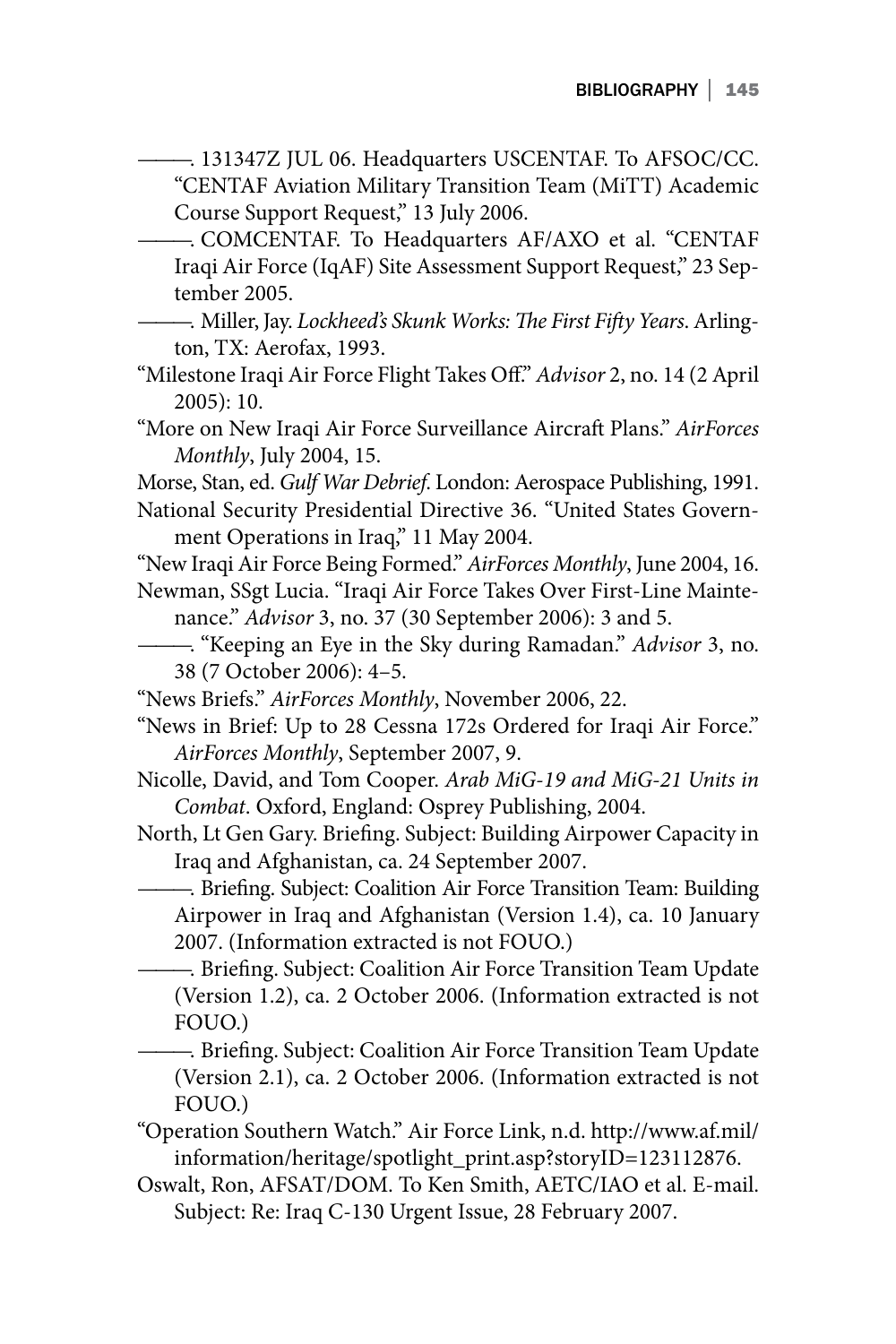- ———. 131347Z JUL 06. Headquarters USCENTAF. To AFSOC/CC. "CENTAF Aviation Military Transition Team (MiTT) Academic Course Support Request," 13 July 2006.
- ———. COMCENTAF. To Headquarters AF/AXO et al. "CENTAF Iraqi Air Force (IqAF) Site Assessment Support Request," 23 September 2005.
- ———. Miller, Jay. *Lockheed's Skunk Works: The First Fifty Years*. Arlington, TX: Aerofax, 1993.
- "Milestone Iraqi Air Force Flight Takes Off." *Advisor* 2, no. 14 (2 April 2005): 10.
- "More on New Iraqi Air Force Surveillance Aircraft Plans." *AirForces Monthly*, July 2004, 15.

Morse, Stan, ed. *Gulf War Debrief*. London: Aerospace Publishing, 1991.

National Security Presidential Directive 36. "United States Government Operations in Iraq," 11 May 2004.

"New Iraqi Air Force Being Formed." *AirForces Monthly*, June 2004, 16.

- Newman, SSgt Lucia. "Iraqi Air Force Takes Over First-Line Maintenance." *Advisor* 3, no. 37 (30 September 2006): 3 and 5.
- ———. "Keeping an Eye in the Sky during Ramadan." *Advisor* 3, no. 38 (7 October 2006): 4–5.
- "News Briefs." *AirForces Monthly*, November 2006, 22.
- "News in Brief: Up to 28 Cessna 172s Ordered for Iraqi Air Force." *AirForces Monthly*, September 2007, 9.
- Nicolle, David, and Tom Cooper. *Arab MiG-19 and MiG-21 Units in Combat*. Oxford, England: Osprey Publishing, 2004.
- North, Lt Gen Gary. Briefing. Subject: Building Airpower Capacity in Iraq and Afghanistan, ca. 24 September 2007.
	- ———. Briefing. Subject: Coalition Air Force Transition Team: Building Airpower in Iraq and Afghanistan (Version 1.4), ca. 10 January 2007. (Information extracted is not FOUO.)
	- ———. Briefing. Subject: Coalition Air Force Transition Team Update (Version 1.2), ca. 2 October 2006. (Information extracted is not FOUO.)
- ———. Briefing. Subject: Coalition Air Force Transition Team Update (Version 2.1), ca. 2 October 2006. (Information extracted is not FOUO.)
- "Operation Southern Watch." Air Force Link, n.d. http://www.af.mil/ information/heritage/spotlight\_print.asp?storyID=123112876.
- Oswalt, Ron, AFSAT/DOM. To Ken Smith, AETC/IAO et al. E-mail. Subject: Re: Iraq C-130 Urgent Issue, 28 February 2007.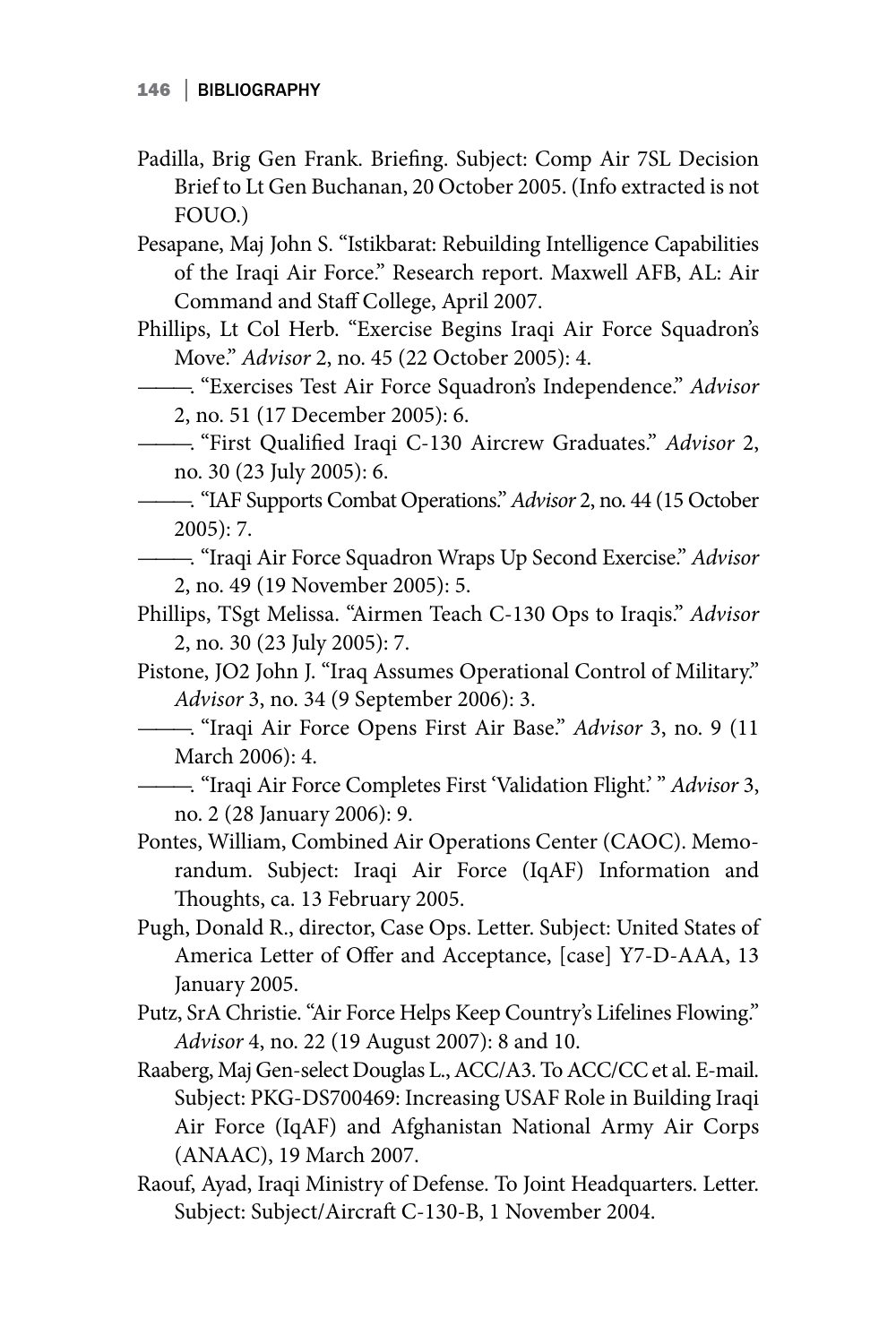- Padilla, Brig Gen Frank. Briefing. Subject: Comp Air 7SL Decision Brief to Lt Gen Buchanan, 20 October 2005. (Info extracted is not FOUO.)
- Pesapane, Maj John S. "Istikbarat: Rebuilding Intelligence Capabilities of the Iraqi Air Force." Research report. Maxwell AFB, AL: Air Command and Staff College, April 2007.
- Phillips, Lt Col Herb. "Exercise Begins Iraqi Air Force Squadron's Move." *Advisor* 2, no. 45 (22 October 2005): 4.
- ———. "Exercises Test Air Force Squadron's Independence." *Advisor* 2, no. 51 (17 December 2005): 6.
- ———. "First Qualified Iraqi C-130 Aircrew Graduates." *Advisor* 2, no. 30 (23 July 2005): 6.
- ———. "IAF Supports Combat Operations." *Advisor* 2, no. 44 (15 October 2005): 7.
- ———. "Iraqi Air Force Squadron Wraps Up Second Exercise." *Advisor* 2, no. 49 (19 November 2005): 5.
- Phillips, TSgt Melissa. "Airmen Teach C-130 Ops to Iraqis." *Advisor* 2, no. 30 (23 July 2005): 7.
- Pistone, JO2 John J. "Iraq Assumes Operational Control of Military." *Advisor* 3, no. 34 (9 September 2006): 3.
- ———. "Iraqi Air Force Opens First Air Base." *Advisor* 3, no. 9 (11 March 2006): 4.
- ———. "Iraqi Air Force Completes First 'Validation Flight.' " *Advisor* 3, no. 2 (28 January 2006): 9.
- Pontes, William, Combined Air Operations Center (CAOC). Memorandum. Subject: Iraqi Air Force (IqAF) Information and Thoughts, ca. 13 February 2005.
- Pugh, Donald R., director, Case Ops. Letter. Subject: United States of America Letter of Offer and Acceptance, [case] Y7-D-AAA, 13 January 2005.
- Putz, SrA Christie. "Air Force Helps Keep Country's Lifelines Flowing." *Advisor* 4, no. 22 (19 August 2007): 8 and 10.
- Raaberg, Maj Gen-select Douglas L., ACC/A3. To ACC/CC et al. E-mail. Subject: PKG-DS700469: Increasing USAF Role in Building Iraqi Air Force (IqAF) and Afghanistan National Army Air Corps (ANAAC), 19 March 2007.
- Raouf, Ayad, Iraqi Ministry of Defense. To Joint Headquarters. Letter. Subject: Subject/Aircraft C-130-B, 1 November 2004.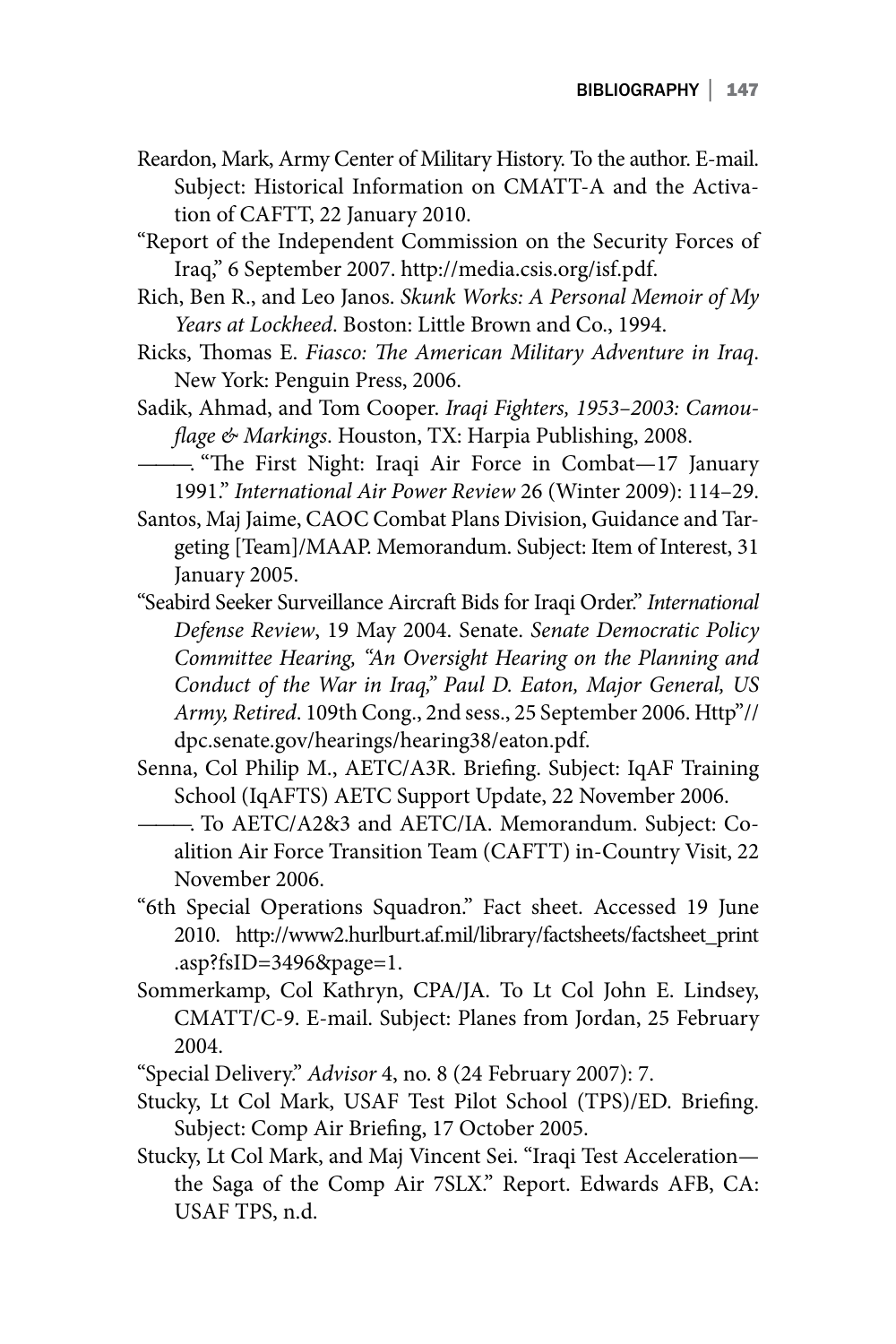- Reardon, Mark, Army Center of Military History. To the author. E-mail. Subject: Historical Information on CMATT-A and the Activation of CAFTT, 22 January 2010.
- "Report of the Independent Commission on the Security Forces of Iraq," 6 September 2007. http://media.csis.org/isf.pdf.
- Rich, Ben R., and Leo Janos. *Skunk Works: A Personal Memoir of My Years at Lockheed*. Boston: Little Brown and Co., 1994.
- Ricks, Thomas E. *Fiasco: The American Military Adventure in Iraq*. New York: Penguin Press, 2006.
- Sadik, Ahmad, and Tom Cooper. *Iraqi Fighters, 1953–2003: Camouflage & Markings*. Houston, TX: Harpia Publishing, 2008.
- ———. "The First Night: Iraqi Air Force in Combat—17 January 1991." *International Air Power Review* 26 (Winter 2009): 114–29.
- Santos, Maj Jaime, CAOC Combat Plans Division, Guidance and Targeting [Team]/MAAP. Memorandum. Subject: Item of Interest, 31 January 2005.
- "Seabird Seeker Surveillance Aircraft Bids for Iraqi Order." *International Defense Review*, 19 May 2004. Senate. *Senate Democratic Policy Committee Hearing, "An Oversight Hearing on the Planning and Conduct of the War in Iraq," Paul D. Eaton, Major General, US Army, Retired*. 109th Cong., 2nd sess., 25 September 2006. Http"// dpc.senate.gov/hearings/hearing38/eaton.pdf.
- Senna, Col Philip M., AETC/A3R. Briefing. Subject: IqAF Training School (IqAFTS) AETC Support Update, 22 November 2006.
- ———. To AETC/A2&3 and AETC/IA. Memorandum. Subject: Coalition Air Force Transition Team (CAFTT) in-Country Visit, 22 November 2006.
- "6th Special Operations Squadron." Fact sheet. Accessed 19 June 2010. http://www2.hurlburt.af.mil/library/factsheets/factsheet\_print .asp?fsID=3496&page=1.
- Sommerkamp, Col Kathryn, CPA/JA. To Lt Col John E. Lindsey, CMATT/C-9. E-mail. Subject: Planes from Jordan, 25 February 2004.
- "Special Delivery." *Advisor* 4, no. 8 (24 February 2007): 7.
- Stucky, Lt Col Mark, USAF Test Pilot School (TPS)/ED. Briefing. Subject: Comp Air Briefing, 17 October 2005.
- Stucky, Lt Col Mark, and Maj Vincent Sei. "Iraqi Test Acceleration the Saga of the Comp Air 7SLX." Report. Edwards AFB, CA: USAF TPS, n.d.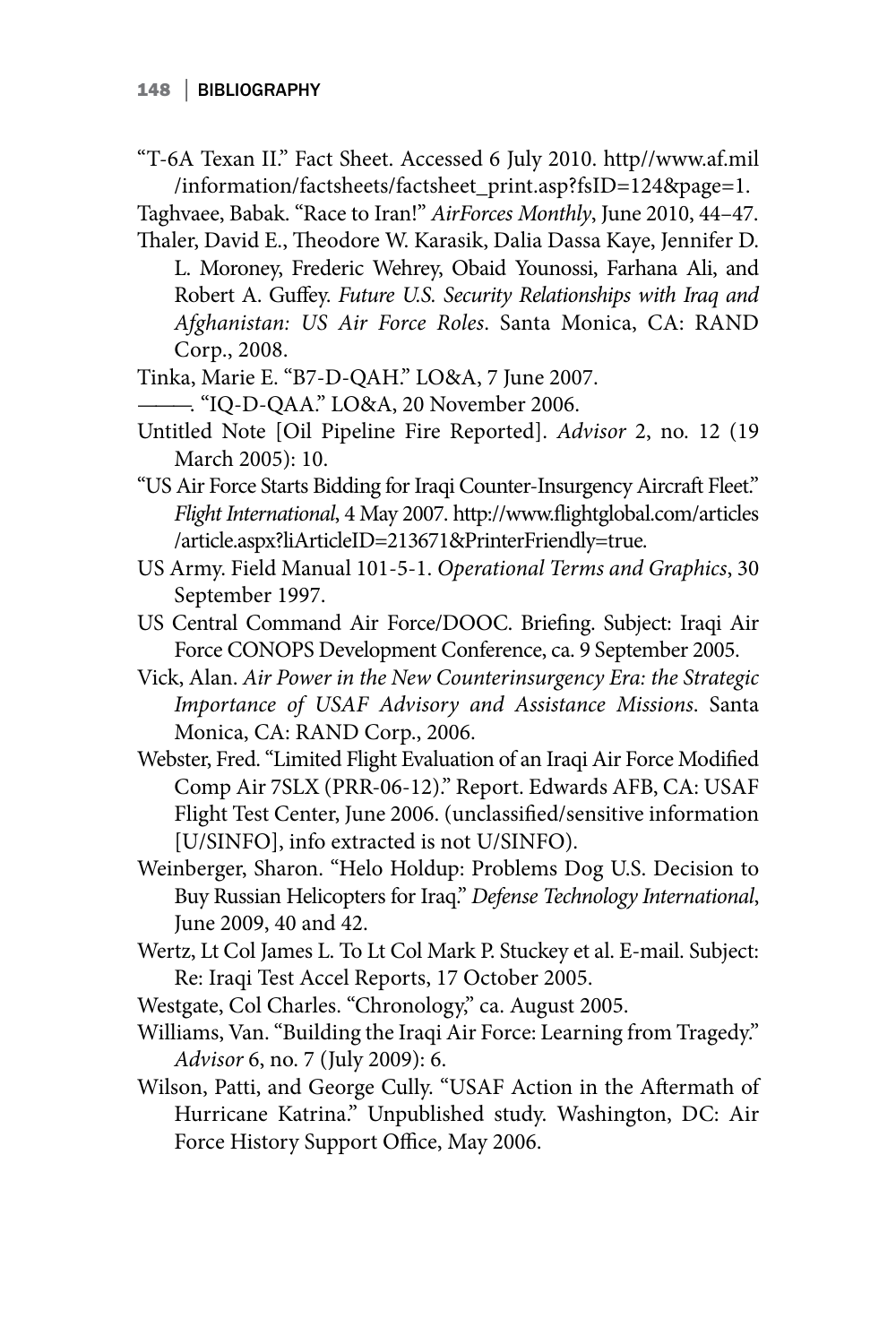"T-6A Texan II." Fact Sheet. Accessed 6 July 2010. http//www.af.mil /information/factsheets/factsheet\_print.asp?fsID=124&page=1.

Taghvaee, Babak. "Race to Iran!" *AirForces Monthly*, June 2010, 44–47. Thaler, David E., Theodore W. Karasik, Dalia Dassa Kaye, Jennifer D.

L. Moroney, Frederic Wehrey, Obaid Younossi, Farhana Ali, and Robert A. Guffey. *Future U.S. Security Relationships with Iraq and Afghanistan: US Air Force Roles*. Santa Monica, CA: RAND Corp., 2008.

Tinka, Marie E. "B7-D-QAH." LO&A, 7 June 2007.

———. "IQ-D-QAA." LO&A, 20 November 2006.

- Untitled Note [Oil Pipeline Fire Reported]. *Advisor* 2, no. 12 (19 March 2005): 10.
- "US Air Force Starts Bidding for Iraqi Counter-Insurgency Aircraft Fleet." *Flight International*, 4 May 2007. http://www.flightglobal.com/articles /article.aspx?liArticleID=213671&PrinterFriendly=true.
- US Army. Field Manual 101-5-1. *Operational Terms and Graphics*, 30 September 1997.
- US Central Command Air Force/DOOC. Briefing. Subject: Iraqi Air Force CONOPS Development Conference, ca. 9 September 2005.
- Vick, Alan. *Air Power in the New Counterinsurgency Era: the Strategic Importance of USAF Advisory and Assistance Missions*. Santa Monica, CA: RAND Corp., 2006.
- Webster, Fred. "Limited Flight Evaluation of an Iraqi Air Force Modified Comp Air 7SLX (PRR-06-12)." Report. Edwards AFB, CA: USAF Flight Test Center, June 2006. (unclassified/sensitive information [U/SINFO], info extracted is not U/SINFO).
- Weinberger, Sharon. "Helo Holdup: Problems Dog U.S. Decision to Buy Russian Helicopters for Iraq." *Defense Technology International*, June 2009, 40 and 42.
- Wertz, Lt Col James L. To Lt Col Mark P. Stuckey et al. E-mail. Subject: Re: Iraqi Test Accel Reports, 17 October 2005.
- Westgate, Col Charles. "Chronology," ca. August 2005.
- Williams, Van. "Building the Iraqi Air Force: Learning from Tragedy." *Advisor* 6, no. 7 (July 2009): 6.
- Wilson, Patti, and George Cully. "USAF Action in the Aftermath of Hurricane Katrina." Unpublished study. Washington, DC: Air Force History Support Office, May 2006.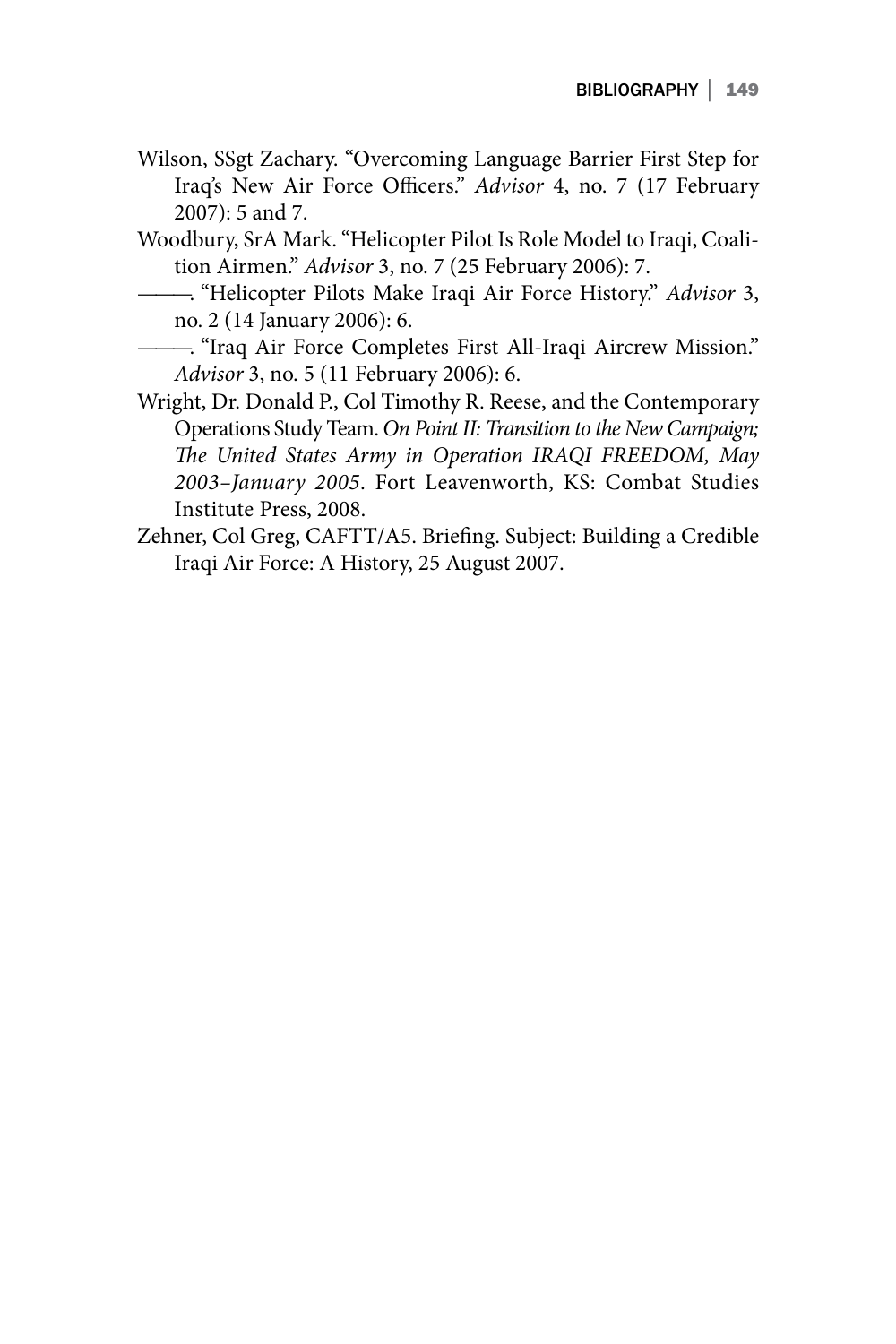- Wilson, SSgt Zachary. "Overcoming Language Barrier First Step for Iraq's New Air Force Officers." *Advisor* 4, no. 7 (17 February 2007): 5 and 7.
- Woodbury, SrA Mark. "Helicopter Pilot Is Role Model to Iraqi, Coalition Airmen." *Advisor* 3, no. 7 (25 February 2006): 7.
- ———. "Helicopter Pilots Make Iraqi Air Force History." *Advisor* 3, no. 2 (14 January 2006): 6.
- ———. "Iraq Air Force Completes First All-Iraqi Aircrew Mission." *Advisor* 3, no. 5 (11 February 2006): 6.
- Wright, Dr. Donald P., Col Timothy R. Reese, and the Contemporary Operations Study Team. *On Point II: Transition to the New Campaign; The United States Army in Operation IRAQI FREEDOM, May 2003–January 2005*. Fort Leavenworth, KS: Combat Studies Institute Press, 2008.
- Zehner, Col Greg, CAFTT/A5. Briefing. Subject: Building a Credible Iraqi Air Force: A History, 25 August 2007.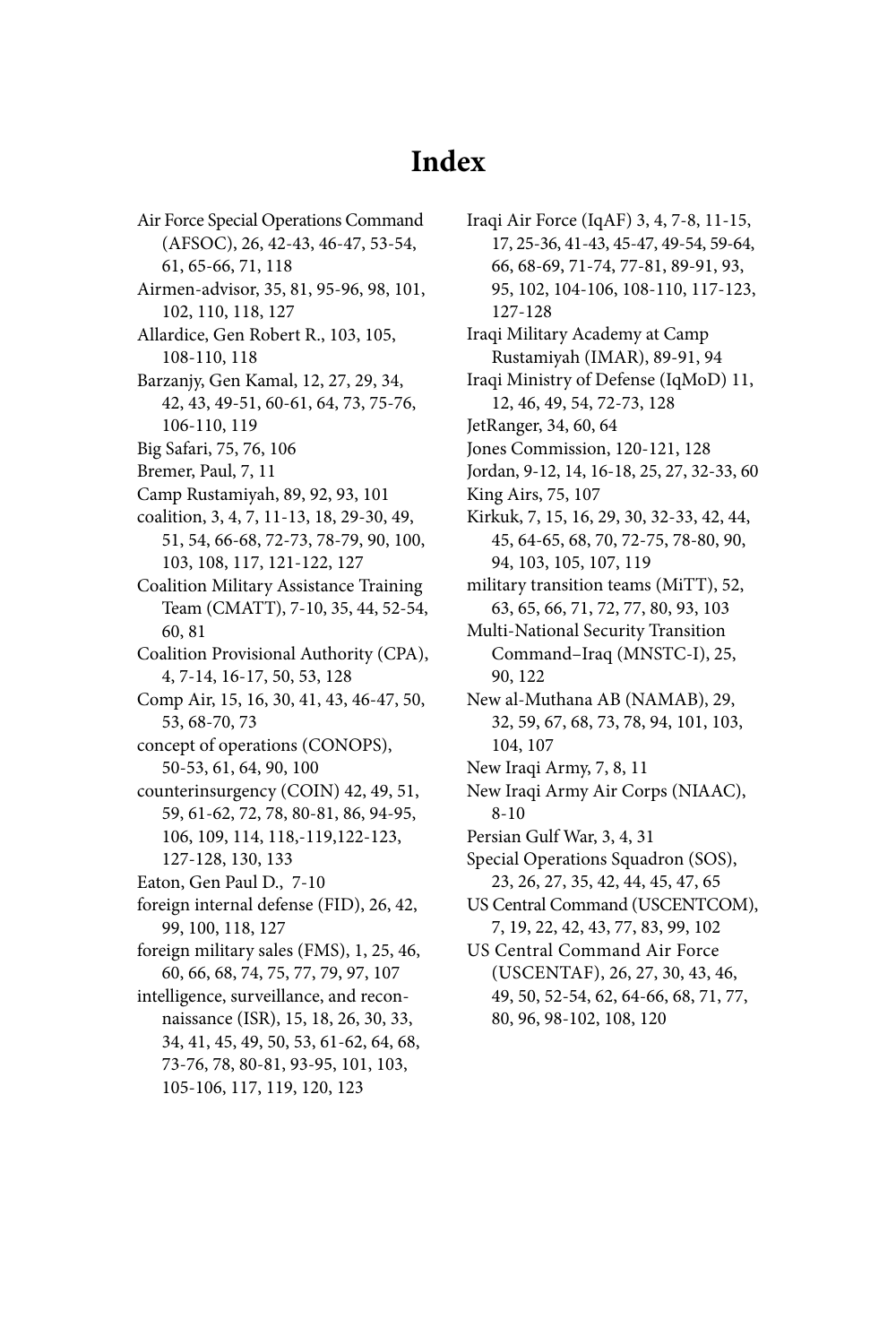## **Index**

Air Force Special Operations Command (AFSOC), 26, 42-43, 46-47, 53-54, 61, 65-66, 71, 118

- Airmen-advisor, 35, 81, 95-96, 98, 101, 102, 110, 118, 127
- Allardice, Gen Robert R., 103, 105, 108-110, 118
- Barzanjy, Gen Kamal, 12, 27, 29, 34, 42, 43, 49-51, 60-61, 64, 73, 75-76, 106-110, 119
- Big Safari, 75, 76, 106
- Bremer, Paul, 7, 11
- Camp Rustamiyah, 89, 92, 93, 101
- coalition, 3, 4, 7, 11-13, 18, 29-30, 49, 51, 54, 66-68, 72-73, 78-79, 90, 100, 103, 108, 117, 121-122, 127
- Coalition Military Assistance Training Team (CMATT), 7-10, 35, 44, 52-54, 60, 81
- Coalition Provisional Authority (CPA), 4, 7-14, 16-17, 50, 53, 128
- Comp Air, 15, 16, 30, 41, 43, 46-47, 50, 53, 68-70, 73
- concept of operations (CONOPS), 50-53, 61, 64, 90, 100
- counterinsurgency (COIN) 42, 49, 51, 59, 61-62, 72, 78, 80-81, 86, 94-95, 106, 109, 114, 118,-119,122-123, 127-128, 130, 133
- Eaton, Gen Paul D., 7-10
- foreign internal defense (FID), 26, 42, 99, 100, 118, 127
- foreign military sales (FMS), 1, 25, 46, 60, 66, 68, 74, 75, 77, 79, 97, 107
- intelligence, surveillance, and reconnaissance (ISR), 15, 18, 26, 30, 33, 34, 41, 45, 49, 50, 53, 61-62, 64, 68, 73-76, 78, 80-81, 93-95, 101, 103, 105-106, 117, 119, 120, 123
- Iraqi Air Force (IqAF) 3, 4, 7-8, 11-15, 17, 25-36, 41-43, 45-47, 49-54, 59-64, 66, 68-69, 71-74, 77-81, 89-91, 93, 95, 102, 104-106, 108-110, 117-123, 127-128 Iraqi Military Academy at Camp Rustamiyah (IMAR), 89-91, 94 Iraqi Ministry of Defense (IqMoD) 11, 12, 46, 49, 54, 72-73, 128 JetRanger, 34, 60, 64 Jones Commission, 120-121, 128 Jordan, 9-12, 14, 16-18, 25, 27, 32-33, 60 King Airs, 75, 107 Kirkuk, 7, 15, 16, 29, 30, 32-33, 42, 44, 45, 64-65, 68, 70, 72-75, 78-80, 90, 94, 103, 105, 107, 119 military transition teams (MiTT), 52, 63, 65, 66, 71, 72, 77, 80, 93, 103 Multi-National Security Transition Command–Iraq (MNSTC-I), 25, 90, 122 New al-Muthana AB (NAMAB), 29, 32, 59, 67, 68, 73, 78, 94, 101, 103, 104, 107 New Iraqi Army, 7, 8, 11 New Iraqi Army Air Corps (NIAAC), 8-10 Persian Gulf War, 3, 4, 31 Special Operations Squadron (SOS), 23, 26, 27, 35, 42, 44, 45, 47, 65 US Central Command (USCENTCOM), 7, 19, 22, 42, 43, 77, 83, 99, 102 US Central Command Air Force (USCENTAF), 26, 27, 30, 43, 46, 49, 50, 52-54, 62, 64-66, 68, 71, 77, 80, 96, 98-102, 108, 120